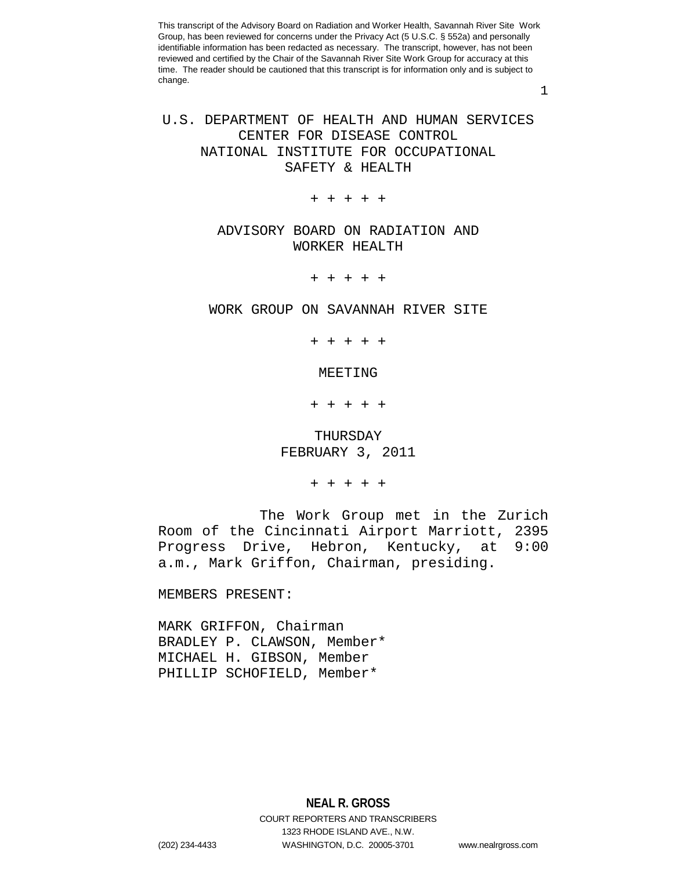1

# U.S. DEPARTMENT OF HEALTH AND HUMAN SERVICES CENTER FOR DISEASE CONTROL NATIONAL INSTITUTE FOR OCCUPATIONAL SAFETY & HEALTH

+ + + + +

# ADVISORY BOARD ON RADIATION AND WORKER HEALTH

+ + + + +

#### WORK GROUP ON SAVANNAH RIVER SITE

+ + + + +

MEETING

+ + + + +

THURSDAY FEBRUARY 3, 2011

+ + + + +

 The Work Group met in the Zurich Room of the Cincinnati Airport Marriott, 2395<br>Progress Drive, Hebron, Kentucky, at 9:00 Progress Drive, Hebron, Kentucky, at a.m., Mark Griffon, Chairman, presiding.

MEMBERS PRESENT:

MARK GRIFFON, Chairman BRADLEY P. CLAWSON, Member\* MICHAEL H. GIBSON, Member PHILLIP SCHOFIELD, Member\*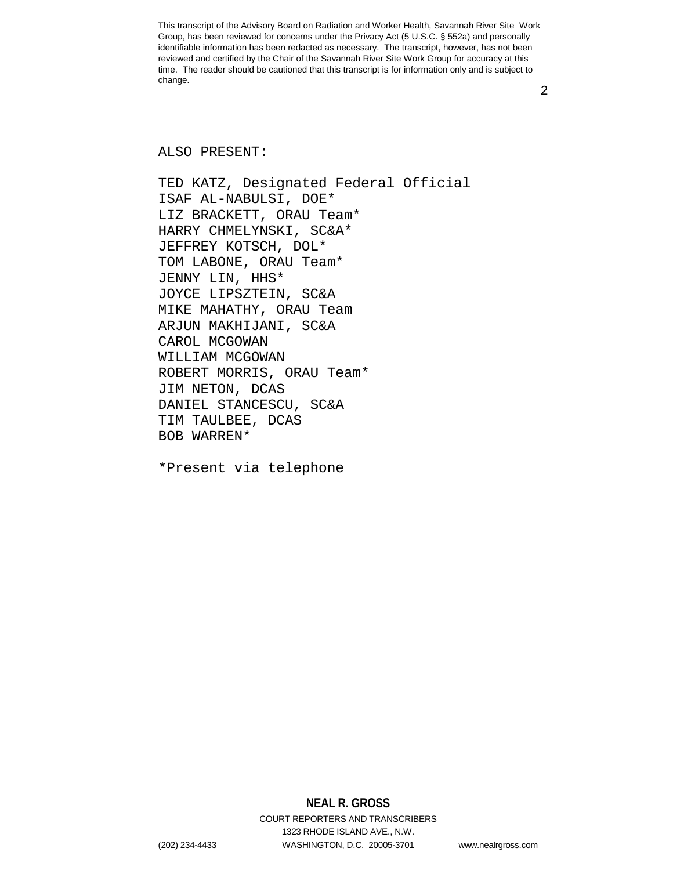2

ALSO PRESENT:

TED KATZ, Designated Federal Official ISAF AL-NABULSI, DOE\* LIZ BRACKETT, ORAU Team\* HARRY CHMELYNSKI, SC&A\* JEFFREY KOTSCH, DOL\* TOM LABONE, ORAU Team\* JENNY LIN, HHS\* JOYCE LIPSZTEIN, SC&A MIKE MAHATHY, ORAU Team ARJUN MAKHIJANI, SC&A CAROL MCGOWAN WILLIAM MCGOWAN ROBERT MORRIS, ORAU Team\* JIM NETON, DCAS DANIEL STANCESCU, SC&A TIM TAULBEE, DCAS BOB WARREN\*

\*Present via telephone

# **NEAL R. GROSS** COURT REPORTERS AND TRANSCRIBERS 1323 RHODE ISLAND AVE., N.W.

(202) 234-4433 WASHINGTON, D.C. 20005-3701 www.nealrgross.com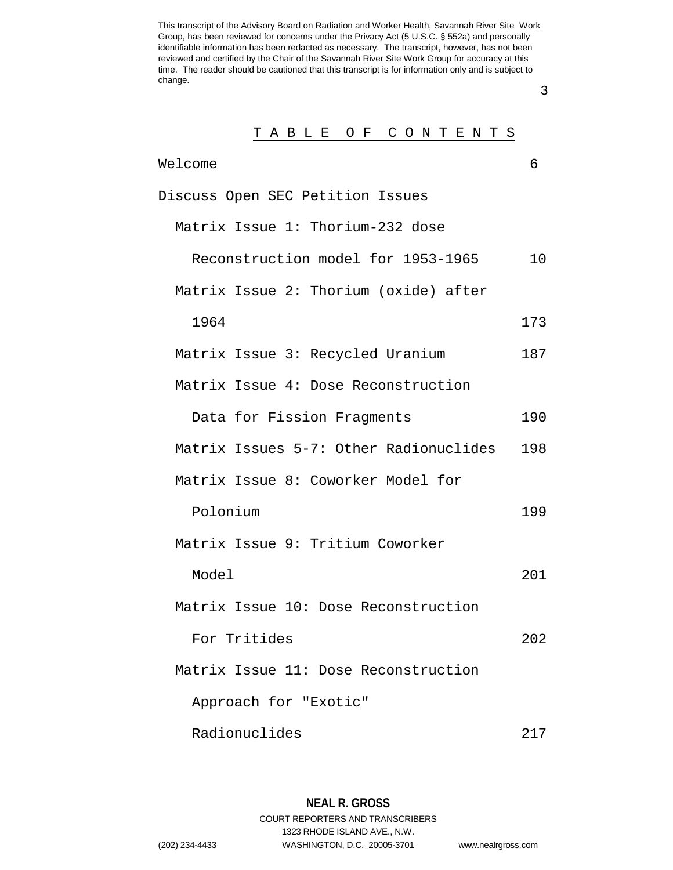# T A B L E O F C O N T E N T S Welcome 6 Discuss Open SEC Petition Issues Matrix Issue 1: Thorium-232 dose Reconstruction model for 1953-1965 10 Matrix Issue 2: Thorium (oxide) after 1964 173 Matrix Issue 3: Recycled Uranium 187 Matrix Issue 4: Dose Reconstruction Data for Fission Fragments 190 Matrix Issues 5-7: Other Radionuclides 198 Matrix Issue 8: Coworker Model for Polonium 199 Matrix Issue 9: Tritium Coworker Model 201 Matrix Issue 10: Dose Reconstruction For Tritides 202 Matrix Issue 11: Dose Reconstruction

Approach for "Exotic"

Radionuclides 217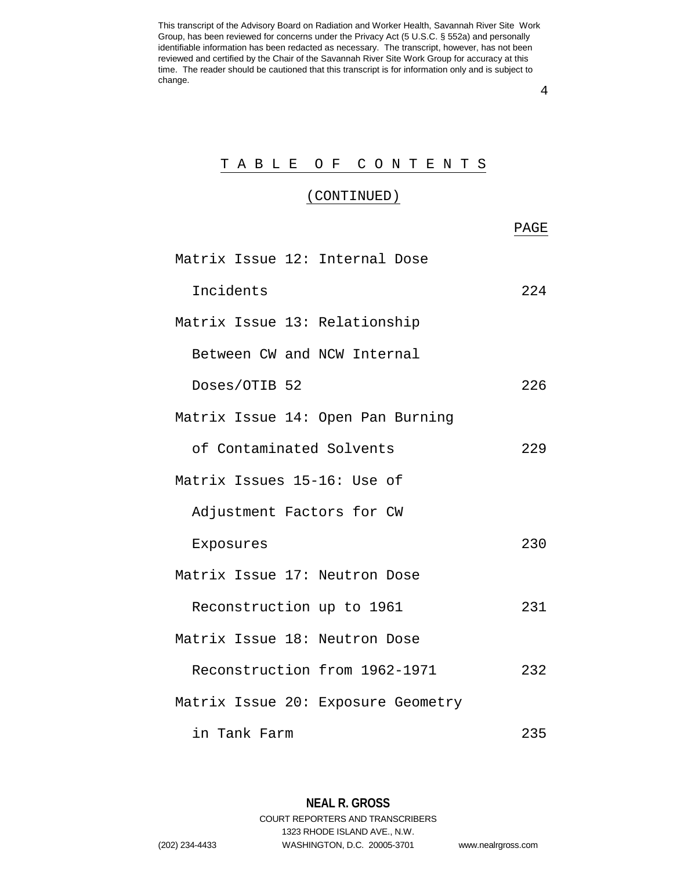4

PAGE

#### T A B L E O F C O N T E N T S

# (CONTINUED)

| Matrix Issue 12: Internal Dose     |     |
|------------------------------------|-----|
| Incidents                          | 224 |
| Matrix Issue 13: Relationship      |     |
| Between CW and NCW Internal        |     |
| Doses/OTIB 52                      | 226 |
| Matrix Issue 14: Open Pan Burning  |     |
| of Contaminated Solvents           | 229 |
| Matrix Issues 15-16: Use of        |     |
| Adjustment Factors for CW          |     |
| Exposures                          | 230 |
| Matrix Issue 17: Neutron Dose      |     |
| Reconstruction up to 1961          | 231 |
| Matrix Issue 18: Neutron Dose      |     |
| Reconstruction from 1962-1971      | 232 |
| Matrix Issue 20: Exposure Geometry |     |
| in Tank Farm                       | 235 |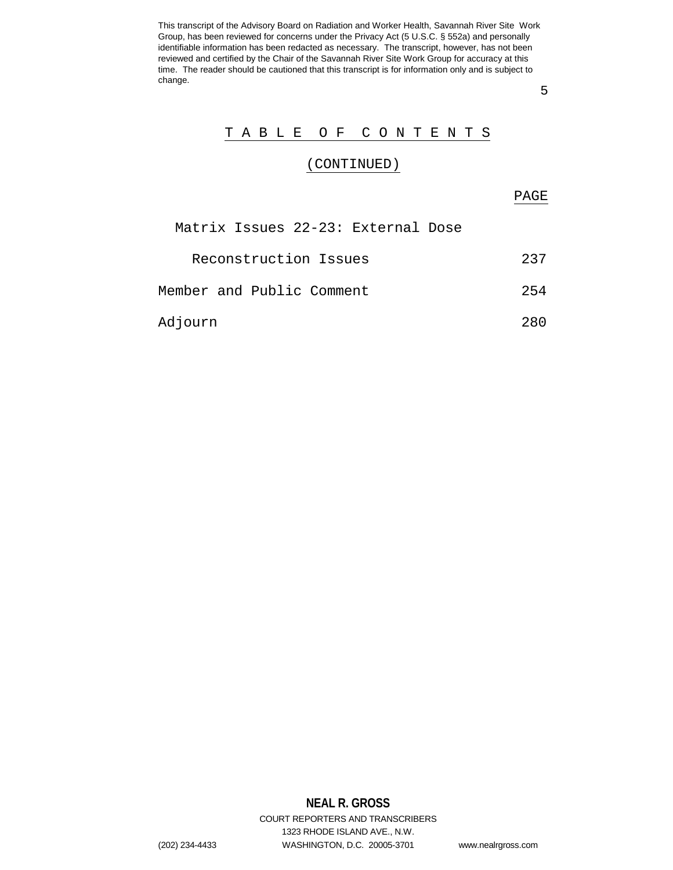5

# T A B L E O F C O N T E N T S

# (CONTINUED)

PAGE

| Matrix Issues 22-23: External Dose |     |
|------------------------------------|-----|
| Reconstruction Issues              | 237 |
| Member and Public Comment          | 254 |
| Adjourn                            | 280 |

# **NEAL R. GROSS**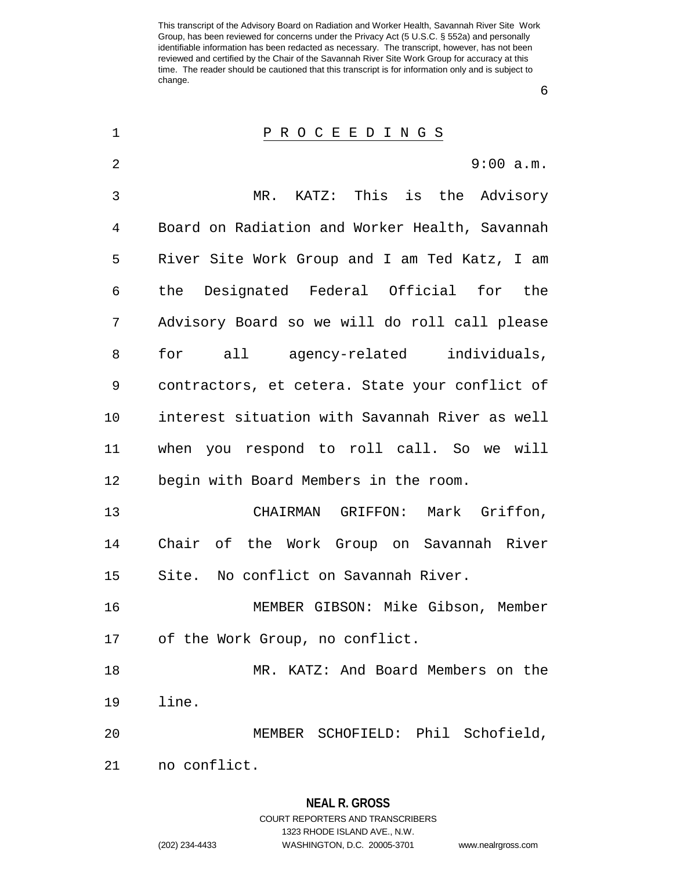6

| $\mathbf 1$ | P R O C E E D I N G S                          |
|-------------|------------------------------------------------|
| 2           | 9:00 a.m.                                      |
| 3           | MR. KATZ: This is the Advisory                 |
| 4           | Board on Radiation and Worker Health, Savannah |
| 5           | River Site Work Group and I am Ted Katz, I am  |
| 6           | the Designated Federal Official for the        |
| 7           | Advisory Board so we will do roll call please  |
| 8           | for all agency-related individuals,            |
| 9           | contractors, et cetera. State your conflict of |
| $10 \,$     | interest situation with Savannah River as well |
| 11          | when you respond to roll call. So we will      |
| 12          | begin with Board Members in the room.          |
| 13          | CHAIRMAN GRIFFON: Mark Griffon,                |
| 14          | Chair of the Work Group on Savannah River      |
| 15          | Site. No conflict on Savannah River.           |
| 16          | MEMBER GIBSON: Mike Gibson, Member             |
| 17          | of the Work Group, no conflict.                |
| 18          | MR. KATZ: And Board Members on the             |
| 19          | line.                                          |
| 20          | MEMBER SCHOFIELD: Phil Schofield,              |
| 21          | no conflict.                                   |
|             |                                                |

1323 RHODE ISLAND AVE., N.W.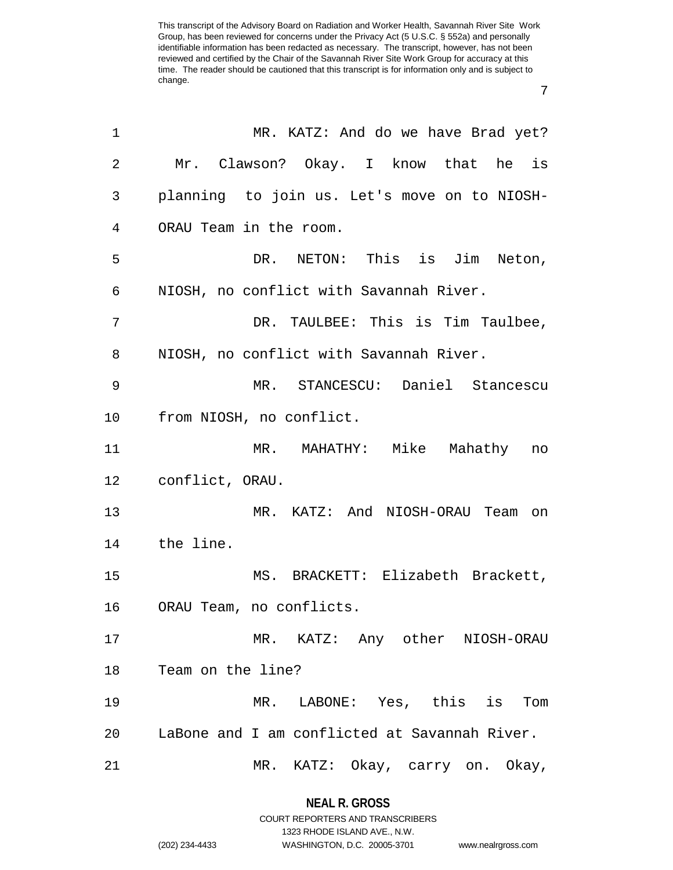7

| 1  | MR. KATZ: And do we have Brad yet?            |
|----|-----------------------------------------------|
| 2  | Mr. Clawson? Okay. I know that he is          |
| 3  | planning to join us. Let's move on to NIOSH-  |
| 4  | ORAU Team in the room.                        |
| 5  | DR. NETON: This is Jim Neton,                 |
| 6  | NIOSH, no conflict with Savannah River.       |
| 7  | DR. TAULBEE: This is Tim Taulbee,             |
| 8  | NIOSH, no conflict with Savannah River.       |
| 9  | MR. STANCESCU: Daniel Stancescu               |
| 10 | from NIOSH, no conflict.                      |
| 11 | MR. MAHATHY: Mike Mahathy no                  |
| 12 | conflict, ORAU.                               |
| 13 | MR. KATZ: And NIOSH-ORAU Team on              |
| 14 | the line.                                     |
| 15 | MS. BRACKETT: Elizabeth Brackett,             |
| 16 | ORAU Team, no conflicts.                      |
| 17 | MR. KATZ: Any other NIOSH-ORAU                |
| 18 | Team on the line?                             |
| 19 | MR. LABONE: Yes, this is Tom                  |
| 20 | LaBone and I am conflicted at Savannah River. |
| 21 | MR. KATZ: Okay, carry on. Okay,               |

## **NEAL R. GROSS**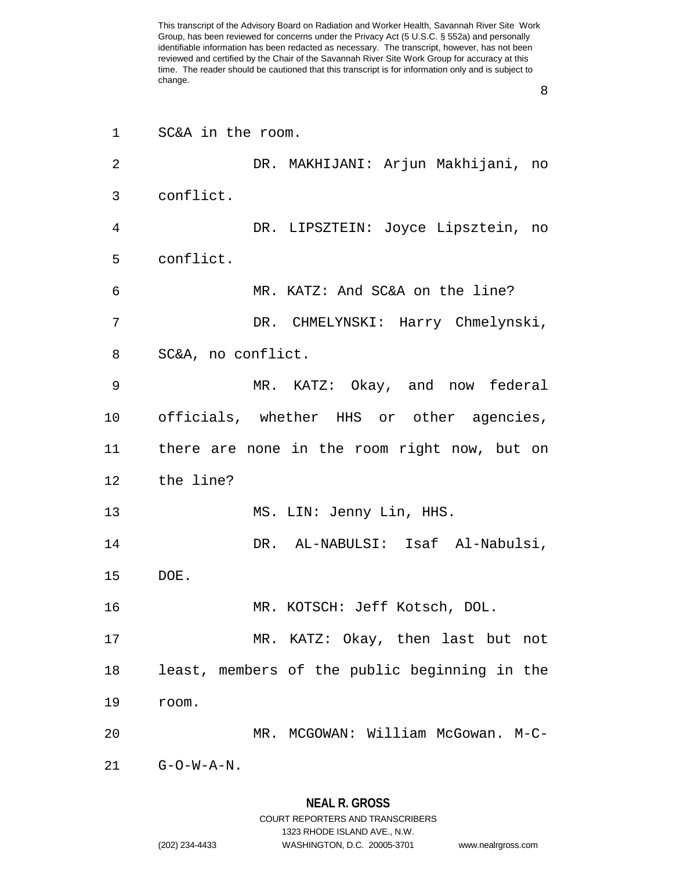8

| 1  | SC&A in the room.                             |
|----|-----------------------------------------------|
| 2  | DR. MAKHIJANI: Arjun Makhijani, no            |
| 3  | conflict.                                     |
| 4  | DR. LIPSZTEIN: Joyce Lipsztein, no            |
| 5  | conflict.                                     |
| 6  | MR. KATZ: And SC&A on the line?               |
| 7  | DR. CHMELYNSKI: Harry Chmelynski,             |
| 8  | SC&A, no conflict.                            |
| 9  | MR. KATZ: Okay, and now federal               |
| 10 | officials, whether HHS or other agencies,     |
| 11 | there are none in the room right now, but on  |
| 12 | the line?                                     |
| 13 | MS. LIN: Jenny Lin, HHS.                      |
| 14 | DR. AL-NABULSI: Isaf Al-Nabulsi,              |
| 15 | DOE.                                          |
| 16 | MR. KOTSCH: Jeff Kotsch, DOL.                 |
| 17 | MR. KATZ: Okay, then last but not             |
| 18 | least, members of the public beginning in the |
| 19 | room.                                         |
| 20 | MR. MCGOWAN: William McGowan. M-C-            |
| 21 | $G-O-W-A-N$ .                                 |
|    |                                               |

1323 RHODE ISLAND AVE., N.W.

(202) 234-4433 WASHINGTON, D.C. 20005-3701 www.nealrgross.com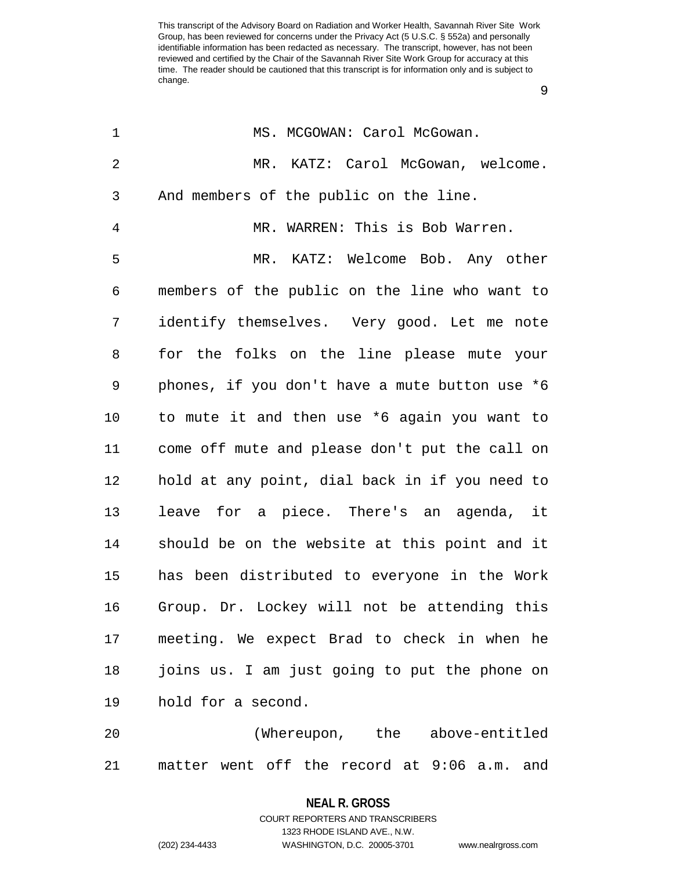9

| 1              | MS. MCGOWAN: Carol McGowan.                    |
|----------------|------------------------------------------------|
| $\overline{2}$ | MR. KATZ: Carol McGowan, welcome.              |
| $\mathsf{3}$   | And members of the public on the line.         |
| $\overline{4}$ | MR. WARREN: This is Bob Warren.                |
| 5              | MR. KATZ: Welcome Bob. Any other               |
| 6              | members of the public on the line who want to  |
| 7              | identify themselves. Very good. Let me note    |
| 8              | for the folks on the line please mute your     |
| 9              | phones, if you don't have a mute button use *6 |
| 10             | to mute it and then use *6 again you want to   |
| 11             | come off mute and please don't put the call on |
| 12             | hold at any point, dial back in if you need to |
| 13             | leave for a piece. There's an agenda, it       |
| 14             | should be on the website at this point and it  |
| 15             | has been distributed to everyone in the Work   |
| 16             | Group. Dr. Lockey will not be attending this   |
| 17             | meeting. We expect Brad to check in when he    |
| 18             | joins us. I am just going to put the phone on  |
| 19             | hold for a second.                             |
| 20             | (Whereupon, the above-entitled                 |
| 21             | matter went off the record at 9:06 a.m. and    |

**NEAL R. GROSS**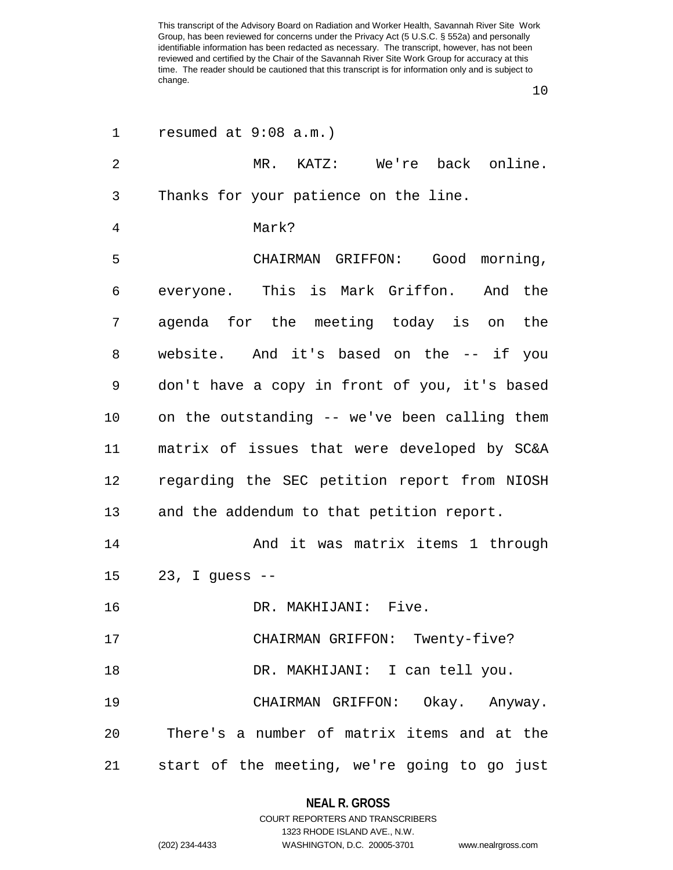10

| 1  | resumed at $9:08$ a.m.)                       |
|----|-----------------------------------------------|
| 2  | MR. KATZ: We're back online.                  |
| 3  | Thanks for your patience on the line.         |
| 4  | Mark?                                         |
| 5  | CHAIRMAN GRIFFON: Good morning,               |
| 6  | everyone. This is Mark Griffon. And the       |
| 7  | agenda for the meeting today is on<br>the     |
| 8  | website. And it's based on the -- if you      |
| 9  | don't have a copy in front of you, it's based |
| 10 | on the outstanding -- we've been calling them |
| 11 | matrix of issues that were developed by SC&A  |
| 12 | regarding the SEC petition report from NIOSH  |
| 13 | and the addendum to that petition report.     |
| 14 | And it was matrix items 1 through             |
| 15 | $23, I$ guess $-I$                            |
| 16 | DR. MAKHIJANI: Five.                          |
| 17 | CHAIRMAN GRIFFON: Twenty-five?                |
| 18 | DR. MAKHIJANI: I can tell you.                |
| 19 | CHAIRMAN GRIFFON: Okay. Anyway.               |
| 20 | There's a number of matrix items and at the   |
| 21 | start of the meeting, we're going to go just  |

## **NEAL R. GROSS**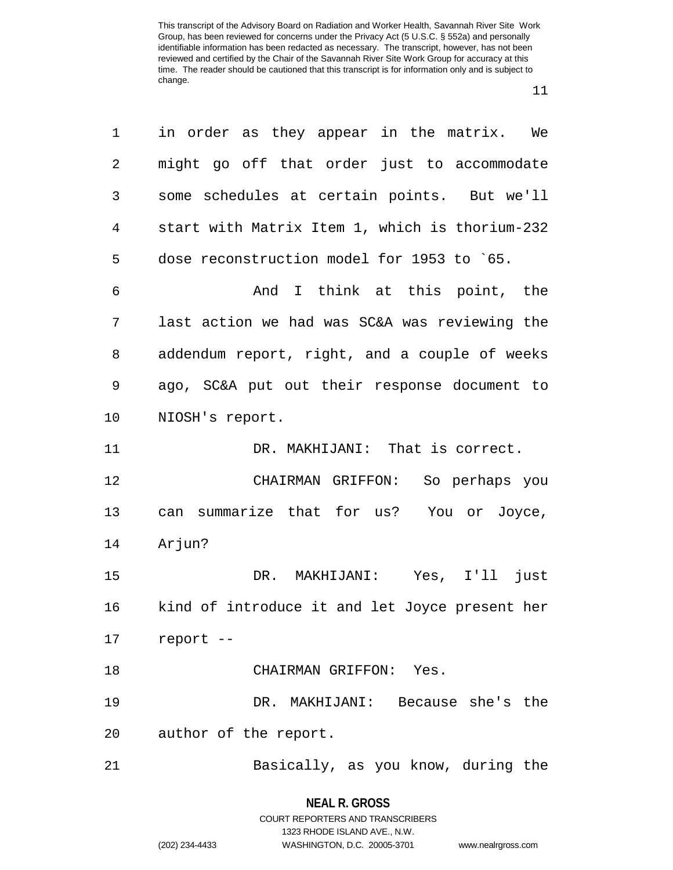11

| 1  | in order as they appear in the matrix. We      |
|----|------------------------------------------------|
| 2  | might go off that order just to accommodate    |
| 3  | some schedules at certain points. But we'll    |
| 4  | start with Matrix Item 1, which is thorium-232 |
| 5  | dose reconstruction model for 1953 to `65.     |
| 6  | I think at this point, the<br>And              |
| 7  | last action we had was SC&A was reviewing the  |
| 8  | addendum report, right, and a couple of weeks  |
| 9  | ago, SC&A put out their response document to   |
| 10 | NIOSH's report.                                |
| 11 | DR. MAKHIJANI: That is correct.                |
| 12 | CHAIRMAN GRIFFON: So perhaps you               |
| 13 | can summarize that for us? You or Joyce,       |
| 14 | Arjun?                                         |
| 15 | DR. MAKHIJANI: Yes, I'll<br>just               |
| 16 | kind of introduce it and let Joyce present her |
| 17 | report --                                      |
| 18 | CHAIRMAN GRIFFON: Yes.                         |
| 19 | DR. MAKHIJANI: Because she's the               |
| 20 | author of the report.                          |
| 21 | Basically, as you know, during the             |

**NEAL R. GROSS** COURT REPORTERS AND TRANSCRIBERS

1323 RHODE ISLAND AVE., N.W. (202) 234-4433 WASHINGTON, D.C. 20005-3701 www.nealrgross.com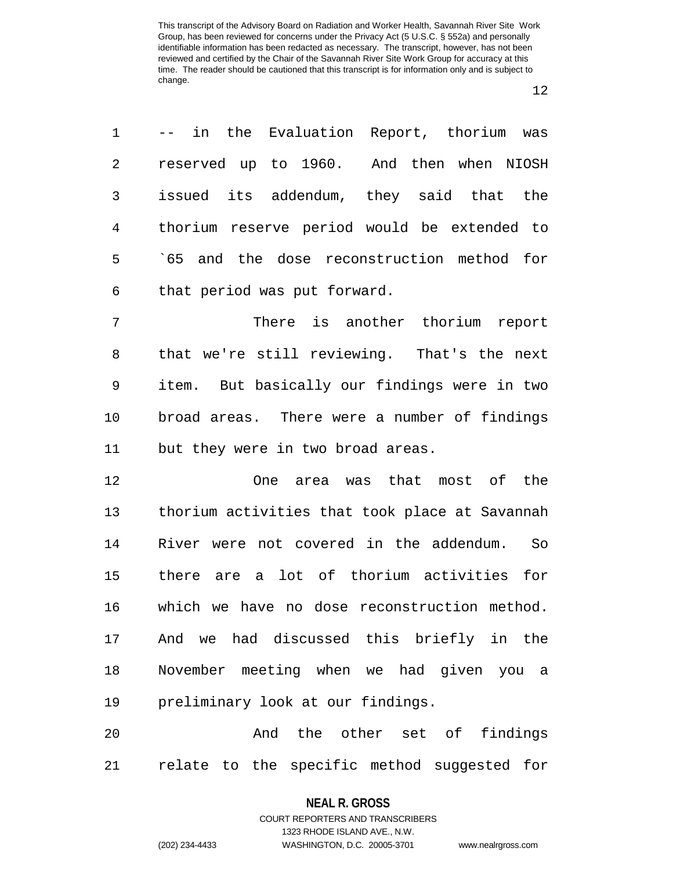12

| $\mathbf 1$ | -- in the Evaluation Report, thorium was       |
|-------------|------------------------------------------------|
| 2           | reserved up to 1960. And then when NIOSH       |
| 3           | issued its addendum, they said that the        |
| 4           | thorium reserve period would be extended to    |
| 5           | `65 and the dose reconstruction method for     |
| 6           | that period was put forward.                   |
| 7           | There is another thorium report                |
| 8           | that we're still reviewing. That's the next    |
| 9           | item. But basically our findings were in two   |
| 10          | broad areas. There were a number of findings   |
| 11          | but they were in two broad areas.              |
| 12          | area was that most of the<br><b>One</b>        |
| 13          | thorium activities that took place at Savannah |
| 14          | River were not covered in the addendum.<br>So  |
| 15          | there are a lot of thorium activities for      |
| 16          | which we have no dose reconstruction method.   |
| 17          | And we had discussed this briefly in the       |
| 18          | November meeting when we had given you a       |
| 19          | preliminary look at our findings.              |
| 20          | And the other set of findings                  |
|             |                                                |

21 relate to the specific method suggested for

#### **NEAL R. GROSS**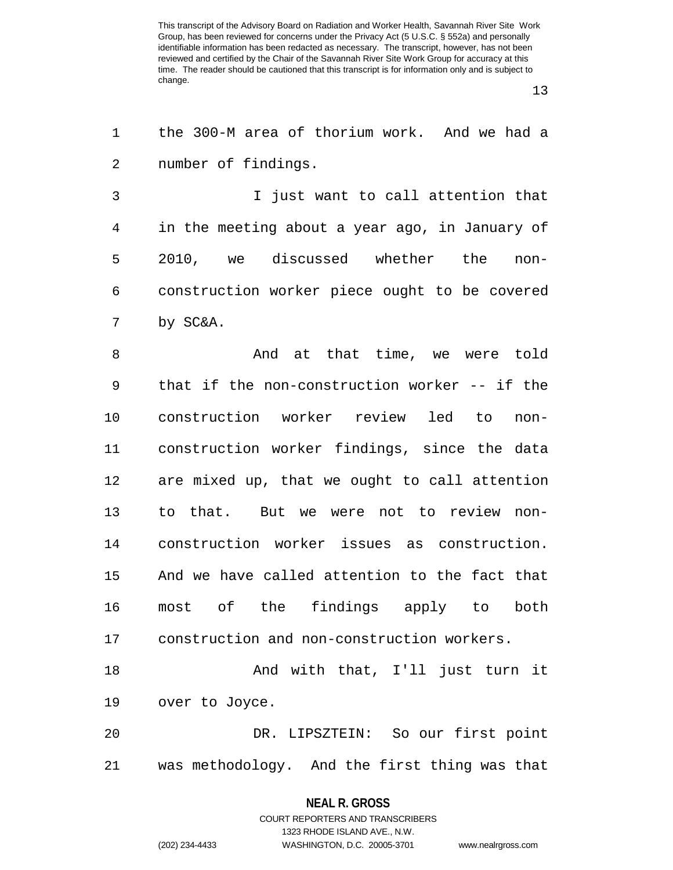13

1 the 300-M area of thorium work. And we had a 2 number of findings.

3 I just want to call attention that 4 in the meeting about a year ago, in January of 5 2010, we discussed whether the non-6 construction worker piece ought to be covered 7 by SC&A.

8 and at that time, we were told 9 that if the non-construction worker -- if the 10 construction worker review led to non-11 construction worker findings, since the data 12 are mixed up, that we ought to call attention 13 to that. But we were not to review non-14 construction worker issues as construction. 15 And we have called attention to the fact that 16 most of the findings apply to both 17 construction and non-construction workers.

18 And with that, I'll just turn it 19 over to Joyce.

20 DR. LIPSZTEIN: So our first point 21 was methodology. And the first thing was that

> **NEAL R. GROSS** COURT REPORTERS AND TRANSCRIBERS

> > 1323 RHODE ISLAND AVE., N.W.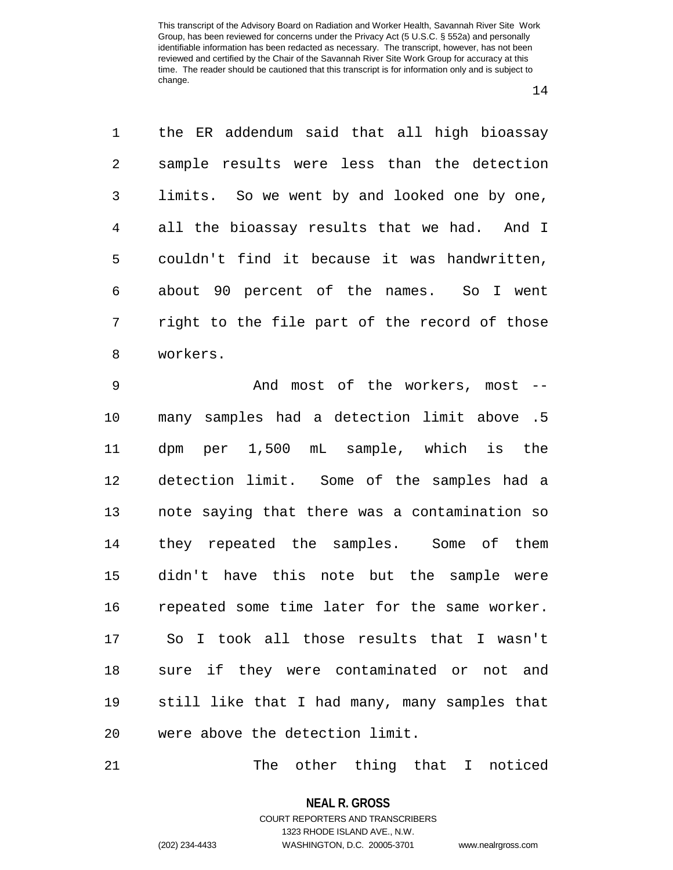14

1 the ER addendum said that all high bioassay 2 sample results were less than the detection 3 limits. So we went by and looked one by one, 4 all the bioassay results that we had. And I 5 couldn't find it because it was handwritten, 6 about 90 percent of the names. So I went 7 right to the file part of the record of those 8 workers.

9 And most of the workers, most -- 10 many samples had a detection limit above .5 11 dpm per 1,500 mL sample, which is the 12 detection limit. Some of the samples had a 13 note saying that there was a contamination so 14 they repeated the samples. Some of them 15 didn't have this note but the sample were 16 repeated some time later for the same worker. 17 So I took all those results that I wasn't 18 sure if they were contaminated or not and 19 still like that I had many, many samples that 20 were above the detection limit.

21 The other thing that I noticed

**NEAL R. GROSS** COURT REPORTERS AND TRANSCRIBERS

1323 RHODE ISLAND AVE., N.W.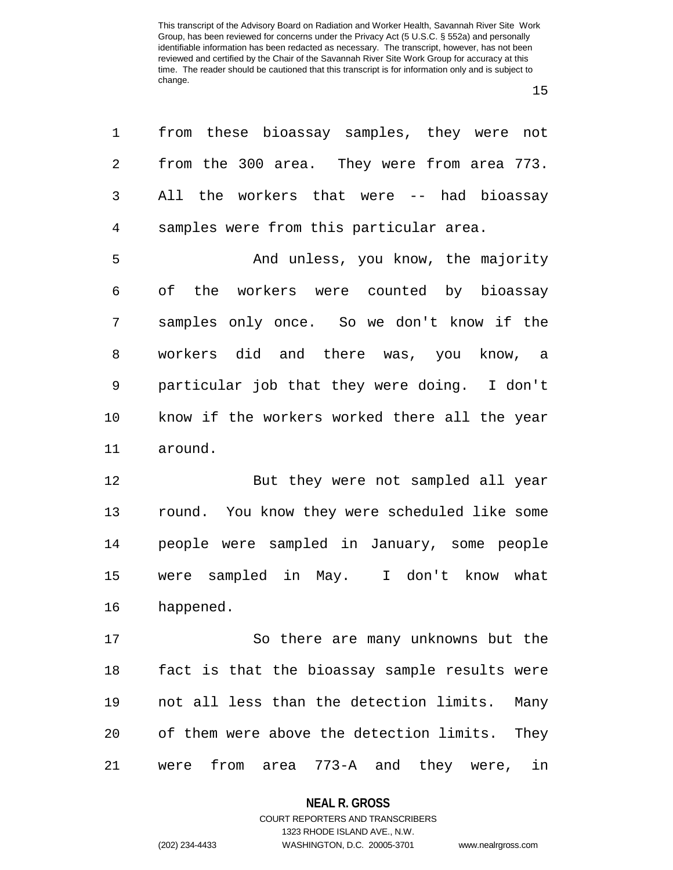15

| 1              | from these bioassay samples, they were not       |
|----------------|--------------------------------------------------|
| 2              | from the 300 area. They were from area 773.      |
| 3              | All the workers that were -- had bioassay        |
| $\overline{4}$ | samples were from this particular area.          |
| 5              | And unless, you know, the majority               |
| 6              | of the workers were counted by bioassay          |
| 7              | samples only once. So we don't know if the       |
| 8              | workers did and there was, you know, a           |
| 9              | particular job that they were doing. I don't     |
| 10             | know if the workers worked there all the year    |
| 11             | around.                                          |
| 12             | But they were not sampled all year               |
| 13             | round. You know they were scheduled like some    |
| 14             | people were sampled in January, some people      |
| 15             | were sampled in May. I don't know what           |
| 16             | happened.                                        |
| 17             | So there are many unknowns but the               |
| 18             | fact is that the bioassay sample results were    |
| 19             | not all less than the detection limits.<br>Many  |
| 20             | of them were above the detection limits.<br>They |

21 were from area 773-A and they were, in

#### **NEAL R. GROSS**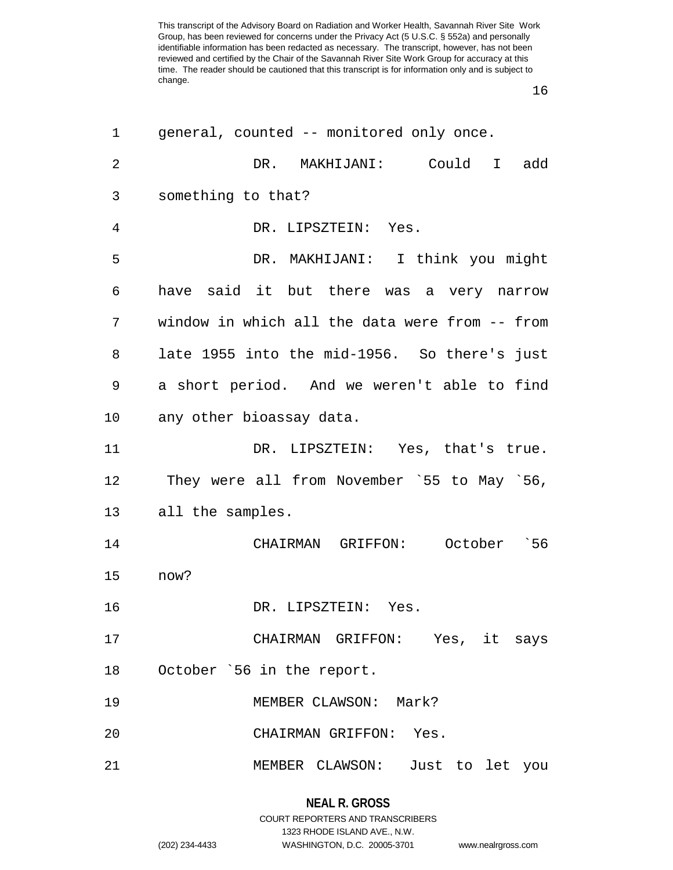16

| 1              | general, counted -- monitored only once.       |
|----------------|------------------------------------------------|
| $\overline{2}$ | DR. MAKHIJANI: Could I<br>add                  |
| 3              | something to that?                             |
| 4              | DR. LIPSZTEIN: Yes.                            |
| 5              | DR. MAKHIJANI: I think you might               |
| 6              | have said it but there was a very narrow       |
| 7              | window in which all the data were from -- from |
| 8              | late 1955 into the mid-1956. So there's just   |
| 9              | a short period. And we weren't able to find    |
| 10             | any other bioassay data.                       |
| 11             | DR. LIPSZTEIN: Yes, that's true.               |
| 12             | They were all from November `55 to May `56,    |
| 13             | all the samples.                               |
| 14             | CHAIRMAN GRIFFON: October `56                  |
| 15             | now?                                           |
| 16             | DR. LIPSZTEIN: Yes.                            |
| 17             | CHAIRMAN GRIFFON: Yes, it says                 |
| 18             | October `56 in the report.                     |
| 19             | MEMBER CLAWSON: Mark?                          |
| 20             | CHAIRMAN GRIFFON: Yes.                         |
| 21             | MEMBER CLAWSON: Just to let you                |
|                |                                                |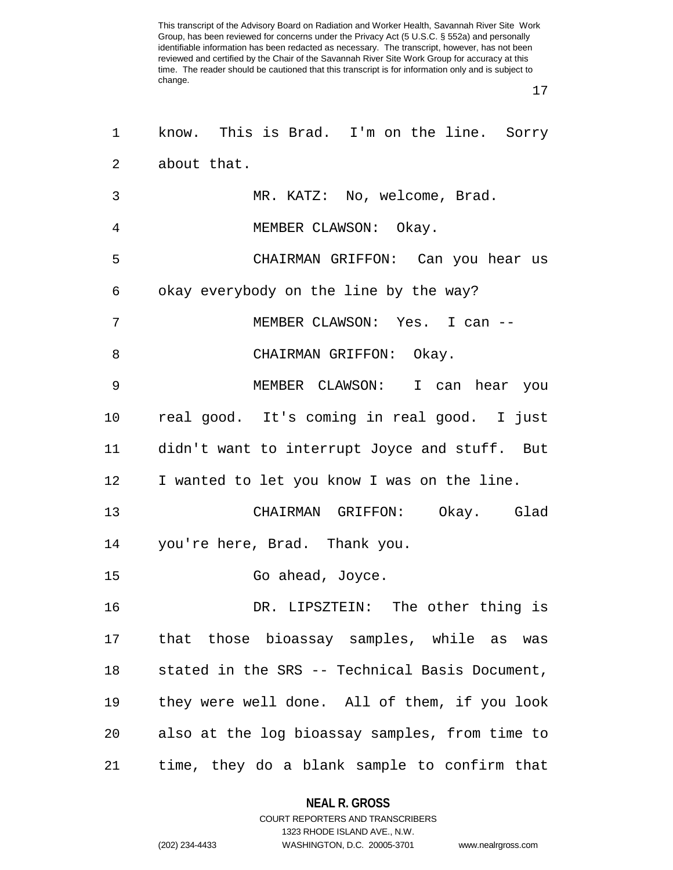17

| 1              | know. This is Brad. I'm on the line. Sorry     |
|----------------|------------------------------------------------|
| $\overline{2}$ | about that.                                    |
| 3              | MR. KATZ: No, welcome, Brad.                   |
| 4              | MEMBER CLAWSON: Okay.                          |
| 5              | CHAIRMAN GRIFFON: Can you hear us              |
| 6              | okay everybody on the line by the way?         |
| 7              | MEMBER CLAWSON: Yes. I can --                  |
| 8              | CHAIRMAN GRIFFON: Okay.                        |
| 9              | MEMBER CLAWSON: I can hear you                 |
| 10             | real good. It's coming in real good. I just    |
| 11             | didn't want to interrupt Joyce and stuff. But  |
| 12             | I wanted to let you know I was on the line.    |
| 13             | CHAIRMAN GRIFFON: Okay. Glad                   |
| 14             | you're here, Brad. Thank you.                  |
| 15             | Go ahead, Joyce.                               |
| 16             | DR. LIPSZTEIN: The other thing is              |
| 17             | that those bioassay samples, while as was      |
| 18             | stated in the SRS -- Technical Basis Document, |
| 19             | they were well done. All of them, if you look  |
| 20             | also at the log bioassay samples, from time to |
| 21             | time, they do a blank sample to confirm that   |

**NEAL R. GROSS** COURT REPORTERS AND TRANSCRIBERS

1323 RHODE ISLAND AVE., N.W.

(202) 234-4433 WASHINGTON, D.C. 20005-3701 www.nealrgross.com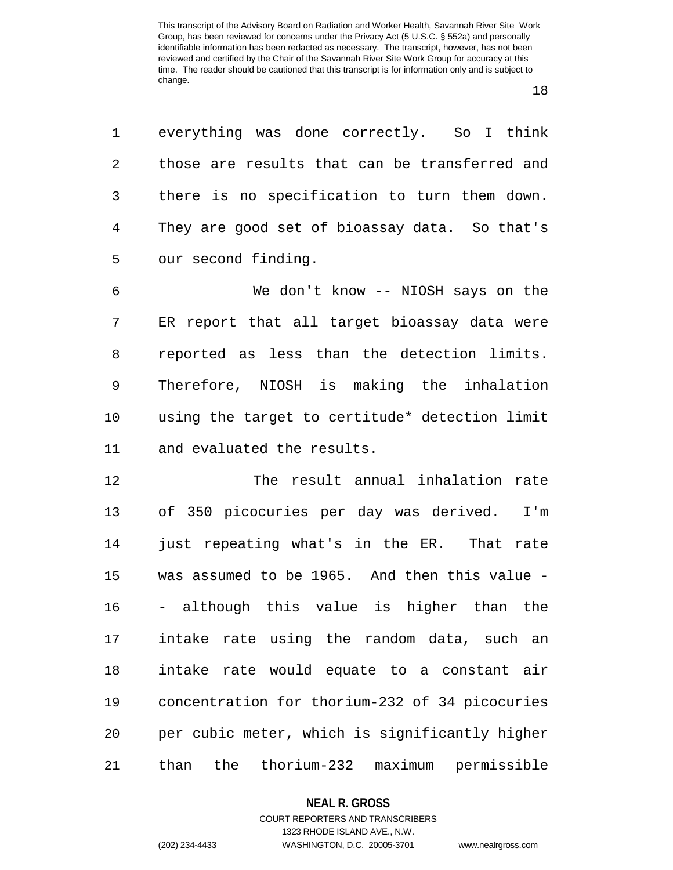1 everything was done correctly. So I think

18

2 those are results that can be transferred and 3 there is no specification to turn them down. 4 They are good set of bioassay data. So that's 5 our second finding. 6 We don't know -- NIOSH says on the 7 ER report that all target bioassay data were 8 reported as less than the detection limits. 9 Therefore, NIOSH is making the inhalation 10 using the target to certitude\* detection limit 11 and evaluated the results. 12 The result annual inhalation rate 13 of 350 picocuries per day was derived. I'm 14 just repeating what's in the ER. That rate 15 was assumed to be 1965. And then this value - 16 - although this value is higher than the 17 intake rate using the random data, such an 18 intake rate would equate to a constant air 19 concentration for thorium-232 of 34 picocuries 20 per cubic meter, which is significantly higher 21 than the thorium-232 maximum permissible

#### **NEAL R. GROSS**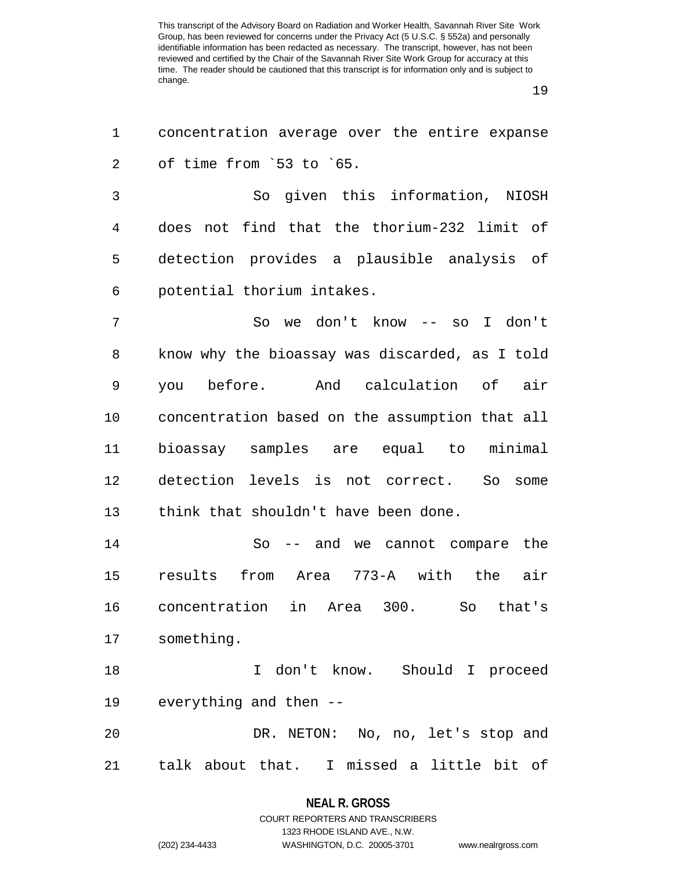19

1 concentration average over the entire expanse 2 of time from `53 to `65. 3 So given this information, NIOSH 4 does not find that the thorium-232 limit of 5 detection provides a plausible analysis of 6 potential thorium intakes. 7 So we don't know -- so I don't 8 know why the bioassay was discarded, as I told 9 you before. And calculation of air 10 concentration based on the assumption that all 11 bioassay samples are equal to minimal 12 detection levels is not correct. So some 13 think that shouldn't have been done. 14 So -- and we cannot compare the 15 results from Area 773-A with the air 16 concentration in Area 300. So that's 17 something. 18 I don't know. Should I proceed 19 everything and then -- 20 DR. NETON: No, no, let's stop and 21 talk about that. I missed a little bit of

#### **NEAL R. GROSS**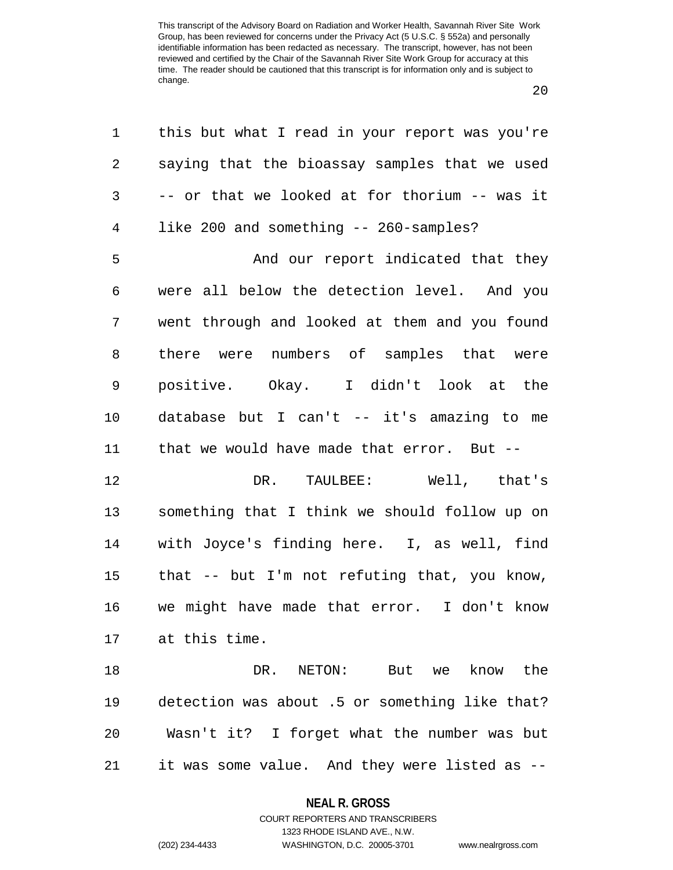20

| $\mathbf 1$ | this but what I read in your report was you're |
|-------------|------------------------------------------------|
| 2           | saying that the bioassay samples that we used  |
| 3           | -- or that we looked at for thorium -- was it  |
| 4           | like 200 and something -- 260-samples?         |
| 5           | And our report indicated that they             |
| 6           | were all below the detection level. And you    |
| 7           | went through and looked at them and you found  |
| 8           | there were numbers of samples that were        |
| 9           | positive. Okay. I didn't look at the           |
| 10          | database but I can't -- it's amazing to me     |
| 11          | that we would have made that error. But --     |
| 12          | DR. TAULBEE: Well, that's                      |
| 13          | something that I think we should follow up on  |
| 14          | with Joyce's finding here. I, as well, find    |
| 15          | that -- but I'm not refuting that, you know,   |
| 16          | we might have made that error. I don't know    |
|             | 17 at this time.                               |
| 18          | DR.<br>NETON: But we know the                  |
| 19          | detection was about .5 or something like that? |
| 20          | Wasn't it? I forget what the number was but    |
| 21          | it was some value. And they were listed as --  |

#### **NEAL R. GROSS**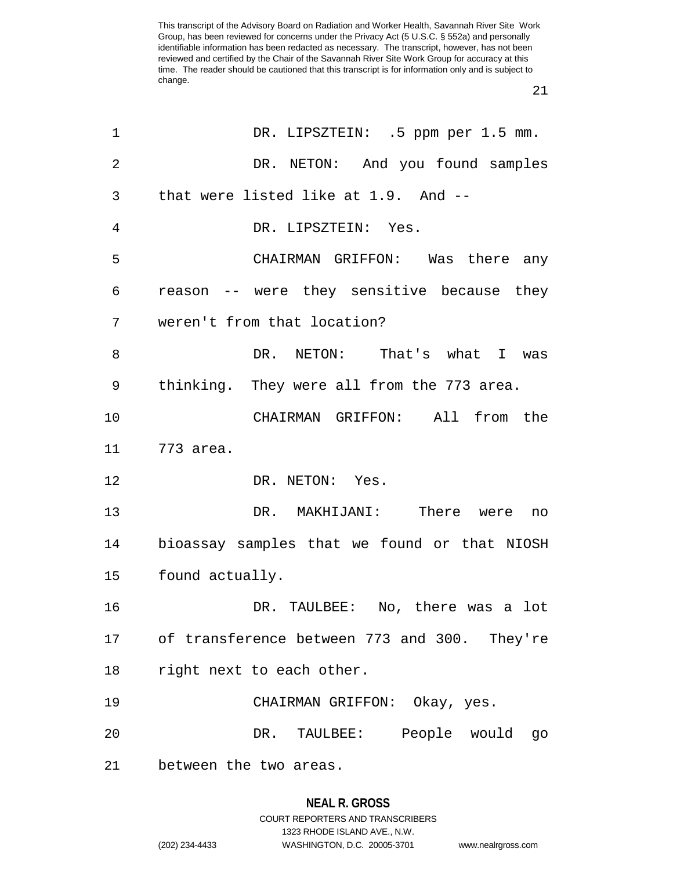21

| $\mathbf 1$    | DR. LIPSZTEIN: .5 ppm per 1.5 mm.            |
|----------------|----------------------------------------------|
| $\overline{2}$ | DR. NETON: And you found samples             |
| 3              | that were listed like at $1.9$ . And $-$ -   |
| 4              | DR. LIPSZTEIN: Yes.                          |
| 5              | CHAIRMAN GRIFFON: Was there any              |
| 6              | reason -- were they sensitive because they   |
| 7              | weren't from that location?                  |
| 8              | DR. NETON: That's what I was                 |
| 9              | thinking. They were all from the 773 area.   |
| 10             | CHAIRMAN GRIFFON: All from the               |
| 11             | 773 area.                                    |
| 12             | DR. NETON: Yes.                              |
| 13             | DR. MAKHIJANI: There were<br>no              |
| 14             | bioassay samples that we found or that NIOSH |
| 15             | found actually.                              |
| 16             | DR. TAULBEE: No, there was a lot             |
| 17             | of transference between 773 and 300. They're |
| 18             | right next to each other.                    |
| 19             | CHAIRMAN GRIFFON: Okay, yes.                 |
| 20             | DR. TAULBEE: People would go                 |
| 21             | between the two areas.                       |

# **NEAL R. GROSS** COURT REPORTERS AND TRANSCRIBERS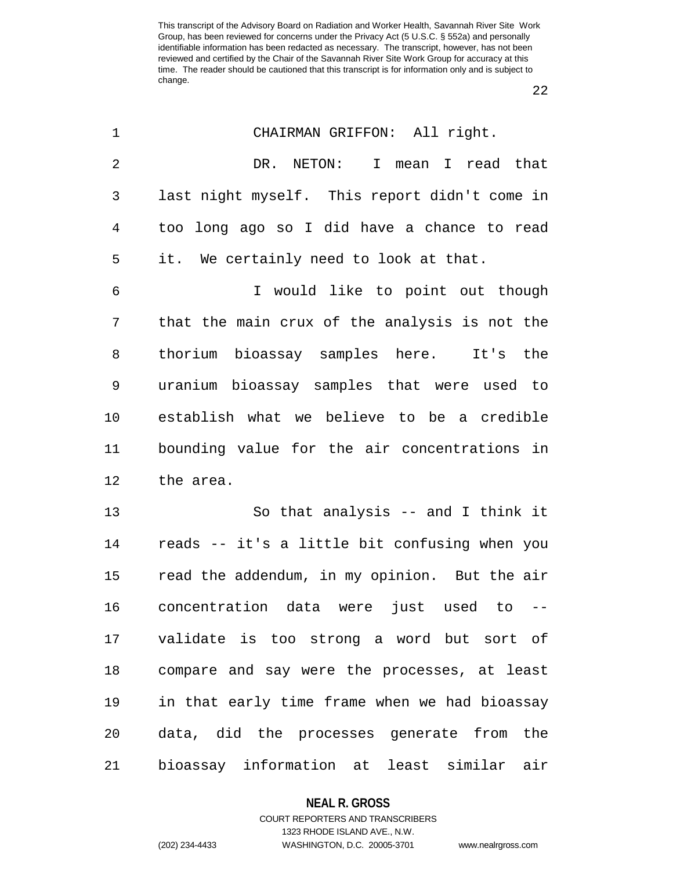22

| $\mathbf 1$    | CHAIRMAN GRIFFON: All right.                  |
|----------------|-----------------------------------------------|
| $\overline{2}$ | DR. NETON: I mean I read that                 |
| 3              | last night myself. This report didn't come in |
| 4              | too long ago so I did have a chance to read   |
| 5              | it. We certainly need to look at that.        |
| 6              | I would like to point out though              |
| 7              | that the main crux of the analysis is not the |
| 8              | thorium bioassay samples here. It's the       |
| 9              | uranium bioassay samples that were used to    |
| 10             | establish what we believe to be a credible    |
| 11             | bounding value for the air concentrations in  |
| 12             | the area.                                     |
| 13             | So that analysis $-$ and I think it           |
| 14             | reads -- it's a little bit confusing when you |
| 15             | read the addendum, in my opinion. But the air |
| 16             | concentration data were just used to          |
| 17             | validate is too strong a word but sort of     |
| 18             | compare and say were the processes, at least  |
| 19             | in that early time frame when we had bioassay |
| 20             | data, did the processes generate from the     |
| 21             | bioassay information at least similar air     |

#### **NEAL R. GROSS**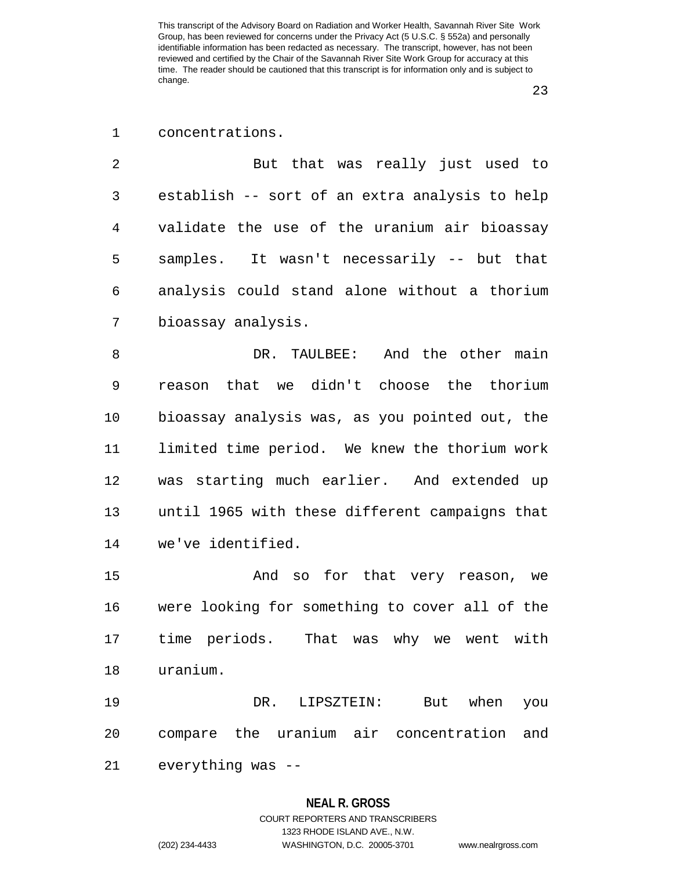#### 23

# 1 concentrations.

2 But that was really just used to 3 establish -- sort of an extra analysis to help 4 validate the use of the uranium air bioassay 5 samples. It wasn't necessarily -- but that 6 analysis could stand alone without a thorium 7 bioassay analysis.

8 DR. TAULBEE: And the other main 9 reason that we didn't choose the thorium 10 bioassay analysis was, as you pointed out, the 11 limited time period. We knew the thorium work 12 was starting much earlier. And extended up 13 until 1965 with these different campaigns that 14 we've identified.

15 And so for that very reason, we 16 were looking for something to cover all of the 17 time periods. That was why we went with 18 uranium.

19 DR. LIPSZTEIN: But when you 20 compare the uranium air concentration and 21 everything was --

#### **NEAL R. GROSS**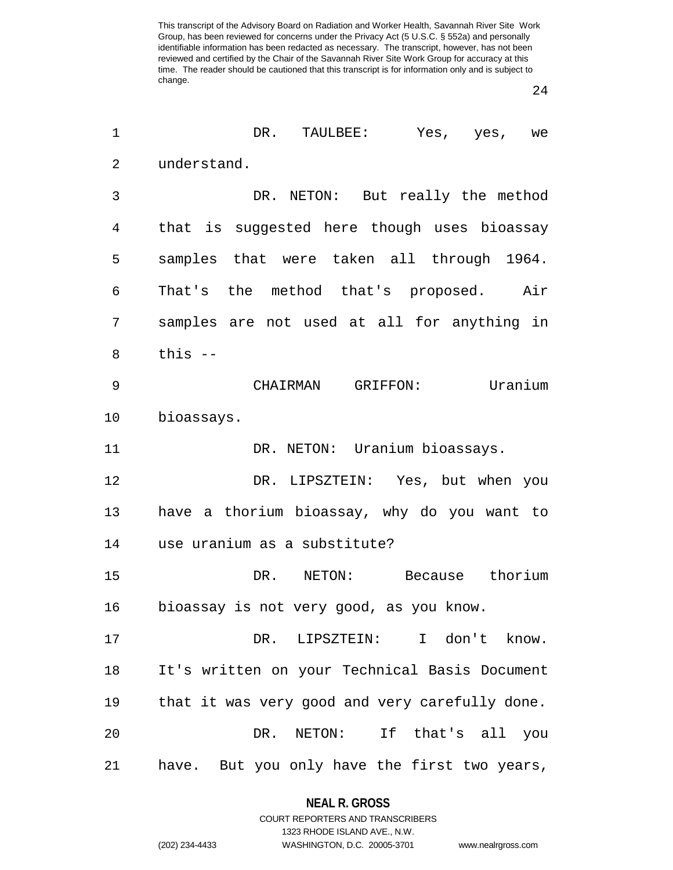24

| 1  | DR.<br>TAULBEE:<br>Yes, yes,<br>we             |
|----|------------------------------------------------|
| 2  | understand.                                    |
| 3  | DR. NETON: But really the method               |
| 4  | that is suggested here though uses bioassay    |
| 5  | samples that were taken all through 1964.      |
| 6  | That's the method that's proposed.<br>Air      |
| 7  | samples are not used at all for anything in    |
| 8  | this $--$                                      |
| 9  | CHAIRMAN GRIFFON:<br>Uranium                   |
| 10 | bioassays.                                     |
| 11 | DR. NETON: Uranium bioassays.                  |
| 12 | DR. LIPSZTEIN: Yes, but when you               |
| 13 | have a thorium bioassay, why do you want to    |
| 14 | use uranium as a substitute?                   |
| 15 | DR. NETON: Because thorium                     |
| 16 | bioassay is not very good, as you know.        |
| 17 | DR. LIPSZTEIN: I don't know.                   |
| 18 | It's written on your Technical Basis Document  |
| 19 | that it was very good and very carefully done. |
| 20 | DR. NETON: If that's all you                   |
| 21 | have. But you only have the first two years,   |

#### **NEAL R. GROSS**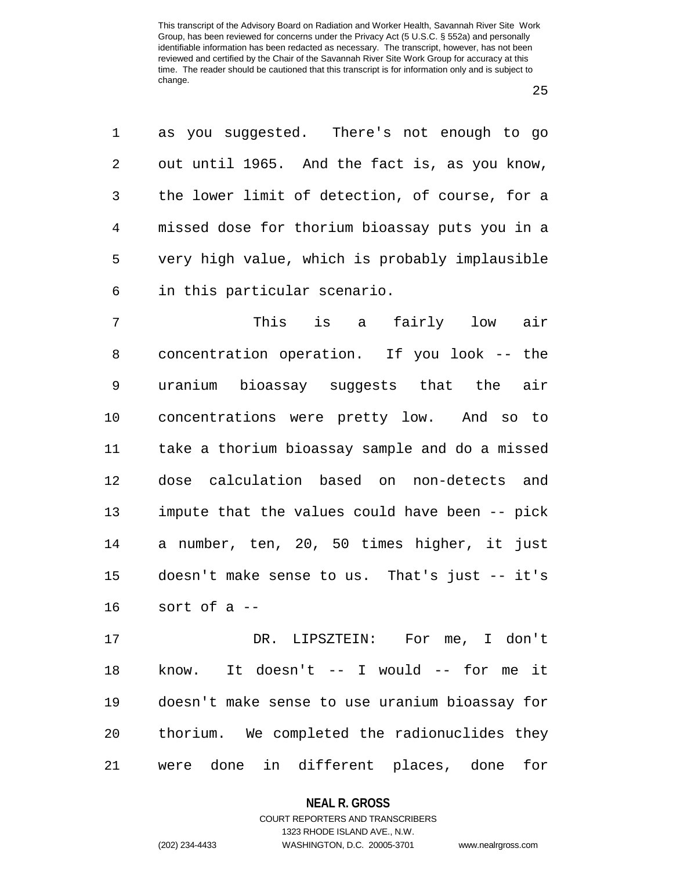25

1 as you suggested. There's not enough to go 2 out until 1965. And the fact is, as you know, 3 the lower limit of detection, of course, for a 4 missed dose for thorium bioassay puts you in a 5 very high value, which is probably implausible 6 in this particular scenario. 7 This is a fairly low air

8 concentration operation. If you look -- the 9 uranium bioassay suggests that the air 10 concentrations were pretty low. And so to 11 take a thorium bioassay sample and do a missed 12 dose calculation based on non-detects and 13 impute that the values could have been -- pick 14 a number, ten, 20, 50 times higher, it just 15 doesn't make sense to us. That's just -- it's  $16$  sort of  $a$  --

17 DR. LIPSZTEIN: For me, I don't 18 know. It doesn't -- I would -- for me it 19 doesn't make sense to use uranium bioassay for 20 thorium. We completed the radionuclides they 21 were done in different places, done for

**NEAL R. GROSS**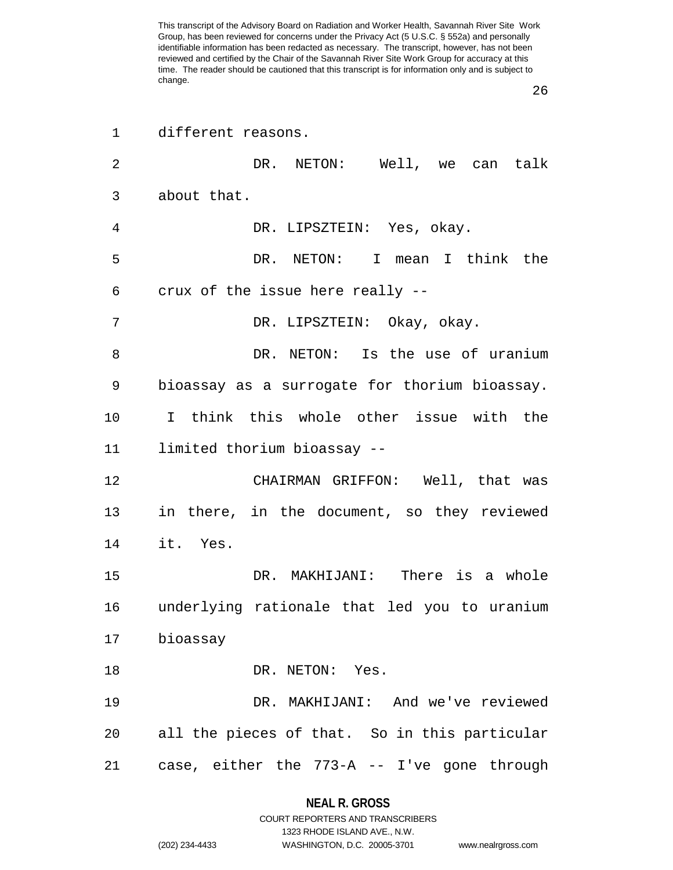26

| $\mathbf 1$    | different reasons.                            |
|----------------|-----------------------------------------------|
| $\overline{2}$ | DR. NETON: Well, we can talk                  |
| 3              | about that.                                   |
| 4              | DR. LIPSZTEIN: Yes, okay.                     |
| 5              | DR. NETON: I mean I think the                 |
| 6              | crux of the issue here really --              |
| 7              | DR. LIPSZTEIN: Okay, okay.                    |
| 8              | DR. NETON: Is the use of uranium              |
| 9              | bioassay as a surrogate for thorium bioassay. |
| 10             | I think this whole other issue with the       |
| 11             | -- limited thorium bioassay                   |
| 12             | CHAIRMAN GRIFFON: Well, that was              |
| 13             | in there, in the document, so they reviewed   |
| 14             | it. Yes.                                      |
| 15             | DR. MAKHIJANI: There is a whole               |
| 16             | underlying rationale that led you to uranium  |
| 17             | bioassay                                      |
| 18             | DR. NETON: Yes.                               |
| 19             | DR. MAKHIJANI: And we've reviewed             |
| 20             | all the pieces of that. So in this particular |
| 21             | case, either the 773-A -- I've gone through   |

## **NEAL R. GROSS**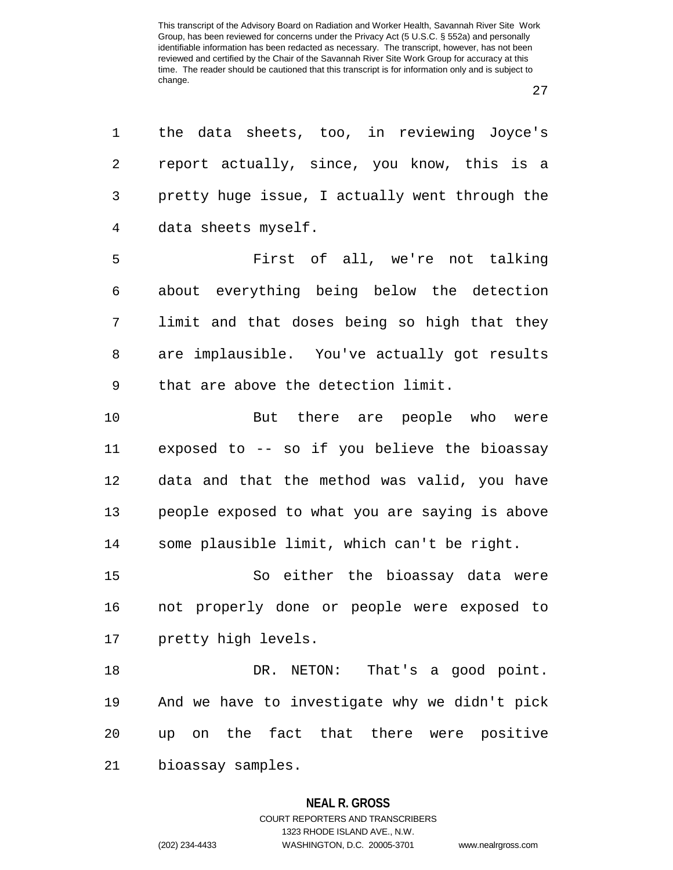27

1 the data sheets, too, in reviewing Joyce's 2 report actually, since, you know, this is a 3 pretty huge issue, I actually went through the 4 data sheets myself. 5 First of all, we're not talking 6 about everything being below the detection 7 limit and that doses being so high that they

8 are implausible. You've actually got results 9 that are above the detection limit.

10 But there are people who were 11 exposed to -- so if you believe the bioassay 12 data and that the method was valid, you have 13 people exposed to what you are saying is above 14 some plausible limit, which can't be right.

15 So either the bioassay data were 16 not properly done or people were exposed to 17 pretty high levels.

18 DR. NETON: That's a good point. 19 And we have to investigate why we didn't pick 20 up on the fact that there were positive 21 bioassay samples.

#### **NEAL R. GROSS**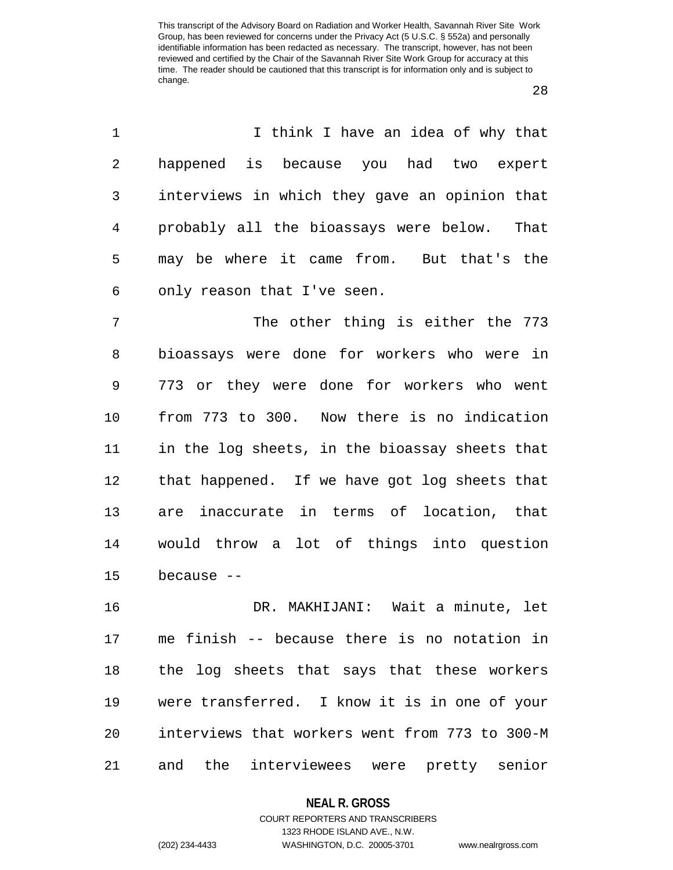28

| 1  | I think I have an idea of why that             |
|----|------------------------------------------------|
| 2  | happened is because you had two expert         |
| 3  | interviews in which they gave an opinion that  |
| 4  | probably all the bioassays were below. That    |
| 5  | may be where it came from. But that's the      |
| 6  | only reason that I've seen.                    |
| 7  | The other thing is either the 773              |
| 8  | bioassays were done for workers who were in    |
| 9  | 773 or they were done for workers who went     |
| 10 | from 773 to 300. Now there is no indication    |
| 11 | in the log sheets, in the bioassay sheets that |
| 12 | that happened. If we have got log sheets that  |
| 13 | are inaccurate in terms of location, that      |
| 14 | would throw a lot of things into question      |
| 15 | because --                                     |
| 16 | DR. MAKHIJANI: Wait a minute, let              |
| 17 | me finish -- because there is no notation in   |
| 18 | the log sheets that says that these workers    |
| 19 | were transferred. I know it is in one of your  |
|    |                                                |

21 and the interviewees were pretty senior

20 interviews that workers went from 773 to 300-M

# **NEAL R. GROSS** COURT REPORTERS AND TRANSCRIBERS

1323 RHODE ISLAND AVE., N.W. (202) 234-4433 WASHINGTON, D.C. 20005-3701 www.nealrgross.com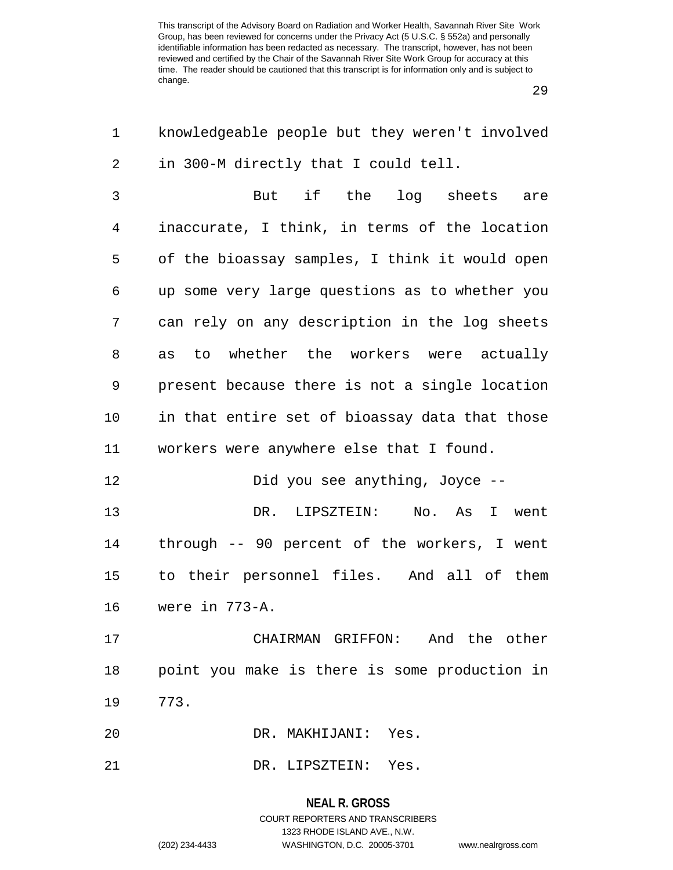29

1 knowledgeable people but they weren't involved 2 in 300-M directly that I could tell. 3 But if the log sheets are 4 inaccurate, I think, in terms of the location 5 of the bioassay samples, I think it would open 6 up some very large questions as to whether you 7 can rely on any description in the log sheets 8 as to whether the workers were actually 9 present because there is not a single location 10 in that entire set of bioassay data that those 11 workers were anywhere else that I found. 12 Did you see anything, Joyce -- 13 DR. LIPSZTEIN: No. As I went 14 through -- 90 percent of the workers, I went 15 to their personnel files. And all of them 16 were in 773-A. 17 CHAIRMAN GRIFFON: And the other 18 point you make is there is some production in 19 773. 20 DR. MAKHIJANI: Yes. 21 DR. LIPSZTEIN: Yes.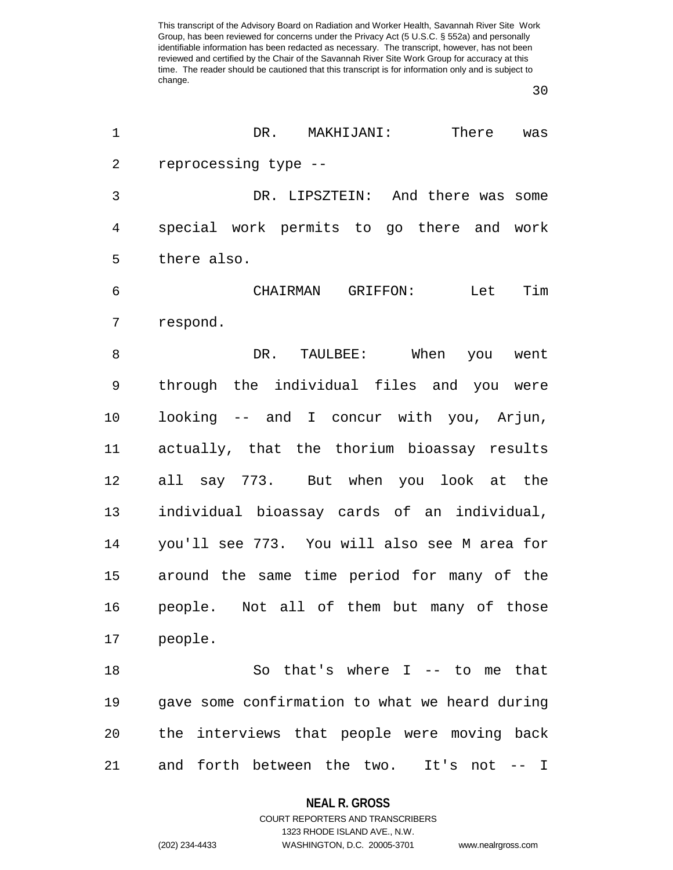30

| $\mathbf 1$ | DR. MAKHIJANI:<br>There<br>was                 |
|-------------|------------------------------------------------|
| 2           | reprocessing type --                           |
| 3           | DR. LIPSZTEIN: And there was some              |
| 4           | special work permits to go there and work      |
| 5           | there also.                                    |
| 6           | CHAIRMAN GRIFFON:<br>Let Tim                   |
| 7           | respond.                                       |
| 8           | DR. TAULBEE: When you went                     |
| 9           | through the individual files and you were      |
| 10          | looking -- and I concur with you, Arjun,       |
| 11          | actually, that the thorium bioassay results    |
| 12          | all say 773. But when you look at the          |
| 13          | individual bioassay cards of an individual,    |
| 14          | you'll see 773. You will also see M area for   |
| 15          | around the same time period for many of the    |
| 16          | people. Not all of them but many of those      |
| 17          | people.                                        |
| 18          | So that's where $I$ -- to me that              |
| 19          | gave some confirmation to what we heard during |
| 20          | the interviews that people were moving back    |
| 21          | and forth between the two.<br>It's not<br>-- I |

## **NEAL R. GROSS**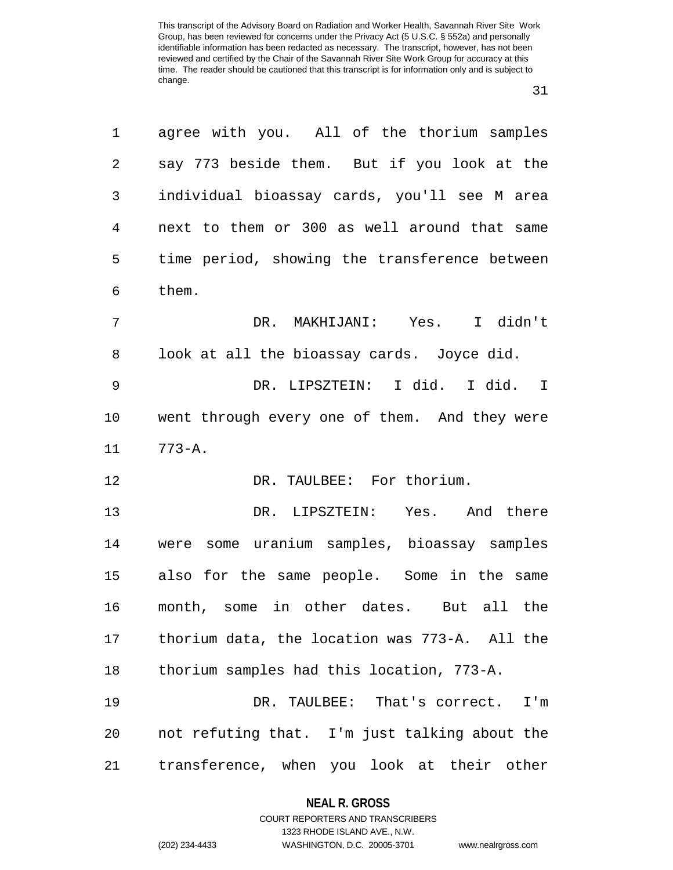| ۰<br>. . | v |  |
|----------|---|--|
| v<br>×   |   |  |
|          |   |  |

| 1              | agree with you. All of the thorium samples    |
|----------------|-----------------------------------------------|
| 2              | say 773 beside them. But if you look at the   |
| 3              | individual bioassay cards, you'll see M area  |
| $\overline{4}$ | next to them or 300 as well around that same  |
| 5              | time period, showing the transference between |
| 6              | them.                                         |
| 7              | DR. MAKHIJANI: Yes. I didn't                  |
| 8              | look at all the bioassay cards. Joyce did.    |
| $\overline{9}$ | DR. LIPSZTEIN: I did. I did. I                |
| 10             | went through every one of them. And they were |
| 11             | $773 - A.$                                    |
| 12             | DR. TAULBEE: For thorium.                     |
| 13             | DR. LIPSZTEIN: Yes. And there                 |
| 14             | were some uranium samples, bioassay samples   |
| 15             | also for the same people. Some in the same    |
| 16             | month, some in other dates. But all the       |
| 17             | thorium data, the location was 773-A. All the |
| 18             | thorium samples had this location, 773-A.     |
| 19             | DR. TAULBEE: That's correct.<br>I'm           |
| 20             | not refuting that. I'm just talking about the |
| 21             | transference, when you look at their other    |

**NEAL R. GROSS** COURT REPORTERS AND TRANSCRIBERS

1323 RHODE ISLAND AVE., N.W.

(202) 234-4433 WASHINGTON, D.C. 20005-3701 www.nealrgross.com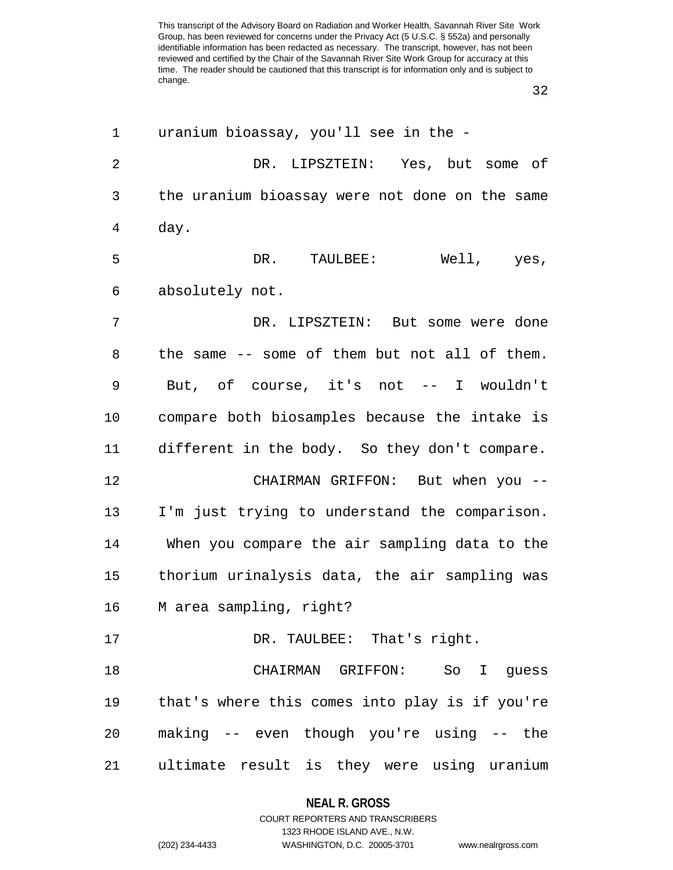| 1  | uranium bioassay, you'll see in the -          |
|----|------------------------------------------------|
| 2  | DR. LIPSZTEIN: Yes, but some of                |
| 3  | the uranium bioassay were not done on the same |
| 4  | day.                                           |
| 5  | DR. TAULBEE:<br>Well, yes,                     |
| 6  | absolutely not.                                |
| 7  | DR. LIPSZTEIN: But some were done              |
| 8  | the same -- some of them but not all of them.  |
| 9  | But, of course, it's not -- I wouldn't         |
| 10 | compare both biosamples because the intake is  |
| 11 | different in the body. So they don't compare.  |
| 12 | CHAIRMAN GRIFFON: But when you --              |
| 13 | I'm just trying to understand the comparison.  |
| 14 | When you compare the air sampling data to the  |
| 15 | thorium urinalysis data, the air sampling was  |
| 16 | M area sampling, right?                        |
| 17 | DR. TAULBEE: That's right.                     |
| 18 | CHAIRMAN GRIFFON: So I guess                   |
| 19 | that's where this comes into play is if you're |
| 20 | making -- even though you're using -- the      |
| 21 | ultimate result is they were using uranium     |

#### **NEAL R. GROSS**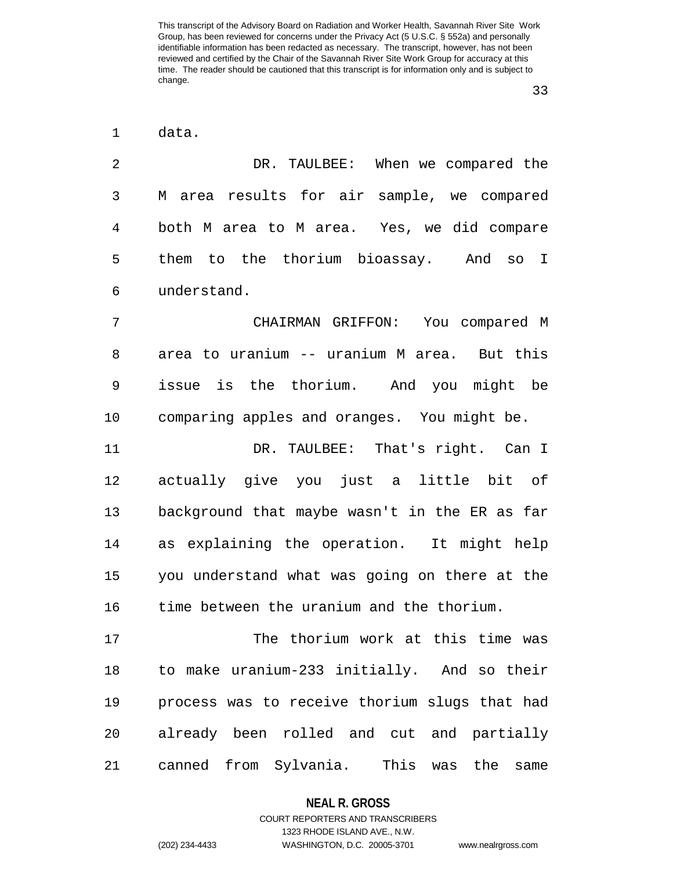1 data. 2 DR. TAULBEE: When we compared the 3 M area results for air sample, we compared 4 both M area to M area. Yes, we did compare 5 them to the thorium bioassay. And so I 6 understand. 7 CHAIRMAN GRIFFON: You compared M 8 area to uranium -- uranium M area. But this 9 issue is the thorium. And you might be 10 comparing apples and oranges. You might be. 11 DR. TAULBEE: That's right. Can I 12 actually give you just a little bit of 13 background that maybe wasn't in the ER as far 14 as explaining the operation. It might help 15 you understand what was going on there at the 16 time between the uranium and the thorium. 17 The thorium work at this time was 18 to make uranium-233 initially. And so their 19 process was to receive thorium slugs that had 20 already been rolled and cut and partially 21 canned from Sylvania. This was the same

**NEAL R. GROSS**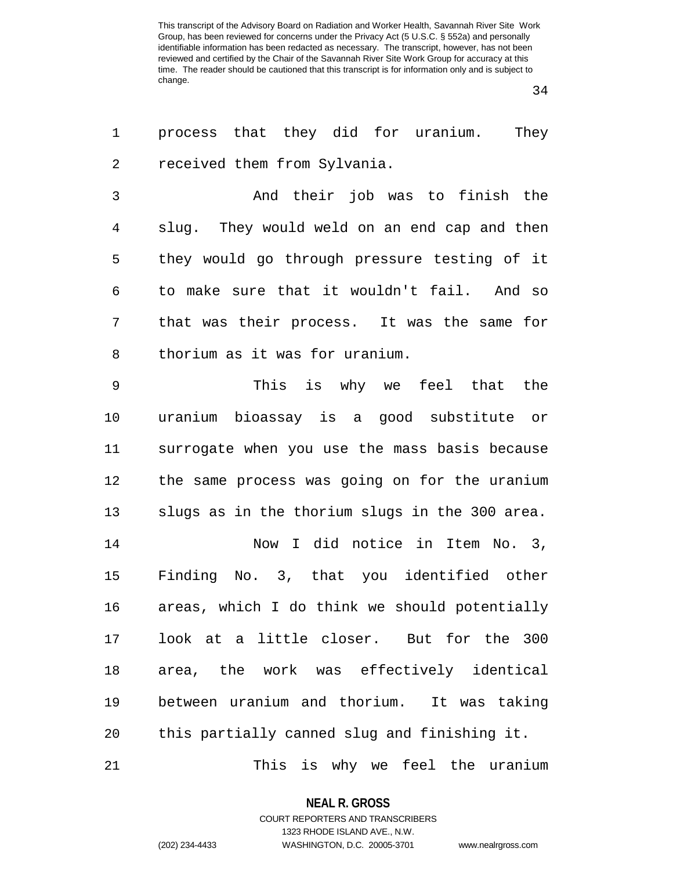34

1 process that they did for uranium. They 2 received them from Sylvania.

3 And their job was to finish the 4 slug. They would weld on an end cap and then 5 they would go through pressure testing of it 6 to make sure that it wouldn't fail. And so 7 that was their process. It was the same for 8 thorium as it was for uranium.

9 This is why we feel that the 10 uranium bioassay is a good substitute or 11 surrogate when you use the mass basis because 12 the same process was going on for the uranium 13 slugs as in the thorium slugs in the 300 area. 14 Now I did notice in Item No. 3, 15 Finding No. 3, that you identified other 16 areas, which I do think we should potentially 17 look at a little closer. But for the 300 18 area, the work was effectively identical 19 between uranium and thorium. It was taking 20 this partially canned slug and finishing it. 21 This is why we feel the uranium

**NEAL R. GROSS**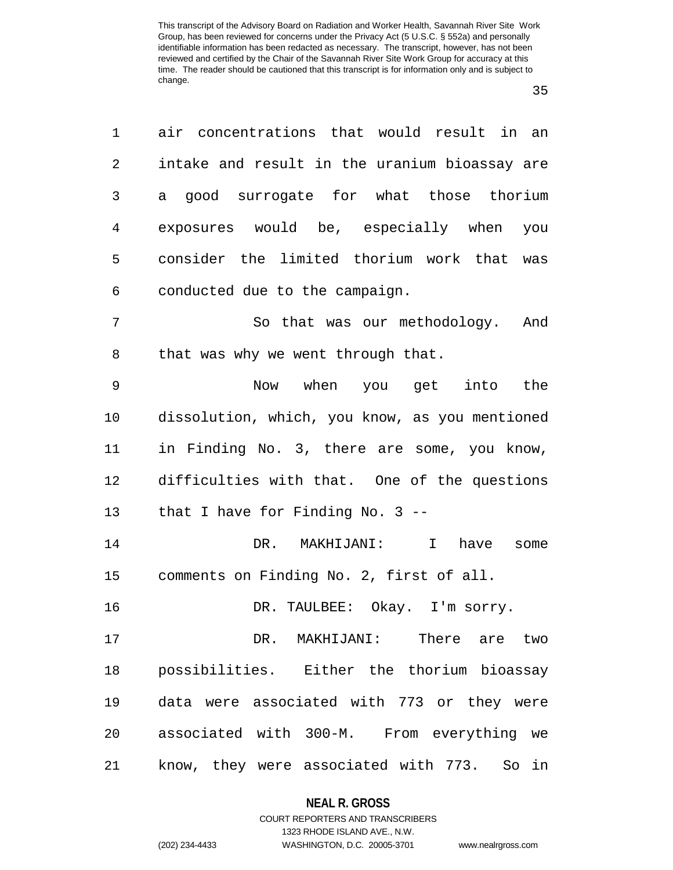35

| 1              | air concentrations that would result in an     |
|----------------|------------------------------------------------|
| $\overline{2}$ | intake and result in the uranium bioassay are  |
| 3              | a good surrogate for what those thorium        |
| $\overline{4}$ | exposures would be, especially when you        |
| 5              | consider the limited thorium work that was     |
| 6              | conducted due to the campaign.                 |
| 7              | So that was our methodology. And               |
| 8              | that was why we went through that.             |
| 9              | Now when you get into the                      |
| 10             | dissolution, which, you know, as you mentioned |
| 11             | in Finding No. 3, there are some, you know,    |
| 12             | difficulties with that. One of the questions   |
| 13             | that I have for Finding No. $3$ --             |
| 14             | DR. MAKHIJANI: I<br>have<br>some               |
| 15             | comments on Finding No. 2, first of all.       |
| 16             | DR. TAULBEE: Okay. I'm sorry.                  |
| 17             | DR. MAKHIJANI: There are two                   |
| 18             | possibilities. Either the thorium bioassay     |
| 19             | data were associated with 773 or they were     |
| 20             | associated with 300-M. From everything we      |
| 21             | know, they were associated with 773.<br>So in  |

**NEAL R. GROSS** COURT REPORTERS AND TRANSCRIBERS

1323 RHODE ISLAND AVE., N.W. (202) 234-4433 WASHINGTON, D.C. 20005-3701 www.nealrgross.com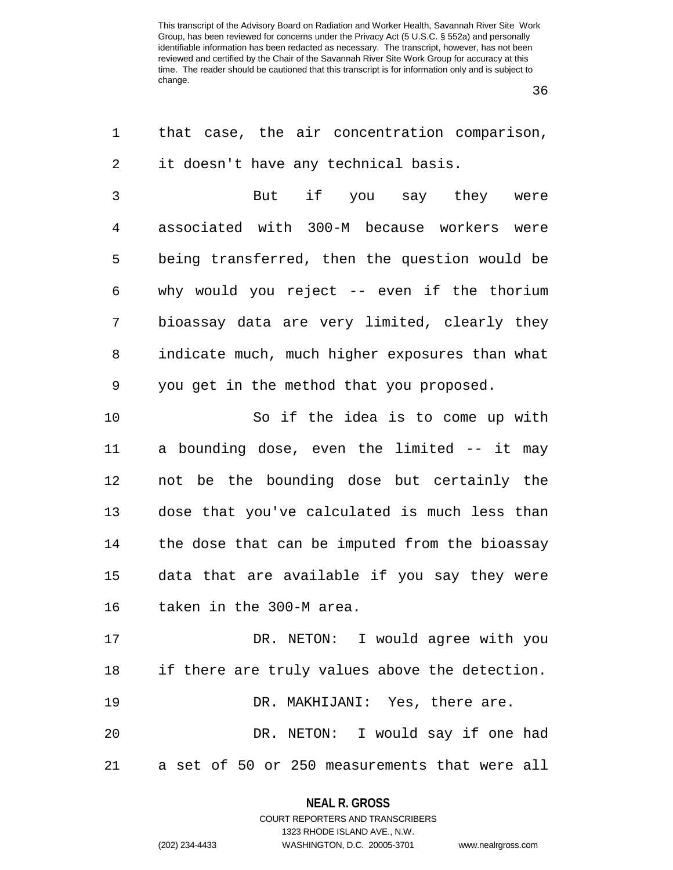36

| 1              | that case, the air concentration comparison,   |
|----------------|------------------------------------------------|
| 2              | it doesn't have any technical basis.           |
| 3              | But if you say they were                       |
| $\overline{4}$ | associated with 300-M because workers were     |
| 5              | being transferred, then the question would be  |
| 6              | why would you reject -- even if the thorium    |
| 7              | bioassay data are very limited, clearly they   |
| 8              | indicate much, much higher exposures than what |
| 9              | you get in the method that you proposed.       |
| 10             | So if the idea is to come up with              |
| 11             | a bounding dose, even the limited -- it may    |
| 12             | not be the bounding dose but certainly the     |
| 13             | dose that you've calculated is much less than  |
| 14             | the dose that can be imputed from the bioassay |
| 15             | data that are available if you say they were   |
| 16             | taken in the 300-M area.                       |
| 17             | DR. NETON: I would agree with you              |
| 18             | if there are truly values above the detection. |
| 19             | DR. MAKHIJANI: Yes, there are.                 |
| 20             | DR. NETON: I would say if one had              |
| 21             | a set of 50 or 250 measurements that were all  |

# **NEAL R. GROSS** COURT REPORTERS AND TRANSCRIBERS

1323 RHODE ISLAND AVE., N.W.

(202) 234-4433 WASHINGTON, D.C. 20005-3701 www.nealrgross.com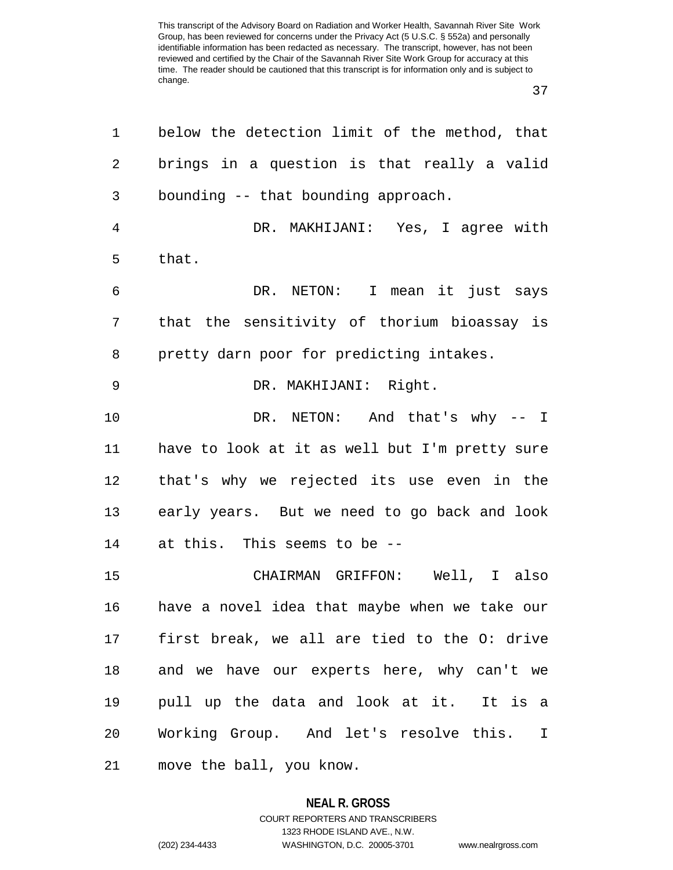37

| 1              | below the detection limit of the method, that  |
|----------------|------------------------------------------------|
| 2              | brings in a question is that really a valid    |
| 3              | bounding -- that bounding approach.            |
| $\overline{4}$ | DR. MAKHIJANI: Yes, I agree with               |
| 5              | that.                                          |
| 6              | DR. NETON: I mean it just says                 |
| 7              | that the sensitivity of thorium bioassay is    |
| 8              | pretty darn poor for predicting intakes.       |
| 9              | DR. MAKHIJANI: Right.                          |
| $10 \,$        | DR. NETON: And that's why -- I                 |
| 11             | have to look at it as well but I'm pretty sure |
| 12             | that's why we rejected its use even in the     |
| 13             | early years. But we need to go back and look   |
| 14             | at this. This seems to be --                   |
| 15             | CHAIRMAN GRIFFON: Well, I also                 |
| 16             | have a novel idea that maybe when we take our  |
| 17             | first break, we all are tied to the O: drive   |
| 18             | and we have our experts here, why can't we     |
| 19             | pull up the data and look at it. It is a       |
| 20             | Working Group. And let's resolve this. I       |
| 21             | move the ball, you know.                       |

### **NEAL R. GROSS**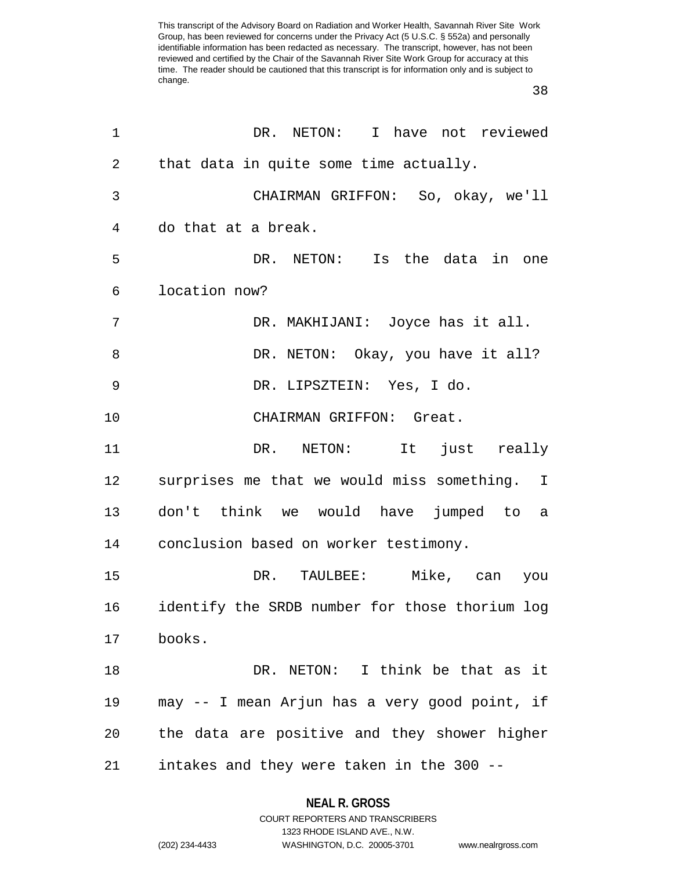38

| $\mathbf 1$ | DR. NETON: I have not reviewed                 |
|-------------|------------------------------------------------|
| 2           | that data in quite some time actually.         |
| 3           | CHAIRMAN GRIFFON: So, okay, we'll              |
| 4           | do that at a break.                            |
| 5           | DR. NETON: Is the data in one                  |
| 6           | location now?                                  |
| 7           | DR. MAKHIJANI: Joyce has it all.               |
| 8           | DR. NETON: Okay, you have it all?              |
| 9           | DR. LIPSZTEIN: Yes, I do.                      |
| 10          | CHAIRMAN GRIFFON: Great.                       |
| 11          | DR. NETON: It just really                      |
| 12          | surprises me that we would miss something. I   |
| 13          | don't think we would have jumped to<br>a       |
| 14          | conclusion based on worker testimony.          |
| 15          | DR. TAULBEE: Mike, can you                     |
| 16          | identify the SRDB number for those thorium log |
| 17          | books.                                         |
| 18          | DR. NETON: I think be that as it               |
| 19          | may -- I mean Arjun has a very good point, if  |
| 20          | the data are positive and they shower higher   |
| 21          | intakes and they were taken in the 300 --      |

# **NEAL R. GROSS**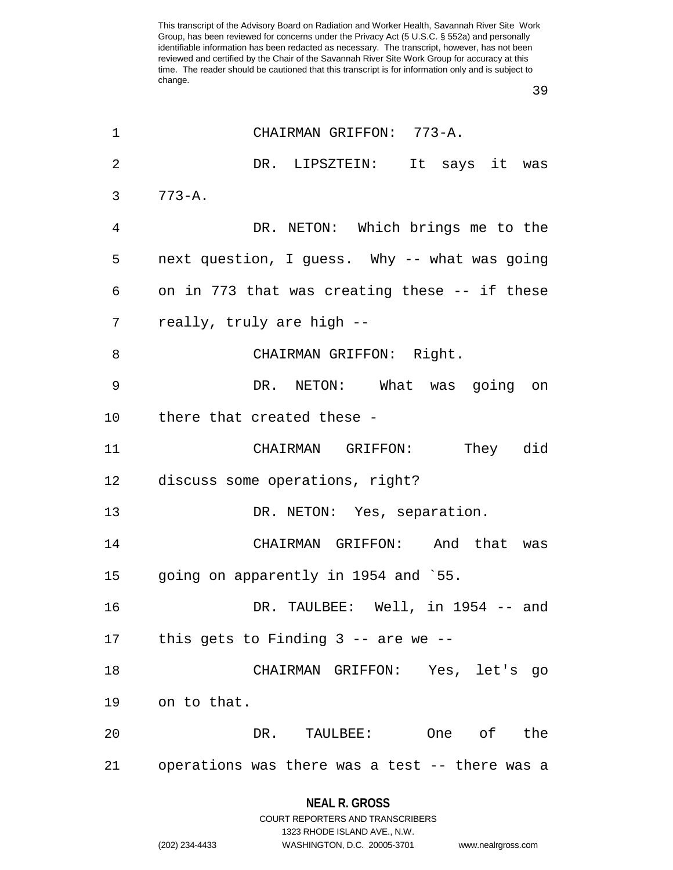39

| 1  | CHAIRMAN GRIFFON: 773-A.                       |
|----|------------------------------------------------|
| 2  | DR. LIPSZTEIN: It says it was                  |
| 3  | $773 - A.$                                     |
| 4  | DR. NETON: Which brings me to the              |
| 5  | next question, I guess. Why -- what was going  |
| 6  | on in 773 that was creating these -- if these  |
| 7  | really, truly are high --                      |
| 8  | CHAIRMAN GRIFFON: Right.                       |
| 9  | DR. NETON: What was going on                   |
| 10 | there that created these -                     |
| 11 | CHAIRMAN GRIFFON:<br>They did                  |
| 12 | discuss some operations, right?                |
| 13 | DR. NETON: Yes, separation.                    |
| 14 | CHAIRMAN GRIFFON: And that was                 |
| 15 | going on apparently in 1954 and `55.           |
| 16 | DR. TAULBEE: Well, in 1954 -- and              |
|    | 17 this gets to Finding 3 -- are we --         |
| 18 | CHAIRMAN GRIFFON: Yes, let's go                |
| 19 | on to that.                                    |
| 20 | DR. TAULBEE:<br>One of the                     |
| 21 | operations was there was a test -- there was a |

# **NEAL R. GROSS**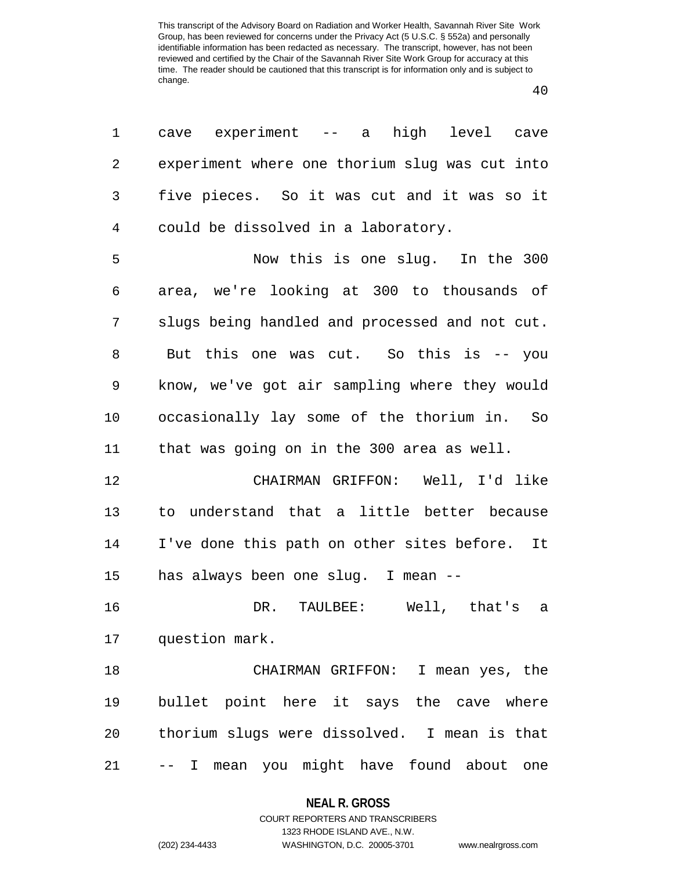40

1 cave experiment -- a high level cave 2 experiment where one thorium slug was cut into 3 five pieces. So it was cut and it was so it 4 could be dissolved in a laboratory. 5 Now this is one slug. In the 300 6 area, we're looking at 300 to thousands of 7 slugs being handled and processed and not cut. 8 But this one was cut. So this is -- you 9 know, we've got air sampling where they would 10 occasionally lay some of the thorium in. So 11 that was going on in the 300 area as well. 12 CHAIRMAN GRIFFON: Well, I'd like 13 to understand that a little better because 14 I've done this path on other sites before. It 15 has always been one slug. I mean -- 16 DR. TAULBEE: Well, that's a 17 question mark. 18 CHAIRMAN GRIFFON: I mean yes, the 19 bullet point here it says the cave where 20 thorium slugs were dissolved. I mean is that 21 -- I mean you might have found about one

### **NEAL R. GROSS**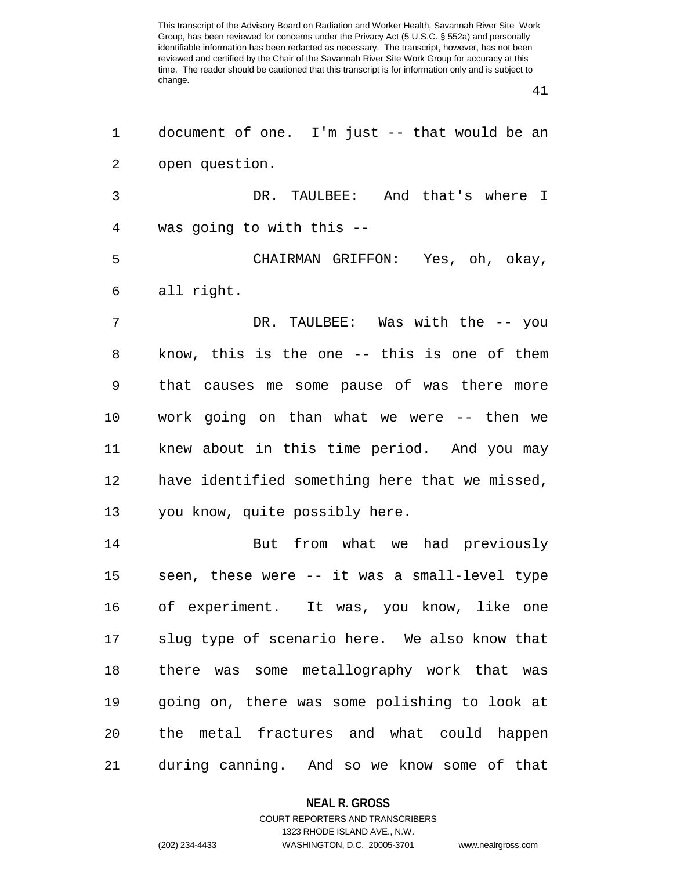41

| $\mathbf 1$ | document of one. I'm just -- that would be an    |
|-------------|--------------------------------------------------|
| 2           | open question.                                   |
| 3           | DR. TAULBEE: And that's where I                  |
| 4           | was going to with this --                        |
| 5           | CHAIRMAN GRIFFON: Yes, oh, okay,                 |
| 6           | all right.                                       |
| 7           | DR. TAULBEE: Was with the -- you                 |
| 8           | know, this is the one $--$ this is one of them   |
| 9           | that causes me some pause of was there more      |
| $10 \,$     | work going on than what we were -- then we       |
| 11          | knew about in this time period. And you may      |
| 12          | have identified something here that we missed,   |
| 13          | you know, quite possibly here.                   |
| 14          | But from what we had previously                  |
| 15          | seen, these were -- it was a small-level type    |
| 16          | of experiment. It was, you know, like one        |
|             | 17 slug type of scenario here. We also know that |
| 18          | there was some metallography work that was       |
| 19          | going on, there was some polishing to look at    |
| 20          | the metal fractures and what could happen        |
| 21          | during canning. And so we know some of that      |
|             |                                                  |

# **NEAL R. GROSS**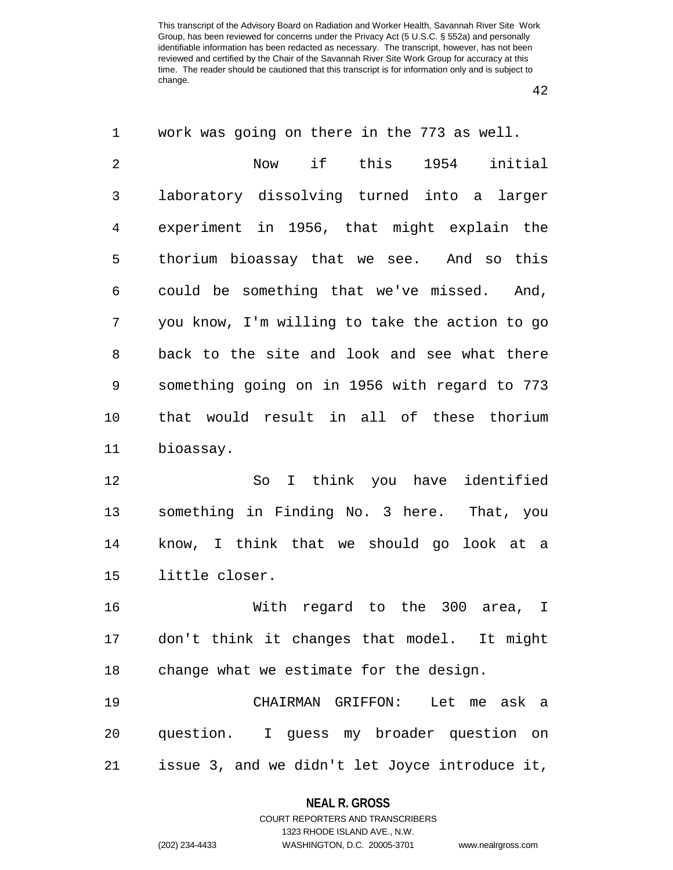42

1 work was going on there in the 773 as well. 2 Now if this 1954 initial 3 laboratory dissolving turned into a larger 4 experiment in 1956, that might explain the 5 thorium bioassay that we see. And so this 6 could be something that we've missed. And, 7 you know, I'm willing to take the action to go 8 back to the site and look and see what there 9 something going on in 1956 with regard to 773 10 that would result in all of these thorium 11 bioassay. 12 So I think you have identified 13 something in Finding No. 3 here. That, you 14 know, I think that we should go look at a 15 little closer. 16 With regard to the 300 area, I 17 don't think it changes that model. It might 18 change what we estimate for the design.

19 CHAIRMAN GRIFFON: Let me ask a 20 question. I guess my broader question on 21 issue 3, and we didn't let Joyce introduce it,

### **NEAL R. GROSS**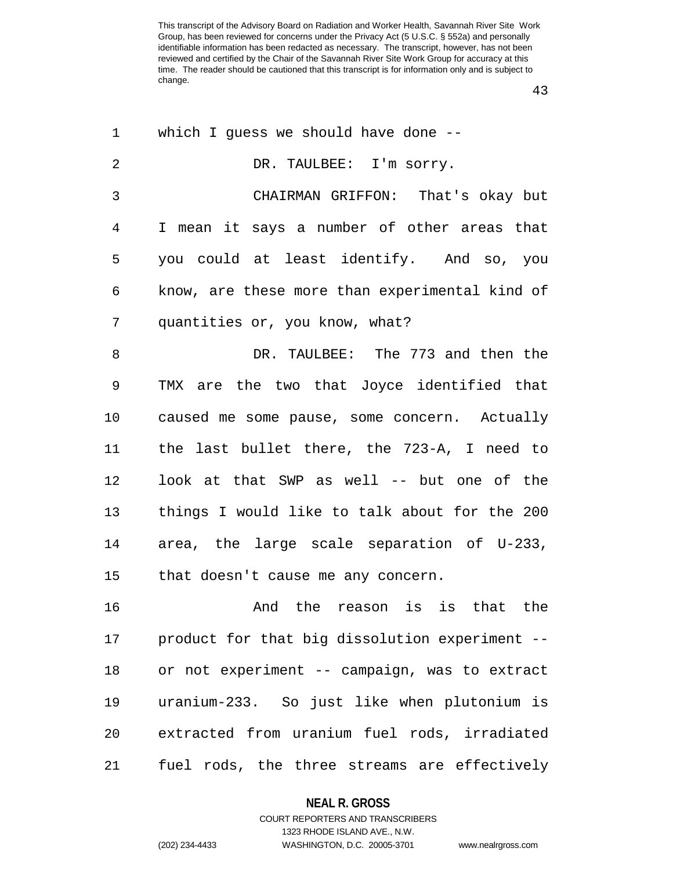43

| $\mathbf 1$    | which I guess we should have done --           |
|----------------|------------------------------------------------|
| $\overline{2}$ | DR. TAULBEE: I'm sorry.                        |
| 3              | CHAIRMAN GRIFFON: That's okay but              |
| 4              | I mean it says a number of other areas that    |
| 5              | you could at least identify. And so, you       |
| 6              | know, are these more than experimental kind of |
| 7              | quantities or, you know, what?                 |
| 8              | DR. TAULBEE: The 773 and then the              |
| 9              | TMX are the two that Joyce identified that     |
| 10             | caused me some pause, some concern. Actually   |
| 11             | the last bullet there, the 723-A, I need to    |
| 12             | look at that SWP as well -- but one of the     |
| 13             | things I would like to talk about for the 200  |
| 14             | area, the large scale separation of U-233,     |
| 15             | that doesn't cause me any concern.             |
| 16             | And the reason is is that the                  |
| 17             | product for that big dissolution experiment -- |
| 18             | or not experiment -- campaign, was to extract  |
| 19             | uranium-233. So just like when plutonium is    |
| 20             | extracted from uranium fuel rods, irradiated   |
| 21             | fuel rods, the three streams are effectively   |

### **NEAL R. GROSS**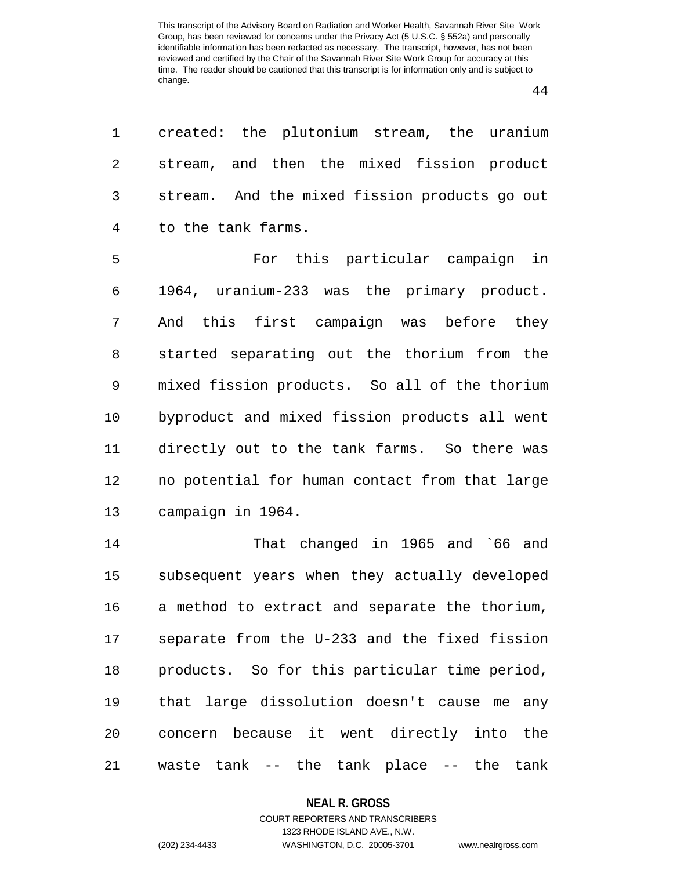1 created: the plutonium stream, the uranium

44

2 stream, and then the mixed fission product 3 stream. And the mixed fission products go out 4 to the tank farms. 5 For this particular campaign in 6 1964, uranium-233 was the primary product. 7 And this first campaign was before they 8 started separating out the thorium from the 9 mixed fission products. So all of the thorium 10 byproduct and mixed fission products all went 11 directly out to the tank farms. So there was 12 no potential for human contact from that large 13 campaign in 1964. 14 That changed in 1965 and `66 and 15 subsequent years when they actually developed 16 a method to extract and separate the thorium, 17 separate from the U-233 and the fixed fission 18 products. So for this particular time period, 19 that large dissolution doesn't cause me any 20 concern because it went directly into the

21 waste tank -- the tank place -- the tank

#### **NEAL R. GROSS**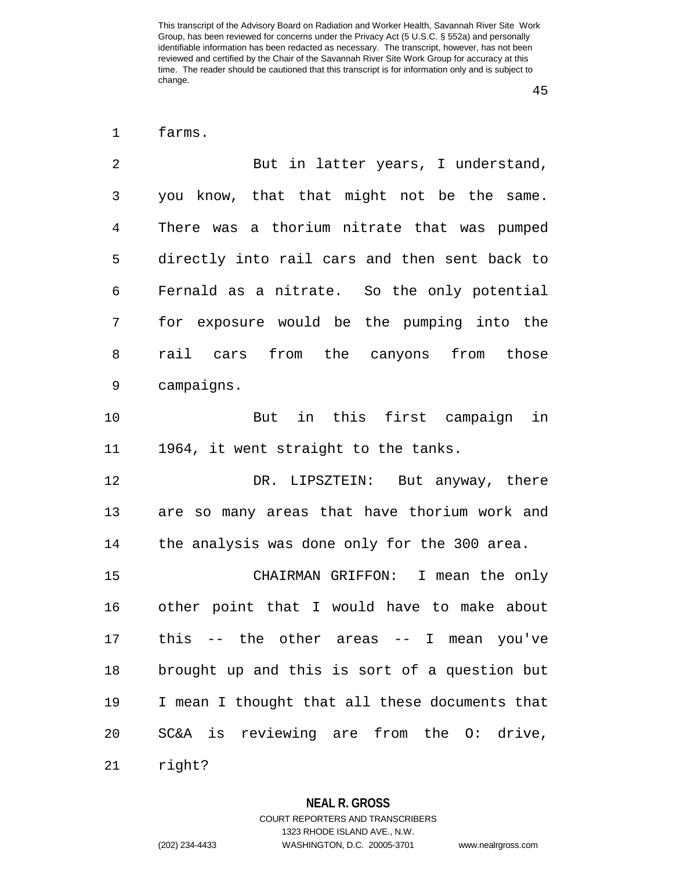2 But in latter years, I understand, 3 you know, that that might not be the same. 4 There was a thorium nitrate that was pumped 5 directly into rail cars and then sent back to 6 Fernald as a nitrate. So the only potential 7 for exposure would be the pumping into the 8 rail cars from the canyons from those 9 campaigns.

10 But in this first campaign in 11 1964, it went straight to the tanks.

12 DR. LIPSZTEIN: But anyway, there 13 are so many areas that have thorium work and 14 the analysis was done only for the 300 area.

15 CHAIRMAN GRIFFON: I mean the only 16 other point that I would have to make about 17 this -- the other areas -- I mean you've 18 brought up and this is sort of a question but 19 I mean I thought that all these documents that 20 SC&A is reviewing are from the O: drive, 21 right?

## **NEAL R. GROSS**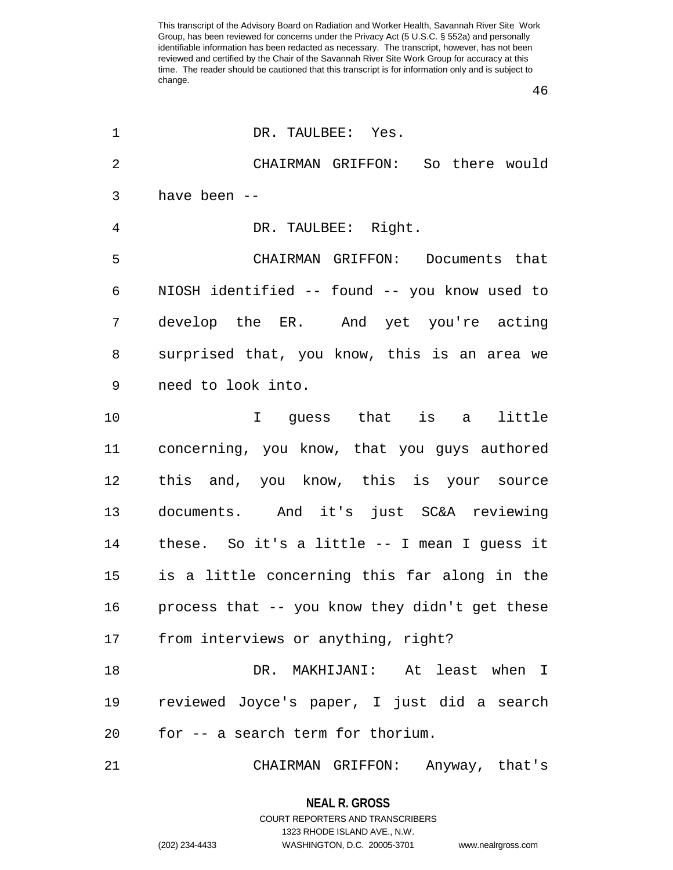46

| $\mathbf 1$    | DR. TAULBEE: Yes.                              |
|----------------|------------------------------------------------|
| $\overline{2}$ | CHAIRMAN GRIFFON: So there would               |
| 3              | have been --                                   |
| 4              | DR. TAULBEE: Right.                            |
| 5              | CHAIRMAN GRIFFON: Documents that               |
| 6              | NIOSH identified -- found -- you know used to  |
| 7              | develop the ER. And yet you're acting          |
| 8              | surprised that, you know, this is an area we   |
| 9              | need to look into.                             |
| 10             | I guess that is a little                       |
| 11             | concerning, you know, that you guys authored   |
| 12             | this and, you know, this is your source        |
| 13             | documents. And it's just SC&A reviewing        |
| 14             | these. So it's a little -- I mean I guess it   |
| 15             | is a little concerning this far along in the   |
| 16             | process that -- you know they didn't get these |
| 17             | from interviews or anything, right?            |
| 18             | DR. MAKHIJANI: At least when I                 |
| 19             | reviewed Joyce's paper, I just did a search    |
| 20             | for -- a search term for thorium.              |
| 21             | Anyway, that's<br>CHAIRMAN GRIFFON:            |

**NEAL R. GROSS** COURT REPORTERS AND TRANSCRIBERS

1323 RHODE ISLAND AVE., N.W.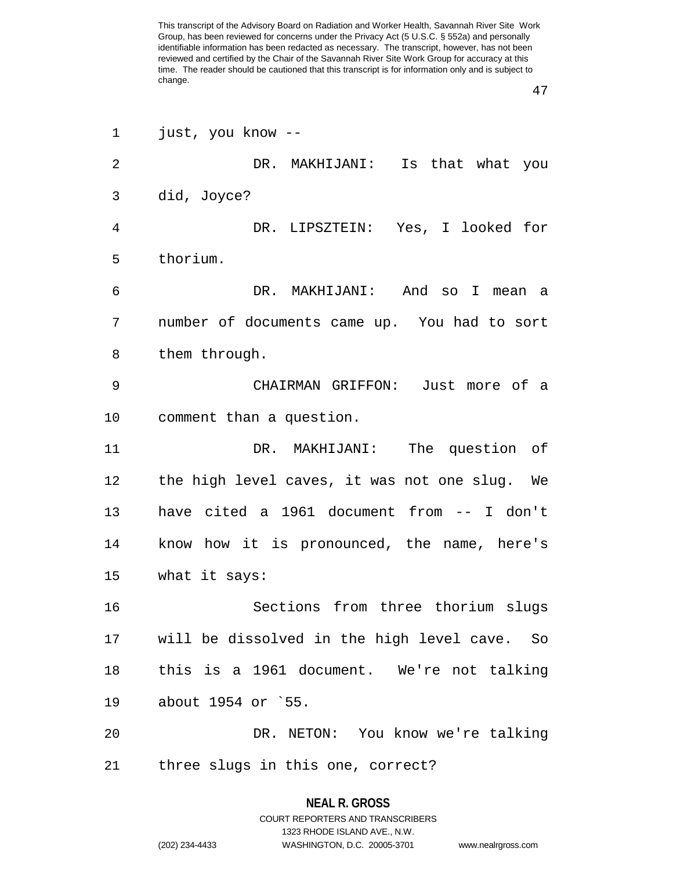47

| 1              | just, you know --                             |
|----------------|-----------------------------------------------|
| $\overline{2}$ | DR. MAKHIJANI: Is that what you               |
| 3              | did, Joyce?                                   |
| 4              | DR. LIPSZTEIN: Yes, I looked for              |
| 5              | thorium.                                      |
| 6              | DR. MAKHIJANI: And so I mean a                |
| 7              | number of documents came up. You had to sort  |
| 8              | them through.                                 |
| 9              | CHAIRMAN GRIFFON: Just more of a              |
| 10             | comment than a question.                      |
| 11             | The question of<br>DR. MAKHIJANI:             |
| 12             | the high level caves, it was not one slug. We |
| 13             | have cited a 1961 document from -- I don't    |
| 14             | know how it is pronounced, the name, here's   |
| 15             | what it says:                                 |
| 16             | Sections from three thorium slugs             |
| 17             | will be dissolved in the high level cave. So  |
| 18             | this is a 1961 document. We're not talking    |
| 19             | about 1954 or `55.                            |
| 20             | DR. NETON: You know we're talking             |
| 21             | three slugs in this one, correct?             |

**NEAL R. GROSS** COURT REPORTERS AND TRANSCRIBERS

1323 RHODE ISLAND AVE., N.W.

(202) 234-4433 WASHINGTON, D.C. 20005-3701 www.nealrgross.com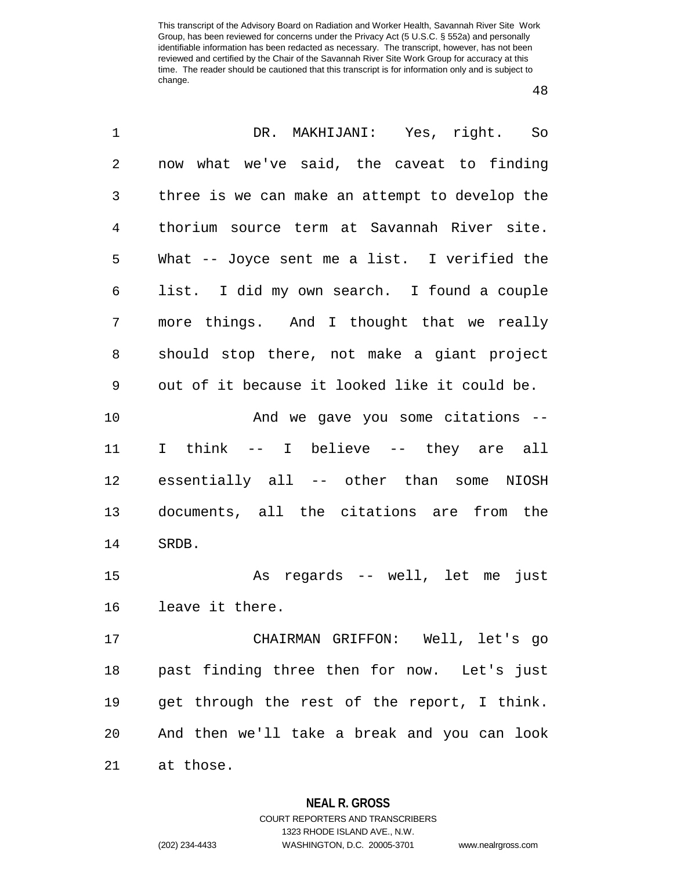48

| 1  | DR. MAKHIJANI: Yes, right. So                  |
|----|------------------------------------------------|
| 2  | now what we've said, the caveat to finding     |
| 3  | three is we can make an attempt to develop the |
| 4  | thorium source term at Savannah River site.    |
| 5  | What -- Joyce sent me a list. I verified the   |
| 6  | list. I did my own search. I found a couple    |
| 7  | more things. And I thought that we really      |
| 8  | should stop there, not make a giant project    |
| 9  | out of it because it looked like it could be.  |
| 10 | And we gave you some citations --              |
| 11 | I think -- I believe -- they are all           |
| 12 | essentially all -- other than some NIOSH       |
| 13 | documents, all the citations are from the      |
| 14 | SRDB.                                          |
| 15 | As regards -- well, let me<br>just             |
| 16 | leave it there.                                |
| 17 | CHAIRMAN GRIFFON: Well, let's go               |
| 18 | past finding three then for now. Let's just    |
| 19 | get through the rest of the report, I think.   |
| 20 | And then we'll take a break and you can look   |
| 21 | at those.                                      |

# **NEAL R. GROSS**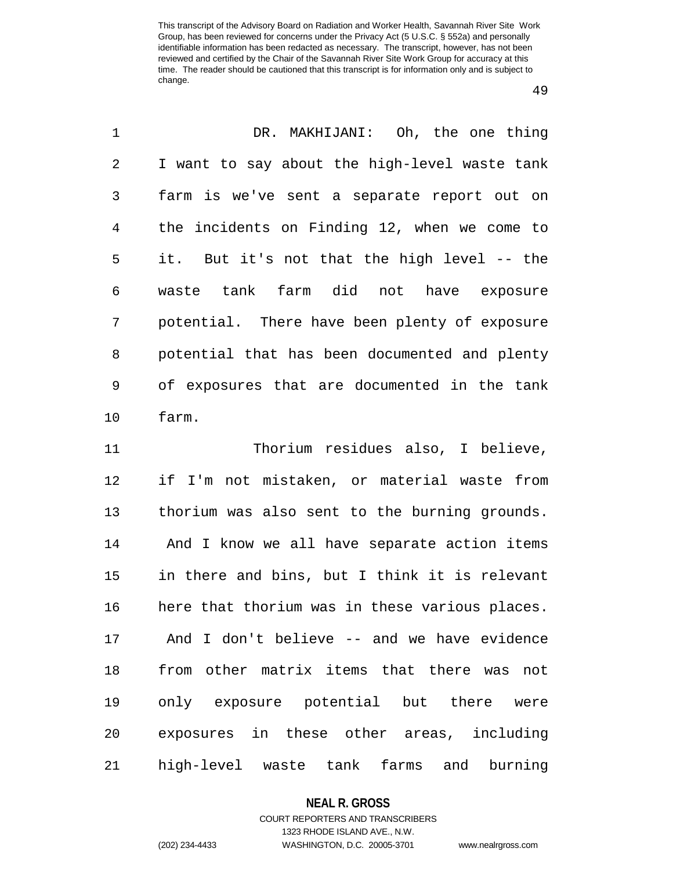49

| $\mathbf 1$ | DR. MAKHIJANI: Oh, the one thing              |
|-------------|-----------------------------------------------|
| 2           | I want to say about the high-level waste tank |
| 3           | farm is we've sent a separate report out on   |
| 4           | the incidents on Finding 12, when we come to  |
| 5           | it. But it's not that the high level -- the   |
| 6           | waste tank farm did not have exposure         |
| 7           | potential. There have been plenty of exposure |
| 8           | potential that has been documented and plenty |
| 9           | of exposures that are documented in the tank  |
| 10          | farm.                                         |
| 11          | Thorium residues also, I believe,             |
| 12          | if I'm not mistaken, or material waste from   |

12 if I'm not mistaken, or material waste from 13 thorium was also sent to the burning grounds. 14 And I know we all have separate action items 15 in there and bins, but I think it is relevant 16 here that thorium was in these various places. 17 And I don't believe -- and we have evidence 18 from other matrix items that there was not 19 only exposure potential but there were 20 exposures in these other areas, including 21 high-level waste tank farms and burning

### **NEAL R. GROSS**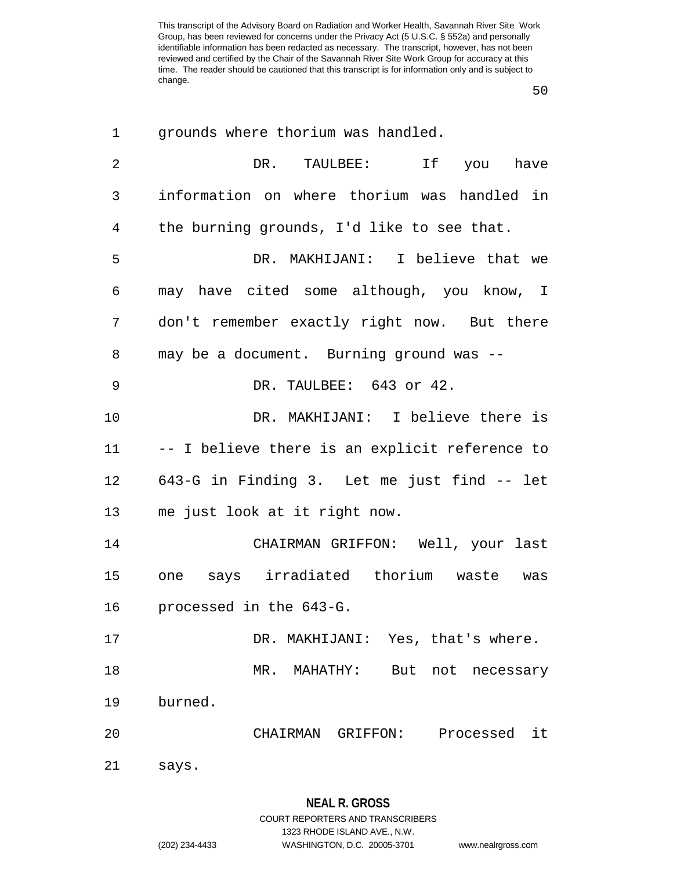50

| 1  | grounds where thorium was handled.             |
|----|------------------------------------------------|
| 2  | DR. TAULBEE: If you have                       |
| 3  | information on where thorium was handled in    |
| 4  | the burning grounds, I'd like to see that.     |
| 5  | DR. MAKHIJANI: I believe that we               |
| 6  | may have cited some although, you know, I      |
| 7  | don't remember exactly right now. But there    |
| 8  | may be a document. Burning ground was --       |
| 9  | DR. TAULBEE: 643 or 42.                        |
| 10 | DR. MAKHIJANI: I believe there is              |
| 11 | -- I believe there is an explicit reference to |
| 12 | 643-G in Finding 3. Let me just find -- let    |
| 13 | me just look at it right now.                  |
| 14 | CHAIRMAN GRIFFON: Well, your last              |
| 15 | one says irradiated thorium waste was          |
| 16 | processed in the 643-G.                        |
| 17 | DR. MAKHIJANI: Yes, that's where.              |
| 18 | MR. MAHATHY:<br>But<br>not necessary           |
| 19 | burned.                                        |
| 20 | CHAIRMAN GRIFFON: Processed it                 |
| 21 | says.                                          |

1323 RHODE ISLAND AVE., N.W.

(202) 234-4433 WASHINGTON, D.C. 20005-3701 www.nealrgross.com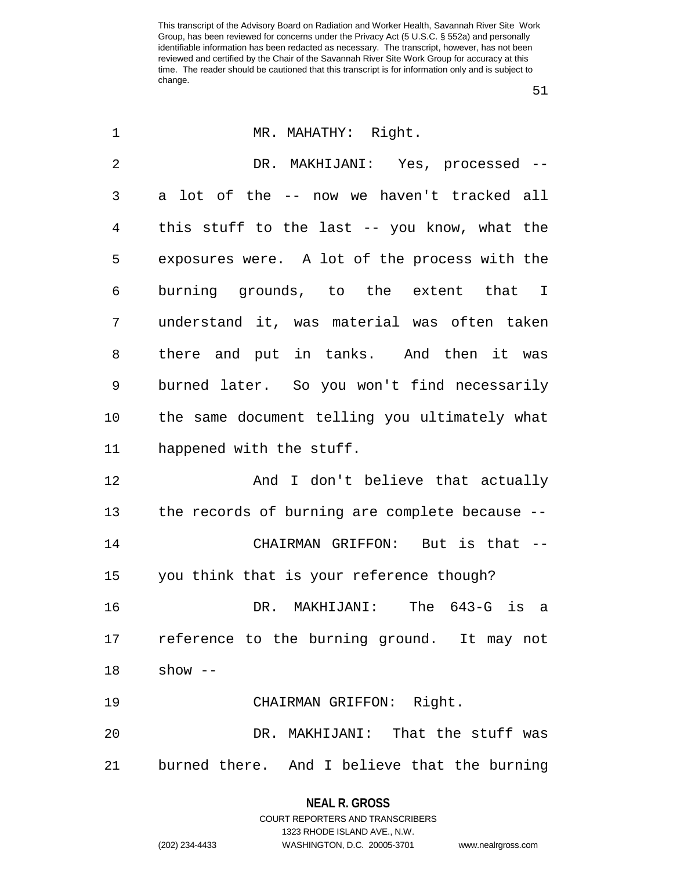51

| $\mathbf 1$ | MR. MAHATHY: Right.                            |
|-------------|------------------------------------------------|
| 2           | DR. MAKHIJANI: Yes, processed --               |
| 3           | a lot of the -- now we haven't tracked all     |
| 4           | this stuff to the last -- you know, what the   |
| 5           | exposures were. A lot of the process with the  |
| 6           | burning grounds, to the extent that I          |
| 7           | understand it, was material was often taken    |
| 8           | there and put in tanks. And then it was        |
| 9           | burned later. So you won't find necessarily    |
| 10          | the same document telling you ultimately what  |
| 11          | happened with the stuff.                       |
| 12          | And I don't believe that actually              |
| 13          | the records of burning are complete because -- |
| 14          | CHAIRMAN GRIFFON: But is that --               |
| 15          | you think that is your reference though?       |
| 16          | MAKHIJANI:<br>The $643-G$ is<br>DR.<br>а       |
|             | 17 reference to the burning ground. It may not |
| 18          | show --                                        |
| 19          | CHAIRMAN GRIFFON: Right.                       |
| 20          | DR. MAKHIJANI: That the stuff was              |
| 21          | burned there. And I believe that the burning   |

**NEAL R. GROSS** COURT REPORTERS AND TRANSCRIBERS

1323 RHODE ISLAND AVE., N.W.

(202) 234-4433 WASHINGTON, D.C. 20005-3701 www.nealrgross.com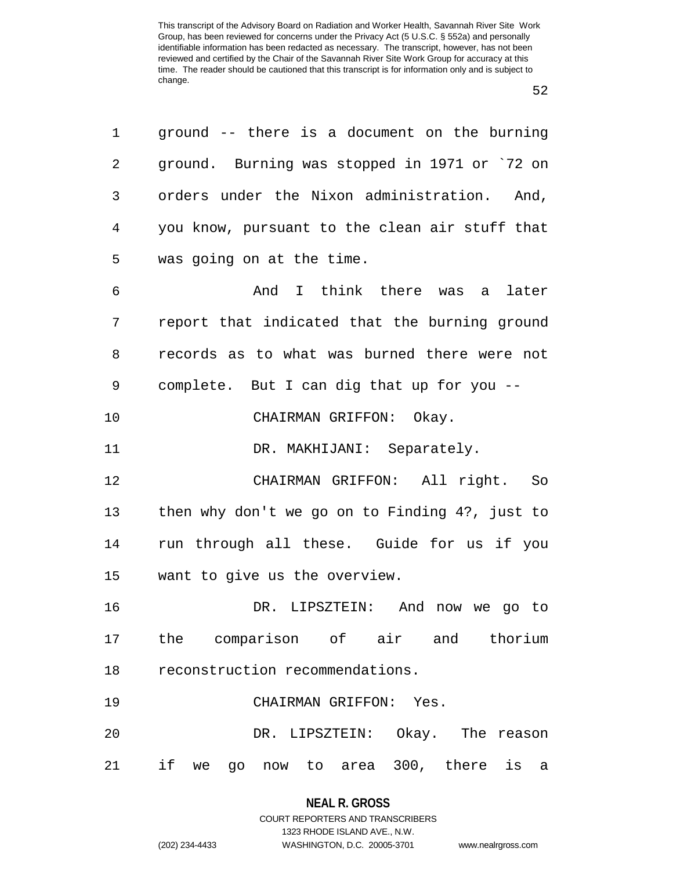52

| 1  | ground -- there is a document on the burning        |
|----|-----------------------------------------------------|
| 2  | ground. Burning was stopped in 1971 or `72 on       |
| 3  | orders under the Nixon administration. And,         |
| 4  | you know, pursuant to the clean air stuff that      |
| 5  | was going on at the time.                           |
| 6  | And I think there was<br>later<br>a                 |
| 7  | report that indicated that the burning ground       |
| 8  | records as to what was burned there were not        |
| 9  | complete. But I can dig that up for you --          |
| 10 | CHAIRMAN GRIFFON: Okay.                             |
| 11 | DR. MAKHIJANI: Separately.                          |
| 12 | CHAIRMAN GRIFFON: All right. So                     |
| 13 | then why don't we go on to Finding 4?, just to      |
| 14 | run through all these. Guide for us if you          |
| 15 | want to give us the overview.                       |
| 16 | DR. LIPSZTEIN: And now we go to                     |
| 17 | the comparison of air and thorium                   |
| 18 | reconstruction recommendations.                     |
| 19 | CHAIRMAN GRIFFON: Yes.                              |
| 20 | DR. LIPSZTEIN: Okay. The reason                     |
| 21 | 300, there<br>if<br>is<br>go now to area<br>we<br>а |

# **NEAL R. GROSS** COURT REPORTERS AND TRANSCRIBERS

1323 RHODE ISLAND AVE., N.W. (202) 234-4433 WASHINGTON, D.C. 20005-3701 www.nealrgross.com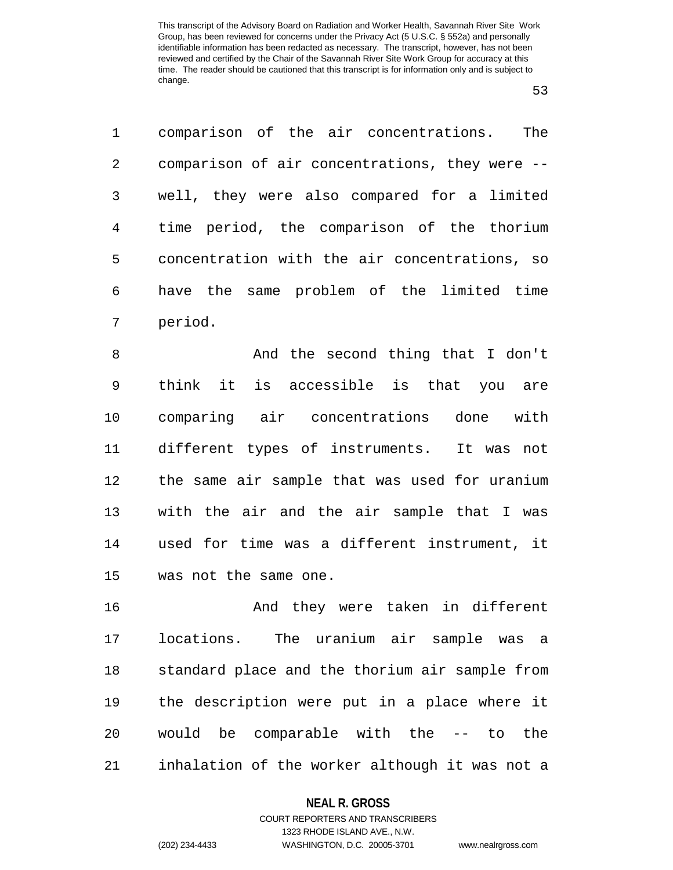53

1 comparison of the air concentrations. The 2 comparison of air concentrations, they were -- 3 well, they were also compared for a limited 4 time period, the comparison of the thorium 5 concentration with the air concentrations, so 6 have the same problem of the limited time 7 period.

8 And the second thing that I don't 9 think it is accessible is that you are 10 comparing air concentrations done with 11 different types of instruments. It was not 12 the same air sample that was used for uranium 13 with the air and the air sample that I was 14 used for time was a different instrument, it 15 was not the same one.

16 And they were taken in different 17 locations. The uranium air sample was a 18 standard place and the thorium air sample from 19 the description were put in a place where it 20 would be comparable with the -- to the 21 inhalation of the worker although it was not a

### **NEAL R. GROSS**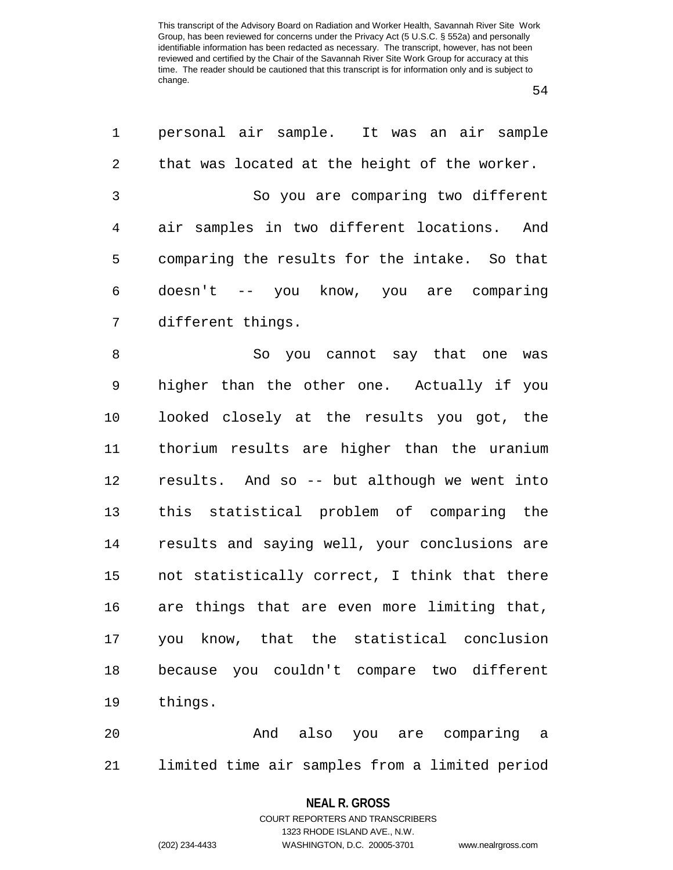54

| 1  | personal air sample. It was an air sample     |
|----|-----------------------------------------------|
| 2  | that was located at the height of the worker. |
| 3  | So you are comparing two different            |
| 4  | air samples in two different locations. And   |
| 5  | comparing the results for the intake. So that |
| 6  | doesn't -- you know, you are comparing        |
| 7  | different things.                             |
| 8  | So you cannot say that one was                |
| 9  | higher than the other one. Actually if you    |
| 10 | looked closely at the results you got, the    |
| 11 | thorium results are higher than the uranium   |
| 12 | results. And so -- but although we went into  |
| 13 | this statistical problem of comparing the     |
| 14 | results and saying well, your conclusions are |
| 15 | not statistically correct, I think that there |
| 16 | are things that are even more limiting that,  |
| 17 | you know, that the statistical conclusion     |
| 18 | because you couldn't compare two different    |
| 19 | things.                                       |
| 20 | And also you are comparing<br>a               |
|    |                                               |

**NEAL R. GROSS** COURT REPORTERS AND TRANSCRIBERS

21 limited time air samples from a limited period

1323 RHODE ISLAND AVE., N.W.

(202) 234-4433 WASHINGTON, D.C. 20005-3701 www.nealrgross.com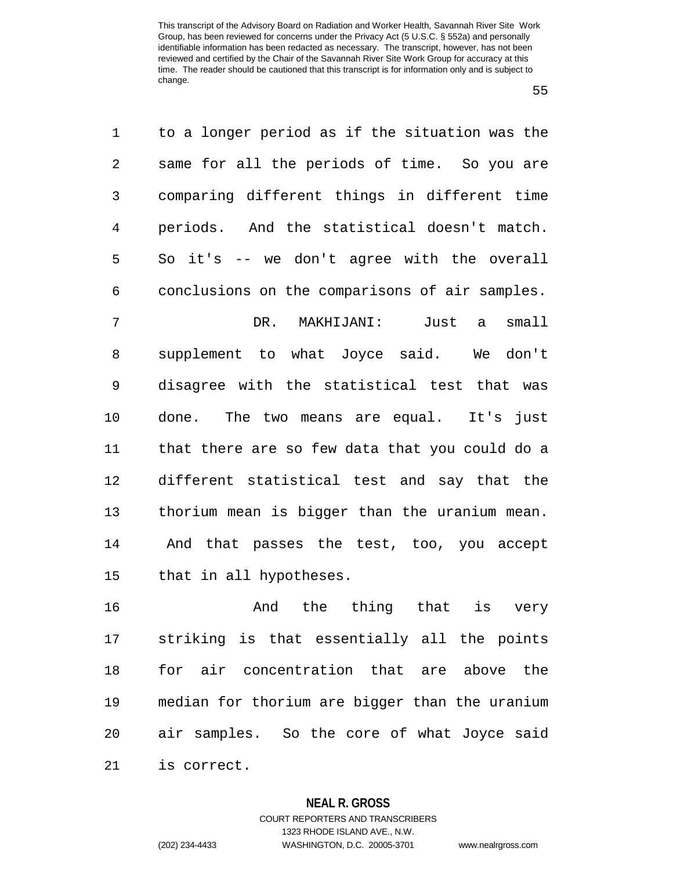55

1 to a longer period as if the situation was the 2 same for all the periods of time. So you are 3 comparing different things in different time 4 periods. And the statistical doesn't match. 5 So it's -- we don't agree with the overall 6 conclusions on the comparisons of air samples. 7 DR. MAKHIJANI: Just a small 8 supplement to what Joyce said. We don't 9 disagree with the statistical test that was 10 done. The two means are equal. It's just 11 that there are so few data that you could do a 12 different statistical test and say that the 13 thorium mean is bigger than the uranium mean. 14 And that passes the test, too, you accept 15 that in all hypotheses. 16 And the thing that is very 17 striking is that essentially all the points 18 for air concentration that are above the 19 median for thorium are bigger than the uranium 20 air samples. So the core of what Joyce said

21 is correct.

## **NEAL R. GROSS**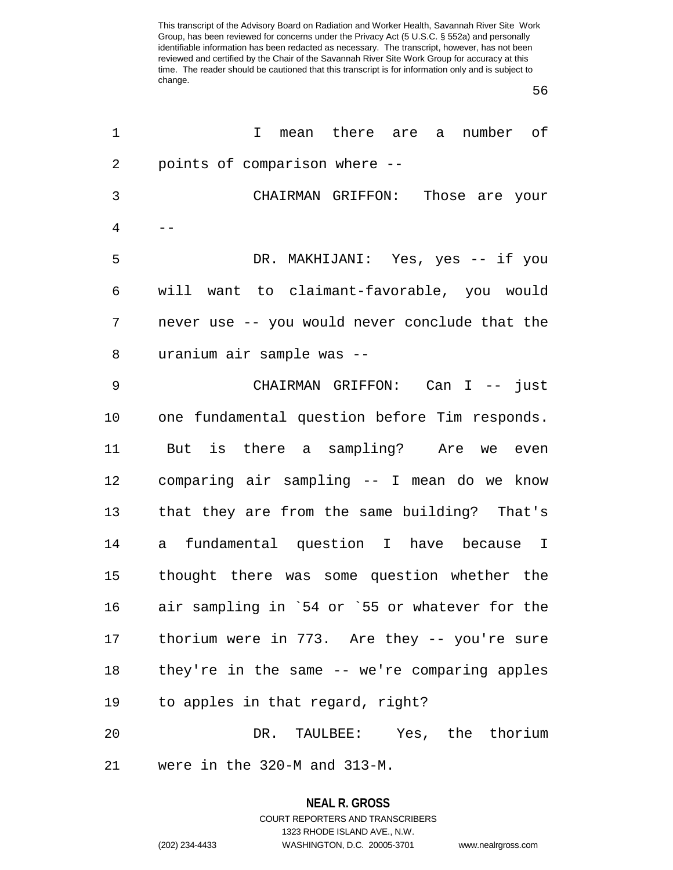56

| 1              | mean there are a number of<br>$\mathbf{I}$     |
|----------------|------------------------------------------------|
| 2              | points of comparison where --                  |
| 3              | CHAIRMAN GRIFFON: Those are your               |
| $\overline{4}$ |                                                |
| 5              | DR. MAKHIJANI: Yes, yes -- if you              |
| 6              | will want to claimant-favorable, you would     |
| 7              | never use -- you would never conclude that the |
| 8              | uranium air sample was --                      |
| 9              | CHAIRMAN GRIFFON: Can I -- just                |
| 10             | one fundamental question before Tim responds.  |
| 11             | But is there a sampling? Are we even           |
| 12             | comparing air sampling -- I mean do we know    |
| 13             | that they are from the same building? That's   |
| 14             | fundamental question I have because I<br>a     |
| 15             | thought there was some question whether the    |
| 16             | air sampling in `54 or `55 or whatever for the |
| 17             | thorium were in 773. Are they -- you're sure   |
| 18             | they're in the same -- we're comparing apples  |
| 19             | to apples in that regard, right?               |
| 20             | DR. TAULBEE: Yes, the thorium                  |
| 21             | were in the 320-M and 313-M.                   |

# **NEAL R. GROSS**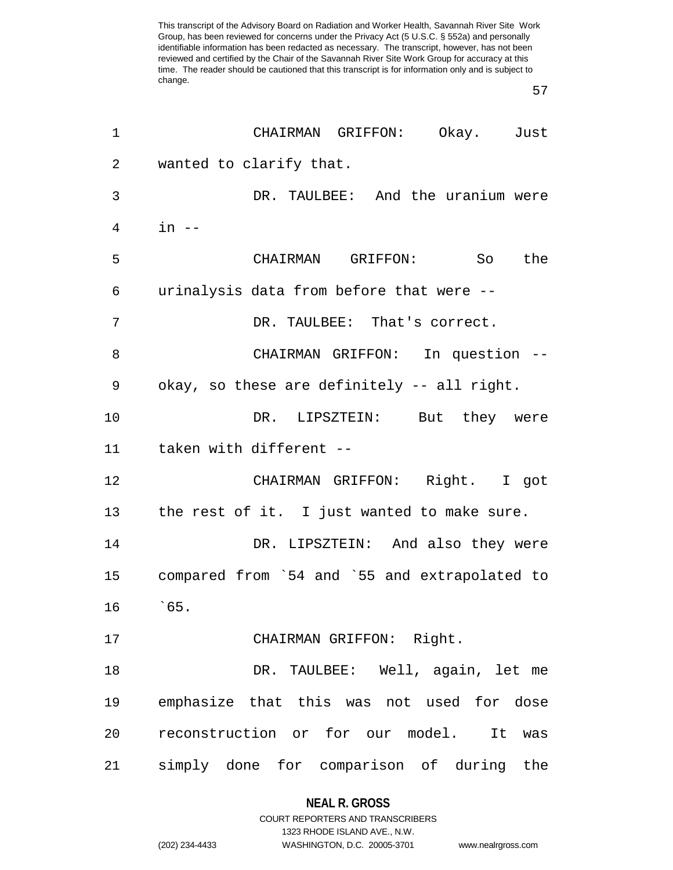57

| 1  | CHAIRMAN GRIFFON: Okay. Just                  |
|----|-----------------------------------------------|
| 2  | wanted to clarify that.                       |
| 3  | DR. TAULBEE: And the uranium were             |
| 4  | $in$ $--$                                     |
| 5  | CHAIRMAN GRIFFON: So the                      |
| 6  | urinalysis data from before that were --      |
| 7  | DR. TAULBEE: That's correct.                  |
| 8  | CHAIRMAN GRIFFON: In question --              |
| 9  | okay, so these are definitely -- all right.   |
| 10 | DR. LIPSZTEIN: But they were                  |
| 11 | taken with different --                       |
| 12 | CHAIRMAN GRIFFON: Right. I got                |
| 13 | the rest of it. I just wanted to make sure.   |
| 14 | DR. LIPSZTEIN: And also they were             |
| 15 | compared from `54 and `55 and extrapolated to |
| 16 | $\degree$ 65.                                 |
| 17 | CHAIRMAN GRIFFON: Right.                      |
| 18 | DR. TAULBEE: Well, again, let me              |
| 19 | emphasize that this was not used for dose     |
| 20 | reconstruction or for our model. It<br>was    |
| 21 | simply done for comparison of during the      |

**NEAL R. GROSS** COURT REPORTERS AND TRANSCRIBERS

1323 RHODE ISLAND AVE., N.W.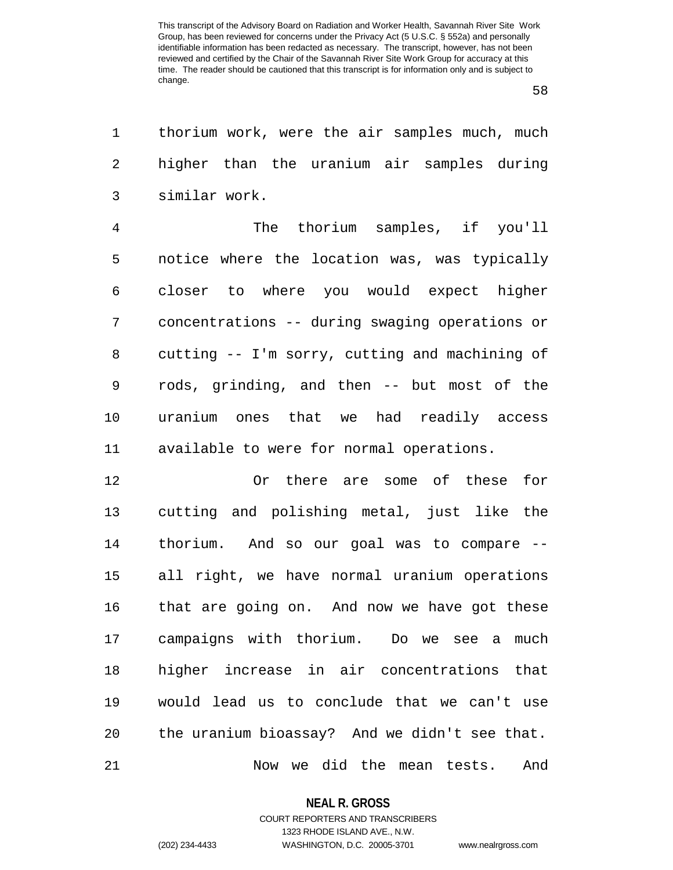58

1 thorium work, were the air samples much, much 2 higher than the uranium air samples during 3 similar work.

4 The thorium samples, if you'll 5 notice where the location was, was typically 6 closer to where you would expect higher 7 concentrations -- during swaging operations or 8 cutting -- I'm sorry, cutting and machining of 9 rods, grinding, and then -- but most of the 10 uranium ones that we had readily access 11 available to were for normal operations.

12 Or there are some of these for 13 cutting and polishing metal, just like the 14 thorium. And so our goal was to compare -- 15 all right, we have normal uranium operations 16 that are going on. And now we have got these 17 campaigns with thorium. Do we see a much 18 higher increase in air concentrations that 19 would lead us to conclude that we can't use 20 the uranium bioassay? And we didn't see that. 21 Now we did the mean tests. And

**NEAL R. GROSS**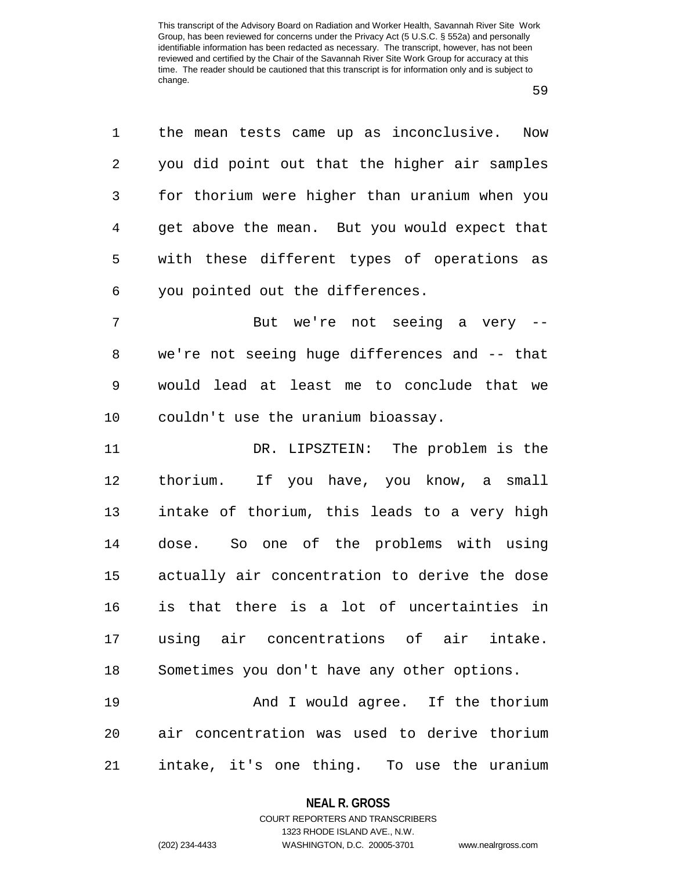59

| 1              | the mean tests came up as inconclusive.<br>Now |
|----------------|------------------------------------------------|
| $\overline{2}$ | you did point out that the higher air samples  |
| 3              | for thorium were higher than uranium when you  |
| $\overline{4}$ | get above the mean. But you would expect that  |
| 5              | with these different types of operations as    |
| 6              | you pointed out the differences.               |
| 7              | But we're not seeing a very --                 |
| 8              | we're not seeing huge differences and -- that  |
| 9              | would lead at least me to conclude that we     |
| 10             | couldn't use the uranium bioassay.             |
| 11             | DR. LIPSZTEIN: The problem is the              |
| 12             | thorium. If you have, you know, a small        |
| 13             | intake of thorium, this leads to a very high   |
| 14             | dose. So one of the problems with using        |
| 15             | actually air concentration to derive the dose  |
| 16             | is that there is a lot of uncertainties in     |
| 17             | using air concentrations of air intake.        |
| 18             | Sometimes you don't have any other options.    |
| 19             | And I would agree. If the thorium              |
| 20             | air concentration was used to derive thorium   |
| 21             | intake, it's one thing. To use the uranium     |

**NEAL R. GROSS**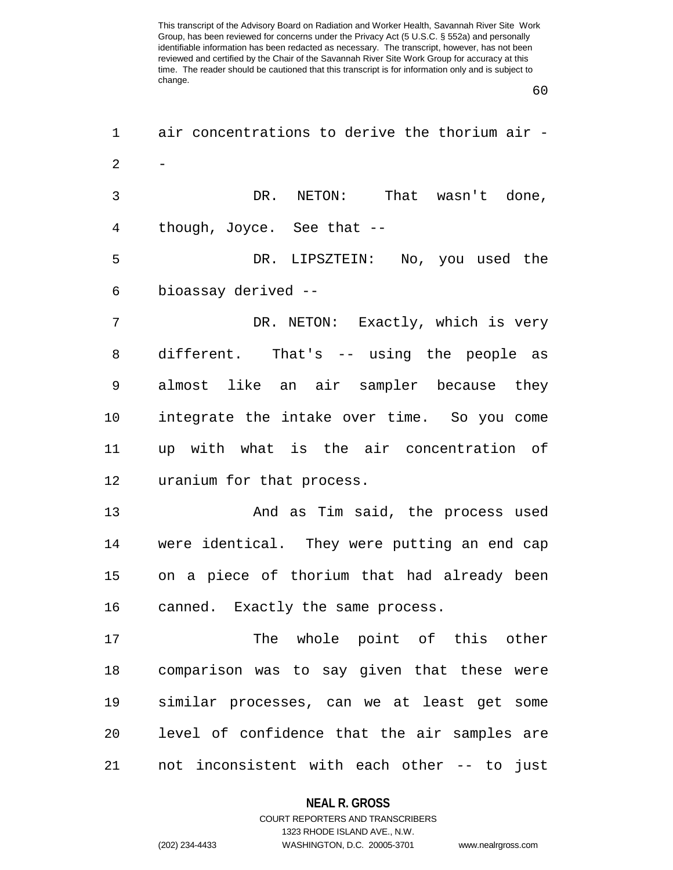60

| 1            | air concentrations to derive the thorium air - |
|--------------|------------------------------------------------|
| 2            |                                                |
| $\mathbf{3}$ | That wasn't done,<br>DR. NETON:                |
| 4            | though, Joyce. See that --                     |
| 5            | DR. LIPSZTEIN: No, you used the                |
| 6            | bioassay derived --                            |
| 7            | DR. NETON: Exactly, which is very              |
| 8            | different. That's -- using the people as       |
| 9            | almost like an air sampler because they        |
| $10 \,$      | integrate the intake over time. So you come    |
| 11           | up with what is the air concentration of       |
| 12           | uranium for that process.                      |
| 13           | And as Tim said, the process used              |
| 14           | were identical. They were putting an end cap   |
| 15           | on a piece of thorium that had already been    |
| 16           | canned. Exactly the same process.              |
| 17           | The whole point of this other                  |
| 18           | comparison was to say given that these were    |
| 19           | similar processes, can we at least get some    |
| 20           | level of confidence that the air samples are   |
| 21           | not inconsistent with each other -- to just    |

# **NEAL R. GROSS** COURT REPORTERS AND TRANSCRIBERS

1323 RHODE ISLAND AVE., N.W. (202) 234-4433 WASHINGTON, D.C. 20005-3701 www.nealrgross.com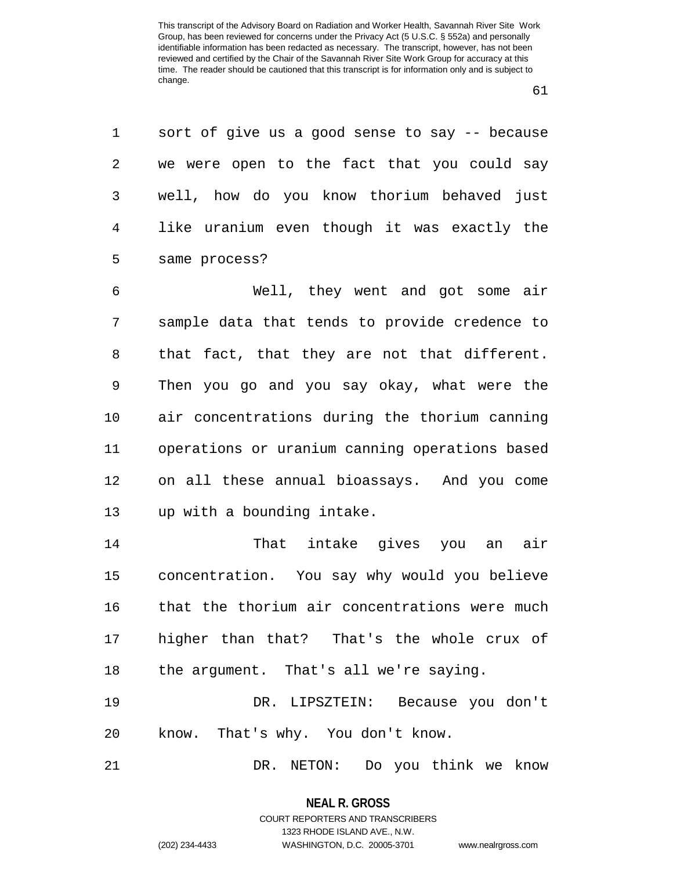61

1 sort of give us a good sense to say -- because 2 we were open to the fact that you could say 3 well, how do you know thorium behaved just 4 like uranium even though it was exactly the 5 same process?

6 Well, they went and got some air 7 sample data that tends to provide credence to 8 that fact, that they are not that different. 9 Then you go and you say okay, what were the 10 air concentrations during the thorium canning 11 operations or uranium canning operations based 12 on all these annual bioassays. And you come 13 up with a bounding intake.

14 That intake gives you an air 15 concentration. You say why would you believe 16 that the thorium air concentrations were much 17 higher than that? That's the whole crux of 18 the argument. That's all we're saying.

19 DR. LIPSZTEIN: Because you don't 20 know. That's why. You don't know.

21 DR. NETON: Do you think we know

**NEAL R. GROSS** COURT REPORTERS AND TRANSCRIBERS

1323 RHODE ISLAND AVE., N.W.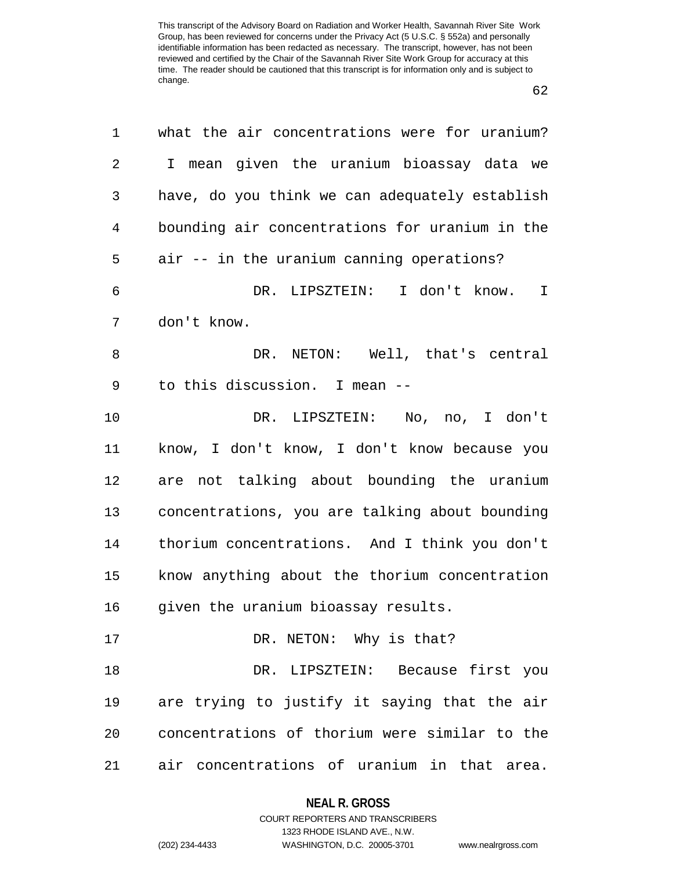62

| 1              | what the air concentrations were for uranium?  |
|----------------|------------------------------------------------|
| $\overline{2}$ | I mean given the uranium bioassay data we      |
| 3              | have, do you think we can adequately establish |
| 4              | bounding air concentrations for uranium in the |
| 5              | air -- in the uranium canning operations?      |
| 6              | DR. LIPSZTEIN: I don't know. I                 |
| 7              | don't know.                                    |
| 8              | DR. NETON: Well, that's central                |
| 9              | to this discussion. I mean --                  |
| 10             | DR. LIPSZTEIN: No, no, I don't                 |
| 11             | know, I don't know, I don't know because you   |
| 12             | are not talking about bounding the uranium     |
| 13             | concentrations, you are talking about bounding |
| 14             | thorium concentrations. And I think you don't  |
| 15             | know anything about the thorium concentration  |
| 16             | given the uranium bioassay results.            |
| 17             | DR. NETON: Why is that?                        |
| 18             | DR. LIPSZTEIN: Because first you               |
| 19             | are trying to justify it saying that the air   |
| 20             | concentrations of thorium were similar to the  |
| 21             | air concentrations of uranium in that area.    |

## **NEAL R. GROSS**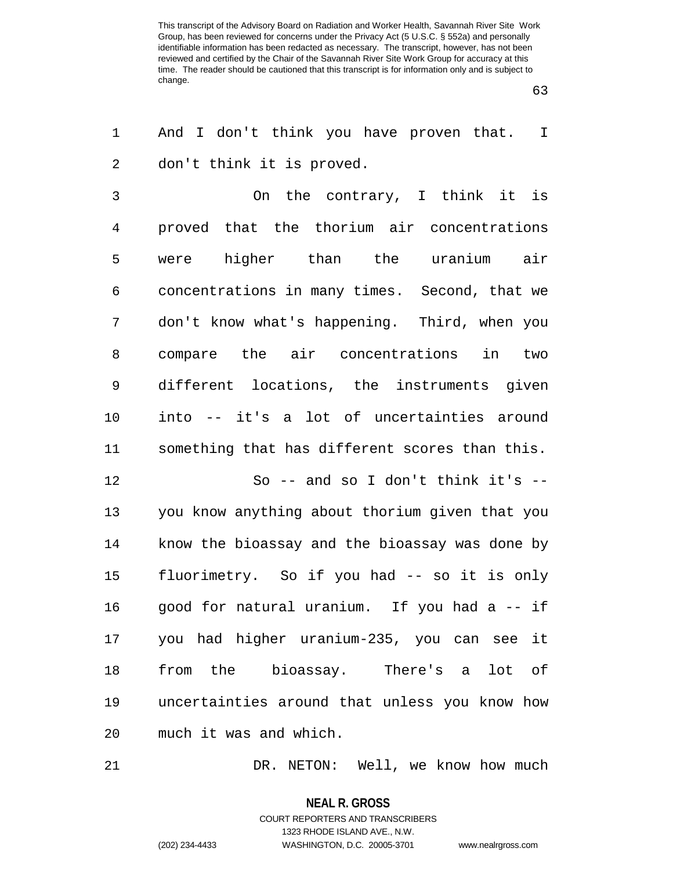63

1 And I don't think you have proven that. I 2 don't think it is proved.

3 On the contrary, I think it is 4 proved that the thorium air concentrations 5 were higher than the uranium air 6 concentrations in many times. Second, that we 7 don't know what's happening. Third, when you 8 compare the air concentrations in two 9 different locations, the instruments given 10 into -- it's a lot of uncertainties around 11 something that has different scores than this.

12 So -- and so I don't think it's -- 13 you know anything about thorium given that you 14 know the bioassay and the bioassay was done by 15 fluorimetry. So if you had -- so it is only 16 good for natural uranium. If you had a -- if 17 you had higher uranium-235, you can see it 18 from the bioassay. There's a lot of 19 uncertainties around that unless you know how 20 much it was and which.

21 DR. NETON: Well, we know how much

**NEAL R. GROSS**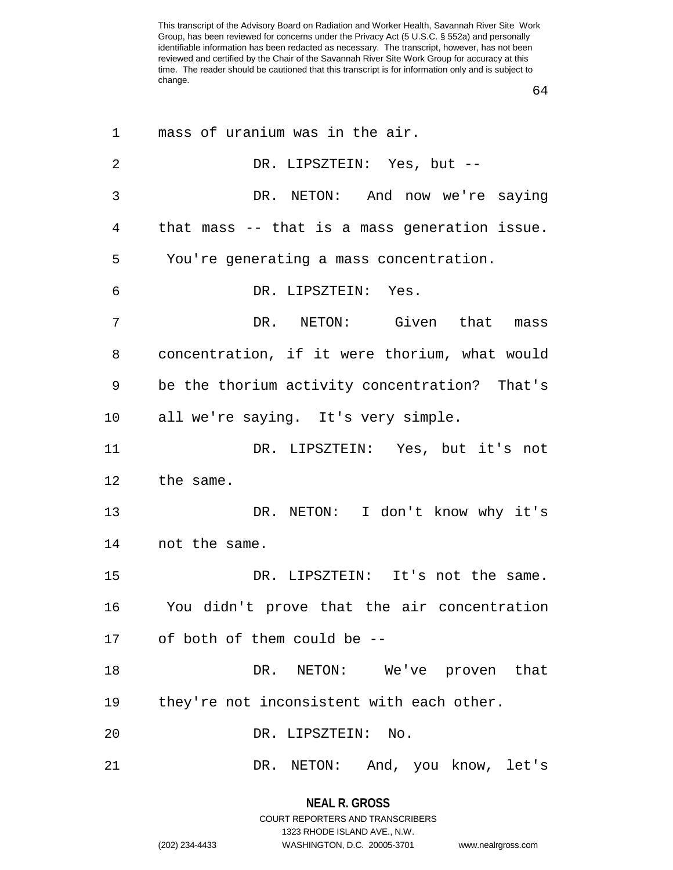64

| 1  | mass of uranium was in the air.               |
|----|-----------------------------------------------|
| 2  | DR. LIPSZTEIN: Yes, but --                    |
| 3  | DR. NETON: And now we're saying               |
| 4  | that mass -- that is a mass generation issue. |
| 5  | You're generating a mass concentration.       |
| 6  | DR. LIPSZTEIN: Yes.                           |
| 7  | DR. NETON: Given that mass                    |
| 8  | concentration, if it were thorium, what would |
| 9  | be the thorium activity concentration? That's |
| 10 | all we're saying. It's very simple.           |
| 11 | DR. LIPSZTEIN: Yes, but it's not              |
| 12 | the same.                                     |
| 13 | DR. NETON: I don't know why it's              |
| 14 | not the same.                                 |
| 15 | DR. LIPSZTEIN: It's not the same.             |
| 16 | You didn't prove that the air concentration   |
| 17 | of both of them could be --                   |
| 18 | DR. NETON: We've proven that                  |
| 19 | they're not inconsistent with each other.     |
| 20 | DR. LIPSZTEIN: No.                            |
| 21 | DR. NETON: And, you know, let's               |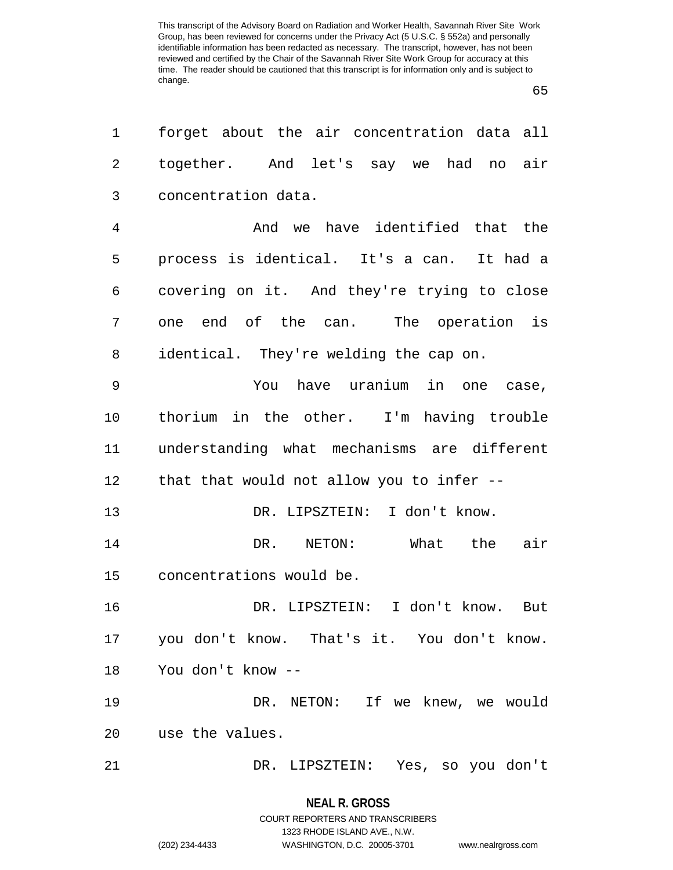65

| 1  | forget about the air concentration data all   |
|----|-----------------------------------------------|
| 2  | together. And let's say we had<br>air<br>no   |
| 3  | concentration data.                           |
| 4  | And we have identified that the               |
| 5  | process is identical. It's a can. It had a    |
| 6  | covering on it. And they're trying to close   |
| 7  | one end of the can. The operation is          |
| 8  | identical. They're welding the cap on.        |
| 9  | You have uranium in one case,                 |
| 10 | thorium in the other. I'm having trouble      |
| 11 | understanding what mechanisms are different   |
| 12 | that that would not allow you to infer --     |
| 13 | DR. LIPSZTEIN: I don't know.                  |
| 14 | What the<br>DR. NETON:<br>air                 |
| 15 | concentrations would be.                      |
| 16 | DR. LIPSZTEIN: I don't know.<br>But           |
|    | 17 you don't know. That's it. You don't know. |
| 18 | You don't know --                             |
| 19 | DR. NETON: If we knew, we would               |
| 20 | use the values.                               |
| 21 | DR. LIPSZTEIN: Yes, so you don't              |

**NEAL R. GROSS** COURT REPORTERS AND TRANSCRIBERS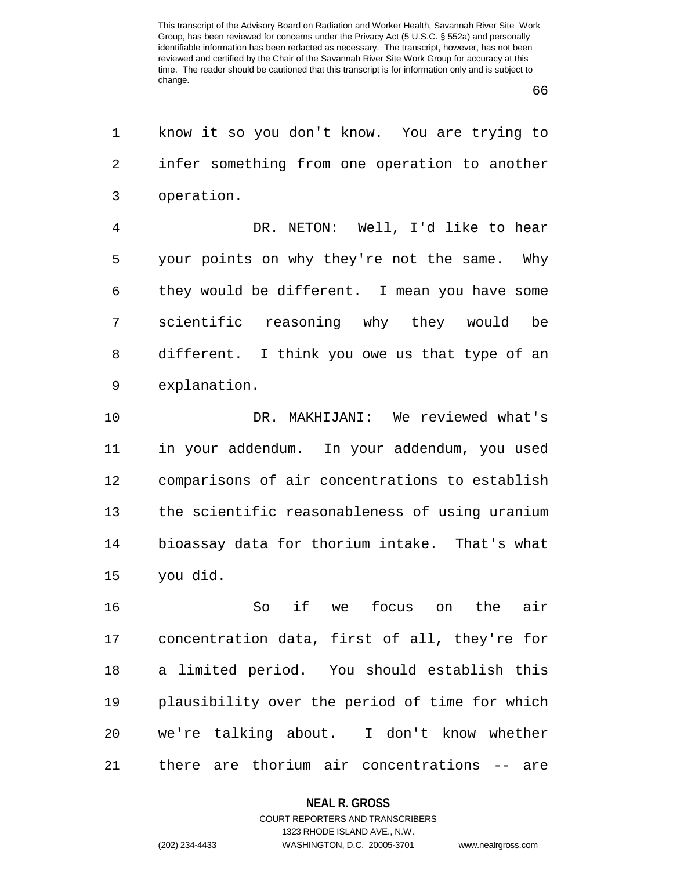66

1 know it so you don't know. You are trying to 2 infer something from one operation to another 3 operation.

4 DR. NETON: Well, I'd like to hear 5 your points on why they're not the same. Why 6 they would be different. I mean you have some 7 scientific reasoning why they would be 8 different. I think you owe us that type of an 9 explanation.

10 DR. MAKHIJANI: We reviewed what's 11 in your addendum. In your addendum, you used 12 comparisons of air concentrations to establish 13 the scientific reasonableness of using uranium 14 bioassay data for thorium intake. That's what 15 you did.

16 So if we focus on the air 17 concentration data, first of all, they're for 18 a limited period. You should establish this 19 plausibility over the period of time for which 20 we're talking about. I don't know whether 21 there are thorium air concentrations -- are

### **NEAL R. GROSS**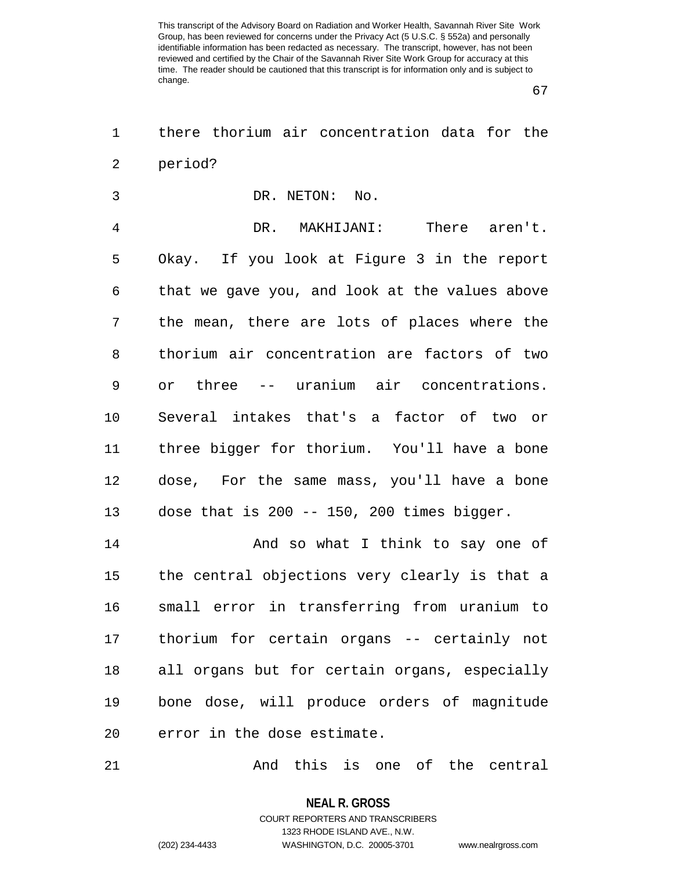67

1 there thorium air concentration data for the 2 period?

3 DR. NETON: No.

4 DR. MAKHIJANI: There aren't. 5 Okay. If you look at Figure 3 in the report 6 that we gave you, and look at the values above 7 the mean, there are lots of places where the 8 thorium air concentration are factors of two 9 or three -- uranium air concentrations. 10 Several intakes that's a factor of two or 11 three bigger for thorium. You'll have a bone 12 dose, For the same mass, you'll have a bone 13 dose that is 200 -- 150, 200 times bigger.

14 And so what I think to say one of 15 the central objections very clearly is that a 16 small error in transferring from uranium to 17 thorium for certain organs -- certainly not 18 all organs but for certain organs, especially 19 bone dose, will produce orders of magnitude 20 error in the dose estimate.

21 And this is one of the central

**NEAL R. GROSS** COURT REPORTERS AND TRANSCRIBERS

1323 RHODE ISLAND AVE., N.W.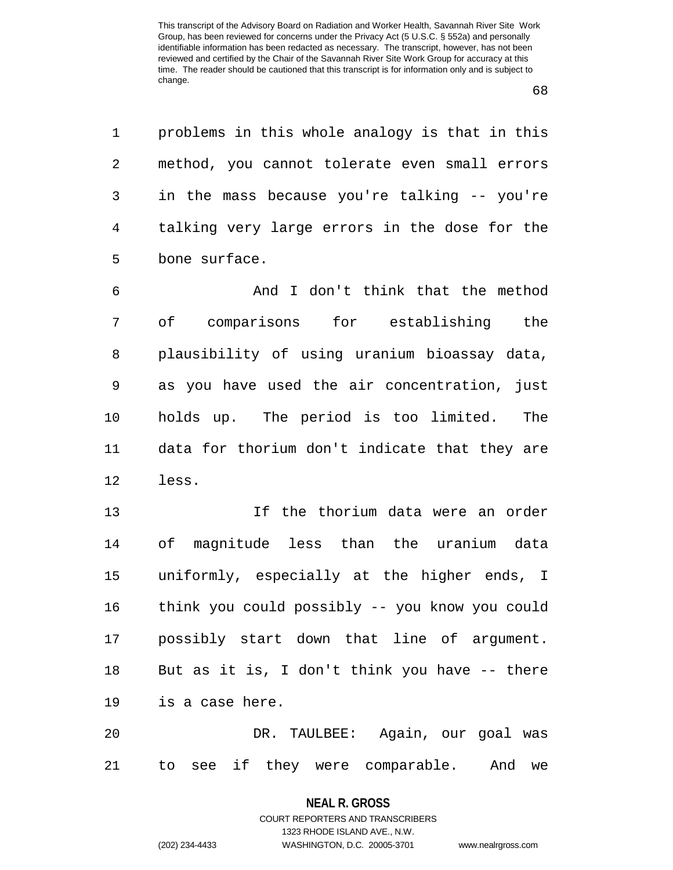68

1 problems in this whole analogy is that in this 2 method, you cannot tolerate even small errors 3 in the mass because you're talking -- you're 4 talking very large errors in the dose for the 5 bone surface.

6 And I don't think that the method 7 of comparisons for establishing the 8 plausibility of using uranium bioassay data, 9 as you have used the air concentration, just 10 holds up. The period is too limited. The 11 data for thorium don't indicate that they are 12 less.

13 If the thorium data were an order 14 of magnitude less than the uranium data 15 uniformly, especially at the higher ends, I 16 think you could possibly -- you know you could 17 possibly start down that line of argument. 18 But as it is, I don't think you have -- there 19 is a case here.

20 DR. TAULBEE: Again, our goal was 21 to see if they were comparable. And we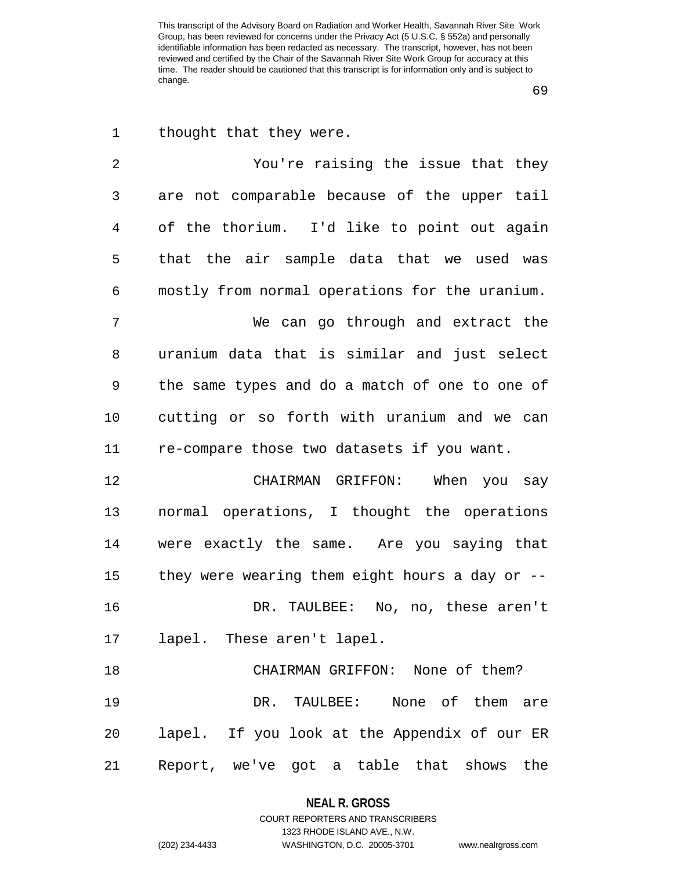69

| 1  | thought that they were.                           |
|----|---------------------------------------------------|
| 2  | You're raising the issue that they                |
| 3  | are not comparable because of the upper tail      |
| 4  | of the thorium. I'd like to point out again       |
| 5  | that the air sample data that we used was         |
| 6  | mostly from normal operations for the uranium.    |
| 7  | We can go through and extract the                 |
| 8  | uranium data that is similar and just select      |
| 9  | the same types and do a match of one to one of    |
| 10 | cutting or so forth with uranium and we can       |
| 11 | re-compare those two datasets if you want.        |
| 12 | CHAIRMAN GRIFFON: When you say                    |
| 13 | normal operations, I thought the operations       |
| 14 | were exactly the same. Are you saying that        |
| 15 | they were wearing them eight hours a day or $-$ - |
| 16 | DR. TAULBEE: No, no, these aren't                 |
| 17 | lapel. These aren't lapel.                        |
| 18 | CHAIRMAN GRIFFON: None of them?                   |
| 19 | DR. TAULBEE: None of them are                     |
| 20 | lapel. If you look at the Appendix of our ER      |
| 21 | Report, we've got a table that shows the          |

**NEAL R. GROSS** COURT REPORTERS AND TRANSCRIBERS

1323 RHODE ISLAND AVE., N.W.

(202) 234-4433 WASHINGTON, D.C. 20005-3701 www.nealrgross.com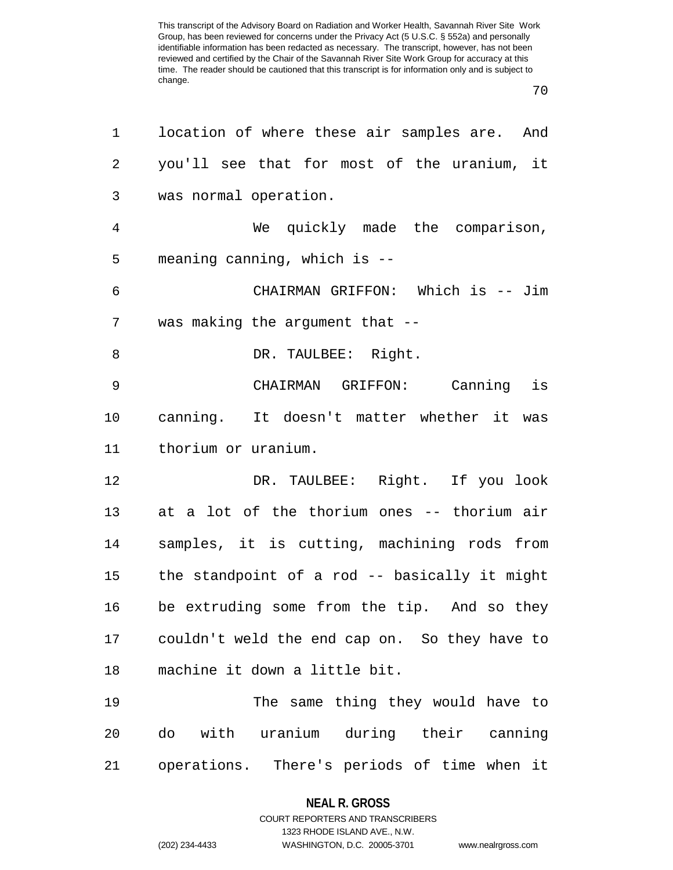70

| $\mathbf 1$ | location of where these air samples are. And  |
|-------------|-----------------------------------------------|
| 2           | you'll see that for most of the uranium, it   |
| 3           | was normal operation.                         |
| 4           | We quickly made the comparison,               |
| 5           | meaning canning, which is $-$ -               |
| 6           | CHAIRMAN GRIFFON: Which is -- Jim             |
| 7           | was making the argument that $-$ -            |
| 8           | DR. TAULBEE: Right.                           |
| 9           | CHAIRMAN GRIFFON: Canning is                  |
| 10          | canning. It doesn't matter whether it was     |
| 11          | thorium or uranium.                           |
| 12          | DR. TAULBEE: Right. If you look               |
| 13          | at a lot of the thorium ones -- thorium air   |
| 14          | samples, it is cutting, machining rods from   |
| 15          | the standpoint of a rod -- basically it might |
| 16          | be extruding some from the tip. And so they   |
| 17          | couldn't weld the end cap on. So they have to |
| 18          | machine it down a little bit.                 |
| 19          | The same thing they would have to             |
| 20          | do with uranium during their canning          |
| 21          | operations. There's periods of time when it   |

### **NEAL R. GROSS**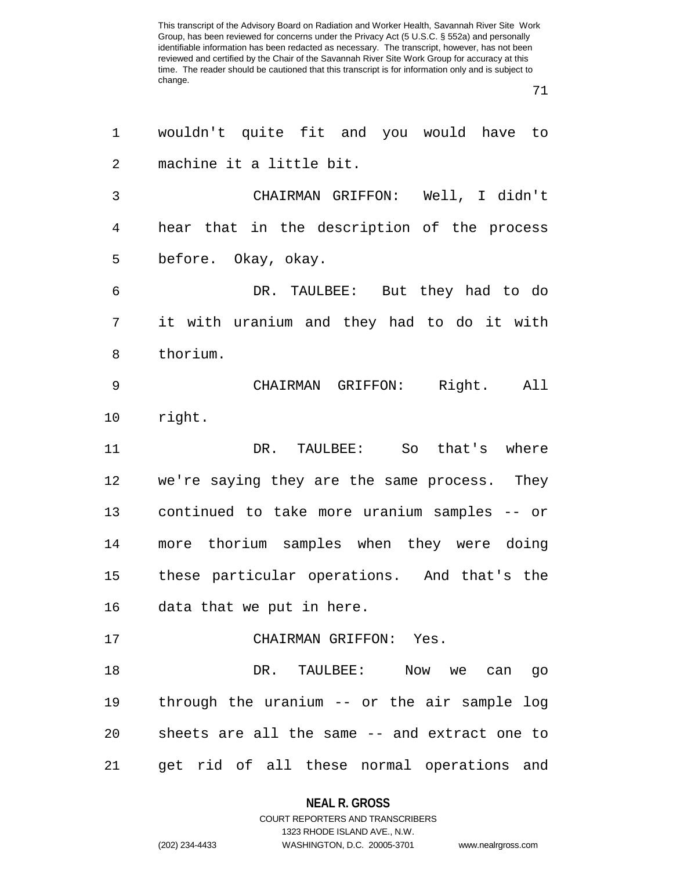71

| 1              | wouldn't quite fit and you would have to      |
|----------------|-----------------------------------------------|
| $\overline{2}$ | machine it a little bit.                      |
| 3              | CHAIRMAN GRIFFON: Well, I didn't              |
| $\overline{4}$ | hear that in the description of the process   |
| 5              | before. Okay, okay.                           |
| 6              | DR. TAULBEE: But they had to do               |
| 7              | it with uranium and they had to do it with    |
| 8              | thorium.                                      |
| 9              | CHAIRMAN GRIFFON:<br>Right.<br>All            |
| 10             | right.                                        |
| 11             | DR. TAULBEE: So that's where                  |
| 12             | we're saying they are the same process. They  |
| 13             | continued to take more uranium samples -- or  |
| 14             | more thorium samples when they were doing     |
| 15             | these particular operations. And that's the   |
| 16             | data that we put in here.                     |
| 17             | CHAIRMAN GRIFFON: Yes.                        |
| 18             | DR. TAULBEE: Now we can go                    |
| 19             | through the uranium -- or the air sample log  |
| 20             | sheets are all the same -- and extract one to |
| 21             | get rid of all these normal operations and    |

## **NEAL R. GROSS**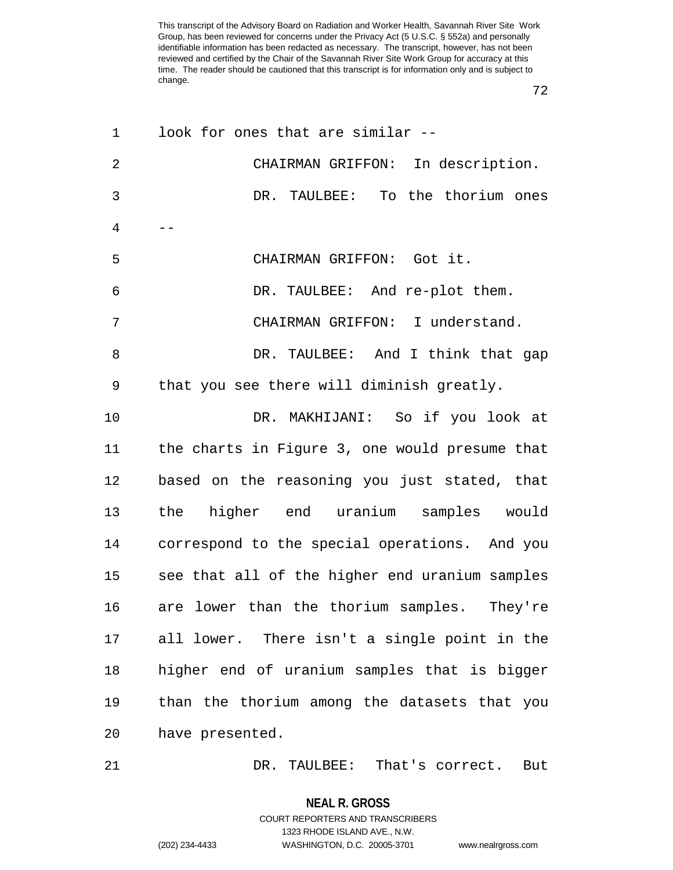72

| $\mathbf 1$    | look for ones that are similar --              |
|----------------|------------------------------------------------|
| 2              | CHAIRMAN GRIFFON: In description.              |
| 3              | DR. TAULBEE: To the thorium ones               |
| $\overline{4}$ |                                                |
| 5              | CHAIRMAN GRIFFON: Got it.                      |
| 6              | DR. TAULBEE: And re-plot them.                 |
| 7              | CHAIRMAN GRIFFON: I understand.                |
| 8              | DR. TAULBEE: And I think that gap              |
| 9              | that you see there will diminish greatly.      |
| 10             | DR. MAKHIJANI: So if you look at               |
| 11             | the charts in Figure 3, one would presume that |
| 12             | based on the reasoning you just stated, that   |
| 13             | higher end uranium samples would<br>the        |
| 14             | correspond to the special operations. And you  |
| 15             | see that all of the higher end uranium samples |
| 16             | are lower than the thorium samples.<br>They're |
| 17             | all lower. There isn't a single point in the   |
| 18             | higher end of uranium samples that is bigger   |
| 19             | than the thorium among the datasets that you   |
| 20             | have presented.                                |
|                |                                                |

21 DR. TAULBEE: That's correct. But

**NEAL R. GROSS** COURT REPORTERS AND TRANSCRIBERS

1323 RHODE ISLAND AVE., N.W.

(202) 234-4433 WASHINGTON, D.C. 20005-3701 www.nealrgross.com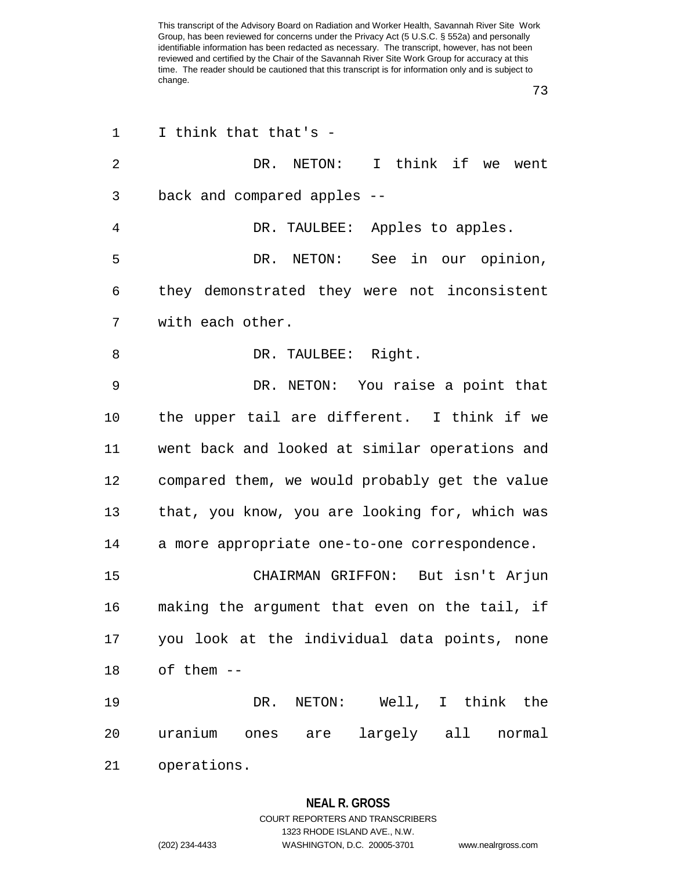73

| 1              | I think that that's -                          |
|----------------|------------------------------------------------|
| $\overline{2}$ | DR. NETON: I think if we went                  |
| 3              | back and compared apples --                    |
| 4              | DR. TAULBEE: Apples to apples.                 |
| 5              | DR. NETON: See in our opinion,                 |
| 6              | they demonstrated they were not inconsistent   |
| 7              | with each other.                               |
| 8              | DR. TAULBEE: Right.                            |
| 9              | DR. NETON: You raise a point that              |
| 10             | the upper tail are different. I think if we    |
| 11             | went back and looked at similar operations and |
| 12             | compared them, we would probably get the value |
| 13             | that, you know, you are looking for, which was |
| 14             | a more appropriate one-to-one correspondence.  |
| 15             | CHAIRMAN GRIFFON: But isn't Arjun              |
| 16             | making the argument that even on the tail, if  |
| 17             | you look at the individual data points, none   |
| 18             | of them --                                     |
| 19             | DR. NETON: Well, I think the                   |
| 20             | uranium ones are largely all<br>normal         |
| 21             | operations.                                    |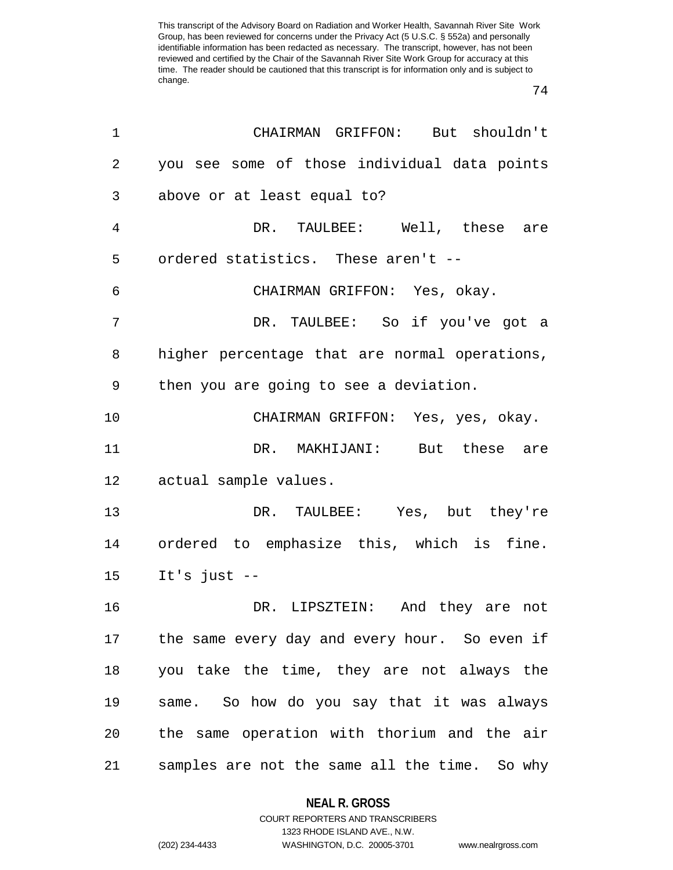74

| 1  | CHAIRMAN GRIFFON: But shouldn't               |
|----|-----------------------------------------------|
| 2  | you see some of those individual data points  |
| 3  | above or at least equal to?                   |
| 4  | DR. TAULBEE: Well, these are                  |
| 5  | ordered statistics. These aren't --           |
| 6  | CHAIRMAN GRIFFON: Yes, okay.                  |
| 7  | DR. TAULBEE: So if you've got a               |
| 8  | higher percentage that are normal operations, |
| 9  | then you are going to see a deviation.        |
| 10 | CHAIRMAN GRIFFON: Yes, yes, okay.             |
| 11 | DR. MAKHIJANI: But these are                  |
| 12 | actual sample values.                         |
| 13 | DR. TAULBEE: Yes, but they're                 |
| 14 | ordered to emphasize this, which is fine.     |
| 15 | It's just $-$                                 |
| 16 | DR. LIPSZTEIN: And they are not               |
| 17 | the same every day and every hour. So even if |
| 18 | you take the time, they are not always the    |
| 19 | same. So how do you say that it was always    |
| 20 | the same operation with thorium and the air   |
| 21 | samples are not the same all the time. So why |

## **NEAL R. GROSS**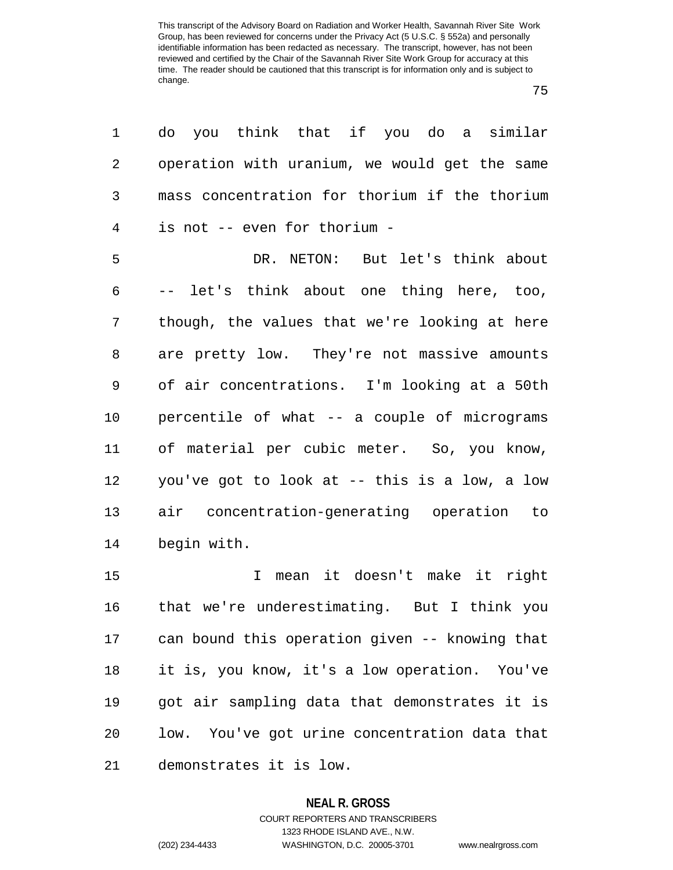75

1 do you think that if you do a similar 2 operation with uranium, we would get the same 3 mass concentration for thorium if the thorium 4 is not -- even for thorium - 5 DR. NETON: But let's think about 6 -- let's think about one thing here, too, 7 though, the values that we're looking at here 8 are pretty low. They're not massive amounts 9 of air concentrations. I'm looking at a 50th 10 percentile of what -- a couple of micrograms 11 of material per cubic meter. So, you know, 12 you've got to look at -- this is a low, a low 13 air concentration-generating operation to 14 begin with. 15 I mean it doesn't make it right 16 that we're underestimating. But I think you 17 can bound this operation given -- knowing that 18 it is, you know, it's a low operation. You've 19 got air sampling data that demonstrates it is 20 low. You've got urine concentration data that 21 demonstrates it is low.

#### **NEAL R. GROSS**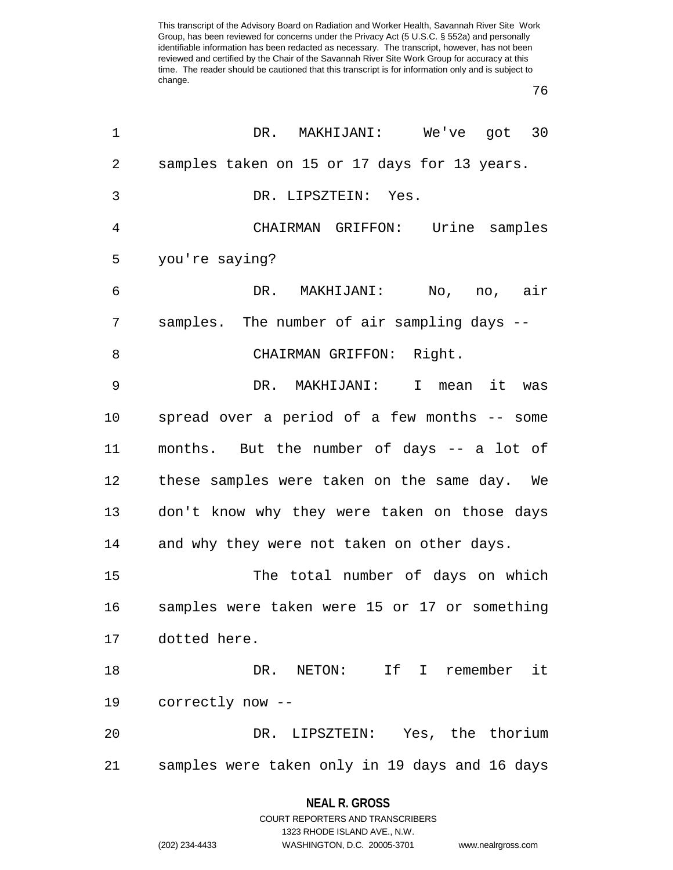76

| 1  | DR. MAKHIJANI: We've got 30                    |
|----|------------------------------------------------|
| 2  | samples taken on 15 or 17 days for 13 years.   |
| 3  | DR. LIPSZTEIN: Yes.                            |
| 4  | CHAIRMAN GRIFFON: Urine samples                |
| 5  | you're saying?                                 |
| 6  | DR. MAKHIJANI: No, no, air                     |
| 7  | samples. The number of air sampling days --    |
| 8  | CHAIRMAN GRIFFON: Right.                       |
| 9  | DR. MAKHIJANI: I mean<br>it was                |
| 10 | spread over a period of a few months -- some   |
| 11 | months. But the number of days -- a lot of     |
| 12 | these samples were taken on the same day. We   |
| 13 | don't know why they were taken on those days   |
| 14 | and why they were not taken on other days.     |
| 15 | The total number of days on which              |
| 16 | samples were taken were 15 or 17 or something  |
| 17 | dotted here.                                   |
| 18 | If I remember it<br>DR. NETON:                 |
| 19 | correctly now --                               |
| 20 | DR. LIPSZTEIN: Yes, the thorium                |
| 21 | samples were taken only in 19 days and 16 days |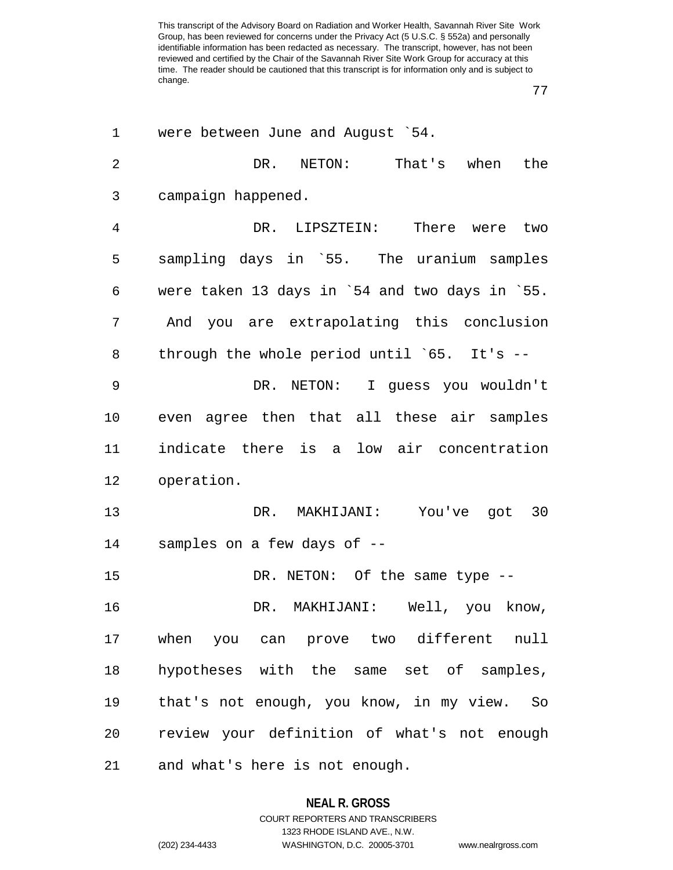77

| 1              | were between June and August 54.               |
|----------------|------------------------------------------------|
| $\overline{2}$ | DR. NETON:<br>That's when the                  |
| 3              | campaign happened.                             |
| 4              | DR. LIPSZTEIN: There were two                  |
| 5              | sampling days in `55. The uranium samples      |
| 6              | were taken 13 days in `54 and two days in `55. |
| 7              | And you are extrapolating this conclusion      |
| 8              | through the whole period until `65. It's --    |
| 9              | DR. NETON: I guess you wouldn't                |
| 10             | even agree then that all these air samples     |
| 11             | indicate there is a low air concentration      |
| 12             | operation.                                     |
| 13             | DR. MAKHIJANI: You've got 30                   |
| 14             | samples on a few days of --                    |
| 15             | DR. NETON: Of the same type --                 |
| 16             | DR. MAKHIJANI: Well, you know,                 |
| 17             | when you can prove two different null          |
| 18             | hypotheses with the same set of samples,       |
| 19             | that's not enough, you know, in my view. So    |
| 20             | review your definition of what's not enough    |
| 21             | and what's here is not enough.                 |

#### **NEAL R. GROSS**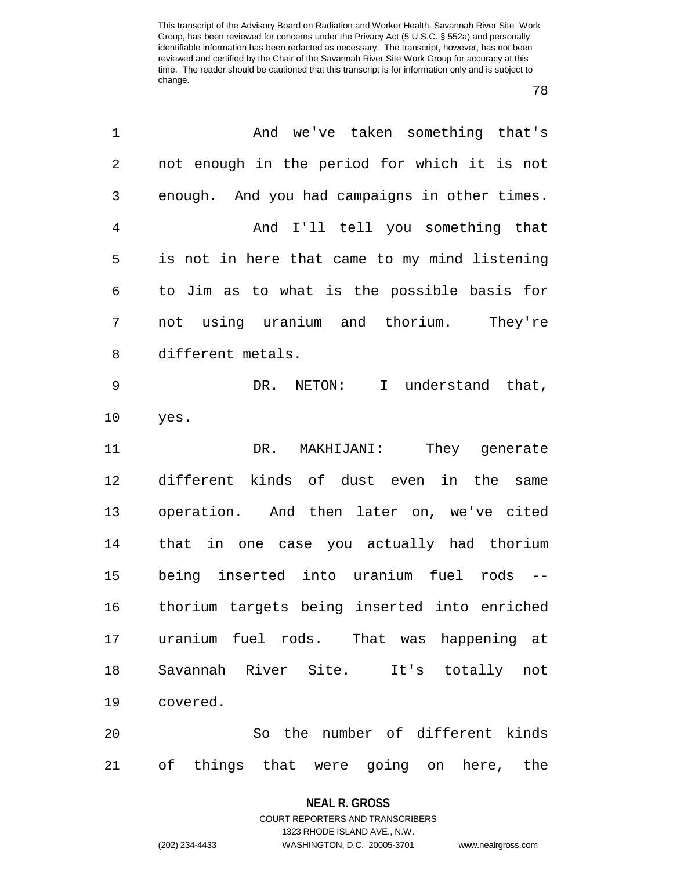78

| $\mathbf 1$ | And we've taken something that's               |
|-------------|------------------------------------------------|
| 2           | not enough in the period for which it is not   |
| 3           | enough. And you had campaigns in other times.  |
| 4           | And I'll tell you something that               |
| 5           | is not in here that came to my mind listening  |
| 6           | to Jim as to what is the possible basis for    |
| 7           | not using uranium and thorium. They're         |
| 8           | different metals.                              |
| 9           | I understand that,<br>DR.<br>NETON:            |
| 10          | yes.                                           |
| 11          | MAKHIJANI: They generate<br>DR.                |
| 12          | different kinds of dust even in the same       |
| 13          | operation. And then later on, we've cited      |
| 14          | that in one case you actually had thorium      |
| 15          | being inserted into uranium fuel rods<br>$- -$ |
| 16          | thorium targets being inserted into enriched   |
| 17          | uranium fuel rods. That was happening at       |
| 18          | Savannah River Site. It's totally not          |
| 19          | covered.                                       |
| 20          | So the number of different kinds               |
| 21          | of things that were going on here, the         |

#### **NEAL R. GROSS**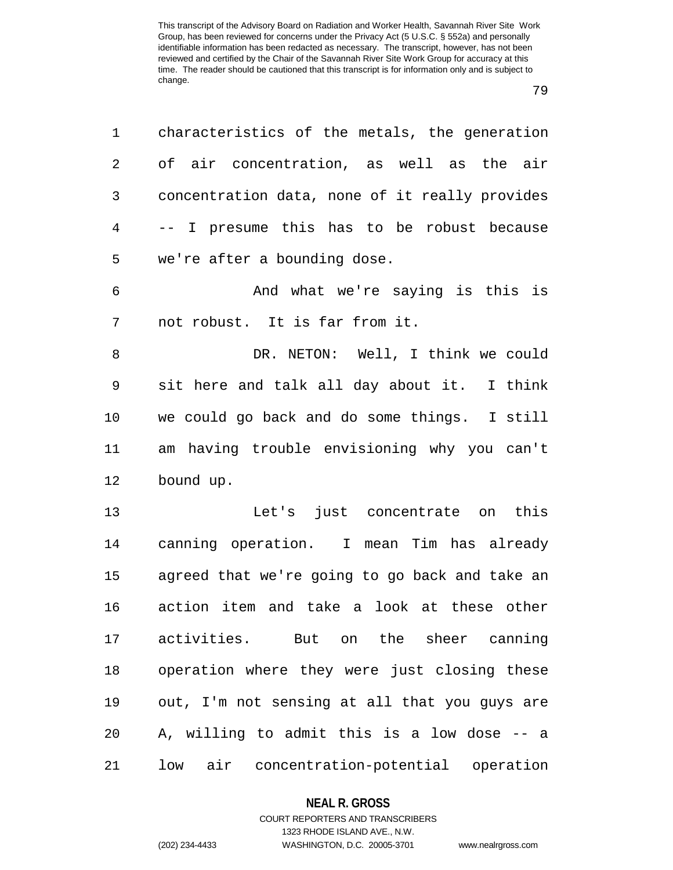79

| 1              | characteristics of the metals, the generation  |
|----------------|------------------------------------------------|
| $\overline{2}$ | of air concentration, as well as the air       |
| 3              | concentration data, none of it really provides |
| 4              | -- I presume this has to be robust because     |
| 5              | we're after a bounding dose.                   |
| 6              | And what we're saying is this is               |
| 7              | not robust. It is far from it.                 |
| 8              | DR. NETON: Well, I think we could              |
| 9              | sit here and talk all day about it. I think    |
| 10             | we could go back and do some things. I still   |
| 11             | am having trouble envisioning why you can't    |
| 12             | bound up.                                      |
| 13             | Let's just concentrate on this                 |
| 14             | canning operation. I mean Tim has already      |
| 15             | agreed that we're going to go back and take an |
| 16             | action item and take a look at these other     |
| 17             | activities. But on the sheer canning           |
| 18             | operation where they were just closing these   |
| 19             | out, I'm not sensing at all that you guys are  |
| 20             | A, willing to admit this is a low dose -- a    |
| 21             | low<br>air concentration-potential operation   |

#### **NEAL R. GROSS**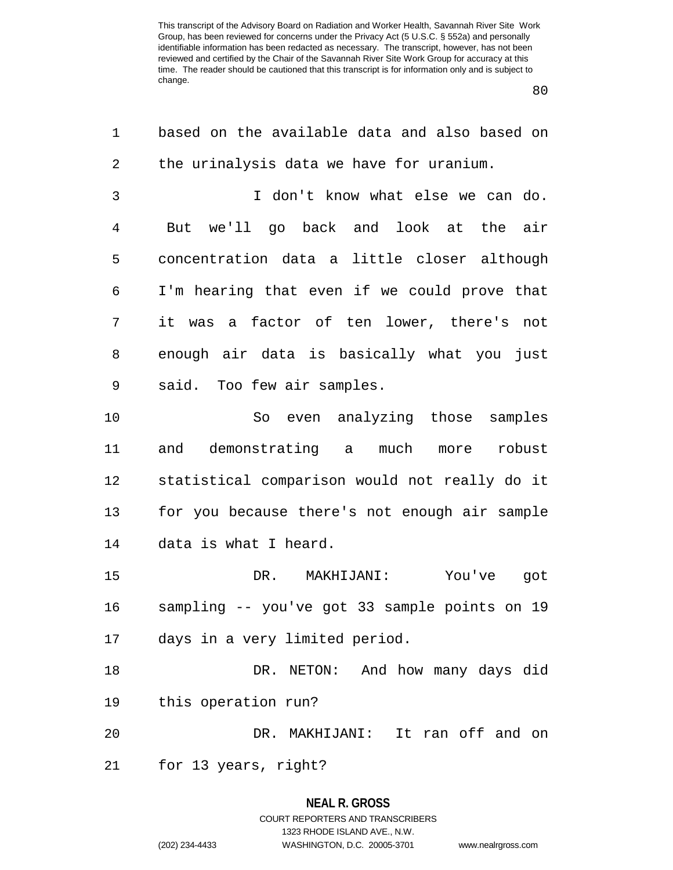80

1 based on the available data and also based on 2 the urinalysis data we have for uranium. 3 I don't know what else we can do. 4 But we'll go back and look at the air 5 concentration data a little closer although 6 I'm hearing that even if we could prove that 7 it was a factor of ten lower, there's not 8 enough air data is basically what you just 9 said. Too few air samples. 10 So even analyzing those samples 11 and demonstrating a much more robust 12 statistical comparison would not really do it 13 for you because there's not enough air sample 14 data is what I heard. 15 DR. MAKHIJANI: You've got 16 sampling -- you've got 33 sample points on 19 17 days in a very limited period. 18 DR. NETON: And how many days did 19 this operation run? 20 DR. MAKHIJANI: It ran off and on 21 for 13 years, right?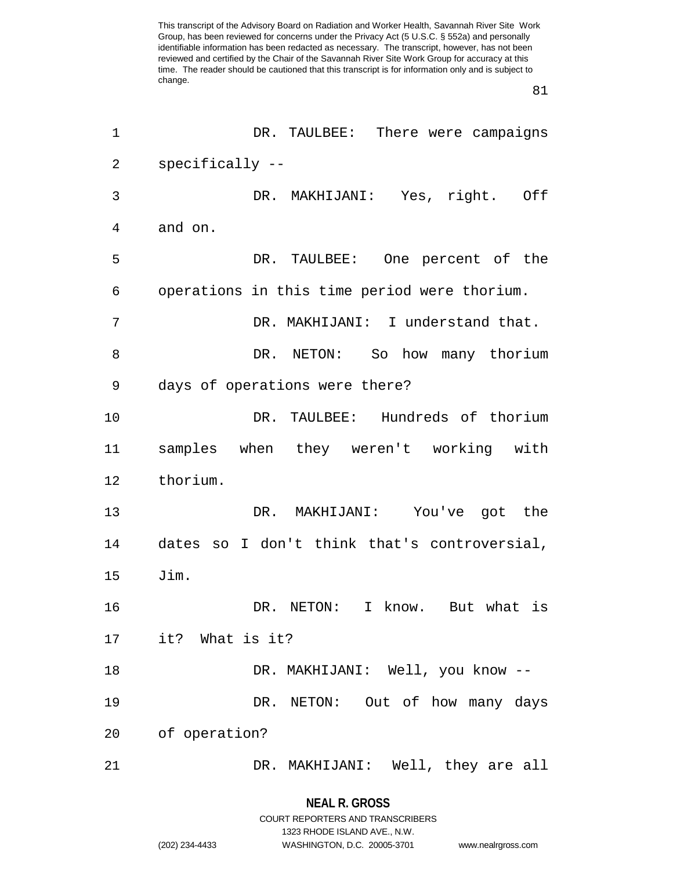1 DR. TAULBEE: There were campaigns 2 specifically -- 3 DR. MAKHIJANI: Yes, right. Off 4 and on. 5 DR. TAULBEE: One percent of the 6 operations in this time period were thorium. 7 DR. MAKHIJANI: I understand that. 8 DR. NETON: So how many thorium 9 days of operations were there? 10 DR. TAULBEE: Hundreds of thorium 11 samples when they weren't working with 12 thorium. 13 DR. MAKHIJANI: You've got the 14 dates so I don't think that's controversial, 15 Jim. 16 DR. NETON: I know. But what is 17 it? What is it? 18 DR. MAKHIJANI: Well, you know --19 DR. NETON: Out of how many days 20 of operation?

> **NEAL R. GROSS** COURT REPORTERS AND TRANSCRIBERS

21 DR. MAKHIJANI: Well, they are all

1323 RHODE ISLAND AVE., N.W.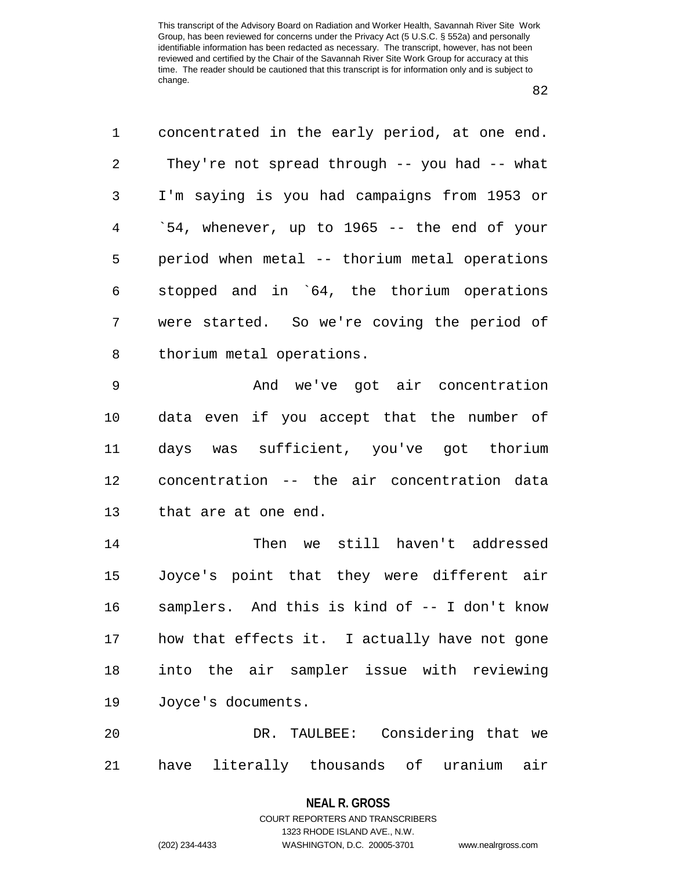82

|                | 1 concentrated in the early period, at one end. |
|----------------|-------------------------------------------------|
| $\overline{2}$ | They're not spread through -- you had -- what   |
| 3              | I'm saying is you had campaigns from 1953 or    |
| 4              | '54, whenever, up to 1965 -- the end of your    |
| 5              | period when metal -- thorium metal operations   |
| 6              | stopped and in `64, the thorium operations      |
| 7              | were started. So we're coving the period of     |
| 8              | thorium metal operations.                       |

9 And we've got air concentration 10 data even if you accept that the number of 11 days was sufficient, you've got thorium 12 concentration -- the air concentration data 13 that are at one end.

14 Then we still haven't addressed 15 Joyce's point that they were different air 16 samplers. And this is kind of -- I don't know 17 how that effects it. I actually have not gone 18 into the air sampler issue with reviewing 19 Joyce's documents.

20 DR. TAULBEE: Considering that we 21 have literally thousands of uranium air

#### **NEAL R. GROSS** COURT REPORTERS AND TRANSCRIBERS

1323 RHODE ISLAND AVE., N.W. (202) 234-4433 WASHINGTON, D.C. 20005-3701 www.nealrgross.com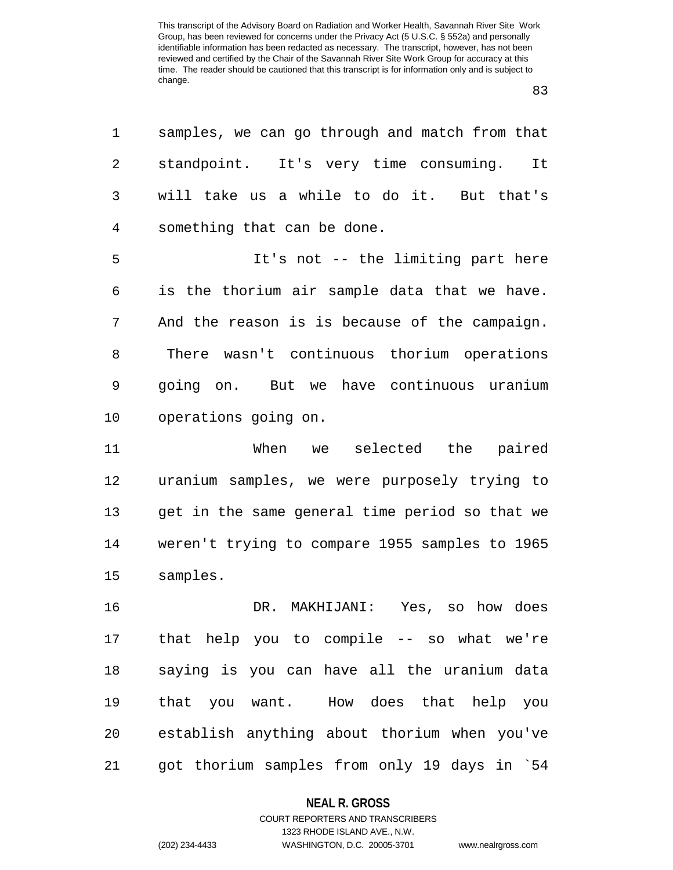83

| 1  | samples, we can go through and match from that |
|----|------------------------------------------------|
| 2  | standpoint. It's very time consuming.<br>It    |
| 3  | will take us a while to do it. But that's      |
| 4  | something that can be done.                    |
| 5  | It's not -- the limiting part here             |
| 6  | is the thorium air sample data that we have.   |
| 7  | And the reason is is because of the campaign.  |
| 8  | There wasn't continuous thorium operations     |
| 9  | going on. But we have continuous uranium       |
| 10 | operations going on.                           |
| 11 | When we selected the paired                    |
| 12 | uranium samples, we were purposely trying to   |
| 13 | get in the same general time period so that we |
| 14 | weren't trying to compare 1955 samples to 1965 |
| 15 | samples.                                       |
| 16 | DR. MAKHIJANI:<br>Yes, so how does             |
| 17 | that help you to compile -- so what we're      |
| 18 | saying is you can have all the uranium data    |
| 19 | that you want. How does that help you          |
| 20 | establish anything about thorium when you've   |
| 21 | got thorium samples from only 19 days in `54   |

#### **NEAL R. GROSS**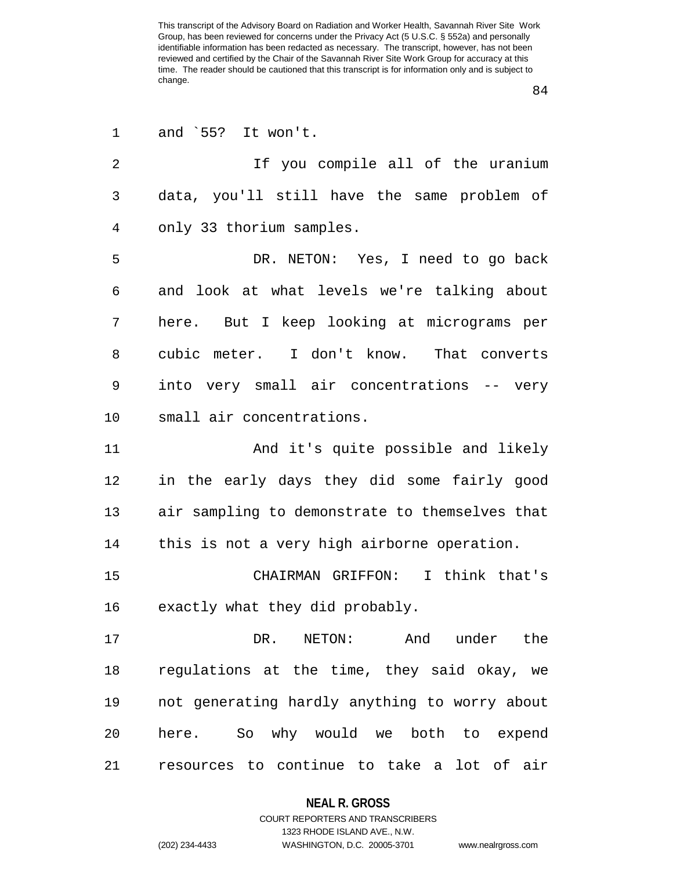| 1  | and `55? It won't.                             |
|----|------------------------------------------------|
| 2  | If you compile all of the uranium              |
| 3  | data, you'll still have the same problem of    |
| 4  | only 33 thorium samples.                       |
| 5  | DR. NETON: Yes, I need to go back              |
| 6  | and look at what levels we're talking about    |
| 7  | here. But I keep looking at micrograms per     |
| 8  | cubic meter. I don't know. That converts       |
| 9  | into very small air concentrations -- very     |
| 10 | small air concentrations.                      |
| 11 | And it's quite possible and likely             |
| 12 | in the early days they did some fairly good    |
| 13 | air sampling to demonstrate to themselves that |
| 14 | this is not a very high airborne operation.    |
| 15 | CHAIRMAN GRIFFON: I think that's               |
| 16 | exactly what they did probably.                |
| 17 | DR. NETON: And under the                       |
| 18 | regulations at the time, they said okay, we    |
| 19 | not generating hardly anything to worry about  |
| 20 | here. So why would we both to expend           |
| 21 | resources to continue to take a lot of air     |

#### **NEAL R. GROSS**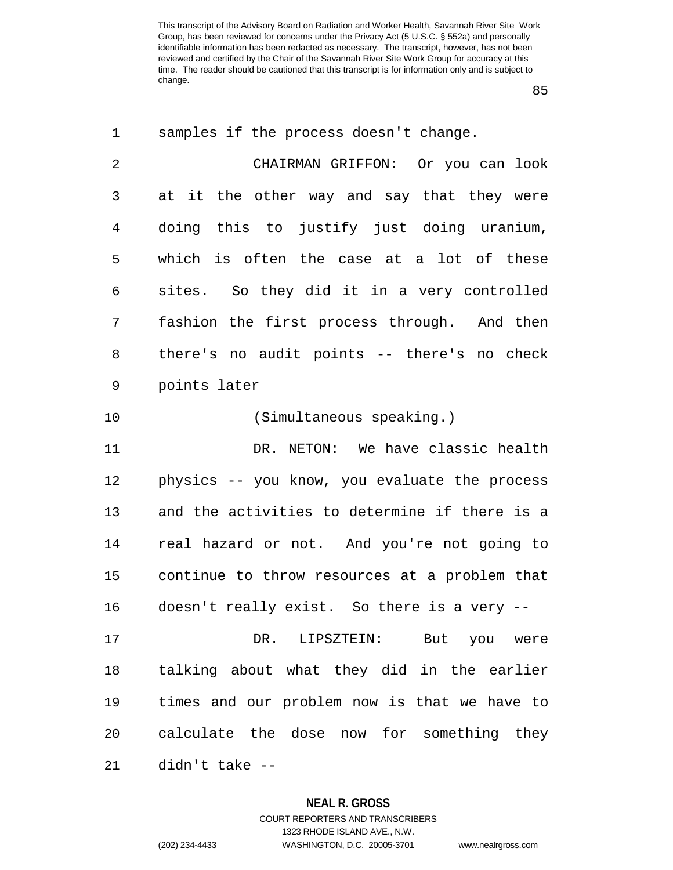85

| $\mathbf 1$ | samples if the process doesn't change.        |
|-------------|-----------------------------------------------|
| 2           | CHAIRMAN GRIFFON: Or you can look             |
| 3           | at it the other way and say that they were    |
| 4           | doing this to justify just doing uranium,     |
| 5           | which is often the case at a lot of these     |
| 6           | sites. So they did it in a very controlled    |
| 7           | fashion the first process through. And then   |
| 8           | there's no audit points -- there's no check   |
| 9           | points later                                  |
| 10          | (Simultaneous speaking.)                      |
| 11          | DR. NETON: We have classic health             |
| 12          | physics -- you know, you evaluate the process |
| 13          | and the activities to determine if there is a |
| 14          | real hazard or not. And you're not going to   |
| 15          | continue to throw resources at a problem that |
| 16          | doesn't really exist. So there is a very --   |
| 17          | DR.<br>LIPSZTEIN: But you were                |
| 18          | talking about what they did in the earlier    |
| 19          | times and our problem now is that we have to  |
| 20          | calculate the dose now for something they     |
| 21          | didn't take --                                |

#### **NEAL R. GROSS**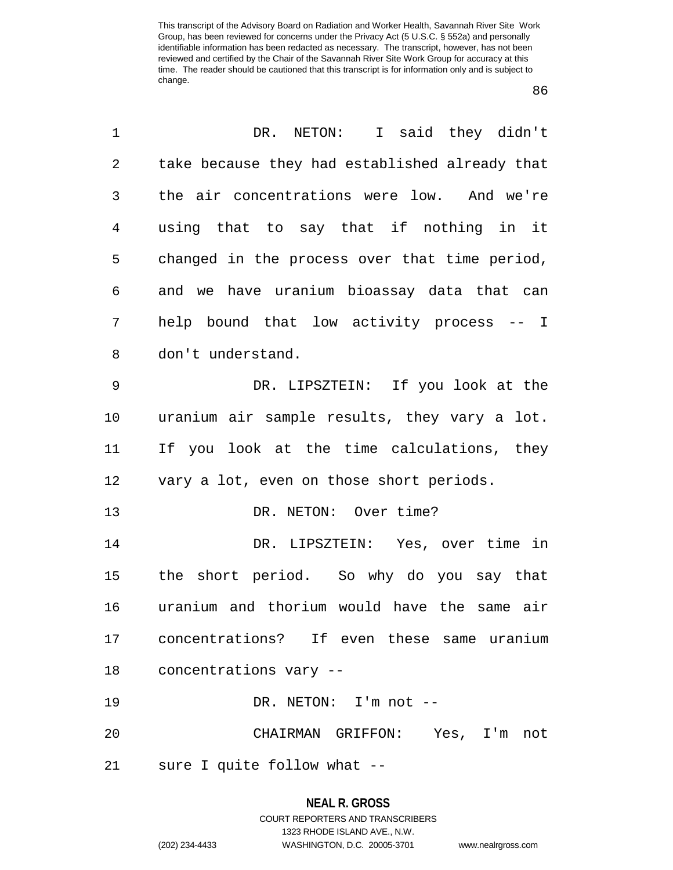86

| 1  | DR. NETON: I said they didn't                  |
|----|------------------------------------------------|
| 2  | take because they had established already that |
| 3  | the air concentrations were low. And we're     |
| 4  | using that to say that if nothing in it        |
| 5  | changed in the process over that time period,  |
| 6  | and we have uranium bioassay data that can     |
| 7  | help bound that low activity process -- I      |
| 8  | don't understand.                              |
| 9  | DR. LIPSZTEIN: If you look at the              |
| 10 | uranium air sample results, they vary a lot.   |
| 11 | If you look at the time calculations, they     |
| 12 | vary a lot, even on those short periods.       |
| 13 | DR. NETON: Over time?                          |
| 14 | DR. LIPSZTEIN: Yes, over time in               |
| 15 | the short period. So why do you say that       |
| 16 | uranium and thorium would have the same air    |
|    | 17 concentrations? If even these same uranium  |
|    | 18 concentrations vary --                      |
| 19 | DR. NETON: I'm not --                          |
| 20 | CHAIRMAN GRIFFON: Yes, I'm not                 |
| 21 | sure I quite follow what --                    |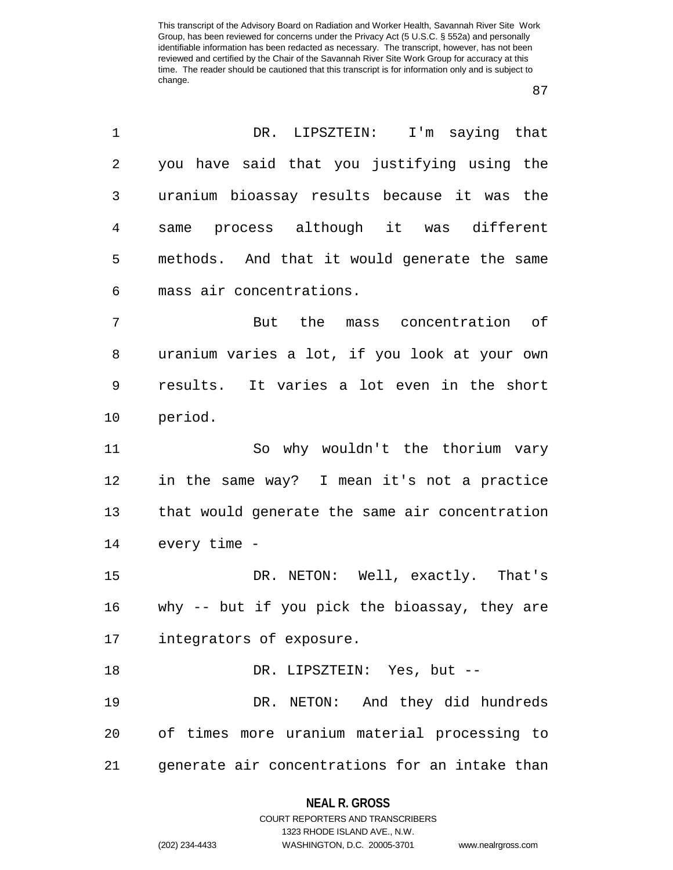87

| 1              | DR. LIPSZTEIN: I'm saying that                 |
|----------------|------------------------------------------------|
| $\overline{2}$ | you have said that you justifying using the    |
| 3              | uranium bioassay results because it was the    |
| 4              | same process although it was different         |
| 5              | methods. And that it would generate the same   |
| 6              | mass air concentrations.                       |
| 7              | But the mass concentration of                  |
| 8              | uranium varies a lot, if you look at your own  |
| 9              | results. It varies a lot even in the short     |
| 10             | period.                                        |
| 11             | So why wouldn't the thorium vary               |
| 12             | in the same way? I mean it's not a practice    |
| 13             | that would generate the same air concentration |
| 14             | every time -                                   |
| 15             | DR. NETON: Well, exactly. That's               |
| 16             | why -- but if you pick the bioassay, they are  |
| 17             | integrators of exposure.                       |
| 18             | DR. LIPSZTEIN: Yes, but --                     |
| 19             | DR. NETON: And they did hundreds               |
| 20             | of times more uranium material processing to   |
| 21             | generate air concentrations for an intake than |

## **NEAL R. GROSS**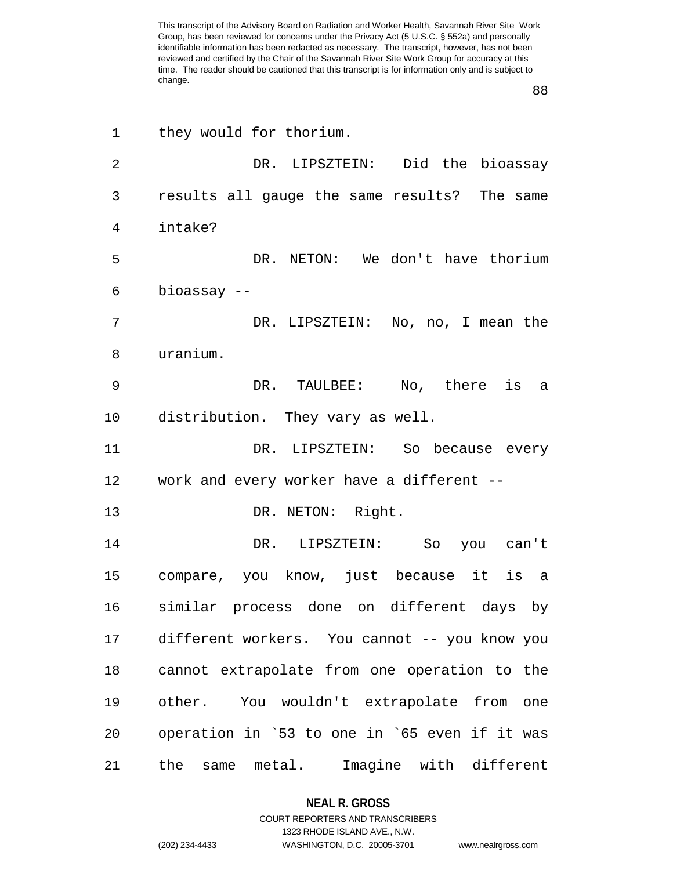88

| 1              | they would for thorium.                       |
|----------------|-----------------------------------------------|
| $\overline{2}$ | DR. LIPSZTEIN: Did the bioassay               |
| 3              | results all gauge the same results? The same  |
| 4              | intake?                                       |
| 5              | DR. NETON: We don't have thorium              |
| 6              | bioassay --                                   |
| 7              | DR. LIPSZTEIN: No, no, I mean the             |
| 8              | uranium.                                      |
| 9              | DR. TAULBEE: No, there is a                   |
| 10             | distribution. They vary as well.              |
| 11             | DR. LIPSZTEIN: So because every               |
| 12             | work and every worker have a different --     |
| 13             | DR. NETON: Right.                             |
| 14             | DR. LIPSZTEIN: So you can't                   |
| 15             | compare, you know, just because it is a       |
| 16             | similar process done on different days by     |
| 17             | different workers. You cannot -- you know you |
| 18             | cannot extrapolate from one operation to the  |
| 19             | other. You wouldn't extrapolate from one      |
| 20             | operation in `53 to one in `65 even if it was |
| 21             | Imagine with different<br>same metal.<br>the  |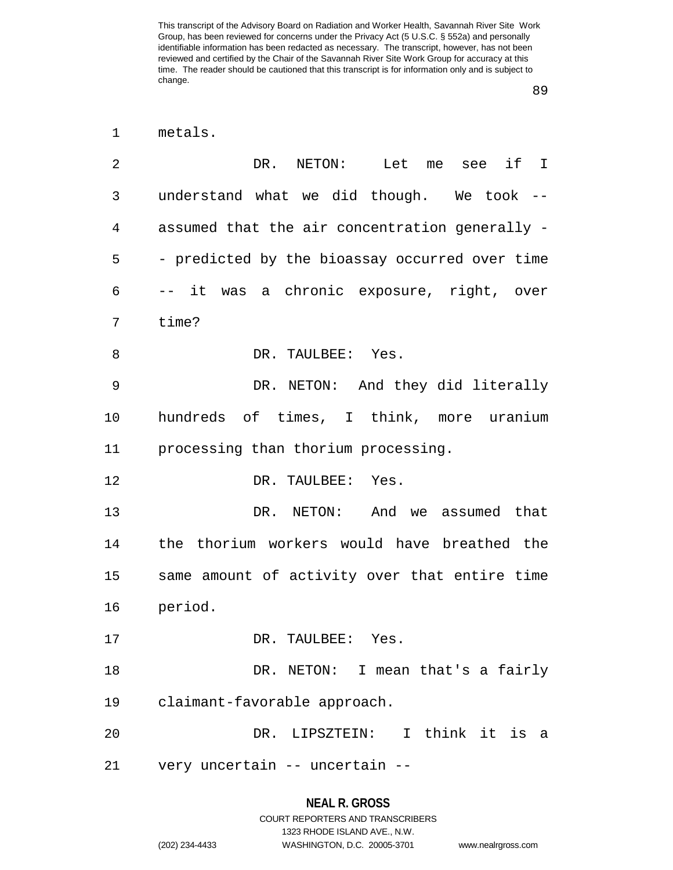| metals. |
|---------|
|         |

| 2              | NETON: Let me<br>DR.<br>see if I               |
|----------------|------------------------------------------------|
| 3              | understand what we did though. We took --      |
| $\overline{4}$ | assumed that the air concentration generally - |
| 5              | - predicted by the bioassay occurred over time |
| 6              | -- it was a chronic exposure, right, over      |
| 7              | time?                                          |
| 8              | DR. TAULBEE: Yes.                              |
| 9              | DR. NETON: And they did literally              |
| 10             | hundreds of times, I think, more uranium       |
| 11             | processing than thorium processing.            |
| 12             | DR. TAULBEE: Yes.                              |
| 13             | DR. NETON: And we assumed that                 |
| 14             | the thorium workers would have breathed the    |
| 15             | same amount of activity over that entire time  |
| 16             | period.                                        |
| 17             | DR. TAULBEE: Yes.                              |
| 18             | DR. NETON: I mean that's a fairly              |
| 19             | claimant-favorable approach.                   |
| 20             | DR. LIPSZTEIN: I think it is a                 |
| 21             | very uncertain -- uncertain --                 |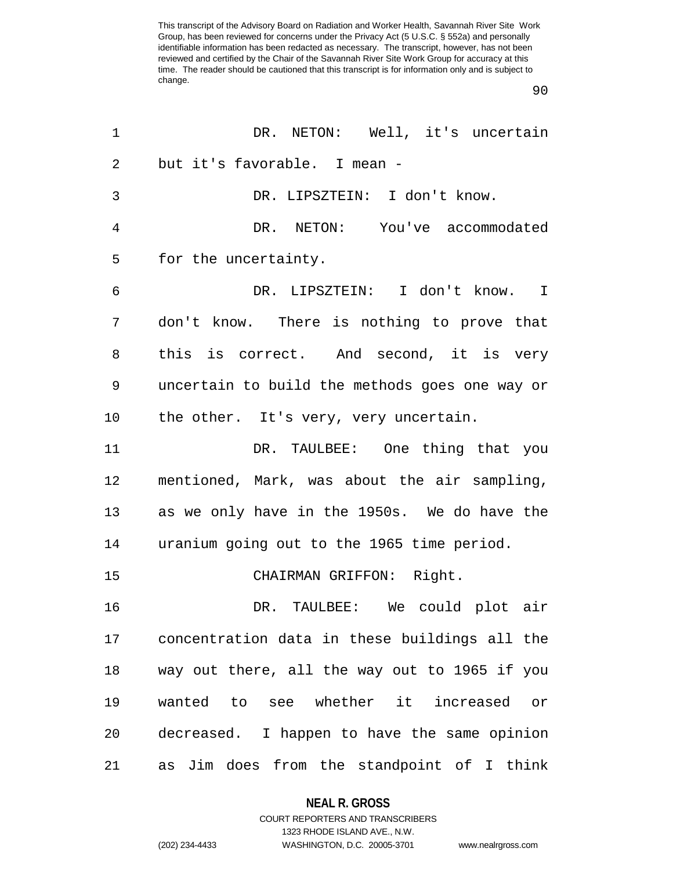90

| 1              | DR. NETON: Well, it's uncertain                |
|----------------|------------------------------------------------|
| $\overline{a}$ | but it's favorable. I mean -                   |
| 3              | DR. LIPSZTEIN: I don't know.                   |
| 4              | DR. NETON: You've accommodated                 |
| 5              | for the uncertainty.                           |
| 6              | DR. LIPSZTEIN: I don't know. I                 |
| 7              | don't know. There is nothing to prove that     |
| 8              | this is correct. And second, it is very        |
| 9              | uncertain to build the methods goes one way or |
| 10             | the other. It's very, very uncertain.          |
| 11             | DR. TAULBEE: One thing that you                |
| 12             | mentioned, Mark, was about the air sampling,   |
| 13             | as we only have in the 1950s. We do have the   |
| 14             | uranium going out to the 1965 time period.     |
| 15             | CHAIRMAN GRIFFON: Right.                       |
| 16             | DR. TAULBEE: We could plot air                 |
| 17             | concentration data in these buildings all the  |
| 18             | way out there, all the way out to 1965 if you  |
| 19             | wanted to see whether it increased or          |
| 20             | decreased. I happen to have the same opinion   |
| 21             | as Jim does from the standpoint of I think     |

#### **NEAL R. GROSS**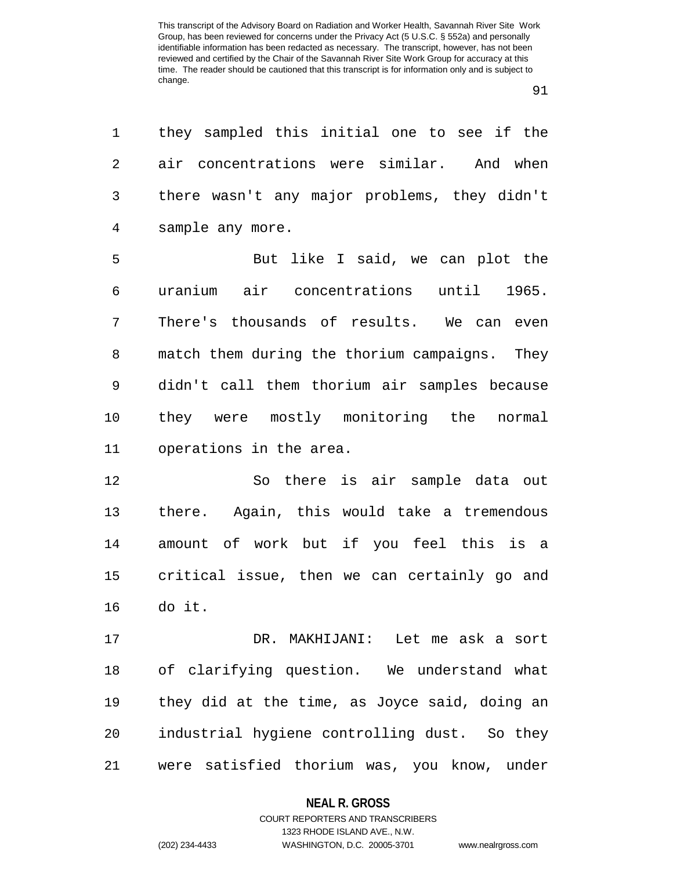91

1 they sampled this initial one to see if the 2 air concentrations were similar. And when 3 there wasn't any major problems, they didn't 4 sample any more.

5 But like I said, we can plot the 6 uranium air concentrations until 1965. 7 There's thousands of results. We can even 8 match them during the thorium campaigns. They 9 didn't call them thorium air samples because 10 they were mostly monitoring the normal 11 operations in the area.

12 So there is air sample data out 13 there. Again, this would take a tremendous 14 amount of work but if you feel this is a 15 critical issue, then we can certainly go and 16 do it.

17 DR. MAKHIJANI: Let me ask a sort 18 of clarifying question. We understand what 19 they did at the time, as Joyce said, doing an 20 industrial hygiene controlling dust. So they 21 were satisfied thorium was, you know, under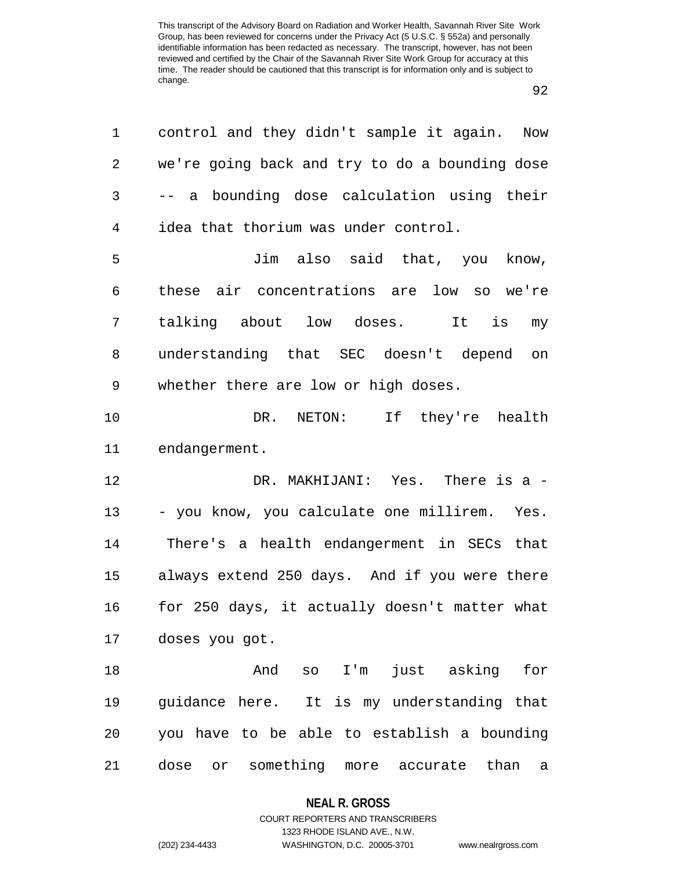92

| 1  | control and they didn't sample it again. Now          |
|----|-------------------------------------------------------|
| 2  | we're going back and try to do a bounding dose        |
| 3  | -- a bounding dose calculation using their            |
| 4  | idea that thorium was under control.                  |
| 5  | Jim also said that, you know,                         |
| 6  | these air concentrations are low so we're             |
| 7  | talking about low doses.<br>is<br>It<br>my            |
| 8  | understanding that SEC doesn't depend on              |
| 9  | whether there are low or high doses.                  |
| 10 | DR. NETON: If they're health                          |
| 11 | endangerment.                                         |
| 12 | DR. MAKHIJANI: Yes. There is a -                      |
| 13 | - you know, you calculate one millirem. Yes.          |
| 14 | There's a health endangerment in SECs that            |
| 15 | always extend 250 days. And if you were there         |
| 16 | for 250 days, it actually doesn't matter what         |
| 17 | doses you got.                                        |
| 18 | just asking<br>for<br>And<br>$I'$ m<br>SO             |
| 19 | guidance here. It is my understanding that            |
| 20 | you have to be able to establish a bounding           |
| 21 | something<br>dose<br>than<br>more accurate<br>or<br>а |

#### **NEAL R. GROSS**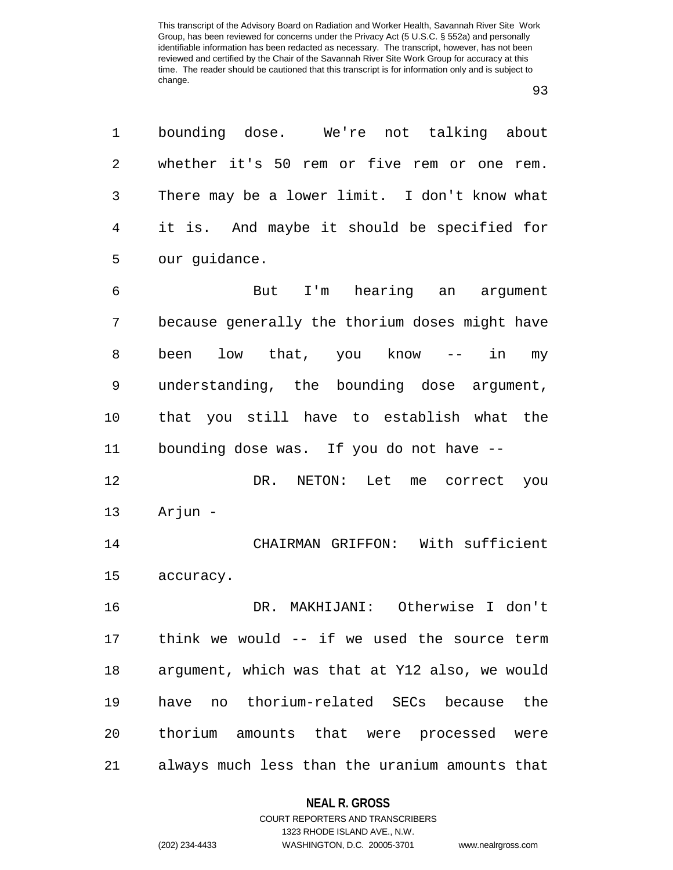93

1 bounding dose. We're not talking about 2 whether it's 50 rem or five rem or one rem. 3 There may be a lower limit. I don't know what 4 it is. And maybe it should be specified for 5 our guidance. 6 But I'm hearing an argument 7 because generally the thorium doses might have 8 been low that, you know -- in my 9 understanding, the bounding dose argument, 10 that you still have to establish what the 11 bounding dose was. If you do not have -- 12 DR. NETON: Let me correct you 13 Arjun - 14 CHAIRMAN GRIFFON: With sufficient 15 accuracy. 16 DR. MAKHIJANI: Otherwise I don't 17 think we would -- if we used the source term 18 argument, which was that at Y12 also, we would 19 have no thorium-related SECs because the 20 thorium amounts that were processed were 21 always much less than the uranium amounts that

#### **NEAL R. GROSS**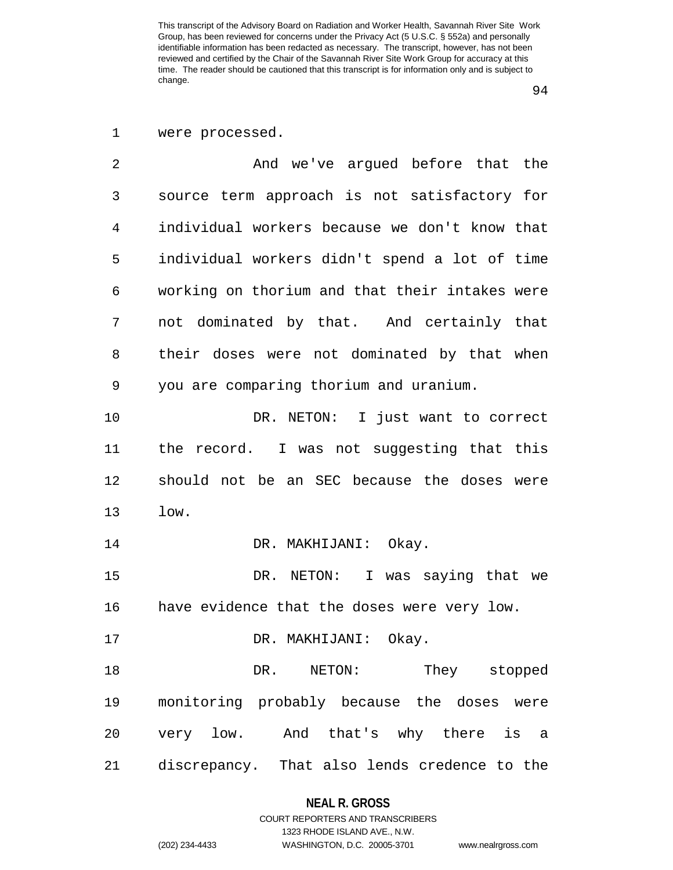94

#### 1 were processed.

2 And we've argued before that the 3 source term approach is not satisfactory for 4 individual workers because we don't know that 5 individual workers didn't spend a lot of time 6 working on thorium and that their intakes were 7 not dominated by that. And certainly that 8 their doses were not dominated by that when 9 you are comparing thorium and uranium. 10 DR. NETON: I just want to correct 11 the record. I was not suggesting that this 12 should not be an SEC because the doses were 13 low. 14 DR. MAKHIJANI: Okay.

15 DR. NETON: I was saying that we 16 have evidence that the doses were very low.

17 DR. MAKHIJANI: Okay.

18 DR. NETON: They stopped 19 monitoring probably because the doses were 20 very low. And that's why there is a 21 discrepancy. That also lends credence to the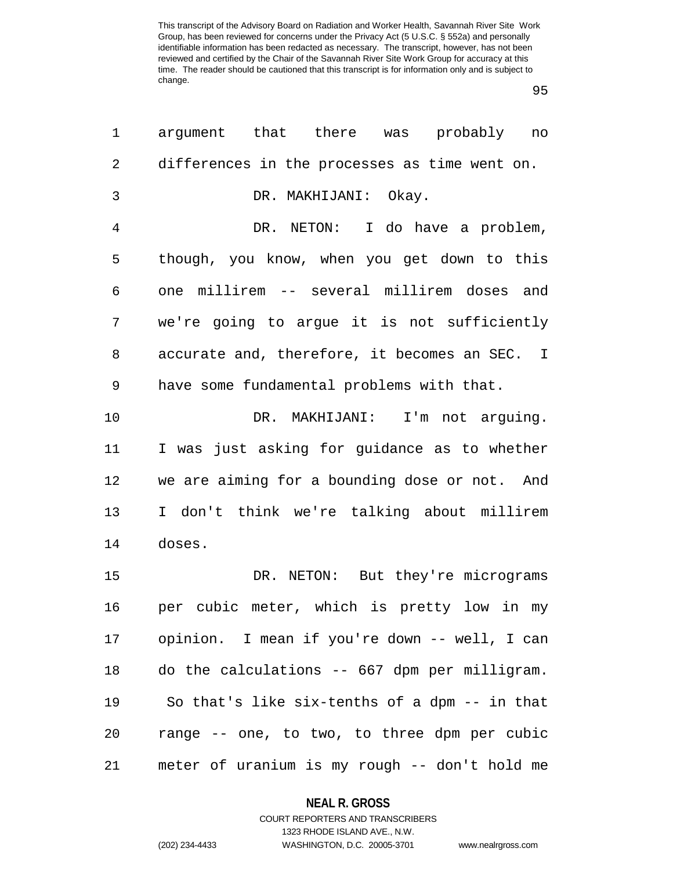95

| 1           | argument that there was probably no           |
|-------------|-----------------------------------------------|
| 2           | differences in the processes as time went on. |
| 3           | DR. MAKHIJANI: Okay.                          |
| 4           | DR. NETON: I do have a problem,               |
| 5           | though, you know, when you get down to this   |
| 6           | one millirem -- several millirem doses and    |
| 7           | we're going to argue it is not sufficiently   |
| 8           | accurate and, therefore, it becomes an SEC. I |
| $\mathsf 9$ | have some fundamental problems with that.     |
| 10          | DR. MAKHIJANI: I'm not arguing.               |
| 11          | I was just asking for guidance as to whether  |
| 12          | we are aiming for a bounding dose or not. And |
| 13          | I don't think we're talking about millirem    |
| 14          | doses.                                        |
| 15          | DR. NETON: But they're micrograms             |
| 16          | per cubic meter, which is pretty low in my    |
| 17          | opinion. I mean if you're down -- well, I can |
| 18          | do the calculations -- 667 dpm per milligram. |
| 19          | So that's like six-tenths of a dpm -- in that |
| 20          | range -- one, to two, to three dpm per cubic  |
| 21          | meter of uranium is my rough -- don't hold me |

## **NEAL R. GROSS**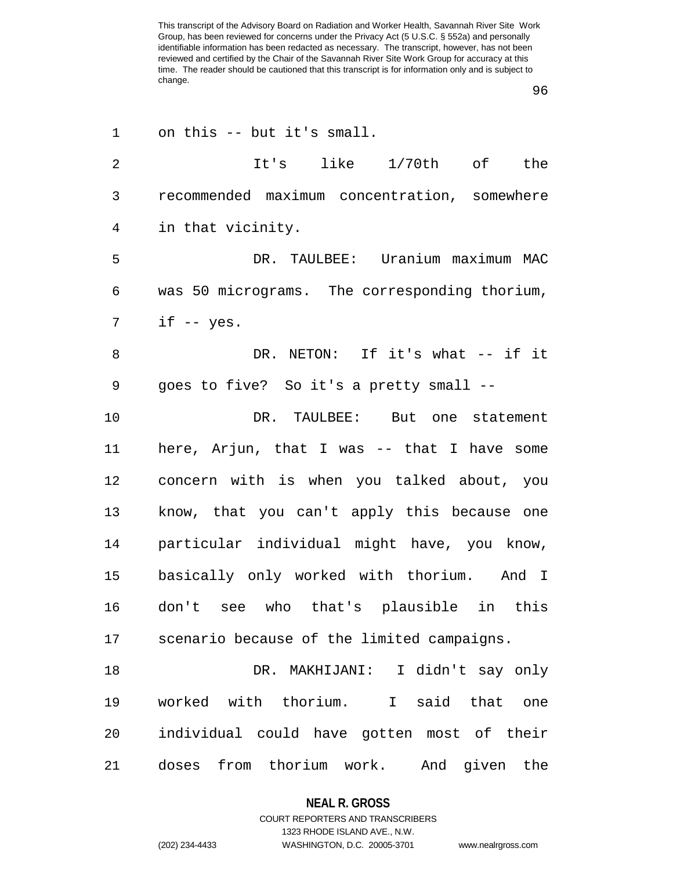96

| 1              | on this -- but it's small.                    |
|----------------|-----------------------------------------------|
| $\overline{2}$ | It's like 1/70th of the                       |
| 3              | recommended maximum concentration, somewhere  |
| 4              | in that vicinity.                             |
| 5              | DR. TAULBEE: Uranium maximum MAC              |
| 6              | was 50 micrograms. The corresponding thorium, |
| 7              | if -- yes.                                    |
| 8              | DR. NETON: If it's what -- if it              |
| $\mathsf 9$    | goes to five? So it's a pretty small --       |
| 10             | DR. TAULBEE: But one statement                |
| 11             | here, Arjun, that I was -- that I have some   |
| 12             | concern with is when you talked about, you    |
| 13             | know, that you can't apply this because one   |
| 14             | particular individual might have, you know,   |
| 15             | basically only worked with thorium. And I     |
| 16             | don't see who that's plausible in this        |
| 17             | scenario because of the limited campaigns.    |
| 18             | DR. MAKHIJANI: I didn't say only              |
| 19             | worked with thorium. I said that one          |
| 20             | individual could have gotten most of their    |
| 21             | doses from thorium work. And given the        |

#### **NEAL R. GROSS**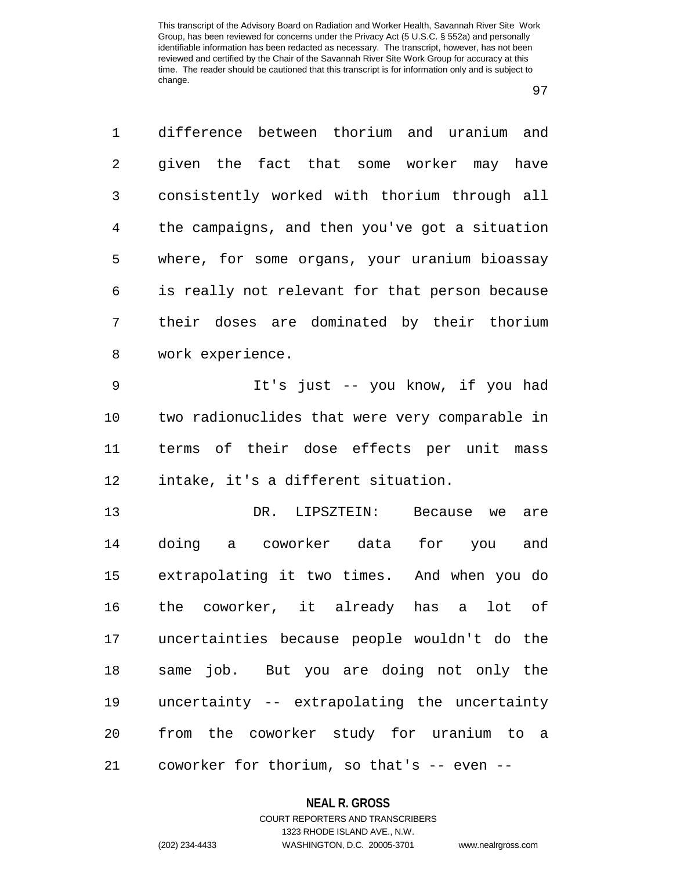97

1 difference between thorium and uranium and 2 given the fact that some worker may have 3 consistently worked with thorium through all 4 the campaigns, and then you've got a situation 5 where, for some organs, your uranium bioassay 6 is really not relevant for that person because 7 their doses are dominated by their thorium 8 work experience. 9 It's just -- you know, if you had 10 two radionuclides that were very comparable in 11 terms of their dose effects per unit mass 12 intake, it's a different situation. 13 DR. LIPSZTEIN: Because we are 14 doing a coworker data for you and 15 extrapolating it two times. And when you do 16 the coworker, it already has a lot of 17 uncertainties because people wouldn't do the 18 same job. But you are doing not only the 19 uncertainty -- extrapolating the uncertainty 20 from the coworker study for uranium to a 21 coworker for thorium, so that's -- even --

#### **NEAL R. GROSS**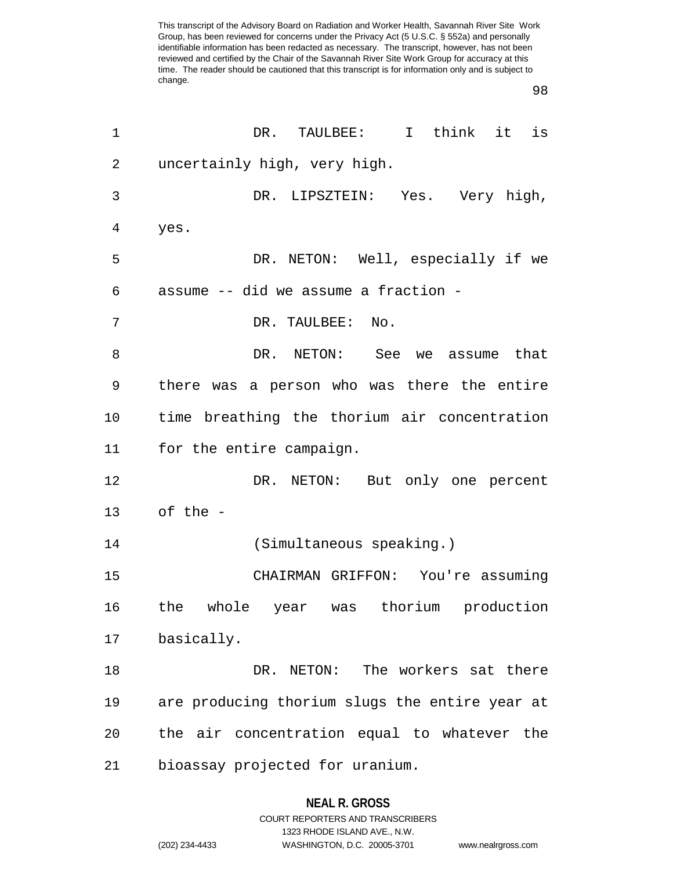98

| 1  | I think it<br>DR.<br>TAULBEE:<br>is            |
|----|------------------------------------------------|
| 2  | uncertainly high, very high.                   |
| 3  | DR. LIPSZTEIN: Yes. Very high,                 |
| 4  | yes.                                           |
| 5  | DR. NETON: Well, especially if we              |
| 6  | assume -- did we assume a fraction -           |
| 7  | DR. TAULBEE:<br>No.                            |
| 8  | DR. NETON: See we assume that                  |
| 9  | there was a person who was there the entire    |
| 10 | time breathing the thorium air concentration   |
| 11 | for the entire campaign.                       |
| 12 | DR. NETON: But only one percent                |
| 13 | of the -                                       |
| 14 | (Simultaneous speaking.)                       |
| 15 | CHAIRMAN GRIFFON: You're assuming              |
| 16 | the whole year was thorium production          |
| 17 | basically.                                     |
| 18 | DR. NETON: The workers sat there               |
| 19 | are producing thorium slugs the entire year at |
| 20 | the air concentration equal to whatever the    |
| 21 | bioassay projected for uranium.                |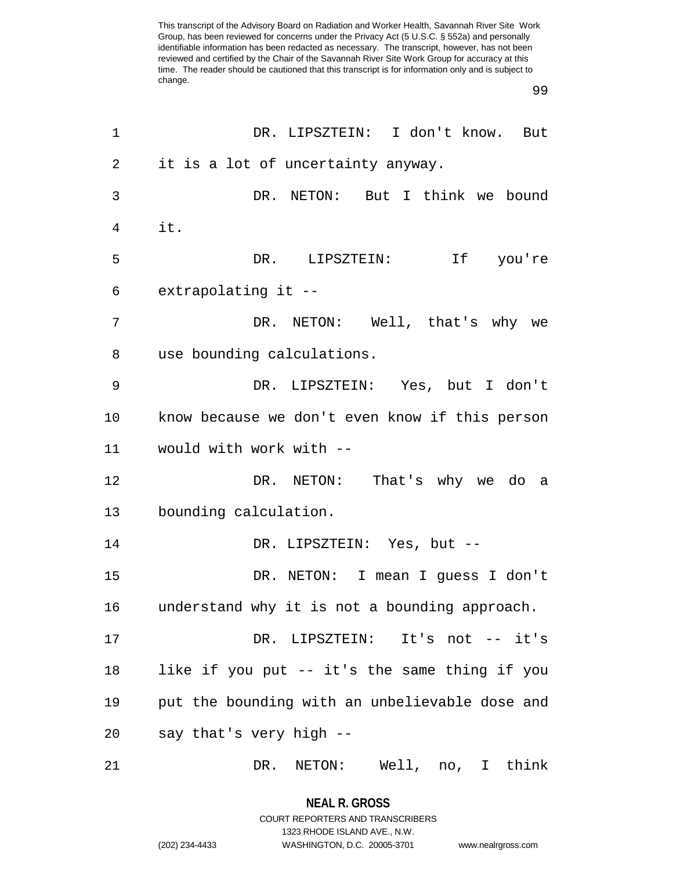99

| 1  | DR. LIPSZTEIN: I don't know. But               |
|----|------------------------------------------------|
| 2  | it is a lot of uncertainty anyway.             |
| 3  | DR. NETON: But I think we bound                |
| 4  | it.                                            |
| 5  | DR. LIPSZTEIN: If you're                       |
| 6  | extrapolating it --                            |
| 7  | DR. NETON: Well, that's why we                 |
| 8  | use bounding calculations.                     |
| 9  | DR. LIPSZTEIN: Yes, but I don't                |
| 10 | know because we don't even know if this person |
| 11 | would with work with --                        |
| 12 | DR. NETON: That's why we do a                  |
| 13 | bounding calculation.                          |
| 14 | DR. LIPSZTEIN: Yes, but --                     |
| 15 | DR. NETON: I mean I guess I don't              |
| 16 | understand why it is not a bounding approach.  |
| 17 | DR. LIPSZTEIN: It's not -- it's                |
| 18 | like if you put -- it's the same thing if you  |
| 19 | put the bounding with an unbelievable dose and |
| 20 | say that's very high --                        |
| 21 | NETON: Well, no, I think<br>DR.                |

**NEAL R. GROSS** COURT REPORTERS AND TRANSCRIBERS

1323 RHODE ISLAND AVE., N.W.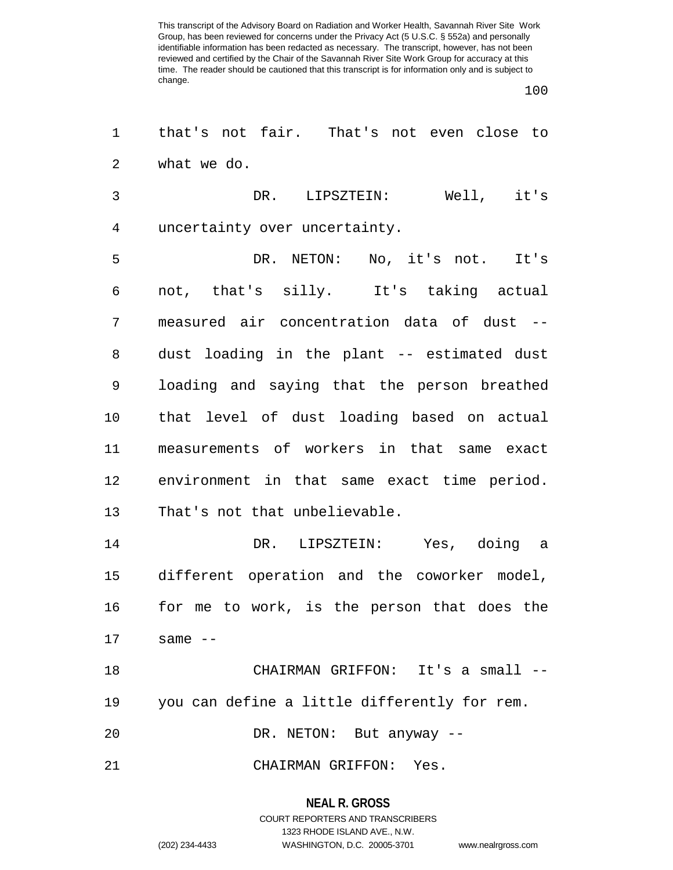100

1 that's not fair. That's not even close to 2 what we do.

3 DR. LIPSZTEIN: Well, it's 4 uncertainty over uncertainty.

5 DR. NETON: No, it's not. It's 6 not, that's silly. It's taking actual 7 measured air concentration data of dust -- 8 dust loading in the plant -- estimated dust 9 loading and saying that the person breathed 10 that level of dust loading based on actual 11 measurements of workers in that same exact 12 environment in that same exact time period. 13 That's not that unbelievable.

14 DR. LIPSZTEIN: Yes, doing a 15 different operation and the coworker model, 16 for me to work, is the person that does the 17 same --

18 CHAIRMAN GRIFFON: It's a small -- 19 you can define a little differently for rem. 20 DR. NETON: But anyway --

21 CHAIRMAN GRIFFON: Yes.

**NEAL R. GROSS** COURT REPORTERS AND TRANSCRIBERS

1323 RHODE ISLAND AVE., N.W.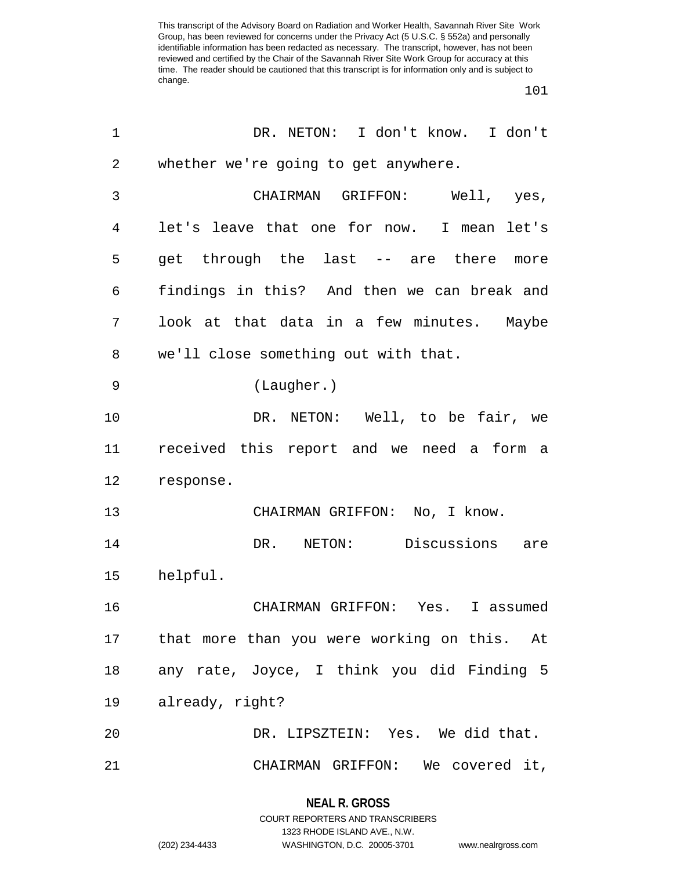101

| $\mathbf 1$ | DR. NETON: I don't know. I don't               |
|-------------|------------------------------------------------|
| 2           | whether we're going to get anywhere.           |
| 3           | CHAIRMAN GRIFFON: Well, yes,                   |
| 4           | let's leave that one for now. I mean let's     |
| 5           | get through the last -- are there more         |
| 6           | findings in this? And then we can break and    |
| 7           | look at that data in a few minutes. Maybe      |
| 8           | we'll close something out with that.           |
| 9           | (Laugher.)                                     |
| 10          | DR. NETON: Well, to be fair, we                |
| 11          | received this report and we need a form a      |
| 12          | response.                                      |
| 13          | CHAIRMAN GRIFFON: No, I know.                  |
| 14          | Discussions are<br>DR. NETON:                  |
| 15          | helpful.                                       |
| 16          | CHAIRMAN GRIFFON: Yes. I assumed               |
|             | 17 that more than you were working on this. At |
| 18          | any rate, Joyce, I think you did Finding 5     |
| 19          | already, right?                                |
| 20          | DR. LIPSZTEIN: Yes. We did that.               |
| 21          | CHAIRMAN GRIFFON: We covered it,               |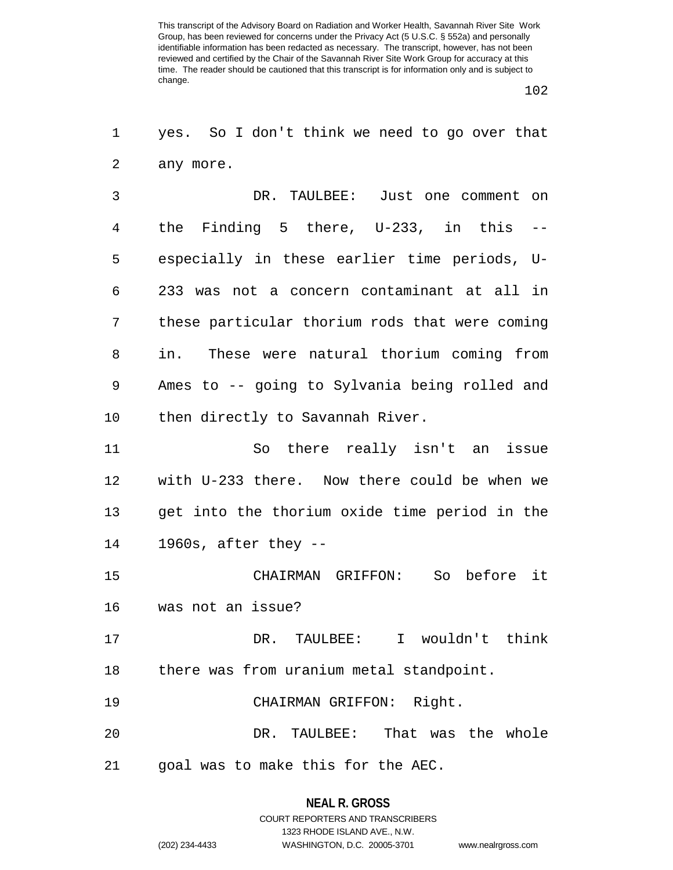102

1 yes. So I don't think we need to go over that 2 any more.

3 DR. TAULBEE: Just one comment on 4 the Finding 5 there, U-233, in this -- 5 especially in these earlier time periods, U-6 233 was not a concern contaminant at all in 7 these particular thorium rods that were coming 8 in. These were natural thorium coming from 9 Ames to -- going to Sylvania being rolled and 10 then directly to Savannah River.

11 So there really isn't an issue 12 with U-233 there. Now there could be when we 13 get into the thorium oxide time period in the 14 1960s, after they --

15 CHAIRMAN GRIFFON: So before it 16 was not an issue?

17 DR. TAULBEE: I wouldn't think 18 there was from uranium metal standpoint.

19 CHAIRMAN GRIFFON: Right.

20 DR. TAULBEE: That was the whole 21 goal was to make this for the AEC.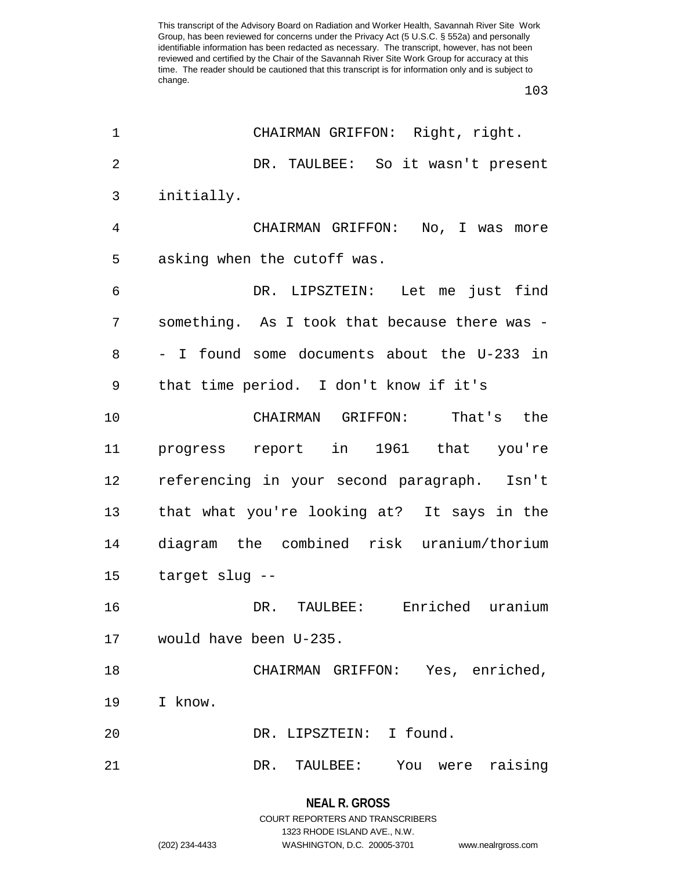103

| 1              | CHAIRMAN GRIFFON: Right, right.               |
|----------------|-----------------------------------------------|
| $\overline{2}$ | DR. TAULBEE: So it wasn't present             |
| 3              | initially.                                    |
| 4              | CHAIRMAN GRIFFON: No, I was more              |
| 5              | asking when the cutoff was.                   |
| 6              | DR. LIPSZTEIN: Let me just find               |
| 7              | something. As I took that because there was - |
| 8              | - I found some documents about the U-233 in   |
| 9              | that time period. I don't know if it's        |
| 10             | CHAIRMAN GRIFFON: That's the                  |
| 11             | progress report in 1961 that you're           |
| 12             | referencing in your second paragraph. Isn't   |
| 13             | that what you're looking at? It says in the   |
| 14             | diagram the combined risk uranium/thorium     |
| 15             | target slug --                                |
| 16             | DR. TAULBEE: Enriched uranium                 |
| 17             | would have been U-235.                        |
| 18             | CHAIRMAN GRIFFON: Yes, enriched,              |
| 19             | I know.                                       |
| 20             | DR. LIPSZTEIN: I found.                       |
| 21             | were raising<br>DR.<br>TAULBEE:<br>You        |
|                |                                               |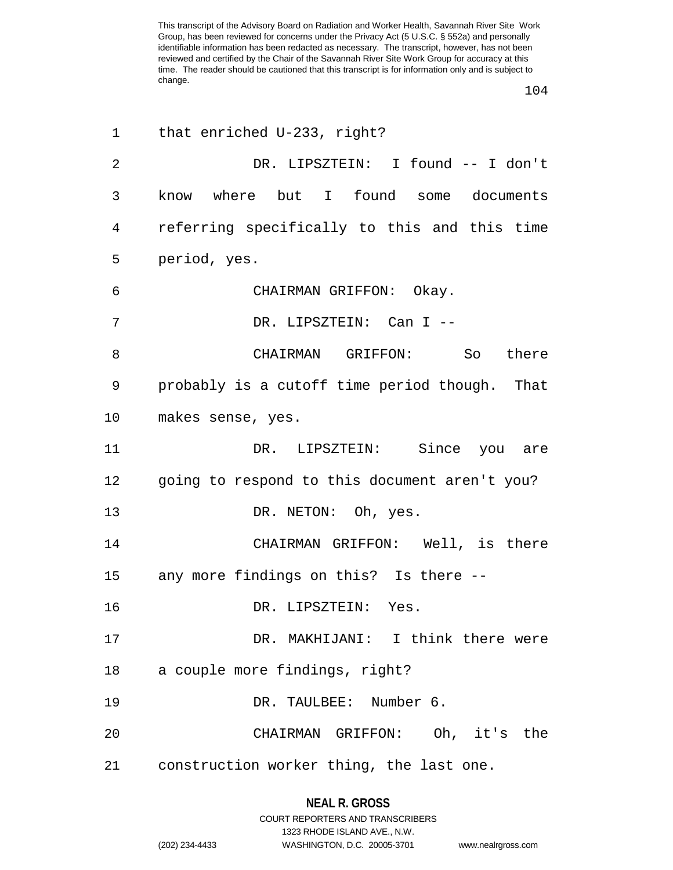104

| 1  | that enriched U-233, right?                   |
|----|-----------------------------------------------|
| 2  | DR. LIPSZTEIN: I found -- I don't             |
| 3  | know where but I found some documents         |
| 4  | referring specifically to this and this time  |
| 5  | period, yes.                                  |
| 6  | CHAIRMAN GRIFFON: Okay.                       |
| 7  | DR. LIPSZTEIN: Can I --                       |
| 8  | CHAIRMAN GRIFFON: So there                    |
| 9  | probably is a cutoff time period though. That |
| 10 | makes sense, yes.                             |
| 11 | DR. LIPSZTEIN: Since you are                  |
| 12 | going to respond to this document aren't you? |
| 13 | DR. NETON: Oh, yes.                           |
| 14 | CHAIRMAN GRIFFON: Well, is there              |
| 15 | any more findings on this? Is there --        |
| 16 | DR. LIPSZTEIN: Yes.                           |
| 17 | DR. MAKHIJANI: I think there were             |
| 18 | a couple more findings, right?                |
| 19 | DR. TAULBEE: Number 6.                        |
| 20 | CHAIRMAN GRIFFON: Oh, it's the                |
| 21 | construction worker thing, the last one.      |

## **NEAL R. GROSS** COURT REPORTERS AND TRANSCRIBERS

1323 RHODE ISLAND AVE., N.W.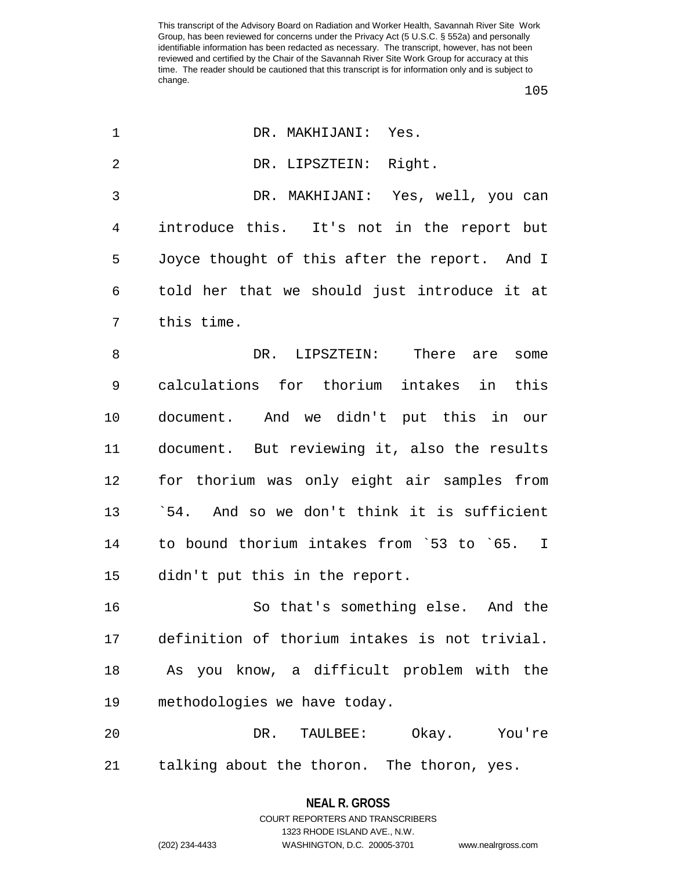105

| 1              | DR. MAKHIJANI: Yes.                            |
|----------------|------------------------------------------------|
| $\overline{2}$ | DR. LIPSZTEIN: Right.                          |
| 3              | DR. MAKHIJANI: Yes, well, you can              |
| $\overline{4}$ | introduce this. It's not in the report but     |
| 5              | Joyce thought of this after the report. And I  |
| 6              | told her that we should just introduce it at   |
| 7              | this time.                                     |
| 8              | DR. LIPSZTEIN: There are<br>some               |
| $\mathsf 9$    | calculations for thorium intakes<br>in<br>this |
| 10             | document. And we didn't put this in our        |
| 11             | document. But reviewing it, also the results   |
| 12             | for thorium was only eight air samples from    |
| 13             | '54. And so we don't think it is sufficient    |
| 14             | to bound thorium intakes from `53 to `65. I    |
| 15             | didn't put this in the report.                 |
| 16             | So that's something else. And the              |
| 17             | definition of thorium intakes is not trivial.  |
| 18             | As you know, a difficult problem with the      |
| 19             | methodologies we have today.                   |
| 20             | DR. TAULBEE: Okay. You're                      |
| 21             | talking about the thoron. The thoron, yes.     |

## **NEAL R. GROSS**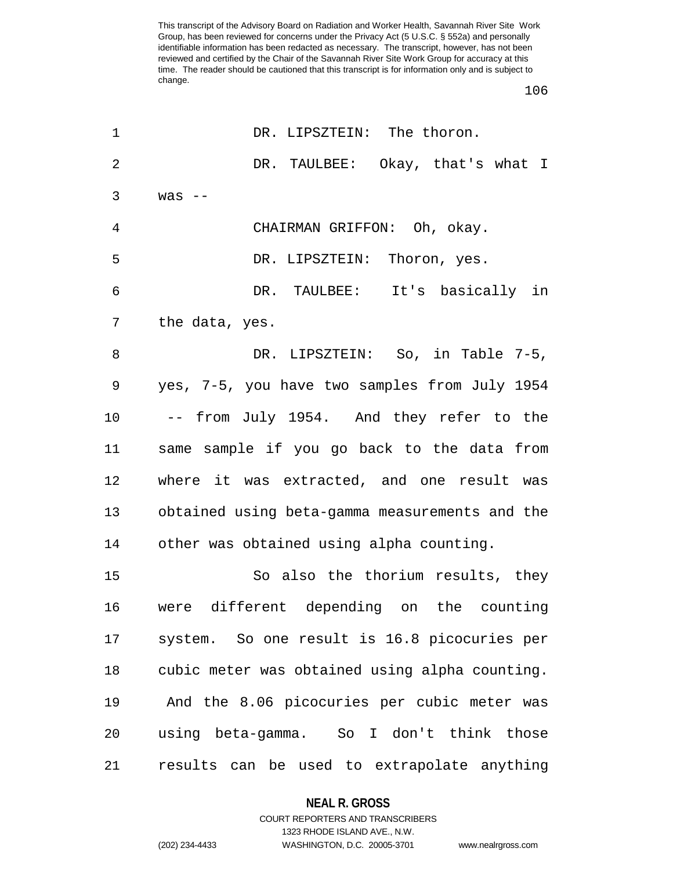| 1  | DR. LIPSZTEIN: The thoron.                     |
|----|------------------------------------------------|
| 2  | DR. TAULBEE: Okay, that's what I               |
| 3  | $was$ --                                       |
| 4  | CHAIRMAN GRIFFON: Oh, okay.                    |
| 5  | DR. LIPSZTEIN: Thoron, yes.                    |
| 6  | DR. TAULBEE: It's basically in                 |
| 7  | the data, yes.                                 |
| 8  | DR. LIPSZTEIN: So, in Table 7-5,               |
| 9  | yes, 7-5, you have two samples from July 1954  |
| 10 | -- from July 1954. And they refer to the       |
| 11 | same sample if you go back to the data from    |
| 12 | where it was extracted, and one result was     |
| 13 | obtained using beta-gamma measurements and the |
| 14 | other was obtained using alpha counting.       |
| 15 | So also the thorium results, they              |
| 16 | were different depending on the counting       |
| 17 | system. So one result is 16.8 picocuries per   |
| 18 | cubic meter was obtained using alpha counting. |
| 19 | And the 8.06 picocuries per cubic meter was    |
| 20 | using beta-gamma. So I don't think those       |
| 21 | results can be used to extrapolate anything    |

## **NEAL R. GROSS**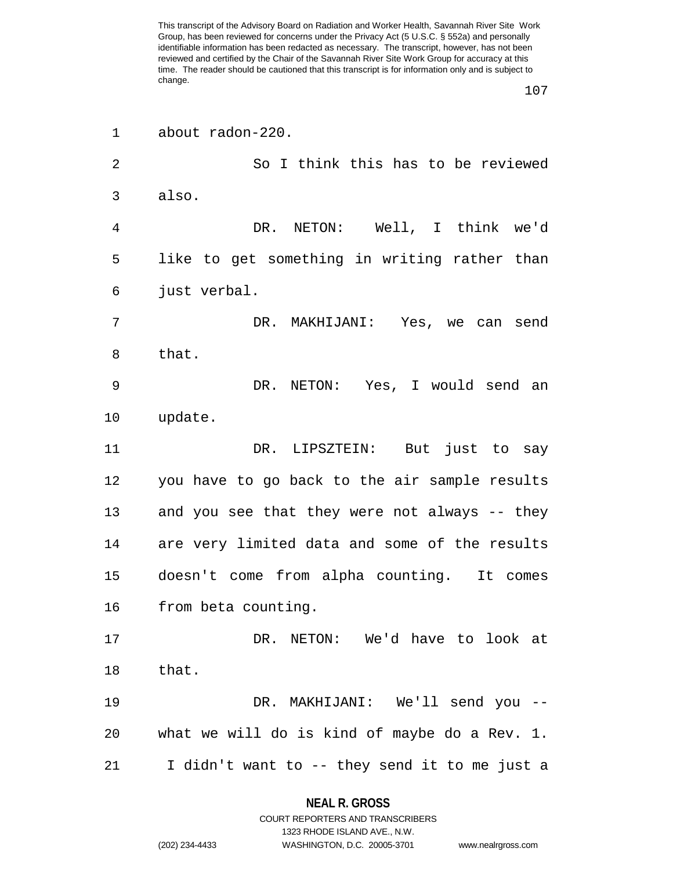| 1              | about radon-220.                              |
|----------------|-----------------------------------------------|
| 2              | So I think this has to be reviewed            |
| 3              | also.                                         |
| $\overline{4}$ | DR. NETON: Well, I think we'd                 |
| 5              | like to get something in writing rather than  |
| 6              | just verbal.                                  |
| 7              | DR. MAKHIJANI: Yes, we can send               |
| 8              | that.                                         |
| 9              | DR. NETON: Yes, I would send an               |
| 10             | update.                                       |
| 11             | DR. LIPSZTEIN: But just to say                |
| 12             | you have to go back to the air sample results |
| 13             | and you see that they were not always -- they |
| 14             | are very limited data and some of the results |
| 15             | doesn't come from alpha counting. It comes    |
| 16             | from beta counting.                           |
| 17             | DR. NETON: We'd have to look at               |
| 18             | that.                                         |
| 19             | DR. MAKHIJANI: We'll send you --              |
| 20             | what we will do is kind of maybe do a Rev. 1. |
| 21             | I didn't want to -- they send it to me just a |

#### **NEAL R. GROSS**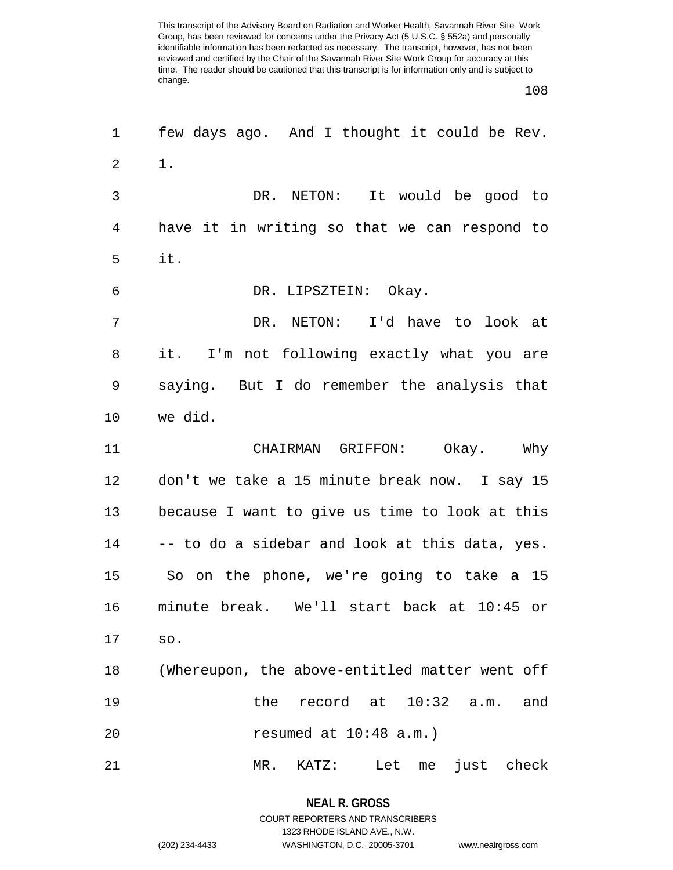| $\mathbf 1$ | few days ago. And I thought it could be Rev.   |
|-------------|------------------------------------------------|
| 2           | $1$ .                                          |
| 3           | DR. NETON:<br>It would be good to              |
| 4           | have it in writing so that we can respond to   |
| 5           | it.                                            |
| 6           | DR. LIPSZTEIN: Okay.                           |
| 7           | DR. NETON: I'd have to look at                 |
| 8           | it. I'm not following exactly what you are     |
| 9           | saying. But I do remember the analysis that    |
| 10          | we did.                                        |
| 11          | CHAIRMAN GRIFFON: Okay. Why                    |
| 12          | don't we take a 15 minute break now. I say 15  |
| 13          | because I want to give us time to look at this |
| 14          | -- to do a sidebar and look at this data, yes. |
| 15          | So on the phone, we're going to take a 15      |
| 16          | minute break. We'll start back at 10:45 or     |
| 17          | SO.                                            |
| 18          | (Whereupon, the above-entitled matter went off |
| 19          | the<br>10:32<br>record at<br>a.m.<br>and       |
| 20          | resumed at $10:48$ a.m.)                       |
| 21          | just<br>check<br>$MR$ .<br>KATZ:<br>Let<br>me  |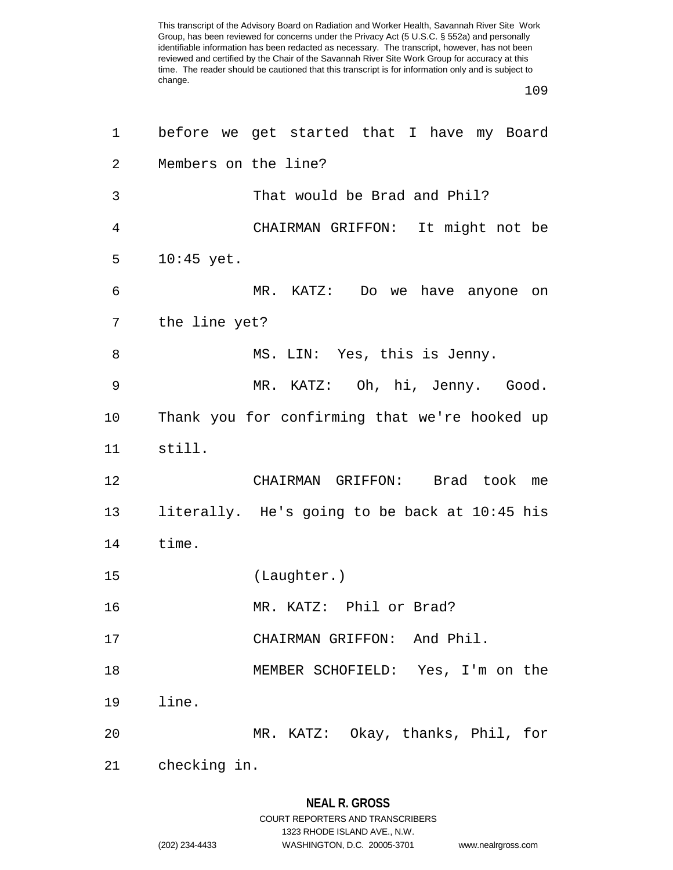109

| 1              | before we get started that I have my Board    |
|----------------|-----------------------------------------------|
| $\overline{a}$ | Members on the line?                          |
| 3              | That would be Brad and Phil?                  |
| 4              | CHAIRMAN GRIFFON: It might not be             |
| 5              | $10:45$ yet.                                  |
| 6              | MR. KATZ: Do we have anyone on                |
| 7              | the line yet?                                 |
| 8              | MS. LIN: Yes, this is Jenny.                  |
| 9              | MR. KATZ: Oh, hi, Jenny. Good.                |
| $10 \,$        | Thank you for confirming that we're hooked up |
| 11             | still.                                        |
| 12             | CHAIRMAN GRIFFON: Brad took me                |
| 13             | literally. He's going to be back at 10:45 his |
| 14             | time.                                         |
| 15             | (Laughter.)                                   |
| 16             | MR. KATZ: Phil or Brad?                       |
| 17             | CHAIRMAN GRIFFON: And Phil.                   |
| 18             | MEMBER SCHOFIELD: Yes, I'm on the             |
| 19             | line.                                         |
| 20             | MR. KATZ: Okay, thanks, Phil, for             |
| 21             | checking in.                                  |

### **NEAL R. GROSS**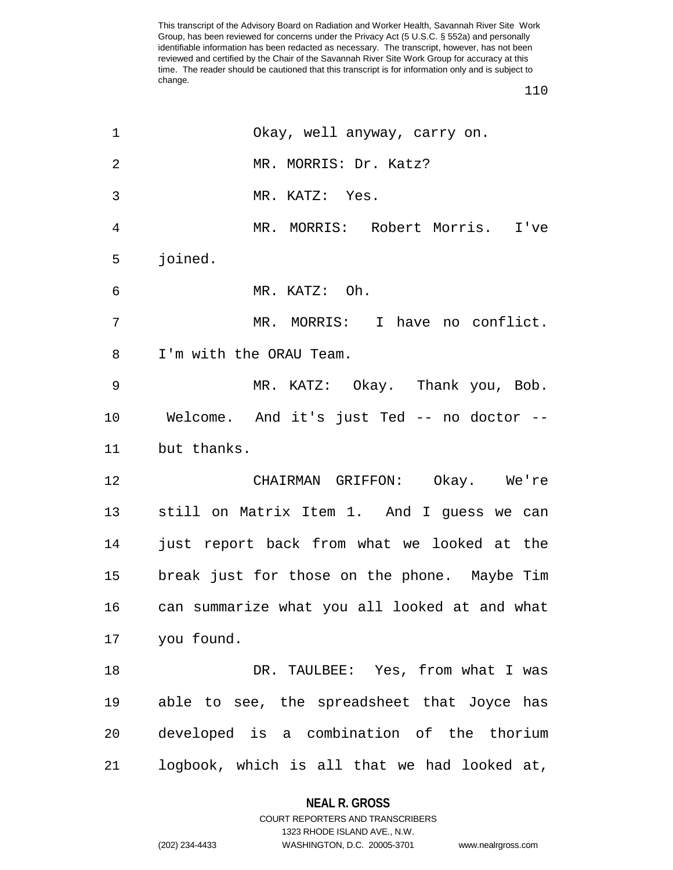110

| 1              | Okay, well anyway, carry on.                  |
|----------------|-----------------------------------------------|
| $\overline{2}$ | MR. MORRIS: Dr. Katz?                         |
| 3              | MR. KATZ: Yes.                                |
| $\overline{4}$ | MR. MORRIS: Robert Morris. I've               |
| 5              | joined.                                       |
| 6              | MR. KATZ: Oh.                                 |
| 7              | MR. MORRIS: I have no conflict.               |
| 8              | I'm with the ORAU Team.                       |
| 9              | MR. KATZ: Okay. Thank you, Bob.               |
| 10             | Welcome. And it's just Ted -- no doctor --    |
| 11             | but thanks.                                   |
| 12             | CHAIRMAN GRIFFON: Okay. We're                 |
| 13             | still on Matrix Item 1. And I guess we can    |
| 14             | just report back from what we looked at the   |
| 15             | break just for those on the phone. Maybe Tim  |
| 16             | can summarize what you all looked at and what |
|                | 17 you found.                                 |
| 18             | DR. TAULBEE: Yes, from what I was             |
| 19             | able to see, the spreadsheet that Joyce has   |
| 20             | developed is a combination of the thorium     |
| 21             | logbook, which is all that we had looked at,  |

#### **NEAL R. GROSS**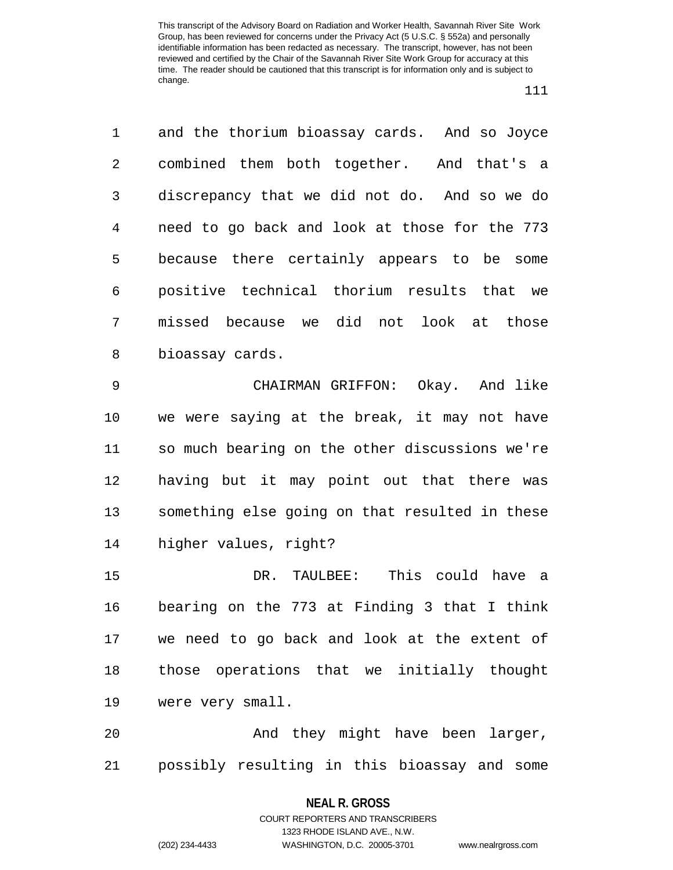111

1 and the thorium bioassay cards. And so Joyce 2 combined them both together. And that's a 3 discrepancy that we did not do. And so we do 4 need to go back and look at those for the 773 5 because there certainly appears to be some 6 positive technical thorium results that we 7 missed because we did not look at those 8 bioassay cards. 9 CHAIRMAN GRIFFON: Okay. And like 10 we were saying at the break, it may not have 11 so much bearing on the other discussions we're 12 having but it may point out that there was 13 something else going on that resulted in these 14 higher values, right? 15 DR. TAULBEE: This could have a 16 bearing on the 773 at Finding 3 that I think 17 we need to go back and look at the extent of 18 those operations that we initially thought 19 were very small. 20 And they might have been larger,

21 possibly resulting in this bioassay and some

#### **NEAL R. GROSS**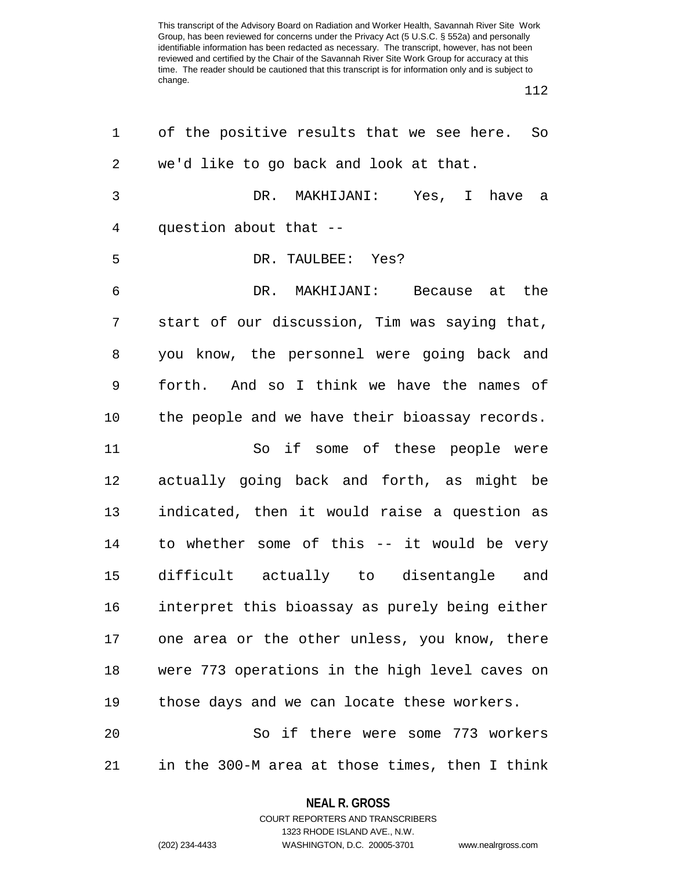| 1           | of the positive results that we see here. So   |
|-------------|------------------------------------------------|
| 2           | we'd like to go back and look at that.         |
| 3           | DR. MAKHIJANI: Yes, I have a                   |
| 4           | question about that --                         |
| 5           | DR. TAULBEE: Yes?                              |
| 6           | DR. MAKHIJANI: Because at<br>the               |
| 7           | start of our discussion, Tim was saying that,  |
| 8           | you know, the personnel were going back and    |
| $\mathsf 9$ | forth. And so I think we have the names of     |
| 10          | the people and we have their bioassay records. |
| 11          | So if some of these people were                |
| 12          | actually going back and forth, as might be     |
| 13          | indicated, then it would raise a question as   |
| 14          | to whether some of this -- it would be very    |
| 15          | difficult actually to disentangle and          |
| 16          | interpret this bioassay as purely being either |
| 17          | one area or the other unless, you know, there  |
| 18          | were 773 operations in the high level caves on |
| 19          | those days and we can locate these workers.    |
| 20          | So if there were some 773 workers              |
| 21          | in the 300-M area at those times, then I think |

# **NEAL R. GROSS** COURT REPORTERS AND TRANSCRIBERS

1323 RHODE ISLAND AVE., N.W. (202) 234-4433 WASHINGTON, D.C. 20005-3701 www.nealrgross.com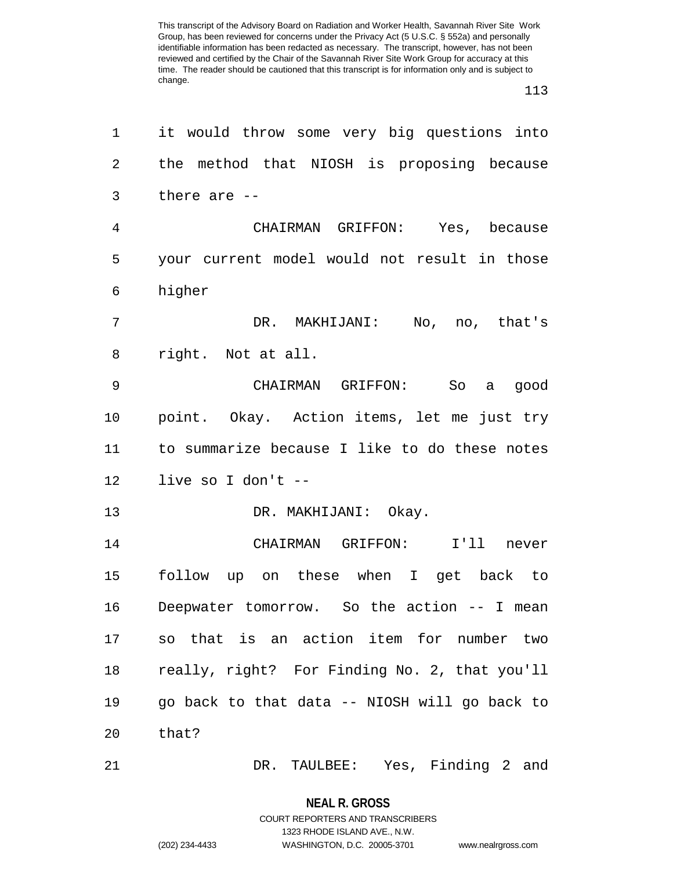| $\mathbf{1}$ | it would throw some very big questions into   |
|--------------|-----------------------------------------------|
| 2            | the method that NIOSH is proposing because    |
| 3            | there are $-$                                 |
| 4            | CHAIRMAN GRIFFON: Yes, because                |
| 5            | your current model would not result in those  |
| 6            | higher                                        |
| 7            | DR. MAKHIJANI: No, no, that's                 |
| 8            | right. Not at all.                            |
| 9            | CHAIRMAN GRIFFON: So a<br>good                |
| 10           | point. Okay. Action items, let me just try    |
| 11           | to summarize because I like to do these notes |
| 12           | live so I don't $-$                           |
| 13           | DR. MAKHIJANI: Okay.                          |
| 14           | CHAIRMAN GRIFFON: I'll never                  |
| 15           | follow up on these when I get back to         |
| 16           | Deepwater tomorrow. So the action -- I mean   |
| 17           | so that is an action item for number two      |
| 18           | really, right? For Finding No. 2, that you'll |
| 19           | go back to that data -- NIOSH will go back to |
| 20           | that?                                         |
|              |                                               |

21 DR. TAULBEE: Yes, Finding 2 and

**NEAL R. GROSS** COURT REPORTERS AND TRANSCRIBERS

1323 RHODE ISLAND AVE., N.W.

(202) 234-4433 WASHINGTON, D.C. 20005-3701 www.nealrgross.com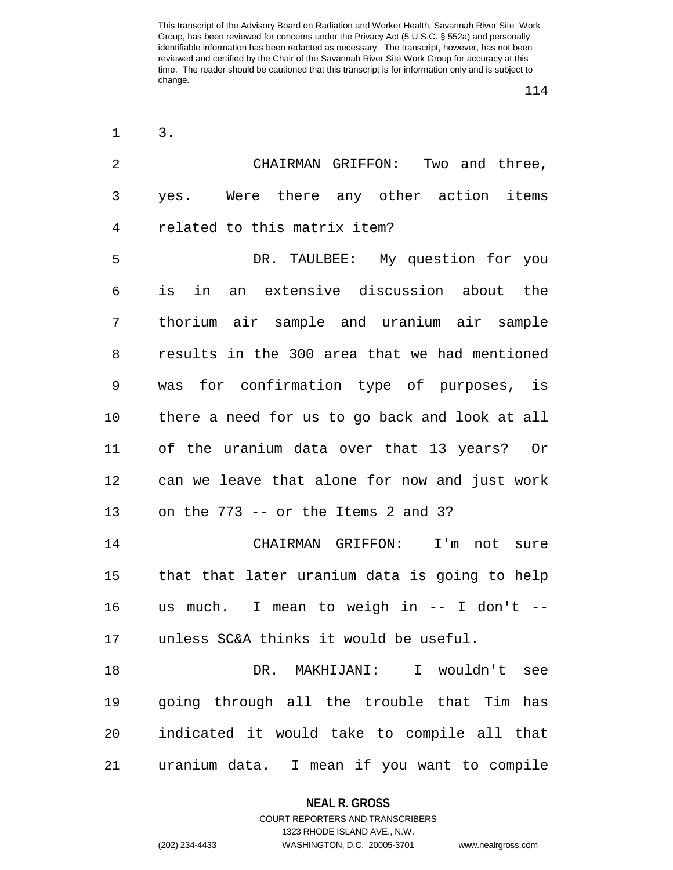| 1              | 3.                                             |
|----------------|------------------------------------------------|
| $\overline{2}$ | CHAIRMAN GRIFFON: Two and three,               |
| 3              | Were there any other action items<br>yes.      |
| 4              | related to this matrix item?                   |
| 5              | DR. TAULBEE: My question for you               |
| 6              | is in an extensive discussion about the        |
| 7              | thorium air sample and uranium air sample      |
| 8              | results in the 300 area that we had mentioned  |
| 9              | was for confirmation type of purposes, is      |
| 10             | there a need for us to go back and look at all |
| 11             | of the uranium data over that 13 years? Or     |
| 12             | can we leave that alone for now and just work  |
| 13             | on the 773 -- or the Items 2 and 3?            |
| 14             | CHAIRMAN GRIFFON: I'm not sure                 |
| 15             | that that later uranium data is going to help  |
| 16             | us much. I mean to weigh in -- I don't --      |
| 17             | unless SC&A thinks it would be useful.         |
| 18             | DR. MAKHIJANI: I wouldn't see                  |
| 19             | going through all the trouble that Tim has     |
| 20             | indicated it would take to compile all that    |
| 21             | uranium data. I mean if you want to compile    |

**NEAL R. GROSS** COURT REPORTERS AND TRANSCRIBERS

1323 RHODE ISLAND AVE., N.W. (202) 234-4433 WASHINGTON, D.C. 20005-3701 www.nealrgross.com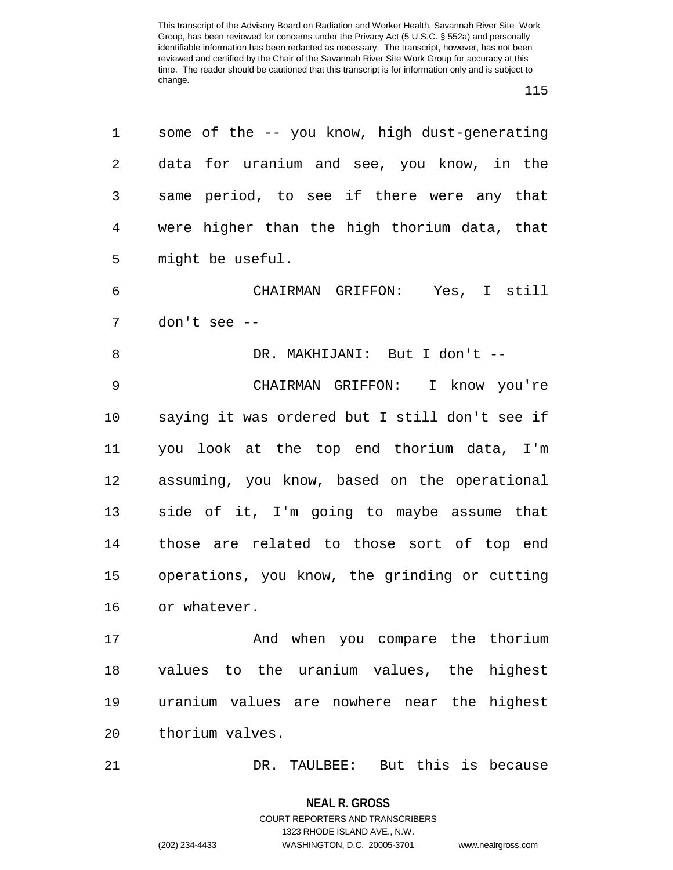| 1              | some of the -- you know, high dust-generating  |
|----------------|------------------------------------------------|
| $\overline{2}$ | data for uranium and see, you know, in the     |
| 3              | same period, to see if there were any that     |
| 4              | were higher than the high thorium data, that   |
| 5              | might be useful.                               |
| 6              | CHAIRMAN GRIFFON: Yes, I still                 |
| 7              | don't see --                                   |
| 8              | DR. MAKHIJANI: But I don't --                  |
| 9              | CHAIRMAN GRIFFON: I know you're                |
| 10             | saying it was ordered but I still don't see if |
| 11             | you look at the top end thorium data, I'm      |
| 12             | assuming, you know, based on the operational   |
| 13             | side of it, I'm going to maybe assume that     |
| 14             | those are related to those sort of top end     |
| 15             | operations, you know, the grinding or cutting  |
| 16             | or whatever.                                   |
| 17             | And when you compare the thorium               |
| 18             | values to the uranium values, the highest      |
| 19             | uranium values are nowhere near the highest    |
| 20             | thorium valves.                                |
| 21             | DR. TAULBEE: But this is because               |

(202) 234-4433 WASHINGTON, D.C. 20005-3701 www.nealrgross.com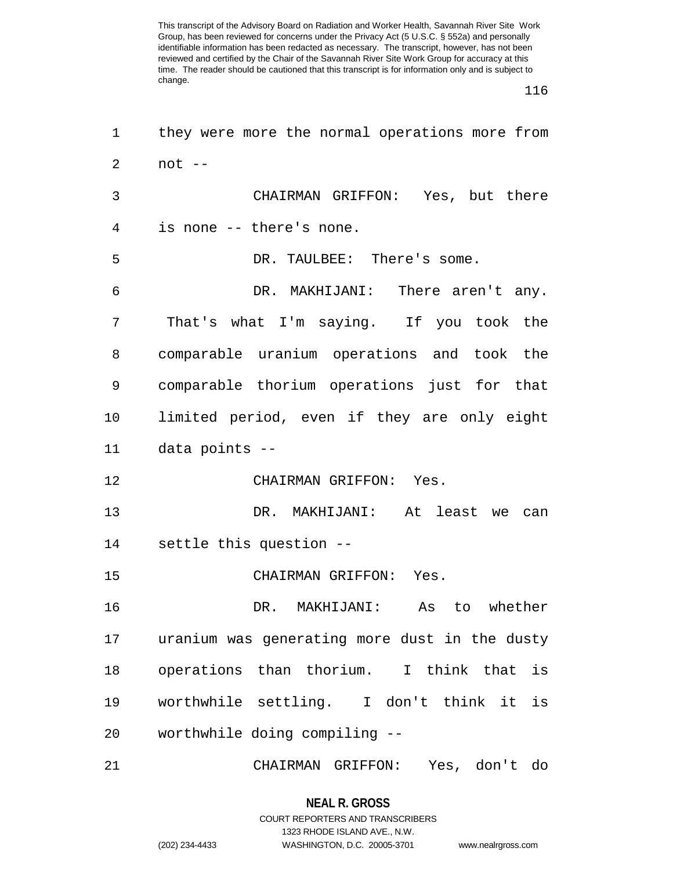| 1       | they were more the normal operations more from |
|---------|------------------------------------------------|
| 2       | $not --$                                       |
| 3       | CHAIRMAN GRIFFON: Yes, but there               |
| 4       | is none -- there's none.                       |
| 5       | DR. TAULBEE: There's some.                     |
| 6       | DR. MAKHIJANI: There aren't any.               |
| 7       | That's what I'm saying. If you took the        |
| 8       | comparable uranium operations and took the     |
| 9       | comparable thorium operations just for that    |
| $10 \,$ | limited period, even if they are only eight    |
| 11      | data points --                                 |
| 12      | CHAIRMAN GRIFFON: Yes.                         |
| 13      | DR. MAKHIJANI: At least we can                 |
| 14      | settle this question --                        |
| 15      | CHAIRMAN GRIFFON: Yes.                         |
| 16      | DR. MAKHIJANI:<br>As to whether                |
| 17      | uranium was generating more dust in the dusty  |
| 18      | operations than thorium. I think that is       |
| 19      | worthwhile settling. I don't think it is       |
| 20      | worthwhile doing compiling --                  |
| 21      | Yes, don't do<br>CHAIRMAN GRIFFON:             |

1323 RHODE ISLAND AVE., N.W.

(202) 234-4433 WASHINGTON, D.C. 20005-3701 www.nealrgross.com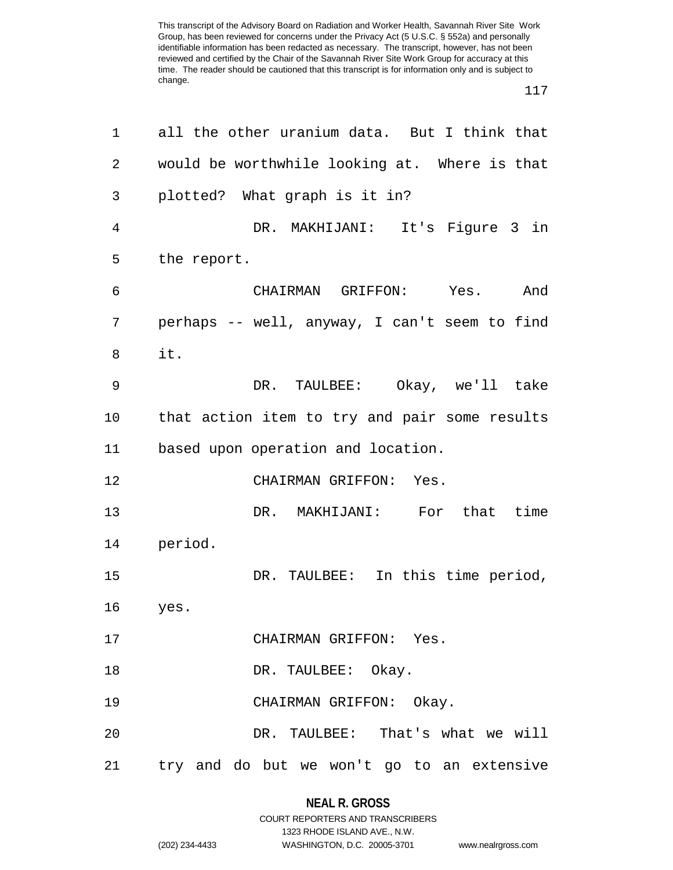| 1              | all the other uranium data. But I think that  |
|----------------|-----------------------------------------------|
| $\overline{2}$ | would be worthwhile looking at. Where is that |
| 3              | plotted? What graph is it in?                 |
| 4              | DR. MAKHIJANI: It's Figure 3 in               |
| 5              | the report.                                   |
| 6              | CHAIRMAN GRIFFON: Yes. And                    |
| 7              | perhaps -- well, anyway, I can't seem to find |
| 8              | it.                                           |
| 9              | DR. TAULBEE: Okay, we'll take                 |
| 10             | that action item to try and pair some results |
| 11             | based upon operation and location.            |
| 12             | CHAIRMAN GRIFFON: Yes.                        |
| 13             | DR. MAKHIJANI: For that time                  |
| 14             | period.                                       |
| 15             | DR. TAULBEE: In this time period,             |
| 16             | yes.                                          |
| 17             | CHAIRMAN GRIFFON: Yes.                        |
| 18             | DR. TAULBEE: Okay.                            |
| 19             | CHAIRMAN GRIFFON: Okay.                       |
| 20             | DR. TAULBEE: That's what we will              |
|                | 21 try and do but we won't go to an extensive |
|                |                                               |

# **NEAL R. GROSS** COURT REPORTERS AND TRANSCRIBERS

1323 RHODE ISLAND AVE., N.W. (202) 234-4433 WASHINGTON, D.C. 20005-3701 www.nealrgross.com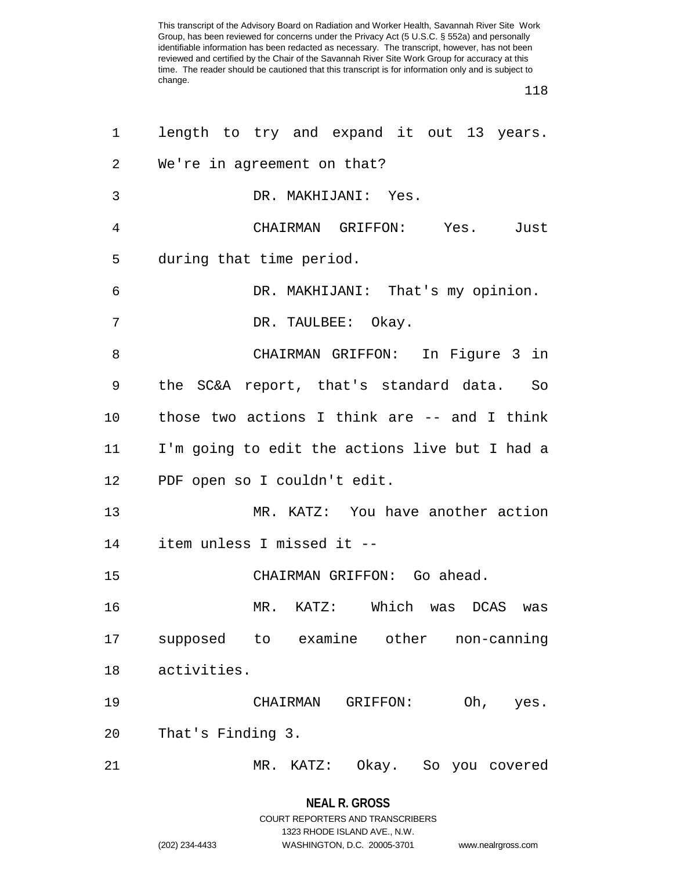118

| 1              | length to try and expand it out 13 years.      |
|----------------|------------------------------------------------|
| $\overline{2}$ | We're in agreement on that?                    |
| 3              | DR. MAKHIJANI: Yes.                            |
| 4              | CHAIRMAN GRIFFON: Yes.<br>Just                 |
| 5              | during that time period.                       |
| 6              | DR. MAKHIJANI: That's my opinion.              |
| 7              | DR. TAULBEE: Okay.                             |
| 8              | CHAIRMAN GRIFFON: In Figure 3 in               |
| 9              | the SC&A report, that's standard data. So      |
| 10             | those two actions I think are -- and I think   |
| 11             | I'm going to edit the actions live but I had a |
| 12             | PDF open so I couldn't edit.                   |
| 13             | MR. KATZ: You have another action              |
| 14             | item unless I missed it --                     |
| 15             | CHAIRMAN GRIFFON: Go ahead.                    |
| 16             | MR. KATZ: Which was DCAS was                   |
| 17             | supposed to examine other<br>non-canning       |
| 18             | activities.                                    |
| 19             | CHAIRMAN<br>GRIFFON:<br>Oh,<br>yes.            |
| 20             | That's Finding 3.                              |
| 21             | MR. KATZ:<br>Okay. So you covered              |

### **NEAL R. GROSS**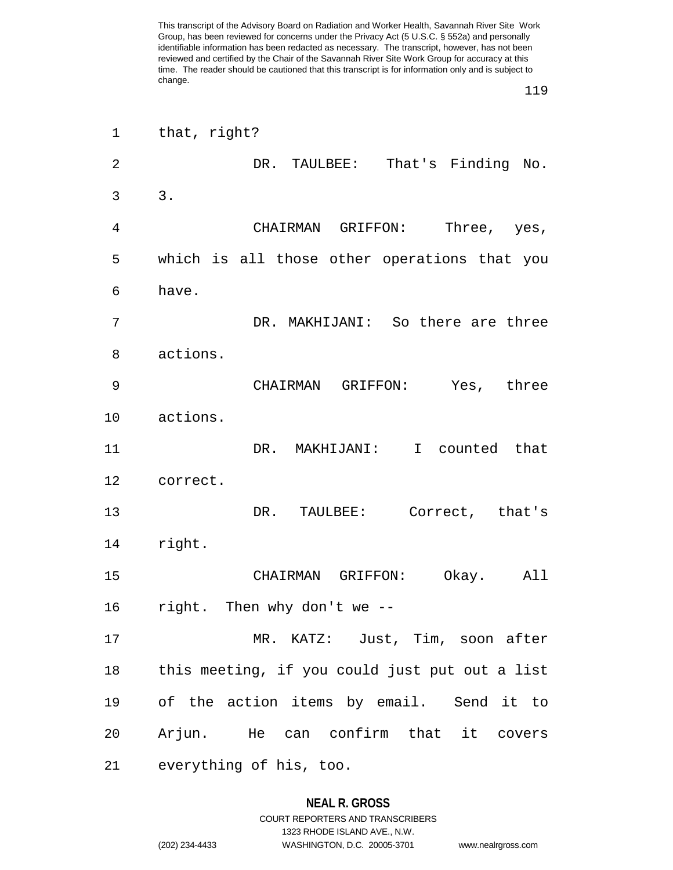| 1              | that, right?                                   |
|----------------|------------------------------------------------|
| $\overline{2}$ | DR. TAULBEE: That's Finding No.                |
| 3              | 3.                                             |
| 4              | CHAIRMAN GRIFFON:<br>Three, yes,               |
| 5              | which is all those other operations that you   |
| 6              | have.                                          |
| 7              | DR. MAKHIJANI: So there are three              |
| 8              | actions.                                       |
| 9              | CHAIRMAN GRIFFON: Yes, three                   |
| 10             | actions.                                       |
| 11             | DR. MAKHIJANI: I counted that                  |
| 12             | correct.                                       |
| 13             | Correct, that's<br>DR.<br>TAULBEE:             |
| 14             | right.                                         |
| 15             | CHAIRMAN GRIFFON:<br>Okay.<br>All              |
| 16             | right. Then why don't we --                    |
| 17             | MR. KATZ: Just, Tim, soon after                |
| 18             | this meeting, if you could just put out a list |
| 19             | of the action items by email. Send it to       |
| 20             | Arjun. He can confirm that it covers           |
| 21             | everything of his, too.                        |

### **NEAL R. GROSS**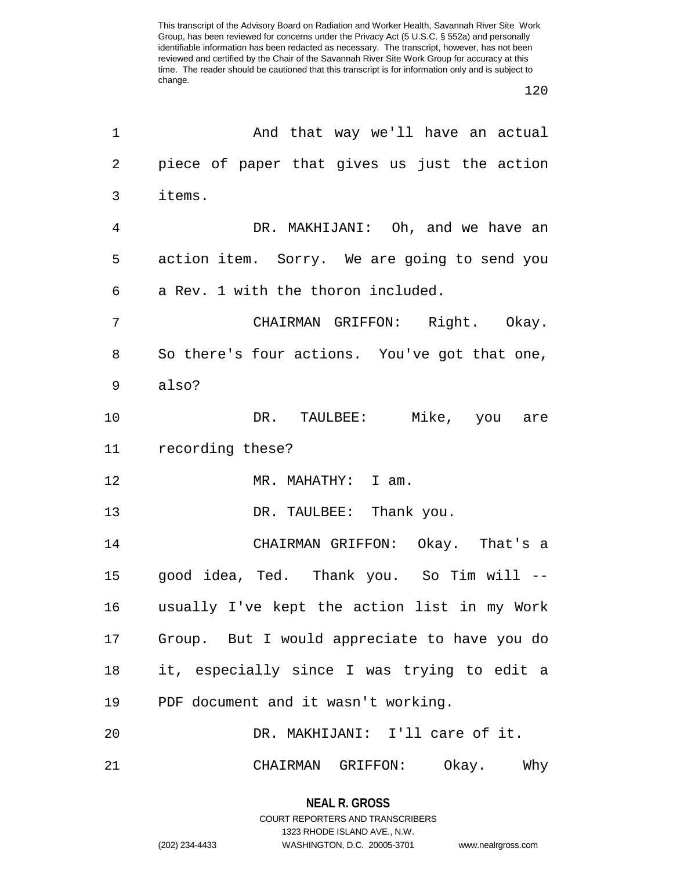| 1  | And that way we'll have an actual             |
|----|-----------------------------------------------|
| 2  | piece of paper that gives us just the action  |
| 3  | items.                                        |
| 4  | DR. MAKHIJANI: Oh, and we have an             |
| 5  | action item. Sorry. We are going to send you  |
| 6  | a Rev. 1 with the thoron included.            |
| 7  | CHAIRMAN GRIFFON: Right. Okay.                |
| 8  | So there's four actions. You've got that one, |
| 9  | also?                                         |
| 10 | DR. TAULBEE: Mike, you are                    |
| 11 | recording these?                              |
| 12 | MR. MAHATHY: I am.                            |
| 13 | DR. TAULBEE: Thank you.                       |
| 14 | CHAIRMAN GRIFFON: Okay. That's a              |
| 15 | good idea, Ted.  Thank you.  So Tim will --   |
| 16 | usually I've kept the action list in my Work  |
| 17 | Group. But I would appreciate to have you do  |
| 18 | it, especially since I was trying to edit a   |
| 19 | PDF document and it wasn't working.           |
| 20 | DR. MAKHIJANI: I'll care of it.               |
| 21 | Okay. Why<br>CHAIRMAN GRIFFON:                |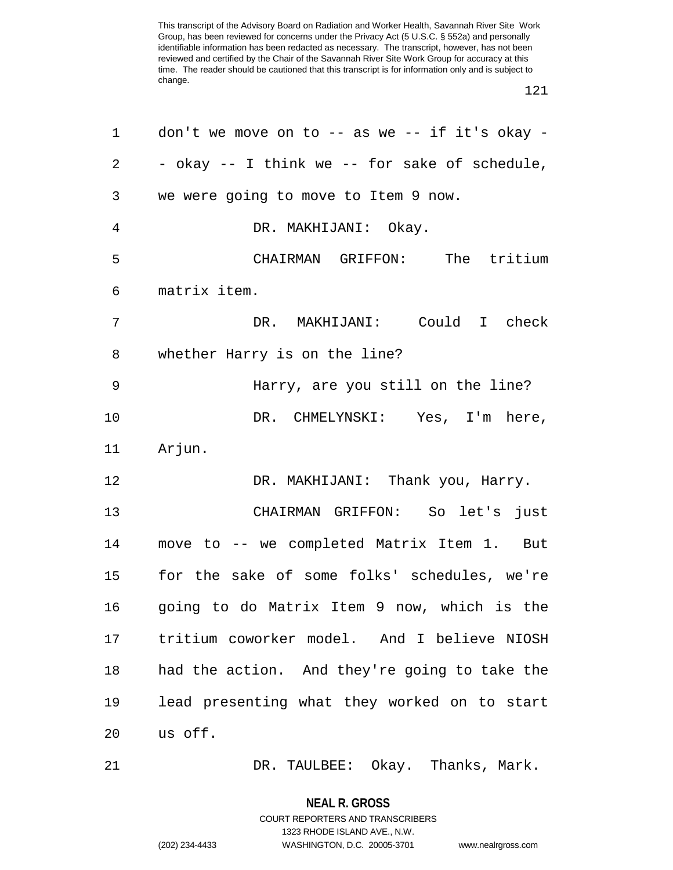| $\mathbf 1$    | don't we move on to -- as we -- if it's okay - |
|----------------|------------------------------------------------|
| $\overline{2}$ | - okay -- I think we -- for sake of schedule,  |
| 3              | we were going to move to Item 9 now.           |
| 4              | DR. MAKHIJANI: Okay.                           |
| 5              | CHAIRMAN GRIFFON: The tritium                  |
| 6              | matrix item.                                   |
| 7              | DR. MAKHIJANI: Could I check                   |
| 8              | whether Harry is on the line?                  |
| 9              | Harry, are you still on the line?              |
| 10             | DR. CHMELYNSKI: Yes, I'm here,                 |
| 11             | Arjun.                                         |
| 12             | DR. MAKHIJANI: Thank you, Harry.               |
| 13             | CHAIRMAN GRIFFON: So let's just                |
| 14             | move to -- we completed Matrix Item 1. But     |
| 15             | for the sake of some folks' schedules, we're   |
| 16             | going to do Matrix Item 9 now, which is the    |
| 17             | tritium coworker model. And I believe NIOSH    |
| 18             | had the action. And they're going to take the  |
| 19             | lead presenting what they worked on to start   |
| 20             | us off.                                        |
| 21             | DR. TAULBEE: Okay. Thanks, Mark.               |

**NEAL R. GROSS** COURT REPORTERS AND TRANSCRIBERS

1323 RHODE ISLAND AVE., N.W.

(202) 234-4433 WASHINGTON, D.C. 20005-3701 www.nealrgross.com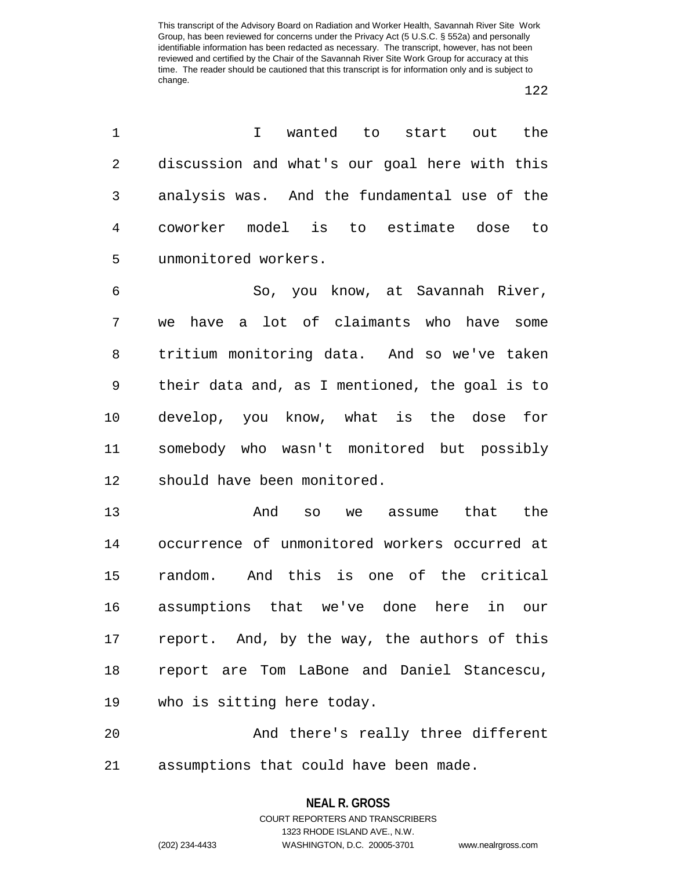1 I wanted to start out the 2 discussion and what's our goal here with this 3 analysis was. And the fundamental use of the 4 coworker model is to estimate dose to 5 unmonitored workers. 6 So, you know, at Savannah River, 7 we have a lot of claimants who have some 8 tritium monitoring data. And so we've taken 9 their data and, as I mentioned, the goal is to 10 develop, you know, what is the dose for 11 somebody who wasn't monitored but possibly 12 should have been monitored. 13 And so we assume that the 14 occurrence of unmonitored workers occurred at 15 random. And this is one of the critical 16 assumptions that we've done here in our 17 report. And, by the way, the authors of this 18 report are Tom LaBone and Daniel Stancescu, 19 who is sitting here today. 20 And there's really three different

21 assumptions that could have been made.

# **NEAL R. GROSS**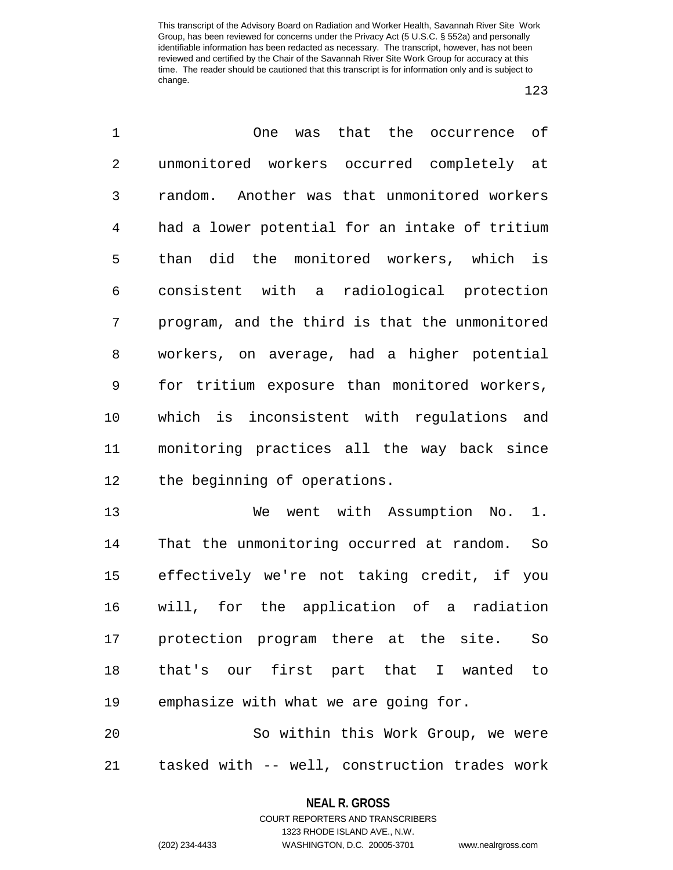123

1 One was that the occurrence of 2 unmonitored workers occurred completely at 3 random. Another was that unmonitored workers 4 had a lower potential for an intake of tritium 5 than did the monitored workers, which is 6 consistent with a radiological protection 7 program, and the third is that the unmonitored 8 workers, on average, had a higher potential 9 for tritium exposure than monitored workers, 10 which is inconsistent with regulations and 11 monitoring practices all the way back since 12 the beginning of operations. 13 We went with Assumption No. 1. 14 That the unmonitoring occurred at random. So 15 effectively we're not taking credit, if you 16 will, for the application of a radiation

17 protection program there at the site. So 18 that's our first part that I wanted to 19 emphasize with what we are going for.

20 So within this Work Group, we were 21 tasked with -- well, construction trades work

#### **NEAL R. GROSS**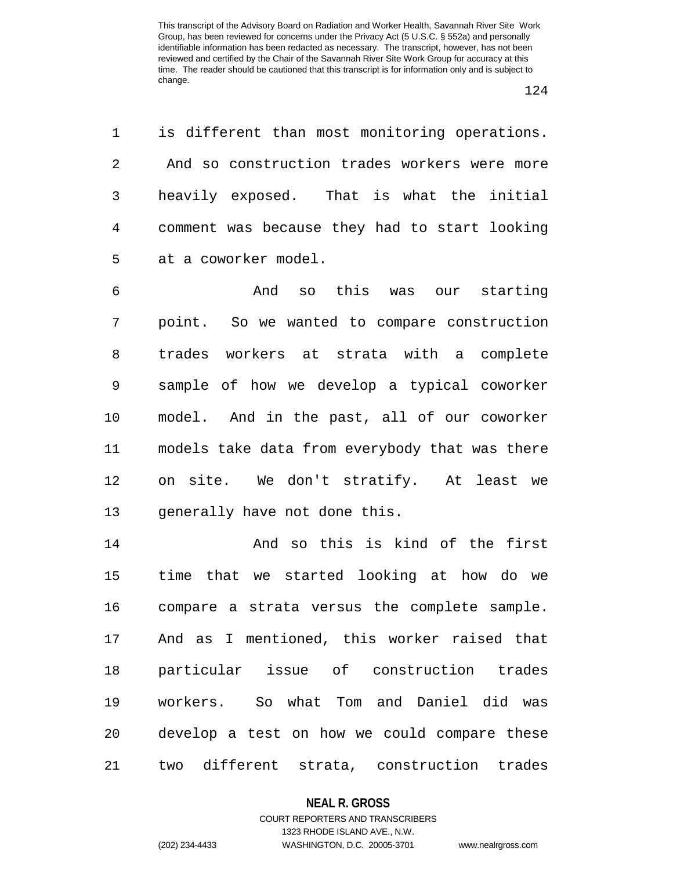124

1 is different than most monitoring operations. 2 And so construction trades workers were more 3 heavily exposed. That is what the initial 4 comment was because they had to start looking 5 at a coworker model.

6 And so this was our starting 7 point. So we wanted to compare construction 8 trades workers at strata with a complete 9 sample of how we develop a typical coworker 10 model. And in the past, all of our coworker 11 models take data from everybody that was there 12 on site. We don't stratify. At least we 13 generally have not done this.

14 And so this is kind of the first 15 time that we started looking at how do we 16 compare a strata versus the complete sample. 17 And as I mentioned, this worker raised that 18 particular issue of construction trades 19 workers. So what Tom and Daniel did was 20 develop a test on how we could compare these 21 two different strata, construction trades

#### **NEAL R. GROSS**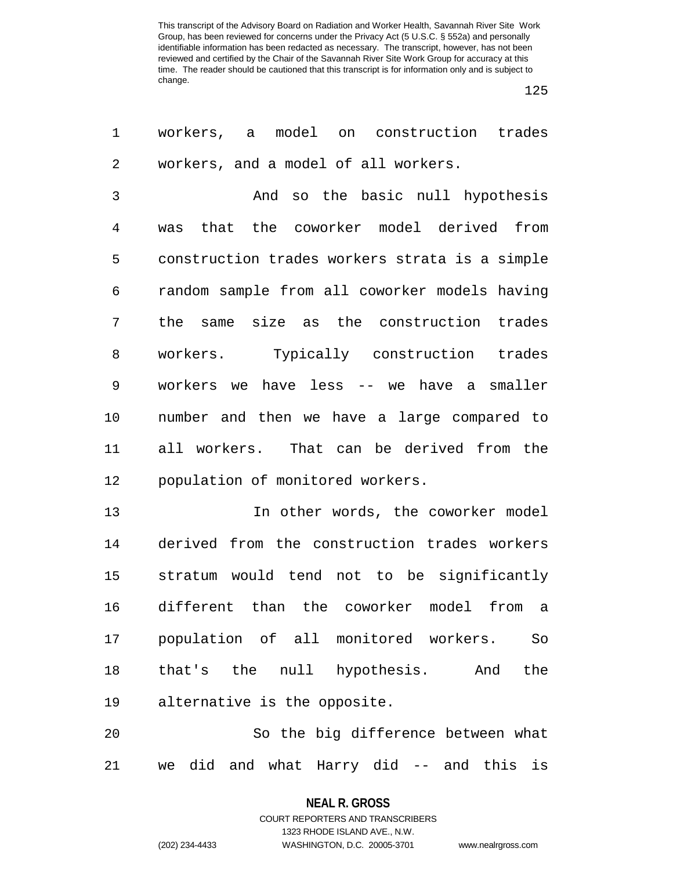125

1 workers, a model on construction trades 2 workers, and a model of all workers.

3 And so the basic null hypothesis 4 was that the coworker model derived from 5 construction trades workers strata is a simple 6 random sample from all coworker models having 7 the same size as the construction trades 8 workers. Typically construction trades 9 workers we have less -- we have a smaller 10 number and then we have a large compared to 11 all workers. That can be derived from the 12 population of monitored workers.

13 In other words, the coworker model 14 derived from the construction trades workers 15 stratum would tend not to be significantly 16 different than the coworker model from a 17 population of all monitored workers. So 18 that's the null hypothesis. And the 19 alternative is the opposite.

20 So the big difference between what 21 we did and what Harry did -- and this is

#### **NEAL R. GROSS**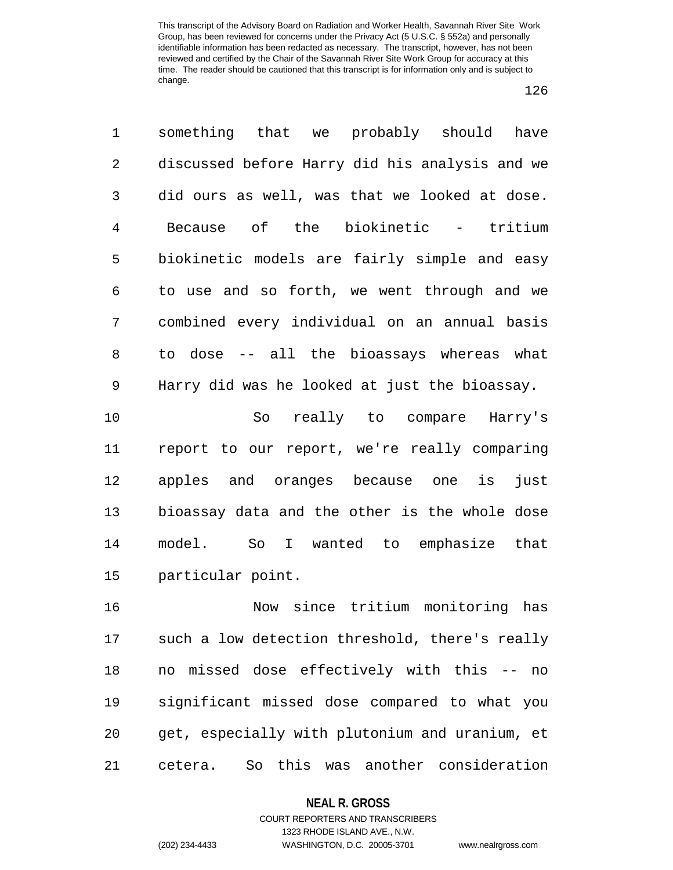126

1 something that we probably should have 2 discussed before Harry did his analysis and we 3 did ours as well, was that we looked at dose. 4 Because of the biokinetic - tritium 5 biokinetic models are fairly simple and easy 6 to use and so forth, we went through and we 7 combined every individual on an annual basis 8 to dose -- all the bioassays whereas what 9 Harry did was he looked at just the bioassay. 10 So really to compare Harry's

11 report to our report, we're really comparing 12 apples and oranges because one is just 13 bioassay data and the other is the whole dose 14 model. So I wanted to emphasize that 15 particular point.

16 Now since tritium monitoring has 17 such a low detection threshold, there's really 18 no missed dose effectively with this -- no 19 significant missed dose compared to what you 20 get, especially with plutonium and uranium, et 21 cetera. So this was another consideration

#### **NEAL R. GROSS**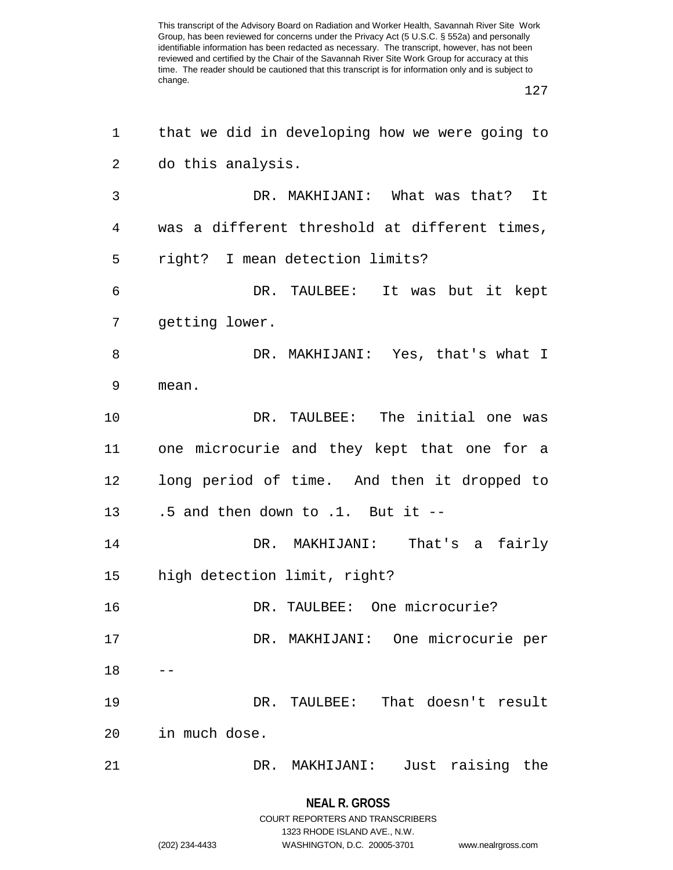127

1 that we did in developing how we were going to 2 do this analysis. 3 DR. MAKHIJANI: What was that? It 4 was a different threshold at different times, 5 right? I mean detection limits? 6 DR. TAULBEE: It was but it kept 7 getting lower. 8 DR. MAKHIJANI: Yes, that's what I 9 mean. 10 DR. TAULBEE: The initial one was 11 one microcurie and they kept that one for a 12 long period of time. And then it dropped to 13 .5 and then down to .1. But it -- 14 DR. MAKHIJANI: That's a fairly 15 high detection limit, right? 16 DR. TAULBEE: One microcurie? 17 DR. MAKHIJANI: One microcurie per  $18$ 19 DR. TAULBEE: That doesn't result 20 in much dose. 21 DR. MAKHIJANI: Just raising the

> **NEAL R. GROSS** COURT REPORTERS AND TRANSCRIBERS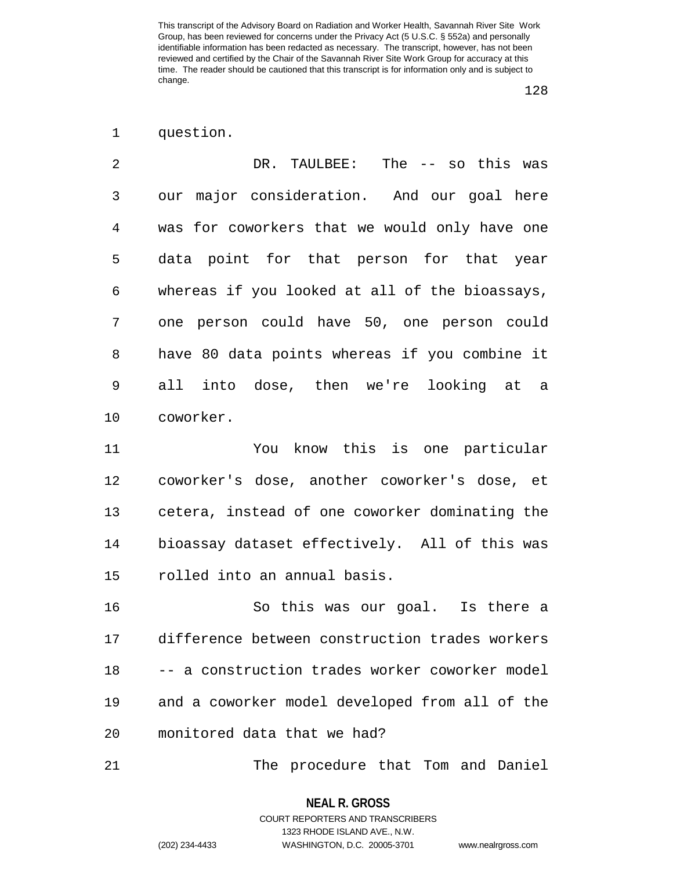# 1 question.

2 DR. TAULBEE: The -- so this was 3 our major consideration. And our goal here 4 was for coworkers that we would only have one 5 data point for that person for that year 6 whereas if you looked at all of the bioassays, 7 one person could have 50, one person could 8 have 80 data points whereas if you combine it 9 all into dose, then we're looking at a 10 coworker.

11 You know this is one particular 12 coworker's dose, another coworker's dose, et 13 cetera, instead of one coworker dominating the 14 bioassay dataset effectively. All of this was 15 rolled into an annual basis.

16 So this was our goal. Is there a 17 difference between construction trades workers 18 -- a construction trades worker coworker model 19 and a coworker model developed from all of the 20 monitored data that we had?

21 The procedure that Tom and Daniel

**NEAL R. GROSS**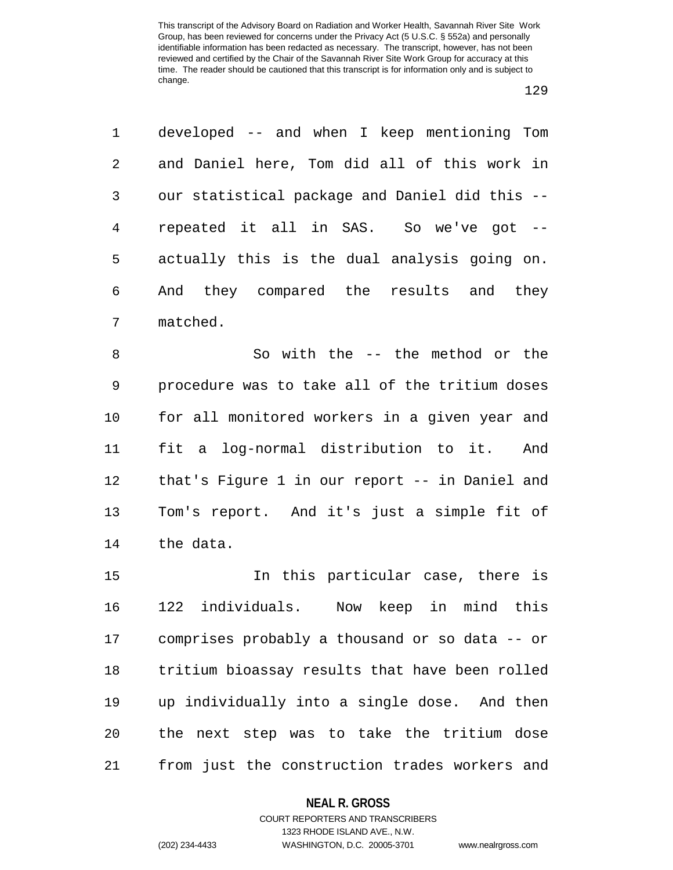129

1 developed -- and when I keep mentioning Tom 2 and Daniel here, Tom did all of this work in 3 our statistical package and Daniel did this -- 4 repeated it all in SAS. So we've got -- 5 actually this is the dual analysis going on. 6 And they compared the results and they 7 matched.

8 So with the -- the method or the 9 procedure was to take all of the tritium doses 10 for all monitored workers in a given year and 11 fit a log-normal distribution to it. And 12 that's Figure 1 in our report -- in Daniel and 13 Tom's report. And it's just a simple fit of 14 the data.

15 In this particular case, there is 16 122 individuals. Now keep in mind this 17 comprises probably a thousand or so data -- or 18 tritium bioassay results that have been rolled 19 up individually into a single dose. And then 20 the next step was to take the tritium dose 21 from just the construction trades workers and

#### **NEAL R. GROSS**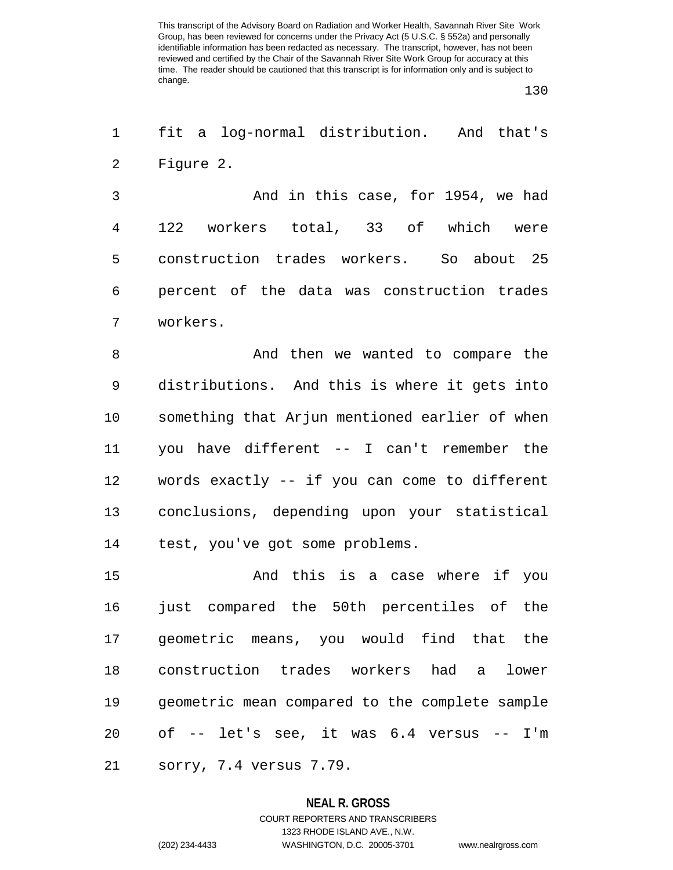130

1 fit a log-normal distribution. And that's 2 Figure 2.

3 And in this case, for 1954, we had 4 122 workers total, 33 of which were 5 construction trades workers. So about 25 6 percent of the data was construction trades 7 workers.

8 And then we wanted to compare the 9 distributions. And this is where it gets into 10 something that Arjun mentioned earlier of when 11 you have different -- I can't remember the 12 words exactly -- if you can come to different 13 conclusions, depending upon your statistical 14 test, you've got some problems.

15 And this is a case where if you 16 just compared the 50th percentiles of the 17 geometric means, you would find that the 18 construction trades workers had a lower 19 geometric mean compared to the complete sample 20 of -- let's see, it was 6.4 versus -- I'm 21 sorry, 7.4 versus 7.79.

### **NEAL R. GROSS**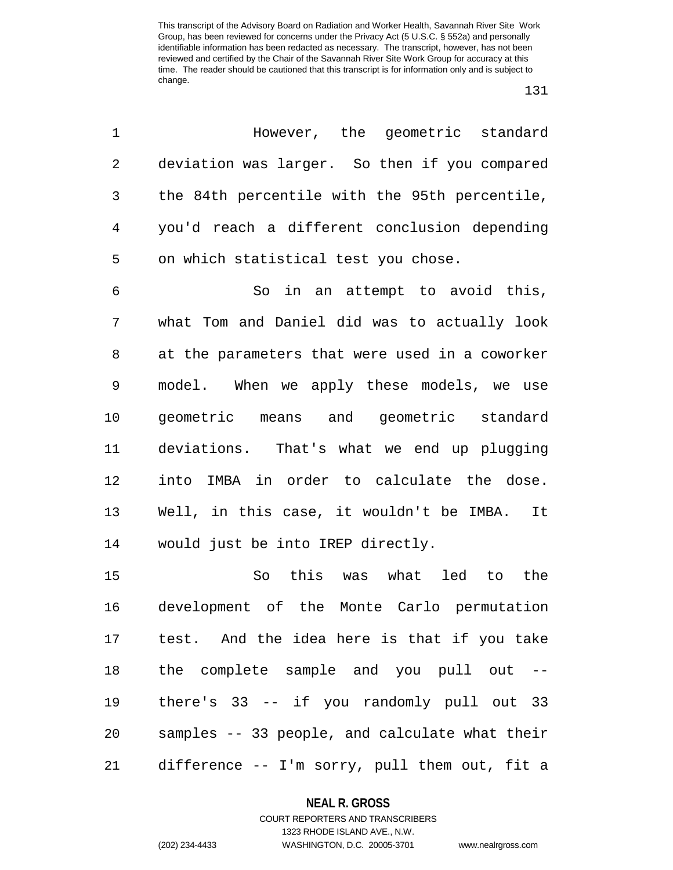1 1 However, the geometric standard 2 deviation was larger. So then if you compared 3 the 84th percentile with the 95th percentile, 4 you'd reach a different conclusion depending 5 on which statistical test you chose. 6 So in an attempt to avoid this, 7 what Tom and Daniel did was to actually look 8 at the parameters that were used in a coworker 9 model. When we apply these models, we use 10 geometric means and geometric standard 11 deviations. That's what we end up plugging 12 into IMBA in order to calculate the dose. 13 Well, in this case, it wouldn't be IMBA. It 14 would just be into IREP directly. 15 So this was what led to the 16 development of the Monte Carlo permutation 17 test. And the idea here is that if you take 18 the complete sample and you pull out --

19 there's 33 -- if you randomly pull out 33 20 samples -- 33 people, and calculate what their 21 difference -- I'm sorry, pull them out, fit a

#### **NEAL R. GROSS**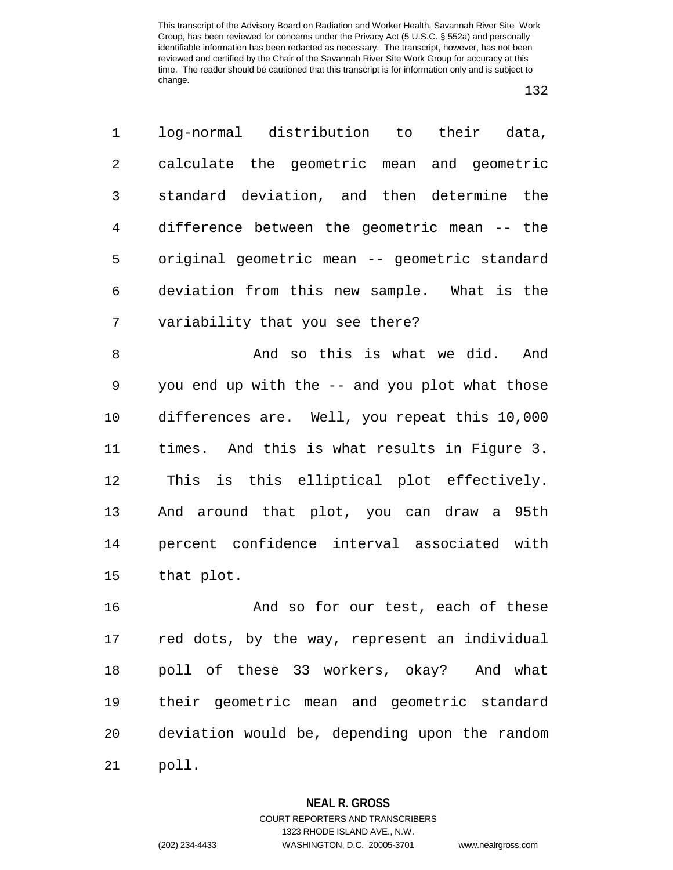132

1 log-normal distribution to their data, 2 calculate the geometric mean and geometric 3 standard deviation, and then determine the 4 difference between the geometric mean -- the 5 original geometric mean -- geometric standard 6 deviation from this new sample. What is the 7 variability that you see there?

8 And so this is what we did. And 9 you end up with the -- and you plot what those 10 differences are. Well, you repeat this 10,000 11 times. And this is what results in Figure 3. 12 This is this elliptical plot effectively. 13 And around that plot, you can draw a 95th 14 percent confidence interval associated with 15 that plot.

16 And so for our test, each of these 17 red dots, by the way, represent an individual 18 poll of these 33 workers, okay? And what 19 their geometric mean and geometric standard 20 deviation would be, depending upon the random 21 poll.

### **NEAL R. GROSS**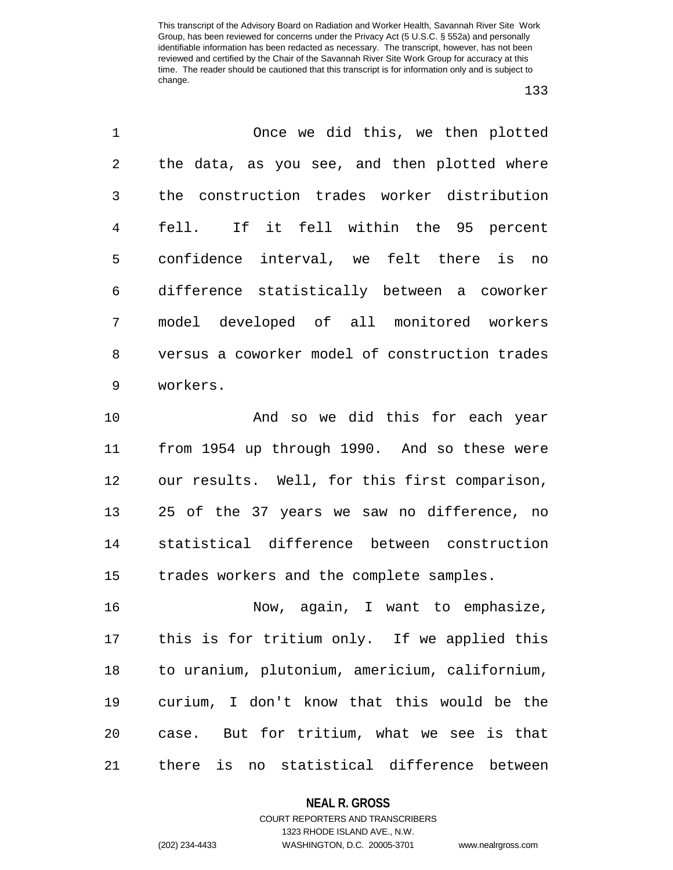133

1 Once we did this, we then plotted 2 the data, as you see, and then plotted where 3 the construction trades worker distribution 4 fell. If it fell within the 95 percent 5 confidence interval, we felt there is no 6 difference statistically between a coworker 7 model developed of all monitored workers 8 versus a coworker model of construction trades 9 workers. 10 And so we did this for each year

11 from 1954 up through 1990. And so these were 12 our results. Well, for this first comparison, 13 25 of the 37 years we saw no difference, no 14 statistical difference between construction 15 trades workers and the complete samples.

16 Now, again, I want to emphasize, 17 this is for tritium only. If we applied this 18 to uranium, plutonium, americium, californium, 19 curium, I don't know that this would be the 20 case. But for tritium, what we see is that 21 there is no statistical difference between

#### **NEAL R. GROSS**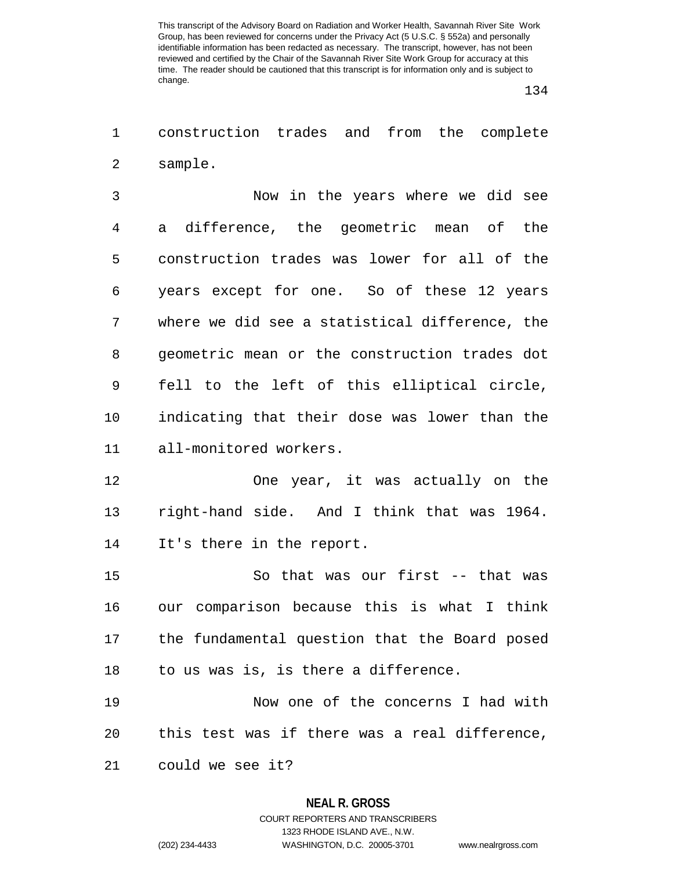134

1 construction trades and from the complete 2 sample.

3 Now in the years where we did see 4 a difference, the geometric mean of the 5 construction trades was lower for all of the 6 years except for one. So of these 12 years 7 where we did see a statistical difference, the 8 geometric mean or the construction trades dot 9 fell to the left of this elliptical circle, 10 indicating that their dose was lower than the 11 all-monitored workers.

12 One year, it was actually on the 13 right-hand side. And I think that was 1964. 14 It's there in the report.

15 So that was our first -- that was 16 our comparison because this is what I think 17 the fundamental question that the Board posed 18 to us was is, is there a difference.

19 Now one of the concerns I had with 20 this test was if there was a real difference, 21 could we see it?

#### **NEAL R. GROSS**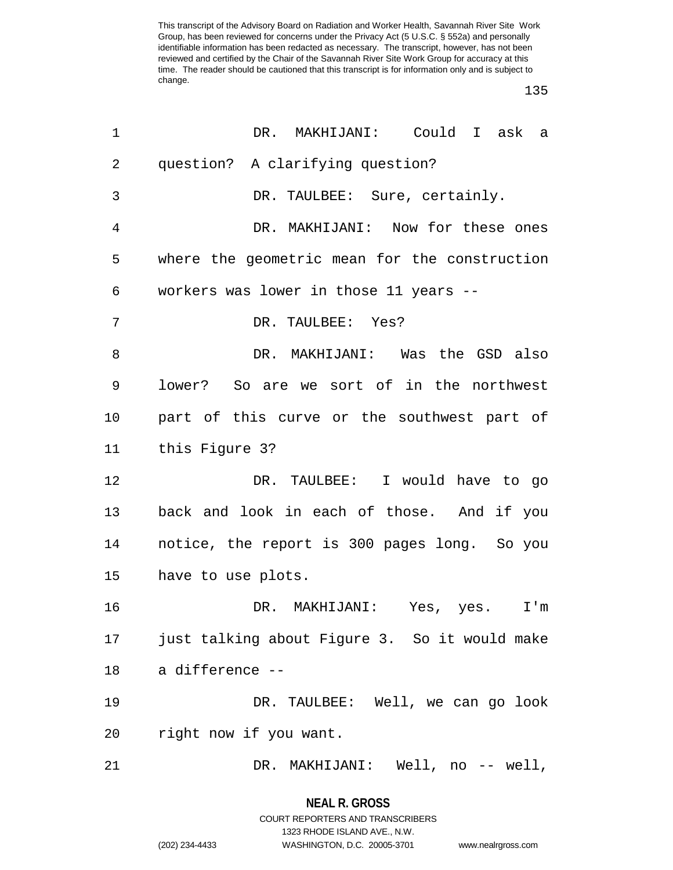135

| 1       | DR. MAKHIJANI:<br>Could I ask<br>a            |
|---------|-----------------------------------------------|
| 2       | question? A clarifying question?              |
| 3       | DR. TAULBEE: Sure, certainly.                 |
| 4       | DR. MAKHIJANI: Now for these ones             |
| 5       | where the geometric mean for the construction |
| 6       | workers was lower in those 11 years --        |
| 7       | DR. TAULBEE: Yes?                             |
| 8       | DR. MAKHIJANI: Was the GSD also               |
| 9       | lower? So are we sort of in the northwest     |
| $10 \,$ | part of this curve or the southwest part of   |
| 11      | this Figure 3?                                |
| 12      | DR. TAULBEE: I would have to go               |
| 13      | back and look in each of those. And if you    |
| 14      | notice, the report is 300 pages long. So you  |
| 15      | have to use plots.                            |
| 16      | DR. MAKHIJANI: Yes, yes.<br>$I'$ m            |
| 17      | just talking about Figure 3. So it would make |
| 18      | a difference --                               |
| 19      | DR. TAULBEE: Well, we can go look             |
| 20      | right now if you want.                        |
| 21      | DR. MAKHIJANI: Well, no -- well,              |

#### **NEAL R. GROSS**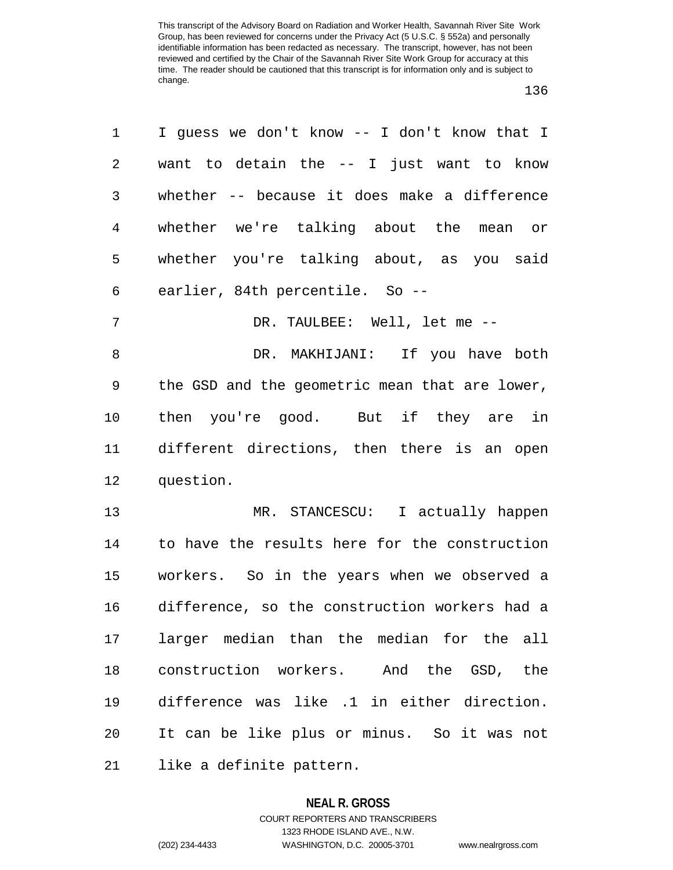| 1              | I guess we don't know -- I don't know that I   |
|----------------|------------------------------------------------|
| $\overline{2}$ | want to detain the -- I just want to know      |
| 3              | whether -- because it does make a difference   |
| $\overline{4}$ | whether we're talking about the mean or        |
| 5              | whether you're talking about, as you said      |
| 6              | earlier, 84th percentile. So --                |
| $\overline{7}$ | DR. TAULBEE: Well, let me --                   |
| 8              | DR. MAKHIJANI: If you have both                |
| 9              | the GSD and the geometric mean that are lower, |
| $10 \,$        | then you're good. But if they are in           |
| 11             | different directions, then there is an open    |
| 12             | question.                                      |
| 13             | MR. STANCESCU: I actually happen               |
| 14             | to have the results here for the construction  |
| 15             | workers. So in the years when we observed a    |
| 16             | difference, so the construction workers had a  |
| 17             | larger median than the median for the all      |
| 18             | construction workers. And the GSD, the         |
| 19             | difference was like .1 in either direction.    |
| 20             | It can be like plus or minus. So it was not    |
| 21             | like a definite pattern.                       |

#### **NEAL R. GROSS**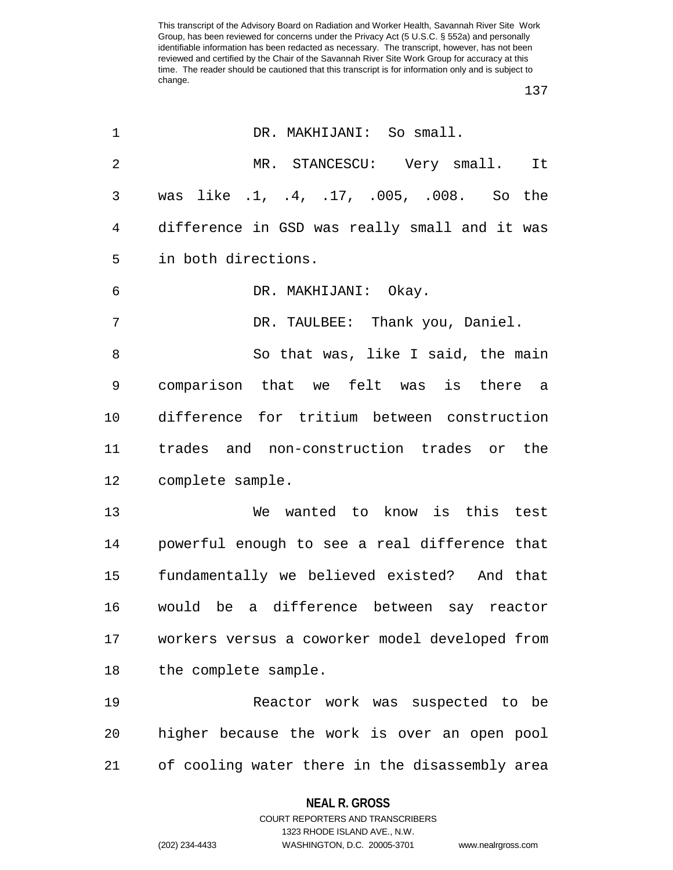| 1  | DR. MAKHIJANI: So small.                       |
|----|------------------------------------------------|
| 2  | MR. STANCESCU: Very small. It                  |
| 3  | was like .1, .4, .17, .005, .008. So the       |
| 4  | difference in GSD was really small and it was  |
| 5  | in both directions.                            |
| 6  | DR. MAKHIJANI: Okay.                           |
| 7  | DR. TAULBEE: Thank you, Daniel.                |
| 8  | So that was, like I said, the main             |
| 9  | comparison that we felt was is there a         |
| 10 | difference for tritium between construction    |
| 11 | trades and non-construction trades or the      |
| 12 | complete sample.                               |
| 13 | We wanted to know is this test                 |
| 14 | powerful enough to see a real difference that  |
| 15 | fundamentally we believed existed? And that    |
| 16 | would be a difference between say reactor      |
| 17 | workers versus a coworker model developed from |
| 18 | the complete sample.                           |
| 19 | Reactor work was suspected to be               |
| 20 | higher because the work is over an open pool   |
| 21 | of cooling water there in the disassembly area |

# **NEAL R. GROSS** COURT REPORTERS AND TRANSCRIBERS

1323 RHODE ISLAND AVE., N.W. (202) 234-4433 WASHINGTON, D.C. 20005-3701 www.nealrgross.com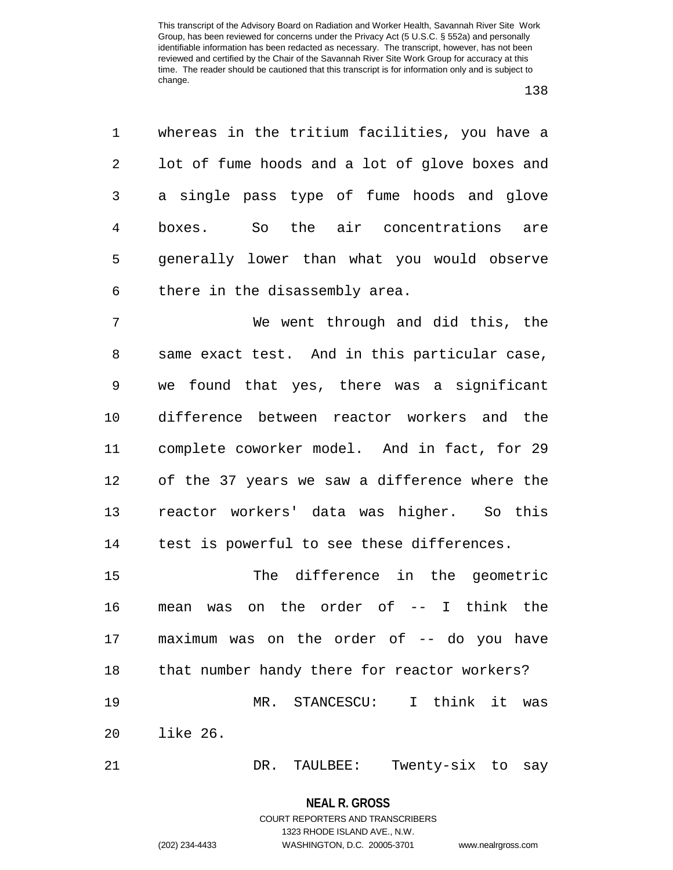138

1 whereas in the tritium facilities, you have a 2 lot of fume hoods and a lot of glove boxes and 3 a single pass type of fume hoods and glove 4 boxes. So the air concentrations are 5 generally lower than what you would observe 6 there in the disassembly area.

7 We went through and did this, the 8 same exact test. And in this particular case, 9 we found that yes, there was a significant 10 difference between reactor workers and the 11 complete coworker model. And in fact, for 29 12 of the 37 years we saw a difference where the 13 reactor workers' data was higher. So this 14 test is powerful to see these differences.

15 The difference in the geometric 16 mean was on the order of -- I think the 17 maximum was on the order of -- do you have 18 that number handy there for reactor workers? 19 MR. STANCESCU: I think it was 20 like 26.

21 DR. TAULBEE: Twenty-six to say

**NEAL R. GROSS** COURT REPORTERS AND TRANSCRIBERS

1323 RHODE ISLAND AVE., N.W.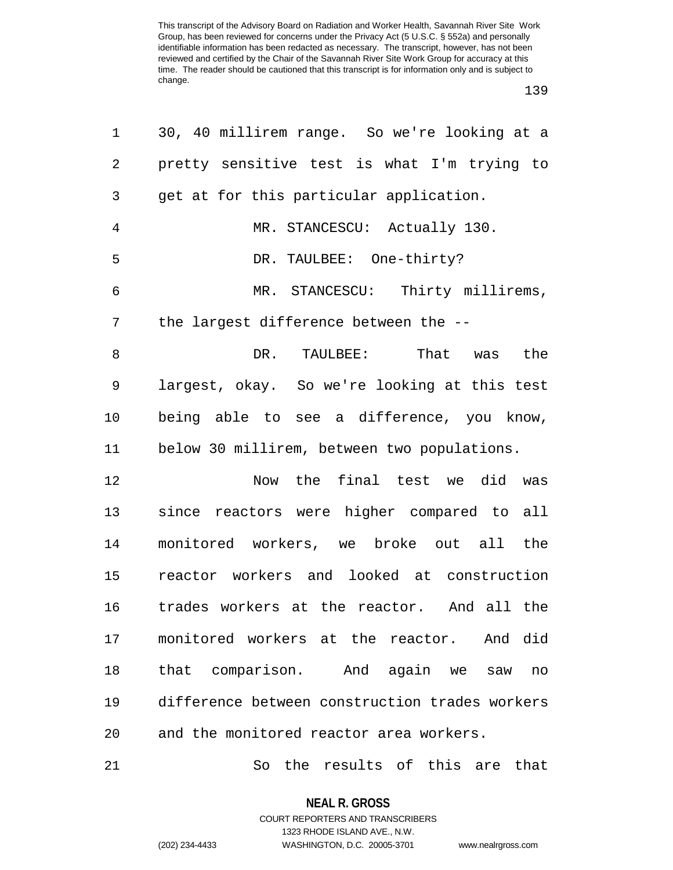139

| $\mathbf{1}$ | 30, 40 millirem range. So we're looking at a   |
|--------------|------------------------------------------------|
| 2            | pretty sensitive test is what I'm trying to    |
| 3            | get at for this particular application.        |
| 4            | MR. STANCESCU: Actually 130.                   |
| 5            | DR. TAULBEE: One-thirty?                       |
| 6            | MR. STANCESCU: Thirty millirems,               |
| 7            | the largest difference between the --          |
| 8            | DR. TAULBEE: That was the                      |
| 9            | largest, okay. So we're looking at this test   |
| 10           | being able to see a difference, you know,      |
| 11           | below 30 millirem, between two populations.    |
| 12           | Now the final test we did<br>was               |
| 13           | since reactors were higher compared to all     |
| 14           | monitored workers, we broke out all the        |
| 15           | reactor workers and looked at construction     |
| 16           | trades workers at the reactor. And all the     |
| 17           | monitored workers at the reactor. And did      |
| 18           | that comparison. And again we<br>saw<br>no     |
| 19           | difference between construction trades workers |
| 20           | and the monitored reactor area workers.        |
| 21           | So the results of this are that                |

**NEAL R. GROSS** COURT REPORTERS AND TRANSCRIBERS

1323 RHODE ISLAND AVE., N.W. (202) 234-4433 WASHINGTON, D.C. 20005-3701 www.nealrgross.com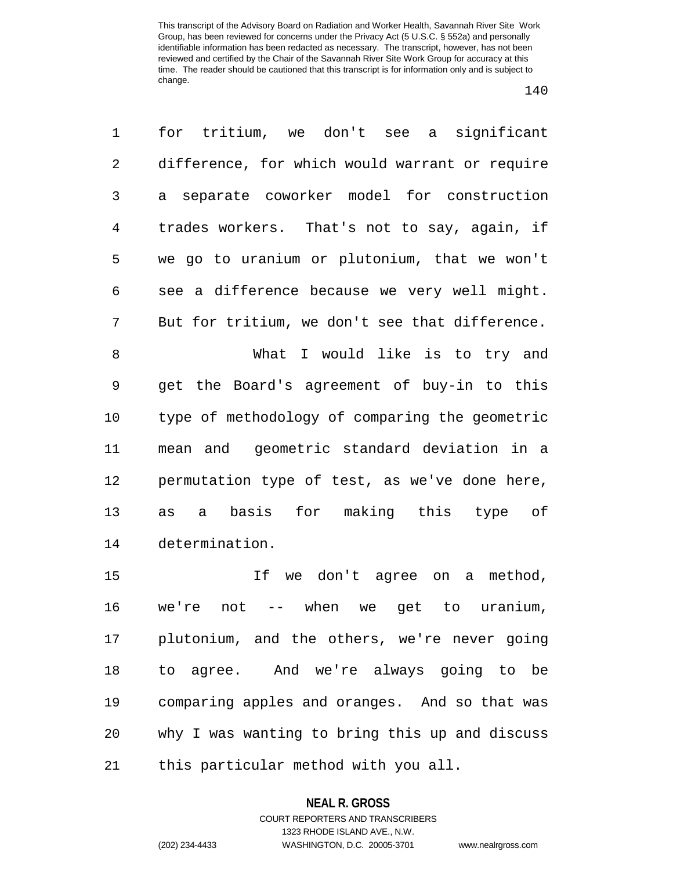140

1 for tritium, we don't see a significant 2 difference, for which would warrant or require 3 a separate coworker model for construction 4 trades workers. That's not to say, again, if 5 we go to uranium or plutonium, that we won't 6 see a difference because we very well might. 7 But for tritium, we don't see that difference. 8 What I would like is to try and 9 get the Board's agreement of buy-in to this 10 type of methodology of comparing the geometric 11 mean and geometric standard deviation in a 12 permutation type of test, as we've done here, 13 as a basis for making this type of 14 determination. 15 If we don't agree on a method, 16 we're not -- when we get to uranium, 17 plutonium, and the others, we're never going 18 to agree. And we're always going to be

20 why I was wanting to bring this up and discuss 21 this particular method with you all.

19 comparing apples and oranges. And so that was

### **NEAL R. GROSS**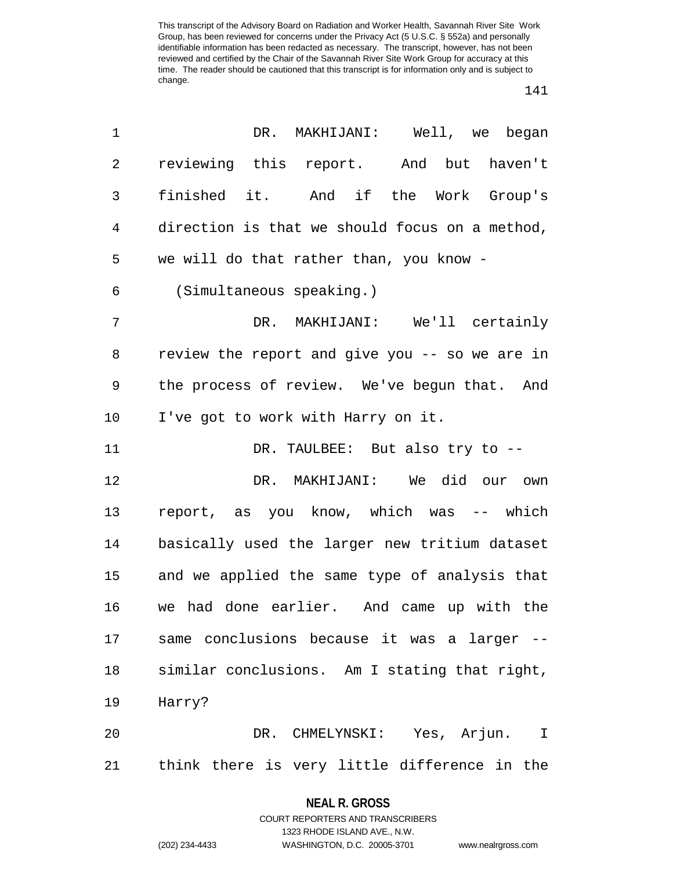141

| 1              | DR. MAKHIJANI: Well, we began                  |
|----------------|------------------------------------------------|
| $\overline{2}$ | reviewing this report. And but haven't         |
| 3              | finished it. And if the Work Group's           |
| 4              | direction is that we should focus on a method, |
| 5              | we will do that rather than, you know -        |
| 6              | (Simultaneous speaking.)                       |
| 7              | DR. MAKHIJANI: We'll certainly                 |
| 8              | review the report and give you -- so we are in |
| 9              | the process of review. We've begun that. And   |
| 10             | I've got to work with Harry on it.             |
| 11             | DR. TAULBEE: But also try to --                |
| 12             | DR. MAKHIJANI: We did our own                  |
| 13             | report, as you know, which was -- which        |
| 14             | basically used the larger new tritium dataset  |
| 15             | and we applied the same type of analysis that  |
| 16             | we had done earlier. And came up with the      |
| 17             | same conclusions because it was a larger --    |
| 18             | similar conclusions. Am I stating that right,  |
| 19             | Harry?                                         |
| 20             | DR. CHMELYNSKI: Yes, Arjun.<br>$\mathbf I$     |
| 21             | think there is very little difference in the   |

# **NEAL R. GROSS** COURT REPORTERS AND TRANSCRIBERS

1323 RHODE ISLAND AVE., N.W. (202) 234-4433 WASHINGTON, D.C. 20005-3701 www.nealrgross.com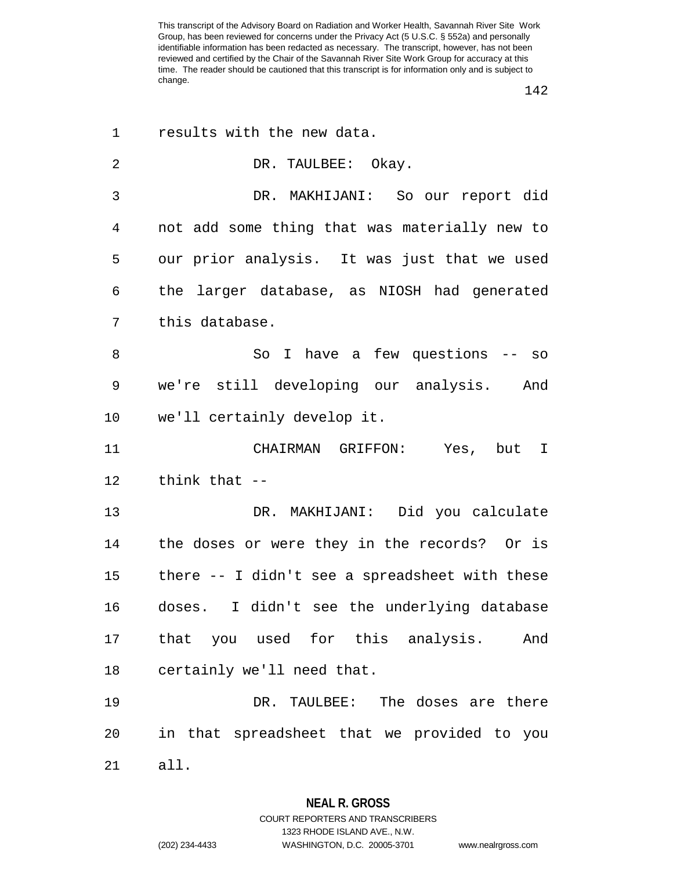| $\mathbf 1$    | results with the new data.                     |
|----------------|------------------------------------------------|
| 2              | DR. TAULBEE: Okay.                             |
| 3              | DR. MAKHIJANI: So our report did               |
| $\overline{4}$ | not add some thing that was materially new to  |
| 5              | our prior analysis. It was just that we used   |
| 6              | the larger database, as NIOSH had generated    |
| 7              | this database.                                 |
| 8              | So I have a few questions -- so                |
| 9              | we're still developing our analysis. And       |
| 10             | we'll certainly develop it.                    |
| 11             | CHAIRMAN GRIFFON:<br>Yes, but I                |
| 12             | think that --                                  |
| 13             | DR. MAKHIJANI: Did you calculate               |
| 14             | the doses or were they in the records? Or is   |
| 15             | there -- I didn't see a spreadsheet with these |
| 16             | I didn't see the underlying database<br>doses. |
| 17             | that you used for this analysis. And           |
| 18             | certainly we'll need that.                     |
| 19             | DR. TAULBEE: The doses are there               |
| 20             | in that spreadsheet that we provided to you    |
| 21             | all.                                           |

### **NEAL R. GROSS**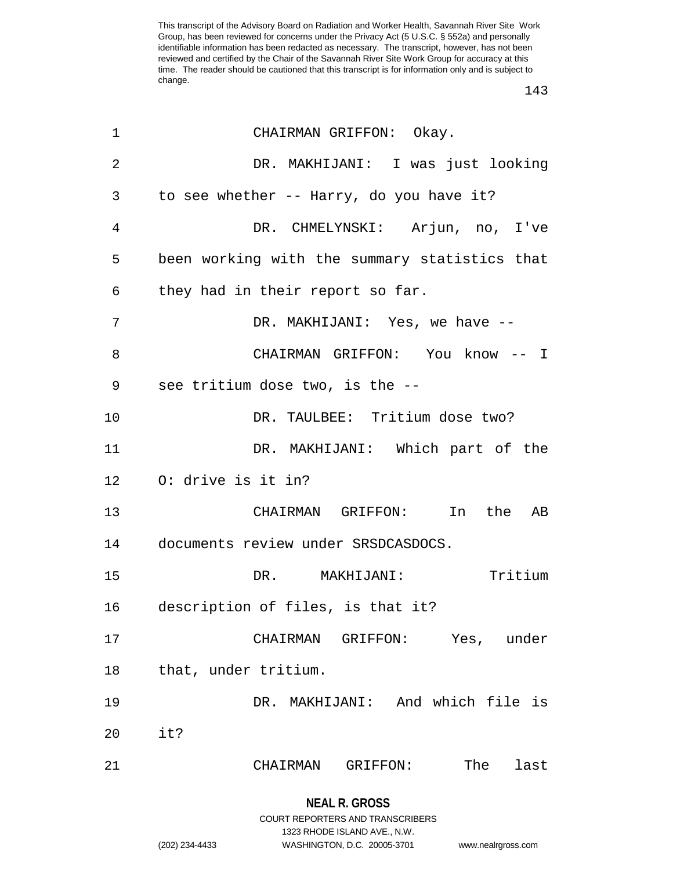143

| 1  | CHAIRMAN GRIFFON: Okay.                       |
|----|-----------------------------------------------|
| 2  | DR. MAKHIJANI: I was just looking             |
| 3  | to see whether -- Harry, do you have it?      |
| 4  | DR. CHMELYNSKI: Arjun, no, I've               |
| 5  | been working with the summary statistics that |
| 6  | they had in their report so far.              |
| 7  | DR. MAKHIJANI: Yes, we have --                |
| 8  | CHAIRMAN GRIFFON: You know -- I               |
| 9  | see tritium dose two, is the --               |
| 10 | DR. TAULBEE: Tritium dose two?                |
| 11 | DR. MAKHIJANI: Which part of the              |
| 12 | 0: drive is it in?                            |
| 13 | CHAIRMAN GRIFFON: In the AB                   |
| 14 | documents review under SRSDCASDOCS.           |
| 15 | DR. MAKHIJANI:<br>Tritium                     |
| 16 | description of files, is that it?             |
| 17 | CHAIRMAN GRIFFON: Yes, under                  |
| 18 | that, under tritium.                          |
| 19 | DR. MAKHIJANI: And which file is              |
| 20 | it?                                           |
| 21 | The<br>last<br>CHAIRMAN GRIFFON:              |
|    | <b>NEAL R. GROSS</b>                          |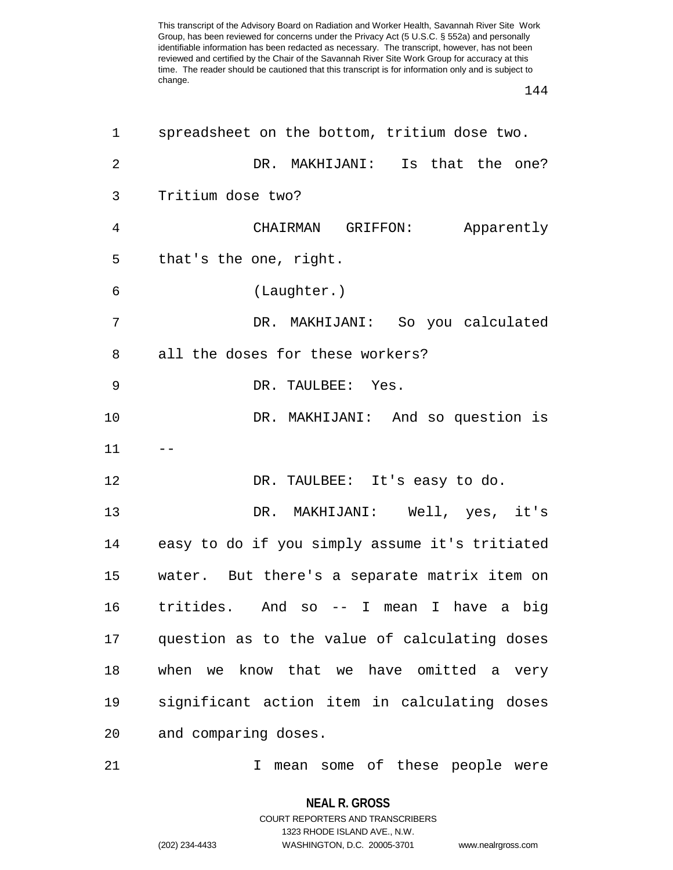144

| 1  | spreadsheet on the bottom, tritium dose two.   |
|----|------------------------------------------------|
| 2  | DR. MAKHIJANI: Is that the one?                |
| 3  | Tritium dose two?                              |
| 4  | CHAIRMAN GRIFFON: Apparently                   |
| 5  | that's the one, right.                         |
| 6  | (Laughter.)                                    |
| 7  | DR. MAKHIJANI: So you calculated               |
| 8  | all the doses for these workers?               |
| 9  | DR. TAULBEE: Yes.                              |
| 10 | DR. MAKHIJANI: And so question is              |
| 11 |                                                |
| 12 | DR. TAULBEE: It's easy to do.                  |
| 13 | DR. MAKHIJANI: Well, yes, it's                 |
| 14 | easy to do if you simply assume it's tritiated |
| 15 | water. But there's a separate matrix item on   |
| 16 | tritides. And so -- I mean I have a big        |
| 17 | question as to the value of calculating doses  |
| 18 | when we know that we have omitted a very       |
| 19 | significant action item in calculating doses   |
| 20 | and comparing doses.                           |
| 21 | some of these people were<br>I.<br>mean        |

**NEAL R. GROSS** COURT REPORTERS AND TRANSCRIBERS

1323 RHODE ISLAND AVE., N.W.

(202) 234-4433 WASHINGTON, D.C. 20005-3701 www.nealrgross.com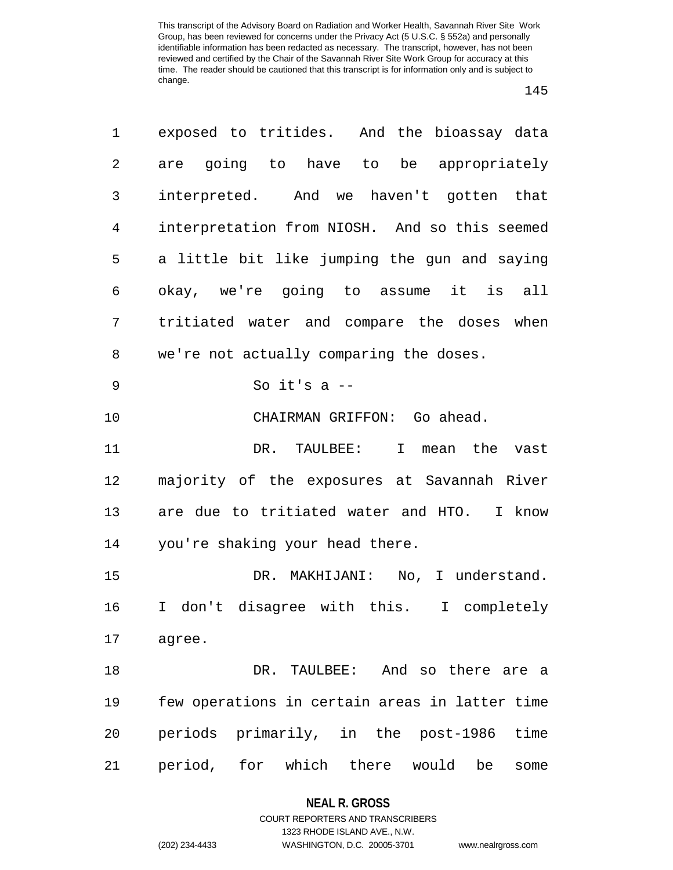145

| 1           | exposed to tritides. And the bioassay data     |
|-------------|------------------------------------------------|
| 2           | are going to have to be appropriately          |
| 3           | interpreted. And we haven't gotten that        |
| 4           | interpretation from NIOSH. And so this seemed  |
| 5           | a little bit like jumping the gun and saying   |
| 6           | okay, we're going to assume it is all          |
| 7           | tritiated water and compare the doses when     |
| 8           | we're not actually comparing the doses.        |
| $\mathsf 9$ | So it's $a$ --                                 |
| 10          | CHAIRMAN GRIFFON: Go ahead.                    |
| 11          | DR. TAULBEE: I mean the vast                   |
| 12          | majority of the exposures at Savannah River    |
| 13          | are due to tritiated water and HTO. I know     |
| 14          | you're shaking your head there.                |
| 15          | DR. MAKHIJANI: No, I understand.               |
| 16          | I don't disagree with this. I completely       |
| 17          | agree.                                         |
| 18          | DR. TAULBEE: And so there are a                |
| 19          | few operations in certain areas in latter time |
| 20          | periods primarily, in the post-1986<br>time    |
| 21          | period, for which there would<br>be<br>some    |

#### **NEAL R. GROSS**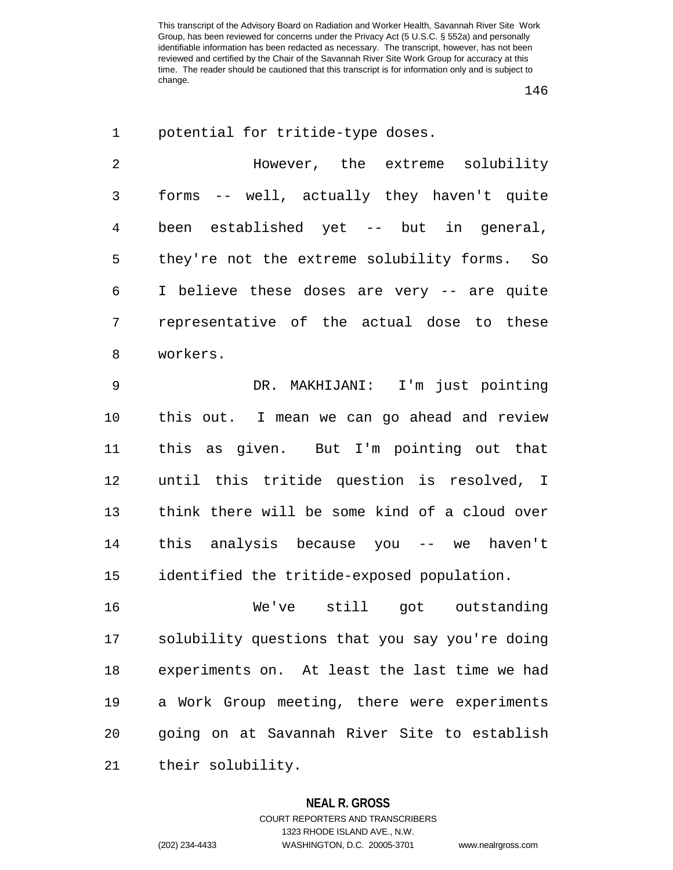146

| 1  | potential for tritide-type doses.              |
|----|------------------------------------------------|
| 2  | However, the extreme solubility                |
| 3  | forms -- well, actually they haven't quite     |
| 4  | been established yet -- but in general,        |
| 5  | they're not the extreme solubility forms. So   |
| 6  | I believe these doses are very -- are quite    |
| 7  | representative of the actual dose to these     |
| 8  | workers.                                       |
| 9  | DR. MAKHIJANI: I'm just pointing               |
| 10 | this out. I mean we can go ahead and review    |
| 11 | this as given. But I'm pointing out that       |
| 12 | until this tritide question is resolved, I     |
| 13 | think there will be some kind of a cloud over  |
| 14 | this analysis because you -- we haven't        |
| 15 | identified the tritide-exposed population.     |
| 16 | We've still got outstanding                    |
| 17 | solubility questions that you say you're doing |
| 18 | experiments on. At least the last time we had  |
| 19 | a Work Group meeting, there were experiments   |
| 20 | going on at Savannah River Site to establish   |
| 21 | their solubility.                              |

### **NEAL R. GROSS**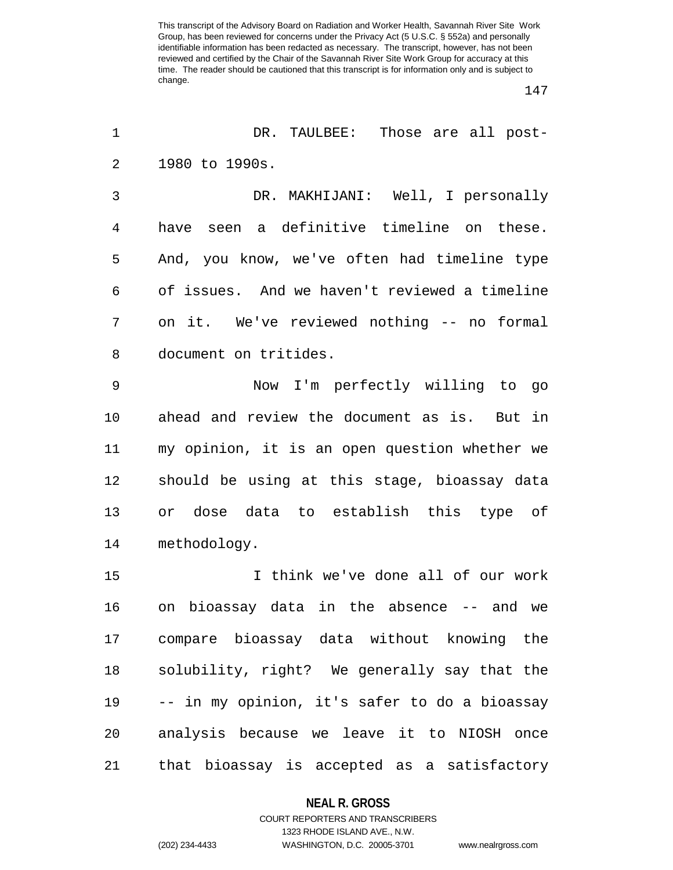1 DR. TAULBEE: Those are all post-2 1980 to 1990s. 3 DR. MAKHIJANI: Well, I personally 4 have seen a definitive timeline on these. 5 And, you know, we've often had timeline type 6 of issues. And we haven't reviewed a timeline 7 on it. We've reviewed nothing -- no formal 8 document on tritides. 9 Now I'm perfectly willing to go 10 ahead and review the document as is. But in 11 my opinion, it is an open question whether we 12 should be using at this stage, bioassay data 13 or dose data to establish this type of 14 methodology. 15 I think we've done all of our work 16 on bioassay data in the absence -- and we 17 compare bioassay data without knowing the 18 solubility, right? We generally say that the 19 -- in my opinion, it's safer to do a bioassay 20 analysis because we leave it to NIOSH once 21 that bioassay is accepted as a satisfactory

### **NEAL R. GROSS**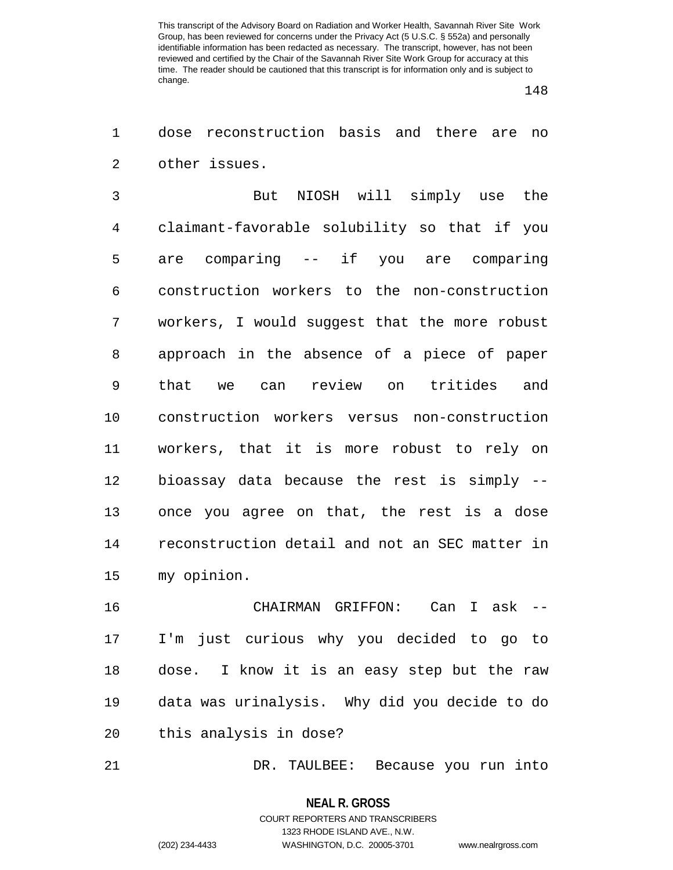148

1 dose reconstruction basis and there are no 2 other issues.

3 But NIOSH will simply use the 4 claimant-favorable solubility so that if you 5 are comparing -- if you are comparing 6 construction workers to the non-construction 7 workers, I would suggest that the more robust 8 approach in the absence of a piece of paper 9 that we can review on tritides and 10 construction workers versus non-construction 11 workers, that it is more robust to rely on 12 bioassay data because the rest is simply -- 13 once you agree on that, the rest is a dose 14 reconstruction detail and not an SEC matter in 15 my opinion.

16 CHAIRMAN GRIFFON: Can I ask -- 17 I'm just curious why you decided to go to 18 dose. I know it is an easy step but the raw 19 data was urinalysis. Why did you decide to do 20 this analysis in dose?

21 DR. TAULBEE: Because you run into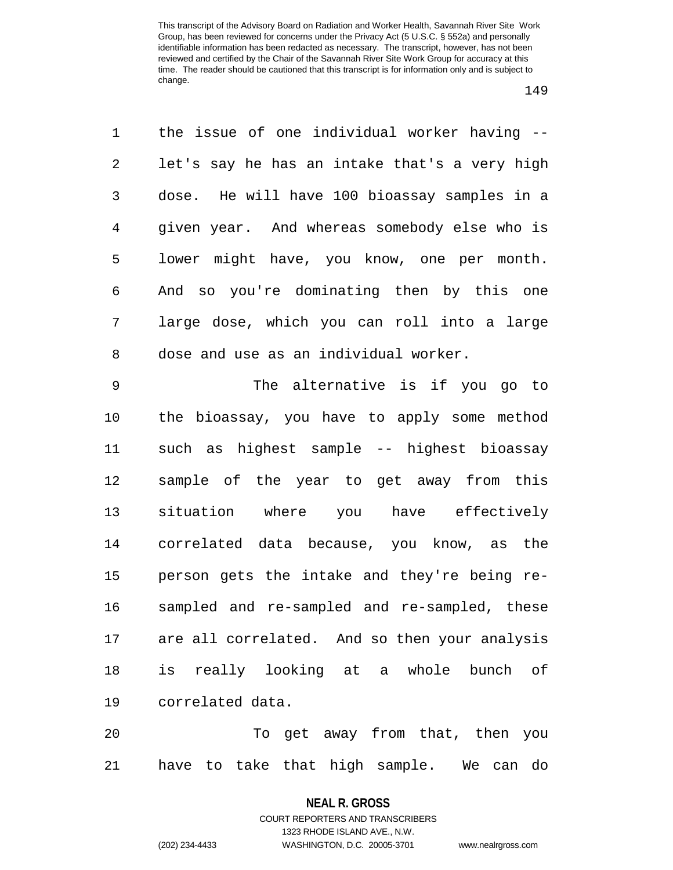149

1 the issue of one individual worker having -- 2 let's say he has an intake that's a very high 3 dose. He will have 100 bioassay samples in a 4 given year. And whereas somebody else who is 5 lower might have, you know, one per month. 6 And so you're dominating then by this one 7 large dose, which you can roll into a large 8 dose and use as an individual worker.

9 The alternative is if you go to 10 the bioassay, you have to apply some method 11 such as highest sample -- highest bioassay 12 sample of the year to get away from this 13 situation where you have effectively 14 correlated data because, you know, as the 15 person gets the intake and they're being re-16 sampled and re-sampled and re-sampled, these 17 are all correlated. And so then your analysis 18 is really looking at a whole bunch of 19 correlated data.

20 To get away from that, then you 21 have to take that high sample. We can do

# **NEAL R. GROSS**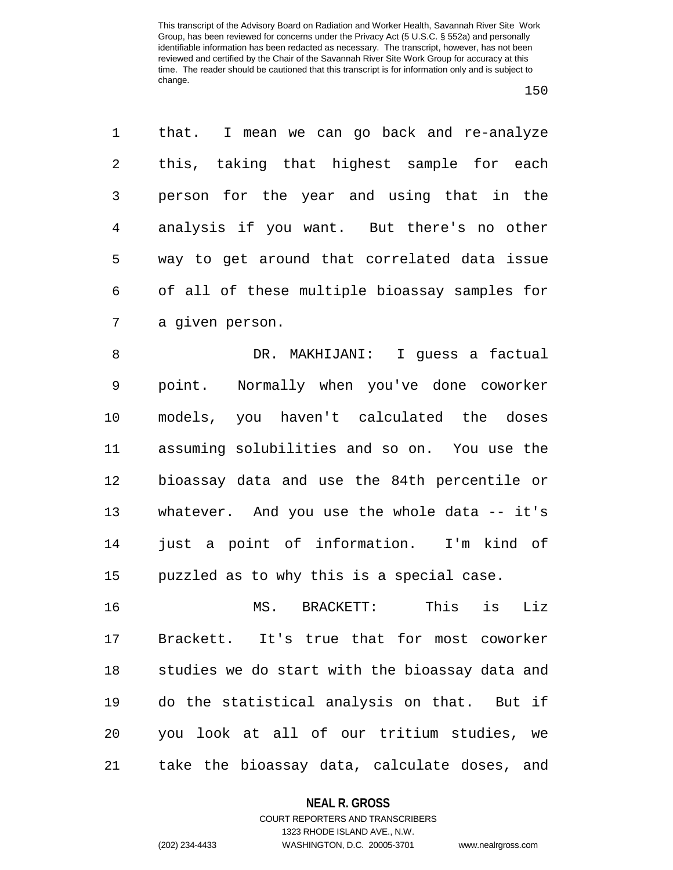150

1 that. I mean we can go back and re-analyze 2 this, taking that highest sample for each 3 person for the year and using that in the 4 analysis if you want. But there's no other 5 way to get around that correlated data issue 6 of all of these multiple bioassay samples for 7 a given person.

8 DR. MAKHIJANI: I guess a factual 9 point. Normally when you've done coworker 10 models, you haven't calculated the doses 11 assuming solubilities and so on. You use the 12 bioassay data and use the 84th percentile or 13 whatever. And you use the whole data -- it's 14 just a point of information. I'm kind of 15 puzzled as to why this is a special case.

16 MS. BRACKETT: This is Liz 17 Brackett. It's true that for most coworker 18 studies we do start with the bioassay data and 19 do the statistical analysis on that. But if 20 you look at all of our tritium studies, we 21 take the bioassay data, calculate doses, and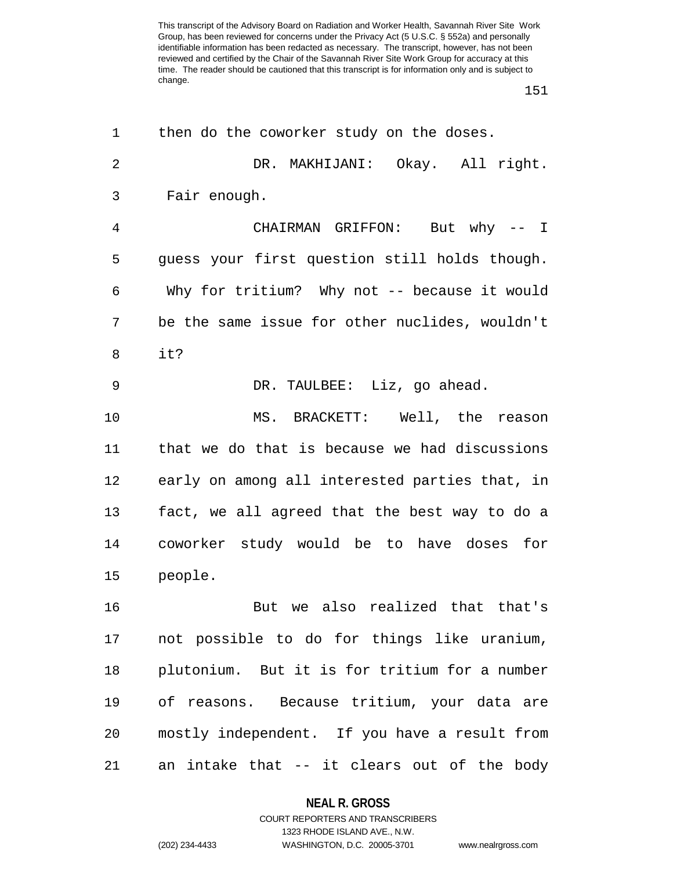| 1  | then do the coworker study on the doses.       |
|----|------------------------------------------------|
| 2  | DR. MAKHIJANI: Okay. All right.                |
| 3  | Fair enough.                                   |
| 4  | CHAIRMAN GRIFFON: But why -- I                 |
| 5  | guess your first question still holds though.  |
| 6  | Why for tritium? Why not -- because it would   |
| 7  | be the same issue for other nuclides, wouldn't |
| 8  | it?                                            |
| 9  | DR. TAULBEE: Liz, go ahead.                    |
| 10 | MS. BRACKETT: Well, the reason                 |
| 11 | that we do that is because we had discussions  |
| 12 | early on among all interested parties that, in |
| 13 | fact, we all agreed that the best way to do a  |
| 14 | coworker study would be to have doses for      |
| 15 | people.                                        |
| 16 | we also realized that that's<br>But            |
| 17 | not possible to do for things like uranium,    |
| 18 | plutonium. But it is for tritium for a number  |
| 19 | of reasons. Because tritium, your data are     |
| 20 | mostly independent. If you have a result from  |
| 21 | an intake that -- it clears out of the body    |

### **NEAL R. GROSS**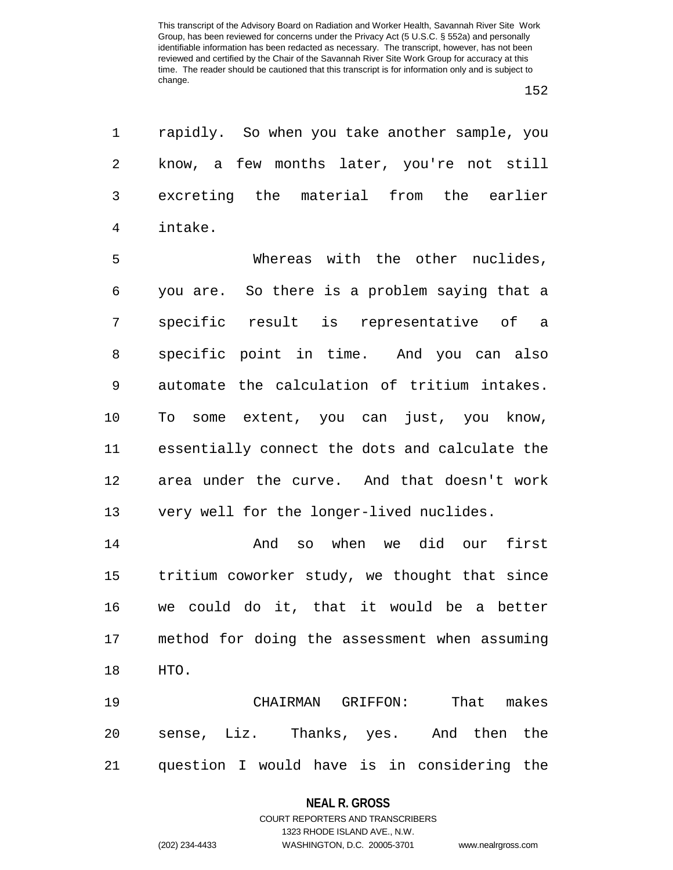152

1 rapidly. So when you take another sample, you 2 know, a few months later, you're not still 3 excreting the material from the earlier 4 intake.

5 Whereas with the other nuclides, 6 you are. So there is a problem saying that a 7 specific result is representative of a 8 specific point in time. And you can also 9 automate the calculation of tritium intakes. 10 To some extent, you can just, you know, 11 essentially connect the dots and calculate the 12 area under the curve. And that doesn't work 13 very well for the longer-lived nuclides.

14 And so when we did our first 15 tritium coworker study, we thought that since 16 we could do it, that it would be a better 17 method for doing the assessment when assuming 18 HTO.

19 CHAIRMAN GRIFFON: That makes 20 sense, Liz. Thanks, yes. And then the 21 question I would have is in considering the

#### **NEAL R. GROSS**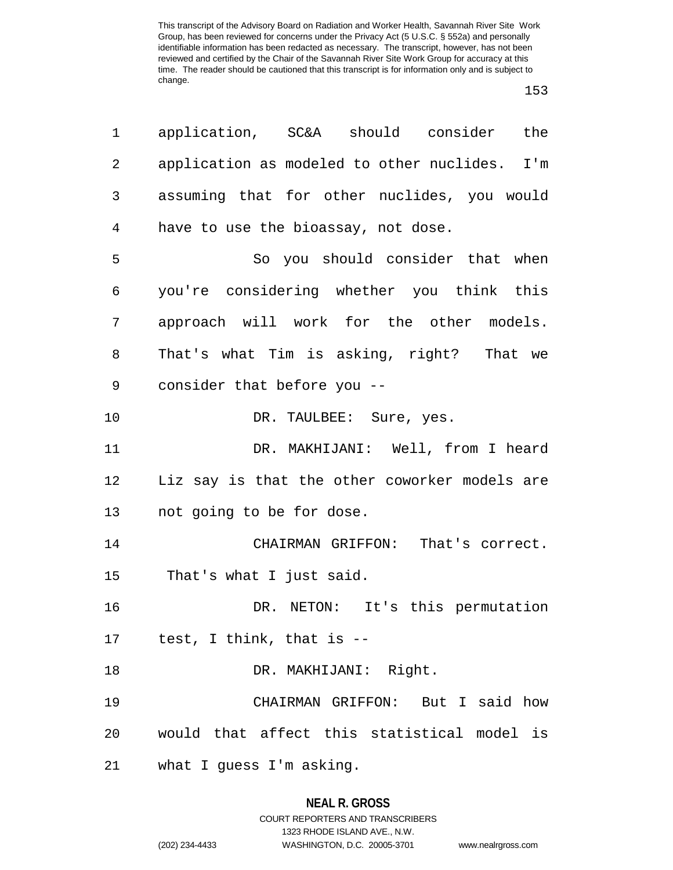153

| 1              | application, SC&A should consider<br>the      |
|----------------|-----------------------------------------------|
| 2              | application as modeled to other nuclides. I'm |
| 3              | assuming that for other nuclides, you would   |
| $\overline{4}$ | have to use the bioassay, not dose.           |
| 5              | So you should consider that when              |
| 6              | you're considering whether you think this     |
| 7              | approach will work for the other models.      |
| 8              | That's what Tim is asking, right? That we     |
| 9              | consider that before you --                   |
| 10             | DR. TAULBEE: Sure, yes.                       |
| 11             | DR. MAKHIJANI: Well, from I heard             |
| 12             | Liz say is that the other coworker models are |
| 13             | not going to be for dose.                     |
| 14             | CHAIRMAN GRIFFON: That's correct.             |
| 15             | That's what I just said.                      |
| 16             | DR. NETON: It's this permutation              |
|                | 17 test, I think, that is --                  |
| 18             | DR. MAKHIJANI: Right.                         |
| 19             | CHAIRMAN GRIFFON: But I said how              |
| 20             | would that affect this statistical model is   |
| 21             | what I guess I'm asking.                      |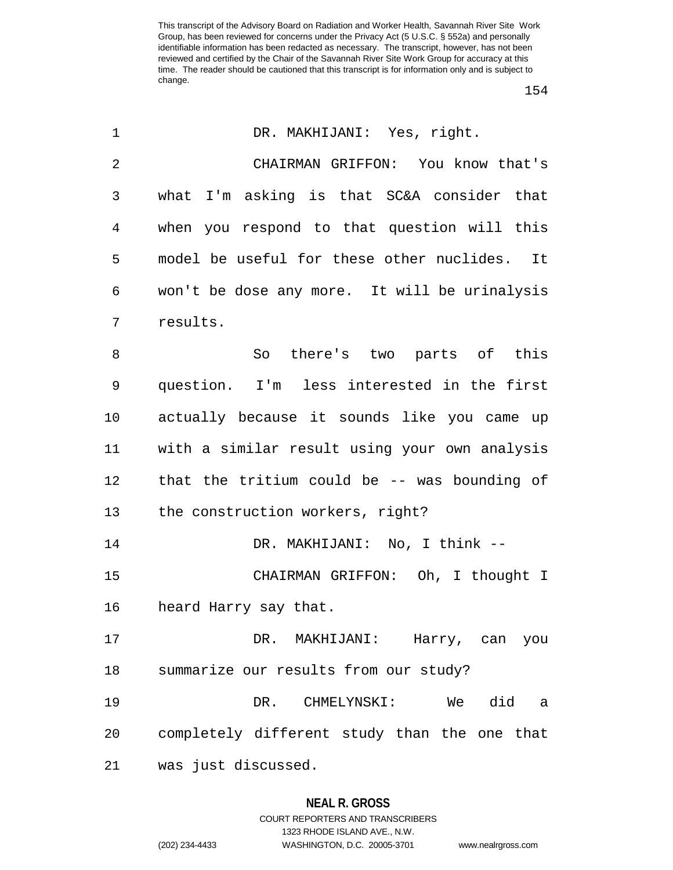154

| $\mathbf 1$ | DR. MAKHIJANI: Yes, right.                    |
|-------------|-----------------------------------------------|
| 2           | CHAIRMAN GRIFFON: You know that's             |
| 3           | what I'm asking is that SC&A consider that    |
| 4           | when you respond to that question will this   |
| 5           | model be useful for these other nuclides. It  |
| 6           | won't be dose any more. It will be urinalysis |
| 7           | results.                                      |
| 8           | So there's two parts of this                  |
| 9           | question. I'm less interested in the first    |
| 10          | actually because it sounds like you came up   |
| 11          | with a similar result using your own analysis |
| 12          | that the tritium could be -- was bounding of  |
| 13          | the construction workers, right?              |
| 14          | DR. MAKHIJANI: No, I think --                 |
| 15          | CHAIRMAN GRIFFON: Oh, I thought I             |
| 16          | heard Harry say that.                         |
| 17          | DR. MAKHIJANI:<br>Harry, can you              |
| 18          | summarize our results from our study?         |
| 19          | We did a<br>DR. CHMELYNSKI:                   |
| 20          | completely different study than the one that  |
| 21          | was just discussed.                           |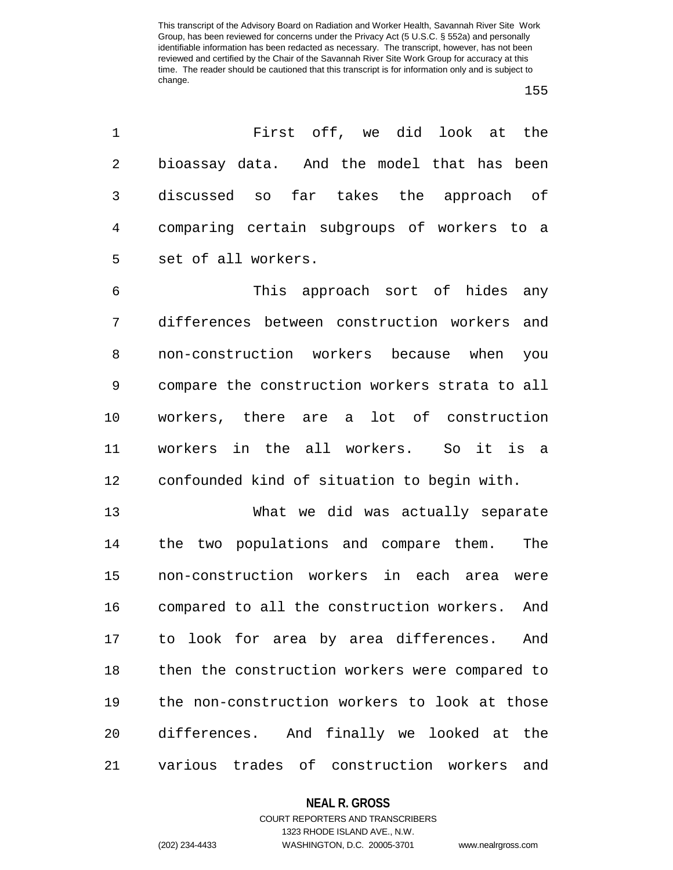155

| 1              | First off, we did look at<br>the                 |
|----------------|--------------------------------------------------|
| $\sqrt{2}$     | bioassay data. And the model that has been       |
| $\mathfrak{Z}$ | discussed so far takes the approach of           |
| 4              | comparing certain subgroups of workers to a      |
| 5              | set of all workers.                              |
| 6              | This approach sort of hides<br>any               |
| 7              | differences between construction workers<br>and  |
| 8              | non-construction workers because when<br>you     |
| 9              | compare the construction workers strata to all   |
| 10             | workers, there are a lot of construction         |
| 11             | workers in the all workers.<br>So it is a        |
| 12             | confounded kind of situation to begin with.      |
| 13             | What we did was actually separate                |
| 14             | the two populations and compare them.<br>The     |
| 15             | non-construction workers in each area<br>were    |
| 16             | compared to all the construction workers.<br>And |
|                | 17 to look for area by area differences. And     |
| 18             | then the construction workers were compared to   |
| 19             | the non-construction workers to look at those    |
| 20             | differences. And finally we looked at the        |
| 21             | various trades of construction workers<br>and    |

### **NEAL R. GROSS**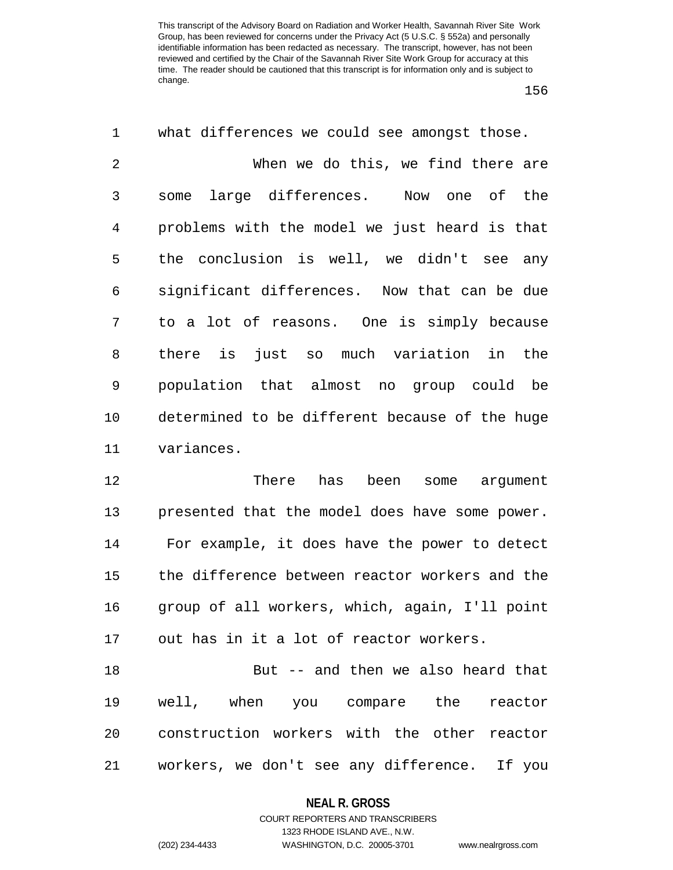156

1 what differences we could see amongst those. 2 When we do this, we find there are 3 some large differences. Now one of the 4 problems with the model we just heard is that 5 the conclusion is well, we didn't see any 6 significant differences. Now that can be due 7 to a lot of reasons. One is simply because 8 there is just so much variation in the 9 population that almost no group could be 10 determined to be different because of the huge 11 variances.

12 There has been some argument 13 presented that the model does have some power. 14 For example, it does have the power to detect 15 the difference between reactor workers and the 16 group of all workers, which, again, I'll point 17 out has in it a lot of reactor workers.

18 But -- and then we also heard that 19 well, when you compare the reactor 20 construction workers with the other reactor 21 workers, we don't see any difference. If you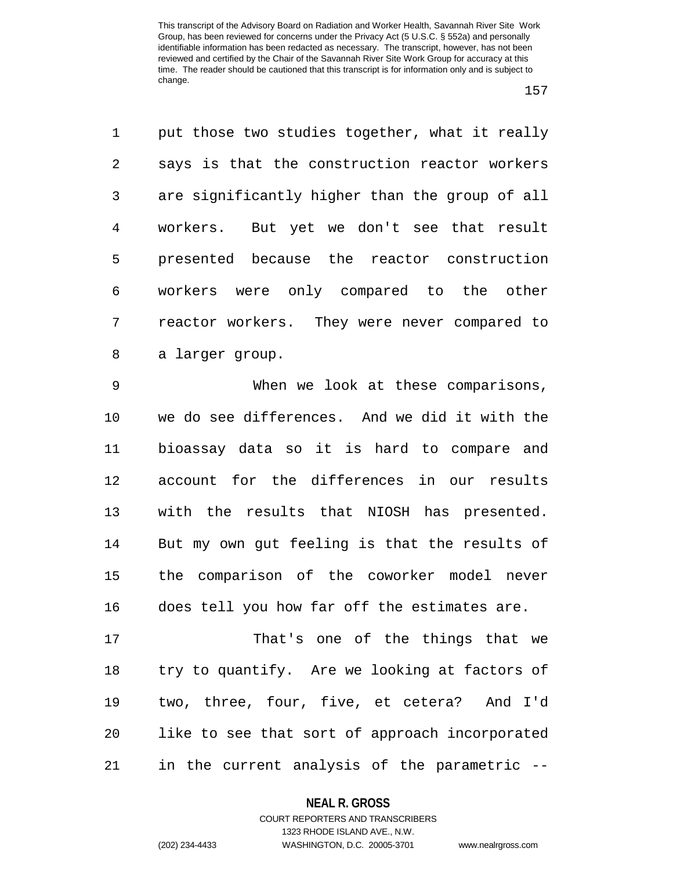157

1 put those two studies together, what it really 2 says is that the construction reactor workers 3 are significantly higher than the group of all 4 workers. But yet we don't see that result 5 presented because the reactor construction 6 workers were only compared to the other 7 reactor workers. They were never compared to 8 a larger group.

9 When we look at these comparisons, 10 we do see differences. And we did it with the 11 bioassay data so it is hard to compare and 12 account for the differences in our results 13 with the results that NIOSH has presented. 14 But my own gut feeling is that the results of 15 the comparison of the coworker model never 16 does tell you how far off the estimates are.

17 That's one of the things that we 18 try to quantify. Are we looking at factors of 19 two, three, four, five, et cetera? And I'd 20 like to see that sort of approach incorporated 21 in the current analysis of the parametric --

> **NEAL R. GROSS** COURT REPORTERS AND TRANSCRIBERS

> > 1323 RHODE ISLAND AVE., N.W.

(202) 234-4433 WASHINGTON, D.C. 20005-3701 www.nealrgross.com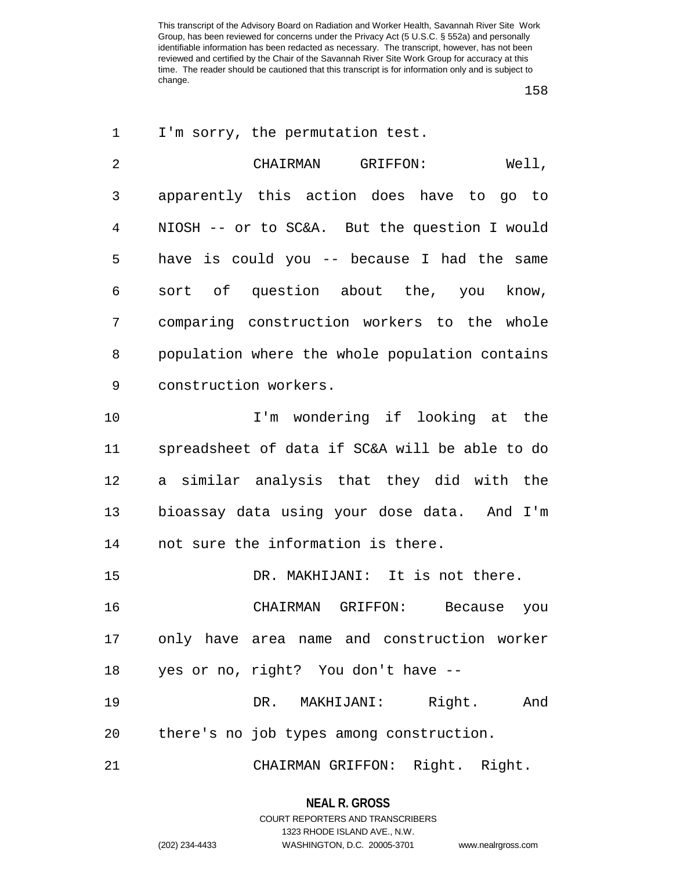158

| 1              | I'm sorry, the permutation test.               |
|----------------|------------------------------------------------|
| $\overline{2}$ | Well,<br>CHAIRMAN GRIFFON:                     |
| 3              | apparently this action does have to go to      |
| 4              | NIOSH -- or to SC&A. But the question I would  |
| 5              | have is could you -- because I had the same    |
| 6              | sort of question about the, you know,          |
| 7              | comparing construction workers to the whole    |
| 8              | population where the whole population contains |
| 9              | construction workers.                          |
| 10             | I'm wondering if looking at the                |
| 11             | spreadsheet of data if SC&A will be able to do |
| 12             | a similar analysis that they did with the      |
| 13             | bioassay data using your dose data. And I'm    |
| 14             | not sure the information is there.             |
| 15             | DR. MAKHIJANI: It is not there.                |
| 16             | CHAIRMAN GRIFFON:<br>Because you               |
|                | 17 only have area name and construction worker |
| 18             | yes or no, right? You don't have --            |
| 19             | DR. MAKHIJANI: Right. And                      |
| 20             | there's no job types among construction.       |
| 21             | CHAIRMAN GRIFFON: Right. Right.                |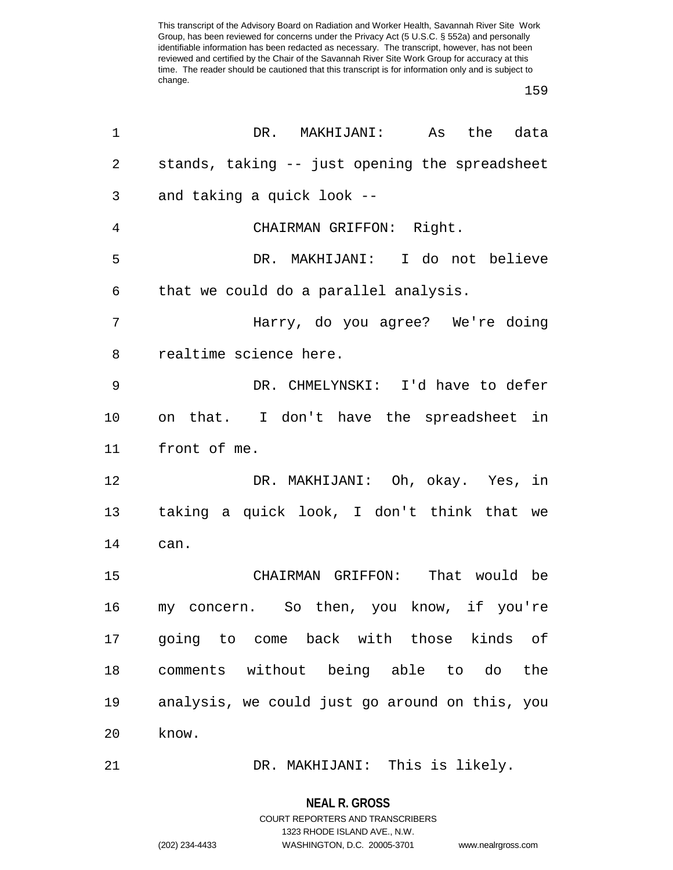159

| 1              | DR. MAKHIJANI: As the data                     |
|----------------|------------------------------------------------|
| $\overline{2}$ | stands, taking -- just opening the spreadsheet |
| 3              | and taking a quick look --                     |
| 4              | CHAIRMAN GRIFFON: Right.                       |
| 5              | DR. MAKHIJANI: I do not believe                |
| 6              | that we could do a parallel analysis.          |
| 7              | Harry, do you agree? We're doing               |
| 8              | realtime science here.                         |
| 9              | DR. CHMELYNSKI: I'd have to defer              |
| 10             | on that. I don't have the spreadsheet in       |
| 11             | front of me.                                   |
| 12             | DR. MAKHIJANI: Oh, okay. Yes, in               |
| 13             | taking a quick look, I don't think that we     |
| 14             | can.                                           |
| 15             | CHAIRMAN GRIFFON: That would be                |
| 16             | my concern. So then, you know, if you're       |
| 17             | going to come back with those kinds of         |
| 18             | comments without being able to do the          |
| 19             | analysis, we could just go around on this, you |
| 20             | know.                                          |
| 21             | DR. MAKHIJANI: This is likely.                 |

1323 RHODE ISLAND AVE., N.W.

(202) 234-4433 WASHINGTON, D.C. 20005-3701 www.nealrgross.com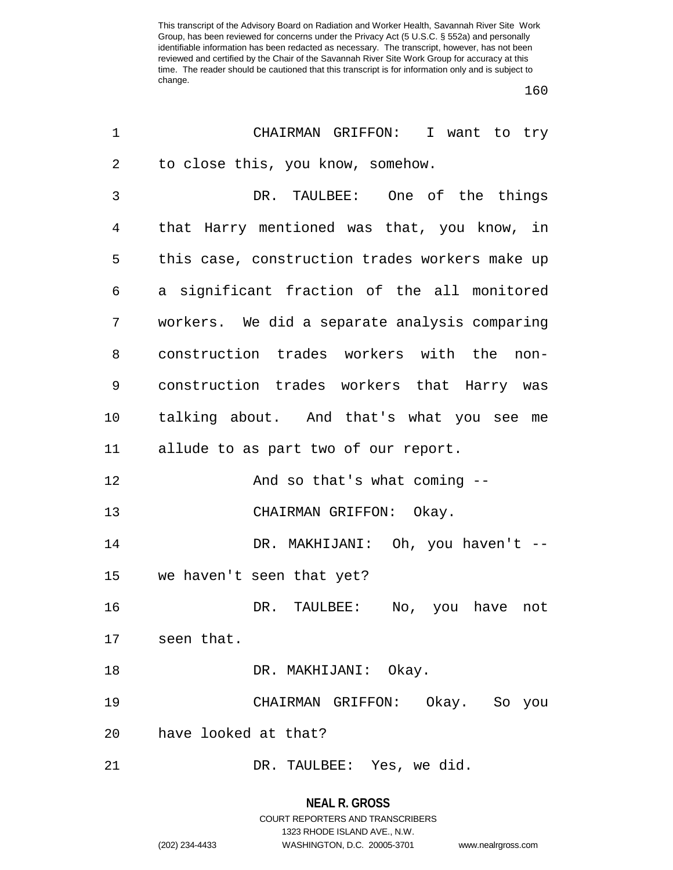160

| 1  | CHAIRMAN GRIFFON: I want to try                |
|----|------------------------------------------------|
| 2  | to close this, you know, somehow.              |
| 3  | DR. TAULBEE: One of the things                 |
| 4  | that Harry mentioned was that, you know, in    |
| 5  | this case, construction trades workers make up |
| 6  | a significant fraction of the all monitored    |
| 7  | workers. We did a separate analysis comparing  |
| 8  | construction trades workers with the<br>non-   |
| 9  | construction trades workers that Harry was     |
| 10 | talking about. And that's what you see me      |
| 11 | allude to as part two of our report.           |
| 12 | And so that's what coming --                   |
| 13 | CHAIRMAN GRIFFON: Okay.                        |
| 14 | DR. MAKHIJANI: Oh, you haven't --              |
| 15 | we haven't seen that yet?                      |
| 16 | No, you have not<br>DR. TAULBEE:               |
|    | 17 seen that.                                  |
| 18 | DR. MAKHIJANI: Okay.                           |
| 19 | CHAIRMAN GRIFFON: Okay. So you                 |
| 20 | have looked at that?                           |
| 21 | DR. TAULBEE: Yes, we did.                      |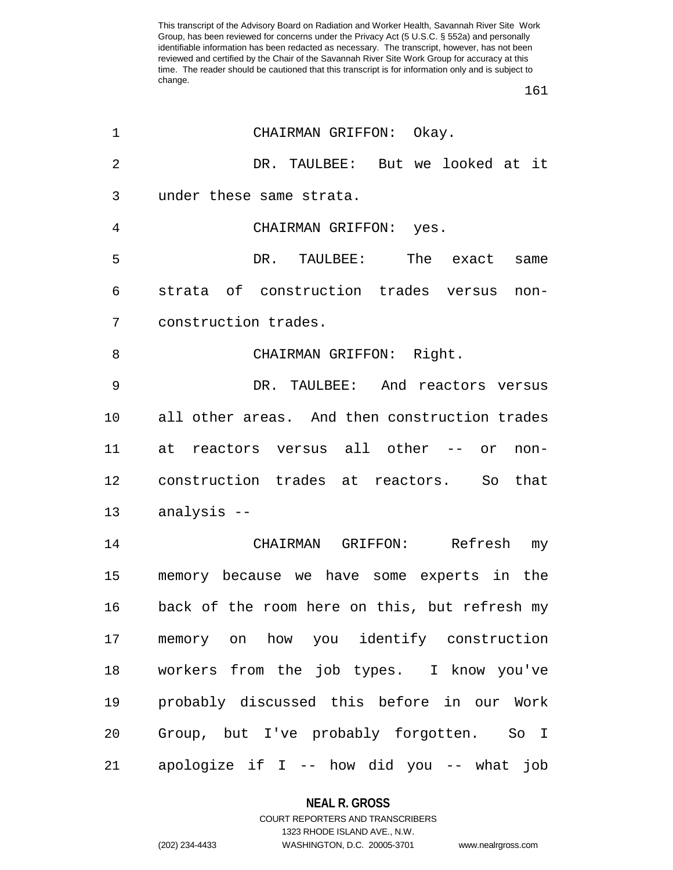161

| 1  | CHAIRMAN GRIFFON: Okay.                       |
|----|-----------------------------------------------|
| 2  | DR. TAULBEE: But we looked at it              |
| 3  | under these same strata.                      |
| 4  | CHAIRMAN GRIFFON: yes.                        |
| 5  | DR. TAULBEE: The exact<br>same                |
| 6  | strata of construction trades versus<br>non-  |
| 7  | construction trades.                          |
| 8  | CHAIRMAN GRIFFON: Right.                      |
| 9  | DR. TAULBEE: And reactors versus              |
| 10 | all other areas. And then construction trades |
| 11 | at reactors versus all other -- or<br>non-    |
| 12 | construction trades at reactors. So<br>that   |
| 13 | analysis --                                   |
| 14 | CHAIRMAN GRIFFON: Refresh<br>my               |
| 15 | memory because we have some experts in the    |
| 16 | back of the room here on this, but refresh my |
| 17 | memory on how you identify construction       |
| 18 | workers from the job types. I know you've     |
| 19 | probably discussed this before in our Work    |
| 20 | Group, but I've probably forgotten. So I      |
| 21 | apologize if I -- how did you -- what job     |

**NEAL R. GROSS**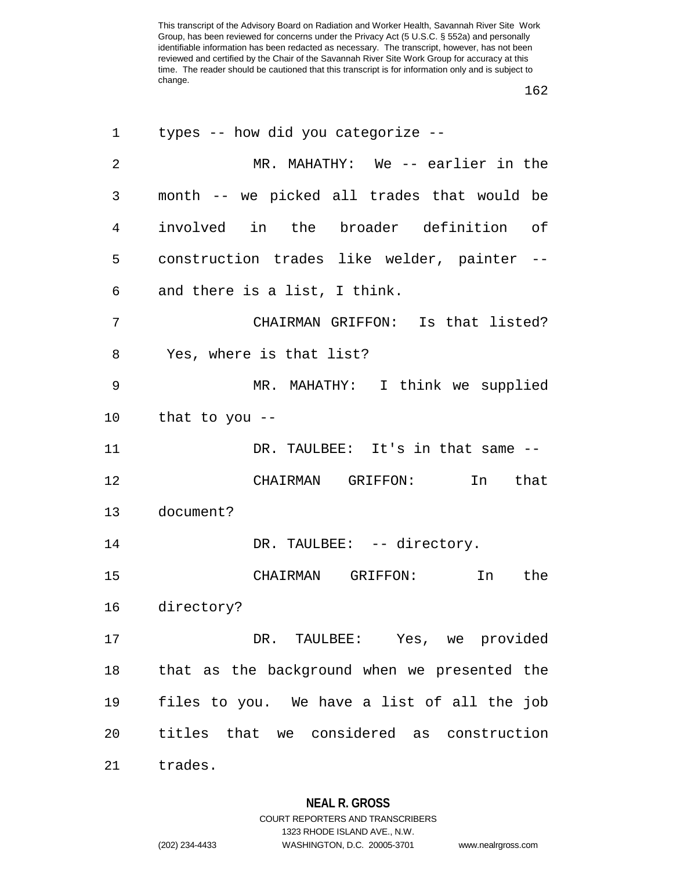| 1  | types -- how did you categorize --           |
|----|----------------------------------------------|
| 2  | MR. MAHATHY: We -- earlier in the            |
| 3  | month -- we picked all trades that would be  |
| 4  | involved in the broader definition of        |
| 5  | construction trades like welder, painter --  |
| 6  | and there is a list, I think.                |
| 7  | CHAIRMAN GRIFFON: Is that listed?            |
| 8  | Yes, where is that list?                     |
| 9  | MR. MAHATHY: I think we supplied             |
| 10 | that to you $-$                              |
| 11 | DR. TAULBEE: It's in that same --            |
| 12 | CHAIRMAN GRIFFON:<br>In that                 |
| 13 | document?                                    |
| 14 | DR. TAULBEE: -- directory.                   |
| 15 | CHAIRMAN GRIFFON:<br>the<br>In               |
| 16 | directory?                                   |
| 17 | DR. TAULBEE: Yes, we provided                |
| 18 | that as the background when we presented the |
| 19 | files to you. We have a list of all the job  |
| 20 | titles that we considered as construction    |
| 21 | trades.                                      |

## **NEAL R. GROSS**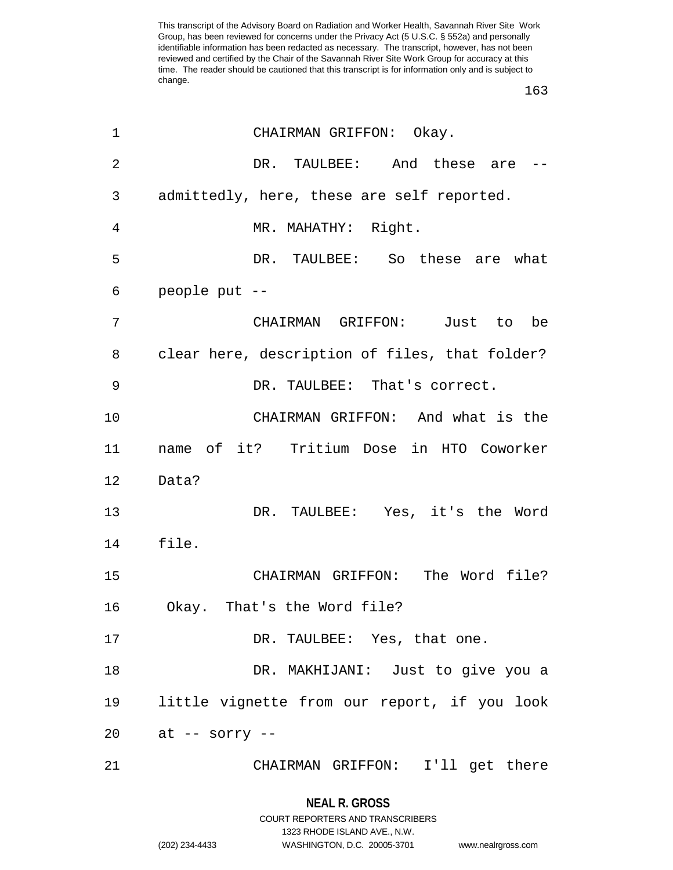163

| 1  | CHAIRMAN GRIFFON: Okay.                        |
|----|------------------------------------------------|
| 2  | DR. TAULBEE: And these are                     |
| 3  | admittedly, here, these are self reported.     |
| 4  | MR. MAHATHY: Right.                            |
| 5  | DR. TAULBEE: So these are<br>what              |
| 6  | people put --                                  |
| 7  | CHAIRMAN GRIFFON: Just to<br>be                |
| 8  | clear here, description of files, that folder? |
| 9  | DR. TAULBEE: That's correct.                   |
| 10 | CHAIRMAN GRIFFON: And what is the              |
| 11 | name of it? Tritium Dose in HTO Coworker       |
| 12 | Data?                                          |
| 13 | DR. TAULBEE: Yes, it's the Word                |
| 14 | file.                                          |
| 15 | CHAIRMAN GRIFFON: The Word file?               |
| 16 | Okay. That's the Word file?                    |
| 17 | DR. TAULBEE: Yes, that one.                    |
| 18 | DR. MAKHIJANI: Just to give you a              |
| 19 | little vignette from our report, if you look   |
| 20 | at -- sorry --                                 |
| 21 | CHAIRMAN GRIFFON: I'll get there               |

1323 RHODE ISLAND AVE., N.W.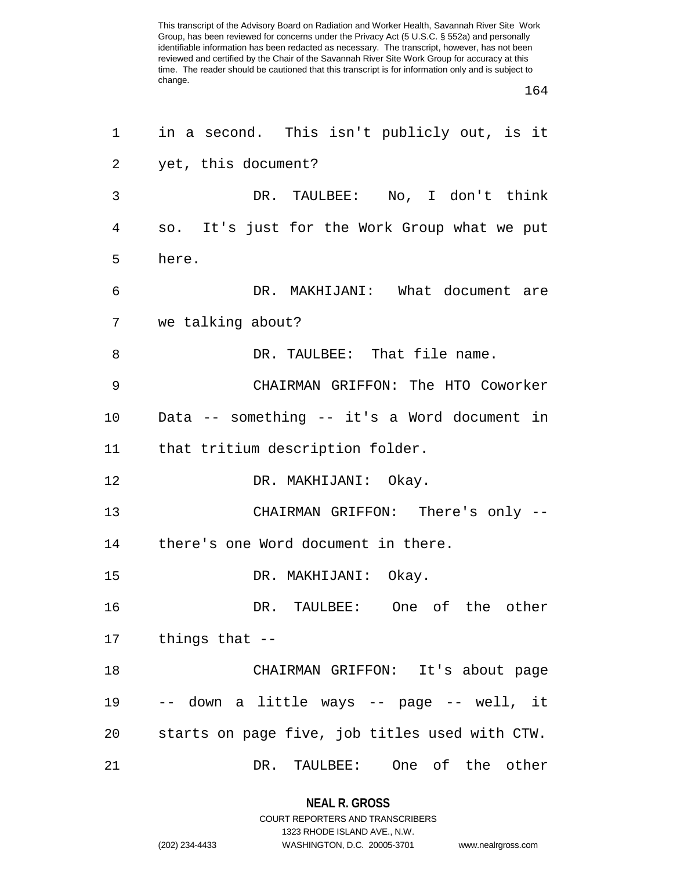| 1  | in a second. This isn't publicly out, is it    |
|----|------------------------------------------------|
| 2  | yet, this document?                            |
| 3  | DR. TAULBEE: No, I don't think                 |
| 4  | so. It's just for the Work Group what we put   |
| 5  | here.                                          |
| 6  | DR. MAKHIJANI: What document are               |
| 7  | we talking about?                              |
| 8  | DR. TAULBEE: That file name.                   |
| 9  | CHAIRMAN GRIFFON: The HTO Coworker             |
| 10 | Data -- something -- it's a Word document in   |
| 11 | that tritium description folder.               |
| 12 | DR. MAKHIJANI: Okay.                           |
| 13 | CHAIRMAN GRIFFON: There's only --              |
| 14 | there's one Word document in there.            |
| 15 | DR. MAKHIJANI: Okay.                           |
| 16 | DR. TAULBEE: One of the other                  |
|    | 17 things that --                              |
| 18 | CHAIRMAN GRIFFON: It's about page              |
| 19 | -- down a little ways -- page -- well, it      |
| 20 | starts on page five, job titles used with CTW. |
| 21 | DR. TAULBEE: One of the other                  |

**NEAL R. GROSS** COURT REPORTERS AND TRANSCRIBERS

1323 RHODE ISLAND AVE., N.W.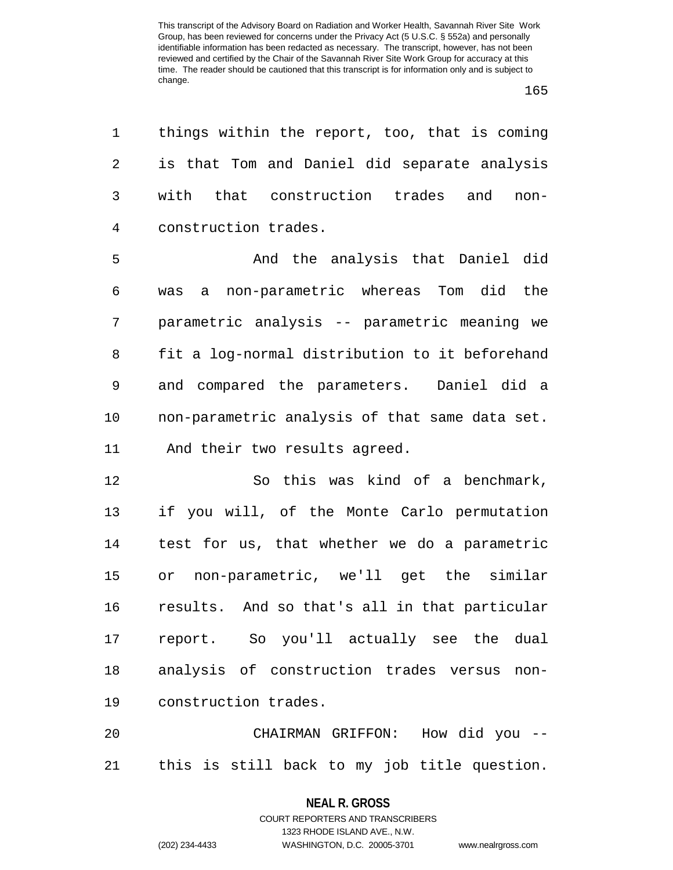165

1 things within the report, too, that is coming 2 is that Tom and Daniel did separate analysis 3 with that construction trades and non-4 construction trades. 5 And the analysis that Daniel did

6 was a non-parametric whereas Tom did the 7 parametric analysis -- parametric meaning we 8 fit a log-normal distribution to it beforehand 9 and compared the parameters. Daniel did a 10 non-parametric analysis of that same data set. 11 And their two results agreed.

12 So this was kind of a benchmark, 13 if you will, of the Monte Carlo permutation 14 test for us, that whether we do a parametric 15 or non-parametric, we'll get the similar 16 results. And so that's all in that particular 17 report. So you'll actually see the dual 18 analysis of construction trades versus non-19 construction trades.

20 CHAIRMAN GRIFFON: How did you -- 21 this is still back to my job title question.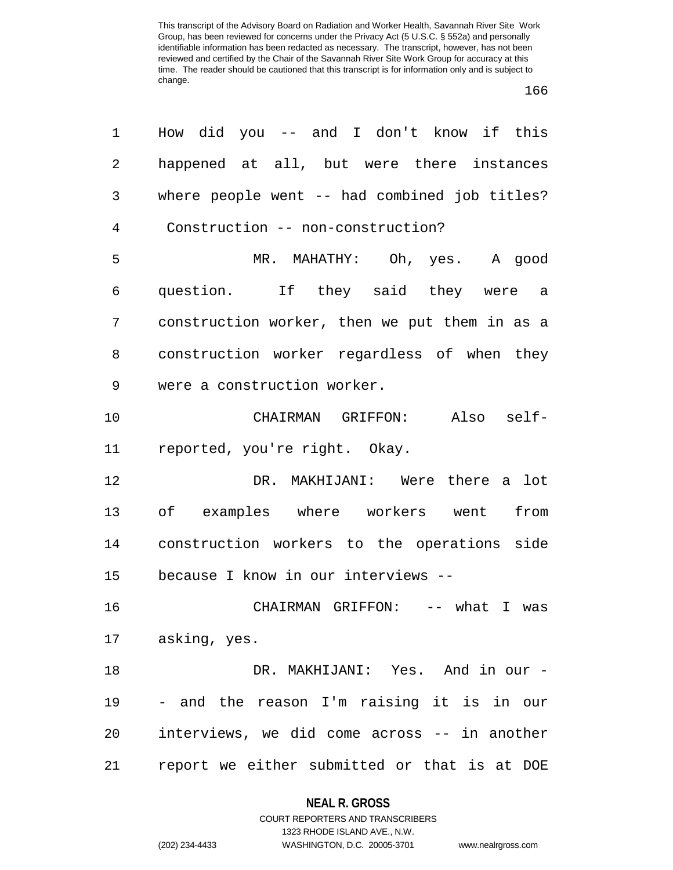166

| 1  | How did you -- and I don't know if this       |
|----|-----------------------------------------------|
| 2  | happened at all, but were there instances     |
| 3  | where people went -- had combined job titles? |
| 4  | Construction -- non-construction?             |
| 5  | MR. MAHATHY: Oh, yes. A good                  |
| 6  | question. If they said they were a            |
| 7  | construction worker, then we put them in as a |
| 8  | construction worker regardless of when they   |
| 9  | were a construction worker.                   |
| 10 | CHAIRMAN GRIFFON: Also self-                  |
| 11 | reported, you're right. Okay.                 |
| 12 | DR. MAKHIJANI: Were there a lot               |
| 13 | of examples where workers went from           |
| 14 | construction workers to the operations side   |
| 15 | because I know in our interviews --           |
| 16 | CHAIRMAN GRIFFON: -- what I was               |
|    | 17 asking, yes.                               |
| 18 | DR. MAKHIJANI: Yes. And in our -              |
| 19 | - and the reason I'm raising it is in our     |
| 20 | interviews, we did come across -- in another  |
| 21 | report we either submitted or that is at DOE  |

## **NEAL R. GROSS**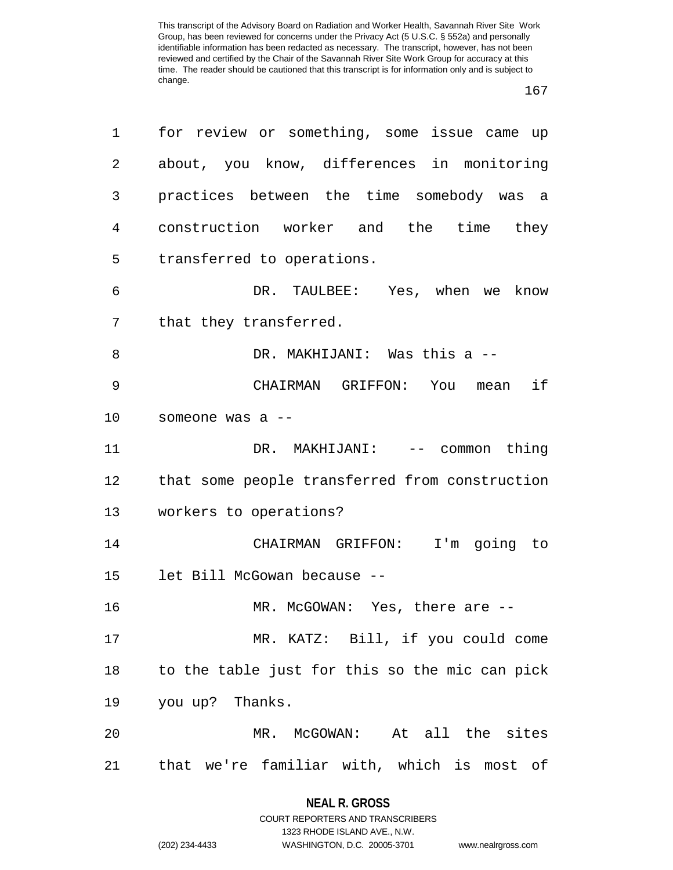| $\mathbf 1$ | for review or something, some issue came up    |
|-------------|------------------------------------------------|
| 2           | about, you know, differences in monitoring     |
| 3           | practices between the time somebody was a      |
| 4           | construction worker and the time they          |
| 5           | transferred to operations.                     |
| 6           | DR. TAULBEE: Yes, when we know                 |
| 7           | that they transferred.                         |
| 8           | DR. MAKHIJANI: Was this a --                   |
| 9           | CHAIRMAN GRIFFON: You mean if                  |
| 10          | someone was a --                               |
| 11          | DR. MAKHIJANI: -- common thing                 |
| 12          | that some people transferred from construction |
| 13          | workers to operations?                         |
| 14          | CHAIRMAN GRIFFON: I'm going to                 |
| 15          | let Bill McGowan because --                    |
| 16          | MR. McGOWAN: Yes, there are --                 |
| 17          | MR. KATZ: Bill, if you could come              |
| 18          | to the table just for this so the mic can pick |
| 19          | you up? Thanks.                                |
| 20          | MR. McGOWAN: At all the sites                  |
| 21          | that we're familiar with, which is most of     |

# **NEAL R. GROSS** COURT REPORTERS AND TRANSCRIBERS

1323 RHODE ISLAND AVE., N.W.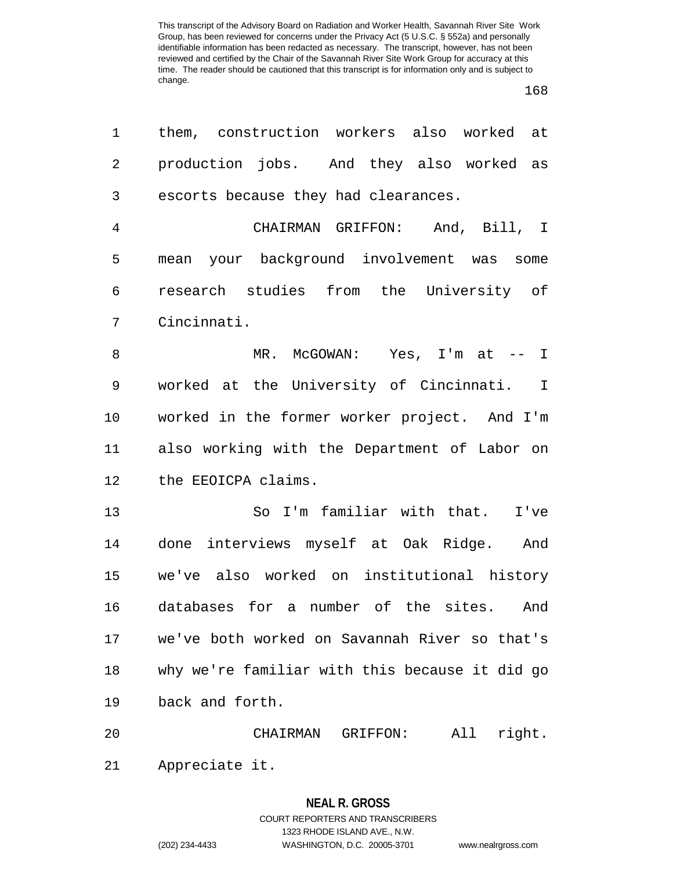| 1              | them, construction workers also worked at      |
|----------------|------------------------------------------------|
| 2              | production jobs. And they also worked as       |
| 3              | escorts because they had clearances.           |
| $\overline{4}$ | CHAIRMAN GRIFFON: And, Bill, I                 |
| 5              | your background involvement was some<br>mean   |
| 6              | research studies from the University of        |
| 7              | Cincinnati.                                    |
| 8              | MR. McGOWAN: Yes, I'm at -- I                  |
| $\mathsf 9$    | worked at the University of Cincinnati. I      |
| 10             | worked in the former worker project. And I'm   |
| 11             | also working with the Department of Labor on   |
| 12             | the EEOICPA claims.                            |
| 13             | So I'm familiar with that. I've                |
| 14             | done interviews myself at Oak Ridge. And       |
| 15             | we've also worked on institutional history     |
| 16             | databases for a number of the sites. And       |
| 17             | we've both worked on Savannah River so that's  |
| 18             | why we're familiar with this because it did go |
| 19             | back and forth.                                |
| 20             | right.<br>All<br>CHAIRMAN GRIFFON:             |
| 21             | Appreciate it.                                 |

### **NEAL R. GROSS**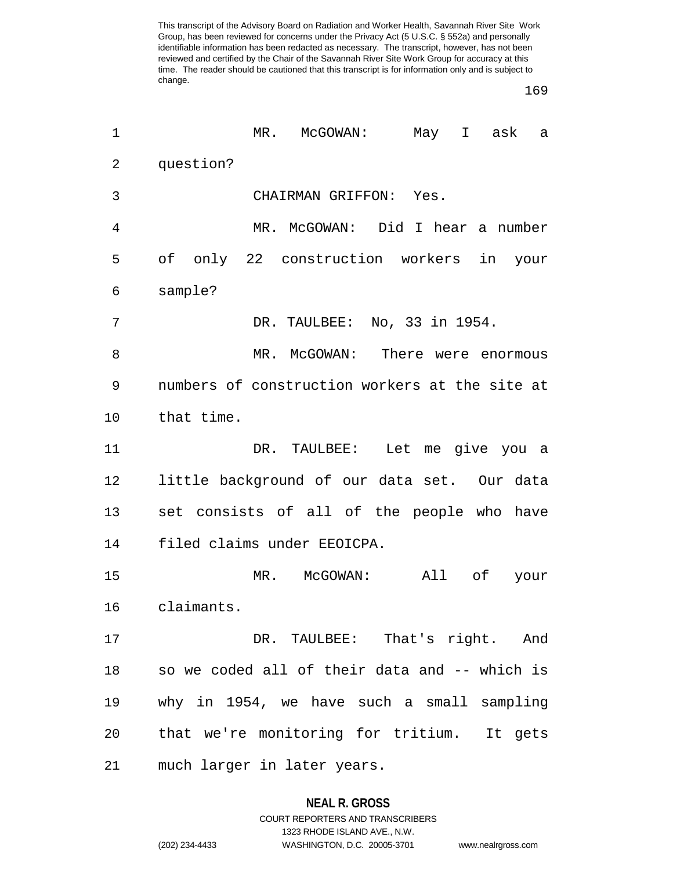1 MR. McGOWAN: May I ask a 2 question? 3 CHAIRMAN GRIFFON: Yes. 4 MR. McGOWAN: Did I hear a number 5 of only 22 construction workers in your 6 sample? 7 DR. TAULBEE: No, 33 in 1954. 8 MR. McGOWAN: There were enormous 9 numbers of construction workers at the site at 10 that time. 11 DR. TAULBEE: Let me give you a 12 little background of our data set. Our data 13 set consists of all of the people who have 14 filed claims under EEOICPA. 15 MR. McGOWAN: All of your 16 claimants.

17 DR. TAULBEE: That's right. And 18 so we coded all of their data and -- which is 19 why in 1954, we have such a small sampling 20 that we're monitoring for tritium. It gets 21 much larger in later years.

#### **NEAL R. GROSS**

# COURT REPORTERS AND TRANSCRIBERS 1323 RHODE ISLAND AVE., N.W. (202) 234-4433 WASHINGTON, D.C. 20005-3701 www.nealrgross.com

169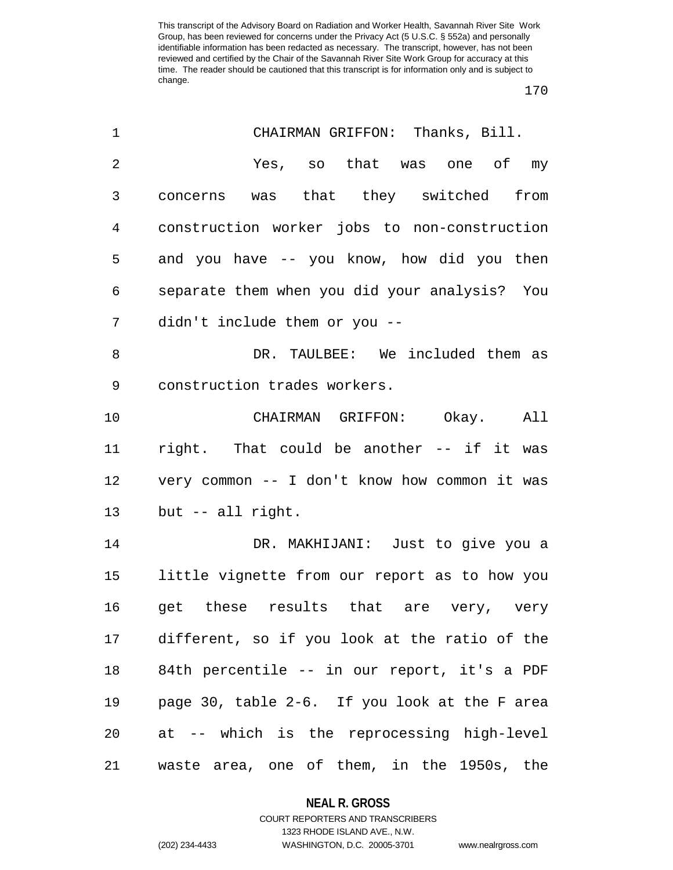170

| 1              | CHAIRMAN GRIFFON: Thanks, Bill.               |
|----------------|-----------------------------------------------|
| $\overline{2}$ | Yes, so that was one of my                    |
| 3              | concerns was that they switched from          |
| 4              | construction worker jobs to non-construction  |
| 5              | and you have -- you know, how did you then    |
| 6              | separate them when you did your analysis? You |
| 7              | didn't include them or you --                 |
| 8              | DR. TAULBEE: We included them as              |
| 9              | construction trades workers.                  |
| 10             | CHAIRMAN GRIFFON: Okay. All                   |
| 11             | right. That could be another -- if it was     |
| 12             | very common -- I don't know how common it was |
| 13             | but -- all right.                             |
| 14             | DR. MAKHIJANI: Just to give you a             |
| 15             | little vignette from our report as to how you |
| 16             | get these results that are very, very         |
| 17             | different, so if you look at the ratio of the |
| 18             | 84th percentile -- in our report, it's a PDF  |
| 19             | page 30, table 2-6. If you look at the F area |
| 20             | at -- which is the reprocessing high-level    |
| 21             | waste area, one of them, in the 1950s, the    |

**NEAL R. GROSS**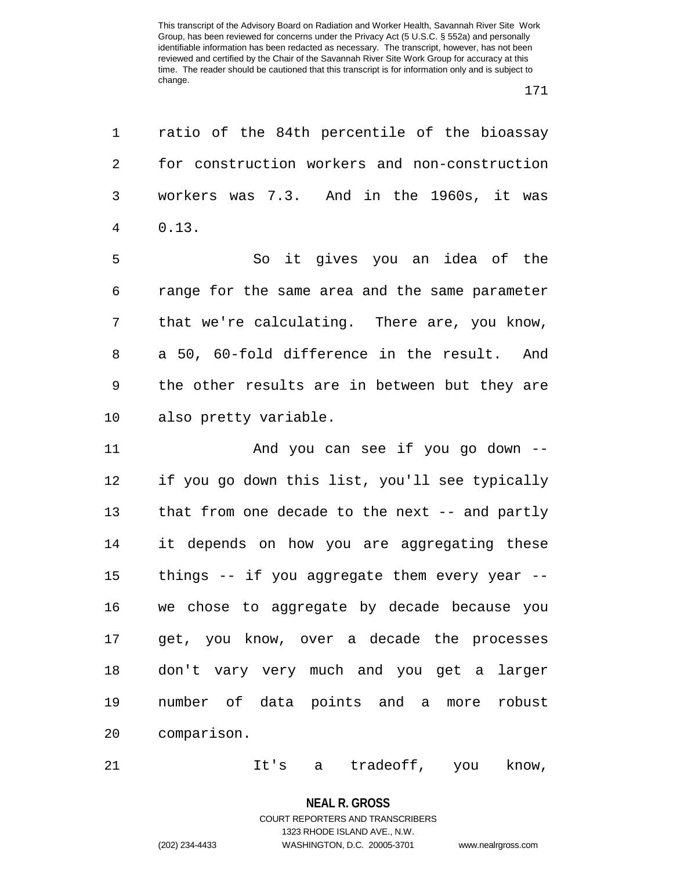171

1 ratio of the 84th percentile of the bioassay 2 for construction workers and non-construction 3 workers was 7.3. And in the 1960s, it was 4 0.13.

5 So it gives you an idea of the 6 range for the same area and the same parameter 7 that we're calculating. There are, you know, 8 a 50, 60-fold difference in the result. And 9 the other results are in between but they are 10 also pretty variable.

11 And you can see if you go down -- 12 if you go down this list, you'll see typically 13 that from one decade to the next -- and partly 14 it depends on how you are aggregating these 15 things -- if you aggregate them every year -- 16 we chose to aggregate by decade because you 17 get, you know, over a decade the processes 18 don't vary very much and you get a larger 19 number of data points and a more robust 20 comparison.

21 It's a tradeoff, you know,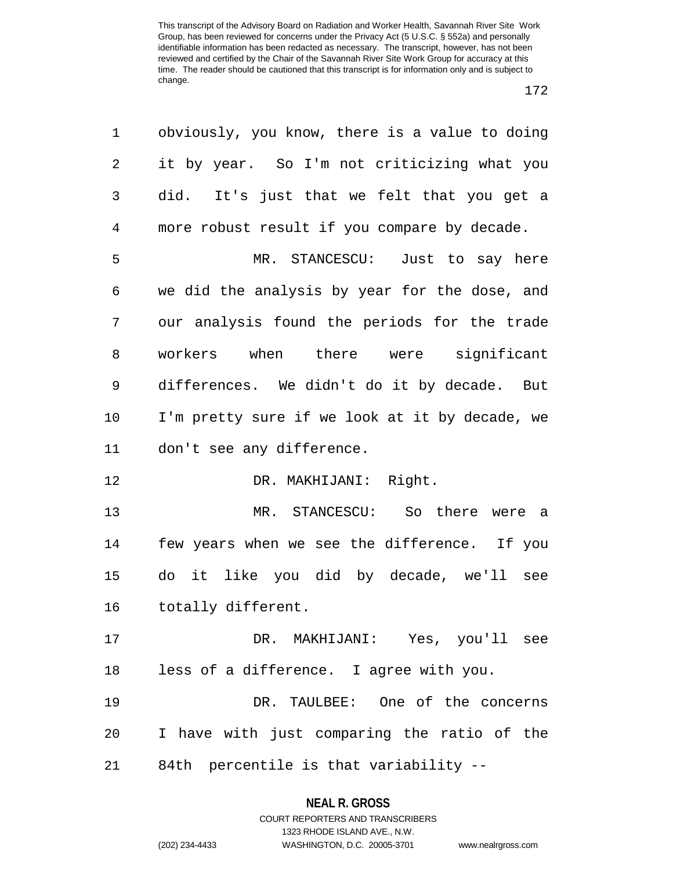172

| 1           | obviously, you know, there is a value to doing |
|-------------|------------------------------------------------|
| 2           | it by year. So I'm not criticizing what you    |
| 3           | did. It's just that we felt that you get a     |
| 4           | more robust result if you compare by decade.   |
| 5           | MR. STANCESCU: Just to say here                |
| 6           | we did the analysis by year for the dose, and  |
| 7           | our analysis found the periods for the trade   |
| 8           | workers when there were significant            |
| $\mathsf 9$ | differences. We didn't do it by decade. But    |
| 10          | I'm pretty sure if we look at it by decade, we |
| 11          | don't see any difference.                      |
| 12          | DR. MAKHIJANI: Right.                          |
| 13          | MR. STANCESCU: So there were a                 |
| 14          | few years when we see the difference. If you   |
| 15          | do it like you did by decade, we'll see        |
| 16          | totally different.                             |
| 17          | DR. MAKHIJANI: Yes, you'll see                 |
| 18          | less of a difference. I agree with you.        |
| 19          | DR. TAULBEE: One of the concerns               |
| 20          | I have with just comparing the ratio of the    |
| 21          | 84th percentile is that variability --         |

### **NEAL R. GROSS**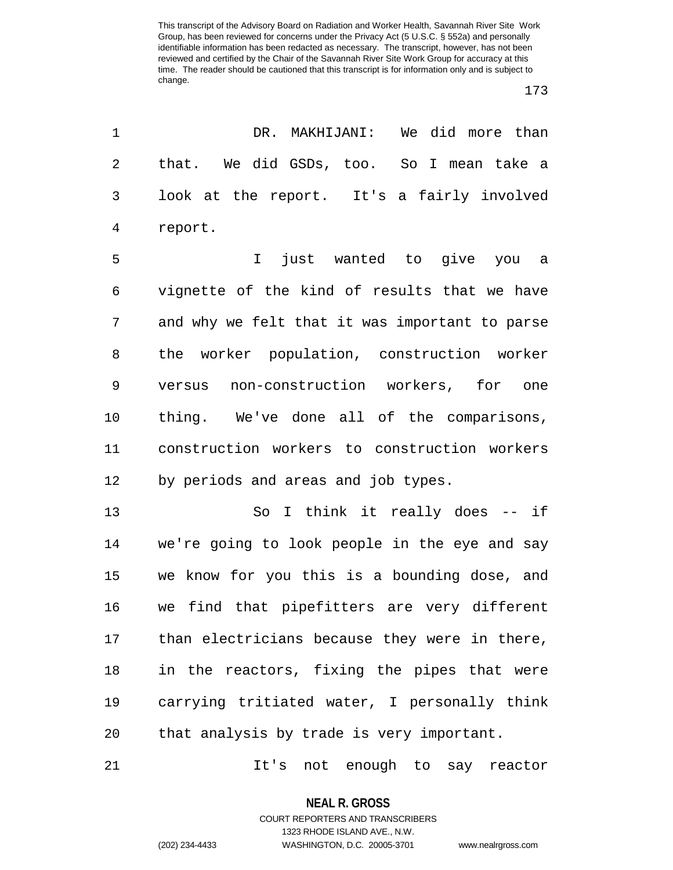1 DR. MAKHIJANI: We did more than 2 that. We did GSDs, too. So I mean take a 3 look at the report. It's a fairly involved 4 report. 5 I just wanted to give you a 6 vignette of the kind of results that we have

7 and why we felt that it was important to parse 8 the worker population, construction worker 9 versus non-construction workers, for one 10 thing. We've done all of the comparisons, 11 construction workers to construction workers 12 by periods and areas and job types.

13 So I think it really does -- if 14 we're going to look people in the eye and say 15 we know for you this is a bounding dose, and 16 we find that pipefitters are very different 17 than electricians because they were in there, 18 in the reactors, fixing the pipes that were 19 carrying tritiated water, I personally think 20 that analysis by trade is very important.

21 It's not enough to say reactor

**NEAL R. GROSS** COURT REPORTERS AND TRANSCRIBERS

1323 RHODE ISLAND AVE., N.W.

(202) 234-4433 WASHINGTON, D.C. 20005-3701 www.nealrgross.com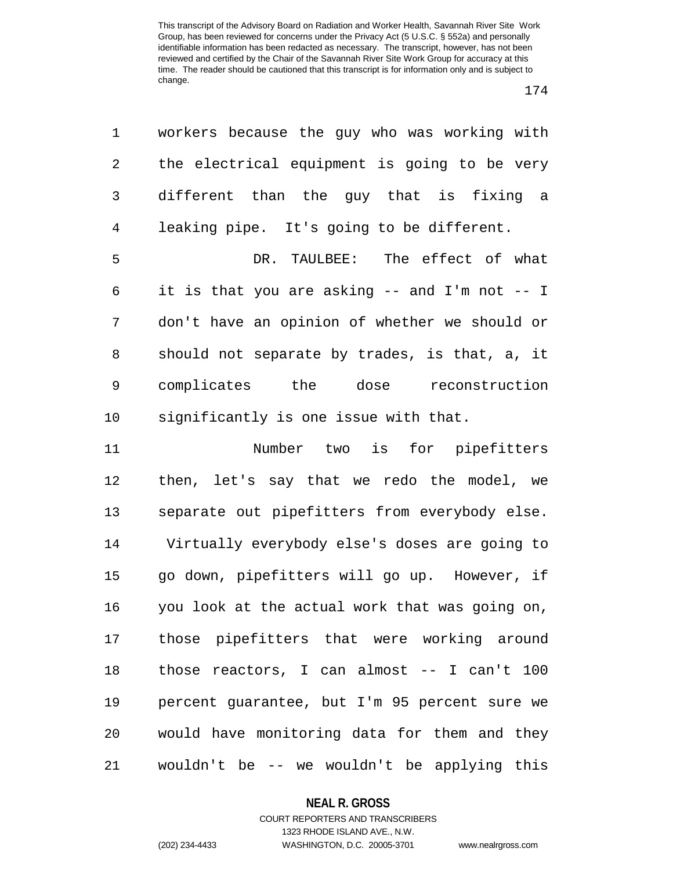1 workers because the guy who was working with

174

| 2    | the electrical equipment is going to be very   |
|------|------------------------------------------------|
| 3    | different than the guy that is fixing a        |
| 4    | leaking pipe. It's going to be different.      |
| 5    | The effect of what<br>DR. TAULBEE:             |
| 6    | it is that you are asking -- and I'm not -- I  |
| 7    | don't have an opinion of whether we should or  |
| 8    | should not separate by trades, is that, a, it  |
| 9    | complicates the dose reconstruction            |
| $10$ | significantly is one issue with that.          |
| 11   | Number two is for pipefitters                  |
| 12   | then, let's say that we redo the model, we     |
| 13   | separate out pipefitters from everybody else.  |
| 14   | Virtually everybody else's doses are going to  |
| 15   | go down, pipefitters will go up. However, if   |
| 16   | you look at the actual work that was going on, |
| 17   | those pipefitters that were working around     |
| 18   | those reactors, I can almost $--$ I can't 100  |
| 19   | percent guarantee, but I'm 95 percent sure we  |
| 20   | would have monitoring data for them and they   |
| 21   | wouldn't be -- we wouldn't be applying this    |

#### **NEAL R. GROSS**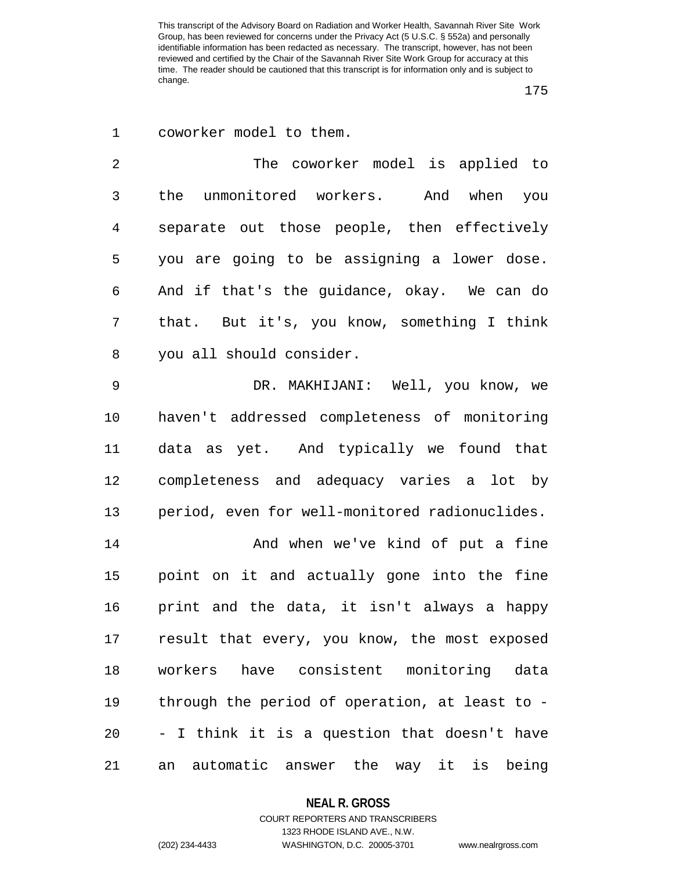175

| 1              | coworker model to them.                        |
|----------------|------------------------------------------------|
| 2              | The coworker model is applied to               |
| 3              | the unmonitored workers. And when you          |
| $\overline{4}$ | separate out those people, then effectively    |
| 5              | you are going to be assigning a lower dose.    |
| 6              | And if that's the guidance, okay. We can do    |
| 7              | that. But it's, you know, something I think    |
| 8              | you all should consider.                       |
| 9              | DR. MAKHIJANI: Well, you know, we              |
| 10             | haven't addressed completeness of monitoring   |
| 11             | data as yet. And typically we found that       |
| 12             | completeness and adequacy varies a lot by      |
| 13             | period, even for well-monitored radionuclides. |
| 14             | And when we've kind of put a fine              |
| 15             | point on it and actually gone into the fine    |
| 16             | print and the data, it isn't always a happy    |
| 17             | result that every, you know, the most exposed  |
| 18             | have consistent monitoring data<br>workers     |
| 19             | through the period of operation, at least to - |
| 20             | - I think it is a question that doesn't have   |
| 21             | automatic answer the way it is being<br>an     |

**NEAL R. GROSS**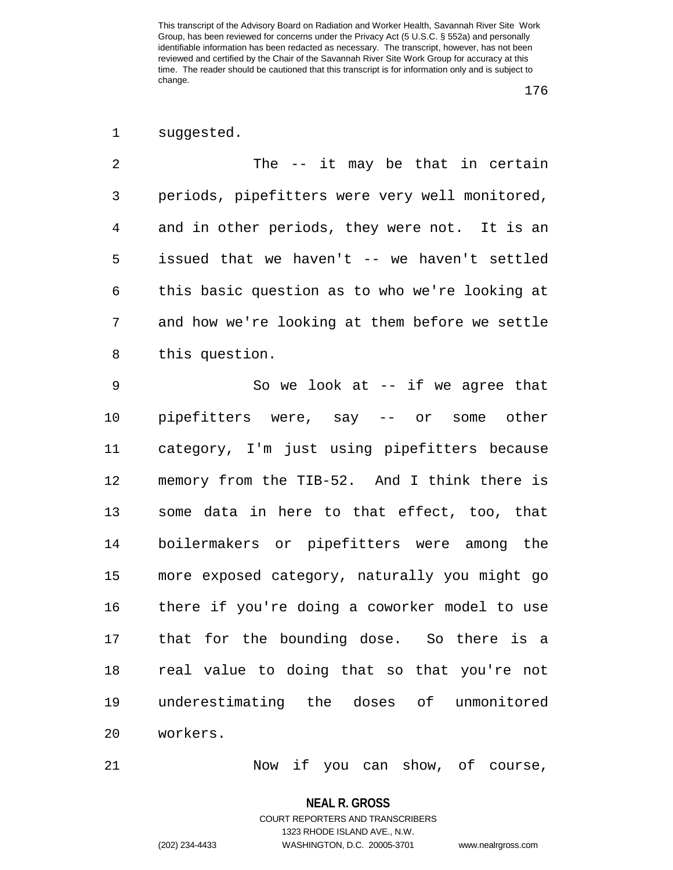### 1 suggested.

2 The -- it may be that in certain 3 periods, pipefitters were very well monitored, 4 and in other periods, they were not. It is an 5 issued that we haven't -- we haven't settled 6 this basic question as to who we're looking at 7 and how we're looking at them before we settle 8 this question.

9 So we look at -- if we agree that 10 pipefitters were, say -- or some other 11 category, I'm just using pipefitters because 12 memory from the TIB-52. And I think there is 13 some data in here to that effect, too, that 14 boilermakers or pipefitters were among the 15 more exposed category, naturally you might go 16 there if you're doing a coworker model to use 17 that for the bounding dose. So there is a 18 real value to doing that so that you're not 19 underestimating the doses of unmonitored 20 workers.

21 Now if you can show, of course,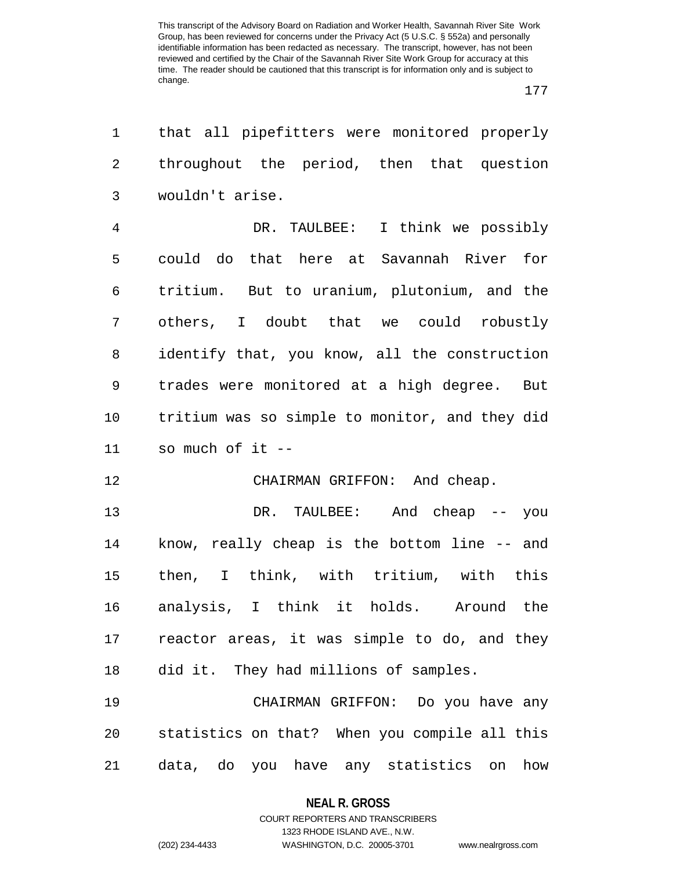177

| 1              | that all pipefitters were monitored properly   |
|----------------|------------------------------------------------|
| 2              | throughout the period, then that question      |
| 3              | wouldn't arise.                                |
| $\overline{4}$ | DR. TAULBEE: I think we possibly               |
| 5              | could do that here at Savannah River for       |
| 6              | tritium. But to uranium, plutonium, and the    |
| 7              | others, I doubt that we could robustly         |
| 8              | identify that, you know, all the construction  |
| $\mathsf 9$    | trades were monitored at a high degree. But    |
| 10             | tritium was so simple to monitor, and they did |
| 11             | so much of it $-$                              |
| 12             | CHAIRMAN GRIFFON: And cheap.                   |
| 13             | DR. TAULBEE: And cheap -- you                  |
| 14             | know, really cheap is the bottom line -- and   |
| 15             | then, I think, with tritium, with this         |
| 16             | analysis, I think it holds. Around the         |
| 17             | reactor areas, it was simple to do, and they   |
| 18             | did it. They had millions of samples.          |
| 19             | CHAIRMAN GRIFFON: Do you have any              |
| 20             | statistics on that? When you compile all this  |
| 21             | data, do you have any statistics<br>how<br>on  |

### **NEAL R. GROSS**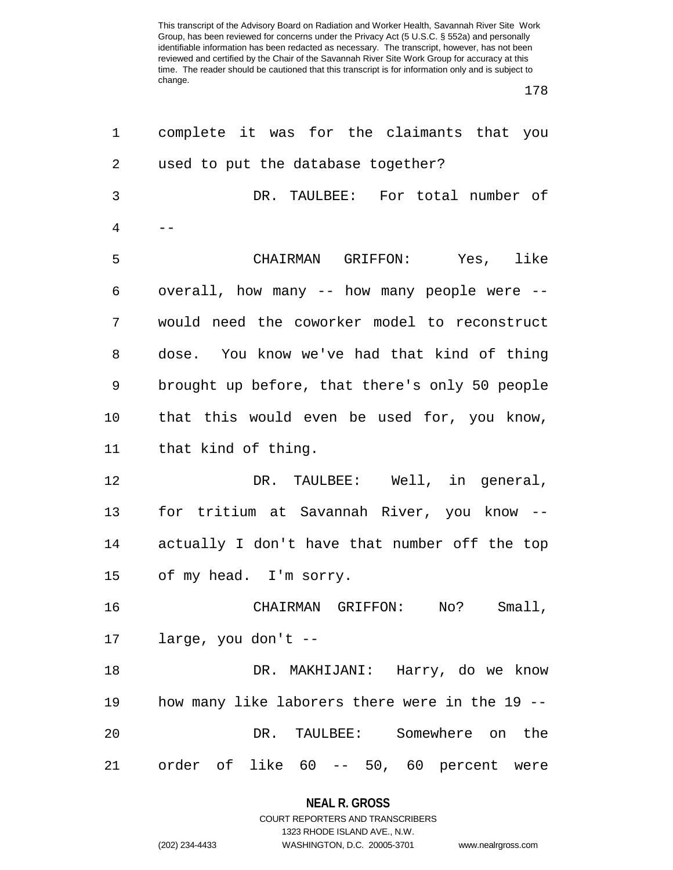178

| 1  | complete it was for the claimants that you     |
|----|------------------------------------------------|
| 2  | used to put the database together?             |
| 3  | DR. TAULBEE: For total number of               |
| 4  |                                                |
| 5  | CHAIRMAN GRIFFON: Yes, like                    |
| 6  | overall, how many -- how many people were --   |
| 7  | would need the coworker model to reconstruct   |
| 8  | dose. You know we've had that kind of thing    |
| 9  | brought up before, that there's only 50 people |
| 10 | that this would even be used for, you know,    |
| 11 | that kind of thing.                            |
|    |                                                |
| 12 | DR. TAULBEE: Well, in general,                 |
| 13 | for tritium at Savannah River, you know --     |
| 14 | actually I don't have that number off the top  |
| 15 | of my head. I'm sorry.                         |
| 16 | CHAIRMAN GRIFFON: No?<br>Small,                |
| 17 | large, you don't --                            |
| 18 | DR. MAKHIJANI: Harry, do we know               |
| 19 | how many like laborers there were in the 19 -- |
| 20 | DR. TAULBEE: Somewhere on the                  |

# **NEAL R. GROSS** COURT REPORTERS AND TRANSCRIBERS

1323 RHODE ISLAND AVE., N.W. (202) 234-4433 WASHINGTON, D.C. 20005-3701 www.nealrgross.com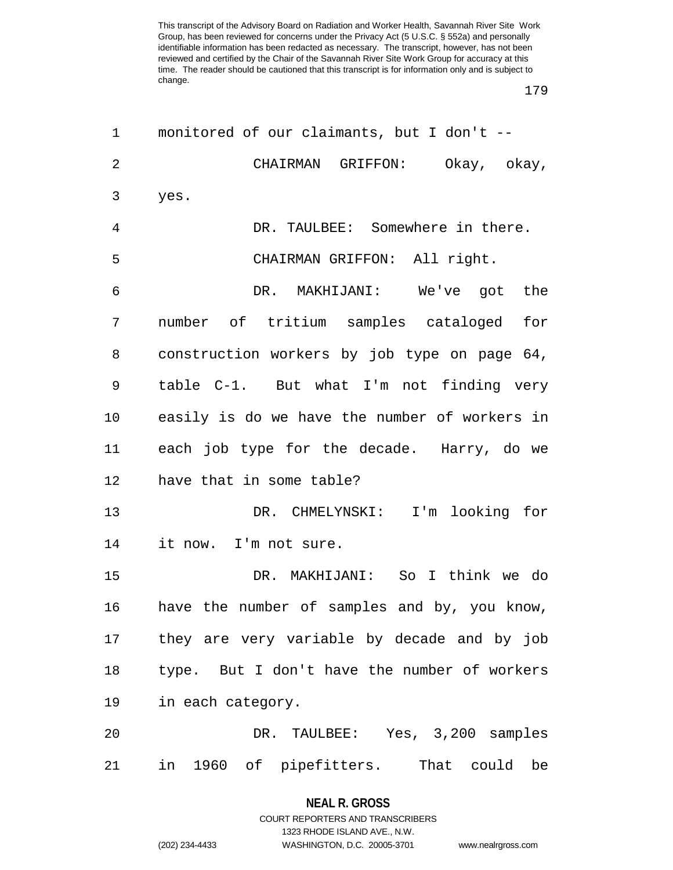179

| 1              | monitored of our claimants, but I don't --    |
|----------------|-----------------------------------------------|
| $\overline{2}$ | CHAIRMAN GRIFFON:<br>Okay, okay,              |
| 3              | yes.                                          |
| 4              | DR. TAULBEE: Somewhere in there.              |
| 5              | CHAIRMAN GRIFFON: All right.                  |
| 6              | DR. MAKHIJANI: We've got the                  |
| 7              | number of tritium samples cataloged<br>for    |
| 8              | construction workers by job type on page 64,  |
| 9              | table C-1. But what I'm not finding very      |
| $10 \,$        | easily is do we have the number of workers in |
| 11             | each job type for the decade. Harry, do we    |
| 12             | have that in some table?                      |
| 13             | DR. CHMELYNSKI: I'm looking for               |
| 14             | it now. I'm not sure.                         |
| 15             | DR. MAKHIJANI: So I think we do               |
| 16             | have the number of samples and by, you know,  |
| 17             | they are very variable by decade and by job   |
| 18             | type. But I don't have the number of workers  |
| 19             | in each category.                             |
| 20             | DR. TAULBEE: Yes, 3,200 samples               |
| 21             | in 1960 of pipefitters. That could<br>be      |

## **NEAL R. GROSS**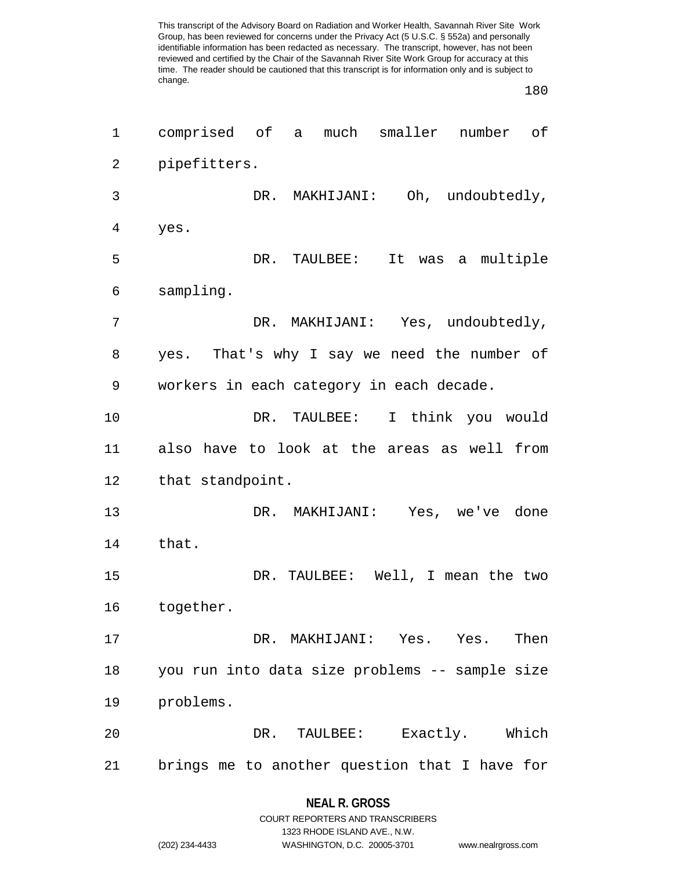This transcript of the Advisory Board on Radiation and Worker Health, Savannah River Site Work Group, has been reviewed for concerns under the Privacy Act (5 U.S.C. § 552a) and personally identifiable information has been redacted as necessary. The transcript, however, has not been reviewed and certified by the Chair of the Savannah River Site Work Group for accuracy at this time. The reader should be cautioned that this transcript is for information only and is subject to change. 180 1 comprised of a much smaller number of 2 pipefitters. 3 DR. MAKHIJANI: Oh, undoubtedly, 4 yes. 5 DR. TAULBEE: It was a multiple 6 sampling. 7 DR. MAKHIJANI: Yes, undoubtedly, 8 yes. That's why I say we need the number of 9 workers in each category in each decade. 10 DR. TAULBEE: I think you would 11 also have to look at the areas as well from 12 that standpoint. 13 DR. MAKHIJANI: Yes, we've done 14 that. 15 DR. TAULBEE: Well, I mean the two 16 together. 17 DR. MAKHIJANI: Yes. Yes. Then 18 you run into data size problems -- sample size 19 problems. 20 DR. TAULBEE: Exactly. Which 21 brings me to another question that I have for

### **NEAL R. GROSS** COURT REPORTERS AND TRANSCRIBERS

1323 RHODE ISLAND AVE., N.W. (202) 234-4433 WASHINGTON, D.C. 20005-3701 www.nealrgross.com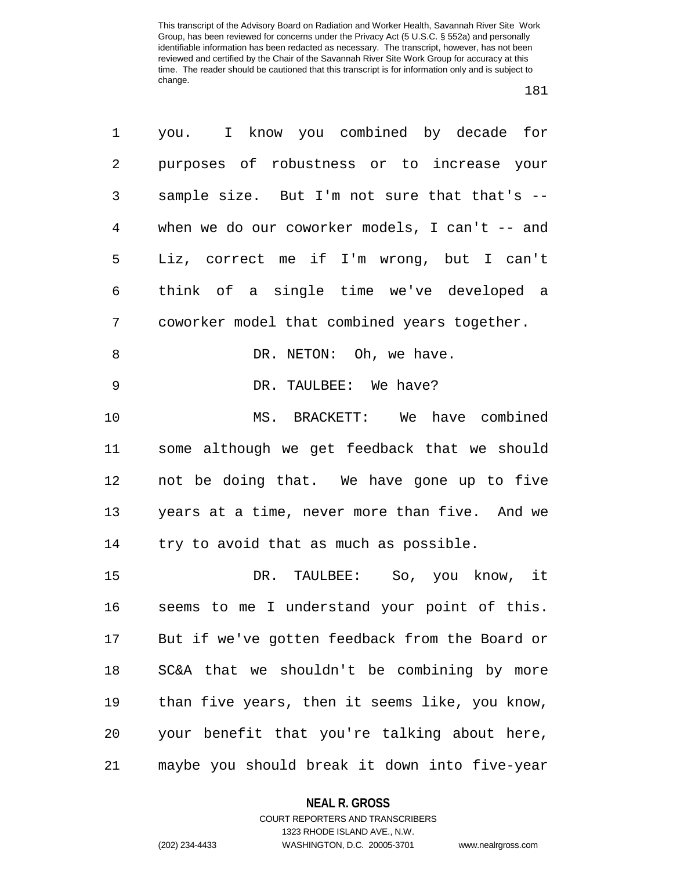181

| 1              | you. I know you combined by decade for          |
|----------------|-------------------------------------------------|
| $\overline{2}$ | purposes of robustness or to increase your      |
| 3              | sample size. But I'm not sure that that's --    |
| 4              | when we do our coworker models, I can't $-$ and |
| 5              | Liz, correct me if I'm wrong, but I can't       |
| 6              | think of a single time we've developed a        |
| 7              | coworker model that combined years together.    |
| 8              | DR. NETON: Oh, we have.                         |
| 9              | DR. TAULBEE: We have?                           |
| 10             | MS. BRACKETT: We have combined                  |
| 11             | some although we get feedback that we should    |
| 12             | not be doing that. We have gone up to five      |
| 13             | years at a time, never more than five. And we   |
| 14             | try to avoid that as much as possible.          |
| 15             | DR. TAULBEE: So, you know, it                   |
| 16             | seems to me I understand your point of this.    |
| 17             | But if we've gotten feedback from the Board or  |
| 18             | SC&A that we shouldn't be combining by more     |
| 19             | than five years, then it seems like, you know,  |
| 20             | your benefit that you're talking about here,    |
| 21             | maybe you should break it down into five-year   |

## **NEAL R. GROSS**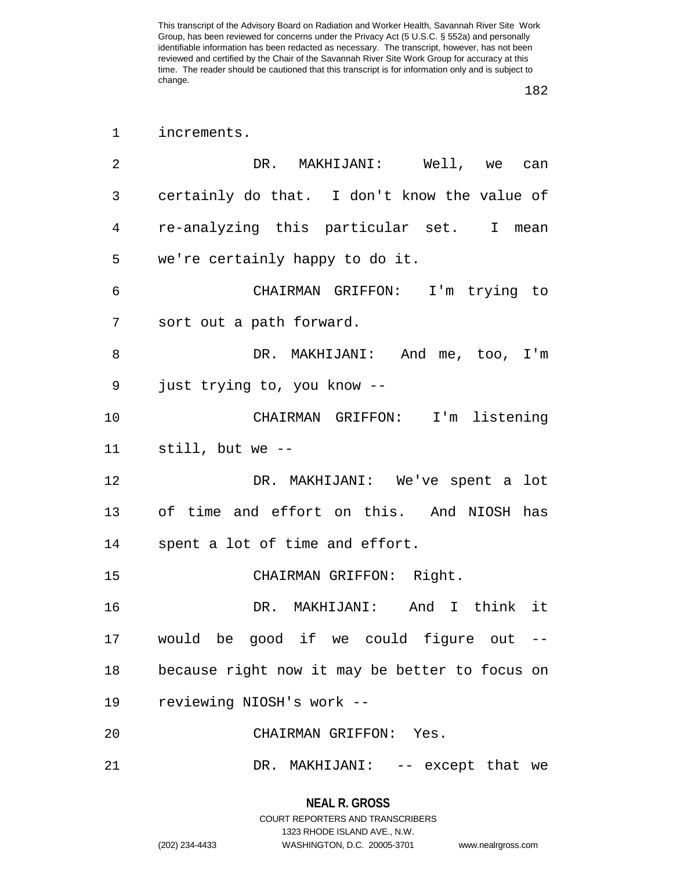1 increments.

| $\overline{2}$ | DR. MAKHIJANI: Well, we can                    |
|----------------|------------------------------------------------|
| 3              | certainly do that. I don't know the value of   |
| 4              | re-analyzing this particular set. I mean       |
| 5              | we're certainly happy to do it.                |
| 6              | CHAIRMAN GRIFFON: I'm trying to                |
| 7              | sort out a path forward.                       |
| 8              | DR. MAKHIJANI: And me, too, I'm                |
| 9              | just trying to, you know --                    |
| 10             | CHAIRMAN GRIFFON: I'm listening                |
| 11             | still, but we $-$ -                            |
| 12             | DR. MAKHIJANI: We've spent a lot               |
| 13             | of time and effort on this. And NIOSH has      |
| 14             | spent a lot of time and effort.                |
| 15             | CHAIRMAN GRIFFON: Right.                       |
| 16             | DR. MAKHIJANI: And I think it                  |
| 17             | would be good if we could figure out<br>$-\,-$ |
| 18             | because right now it may be better to focus on |
| 19             | reviewing NIOSH's work --                      |
| 20             | CHAIRMAN GRIFFON: Yes.                         |
| 21             | DR. MAKHIJANI: -- except that we               |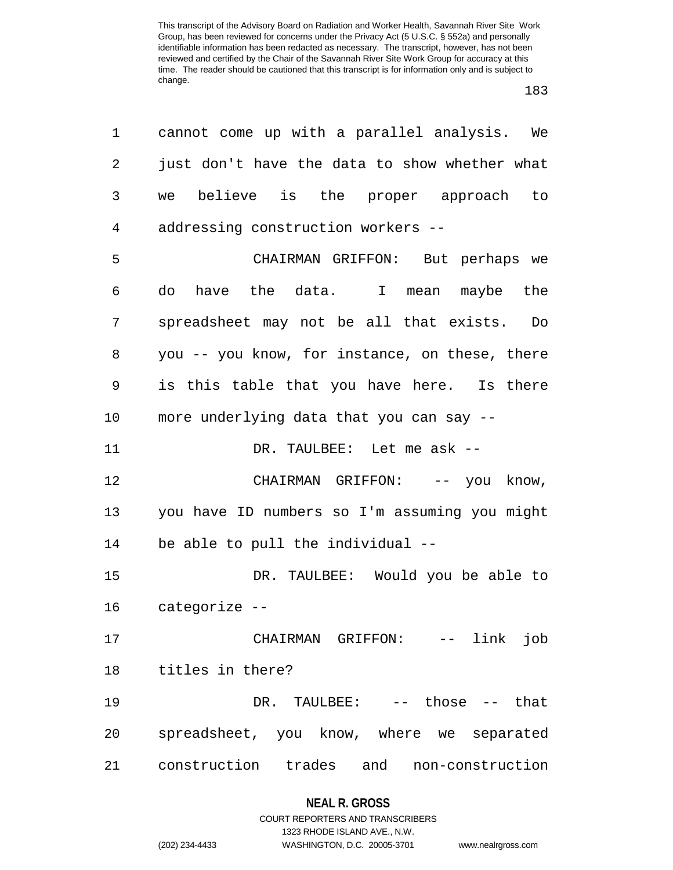183

| 1              | cannot come up with a parallel analysis. We    |
|----------------|------------------------------------------------|
| $\overline{2}$ | just don't have the data to show whether what  |
| 3              | we believe is the proper approach to           |
| 4              | addressing construction workers --             |
| 5              | CHAIRMAN GRIFFON: But perhaps we               |
| 6              | have the data. I mean maybe the<br>do          |
| 7              | spreadsheet may not be all that exists. Do     |
| 8              | you -- you know, for instance, on these, there |
| 9              | is this table that you have here. Is there     |
| 10             | more underlying data that you can say --       |
| 11             | DR. TAULBEE: Let me ask --                     |
| 12             | CHAIRMAN GRIFFON: -- you know,                 |
| 13             | you have ID numbers so I'm assuming you might  |
| 14             | be able to pull the individual --              |
| 15             | DR. TAULBEE: Would you be able to              |
| 16             | categorize --                                  |
| 17             | CHAIRMAN GRIFFON: -- link<br>job               |
| 18             | titles in there?                               |
| 19             | DR. TAULBEE: -- those -- that                  |
| 20             | spreadsheet, you know, where we separated      |
| 21             | construction trades<br>and<br>non-construction |

## **NEAL R. GROSS**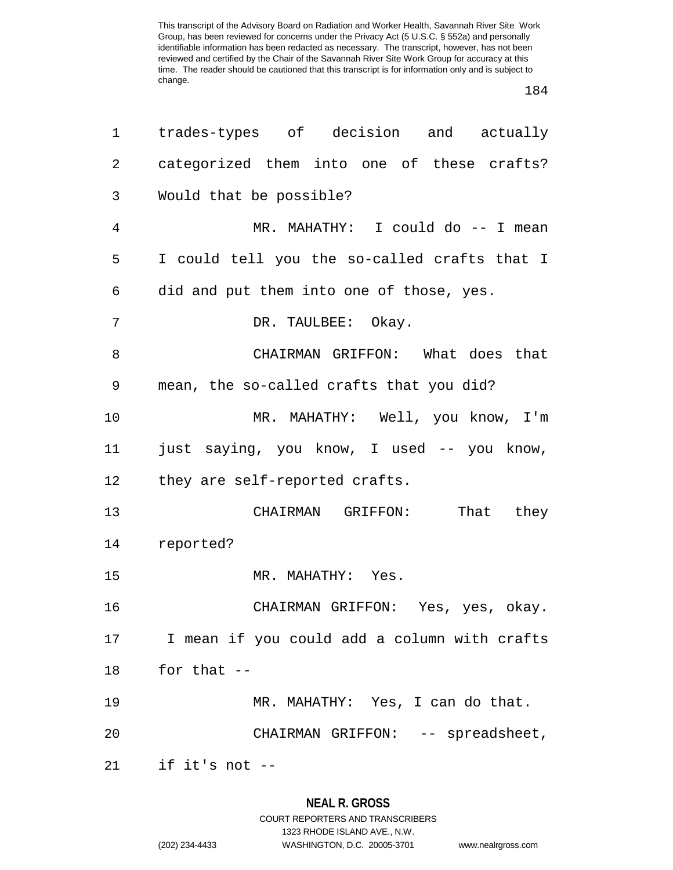184

| 1  | trades-types of decision and actually        |
|----|----------------------------------------------|
| 2  | categorized them into one of these crafts?   |
| 3  | Would that be possible?                      |
| 4  | MR. MAHATHY: I could do -- I mean            |
| 5  | I could tell you the so-called crafts that I |
| 6  | did and put them into one of those, yes.     |
| 7  | DR. TAULBEE: Okay.                           |
| 8  | CHAIRMAN GRIFFON: What does that             |
| 9  | mean, the so-called crafts that you did?     |
| 10 | MR. MAHATHY: Well, you know, I'm             |
| 11 | just saying, you know, I used -- you know,   |
| 12 | they are self-reported crafts.               |
| 13 | CHAIRMAN GRIFFON: That they                  |
| 14 | reported?                                    |
| 15 | MR. MAHATHY: Yes.                            |
| 16 | CHAIRMAN GRIFFON: Yes, yes, okay.            |
| 17 | I mean if you could add a column with crafts |
|    | 18 for that --                               |
| 19 | MR. MAHATHY: Yes, I can do that.             |
| 20 | CHAIRMAN GRIFFON: -- spreadsheet,            |
| 21 | if it's not $--$                             |

## **NEAL R. GROSS**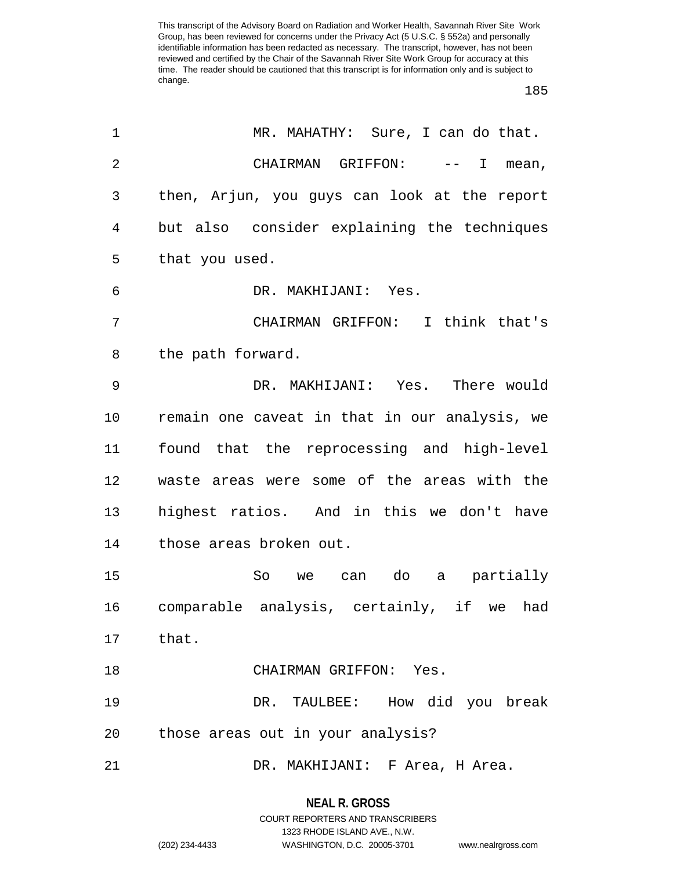185

| 1              | MR. MAHATHY: Sure, I can do that.             |
|----------------|-----------------------------------------------|
| $\overline{2}$ | CHAIRMAN GRIFFON:<br>$---$ I mean,            |
| 3              | then, Arjun, you guys can look at the report  |
| 4              | but also consider explaining the techniques   |
| 5              | that you used.                                |
| 6              | DR. MAKHIJANI: Yes.                           |
| 7              | CHAIRMAN GRIFFON: I think that's              |
| 8              | the path forward.                             |
| 9              | DR. MAKHIJANI: Yes. There would               |
| 10             | remain one caveat in that in our analysis, we |
| 11             | found that the reprocessing and high-level    |
| 12             | waste areas were some of the areas with the   |
| 13             | highest ratios. And in this we don't have     |
| 14             | those areas broken out.                       |
| 15             | we can do a partially<br>So                   |
| 16             | comparable analysis, certainly, if we had     |
| 17             | that.                                         |
| 18             | CHAIRMAN GRIFFON: Yes.                        |
| 19             | DR. TAULBEE: How did you break                |
| 20             | those areas out in your analysis?             |
| 21             | DR. MAKHIJANI: F Area, H Area.                |

## **NEAL R. GROSS**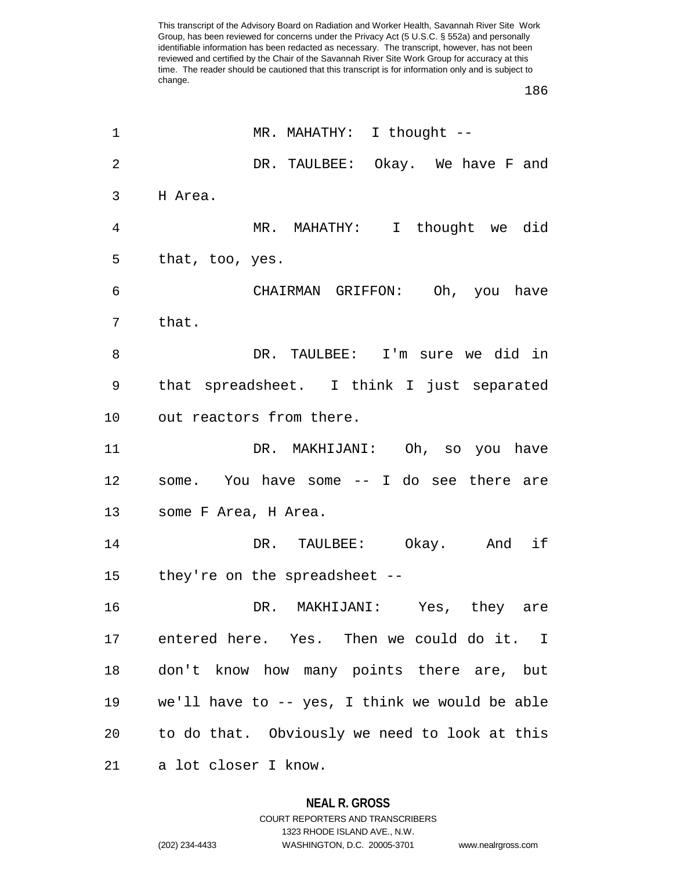186

| 1              | MR. MAHATHY: I thought --                       |
|----------------|-------------------------------------------------|
| $\overline{2}$ | DR. TAULBEE: Okay. We have F and                |
| 3              | H Area.                                         |
| 4              | MR. MAHATHY: I thought we did                   |
| 5              | that, too, yes.                                 |
| 6              | CHAIRMAN GRIFFON: Oh, you have                  |
| 7              | that.                                           |
| 8              | DR. TAULBEE: I'm sure we did in                 |
| 9              | that spreadsheet. I think I just separated      |
| 10             | out reactors from there.                        |
| 11             | DR. MAKHIJANI: Oh, so you have                  |
| 12             | some. You have some -- I do see there are       |
| 13             | some F Area, H Area.                            |
| 14             | DR. TAULBEE: Okay. And if                       |
| $15\,$         | they're on the spreadsheet --                   |
| 16             | DR. MAKHIJANI: Yes, they are                    |
| 17             | entered here. Yes. Then we could do it. I       |
| 18             | don't know how many points there are, but       |
| 19             | we'll have to $-$ yes, I think we would be able |
| 20             | to do that. Obviously we need to look at this   |
| 21             | a lot closer I know.                            |

# **NEAL R. GROSS** COURT REPORTERS AND TRANSCRIBERS

1323 RHODE ISLAND AVE., N.W. (202) 234-4433 WASHINGTON, D.C. 20005-3701 www.nealrgross.com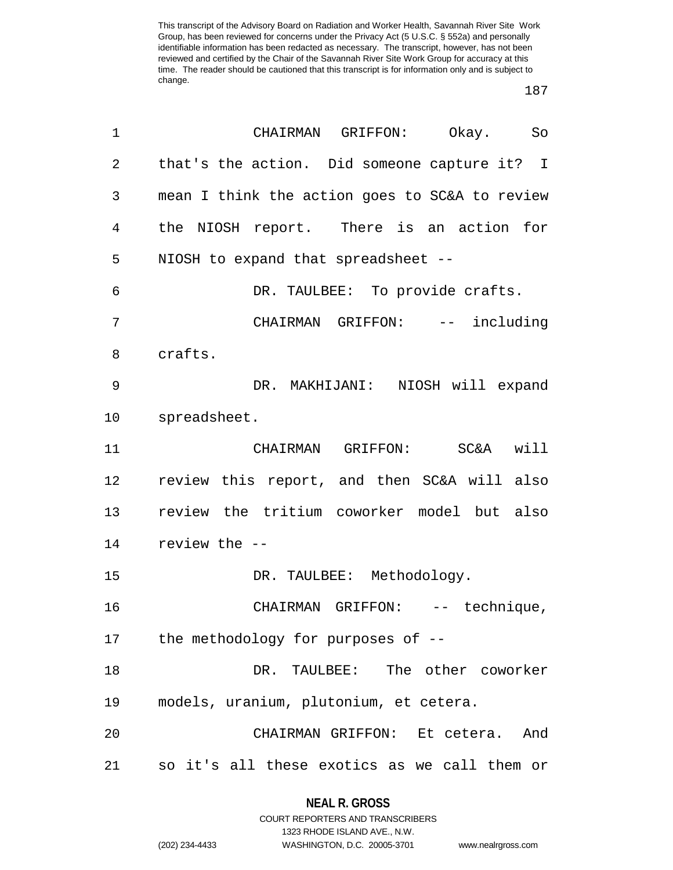| 1               | CHAIRMAN GRIFFON: Okay.<br>So                  |
|-----------------|------------------------------------------------|
| $\overline{2}$  | that's the action. Did someone capture it? I   |
| 3               | mean I think the action goes to SC&A to review |
| 4               | the NIOSH report. There is an action for       |
| 5               | NIOSH to expand that spreadsheet --            |
| 6               | DR. TAULBEE: To provide crafts.                |
| 7               | CHAIRMAN GRIFFON: -- including                 |
| 8               | crafts.                                        |
| 9               | DR. MAKHIJANI: NIOSH will expand               |
| 10              | spreadsheet.                                   |
| 11              | CHAIRMAN GRIFFON: SC&A will                    |
| 12 <sub>1</sub> | review this report, and then SC&A will also    |
| 13              | review the tritium coworker model but also     |
| 14              | review the --                                  |
| 15              | DR. TAULBEE: Methodology.                      |
| 16              | CHAIRMAN GRIFFON: -- technique,                |
| 17              | the methodology for purposes of --             |
| 18              | DR. TAULBEE: The other coworker                |
| 19              | models, uranium, plutonium, et cetera.         |
| 20              | CHAIRMAN GRIFFON: Et cetera. And               |
| 21              | so it's all these exotics as we call them or   |

# **NEAL R. GROSS** COURT REPORTERS AND TRANSCRIBERS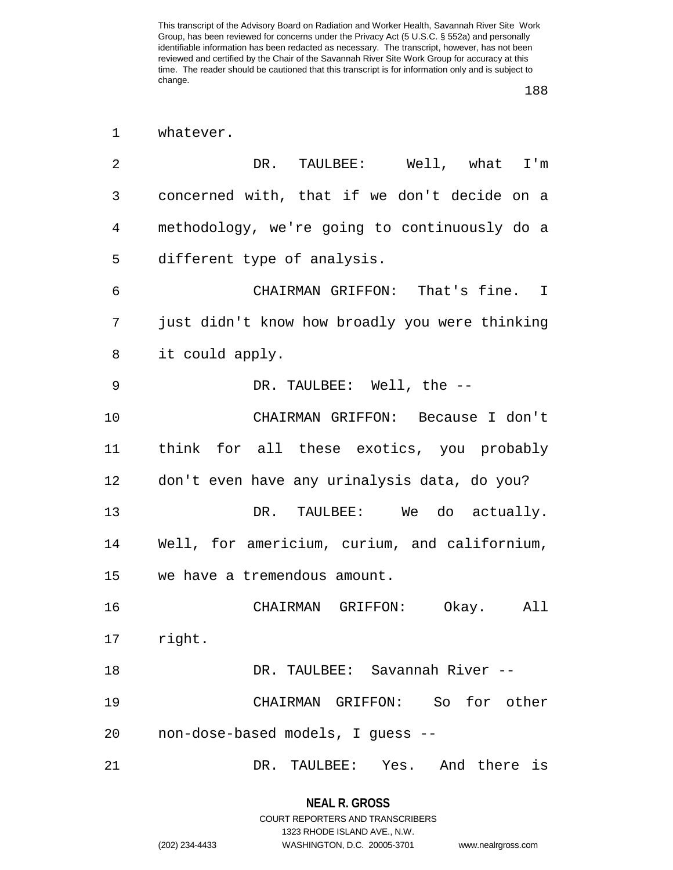1 whatever.

2 DR. TAULBEE: Well, what I'm 3 concerned with, that if we don't decide on a 4 methodology, we're going to continuously do a 5 different type of analysis. 6 CHAIRMAN GRIFFON: That's fine. I 7 just didn't know how broadly you were thinking 8 it could apply. 9 DR. TAULBEE: Well, the -- 10 CHAIRMAN GRIFFON: Because I don't 11 think for all these exotics, you probably 12 don't even have any urinalysis data, do you? 13 DR. TAULBEE: We do actually. 14 Well, for americium, curium, and californium, 15 we have a tremendous amount. 16 CHAIRMAN GRIFFON: Okay. All 17 right. 18 DR. TAULBEE: Savannah River -- 19 CHAIRMAN GRIFFON: So for other 20 non-dose-based models, I guess -- 21 DR. TAULBEE: Yes. And there is

1323 RHODE ISLAND AVE., N.W.

(202) 234-4433 WASHINGTON, D.C. 20005-3701 www.nealrgross.com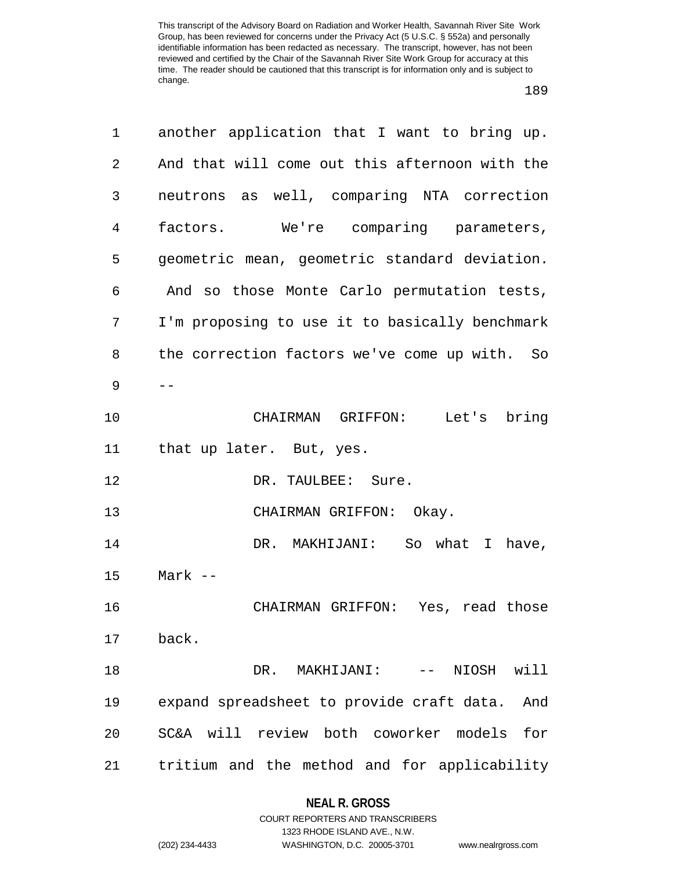189

| 1  | another application that I want to bring up.     |
|----|--------------------------------------------------|
| 2  | And that will come out this afternoon with the   |
| 3  | neutrons as well, comparing NTA correction       |
| 4  | factors. We're comparing parameters,             |
| 5  | geometric mean, geometric standard deviation.    |
| 6  | And so those Monte Carlo permutation tests,      |
| 7  | I'm proposing to use it to basically benchmark   |
| 8  | the correction factors we've come up with. So    |
| 9  | $ -$                                             |
| 10 | Let's bring<br>CHAIRMAN GRIFFON:                 |
| 11 | that up later. But, yes.                         |
| 12 | DR. TAULBEE: Sure.                               |
| 13 | CHAIRMAN GRIFFON: Okay.                          |
| 14 | DR. MAKHIJANI:<br>So what I have,                |
| 15 | Mark $--$                                        |
| 16 | CHAIRMAN GRIFFON: Yes, read those                |
| 17 | back.                                            |
| 18 | DR. MAKHIJANI: -- NIOSH will                     |
| 19 | expand spreadsheet to provide craft data.<br>And |
| 20 | SC&A will review both coworker models for        |
| 21 | tritium and the method and for applicability     |

# **NEAL R. GROSS**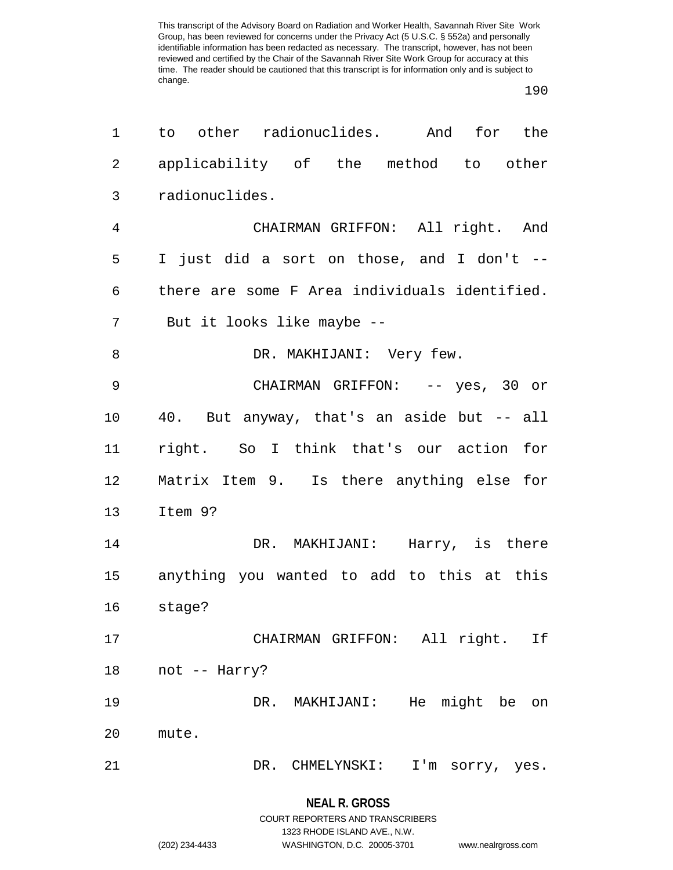190

| 1  | to other radionuclides. And<br>for the        |
|----|-----------------------------------------------|
| 2  | applicability of the method to other          |
| 3  | radionuclides.                                |
| 4  | CHAIRMAN GRIFFON: All right. And              |
| 5  | I just did a sort on those, and I don't --    |
| 6  | there are some F Area individuals identified. |
| 7  | But it looks like maybe --                    |
| 8  | DR. MAKHIJANI: Very few.                      |
| 9  | CHAIRMAN GRIFFON: -- yes, 30 or               |
| 10 | 40. But anyway, that's an aside but -- all    |
| 11 | right. So I think that's our action for       |
| 12 | Matrix Item 9. Is there anything else for     |
| 13 | Item 9?                                       |
| 14 | DR. MAKHIJANI: Harry, is there                |
| 15 | anything you wanted to add to this at this    |
| 16 | stage?                                        |
| 17 | CHAIRMAN GRIFFON: All right.<br>Ιf            |
| 18 | not -- Harry?                                 |
| 19 | He might be<br>DR. MAKHIJANI:<br>on           |
| 20 | mute.                                         |
| 21 | DR. CHMELYNSKI:<br>I'm sorry, yes.            |

# **NEAL R. GROSS**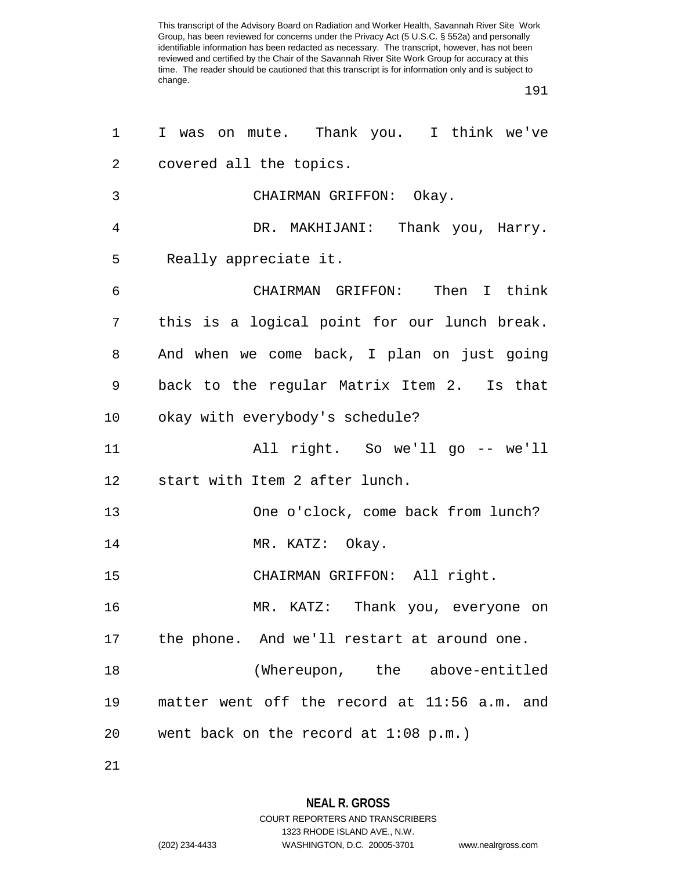191

| 1  | I was on mute. Thank you. I think we've        |
|----|------------------------------------------------|
| 2  | covered all the topics.                        |
| 3  | CHAIRMAN GRIFFON: Okay.                        |
| 4  | DR. MAKHIJANI: Thank you, Harry.               |
| 5  | Really appreciate it.                          |
| 6  | CHAIRMAN GRIFFON: Then I think                 |
| 7  | this is a logical point for our lunch break.   |
| 8  | And when we come back, I plan on just going    |
| 9  | back to the regular Matrix Item 2. Is that     |
| 10 | okay with everybody's schedule?                |
| 11 | All right. So we'll go -- we'll                |
| 12 | start with Item 2 after lunch.                 |
| 13 | One o'clock, come back from lunch?             |
| 14 | MR. KATZ: Okay.                                |
| 15 | CHAIRMAN GRIFFON: All right.                   |
| 16 | MR. KATZ: Thank you, everyone on               |
|    | 17 the phone. And we'll restart at around one. |
| 18 | (Whereupon, the above-entitled                 |
| 19 | matter went off the record at 11:56 a.m. and   |
| 20 | went back on the record at $1:08$ p.m.)        |
| 21 |                                                |

**NEAL R. GROSS** COURT REPORTERS AND TRANSCRIBERS

1323 RHODE ISLAND AVE., N.W.

(202) 234-4433 WASHINGTON, D.C. 20005-3701 www.nealrgross.com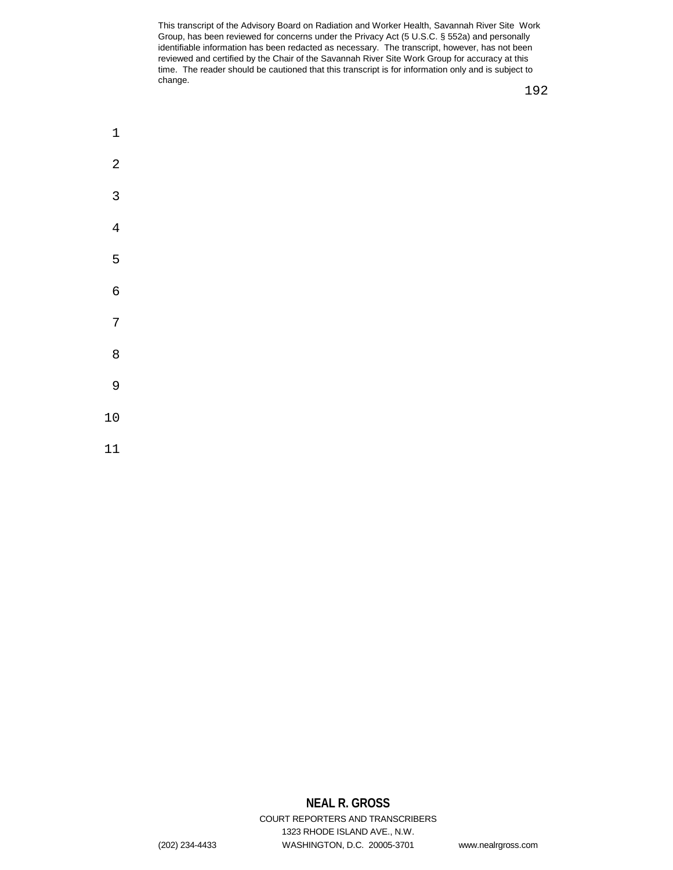# 11

# **NEAL R. GROSS**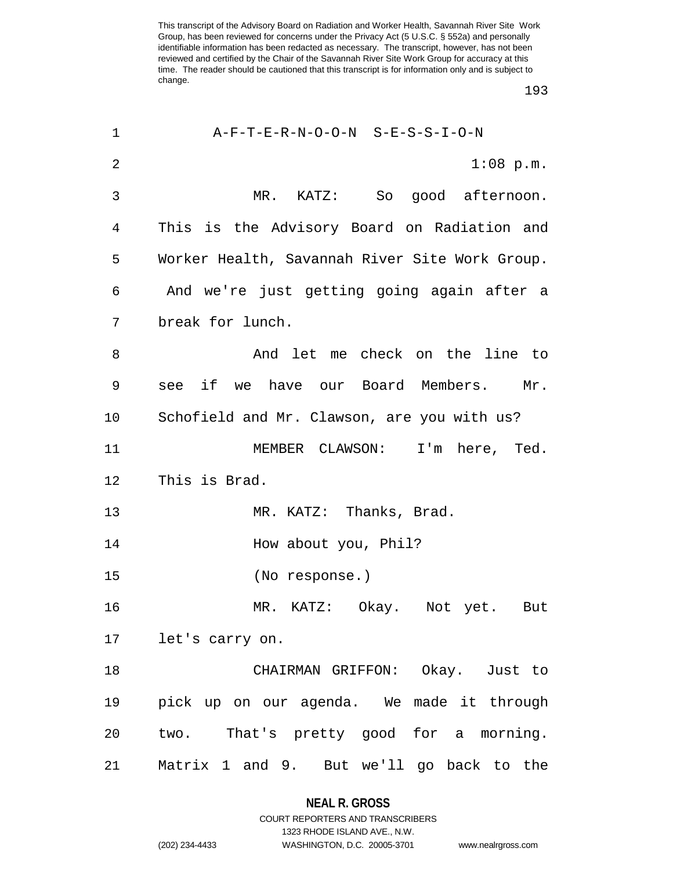193

| $\mathbf 1$ | A-F-T-E-R-N-O-O-N S-E-S-S-I-O-N                |
|-------------|------------------------------------------------|
| 2           | $1:08$ p.m.                                    |
| 3           | MR. KATZ: So good afternoon.                   |
| 4           | This is the Advisory Board on Radiation and    |
| 5           | Worker Health, Savannah River Site Work Group. |
| 6           | And we're just getting going again after a     |
| 7           | break for lunch.                               |
| 8           | And let me check on the line to                |
| 9           | see if we have our Board Members. Mr.          |
| 10          | Schofield and Mr. Clawson, are you with us?    |
| 11          | MEMBER CLAWSON: I'm here, Ted.                 |
| 12          | This is Brad.                                  |
| 13          | MR. KATZ: Thanks, Brad.                        |
| 14          | How about you, Phil?                           |
| 15          | (No response.)                                 |
| 16          | MR. KATZ: Okay. Not yet. But                   |
|             | 17 let's carry on.                             |
| 18          | CHAIRMAN GRIFFON: Okay. Just to                |
| 19          | pick up on our agenda. We made it through      |
| 20          | two. That's pretty good for a morning.         |
| 21          | Matrix 1 and 9. But we'll go back to the       |

# **NEAL R. GROSS** COURT REPORTERS AND TRANSCRIBERS

1323 RHODE ISLAND AVE., N.W. (202) 234-4433 WASHINGTON, D.C. 20005-3701 www.nealrgross.com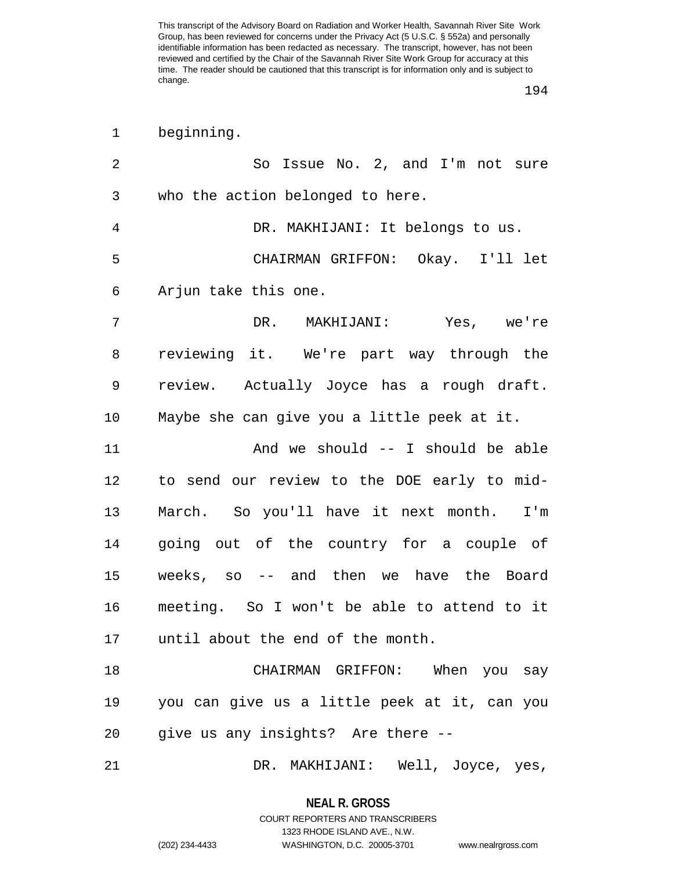| 1  | beginning.                                   |
|----|----------------------------------------------|
| 2  | Issue No. 2, and I'm not sure<br>So          |
| 3  | who the action belonged to here.             |
| 4  | DR. MAKHIJANI: It belongs to us.             |
| 5  | CHAIRMAN GRIFFON: Okay. I'll let             |
| 6  | Arjun take this one.                         |
| 7  | DR. MAKHIJANI: Yes, we're                    |
| 8  | reviewing it. We're part way through the     |
| 9  | review. Actually Joyce has a rough draft.    |
| 10 | Maybe she can give you a little peek at it.  |
| 11 | And we should -- I should be able            |
| 12 | to send our review to the DOE early to mid-  |
| 13 | March. So you'll have it next month. I'm     |
| 14 | going out of the country for a couple of     |
| 15 | weeks, so -- and then we have the Board      |
| 16 | meeting. So I won't be able to attend to it  |
|    | 17 until about the end of the month.         |
| 18 | CHAIRMAN GRIFFON: When you say               |
| 19 | you can give us a little peek at it, can you |
| 20 | give us any insights? Are there --           |
| 21 | DR. MAKHIJANI: Well, Joyce, yes,             |

# **NEAL R. GROSS** COURT REPORTERS AND TRANSCRIBERS

1323 RHODE ISLAND AVE., N.W.

(202) 234-4433 WASHINGTON, D.C. 20005-3701 www.nealrgross.com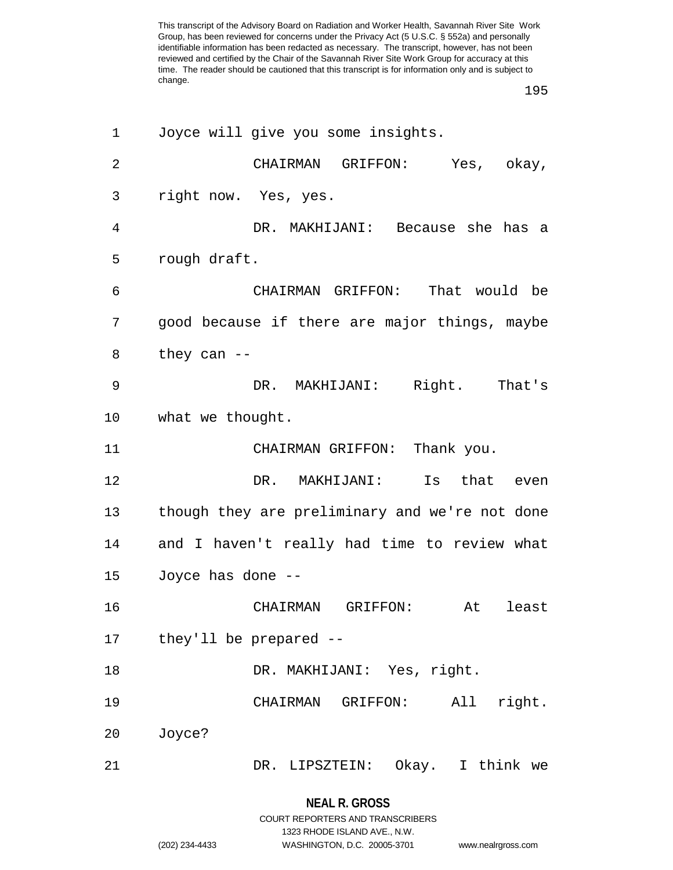195

| 1  | Joyce will give you some insights.             |
|----|------------------------------------------------|
| 2  | CHAIRMAN GRIFFON: Yes, okay,                   |
| 3  | right now. Yes, yes.                           |
| 4  | DR. MAKHIJANI: Because she has a               |
| 5  | rough draft.                                   |
| 6  | CHAIRMAN GRIFFON: That would be                |
| 7  | good because if there are major things, maybe  |
| 8  | they can $-$                                   |
| 9  | DR. MAKHIJANI: Right. That's                   |
| 10 | what we thought.                               |
| 11 | CHAIRMAN GRIFFON: Thank you.                   |
| 12 | DR. MAKHIJANI:<br>Is<br>that even              |
| 13 | though they are preliminary and we're not done |
| 14 | and I haven't really had time to review what   |
| 15 | Joyce has done --                              |
| 16 | CHAIRMAN GRIFFON:<br>At least                  |
| 17 | they'll be prepared --                         |
| 18 | DR. MAKHIJANI: Yes, right.                     |
| 19 | All<br>right.<br>CHAIRMAN GRIFFON:             |
| 20 | Joyce?                                         |
| 21 | Okay. I think we<br>DR. LIPSZTEIN:             |

# **NEAL R. GROSS**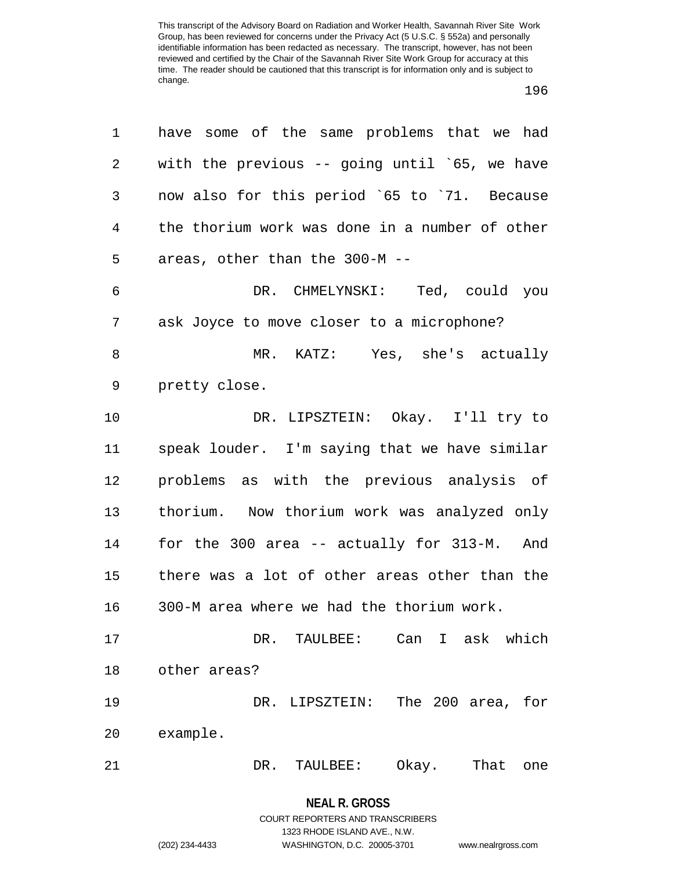196

| 1  | have some of the same problems that we had        |
|----|---------------------------------------------------|
| 2  | with the previous $--$ going until $65$ , we have |
| 3  | now also for this period `65 to `71. Because      |
| 4  | the thorium work was done in a number of other    |
| 5  | areas, other than the 300-M --                    |
| 6  | DR. CHMELYNSKI: Ted, could you                    |
| 7  | ask Joyce to move closer to a microphone?         |
| 8  | MR. KATZ: Yes, she's actually                     |
| 9  | pretty close.                                     |
| 10 | DR. LIPSZTEIN: Okay. I'll try to                  |
| 11 | speak louder. I'm saying that we have similar     |
| 12 | problems as with the previous analysis of         |
| 13 | thorium. Now thorium work was analyzed only       |
| 14 | for the 300 area -- actually for 313-M. And       |
| 15 | there was a lot of other areas other than the     |
| 16 | 300-M area where we had the thorium work.         |
| 17 | Can I ask which<br>DR.<br>TAULBEE:                |
| 18 | other areas?                                      |
| 19 | The 200 area,<br>DR. LIPSZTEIN:<br>for            |
| 20 | example.                                          |
| 21 | DR.<br>Okay.<br>That<br>TAULBEE:<br>one           |

# **NEAL R. GROSS** COURT REPORTERS AND TRANSCRIBERS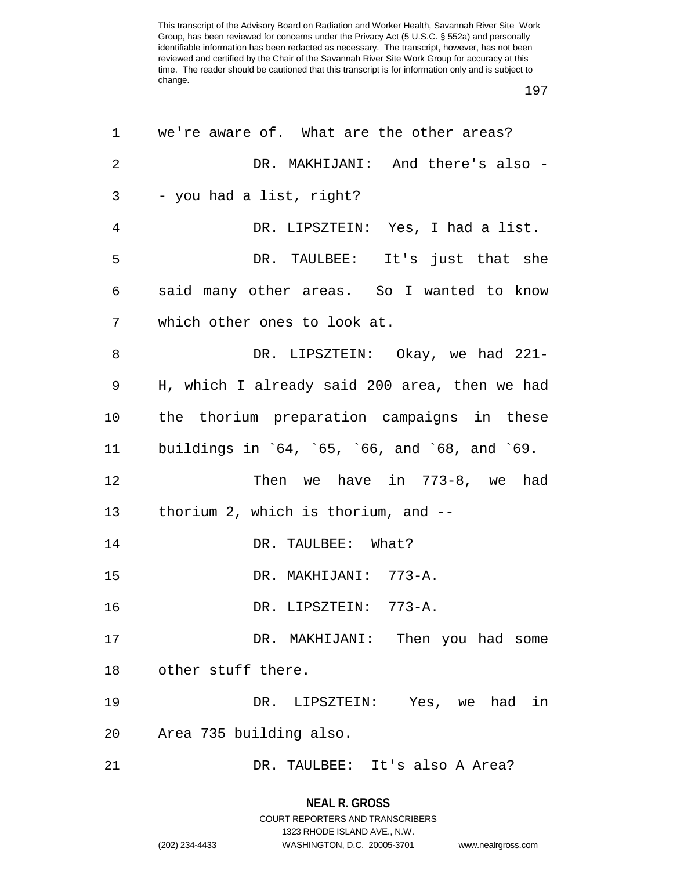| 1              | we're aware of. What are the other areas?      |
|----------------|------------------------------------------------|
| $\overline{2}$ | DR. MAKHIJANI: And there's also -              |
| 3              | - you had a list, right?                       |
| 4              | DR. LIPSZTEIN: Yes, I had a list.              |
| 5              | DR. TAULBEE: It's just that she                |
| 6              | said many other areas. So I wanted to know     |
| 7              | which other ones to look at.                   |
| 8              | DR. LIPSZTEIN: Okay, we had 221-               |
| 9              | H, which I already said 200 area, then we had  |
| 10             | the thorium preparation campaigns in these     |
| 11             | buildings in $64, 65, 66,$ and $68,$ and $69.$ |
| 12             | Then we have in 773-8, we had                  |
| 13             | thorium 2, which is thorium, and --            |
| 14             | DR. TAULBEE: What?                             |
| 15             | DR. MAKHIJANI: 773-A.                          |
| 16             | DR. LIPSZTEIN: 773-A.                          |
| 17             | DR. MAKHIJANI: Then you had some               |
| 18             | other stuff there.                             |
| 19             | DR. LIPSZTEIN: Yes, we had in                  |
| 20             | Area 735 building also.                        |
| 21             | DR. TAULBEE: It's also A Area?                 |

**NEAL R. GROSS** COURT REPORTERS AND TRANSCRIBERS

1323 RHODE ISLAND AVE., N.W.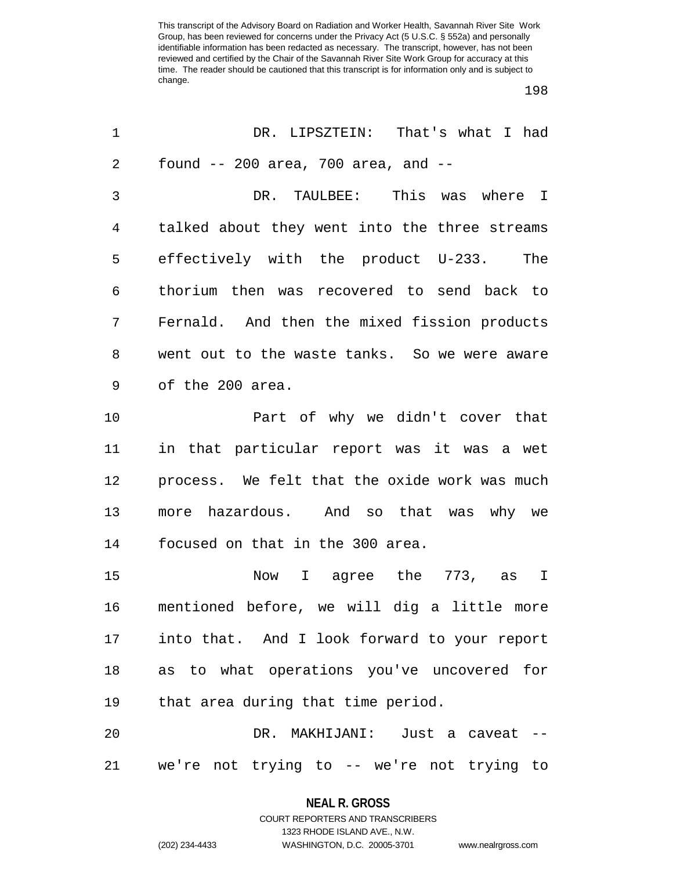198

| $\mathbf 1$ | DR. LIPSZTEIN:<br>That's what I had           |
|-------------|-----------------------------------------------|
| 2           | found $--$ 200 area, 700 area, and $--$       |
| 3           | DR. TAULBEE: This was where I                 |
| 4           | talked about they went into the three streams |
| 5           | effectively with the product U-233.<br>The    |
| 6           | thorium then was recovered to send back to    |
| 7           | Fernald. And then the mixed fission products  |
| 8           | went out to the waste tanks. So we were aware |
| 9           | of the 200 area.                              |
| 10          | Part of why we didn't cover that              |
| 11          | in that particular report was it was a wet    |
| 12          | process. We felt that the oxide work was much |
| 13          | more hazardous. And so that was why we        |
| 14          | focused on that in the 300 area.              |
| 15          | I agree the 773, as<br>$\mathbf I$<br>Now     |
| 16          | mentioned before, we will dig a little more   |
| 17          | into that. And I look forward to your report  |
| 18          | as to what operations you've uncovered for    |
| 19          | that area during that time period.            |
| 20          | DR. MAKHIJANI: Just a caveat --               |
| 21          | we're not trying to -- we're not trying to    |

## **NEAL R. GROSS**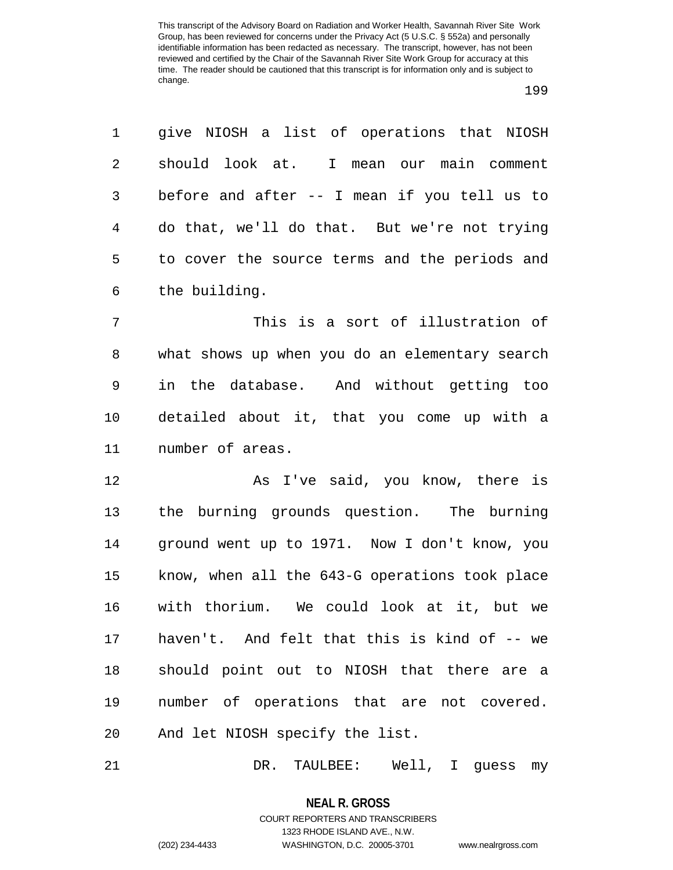199

| $\mathbf 1$ | give NIOSH a list of operations that NIOSH     |
|-------------|------------------------------------------------|
| 2           | should look at. I mean our main comment        |
| 3           | before and after -- I mean if you tell us to   |
| 4           | do that, we'll do that. But we're not trying   |
| 5           | to cover the source terms and the periods and  |
| 6           | the building.                                  |
| 7           | This is a sort of illustration of              |
| 8           | what shows up when you do an elementary search |
| 9           | in the database. And without getting too       |
| 10          | detailed about it, that you come up with a     |
| 11          | number of areas.                               |
| 12          | As I've said, you know, there is               |
| 13          | the burning grounds question. The burning      |
| 14          | ground went up to 1971. Now I don't know, you  |
| 15          | know, when all the 643-G operations took place |
| 16          | with thorium. We could look at it, but we      |
| 17          | haven't. And felt that this is kind of -- we   |
| 18          | should point out to NIOSH that there are a     |
| 19          | number of operations that are not covered.     |
| 20          | And let NIOSH specify the list.                |
|             |                                                |

21 DR. TAULBEE: Well, I guess my

**NEAL R. GROSS** COURT REPORTERS AND TRANSCRIBERS

1323 RHODE ISLAND AVE., N.W.

(202) 234-4433 WASHINGTON, D.C. 20005-3701 www.nealrgross.com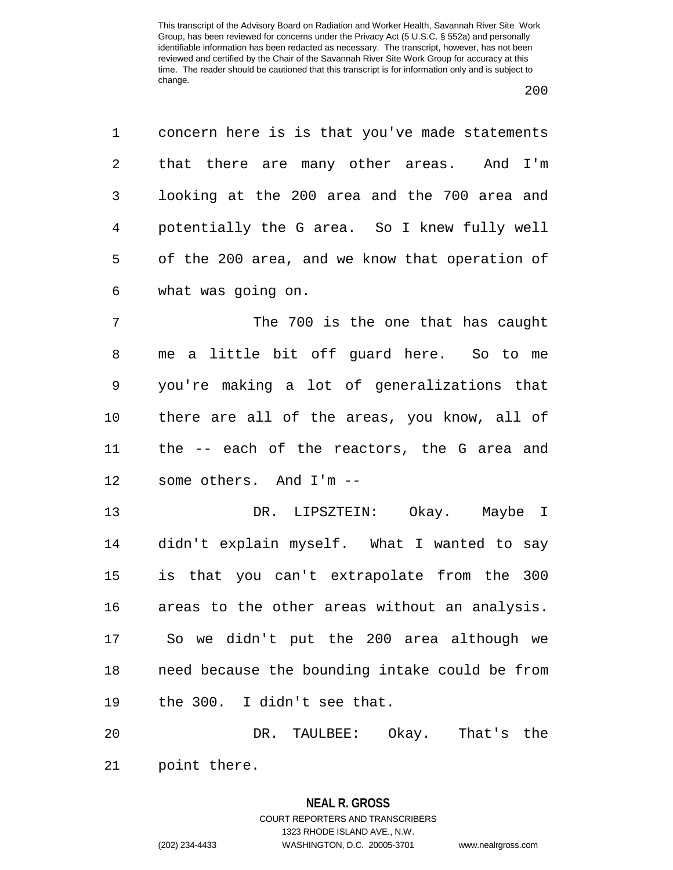200

| 1              | concern here is is that you've made statements |
|----------------|------------------------------------------------|
| $\overline{2}$ | that there are many other areas. And I'm       |
| 3              | looking at the 200 area and the 700 area and   |
| 4              | potentially the G area. So I knew fully well   |
| 5              | of the 200 area, and we know that operation of |
| 6              | what was going on.                             |
| 7              | The 700 is the one that has caught             |
| 8              | me a little bit off guard here. So to me       |
| 9              | you're making a lot of generalizations that    |
| 10             | there are all of the areas, you know, all of   |
| 11             | the -- each of the reactors, the G area and    |
| 12             | some others. And I'm --                        |
| 13             | DR. LIPSZTEIN: Okay. Maybe I                   |
| 14             | didn't explain myself. What I wanted to say    |
| 15             | is that you can't extrapolate from the 300     |
| 16             | areas to the other areas without an analysis.  |
| 17             | So we didn't put the 200 area although we      |
| 18             | need because the bounding intake could be from |
| 19             | the 300. I didn't see that.                    |
| 20             | DR. TAULBEE: Okay. That's the                  |

21 point there.

# **NEAL R. GROSS**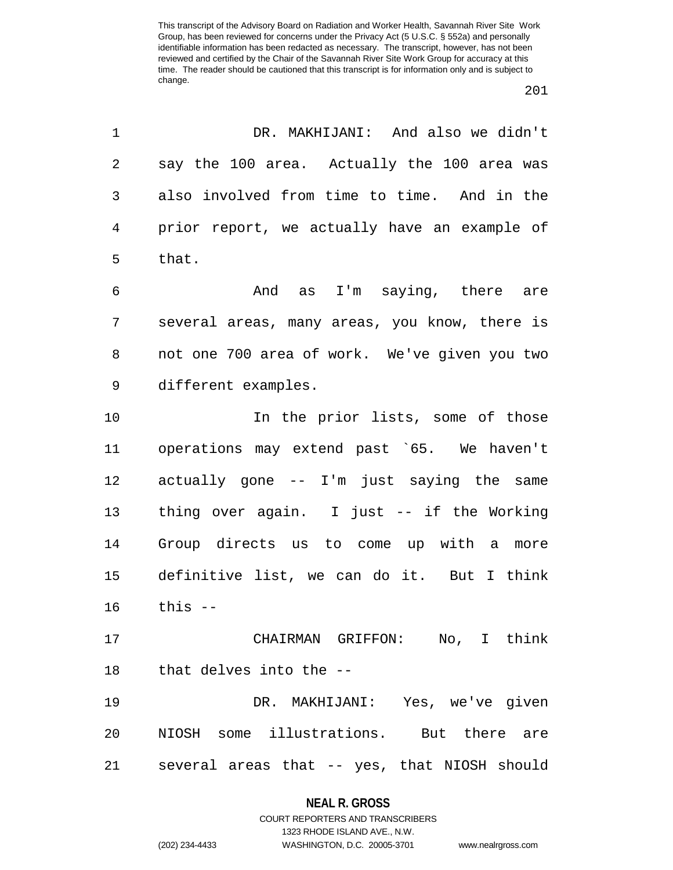201

| 1              | DR. MAKHIJANI: And also we didn't             |
|----------------|-----------------------------------------------|
| $\overline{2}$ | say the 100 area. Actually the 100 area was   |
| 3              | also involved from time to time. And in the   |
| 4              | prior report, we actually have an example of  |
| 5              | that.                                         |
| 6              | And as I'm saying, there are                  |
| 7              | several areas, many areas, you know, there is |
| 8              | not one 700 area of work. We've given you two |
| $\mathsf 9$    | different examples.                           |
| 10             | In the prior lists, some of those             |
| 11             | operations may extend past `65. We haven't    |
| 12             | actually gone -- I'm just saying the same     |
| 13             | thing over again. I just -- if the Working    |
| 14             | Group directs us to come up with a<br>more    |
| 15             | definitive list, we can do it. But I think    |
| 16             | this $-$                                      |
| 17             | CHAIRMAN GRIFFON: No, I think                 |
| 18             | that delves into the --                       |
| 19             | DR. MAKHIJANI: Yes, we've given               |
| 20             | NIOSH some illustrations. But there are       |
| 21             | several areas that -- yes, that NIOSH should  |

## **NEAL R. GROSS**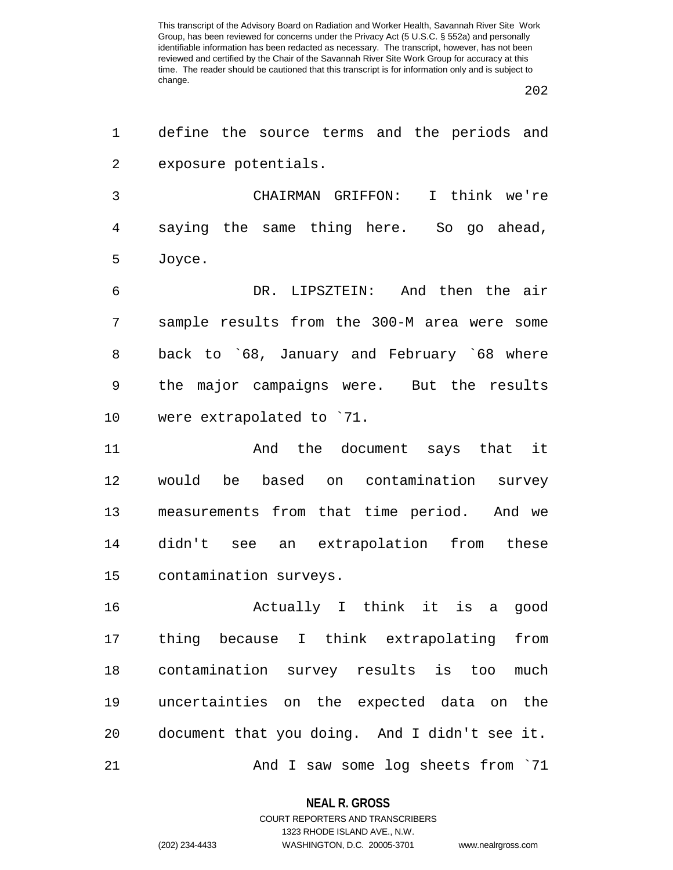202

1 define the source terms and the periods and 2 exposure potentials. 3 CHAIRMAN GRIFFON: I think we're 4 saying the same thing here. So go ahead, 5 Joyce. 6 DR. LIPSZTEIN: And then the air 7 sample results from the 300-M area were some 8 back to `68, January and February `68 where 9 the major campaigns were. But the results 10 were extrapolated to `71. 11 And the document says that it 12 would be based on contamination survey 13 measurements from that time period. And we 14 didn't see an extrapolation from these 15 contamination surveys. 16 Actually I think it is a good 17 thing because I think extrapolating from 18 contamination survey results is too much 19 uncertainties on the expected data on the 20 document that you doing. And I didn't see it. 21 And I saw some log sheets from `71

> **NEAL R. GROSS** COURT REPORTERS AND TRANSCRIBERS

> > 1323 RHODE ISLAND AVE., N.W.

(202) 234-4433 WASHINGTON, D.C. 20005-3701 www.nealrgross.com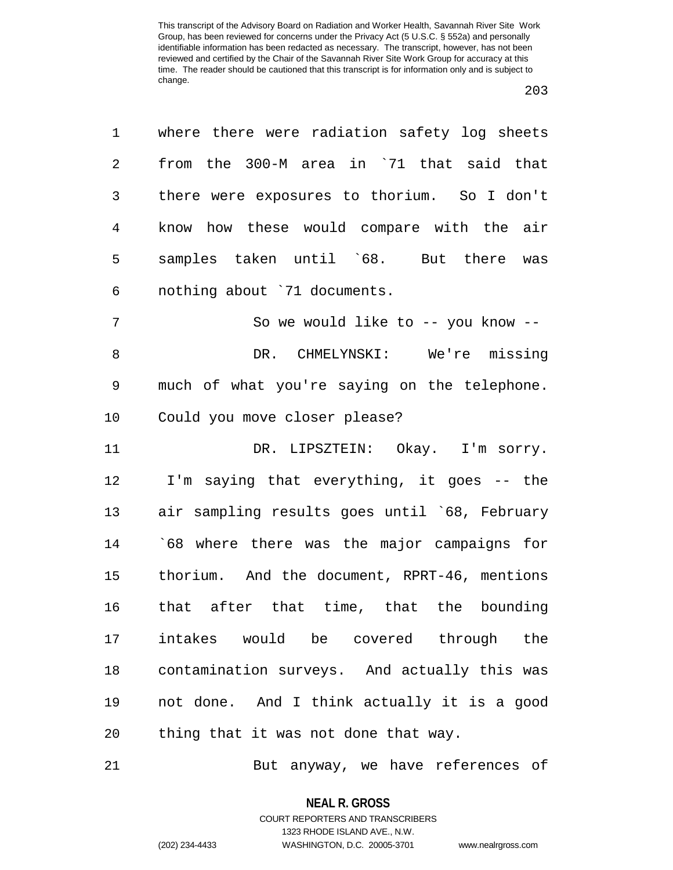203

| 1              | where there were radiation safety log sheets  |
|----------------|-----------------------------------------------|
| $\overline{2}$ | from the 300-M area in `71 that said that     |
| 3              | there were exposures to thorium. So I don't   |
| $\overline{4}$ | know how these would compare with the air     |
| 5              | samples taken until `68. But there was        |
| 6              | nothing about '71 documents.                  |
| 7              | So we would like to $-$ - you know $-$ -      |
| 8              | DR. CHMELYNSKI: We're missing                 |
| 9              | much of what you're saying on the telephone.  |
| 10             | Could you move closer please?                 |
| 11             | DR. LIPSZTEIN: Okay. I'm sorry.               |
| 12             | I'm saying that everything, it goes -- the    |
| 13             | air sampling results goes until `68, February |
| 14             | 68 where there was the major campaigns for    |
| 15             | thorium. And the document, RPRT-46, mentions  |
| 16             | that after that time, that the bounding       |
| 17             | intakes would be covered through the          |
| 18             | contamination surveys. And actually this was  |
| 19             | not done. And I think actually it is a good   |
| 20             | thing that it was not done that way.          |
| 21             | But anyway, we have references of             |

**NEAL R. GROSS**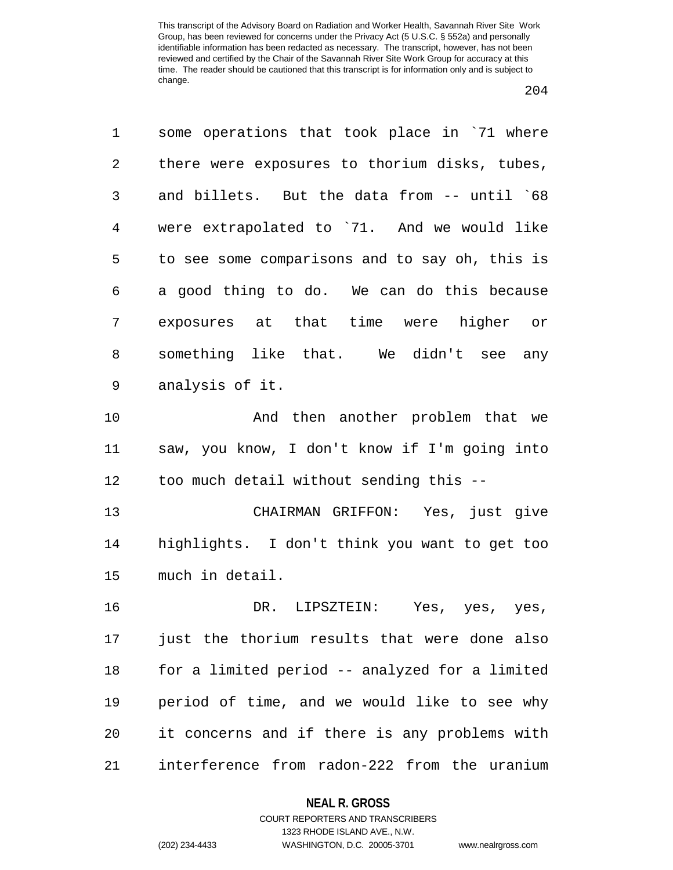204

1 some operations that took place in `71 where 2 there were exposures to thorium disks, tubes, 3 and billets. But the data from -- until `68 4 were extrapolated to `71. And we would like 5 to see some comparisons and to say oh, this is 6 a good thing to do. We can do this because 7 exposures at that time were higher or 8 something like that. We didn't see any 9 analysis of it. 10 And then another problem that we

11 saw, you know, I don't know if I'm going into 12 too much detail without sending this --

13 CHAIRMAN GRIFFON: Yes, just give 14 highlights. I don't think you want to get too 15 much in detail.

16 DR. LIPSZTEIN: Yes, yes, yes, 17 just the thorium results that were done also 18 for a limited period -- analyzed for a limited 19 period of time, and we would like to see why 20 it concerns and if there is any problems with 21 interference from radon-222 from the uranium

#### **NEAL R. GROSS**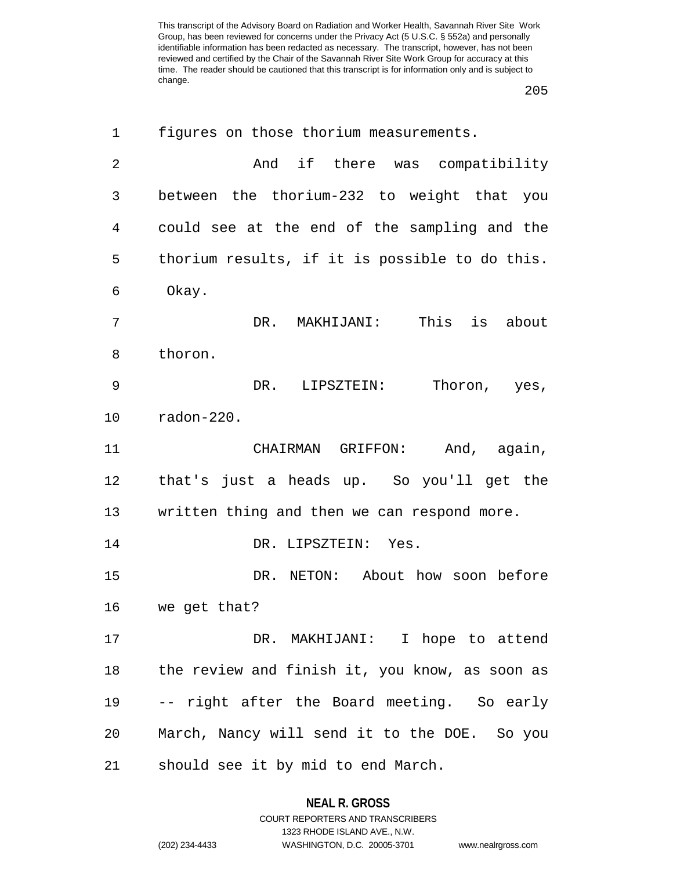205

| 1  | figures on those thorium measurements.         |
|----|------------------------------------------------|
| 2  | And if there was compatibility                 |
| 3  | between the thorium-232 to weight that you     |
| 4  | could see at the end of the sampling and the   |
| 5  | thorium results, if it is possible to do this. |
| 6  | Okay.                                          |
| 7  | This<br>DR. MAKHIJANI:<br>is about             |
| 8  | thoron.                                        |
| 9  | DR. LIPSZTEIN:<br>Thoron, yes,                 |
| 10 | radon-220.                                     |
| 11 | CHAIRMAN GRIFFON: And, again,                  |
| 12 | that's just a heads up. So you'll get the      |
| 13 | written thing and then we can respond more.    |
| 14 | DR. LIPSZTEIN: Yes.                            |
| 15 | DR. NETON: About how soon before               |
| 16 | we get that?                                   |
| 17 | DR. MAKHIJANI: I hope to attend                |
| 18 | the review and finish it, you know, as soon as |
| 19 | -- right after the Board meeting. So early     |
| 20 | March, Nancy will send it to the DOE. So you   |
| 21 | should see it by mid to end March.             |

**NEAL R. GROSS**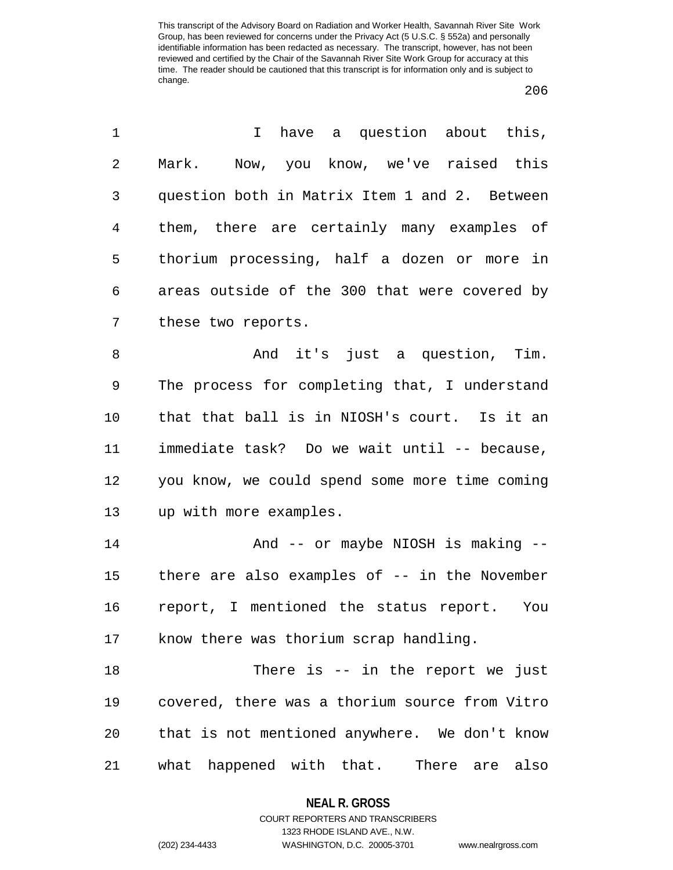1 1 I have a question about this, 2 Mark. Now, you know, we've raised this 3 question both in Matrix Item 1 and 2. Between 4 them, there are certainly many examples of 5 thorium processing, half a dozen or more in 6 areas outside of the 300 that were covered by 7 these two reports. 8 And it's just a question, Tim. 9 The process for completing that, I understand 10 that that ball is in NIOSH's court. Is it an 11 immediate task? Do we wait until -- because, 12 you know, we could spend some more time coming 13 up with more examples. 14 And -- or maybe NIOSH is making -- 15 there are also examples of -- in the November 16 report, I mentioned the status report. You 17 know there was thorium scrap handling. 18 There is -- in the report we just 19 covered, there was a thorium source from Vitro 20 that is not mentioned anywhere. We don't know 21 what happened with that. There are also

### **NEAL R. GROSS**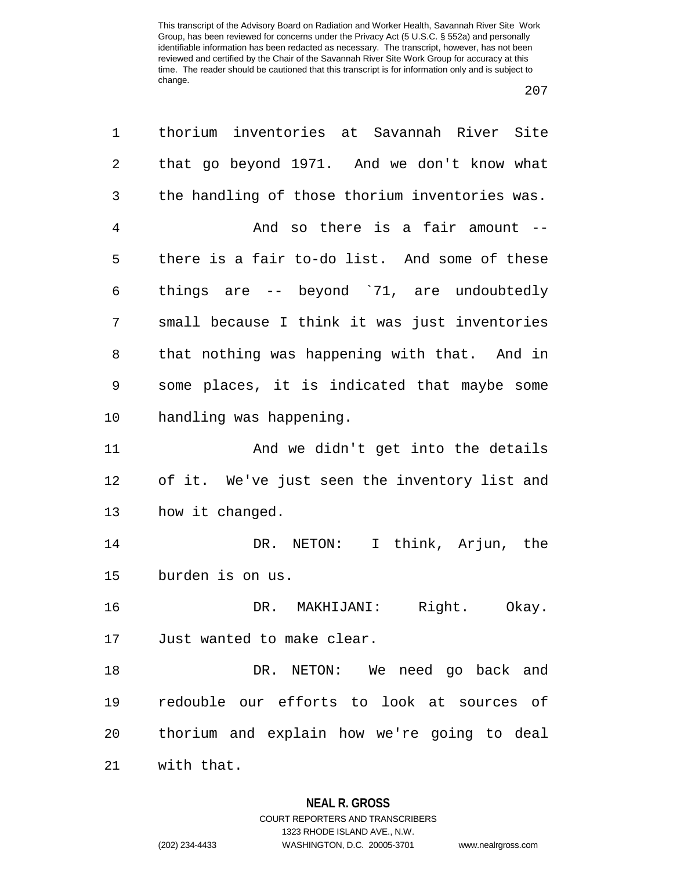207

| $\mathbf 1$ | thorium inventories at Savannah River Site     |
|-------------|------------------------------------------------|
| 2           | that go beyond 1971. And we don't know what    |
| 3           | the handling of those thorium inventories was. |
| 4           | And so there is a fair amount --               |
| 5           | there is a fair to-do list. And some of these  |
| 6           | things are $-$ beyond $71$ , are undoubtedly   |
| 7           | small because I think it was just inventories  |
| 8           | that nothing was happening with that. And in   |
| 9           | some places, it is indicated that maybe some   |
| 10          | handling was happening.                        |
| 11          | And we didn't get into the details             |
| 12          | of it. We've just seen the inventory list and  |
| 13          | how it changed.                                |
| 14          | DR. NETON: I think, Arjun, the                 |
| 15          | burden is on us.                               |
| 16          | DR. MAKHIJANI: Right. Okay.                    |
|             | 17 Just wanted to make clear.                  |
| 18          | DR. NETON: We need go back and                 |
| 19          | redouble our efforts to look at sources of     |
| 20          | thorium and explain how we're going to deal    |
| 21          | with that.                                     |

# **NEAL R. GROSS** COURT REPORTERS AND TRANSCRIBERS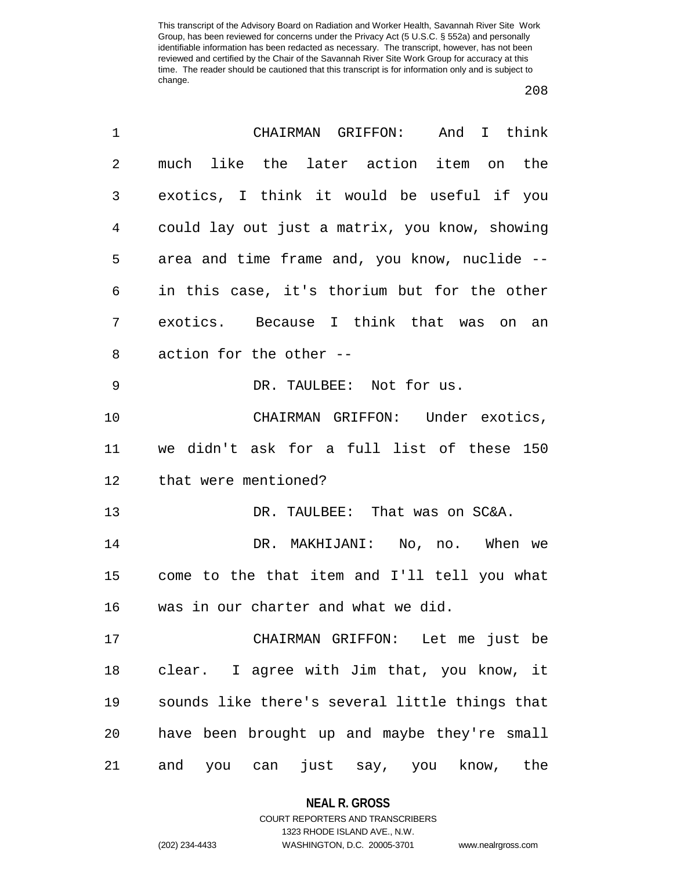208

| 1              | CHAIRMAN GRIFFON: And I think                   |
|----------------|-------------------------------------------------|
| $\overline{2}$ | much like the later action item on the          |
| 3              | exotics, I think it would be useful if you      |
| 4              | could lay out just a matrix, you know, showing  |
| 5              | area and time frame and, you know, nuclide --   |
| 6              | in this case, it's thorium but for the other    |
| 7              | exotics. Because I think that was on an         |
| 8              | action for the other --                         |
| 9              | DR. TAULBEE: Not for us.                        |
| 10             | CHAIRMAN GRIFFON: Under exotics,                |
| 11             | we didn't ask for a full list of these 150      |
| 12             | that were mentioned?                            |
| 13             | DR. TAULBEE: That was on SC&A.                  |
| 14             | DR. MAKHIJANI: No, no. When we                  |
| 15             | come to the that item and I'll tell you what    |
| 16             | was in our charter and what we did.             |
| 17             | CHAIRMAN GRIFFON: Let me just be                |
| 18             | clear. I agree with Jim that, you know, it      |
| 19             | sounds like there's several little things that  |
| 20             | have been brought up and maybe they're small    |
| 21             | just say, you<br>and<br>know,<br>the<br>you can |

**NEAL R. GROSS**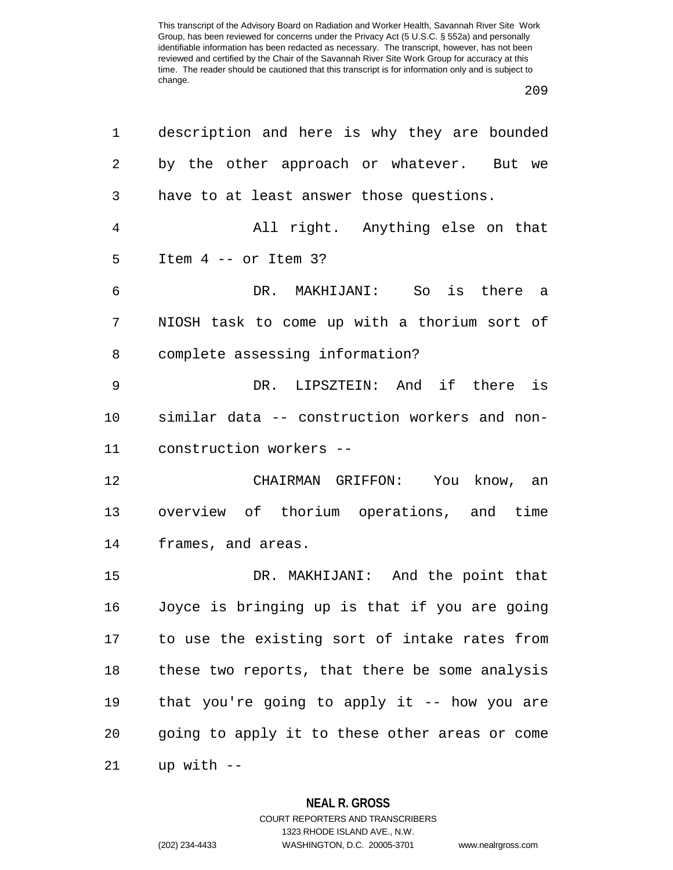209

| 1  | description and here is why they are bounded   |
|----|------------------------------------------------|
| 2  | by the other approach or whatever. But we      |
| 3  | have to at least answer those questions.       |
| 4  | All right. Anything else on that               |
| 5  | Item $4$ -- or Item 3?                         |
| 6  | DR. MAKHIJANI: So is there a                   |
| 7  | NIOSH task to come up with a thorium sort of   |
| 8  | complete assessing information?                |
| 9  | DR. LIPSZTEIN: And if there is                 |
| 10 | similar data -- construction workers and non-  |
| 11 | construction workers --                        |
| 12 | CHAIRMAN GRIFFON: You know, an                 |
| 13 | overview of thorium operations, and time       |
| 14 | frames, and areas.                             |
| 15 | DR. MAKHIJANI: And the point that              |
| 16 | Joyce is bringing up is that if you are going  |
| 17 | to use the existing sort of intake rates from  |
| 18 | these two reports, that there be some analysis |
| 19 | that you're going to apply it -- how you are   |
| 20 | going to apply it to these other areas or come |
| 21 | up with --                                     |

## **NEAL R. GROSS**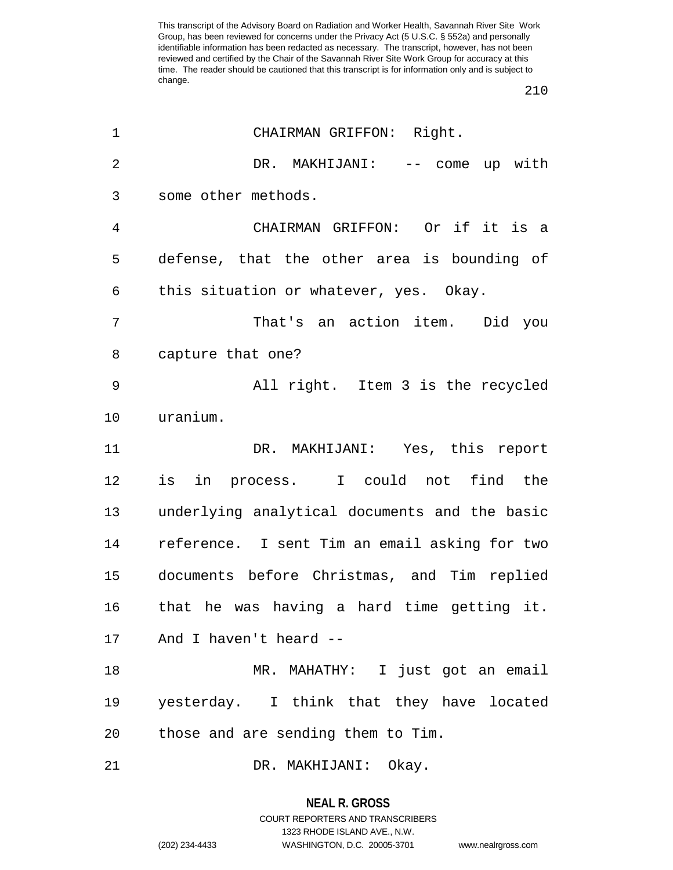| 1              | CHAIRMAN GRIFFON: Right.                      |
|----------------|-----------------------------------------------|
| $\overline{2}$ | DR. MAKHIJANI: -- come up with                |
| 3              | some other methods.                           |
| 4              | CHAIRMAN GRIFFON: Or if it is a               |
| 5              | defense, that the other area is bounding of   |
| 6              | this situation or whatever, yes. Okay.        |
| 7              | That's an action item. Did you                |
| 8              | capture that one?                             |
| 9              | All right. Item 3 is the recycled             |
| 10             | uranium.                                      |
| 11             | DR. MAKHIJANI: Yes, this report               |
| 12             | is in process. I could not find the           |
| 13             | underlying analytical documents and the basic |
| 14             | reference. I sent Tim an email asking for two |
| 15             | documents before Christmas, and Tim replied   |
| 16             | that he was having a hard time getting it.    |
|                | 17 And I haven't heard --                     |
| 18             | MR. MAHATHY: I just got an email              |
| 19             | yesterday. I think that they have located     |
| 20             | those and are sending them to Tim.            |
| 21             | DR. MAKHIJANI: Okay.                          |

1323 RHODE ISLAND AVE., N.W.

(202) 234-4433 WASHINGTON, D.C. 20005-3701 www.nealrgross.com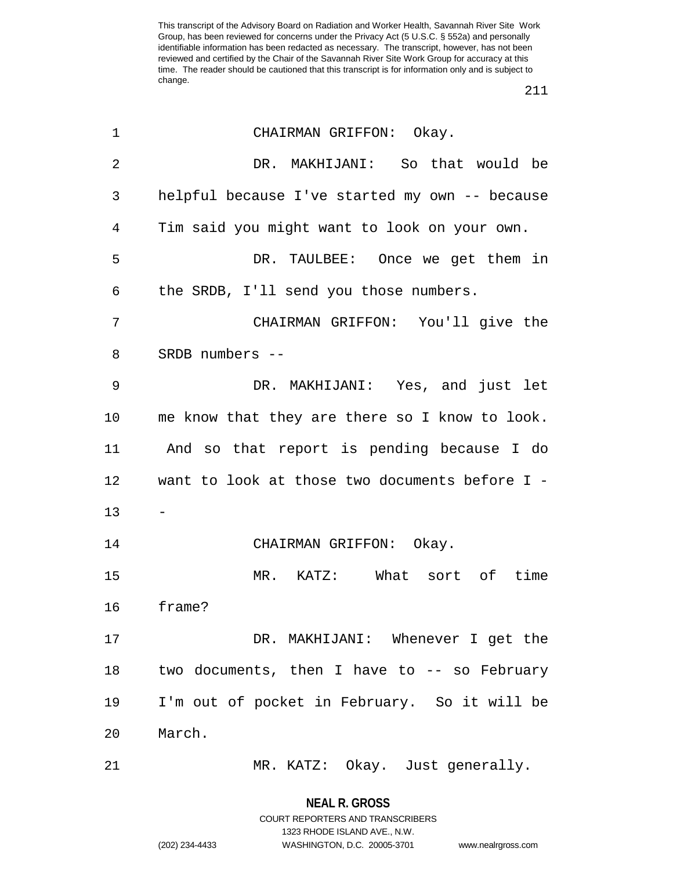211

| 1       | CHAIRMAN GRIFFON: Okay.                        |
|---------|------------------------------------------------|
| 2       | DR. MAKHIJANI: So that would be                |
| 3       | helpful because I've started my own -- because |
| 4       | Tim said you might want to look on your own.   |
| 5       | DR. TAULBEE: Once we get them in               |
| 6       | the SRDB, I'll send you those numbers.         |
| 7       | CHAIRMAN GRIFFON: You'll give the              |
| 8       | SRDB numbers --                                |
| 9       | DR. MAKHIJANI: Yes, and just let               |
| $10 \,$ | me know that they are there so I know to look. |
| 11      | And so that report is pending because I do     |
| 12      | want to look at those two documents before I - |
| 13      |                                                |
| 14      | CHAIRMAN GRIFFON: Okay.                        |
| 15      | MR. KATZ: What sort of<br>time                 |
| 16      | frame?                                         |
| 17      | DR. MAKHIJANI: Whenever I get the              |
| 18      | two documents, then I have to -- so February   |
| 19      | I'm out of pocket in February. So it will be   |
| 20      | March.                                         |
| 21      | MR. KATZ: Okay. Just generally.                |

**NEAL R. GROSS** COURT REPORTERS AND TRANSCRIBERS

1323 RHODE ISLAND AVE., N.W.

(202) 234-4433 WASHINGTON, D.C. 20005-3701 www.nealrgross.com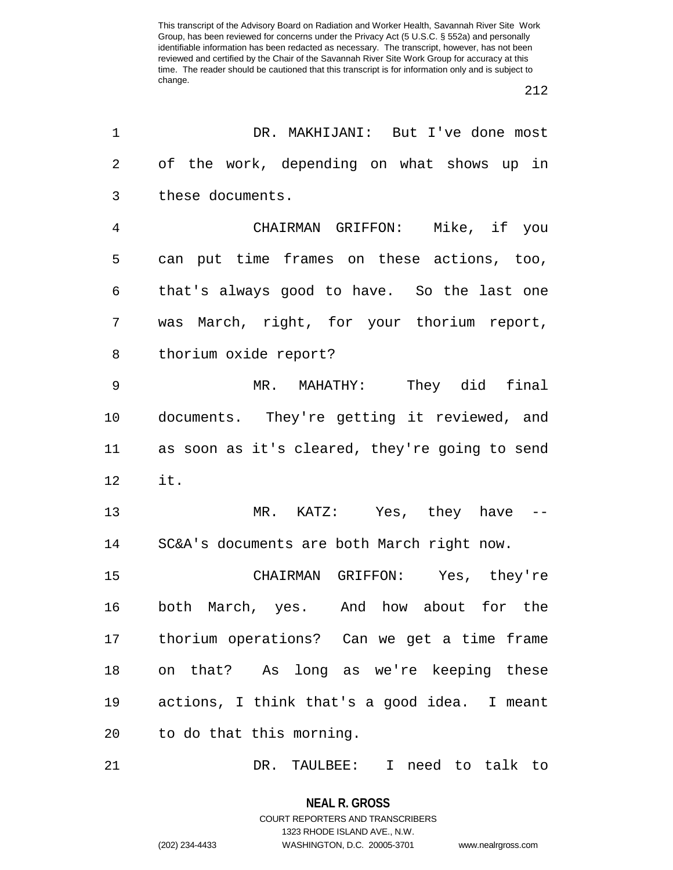212

| 1              | DR. MAKHIJANI: But I've done most              |
|----------------|------------------------------------------------|
| 2              | of the work, depending on what shows up in     |
| 3              | these documents.                               |
| $\overline{4}$ | CHAIRMAN GRIFFON: Mike, if you                 |
| 5              | can put time frames on these actions, too,     |
| 6              | that's always good to have. So the last one    |
| 7              | was March, right, for your thorium report,     |
| 8              | thorium oxide report?                          |
| 9              | MR. MAHATHY: They did final                    |
| 10             | documents. They're getting it reviewed, and    |
| 11             | as soon as it's cleared, they're going to send |
| 12             | it.                                            |
| 13             | MR. KATZ: Yes, they have --                    |
| 14             | SC&A's documents are both March right now.     |
| 15             | CHAIRMAN GRIFFON: Yes, they're                 |
| 16             | both March, yes. And how about for the         |
| 17             | thorium operations? Can we get a time frame    |
| 18             | on that? As long as we're keeping these        |
| 19             | actions, I think that's a good idea. I meant   |
| 20             | to do that this morning.                       |
| 21             | DR. TAULBEE: I need to talk to                 |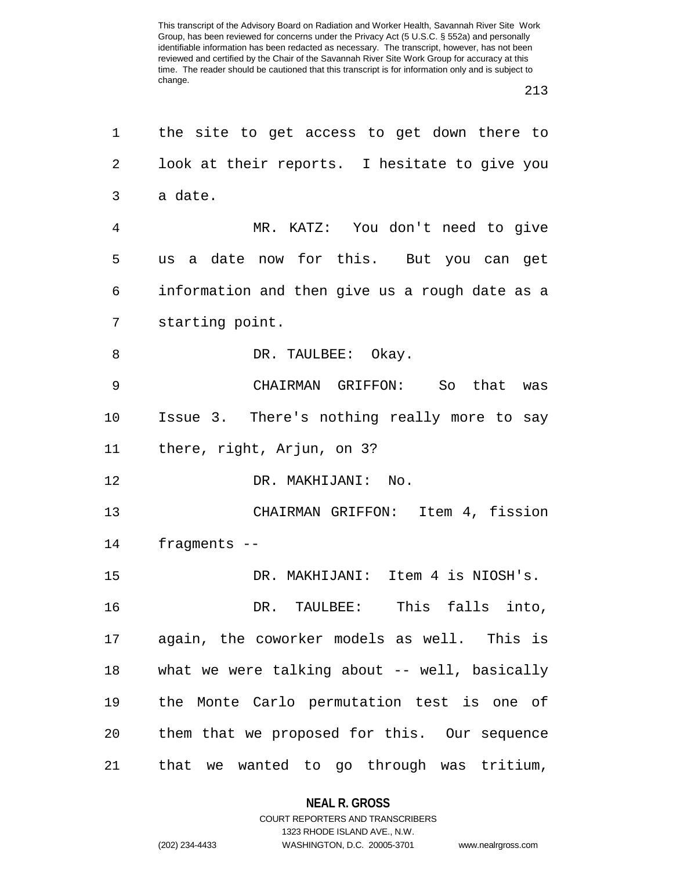213

| $\mathbf 1$    | the site to get access to get down there to    |
|----------------|------------------------------------------------|
| $\overline{a}$ | look at their reports. I hesitate to give you  |
| 3              | a date.                                        |
| 4              | MR. KATZ: You don't need to give               |
| 5              | a date now for this. But you can get<br>us     |
| 6              | information and then give us a rough date as a |
| 7              | starting point.                                |
| 8              | DR. TAULBEE: Okay.                             |
| 9              | CHAIRMAN GRIFFON: So that was                  |
| 10             | Issue 3. There's nothing really more to say    |
| 11             | there, right, Arjun, on 3?                     |
| 12             | DR. MAKHIJANI: No.                             |
| 13             | CHAIRMAN GRIFFON: Item 4, fission              |
| 14             | fragments --                                   |
| 15             | DR. MAKHIJANI: Item 4 is NIOSH's.              |
| 16             | This falls into,<br>DR. TAULBEE:               |
| 17             | again, the coworker models as well. This is    |
| 18             | what we were talking about -- well, basically  |
| 19             | the Monte Carlo permutation test is one of     |
| 20             | them that we proposed for this. Our sequence   |
| 21             | that we wanted to go through was tritium,      |

# **NEAL R. GROSS** COURT REPORTERS AND TRANSCRIBERS

1323 RHODE ISLAND AVE., N.W.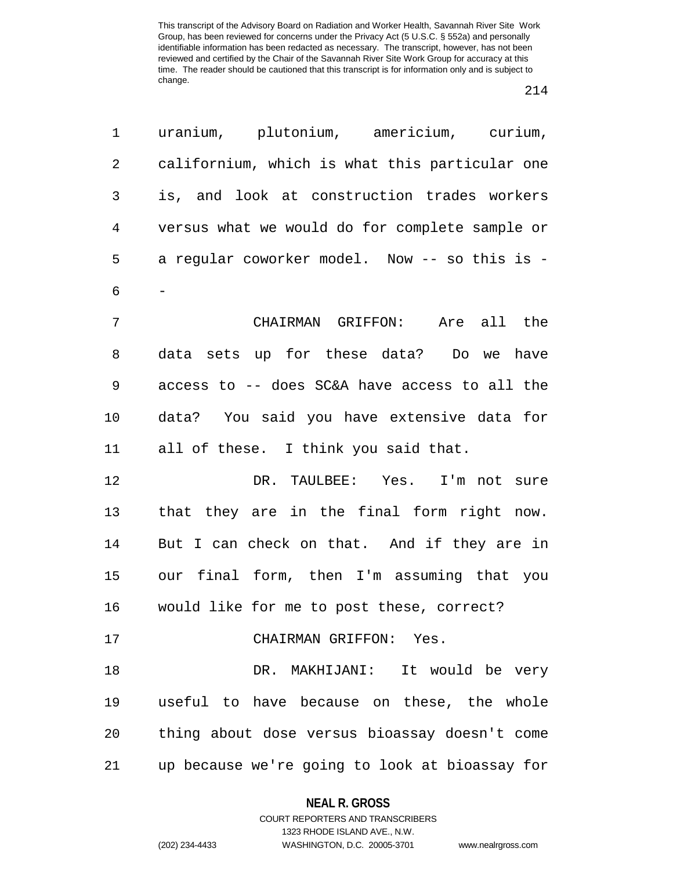1 uranium, plutonium, americium, curium, 2 californium, which is what this particular one 3 is, and look at construction trades workers 4 versus what we would do for complete sample or 5 a regular coworker model. Now -- so this is - 6 - 7 CHAIRMAN GRIFFON: Are all the 8 data sets up for these data? Do we have 9 access to -- does SC&A have access to all the 10 data? You said you have extensive data for 11 all of these. I think you said that. 12 DR. TAULBEE: Yes. I'm not sure 13 that they are in the final form right now. 14 But I can check on that. And if they are in 15 our final form, then I'm assuming that you 16 would like for me to post these, correct? 17 CHAIRMAN GRIFFON: Yes. 18 DR. MAKHIJANI: It would be very 19 useful to have because on these, the whole 20 thing about dose versus bioassay doesn't come 21 up because we're going to look at bioassay for

### **NEAL R. GROSS**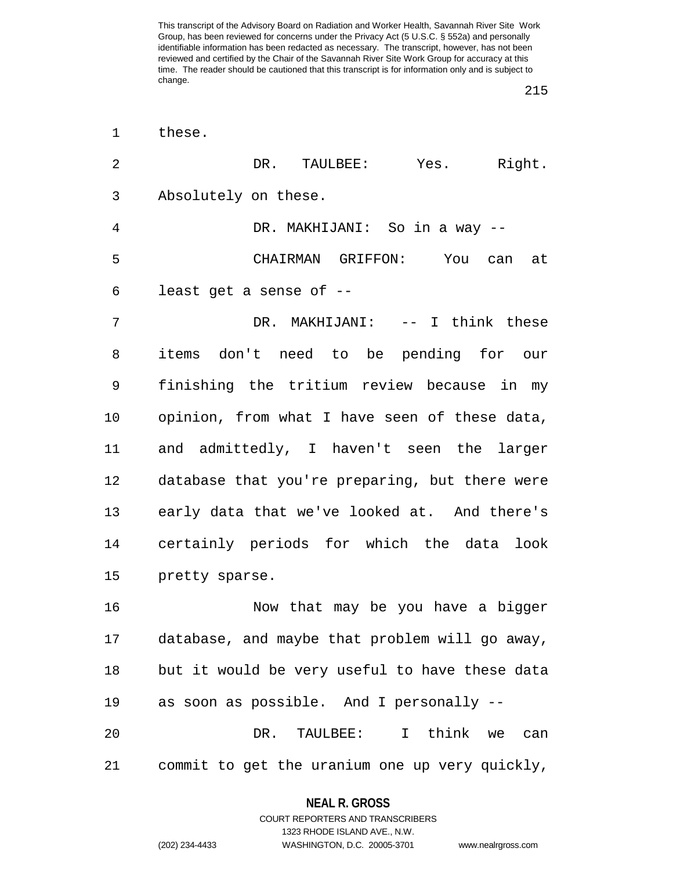| 1  | these.                                             |
|----|----------------------------------------------------|
| 2  | Yes. Right.<br>DR. TAULBEE:                        |
| 3  | Absolutely on these.                               |
| 4  | DR. MAKHIJANI: So in a way --                      |
| 5  | CHAIRMAN GRIFFON:<br>You can<br>at                 |
| 6  | least get a sense of --                            |
| 7  | DR. MAKHIJANI: -- I think these                    |
| 8  | items don't need to be pending for our             |
| 9  | finishing the tritium review because in my         |
| 10 | opinion, from what I have seen of these data,      |
| 11 | and admittedly, I haven't seen the larger          |
| 12 | database that you're preparing, but there were     |
| 13 | early data that we've looked at. And there's       |
| 14 | certainly periods for which the data look          |
| 15 | pretty sparse.                                     |
| 16 | Now that may be you have a bigger                  |
| 17 | database, and maybe that problem will go away,     |
| 18 | but it would be very useful to have these data     |
| 19 | as soon as possible. And I personally --           |
| 20 | TAULBEE:<br>think we<br>DR.<br>$\mathbf{I}$<br>can |
| 21 | commit to get the uranium one up very quickly,     |

## **NEAL R. GROSS**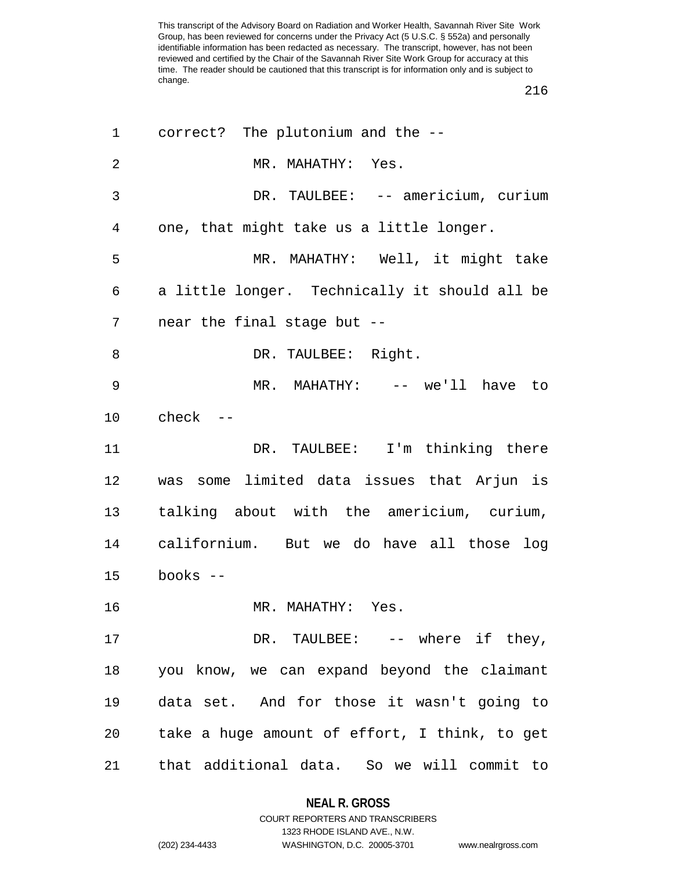216

| 1  | correct? The plutonium and the --             |
|----|-----------------------------------------------|
| 2  | MR. MAHATHY: Yes.                             |
| 3  | DR. TAULBEE: -- americium, curium             |
| 4  | one, that might take us a little longer.      |
| 5  | MR. MAHATHY: Well, it might take              |
| 6  | a little longer. Technically it should all be |
| 7  | near the final stage but --                   |
| 8  | DR. TAULBEE: Right.                           |
| 9  | MR. MAHATHY: -- we'll have to                 |
| 10 | $check -$                                     |
| 11 | DR. TAULBEE: I'm thinking there               |
| 12 | was some limited data issues that Arjun is    |
| 13 | talking about with the americium, curium,     |
| 14 | californium. But we do have all those log     |
| 15 | $books --$                                    |
| 16 | MR. MAHATHY: Yes.                             |
| 17 | DR. TAULBEE: -- where if they,                |
| 18 | you know, we can expand beyond the claimant   |
| 19 | data set. And for those it wasn't going to    |
| 20 | take a huge amount of effort, I think, to get |
| 21 | that additional data. So we will commit to    |

## **NEAL R. GROSS**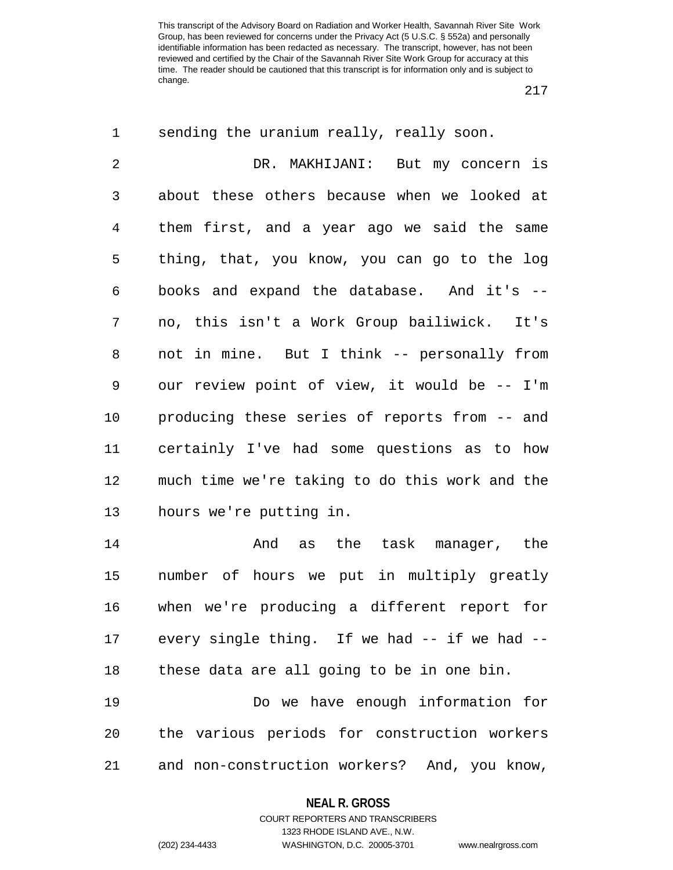217

1 sending the uranium really, really soon. 2 DR. MAKHIJANI: But my concern is 3 about these others because when we looked at 4 them first, and a year ago we said the same 5 thing, that, you know, you can go to the log 6 books and expand the database. And it's -- 7 no, this isn't a Work Group bailiwick. It's 8 not in mine. But I think -- personally from 9 our review point of view, it would be -- I'm 10 producing these series of reports from -- and 11 certainly I've had some questions as to how 12 much time we're taking to do this work and the 13 hours we're putting in. 14 And as the task manager, the 15 number of hours we put in multiply greatly 16 when we're producing a different report for 17 every single thing. If we had -- if we had -- 18 these data are all going to be in one bin. 19 Do we have enough information for 20 the various periods for construction workers

## **NEAL R. GROSS** COURT REPORTERS AND TRANSCRIBERS

21 and non-construction workers? And, you know,

1323 RHODE ISLAND AVE., N.W. (202) 234-4433 WASHINGTON, D.C. 20005-3701 www.nealrgross.com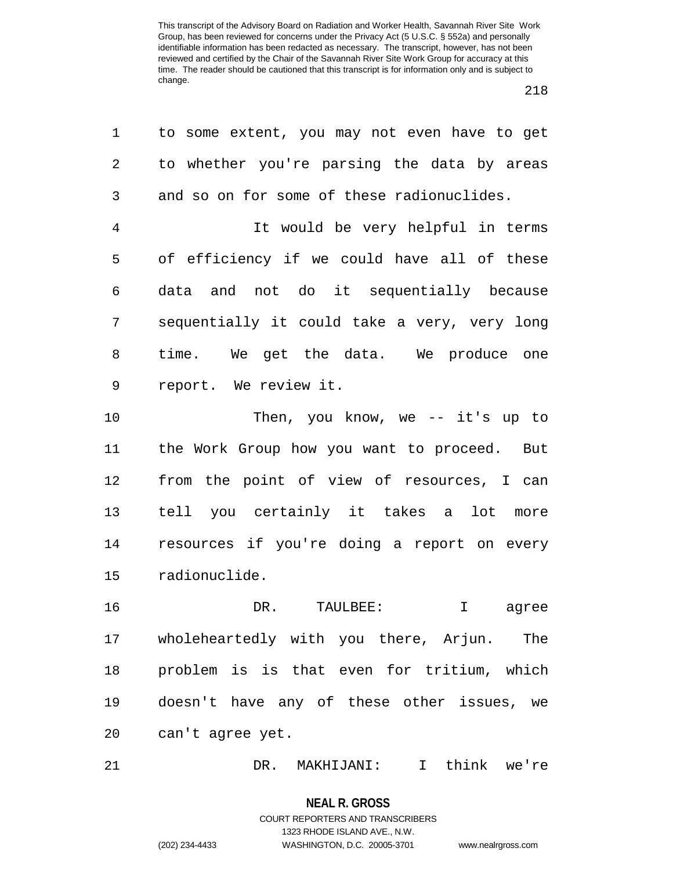218

| 1              | to some extent, you may not even have to get |
|----------------|----------------------------------------------|
| 2              | to whether you're parsing the data by areas  |
| 3              | and so on for some of these radionuclides.   |
| $\overline{4}$ | It would be very helpful in terms            |
| 5              | of efficiency if we could have all of these  |
| 6              | data and not do it sequentially because      |
| 7              | sequentially it could take a very, very long |
| 8              | time. We get the data. We produce one        |
| 9              | report. We review it.                        |
| 10             | Then, you know, we $-$ it's up to            |
| 11             | the Work Group how you want to proceed. But  |
| 12             | from the point of view of resources, I can   |
| 13             | tell you certainly it takes a lot more       |
| 14             | resources if you're doing a report on every  |
| 15             | radionuclide.                                |
| 16             | DR.<br>TAULBEE:<br>$\mathbf I$<br>agree      |
| 17             | wholeheartedly with you there, Arjun.<br>The |
| 18             | problem is is that even for tritium, which   |
| 19             | doesn't have any of these other issues, we   |
| 20             | can't agree yet.                             |
| 21             | I think we're<br>DR.<br>MAKHIJANI:           |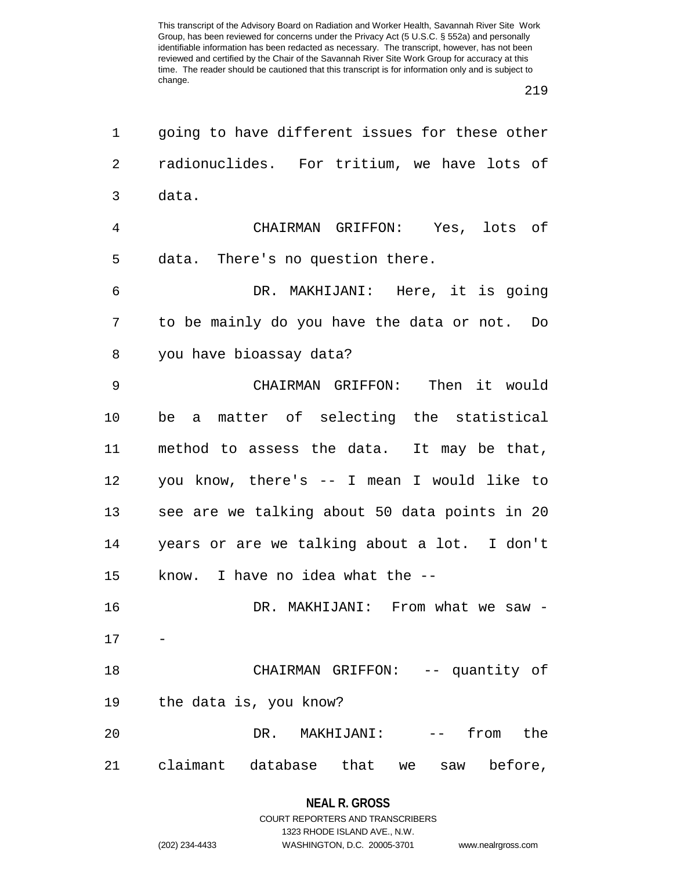219

| 1  | going to have different issues for these other |
|----|------------------------------------------------|
| 2  | radionuclides. For tritium, we have lots of    |
| 3  | data.                                          |
| 4  | CHAIRMAN GRIFFON: Yes, lots of                 |
| 5  | data. There's no question there.               |
| 6  | DR. MAKHIJANI: Here, it is going               |
| 7  | to be mainly do you have the data or not. Do   |
| 8  | you have bioassay data?                        |
| 9  | CHAIRMAN GRIFFON: Then it would                |
| 10 | a matter of selecting the statistical<br>be    |
| 11 | method to assess the data. It may be that,     |
| 12 | you know, there's -- I mean I would like to    |
| 13 | see are we talking about 50 data points in 20  |
| 14 | years or are we talking about a lot. I don't   |
| 15 | know. I have no idea what the --               |
| 16 | DR. MAKHIJANI: From what we saw -              |
| 17 |                                                |
| 18 | CHAIRMAN GRIFFON: -- quantity of               |
| 19 | the data is, you know?                         |
| 20 | from<br>the<br>DR.<br>MAKHIJANI:               |
| 21 | claimant database that<br>before,<br>saw<br>we |

### **NEAL R. GROSS**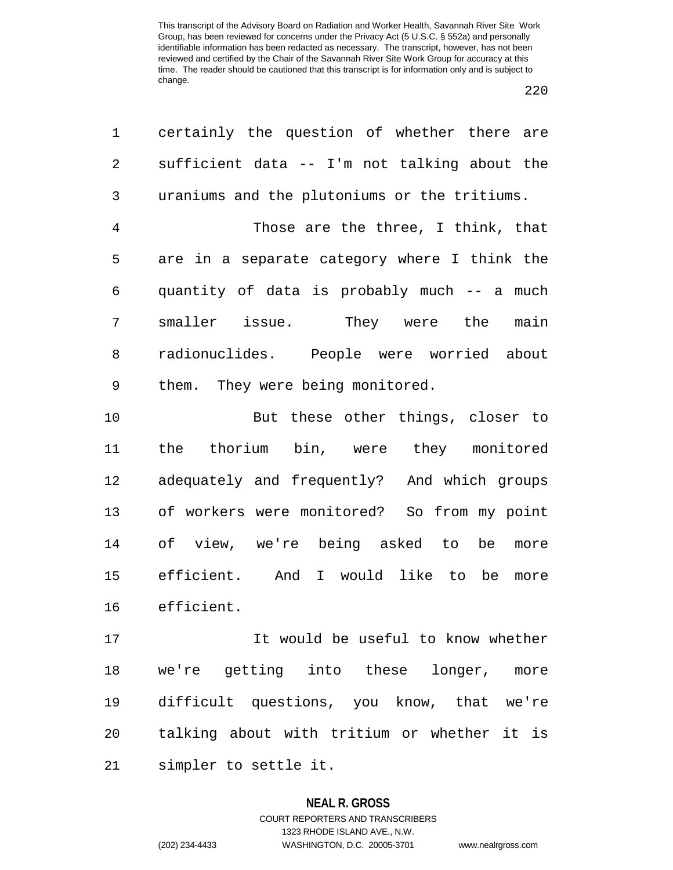220

| 1           | certainly the question of whether there are  |
|-------------|----------------------------------------------|
| 2           | sufficient data -- I'm not talking about the |
| 3           | uraniums and the plutoniums or the tritiums. |
| 4           | Those are the three, I think, that           |
| 5           | are in a separate category where I think the |
| 6           | quantity of data is probably much -- a much  |
| 7           | smaller issue. They were the<br>main         |
| 8           | radionuclides. People were worried about     |
| $\mathsf 9$ | them. They were being monitored.             |
| 10          | But these other things, closer to            |
| 11          | thorium bin, were they monitored<br>the      |
| 12          | adequately and frequently? And which groups  |
| 13          | of workers were monitored? So from my point  |
| 14          | of view, we're being asked to<br>be<br>more  |
| 15          | efficient. And I would like to be<br>more    |
| 16          | efficient.                                   |
| 17          | It would be useful to know whether           |
| 18          | we're getting into these longer, more        |
| 19          | difficult questions, you know, that we're    |
| 20          | talking about with tritium or whether it is  |
| 21          | simpler to settle it.                        |

### **NEAL R. GROSS**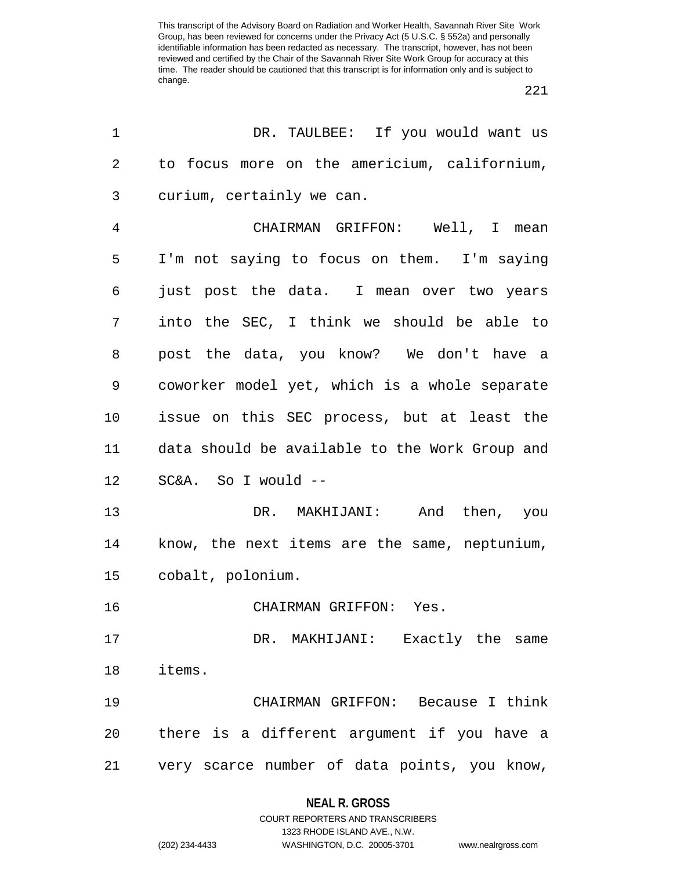221

| 1       | DR. TAULBEE: If you would want us              |
|---------|------------------------------------------------|
| 2       | to focus more on the americium, californium,   |
| 3       | curium, certainly we can.                      |
| 4       | CHAIRMAN GRIFFON: Well, I mean                 |
| 5       | I'm not saying to focus on them. I'm saying    |
| 6       | just post the data. I mean over two years      |
| 7       | into the SEC, I think we should be able to     |
| 8       | post the data, you know? We don't have a       |
| 9       | coworker model yet, which is a whole separate  |
| $10 \,$ | issue on this SEC process, but at least the    |
| 11      | data should be available to the Work Group and |
| 12      | $SC&A.$ So I would --                          |
| 13      | DR. MAKHIJANI: And then, you                   |
| 14      | know, the next items are the same, neptunium,  |
| 15      | cobalt, polonium.                              |
| 16      | CHAIRMAN GRIFFON: Yes.                         |
| 17      | DR. MAKHIJANI: Exactly the same                |
| 18      | items.                                         |
| 19      | CHAIRMAN GRIFFON: Because I think              |
| 20      | there is a different argument if you have a    |
| 21      | very scarce number of data points, you know,   |

## **NEAL R. GROSS**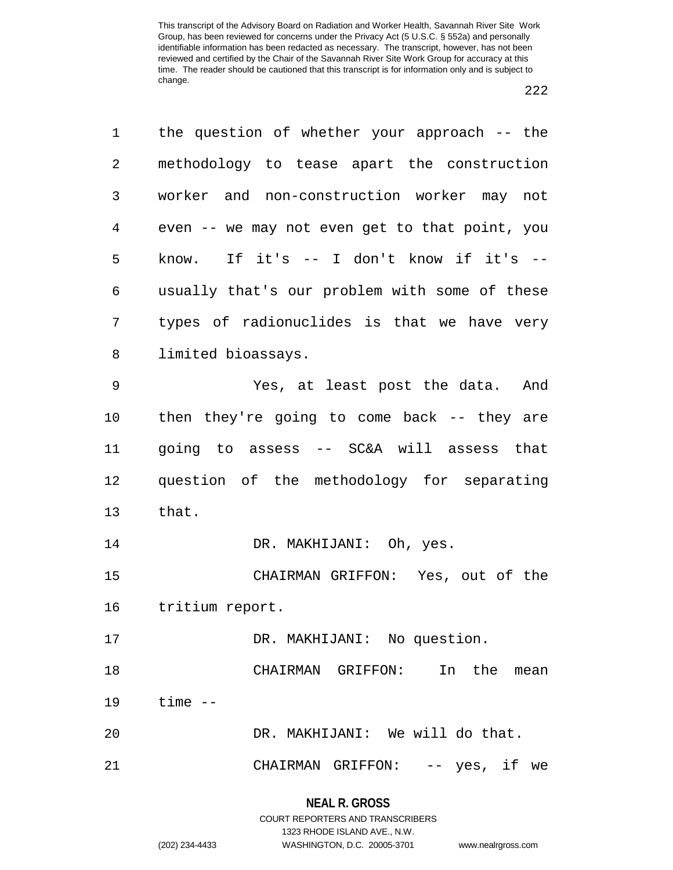222

| 1  | the question of whether your approach -- the   |
|----|------------------------------------------------|
| 2  | methodology to tease apart the construction    |
| 3  | worker and non-construction worker may not     |
| 4  | even -- we may not even get to that point, you |
| 5  | know. If it's $--$ I don't know if it's $--$   |
| 6  | usually that's our problem with some of these  |
| 7  | types of radionuclides is that we have very    |
| 8  | limited bioassays.                             |
| 9  | Yes, at least post the data. And               |
| 10 | then they're going to come back -- they are    |
| 11 | going to assess -- SC&A will assess that       |
| 12 | question of the methodology for separating     |
| 13 | that.                                          |
| 14 | DR. MAKHIJANI: Oh, yes.                        |
| 15 | CHAIRMAN GRIFFON: Yes, out of the              |
| 16 | tritium report.                                |
| 17 | DR. MAKHIJANI: No question.                    |
| 18 | CHAIRMAN GRIFFON: In the mean                  |
| 19 | time --                                        |
| 20 | DR. MAKHIJANI: We will do that.                |
| 21 | CHAIRMAN GRIFFON: -- yes, if we                |

# **NEAL R. GROSS** COURT REPORTERS AND TRANSCRIBERS 1323 RHODE ISLAND AVE., N.W.

(202) 234-4433 WASHINGTON, D.C. 20005-3701 www.nealrgross.com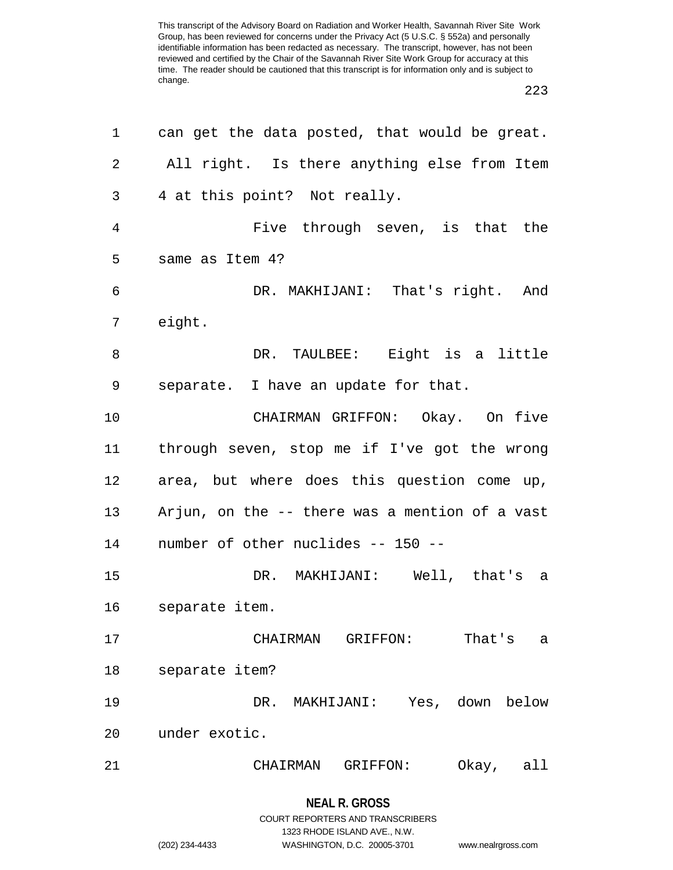223

| 1              | can get the data posted, that would be great.  |
|----------------|------------------------------------------------|
| 2              | All right. Is there anything else from Item    |
| 3              | 4 at this point? Not really.                   |
| $\overline{4}$ | Five through seven, is that the                |
| 5              | same as Item 4?                                |
| 6              | DR. MAKHIJANI: That's right. And               |
| 7              | eight.                                         |
| 8              | DR. TAULBEE: Eight is a little                 |
| 9              | separate. I have an update for that.           |
| 10             | CHAIRMAN GRIFFON: Okay. On five                |
| 11             | through seven, stop me if I've got the wrong   |
| 12             | area, but where does this question come up,    |
| 13             | Arjun, on the -- there was a mention of a vast |
| 14             | number of other nuclides -- 150 --             |
| 15             | DR. MAKHIJANI: Well, that's a                  |
| 16             | separate item.                                 |
| 17             | That's<br>CHAIRMAN<br>GRIFFON:<br>а            |
| 18             | separate item?                                 |
| 19             | MAKHIJANI: Yes, down below<br>DR.              |
| 20             | under exotic.                                  |
| 21             | Okay,<br>all<br>CHAIRMAN<br>GRIFFON:           |

# **NEAL R. GROSS**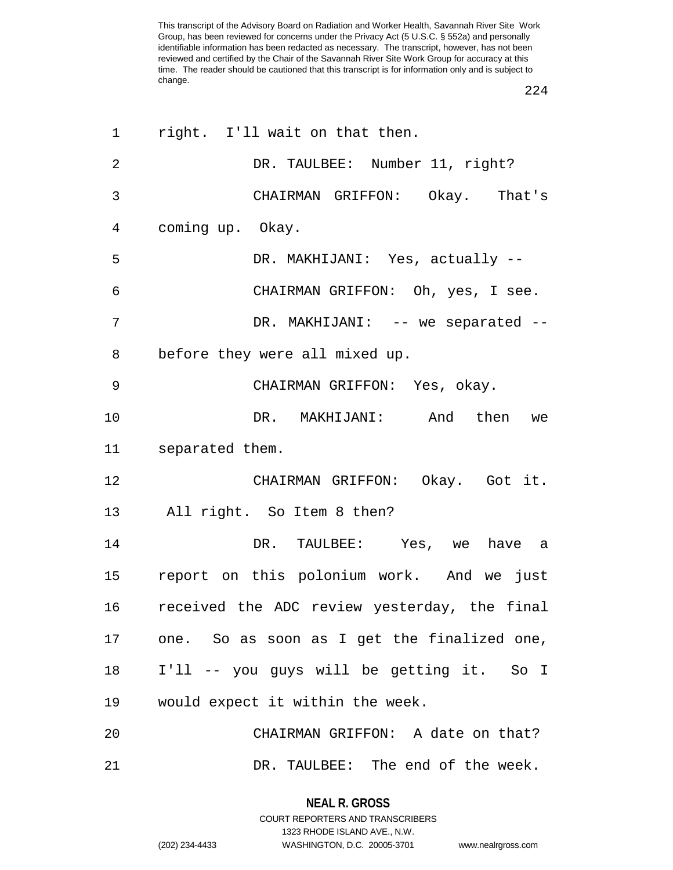224

| $1 \quad \blacksquare$ | right. I'll wait on that then.               |
|------------------------|----------------------------------------------|
| $\overline{2}$         | DR. TAULBEE: Number 11, right?               |
| 3                      | CHAIRMAN GRIFFON: Okay. That's               |
| 4                      | coming up. Okay.                             |
| 5                      | DR. MAKHIJANI: Yes, actually --              |
| 6                      | CHAIRMAN GRIFFON: Oh, yes, I see.            |
| 7                      | DR. MAKHIJANI: -- we separated --            |
| 8                      | before they were all mixed up.               |
| 9                      | CHAIRMAN GRIFFON: Yes, okay.                 |
| 10                     | DR. MAKHIJANI: And then we                   |
|                        | 11 separated them.                           |
| 12                     | CHAIRMAN GRIFFON: Okay. Got it.              |
| 13                     | All right. So Item 8 then?                   |
| 14                     | DR. TAULBEE: Yes, we have a                  |
| 15                     | report on this polonium work. And we just    |
| 16                     | received the ADC review yesterday, the final |
| 17                     | one. So as soon as I get the finalized one,  |
| 18                     | I'll -- you guys will be getting it. So I    |
| 19                     | would expect it within the week.             |
| 20                     | CHAIRMAN GRIFFON: A date on that?            |
| 21                     | DR. TAULBEE: The end of the week.            |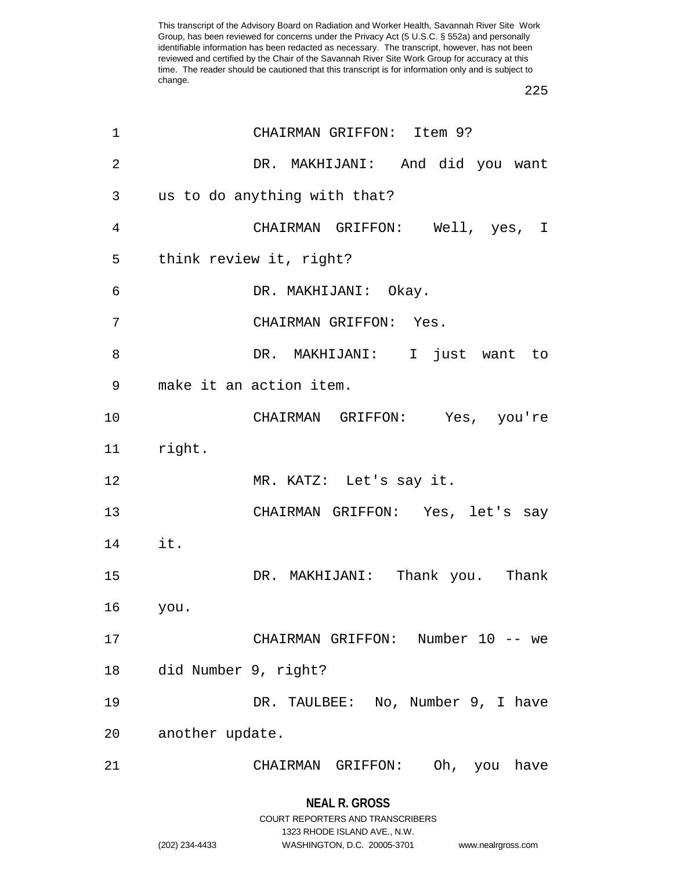225

| 1         | CHAIRMAN GRIFFON: Item 9?            |
|-----------|--------------------------------------|
| 2         | DR. MAKHIJANI: And did you want      |
| 3         | us to do anything with that?         |
| 4         | CHAIRMAN GRIFFON: Well, yes, I       |
| 5         | think review it, right?              |
| 6         | DR. MAKHIJANI: Okay.                 |
| 7         | CHAIRMAN GRIFFON: Yes.               |
| 8         | DR. MAKHIJANI: I just want to        |
| 9         | make it an action item.              |
| 10        | CHAIRMAN GRIFFON: Yes, you're        |
| 11        | right.                               |
| 12        | MR. KATZ: Let's say it.              |
| 13        | CHAIRMAN GRIFFON: Yes, let's say     |
| it.<br>14 |                                      |
| 15        | DR. MAKHIJANI: Thank you. Thank      |
| 16        | you.                                 |
| 17        | CHAIRMAN GRIFFON: Number 10 -- we    |
| 18        | did Number 9, right?                 |
| 19        | DR. TAULBEE: No, Number 9, I have    |
| 20        | another update.                      |
| 21        | CHAIRMAN GRIFFON:<br>Oh, you<br>have |

1323 RHODE ISLAND AVE., N.W.

(202) 234-4433 WASHINGTON, D.C. 20005-3701 www.nealrgross.com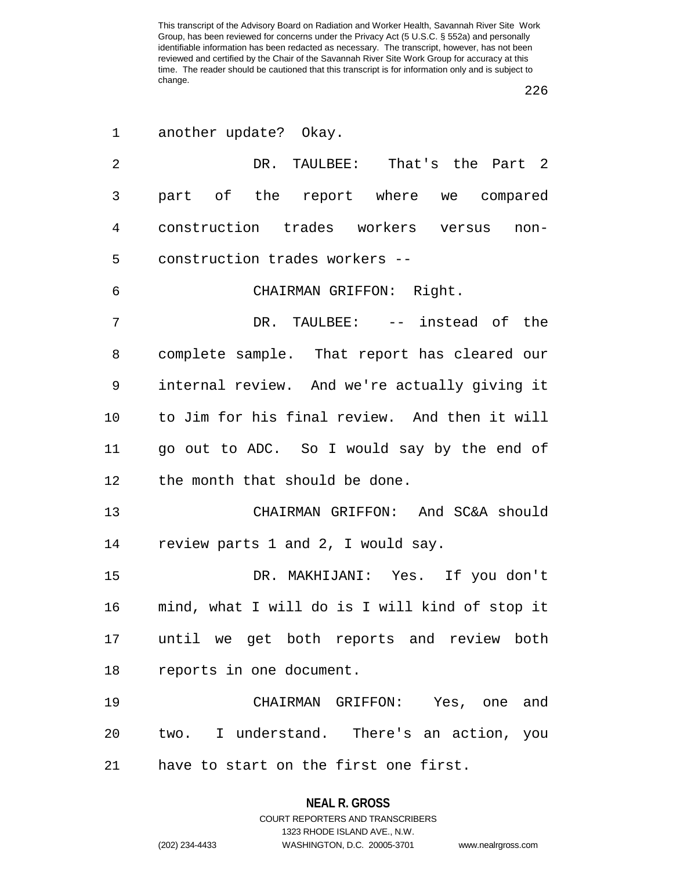226

| $\mathbf 1$    | another update? Okay.                          |
|----------------|------------------------------------------------|
| 2              | DR. TAULBEE: That's the Part 2                 |
| 3              | part of the report where we compared           |
| $\overline{4}$ | construction trades workers versus<br>non-     |
| 5              | construction trades workers --                 |
| 6              | CHAIRMAN GRIFFON: Right.                       |
| 7              | DR. TAULBEE: -- instead of the                 |
| 8              | complete sample. That report has cleared our   |
| 9              | internal review. And we're actually giving it  |
| 10             | to Jim for his final review. And then it will  |
| 11             | go out to ADC. So I would say by the end of    |
| 12             | the month that should be done.                 |
| 13             | CHAIRMAN GRIFFON: And SC&A should              |
| 14             | review parts 1 and 2, I would say.             |
| 15             | DR. MAKHIJANI: Yes. If you don't               |
| 16             | mind, what I will do is I will kind of stop it |
|                | 17 until we get both reports and review both   |
| 18             | reports in one document.                       |
| 19             | CHAIRMAN GRIFFON: Yes, one and                 |
| 20             | two. I understand. There's an action, you      |
| 21             | have to start on the first one first.          |

### **NEAL R. GROSS**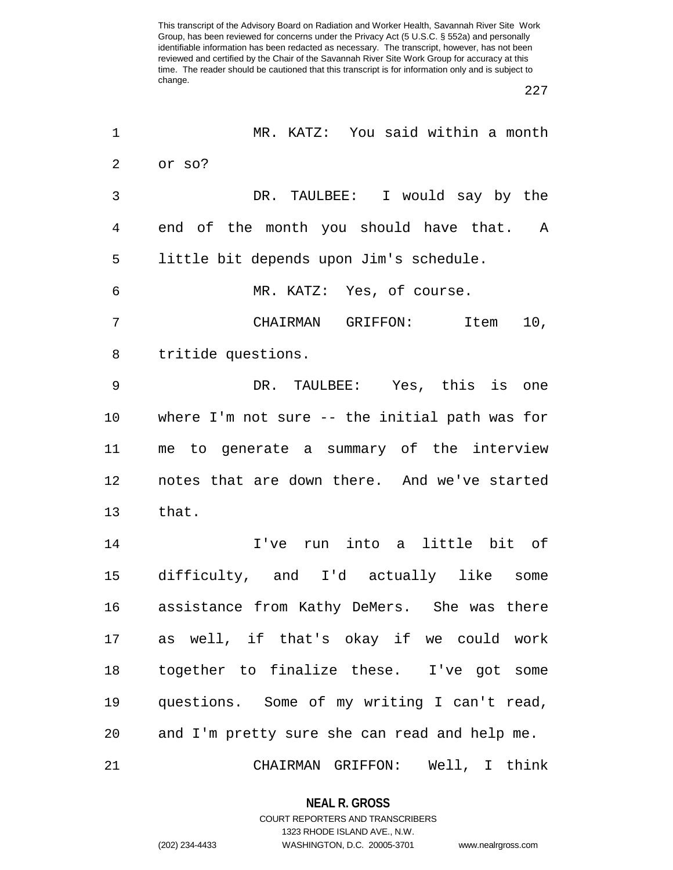227

| 1           | MR. KATZ: You said within a month              |
|-------------|------------------------------------------------|
| 2           | or so?                                         |
| 3           | DR. TAULBEE: I would say by the                |
| 4           | end of the month you should have that. A       |
| 5           | little bit depends upon Jim's schedule.        |
| 6           | MR. KATZ: Yes, of course.                      |
| 7           | CHAIRMAN GRIFFON:<br>10,<br>Item               |
| 8           | tritide questions.                             |
| $\mathsf 9$ | DR. TAULBEE: Yes, this is one                  |
| 10          | where I'm not sure -- the initial path was for |
| 11          | me to generate a summary of the interview      |
| 12          | notes that are down there. And we've started   |
| 13          | that.                                          |
| 14          | I've run into a little bit of                  |
| 15          | difficulty, and I'd actually like some         |
| 16          | assistance from Kathy DeMers. She was there    |
|             | 17 as well, if that's okay if we could work    |
| 18          | together to finalize these. I've got some      |
| 19          | questions. Some of my writing I can't read,    |
| 20          | and I'm pretty sure she can read and help me.  |
| 21          | CHAIRMAN GRIFFON: Well, I think                |

**NEAL R. GROSS**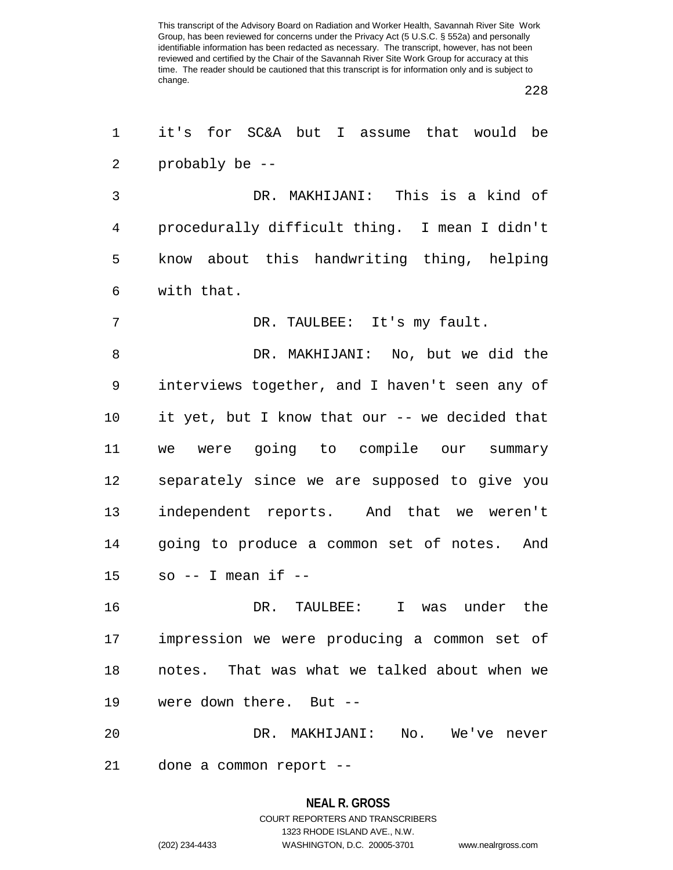228

1 it's for SC&A but I assume that would be 2 probably be -- 3 DR. MAKHIJANI: This is a kind of 4 procedurally difficult thing. I mean I didn't 5 know about this handwriting thing, helping 6 with that. 7 DR. TAULBEE: It's my fault. 8 DR. MAKHIJANI: No, but we did the 9 interviews together, and I haven't seen any of 10 it yet, but I know that our -- we decided that 11 we were going to compile our summary 12 separately since we are supposed to give you 13 independent reports. And that we weren't 14 going to produce a common set of notes. And 15  $so -I$  mean if  $-I$ 16 DR. TAULBEE: I was under the 17 impression we were producing a common set of 18 notes. That was what we talked about when we 19 were down there. But -- 20 DR. MAKHIJANI: No. We've never 21 done a common report --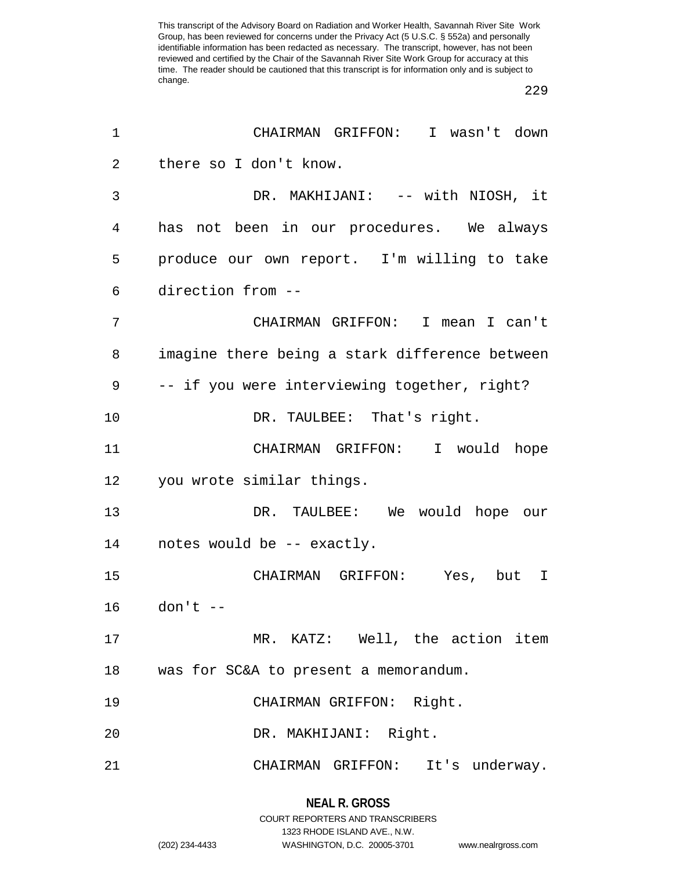229

| 1              | CHAIRMAN GRIFFON: I wasn't down                |
|----------------|------------------------------------------------|
| $\overline{2}$ | there so I don't know.                         |
| 3              | DR. MAKHIJANI: -- with NIOSH, it               |
| 4              | has not been in our procedures. We always      |
| 5              | produce our own report. I'm willing to take    |
| 6              | direction from --                              |
| 7              | CHAIRMAN GRIFFON: I mean I can't               |
| 8              | imagine there being a stark difference between |
| 9              | -- if you were interviewing together, right?   |
| 10             | DR. TAULBEE: That's right.                     |
| 11             | CHAIRMAN GRIFFON: I would hope                 |
| 12             | you wrote similar things.                      |
| 13             | DR. TAULBEE: We would hope our                 |
| 14             | notes would be -- exactly.                     |
| 15             | CHAIRMAN GRIFFON: Yes, but I                   |
| 16             | don't --                                       |
| 17             | MR. KATZ: Well, the action item                |
| 18             | was for SC&A to present a memorandum.          |
| 19             | CHAIRMAN GRIFFON: Right.                       |
| 20             | DR. MAKHIJANI: Right.                          |
| 21             | CHAIRMAN GRIFFON: It's underway.               |

# **NEAL R. GROSS** COURT REPORTERS AND TRANSCRIBERS

1323 RHODE ISLAND AVE., N.W. (202) 234-4433 WASHINGTON, D.C. 20005-3701 www.nealrgross.com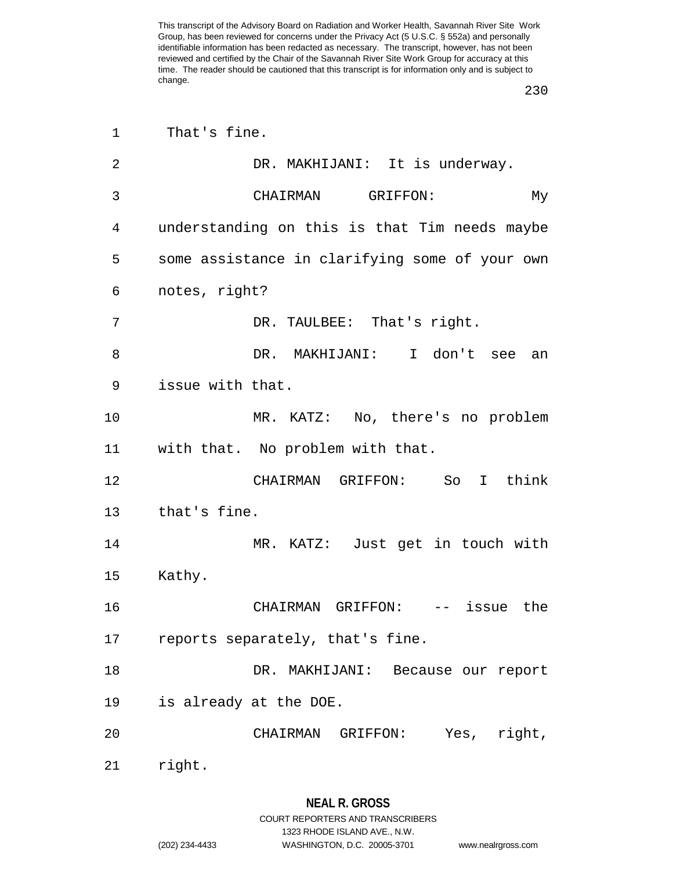230

| 1  | That's fine.                                   |
|----|------------------------------------------------|
| 2  | DR. MAKHIJANI: It is underway.                 |
| 3  | CHAIRMAN GRIFFON:<br>Мy                        |
| 4  | understanding on this is that Tim needs maybe  |
| 5  | some assistance in clarifying some of your own |
| 6  | notes, right?                                  |
| 7  | DR. TAULBEE: That's right.                     |
| 8  | DR. MAKHIJANI: I don't see an                  |
| 9  | issue with that.                               |
| 10 | MR. KATZ: No, there's no problem               |
| 11 | with that. No problem with that.               |
| 12 | I think<br>CHAIRMAN GRIFFON: So                |
| 13 | that's fine.                                   |
| 14 | MR. KATZ: Just get in touch with               |
| 15 | Kathy.                                         |
| 16 | CHAIRMAN GRIFFON: -- issue the                 |
| 17 | reports separately, that's fine.               |
| 18 | DR. MAKHIJANI: Because our report              |
| 19 | is already at the DOE.                         |
| 20 | CHAIRMAN GRIFFON: Yes, right,                  |
| 21 | right.                                         |

# **NEAL R. GROSS** COURT REPORTERS AND TRANSCRIBERS

1323 RHODE ISLAND AVE., N.W. (202) 234-4433 WASHINGTON, D.C. 20005-3701 www.nealrgross.com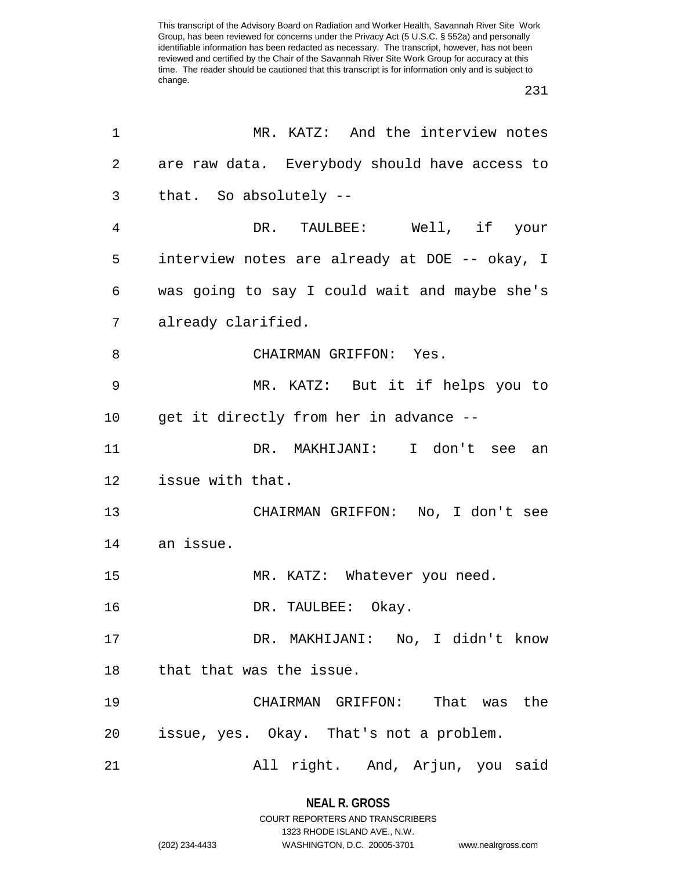231

| 1  | MR. KATZ: And the interview notes             |
|----|-----------------------------------------------|
| 2  | are raw data. Everybody should have access to |
| 3  | that. So absolutely --                        |
| 4  | DR. TAULBEE: Well, if your                    |
| 5  | interview notes are already at DOE -- okay, I |
| 6  | was going to say I could wait and maybe she's |
| 7  | already clarified.                            |
| 8  | CHAIRMAN GRIFFON: Yes.                        |
| 9  | MR. KATZ: But it if helps you to              |
| 10 | get it directly from her in advance --        |
| 11 | DR. MAKHIJANI: I don't see an                 |
| 12 | issue with that.                              |
| 13 | CHAIRMAN GRIFFON: No, I don't see             |
| 14 | an issue.                                     |
| 15 | MR. KATZ: Whatever you need.                  |
| 16 | DR. TAULBEE: Okay.                            |
| 17 | DR. MAKHIJANI: No, I didn't know              |
| 18 | that that was the issue.                      |
| 19 | CHAIRMAN GRIFFON: That was the                |
| 20 | issue, yes. Okay. That's not a problem.       |
| 21 | All right. And, Arjun, you said               |

**NEAL R. GROSS** COURT REPORTERS AND TRANSCRIBERS

1323 RHODE ISLAND AVE., N.W.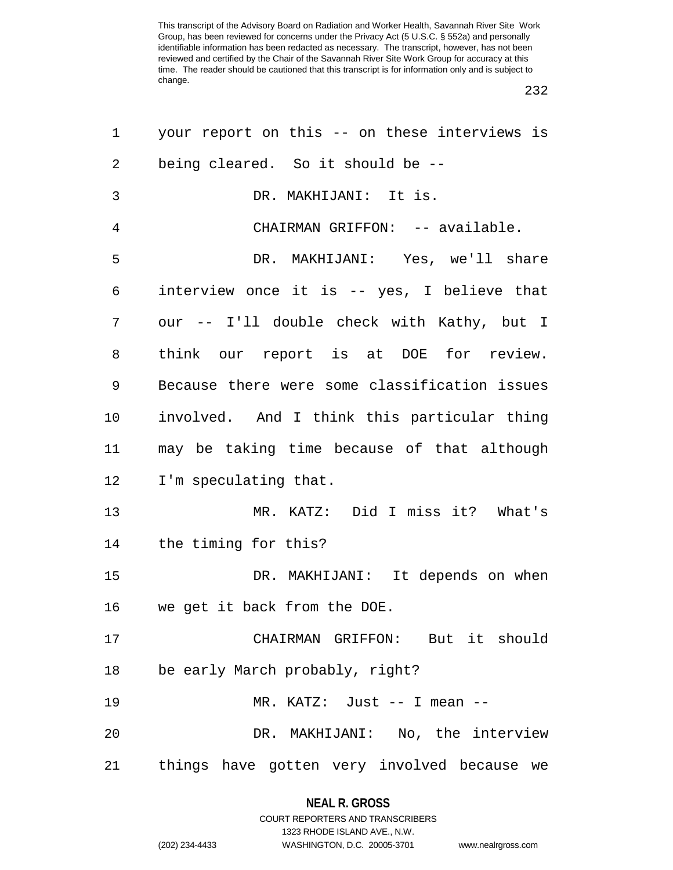232

| 1              | your report on this -- on these interviews is |
|----------------|-----------------------------------------------|
| $\overline{2}$ | being cleared. So it should be --             |
| 3              | DR. MAKHIJANI: It is.                         |
| 4              | CHAIRMAN GRIFFON: -- available.               |
| 5              | DR. MAKHIJANI: Yes, we'll share               |
| 6              | interview once it is -- yes, I believe that   |
| 7              | our -- I'll double check with Kathy, but I    |
| 8              | think our report is at DOE for review.        |
| 9              | Because there were some classification issues |
| 10             | involved. And I think this particular thing   |
| 11             | may be taking time because of that although   |
| 12             | I'm speculating that.                         |
| 13             | MR. KATZ: Did I miss it? What's               |
| 14             | the timing for this?                          |
| 15             | DR. MAKHIJANI: It depends on when             |
| 16             | we get it back from the DOE.                  |
| 17             | CHAIRMAN GRIFFON: But it should               |
| 18             | be early March probably, right?               |
| 19             | MR. KATZ: Just -- I mean --                   |
| 20             | DR. MAKHIJANI: No, the interview              |
| 21             | things have gotten very involved because we   |

### **NEAL R. GROSS**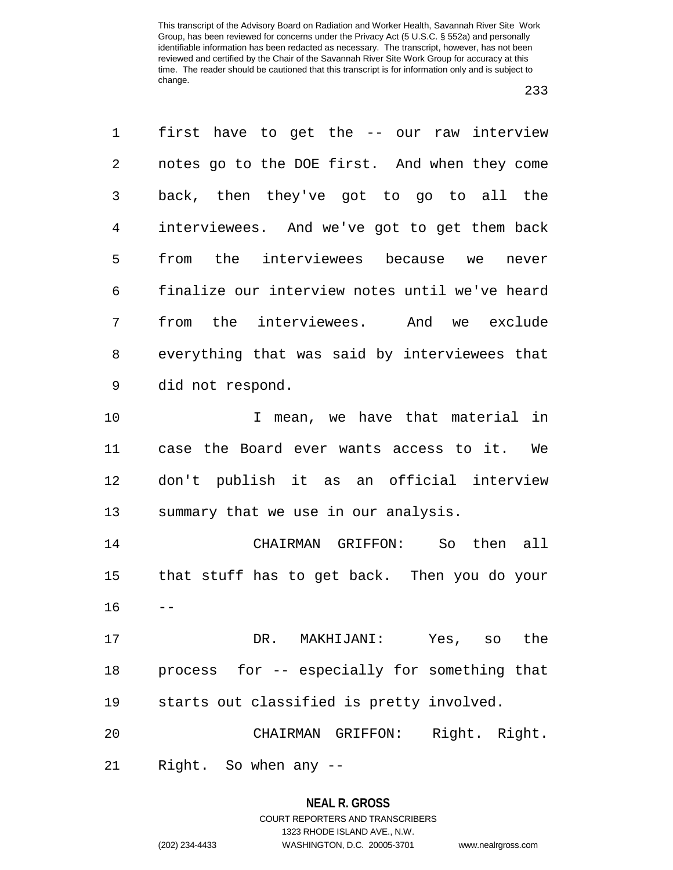233

1 first have to get the -- our raw interview 2 notes go to the DOE first. And when they come 3 back, then they've got to go to all the 4 interviewees. And we've got to get them back 5 from the interviewees because we never 6 finalize our interview notes until we've heard 7 from the interviewees. And we exclude 8 everything that was said by interviewees that 9 did not respond. 10 10 I mean, we have that material in 11 case the Board ever wants access to it. We 12 don't publish it as an official interview 13 summary that we use in our analysis. 14 CHAIRMAN GRIFFON: So then all

15 that stuff has to get back. Then you do your  $16 - -$ 

17 DR. MAKHIJANI: Yes, so the 18 process for -- especially for something that 19 starts out classified is pretty involved.

20 CHAIRMAN GRIFFON: Right. Right. 21 Right. So when any --

1323 RHODE ISLAND AVE., N.W.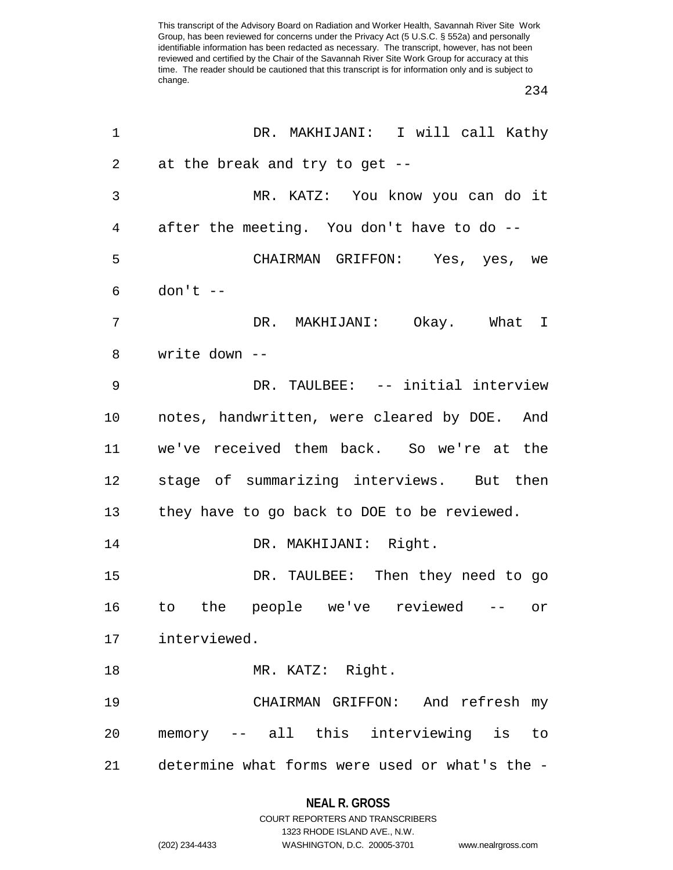234

| 1  | DR. MAKHIJANI: I will call Kathy               |
|----|------------------------------------------------|
| 2  | at the break and try to get --                 |
| 3  | MR. KATZ: You know you can do it               |
| 4  | after the meeting. You don't have to do --     |
| 5  | CHAIRMAN GRIFFON: Yes, yes, we                 |
| 6  | $don't --$                                     |
| 7  | DR. MAKHIJANI: Okay. What I                    |
| 8  | write down --                                  |
| 9  | DR. TAULBEE: -- initial interview              |
| 10 | notes, handwritten, were cleared by DOE. And   |
| 11 | we've received them back. So we're at the      |
| 12 | stage of summarizing interviews. But then      |
| 13 | they have to go back to DOE to be reviewed.    |
| 14 | DR. MAKHIJANI: Right.                          |
| 15 | DR. TAULBEE: Then they need to go              |
| 16 | to the people we've reviewed -- or             |
|    | 17 interviewed.                                |
| 18 | MR. KATZ: Right.                               |
| 19 | CHAIRMAN GRIFFON: And refresh my               |
| 20 | memory -- all this interviewing is to          |
| 21 | determine what forms were used or what's the - |

## **NEAL R. GROSS**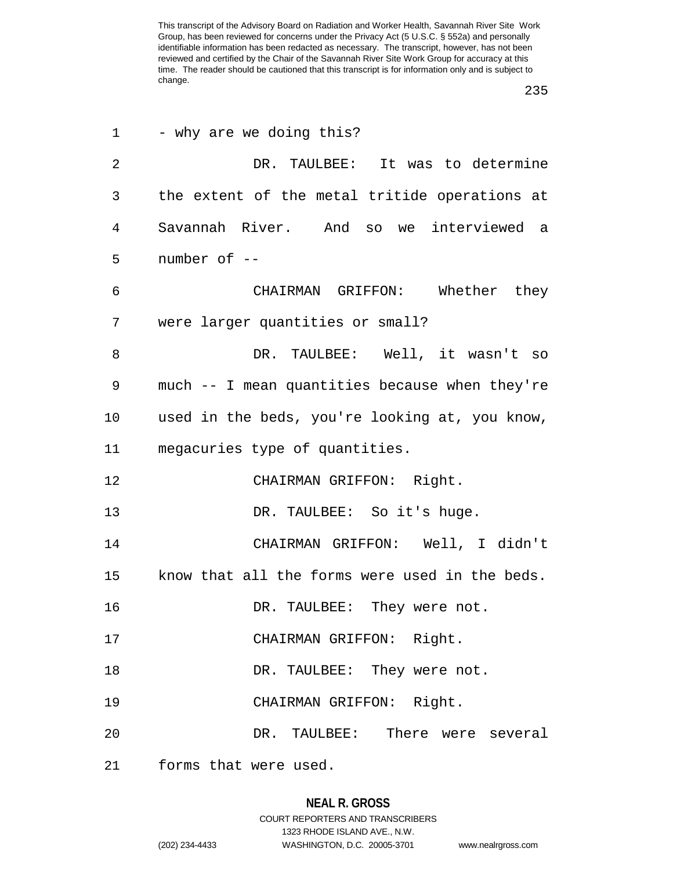235

| 1              | - why are we doing this?                       |
|----------------|------------------------------------------------|
| $\overline{2}$ | DR. TAULBEE: It was to determine               |
| 3              | the extent of the metal tritide operations at  |
| 4              | Savannah River. And so we interviewed a        |
| 5              | number of --                                   |
| 6              | CHAIRMAN GRIFFON: Whether they                 |
| 7              | were larger quantities or small?               |
| 8              | DR. TAULBEE: Well, it wasn't so                |
| 9              | much -- I mean quantities because when they're |
| 10             | used in the beds, you're looking at, you know, |
| 11             | megacuries type of quantities.                 |
| 12             | CHAIRMAN GRIFFON: Right.                       |
| 13             | DR. TAULBEE: So it's huge.                     |
| 14             | CHAIRMAN GRIFFON: Well, I didn't               |
| 15             | know that all the forms were used in the beds. |
| 16             | DR. TAULBEE: They were not.                    |
| 17             | CHAIRMAN GRIFFON: Right.                       |
| 18             | DR. TAULBEE: They were not.                    |
| 19             | CHAIRMAN GRIFFON: Right.                       |
| 20             | DR. TAULBEE: There were several                |
| 21             | forms that were used.                          |

# **NEAL R. GROSS**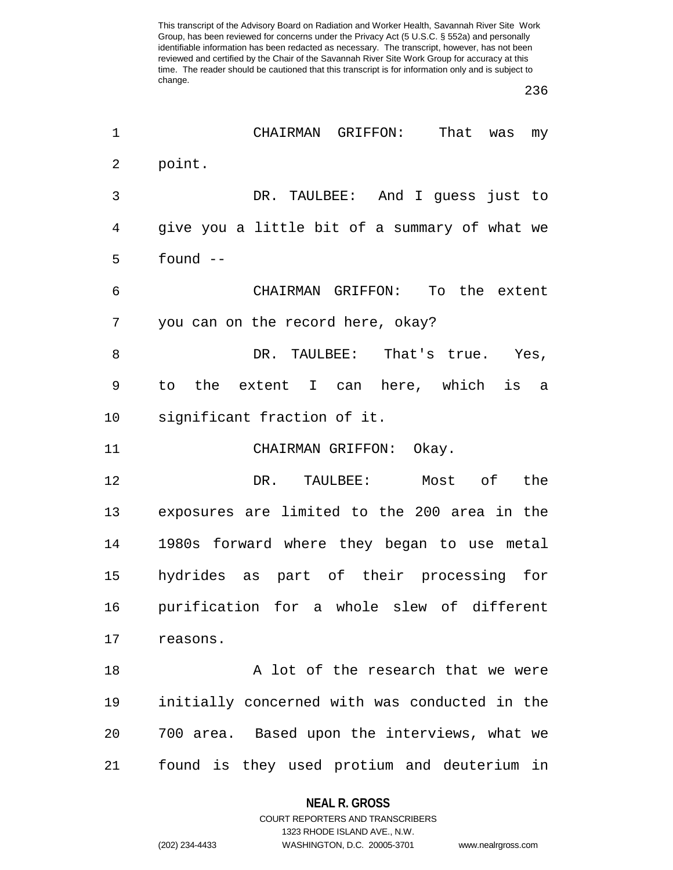236

| $\mathbf 1$ | CHAIRMAN GRIFFON:<br>That<br>was<br>my        |
|-------------|-----------------------------------------------|
| 2           | point.                                        |
| 3           | DR. TAULBEE: And I guess just to              |
| 4           | give you a little bit of a summary of what we |
| 5           | found $--$                                    |
| 6           | CHAIRMAN GRIFFON:<br>To the extent            |
| 7           | you can on the record here, okay?             |
| 8           | DR. TAULBEE: That's true. Yes,                |
| 9           | to<br>the extent I can here, which<br>is<br>a |
| 10          | significant fraction of it.                   |
| 11          | CHAIRMAN GRIFFON: Okay.                       |
| 12          | the<br>DR. TAULBEE:<br>Most of                |
| 13          | exposures are limited to the 200 area in the  |
| 14          | 1980s forward where they began to use metal   |
| 15          | hydrides as part of their processing for      |
| 16          | purification for a whole slew of different    |
| 17          | reasons.                                      |
| 18          | A lot of the research that we were            |
| 19          | initially concerned with was conducted in the |
| 20          | 700 area. Based upon the interviews, what we  |
| 21          | found is they used protium and deuterium in   |

## **NEAL R. GROSS**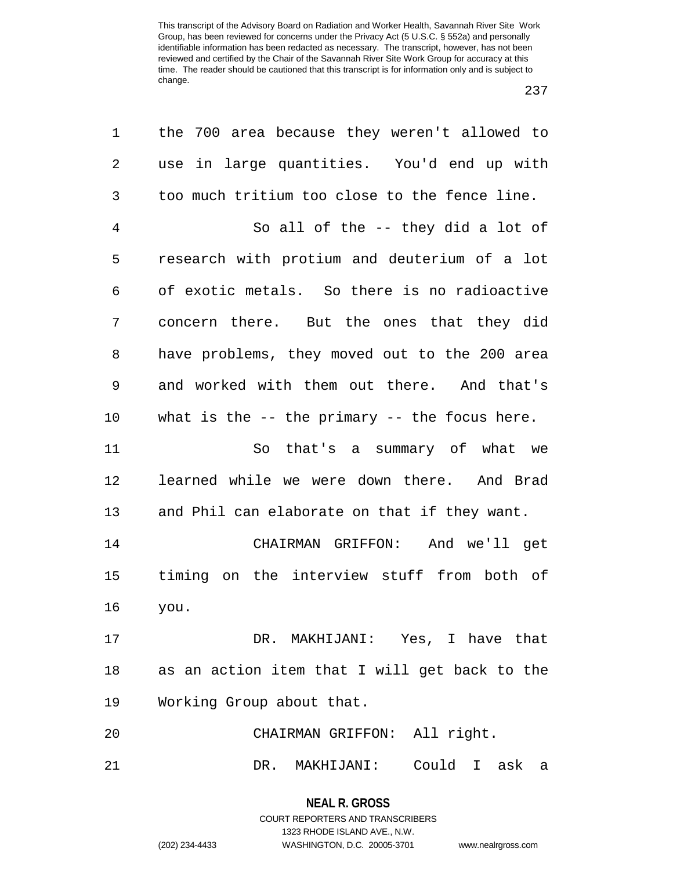237

| 1  | the 700 area because they weren't allowed to        |
|----|-----------------------------------------------------|
| 2  | use in large quantities. You'd end up with          |
| 3  | too much tritium too close to the fence line.       |
| 4  | So all of the -- they did a lot of                  |
| 5  | research with protium and deuterium of a lot        |
| 6  | of exotic metals. So there is no radioactive        |
| 7  | concern there. But the ones that they did           |
| 8  | have problems, they moved out to the 200 area       |
| 9  | and worked with them out there. And that's          |
| 10 | what is the $-$ - the primary $-$ - the focus here. |
| 11 | So that's a summary of what we                      |
| 12 | learned while we were down there. And Brad          |
| 13 | and Phil can elaborate on that if they want.        |
| 14 | CHAIRMAN GRIFFON: And we'll get                     |
| 15 | timing on the interview stuff from both of          |
| 16 | you.                                                |
| 17 | DR. MAKHIJANI: Yes, I have that                     |
| 18 | as an action item that I will get back to the       |
| 19 | Working Group about that.                           |
| 20 | CHAIRMAN GRIFFON: All right.                        |
| 21 | Could I ask<br>DR. MAKHIJANI:<br>a                  |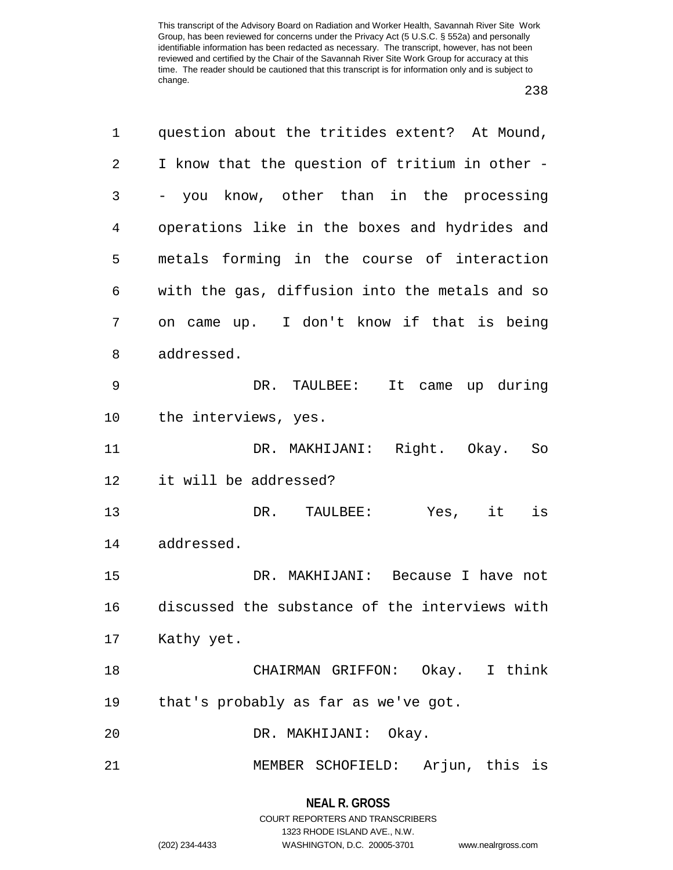238

| 1  | question about the tritides extent? At Mound,  |
|----|------------------------------------------------|
| 2  | I know that the question of tritium in other - |
| 3  | - you know, other than in the processing       |
| 4  | operations like in the boxes and hydrides and  |
| 5  | metals forming in the course of interaction    |
| 6  | with the gas, diffusion into the metals and so |
| 7  | on came up. I don't know if that is being      |
| 8  | addressed.                                     |
| 9  | DR. TAULBEE:<br>It came up during              |
| 10 | the interviews, yes.                           |
| 11 | Right. Okay. So<br>DR. MAKHIJANI:              |
| 12 | it will be addressed?                          |
| 13 | is<br>DR. TAULBEE:<br>Yes, it                  |
| 14 | addressed.                                     |
| 15 | DR. MAKHIJANI:<br>Because I have not           |
| 16 | discussed the substance of the interviews with |
| 17 | Kathy yet.                                     |
| 18 | CHAIRMAN GRIFFON: Okay. I think                |
| 19 | that's probably as far as we've got.           |
| 20 | DR. MAKHIJANI: Okay.                           |
| 21 | MEMBER SCHOFIELD: Arjun, this is               |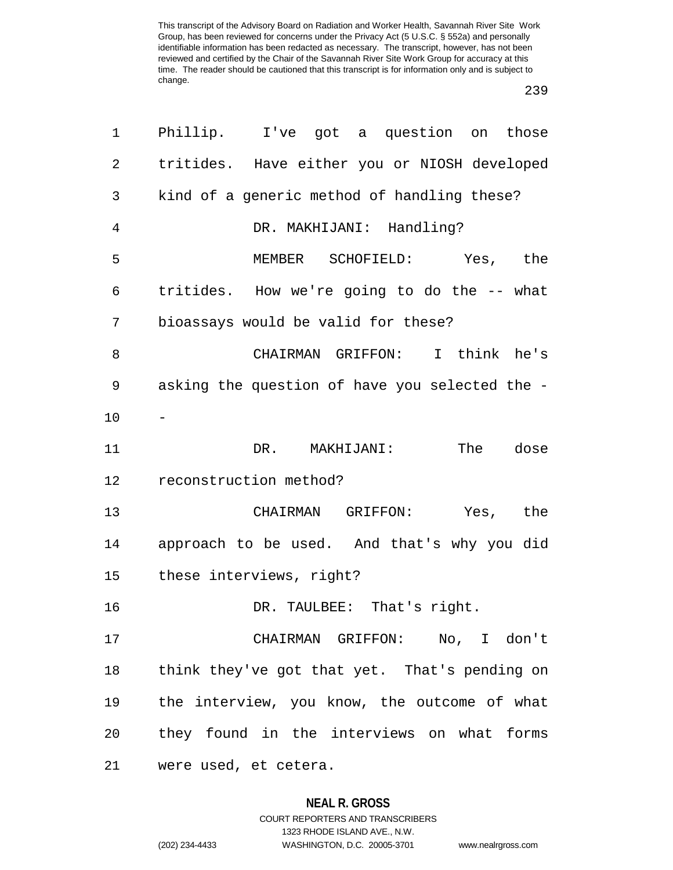239

| 1              | Phillip. I've got a question on those          |
|----------------|------------------------------------------------|
| $\overline{2}$ | tritides. Have either you or NIOSH developed   |
| 3              | kind of a generic method of handling these?    |
| 4              | DR. MAKHIJANI: Handling?                       |
| 5              | MEMBER SCHOFIELD:<br>Yes, the                  |
| 6              | tritides. How we're going to do the -- what    |
| 7              | bioassays would be valid for these?            |
| 8              | CHAIRMAN GRIFFON: I think he's                 |
| 9              | asking the question of have you selected the - |
| 10             |                                                |
| 11             | DR. MAKHIJANI:<br>The dose                     |
| 12             | reconstruction method?                         |
| 13             | CHAIRMAN GRIFFON: Yes, the                     |
| 14             | approach to be used. And that's why you did    |
| 15             | these interviews, right?                       |
| 16             | DR. TAULBEE: That's right.                     |
| 17             | CHAIRMAN GRIFFON: No, I don't                  |
| 18             | think they've got that yet. That's pending on  |
| 19             | the interview, you know, the outcome of what   |
| 20             | they found in the interviews on what forms     |
| 21             | were used, et cetera.                          |

### **NEAL R. GROSS**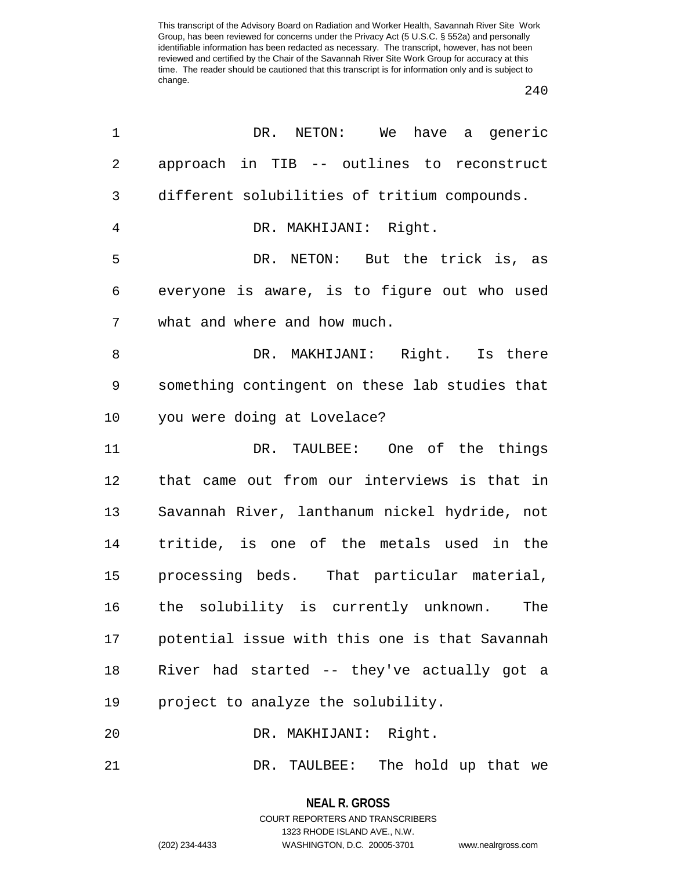240

| 1       | DR. NETON: We have a generic                   |
|---------|------------------------------------------------|
| 2       | approach in TIB -- outlines to reconstruct     |
| 3       | different solubilities of tritium compounds.   |
| 4       | DR. MAKHIJANI: Right.                          |
| 5       | DR. NETON: But the trick is, as                |
| 6       | everyone is aware, is to figure out who used   |
| 7       | what and where and how much.                   |
| 8       | DR. MAKHIJANI: Right. Is there                 |
| 9       | something contingent on these lab studies that |
| $10 \,$ | you were doing at Lovelace?                    |
| 11      | DR. TAULBEE: One of the things                 |
| 12      | that came out from our interviews is that in   |
| 13      | Savannah River, lanthanum nickel hydride, not  |
| 14      | tritide, is one of the metals used in the      |
| 15      | processing beds. That particular material,     |
| 16      | the solubility is currently unknown. The       |
| 17      | potential issue with this one is that Savannah |
| 18      | River had started -- they've actually got a    |
| 19      | project to analyze the solubility.             |
| 20      | DR. MAKHIJANI: Right.                          |
| 21      | DR. TAULBEE: The hold up that we               |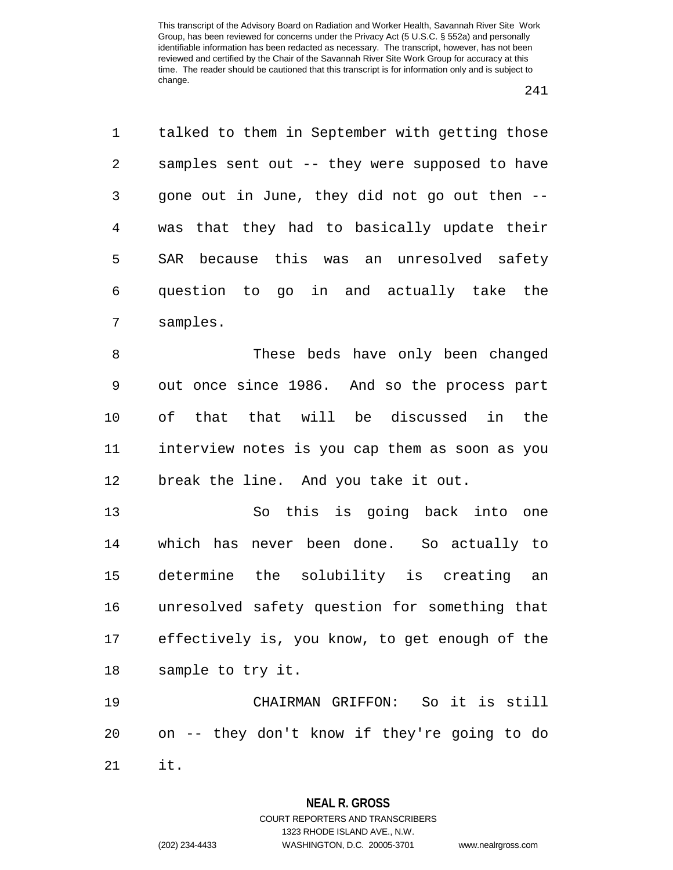241

1 talked to them in September with getting those 2 samples sent out -- they were supposed to have 3 gone out in June, they did not go out then -- 4 was that they had to basically update their 5 SAR because this was an unresolved safety 6 question to go in and actually take the 7 samples.

8 These beds have only been changed 9 out once since 1986. And so the process part 10 of that that will be discussed in the 11 interview notes is you cap them as soon as you 12 break the line. And you take it out.

13 So this is going back into one 14 which has never been done. So actually to 15 determine the solubility is creating an 16 unresolved safety question for something that 17 effectively is, you know, to get enough of the 18 sample to try it.

19 CHAIRMAN GRIFFON: So it is still 20 on -- they don't know if they're going to do 21 it.

### **NEAL R. GROSS**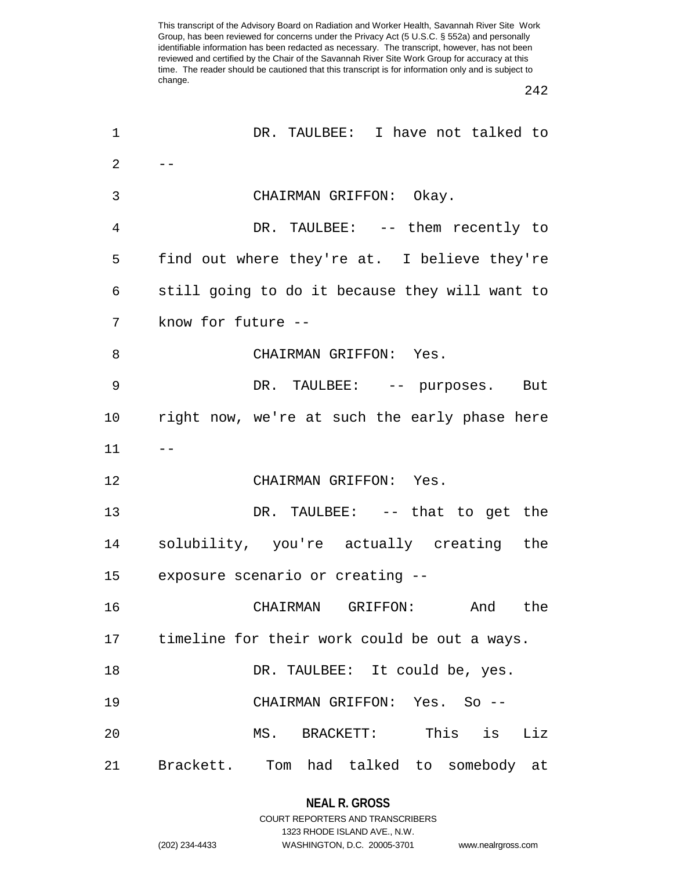242

| 1  | DR. TAULBEE: I have not talked to               |
|----|-------------------------------------------------|
| 2  |                                                 |
| 3  | CHAIRMAN GRIFFON: Okay.                         |
| 4  | DR. TAULBEE: -- them recently to                |
| 5  | find out where they're at. I believe they're    |
| 6  | still going to do it because they will want to  |
| 7  | know for future --                              |
| 8  | CHAIRMAN GRIFFON: Yes.                          |
| 9  | DR. TAULBEE: -- purposes. But                   |
| 10 | right now, we're at such the early phase here   |
| 11 | $- -$                                           |
| 12 | CHAIRMAN GRIFFON: Yes.                          |
| 13 | DR. TAULBEE: -- that to get the                 |
| 14 | solubility, you're actually creating the        |
| 15 | exposure scenario or creating --                |
| 16 | CHAIRMAN GRIFFON: And the                       |
|    | 17 timeline for their work could be out a ways. |
| 18 | DR. TAULBEE: It could be, yes.                  |
| 19 | CHAIRMAN GRIFFON: Yes. So --                    |
| 20 | MS. BRACKETT: This is Liz                       |
| 21 | Brackett. Tom had talked to somebody at         |

**NEAL R. GROSS** COURT REPORTERS AND TRANSCRIBERS

1323 RHODE ISLAND AVE., N.W.

(202) 234-4433 WASHINGTON, D.C. 20005-3701 www.nealrgross.com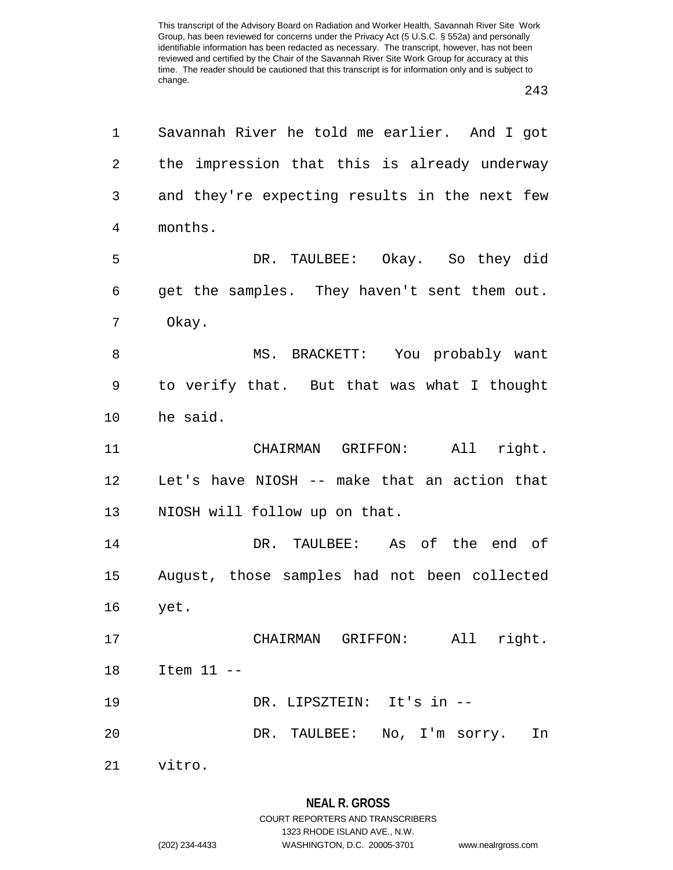1 Savannah River he told me earlier. And I got 2 the impression that this is already underway 3 and they're expecting results in the next few 4 months. 5 DR. TAULBEE: Okay. So they did 6 get the samples. They haven't sent them out. 7 Okay. 8 MS. BRACKETT: You probably want 9 to verify that. But that was what I thought 10 he said. 11 CHAIRMAN GRIFFON: All right. 12 Let's have NIOSH -- make that an action that 13 NIOSH will follow up on that. 14 DR. TAULBEE: As of the end of 15 August, those samples had not been collected 16 yet. 17 CHAIRMAN GRIFFON: All right. 18 Item 11 -- 19 DR. LIPSZTEIN: It's in -- 20 DR. TAULBEE: No, I'm sorry. In 21 vitro.

# **NEAL R. GROSS**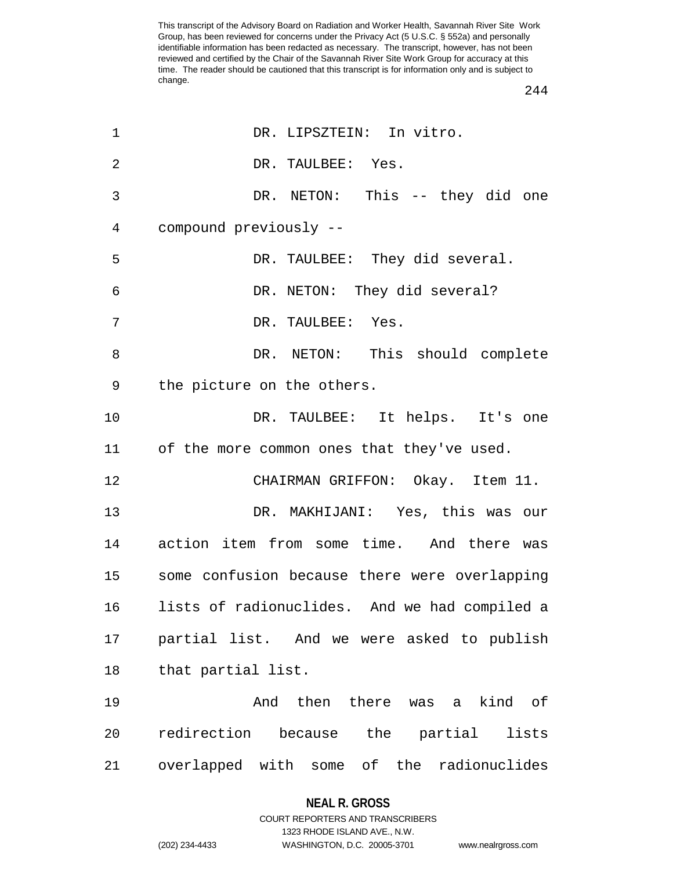1 DR. LIPSZTEIN: In vitro. 2 DR. TAULBEE: Yes. 3 DR. NETON: This -- they did one 4 compound previously -- 5 DR. TAULBEE: They did several. 6 DR. NETON: They did several? 7 DR. TAULBEE: Yes. 8 DR. NETON: This should complete 9 the picture on the others. 10 DR. TAULBEE: It helps. It's one 11 of the more common ones that they've used. 12 CHAIRMAN GRIFFON: Okay. Item 11. 13 DR. MAKHIJANI: Yes, this was our 14 action item from some time. And there was 15 some confusion because there were overlapping 16 lists of radionuclides. And we had compiled a 17 partial list. And we were asked to publish 18 that partial list. 19 And then there was a kind of 20 redirection because the partial lists

#### **NEAL R. GROSS**

21 overlapped with some of the radionuclides

244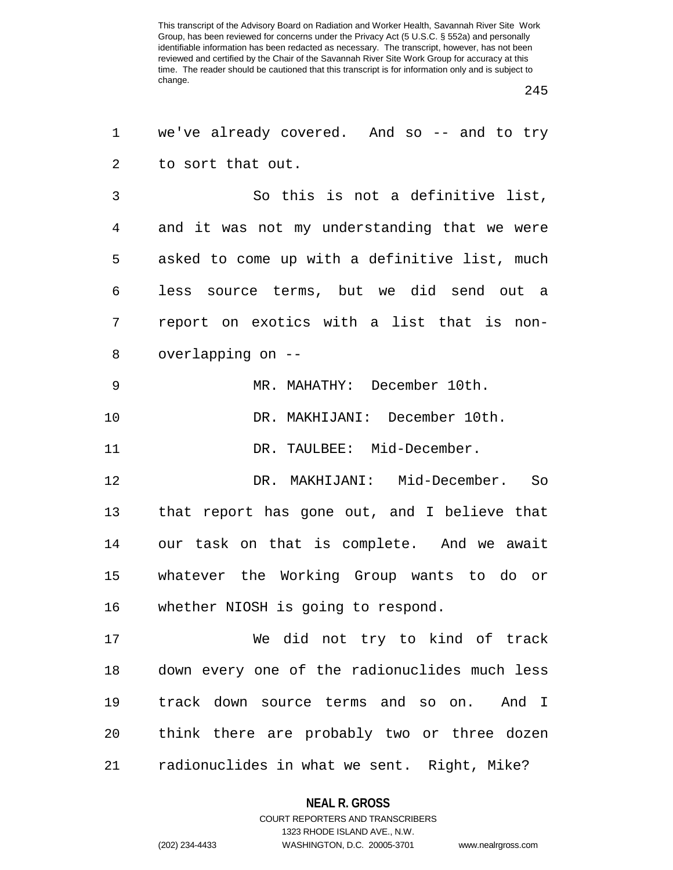245

1 we've already covered. And so -- and to try 2 to sort that out. 3 So this is not a definitive list, 4 and it was not my understanding that we were 5 asked to come up with a definitive list, much 6 less source terms, but we did send out a 7 report on exotics with a list that is non-8 overlapping on -- 9 MR. MAHATHY: December 10th. 10 DR. MAKHIJANI: December 10th. 11 DR. TAULBEE: Mid-December. 12 DR. MAKHIJANI: Mid-December. So 13 that report has gone out, and I believe that 14 our task on that is complete. And we await 15 whatever the Working Group wants to do or 16 whether NIOSH is going to respond. 17 We did not try to kind of track 18 down every one of the radionuclides much less 19 track down source terms and so on. And I 20 think there are probably two or three dozen 21 radionuclides in what we sent. Right, Mike?

> **NEAL R. GROSS** COURT REPORTERS AND TRANSCRIBERS

1323 RHODE ISLAND AVE., N.W. (202) 234-4433 WASHINGTON, D.C. 20005-3701 www.nealrgross.com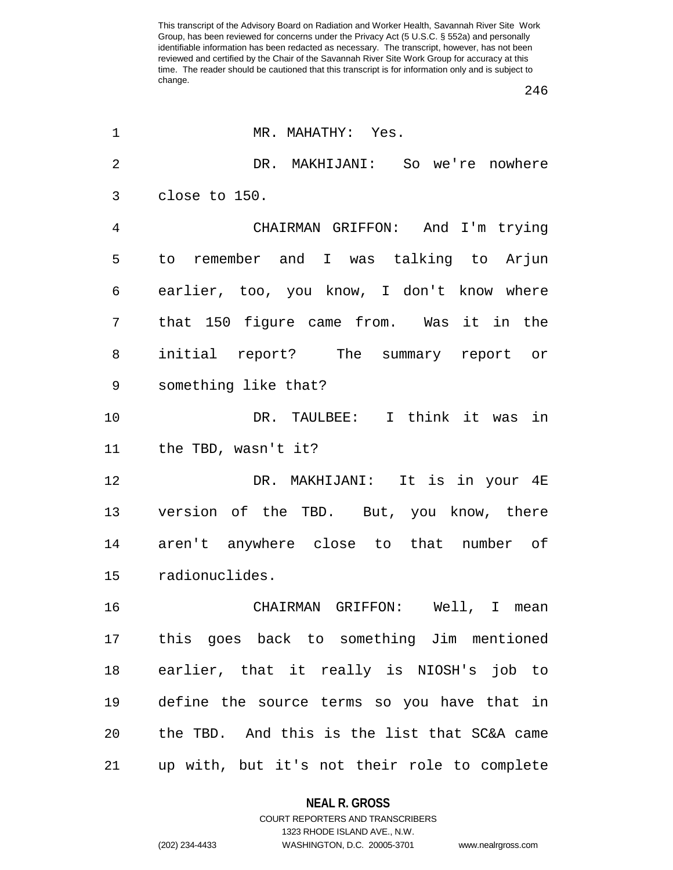246

| 1              | MR. MAHATHY: Yes.                            |
|----------------|----------------------------------------------|
| $\overline{2}$ | DR. MAKHIJANI: So we're nowhere              |
| 3              | close to 150.                                |
| 4              | CHAIRMAN GRIFFON: And I'm trying             |
| 5              | to remember and I was talking to Arjun       |
| 6              | earlier, too, you know, I don't know where   |
| 7              | that 150 figure came from. Was it in the     |
| 8              | initial report? The summary report or        |
| 9              | something like that?                         |
| 10             | DR. TAULBEE: I think it was in               |
| 11             | the TBD, wasn't it?                          |
| 12             | DR. MAKHIJANI: It is in your 4E              |
| 13             | version of the TBD. But, you know, there     |
| 14             | aren't anywhere close to that number of      |
| 15             | radionuclides.                               |
| 16             | CHAIRMAN GRIFFON: Well, I mean               |
|                | 17 this goes back to something Jim mentioned |
| 18             | earlier, that it really is NIOSH's job to    |
| 19             | define the source terms so you have that in  |
| 20             | the TBD. And this is the list that SC&A came |
| 21             | up with, but it's not their role to complete |

## **NEAL R. GROSS**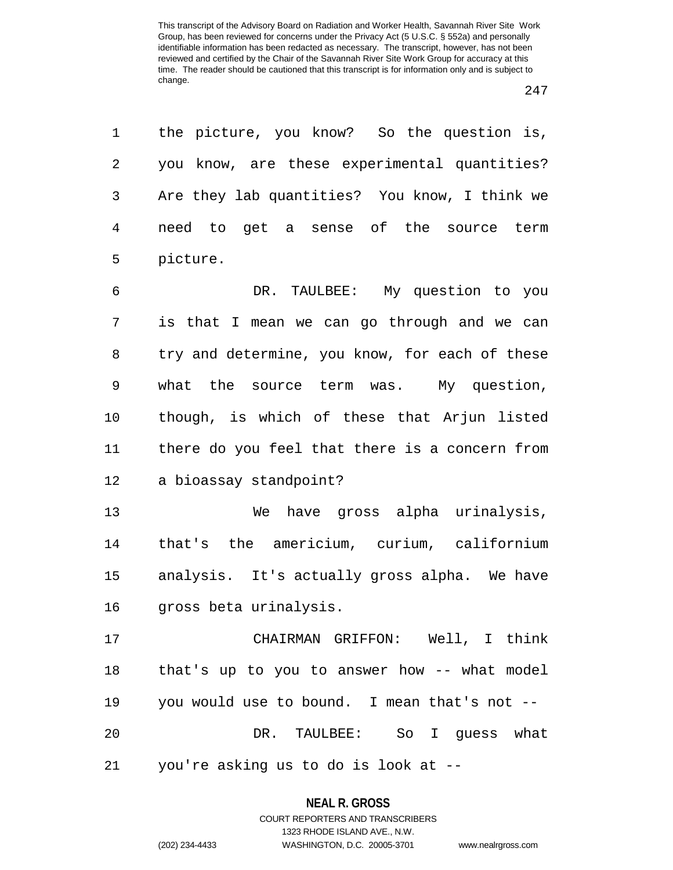247

1 the picture, you know? So the question is, 2 you know, are these experimental quantities? 3 Are they lab quantities? You know, I think we 4 need to get a sense of the source term 5 picture. 6 DR. TAULBEE: My question to you 7 is that I mean we can go through and we can 8 try and determine, you know, for each of these 9 what the source term was. My question, 10 though, is which of these that Arjun listed 11 there do you feel that there is a concern from 12 a bioassay standpoint? 13 We have gross alpha urinalysis, 14 that's the americium, curium, californium 15 analysis. It's actually gross alpha. We have 16 gross beta urinalysis. 17 CHAIRMAN GRIFFON: Well, I think 18 that's up to you to answer how -- what model 19 you would use to bound. I mean that's not -- 20 DR. TAULBEE: So I guess what 21 you're asking us to do is look at --

## **NEAL R. GROSS** COURT REPORTERS AND TRANSCRIBERS

1323 RHODE ISLAND AVE., N.W.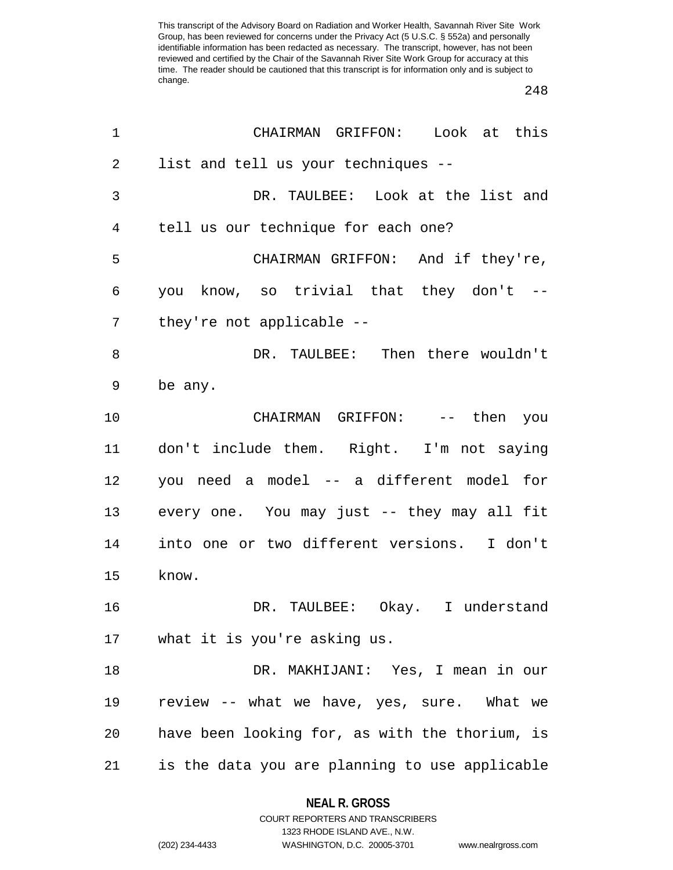248

| 1  | CHAIRMAN GRIFFON: Look at this                 |
|----|------------------------------------------------|
| 2  | list and tell us your techniques --            |
| 3  | DR. TAULBEE: Look at the list and              |
| 4  | tell us our technique for each one?            |
| 5  | CHAIRMAN GRIFFON: And if they're,              |
| 6  | you know, so trivial that they don't --        |
| 7  | they're not applicable --                      |
| 8  | DR. TAULBEE: Then there wouldn't               |
| 9  | be any.                                        |
| 10 | CHAIRMAN GRIFFON: -- then you                  |
| 11 | don't include them. Right. I'm not saying      |
| 12 | you need a model -- a different model for      |
| 13 | every one. You may just -- they may all fit    |
| 14 | into one or two different versions. I don't    |
| 15 | know.                                          |
| 16 | DR. TAULBEE: Okay. I understand                |
| 17 | what it is you're asking us.                   |
| 18 | DR. MAKHIJANI: Yes, I mean in our              |
| 19 | review -- what we have, yes, sure. What we     |
| 20 | have been looking for, as with the thorium, is |
| 21 | is the data you are planning to use applicable |

# **NEAL R. GROSS** COURT REPORTERS AND TRANSCRIBERS

1323 RHODE ISLAND AVE., N.W.

(202) 234-4433 WASHINGTON, D.C. 20005-3701 www.nealrgross.com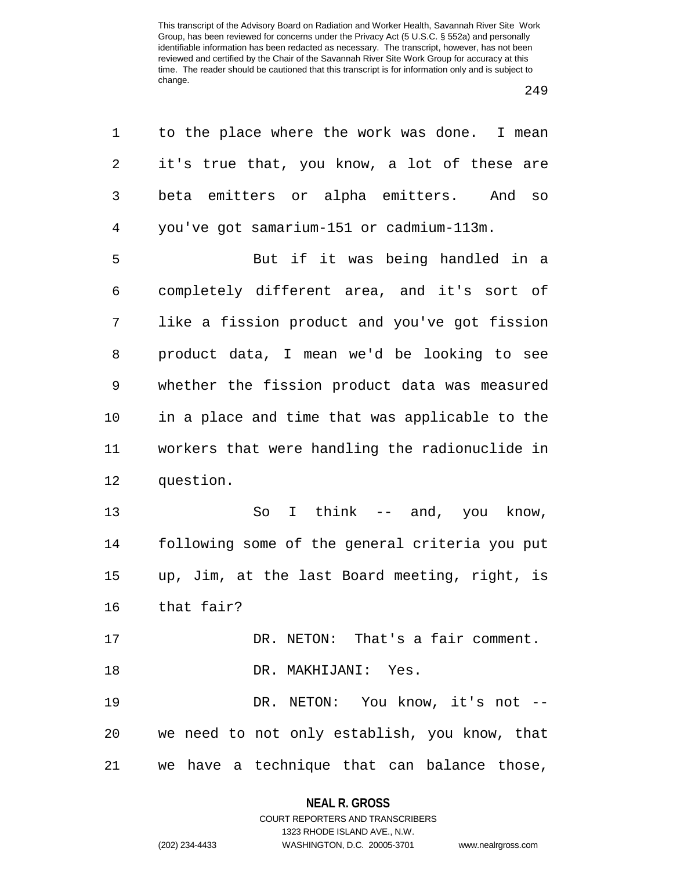249

| 1              | to the place where the work was done. I mean   |
|----------------|------------------------------------------------|
| 2              | it's true that, you know, a lot of these are   |
| 3              | emitters or alpha emitters. And so<br>beta     |
| $\overline{4}$ | you've got samarium-151 or cadmium-113m.       |
| 5              | But if it was being handled in a               |
| 6              | completely different area, and it's sort of    |
| 7              | like a fission product and you've got fission  |
| 8              | product data, I mean we'd be looking to see    |
| 9              | whether the fission product data was measured  |
| 10             | in a place and time that was applicable to the |
| 11             | workers that were handling the radionuclide in |
| 12             | question.                                      |
| 13             | I think -- and, you know,<br>So                |
| 14             | following some of the general criteria you put |
| 15             | up, Jim, at the last Board meeting, right, is  |
| 16             | that fair?                                     |
| 17             | DR. NETON: That's a fair comment.              |
| 18             | DR. MAKHIJANI: Yes.                            |
| 19             | DR. NETON: You know, it's not --               |
| 20             | we need to not only establish, you know, that  |
| 21             | we have a technique that can balance those,    |

### **NEAL R. GROSS**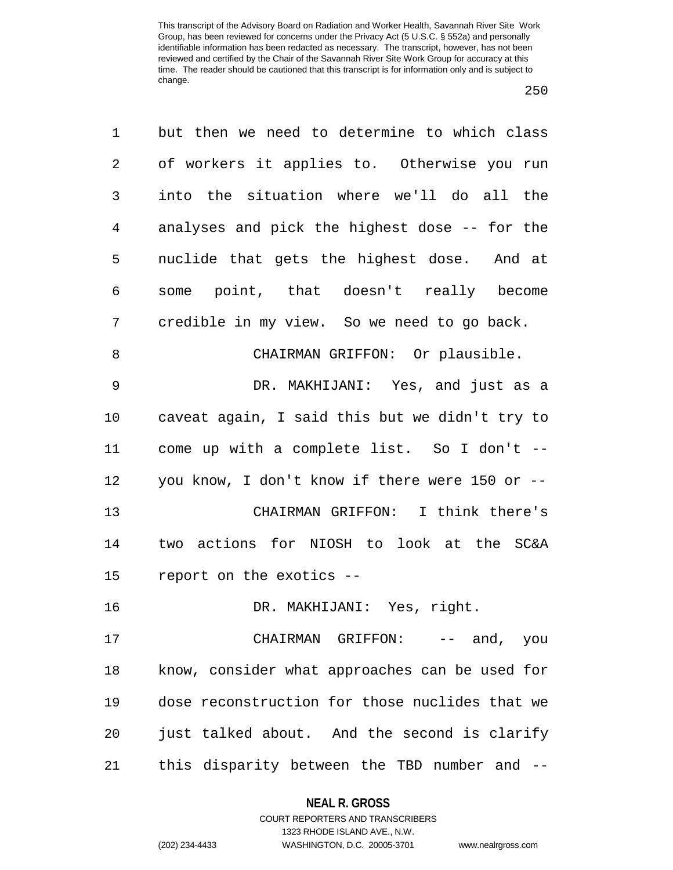250

1 but then we need to determine to which class 2 of workers it applies to. Otherwise you run 3 into the situation where we'll do all the 4 analyses and pick the highest dose -- for the 5 nuclide that gets the highest dose. And at 6 some point, that doesn't really become 7 credible in my view. So we need to go back. 8 CHAIRMAN GRIFFON: Or plausible. 9 DR. MAKHIJANI: Yes, and just as a 10 caveat again, I said this but we didn't try to 11 come up with a complete list. So I don't -- 12 you know, I don't know if there were 150 or -- 13 CHAIRMAN GRIFFON: I think there's 14 two actions for NIOSH to look at the SC&A 15 report on the exotics -- 16 DR. MAKHIJANI: Yes, right. 17 CHAIRMAN GRIFFON: -- and, you 18 know, consider what approaches can be used for 19 dose reconstruction for those nuclides that we 20 just talked about. And the second is clarify 21 this disparity between the TBD number and --

#### **NEAL R. GROSS**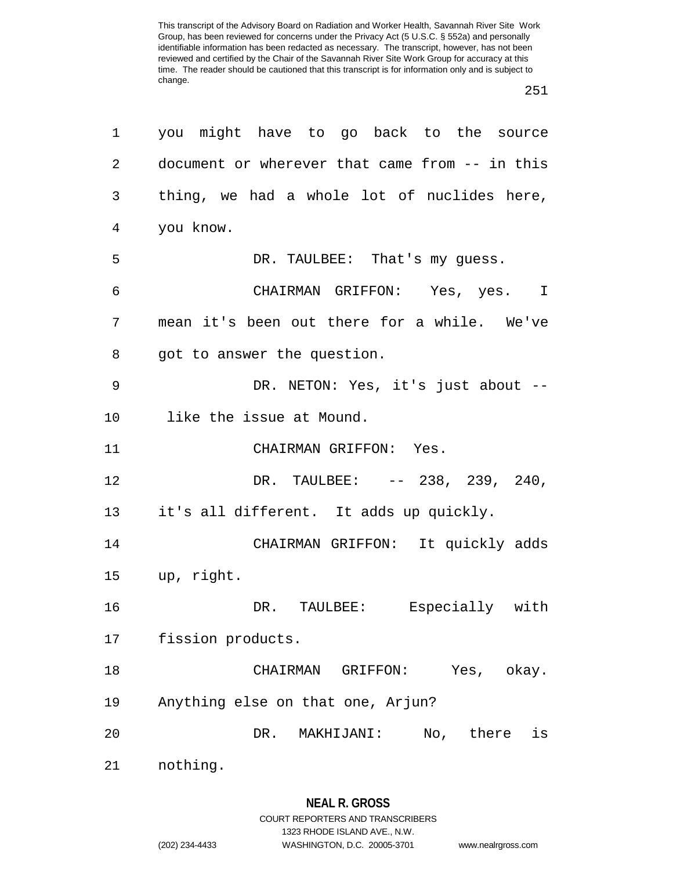251

| 1  | you might have to go back to the source        |
|----|------------------------------------------------|
| 2  | document or wherever that came from -- in this |
| 3  | thing, we had a whole lot of nuclides here,    |
| 4  | you know.                                      |
| 5  | DR. TAULBEE: That's my guess.                  |
| 6  | CHAIRMAN GRIFFON: Yes, yes. I                  |
| 7  | mean it's been out there for a while. We've    |
| 8  | got to answer the question.                    |
| 9  | DR. NETON: Yes, it's just about --             |
| 10 | like the issue at Mound.                       |
| 11 | CHAIRMAN GRIFFON: Yes.                         |
| 12 | DR. TAULBEE: -- 238, 239, 240,                 |
| 13 | it's all different. It adds up quickly.        |
| 14 | CHAIRMAN GRIFFON: It quickly adds              |
| 15 | up, right.                                     |
| 16 | DR. TAULBEE: Especially with                   |
| 17 | fission products.                              |
| 18 | GRIFFON: Yes, okay.<br>CHAIRMAN                |
| 19 | Anything else on that one, Arjun?              |
| 20 | No, there<br>is<br>DR.<br>MAKHIJANI:           |
| 21 | nothing.                                       |

1323 RHODE ISLAND AVE., N.W.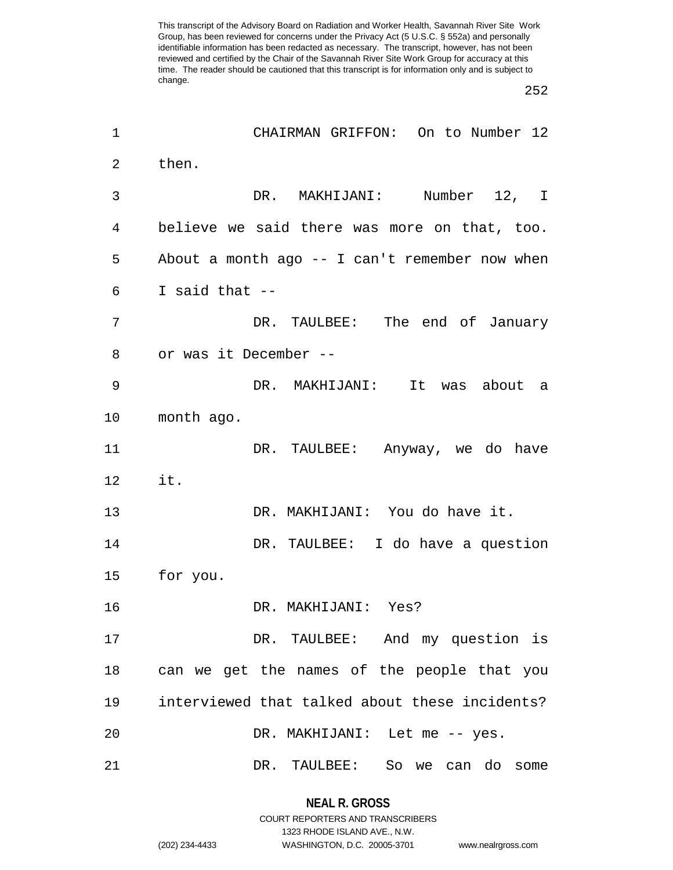252

| 1       | CHAIRMAN GRIFFON: On to Number 12                 |
|---------|---------------------------------------------------|
| 2       | then.                                             |
| 3       | DR. MAKHIJANI: Number 12, I                       |
| 4       | believe we said there was more on that, too.      |
| 5       | About a month ago $-$ - I can't remember now when |
| 6       | I said that $-$                                   |
| 7       | DR. TAULBEE: The end of January                   |
| 8       | or was it December --                             |
| 9       | DR. MAKHIJANI: It was about a                     |
| $10 \,$ | month ago.                                        |
| 11      | DR. TAULBEE: Anyway, we do have                   |
| 12      | it.                                               |
| 13      | DR. MAKHIJANI: You do have it.                    |
| 14      | DR. TAULBEE: I do have a question                 |
| 15      | for you.                                          |
| 16      | DR. MAKHIJANI: Yes?                               |
| 17      | DR. TAULBEE: And my question is                   |
| 18      | can we get the names of the people that you       |
| 19      | interviewed that talked about these incidents?    |
| 20      | DR. MAKHIJANI: Let me -- yes.                     |
| 21      | DR. TAULBEE: So we can do some                    |

**NEAL R. GROSS** COURT REPORTERS AND TRANSCRIBERS

1323 RHODE ISLAND AVE., N.W. (202) 234-4433 WASHINGTON, D.C. 20005-3701 www.nealrgross.com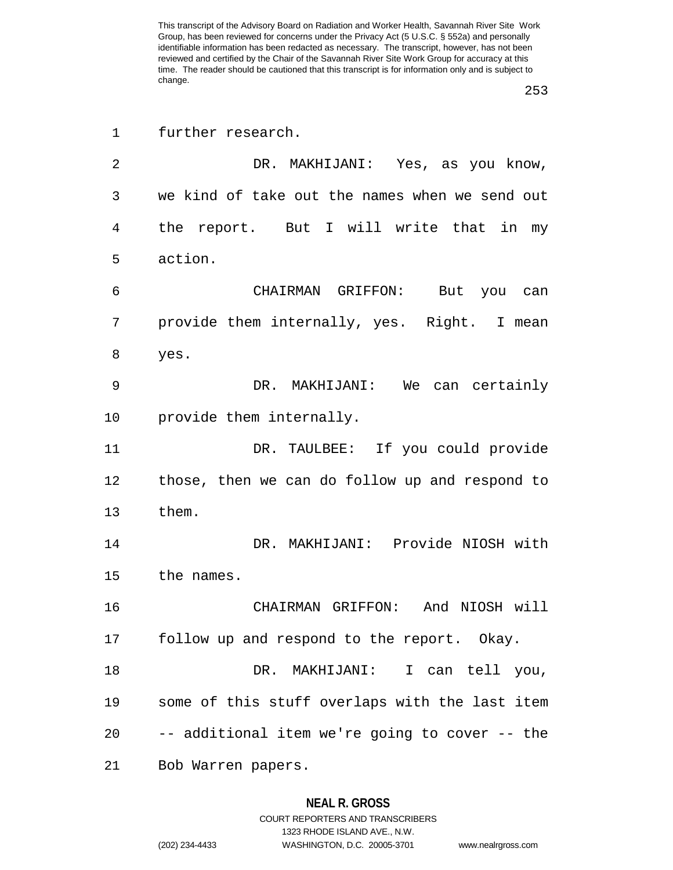1 further research. 2 DR. MAKHIJANI: Yes, as you know, 3 we kind of take out the names when we send out 4 the report. But I will write that in my 5 action. 6 CHAIRMAN GRIFFON: But you can 7 provide them internally, yes. Right. I mean 8 yes. 9 DR. MAKHIJANI: We can certainly 10 provide them internally. 11 DR. TAULBEE: If you could provide 12 those, then we can do follow up and respond to 13 them. 14 DR. MAKHIJANI: Provide NIOSH with 15 the names. 16 CHAIRMAN GRIFFON: And NIOSH will 17 follow up and respond to the report. Okay. 18 DR. MAKHIJANI: I can tell you, 19 some of this stuff overlaps with the last item 20 -- additional item we're going to cover -- the 21 Bob Warren papers.

### **NEAL R. GROSS**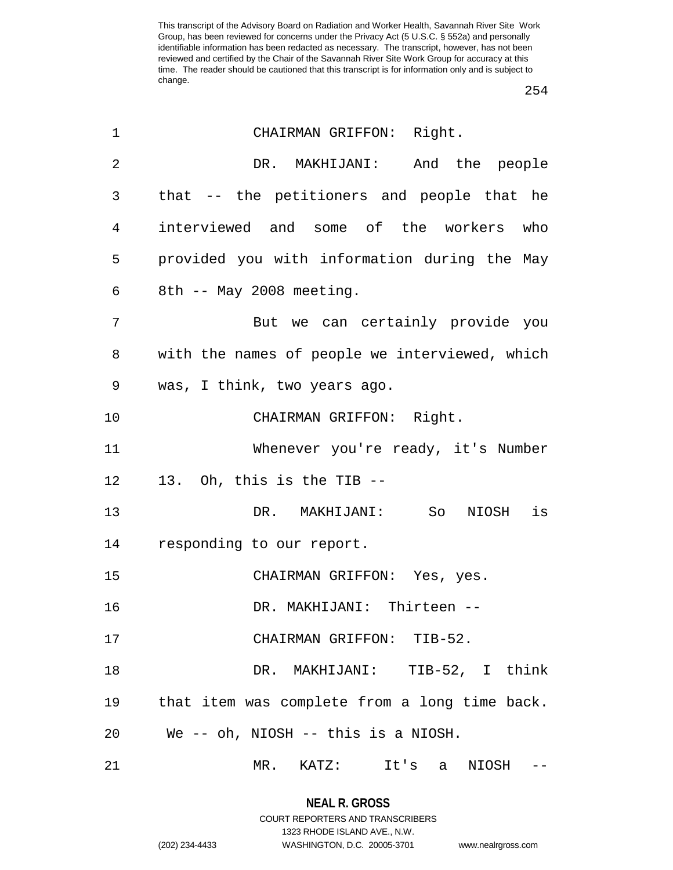| 1              | CHAIRMAN GRIFFON: Right.                       |
|----------------|------------------------------------------------|
| $\overline{2}$ | DR. MAKHIJANI: And the people                  |
| 3              | that -- the petitioners and people that he     |
| 4              | interviewed and some of the workers who        |
| 5              | provided you with information during the May   |
| 6              | 8th -- May 2008 meeting.                       |
| 7              | But we can certainly provide you               |
| 8              | with the names of people we interviewed, which |
| 9              | was, I think, two years ago.                   |
| 10             | CHAIRMAN GRIFFON: Right.                       |
| 11             | Whenever you're ready, it's Number             |
| 12             | 13. Oh, this is the TIB --                     |
| 13             | DR. MAKHIJANI: So NIOSH is                     |
| 14             | responding to our report.                      |
| 15             | CHAIRMAN GRIFFON: Yes, yes.                    |
| 16             | DR. MAKHIJANI: Thirteen --                     |
| 17             | CHAIRMAN GRIFFON: TIB-52.                      |
| 18             | DR. MAKHIJANI: TIB-52, I think                 |
| 19             | that item was complete from a long time back.  |
| 20             | We -- oh, NIOSH -- this is a NIOSH.            |
| 21             | MR. KATZ: It's a NIOSH                         |

**NEAL R. GROSS** COURT REPORTERS AND TRANSCRIBERS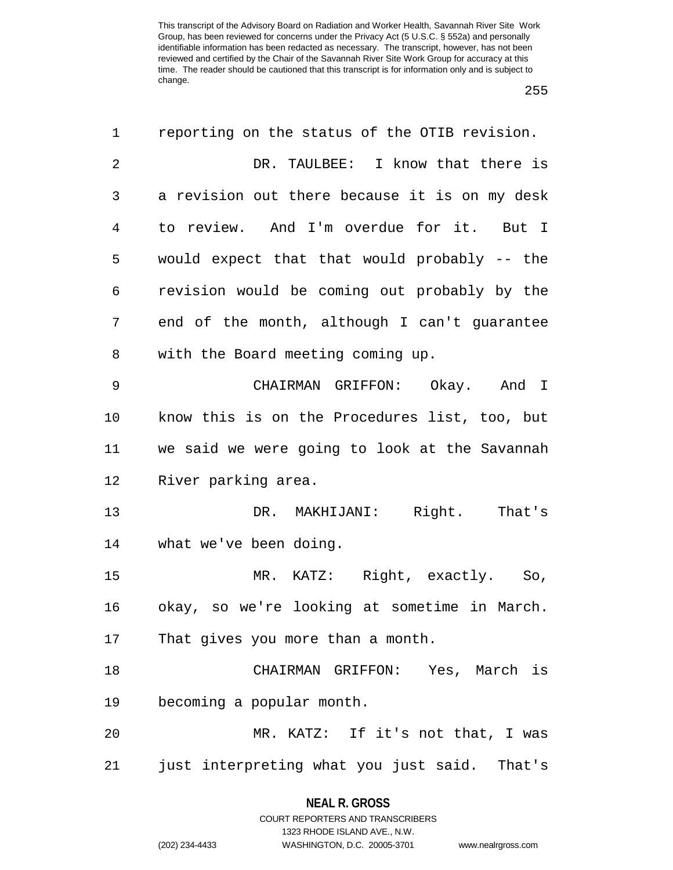255

| 1              | reporting on the status of the OTIB revision. |
|----------------|-----------------------------------------------|
| $\overline{2}$ | DR. TAULBEE: I know that there is             |
| 3              | a revision out there because it is on my desk |
| 4              | to review. And I'm overdue for it. But I      |
| 5              | would expect that that would probably -- the  |
| 6              | revision would be coming out probably by the  |
| 7              | end of the month, although I can't guarantee  |
| 8              | with the Board meeting coming up.             |
| 9              | CHAIRMAN GRIFFON: Okay. And I                 |
| 10             | know this is on the Procedures list, too, but |
| 11             | we said we were going to look at the Savannah |
| 12             | River parking area.                           |
| 13             | DR. MAKHIJANI: Right. That's                  |
| 14             | what we've been doing.                        |
| 15             | MR. KATZ: Right, exactly. So,                 |
| 16             | okay, so we're looking at sometime in March.  |
| 17             | That gives you more than a month.             |
| 18             | CHAIRMAN GRIFFON: Yes, March is               |
| 19             | becoming a popular month.                     |
| 20             | MR. KATZ: If it's not that, I was             |
| 21             | just interpreting what you just said. That's  |

# **NEAL R. GROSS** COURT REPORTERS AND TRANSCRIBERS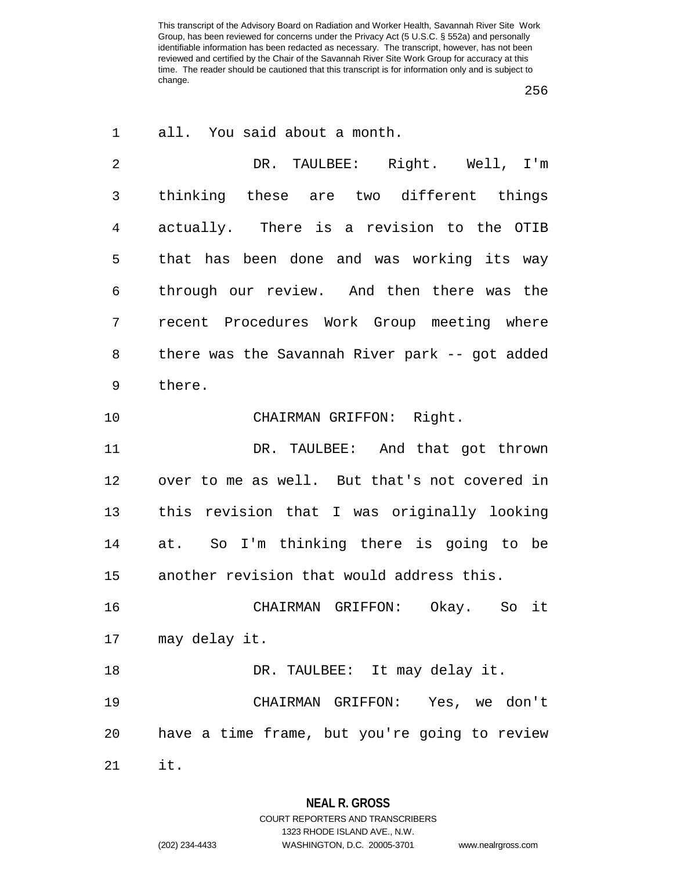256

| 1              | all. You said about a month.                   |
|----------------|------------------------------------------------|
| 2              | DR. TAULBEE: Right. Well, I'm                  |
| 3              | thinking these are two different things        |
| $\overline{4}$ | actually. There is a revision to the OTIB      |
| 5              | that has been done and was working its way     |
| 6              | through our review. And then there was the     |
| 7              | recent Procedures Work Group meeting where     |
| 8              | there was the Savannah River park -- got added |
| 9              | there.                                         |
| 10             | CHAIRMAN GRIFFON: Right.                       |
| 11             | DR. TAULBEE: And that got thrown               |
| 12             | over to me as well. But that's not covered in  |
| 13             | this revision that I was originally looking    |
| 14             | at. So I'm thinking there is going to be       |
| 15             | another revision that would address this.      |
| 16             | CHAIRMAN GRIFFON:<br>Okay.<br>it<br>So         |
| 17             | may delay it.                                  |
| 18             | DR. TAULBEE: It may delay it.                  |
| 19             | CHAIRMAN GRIFFON: Yes, we don't                |
| 20             | have a time frame, but you're going to review  |
| 21             | it.                                            |

**NEAL R. GROSS** COURT REPORTERS AND TRANSCRIBERS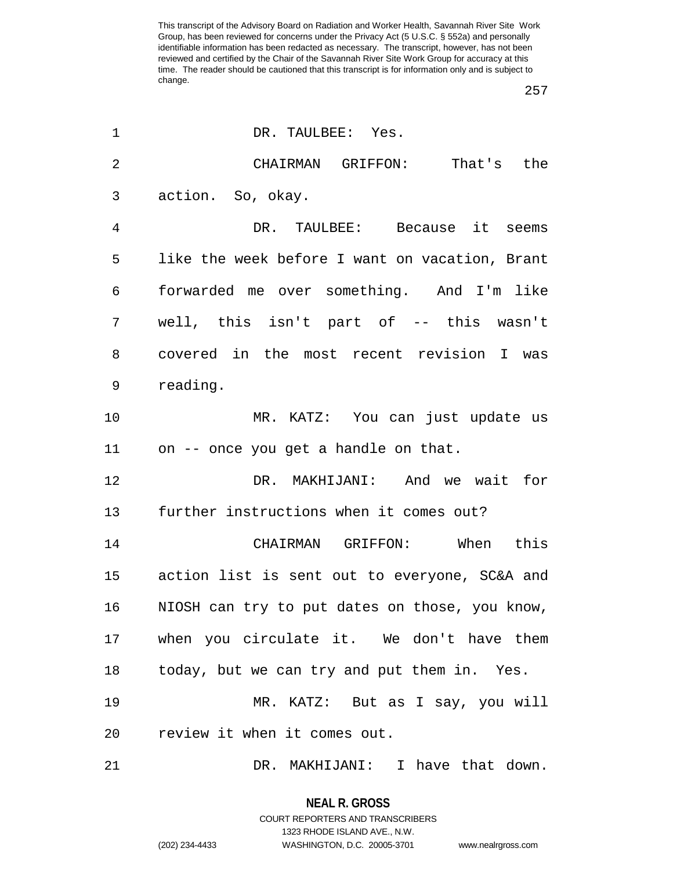257

| $\mathbf 1$    | DR. TAULBEE: Yes.                              |
|----------------|------------------------------------------------|
| $\overline{2}$ | CHAIRMAN GRIFFON: That's the                   |
| 3              | action. So, okay.                              |
| 4              | DR. TAULBEE: Because it seems                  |
| 5              | like the week before I want on vacation, Brant |
| 6              | forwarded me over something. And I'm like      |
| 7              | well, this isn't part of -- this wasn't        |
| 8              | covered in the most recent revision I was      |
| 9              | reading.                                       |
| 10             | MR. KATZ: You can just update us               |
| 11             | on -- once you get a handle on that.           |
| 12             | DR. MAKHIJANI: And we wait for                 |
| 13             | further instructions when it comes out?        |
| 14             | CHAIRMAN GRIFFON: When this                    |
| 15             | action list is sent out to everyone, SC&A and  |
| 16             | NIOSH can try to put dates on those, you know, |
|                | 17 when you circulate it. We don't have them   |
| 18             | today, but we can try and put them in. Yes.    |
| 19             | MR. KATZ: But as I say, you will               |
| 20             | review it when it comes out.                   |
| 21             | DR. MAKHIJANI: I have that down.               |

**NEAL R. GROSS** COURT REPORTERS AND TRANSCRIBERS

1323 RHODE ISLAND AVE., N.W. (202) 234-4433 WASHINGTON, D.C. 20005-3701 www.nealrgross.com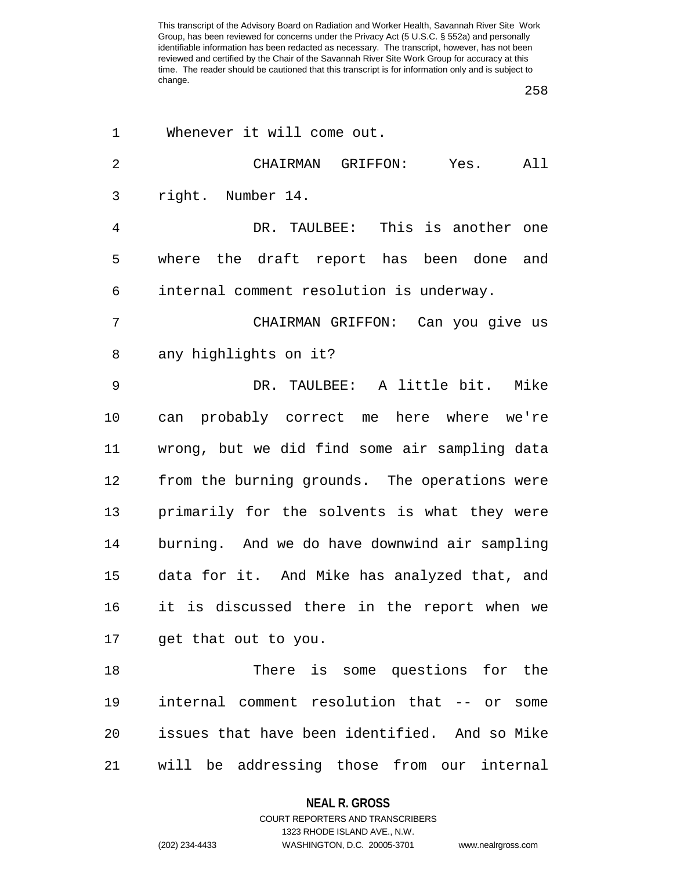258

| 1           | Whenever it will come out.                    |
|-------------|-----------------------------------------------|
| 2           | All<br>CHAIRMAN GRIFFON:<br>Yes.              |
| 3           | right. Number 14.                             |
| 4           | DR. TAULBEE: This is another one              |
| 5           | where the draft report has been done and      |
| 6           | internal comment resolution is underway.      |
| 7           | CHAIRMAN GRIFFON: Can you give us             |
| 8           | any highlights on it?                         |
| $\mathsf 9$ | DR. TAULBEE: A little bit. Mike               |
| 10          | can probably correct me here where we're      |
| 11          | wrong, but we did find some air sampling data |
| 12          | from the burning grounds. The operations were |
| 13          | primarily for the solvents is what they were  |
| 14          | burning. And we do have downwind air sampling |
| 15          | data for it. And Mike has analyzed that, and  |
| 16          | it is discussed there in the report when we   |
| 17          | get that out to you.                          |
| 18          | There is some questions for the               |
| 19          | internal comment resolution that -- or some   |
| 20          | issues that have been identified. And so Mike |
| 21          | will be addressing those from our internal    |

## **NEAL R. GROSS**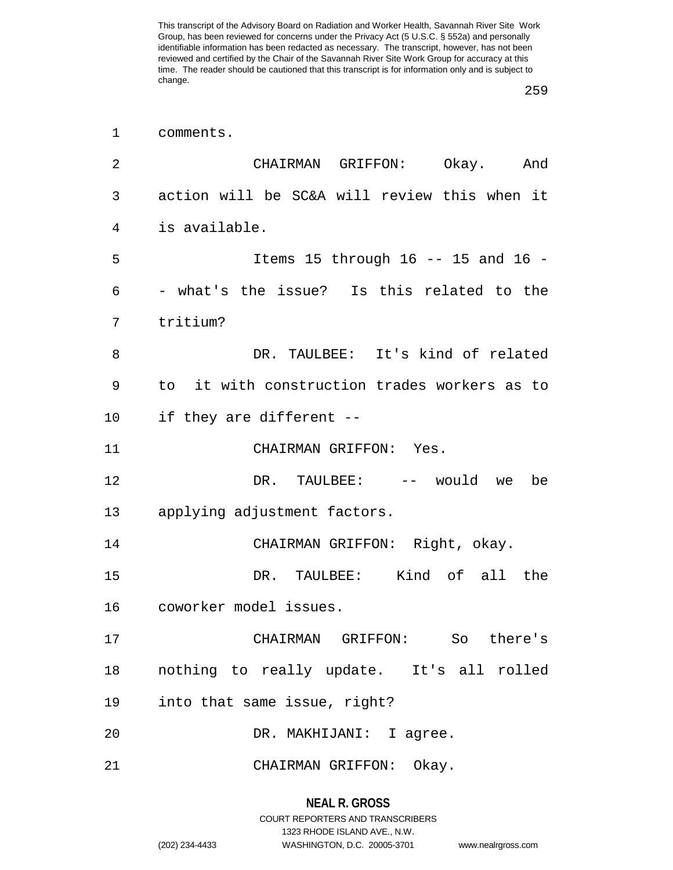| 1      | comments.                                    |
|--------|----------------------------------------------|
| 2      | CHAIRMAN GRIFFON:<br>Okay. And               |
| 3      | action will be SC&A will review this when it |
| 4      | is available.                                |
| 5      | Items 15 through 16 -- 15 and 16 -           |
| 6      | - what's the issue? Is this related to the   |
| 7      | tritium?                                     |
| 8      | DR. TAULBEE: It's kind of related            |
| 9      | to it with construction trades workers as to |
| 10     | if they are different --                     |
| 11     | CHAIRMAN GRIFFON: Yes.                       |
| 12     | DR. TAULBEE: -- would we<br>be               |
| 13     | applying adjustment factors.                 |
| 14     | CHAIRMAN GRIFFON: Right, okay.               |
| 15     | DR. TAULBEE: Kind of all the                 |
| 16     | coworker model issues.                       |
| 17     | CHAIRMAN GRIFFON: So there's                 |
| $18\,$ | nothing to really update. It's all rolled    |
| 19     | into that same issue, right?                 |
| 20     | DR. MAKHIJANI: I agree.                      |
| 21     | CHAIRMAN GRIFFON: Okay.                      |

# **NEAL R. GROSS** COURT REPORTERS AND TRANSCRIBERS

1323 RHODE ISLAND AVE., N.W.

(202) 234-4433 WASHINGTON, D.C. 20005-3701 www.nealrgross.com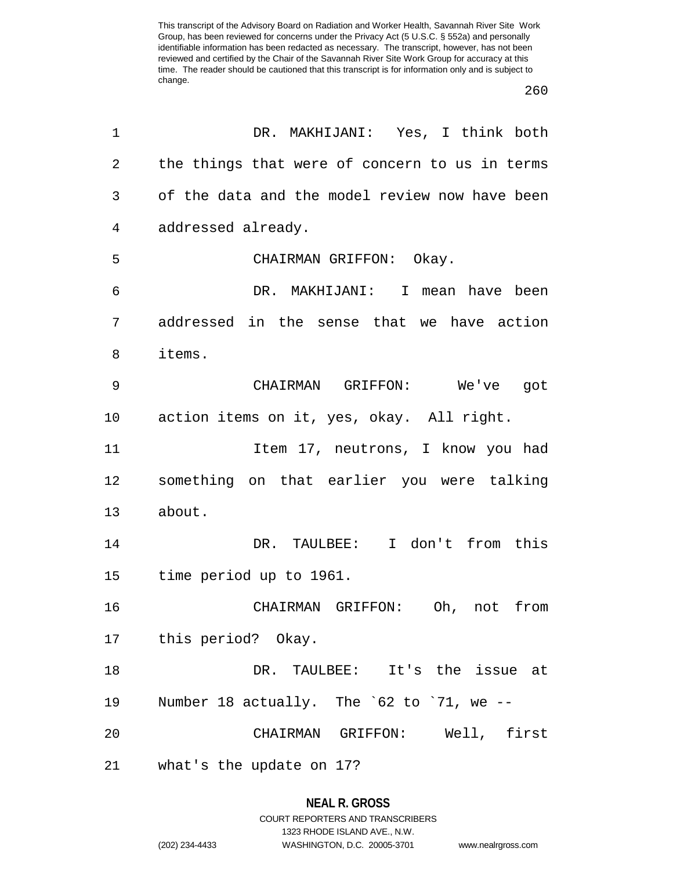260

| $\mathbf 1$ | DR. MAKHIJANI: Yes, I think both               |
|-------------|------------------------------------------------|
| 2           | the things that were of concern to us in terms |
| 3           | of the data and the model review now have been |
| 4           | addressed already.                             |
| 5           | CHAIRMAN GRIFFON: Okay.                        |
| 6           | DR. MAKHIJANI: I mean have been                |
| 7           | addressed in the sense that we have action     |
| 8           | items.                                         |
| 9           | CHAIRMAN GRIFFON: We've<br>got                 |
| 10          | action items on it, yes, okay. All right.      |
| 11          | Item 17, neutrons, I know you had              |
| 12          | something on that earlier you were talking     |
| 13          | about.                                         |
| 14          | DR. TAULBEE: I don't from this                 |
| 15          | time period up to 1961.                        |
| 16          | CHAIRMAN GRIFFON: Oh, not from                 |
|             | 17 this period? Okay.                          |
| 18          | DR. TAULBEE: It's the issue at                 |
| 19          | Number 18 actually. The `62 to `71, we --      |
| 20          | CHAIRMAN GRIFFON: Well, first                  |
| 21          | what's the update on 17?                       |

# **NEAL R. GROSS** COURT REPORTERS AND TRANSCRIBERS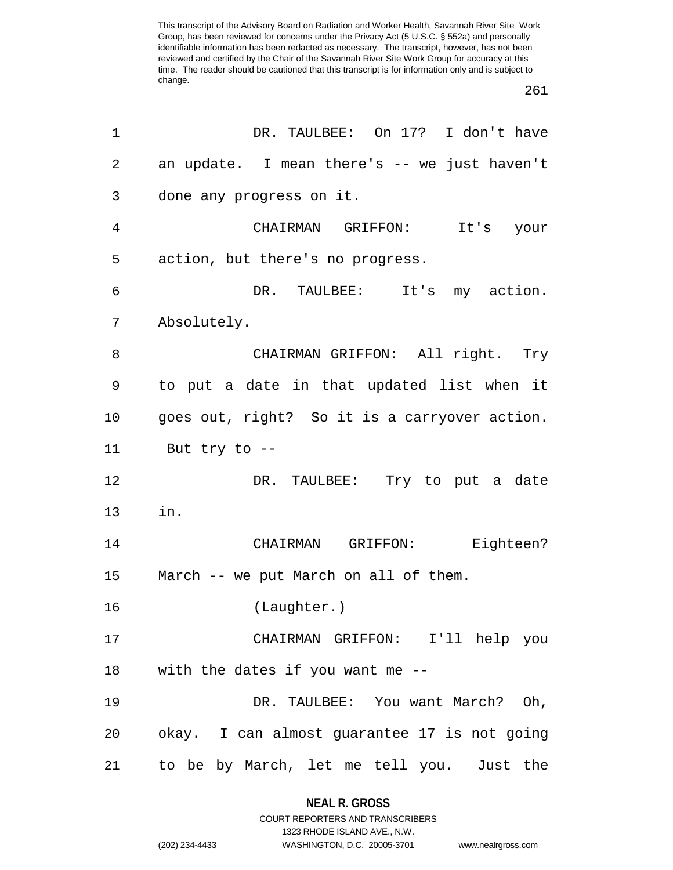261

| 1              | DR. TAULBEE: On 17? I don't have              |
|----------------|-----------------------------------------------|
| $\overline{2}$ | an update. I mean there's -- we just haven't  |
| 3              | done any progress on it.                      |
| 4              | CHAIRMAN GRIFFON: It's your                   |
| 5              | action, but there's no progress.              |
| 6              | DR. TAULBEE: It's my action.                  |
| 7              | Absolutely.                                   |
| 8              | CHAIRMAN GRIFFON: All right. Try              |
| 9              | to put a date in that updated list when it    |
| 10             | goes out, right? So it is a carryover action. |
| 11             | But $try$ to $-$                              |
| 12             | DR. TAULBEE: Try to put a date                |
| 13             | in.                                           |
| 14             | CHAIRMAN GRIFFON: Eighteen?                   |
| 15             | March -- we put March on all of them.         |
| 16             | (Laughter.)                                   |
| 17             | CHAIRMAN GRIFFON: I'll help you               |
| 18             | with the dates if you want me --              |
| 19             | DR. TAULBEE: You want March? Oh,              |
| 20             | okay. I can almost guarantee 17 is not going  |
| 21             | to be by March, let me tell you. Just the     |

# **NEAL R. GROSS** COURT REPORTERS AND TRANSCRIBERS

1323 RHODE ISLAND AVE., N.W.

(202) 234-4433 WASHINGTON, D.C. 20005-3701 www.nealrgross.com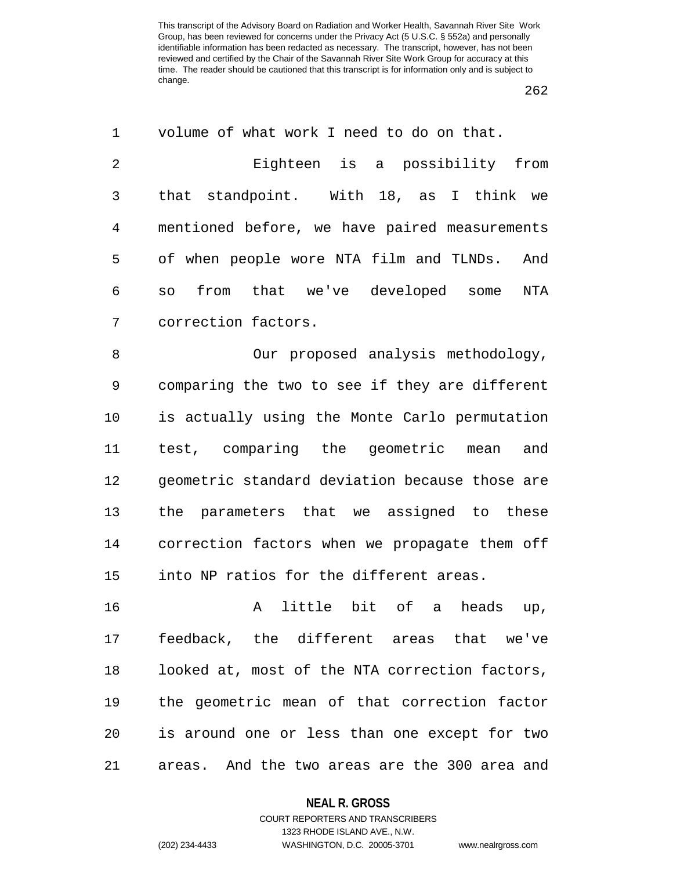262

1 volume of what work I need to do on that. 2 Eighteen is a possibility from 3 that standpoint. With 18, as I think we 4 mentioned before, we have paired measurements 5 of when people wore NTA film and TLNDs. And 6 so from that we've developed some NTA 7 correction factors. 8 Our proposed analysis methodology, 9 comparing the two to see if they are different 10 is actually using the Monte Carlo permutation 11 test, comparing the geometric mean and 12 geometric standard deviation because those are 13 the parameters that we assigned to these 14 correction factors when we propagate them off 15 into NP ratios for the different areas. 16 A little bit of a heads up, 17 feedback, the different areas that we've 18 looked at, most of the NTA correction factors,

20 is around one or less than one except for two 21 areas. And the two areas are the 300 area and

19 the geometric mean of that correction factor

## **NEAL R. GROSS** COURT REPORTERS AND TRANSCRIBERS

1323 RHODE ISLAND AVE., N.W. (202) 234-4433 WASHINGTON, D.C. 20005-3701 www.nealrgross.com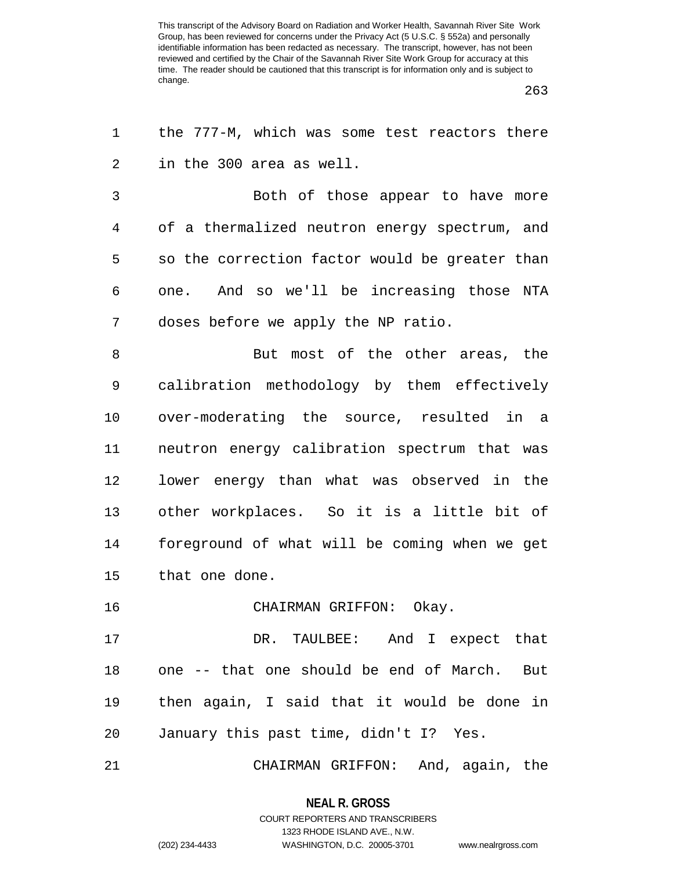263

1 the 777-M, which was some test reactors there 2 in the 300 area as well. 3 Both of those appear to have more 4 of a thermalized neutron energy spectrum, and 5 so the correction factor would be greater than 6 one. And so we'll be increasing those NTA 7 doses before we apply the NP ratio. 8 But most of the other areas, the 9 calibration methodology by them effectively 10 over-moderating the source, resulted in a 11 neutron energy calibration spectrum that was 12 lower energy than what was observed in the 13 other workplaces. So it is a little bit of 14 foreground of what will be coming when we get 15 that one done. 16 CHAIRMAN GRIFFON: Okay. 17 DR. TAULBEE: And I expect that 18 one -- that one should be end of March. But 19 then again, I said that it would be done in 20 January this past time, didn't I? Yes. 21 CHAIRMAN GRIFFON: And, again, the

> **NEAL R. GROSS** COURT REPORTERS AND TRANSCRIBERS

1323 RHODE ISLAND AVE., N.W. (202) 234-4433 WASHINGTON, D.C. 20005-3701 www.nealrgross.com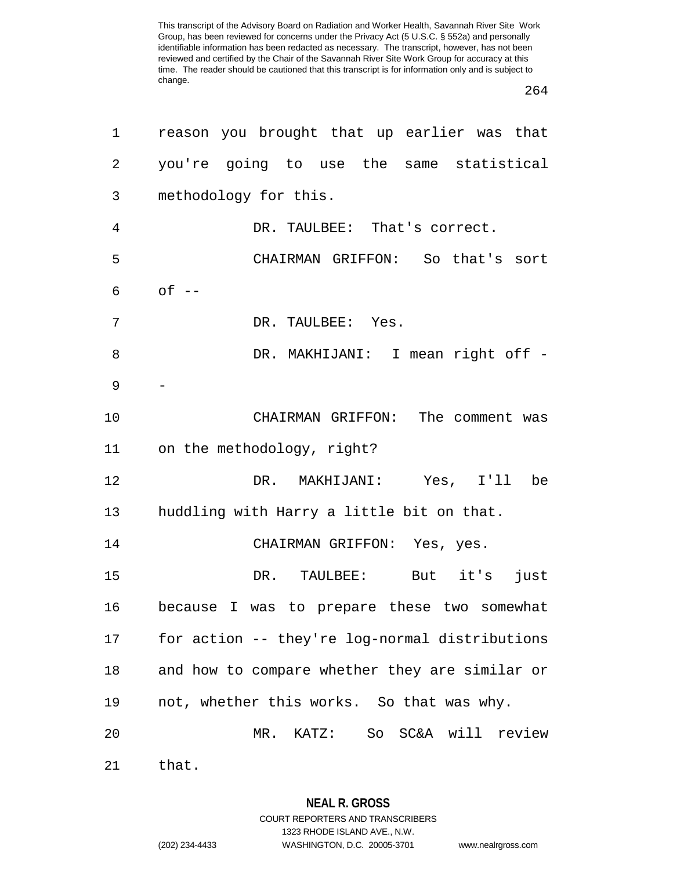264

| 1              | reason you brought that up earlier was that    |
|----------------|------------------------------------------------|
| $\overline{2}$ | you're going to use the same statistical       |
| 3              | methodology for this.                          |
| 4              | DR. TAULBEE: That's correct.                   |
| 5              | CHAIRMAN GRIFFON: So that's sort               |
| 6              | of --                                          |
| 7              | DR. TAULBEE: Yes.                              |
| 8              | DR. MAKHIJANI: I mean right off -              |
| 9              |                                                |
| 10             | CHAIRMAN GRIFFON: The comment was              |
| 11             | on the methodology, right?                     |
| 12             | DR. MAKHIJANI: Yes, I'll be                    |
| 13             | huddling with Harry a little bit on that.      |
| 14             | CHAIRMAN GRIFFON: Yes, yes.                    |
| 15             | DR. TAULBEE: But it's<br>just                  |
| 16             | because I was to prepare these two somewhat    |
| 17             | for action -- they're log-normal distributions |
| $18\,$         | and how to compare whether they are similar or |
| 19             | not, whether this works. So that was why.      |
| 20             | MR. KATZ: So SC&A will review                  |
| 21             | that.                                          |

**NEAL R. GROSS** COURT REPORTERS AND TRANSCRIBERS

1323 RHODE ISLAND AVE., N.W.

(202) 234-4433 WASHINGTON, D.C. 20005-3701 www.nealrgross.com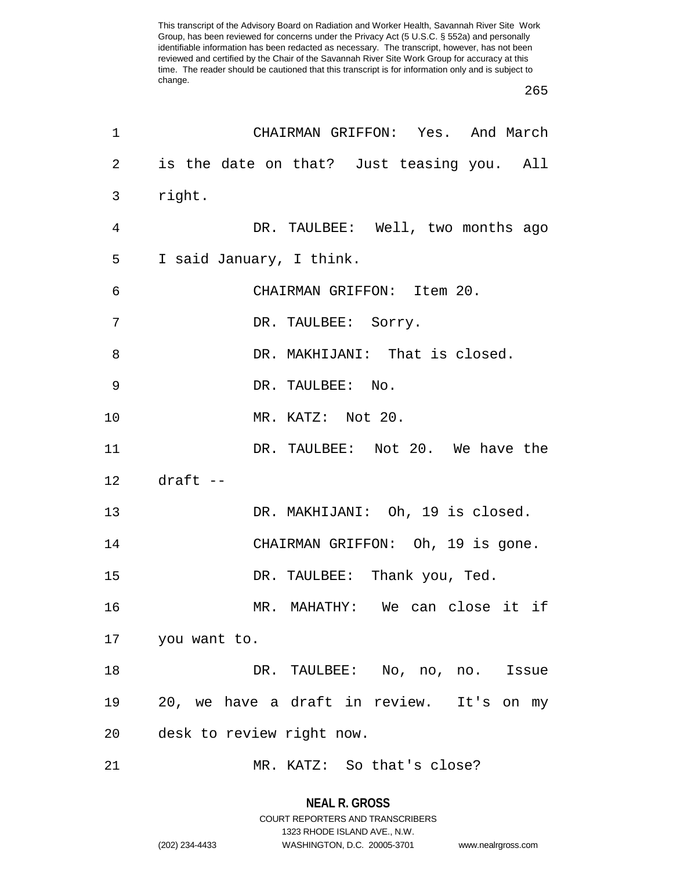265

| 1              | CHAIRMAN GRIFFON: Yes. And March           |
|----------------|--------------------------------------------|
| 2              | is the date on that? Just teasing you. All |
| 3              | right.                                     |
| 4              | DR. TAULBEE: Well, two months ago          |
| 5              | I said January, I think.                   |
| 6              | CHAIRMAN GRIFFON: Item 20.                 |
| 7              | DR. TAULBEE: Sorry.                        |
| 8              | DR. MAKHIJANI: That is closed.             |
| $\overline{9}$ | DR. TAULBEE: No.                           |
| 10             | MR. KATZ: Not 20.                          |
| 11             | DR. TAULBEE: Not 20. We have the           |
| 12             | draft --                                   |
| 13             | DR. MAKHIJANI: Oh, 19 is closed.           |
| 14             | CHAIRMAN GRIFFON: Oh, 19 is gone.          |
| 15             | DR. TAULBEE: Thank you, Ted.               |
| 16             | MR. MAHATHY: We can close it if            |
|                | 17 you want to.                            |
| 18             | DR. TAULBEE: No, no, no. Issue             |
| 19             | 20, we have a draft in review. It's on my  |
| 20             | desk to review right now.                  |
| 21             | MR. KATZ: So that's close?                 |

# **NEAL R. GROSS** COURT REPORTERS AND TRANSCRIBERS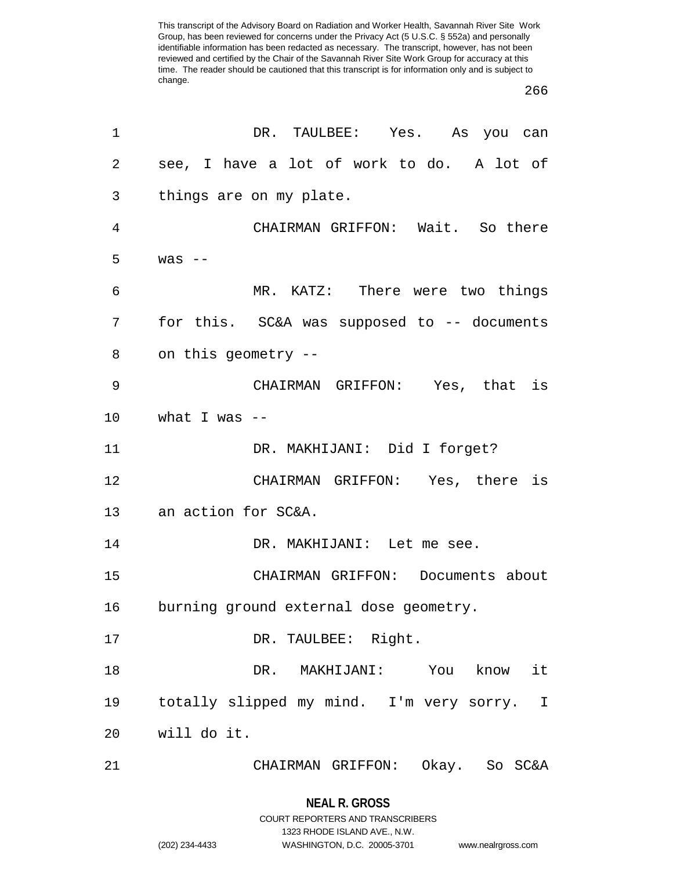|  | I |  |
|--|---|--|
|  |   |  |

| 1              | DR. TAULBEE: Yes. As you can                |
|----------------|---------------------------------------------|
| $\overline{2}$ | see, I have a lot of work to do. A lot of   |
| 3              | things are on my plate.                     |
| 4              | CHAIRMAN GRIFFON: Wait. So there            |
| 5              | $was$ --                                    |
| 6              | MR. KATZ: There were two things             |
| 7              | for this. SC&A was supposed to -- documents |
| 8              | on this geometry --                         |
| 9              | CHAIRMAN GRIFFON: Yes, that is              |
| $10 \,$        | what I was --                               |
| 11             | DR. MAKHIJANI: Did I forget?                |
| 12             | CHAIRMAN GRIFFON: Yes, there is             |
| 13             | an action for SC&A.                         |
| 14             | DR. MAKHIJANI: Let me see.                  |
| 15             | CHAIRMAN GRIFFON: Documents about           |
| 16             | burning ground external dose geometry.      |
| 17             | DR. TAULBEE: Right.                         |
| 18             | DR. MAKHIJANI: You know it                  |
| 19             | totally slipped my mind. I'm very sorry. I  |
| 20             | will do it.                                 |
| 21             | CHAIRMAN GRIFFON: Okay. So SC&A             |

1323 RHODE ISLAND AVE., N.W.

(202) 234-4433 WASHINGTON, D.C. 20005-3701 www.nealrgross.com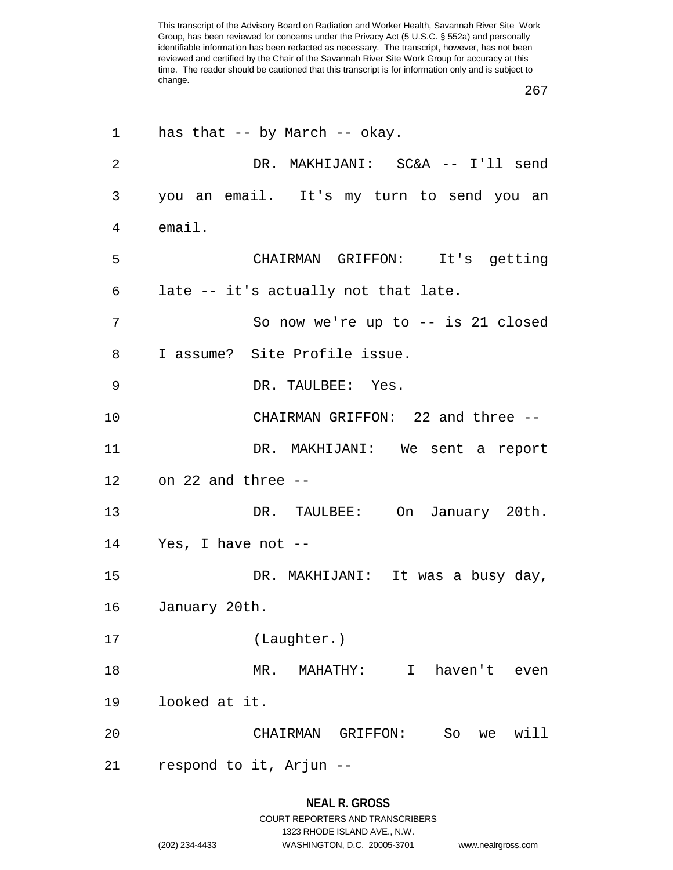| 1              | has that -- by March -- okay.             |
|----------------|-------------------------------------------|
| $\overline{2}$ | DR. MAKHIJANI: SC&A -- I'll send          |
| 3              | you an email. It's my turn to send you an |
| 4              | email.                                    |
| 5              | CHAIRMAN GRIFFON: It's getting            |
| 6              | late -- it's actually not that late.      |
| 7              | So now we're up to -- is 21 closed        |
| 8              | I assume? Site Profile issue.             |
| 9              | DR. TAULBEE: Yes.                         |
| 10             | CHAIRMAN GRIFFON: 22 and three --         |
| 11             | DR. MAKHIJANI: We sent a report           |
|                | $12$ on 22 and three $-$                  |
| 13             | DR. TAULBEE: On January 20th.             |
| 14             | Yes, I have not --                        |
| 15             | DR. MAKHIJANI: It was a busy day,         |
| 16             | January 20th.                             |
| 17             | (Laughter.)                               |
| 18             | I haven't even<br>MR.<br><b>MAHATHY:</b>  |
| 19             | looked at it.                             |
| 20             | will<br>CHAIRMAN GRIFFON:<br>So<br>we     |
| 21             | respond to it, Arjun --                   |

## **NEAL R. GROSS**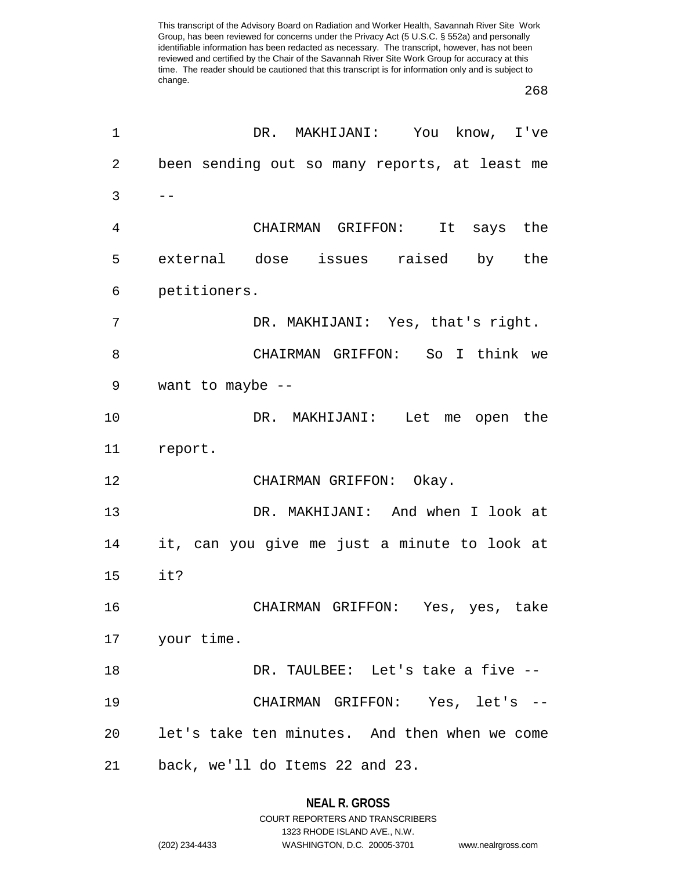268

| 1  | DR. MAKHIJANI: You know, I've                 |
|----|-----------------------------------------------|
| 2  | been sending out so many reports, at least me |
| 3  |                                               |
| 4  | CHAIRMAN GRIFFON: It says the                 |
| 5  | external dose issues raised by the            |
| 6  | petitioners.                                  |
| 7  | DR. MAKHIJANI: Yes, that's right.             |
| 8  | CHAIRMAN GRIFFON: So I think we               |
| 9  | want to maybe $-$                             |
| 10 | DR. MAKHIJANI: Let me open the                |
| 11 | report.                                       |
| 12 | CHAIRMAN GRIFFON: Okay.                       |
| 13 | DR. MAKHIJANI: And when I look at             |
| 14 | it, can you give me just a minute to look at  |
| 15 | it?                                           |
| 16 | CHAIRMAN GRIFFON: Yes, yes, take              |
|    | 17 your time.                                 |
| 18 | DR. TAULBEE: Let's take a five --             |
| 19 | CHAIRMAN GRIFFON: Yes, let's --               |
| 20 | let's take ten minutes. And then when we come |
| 21 | back, we'll do Items 22 and 23.               |

# **NEAL R. GROSS** COURT REPORTERS AND TRANSCRIBERS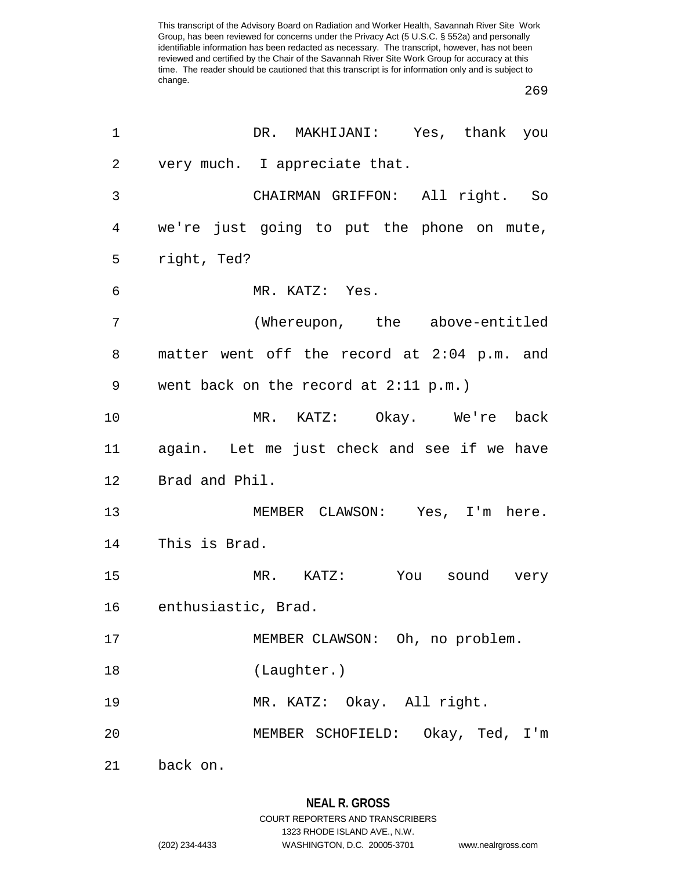269

| 1  | DR. MAKHIJANI: Yes, thank you               |
|----|---------------------------------------------|
| 2  | very much. I appreciate that.               |
| 3  | CHAIRMAN GRIFFON: All right. So             |
| 4  | we're just going to put the phone on mute,  |
| 5  | right, Ted?                                 |
| 6  | MR. KATZ: Yes.                              |
| 7  | (Whereupon, the above-entitled              |
| 8  | matter went off the record at 2:04 p.m. and |
| 9  | went back on the record at $2:11$ p.m.)     |
| 10 | MR. KATZ: Okay. We're back                  |
| 11 | again. Let me just check and see if we have |
| 12 | Brad and Phil.                              |
| 13 | MEMBER CLAWSON: Yes, I'm here.              |
| 14 | This is Brad.                               |
| 15 | MR. KATZ: You sound very                    |
| 16 | enthusiastic, Brad.                         |
| 17 | MEMBER CLAWSON: Oh, no problem.             |
| 18 | (Laughter.)                                 |
| 19 | MR. KATZ: Okay. All right.                  |
| 20 | MEMBER SCHOFIELD: Okay, Ted, I'm            |
| 21 | back on.                                    |

1323 RHODE ISLAND AVE., N.W.

(202) 234-4433 WASHINGTON, D.C. 20005-3701 www.nealrgross.com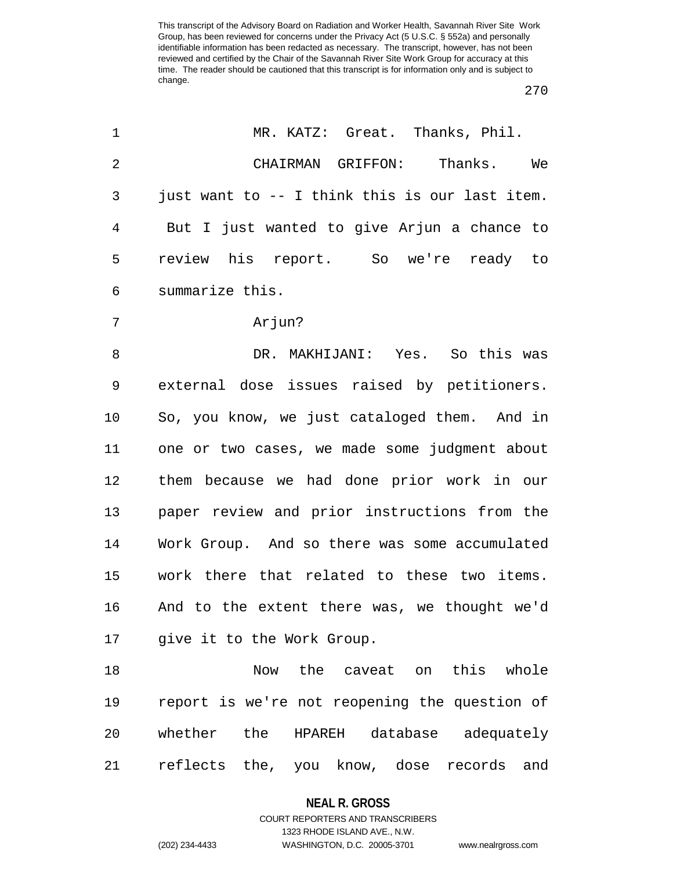270

| $\mathbf 1$    | MR. KATZ: Great. Thanks, Phil.                 |
|----------------|------------------------------------------------|
| $\overline{2}$ | CHAIRMAN GRIFFON: Thanks.<br>We                |
| 3              | just want to -- I think this is our last item. |
| 4              | But I just wanted to give Arjun a chance to    |
| 5              | review his report. So we're ready to           |
| 6              | summarize this.                                |
| 7              | Arjun?                                         |
| 8              | DR. MAKHIJANI: Yes. So this was                |
| 9              | external dose issues raised by petitioners.    |
| $10 \,$        | So, you know, we just cataloged them. And in   |
| 11             | one or two cases, we made some judgment about  |
| 12             | them because we had done prior work in our     |
| 13             | paper review and prior instructions from the   |
| 14             | Work Group. And so there was some accumulated  |
| 15             | work there that related to these two items.    |
| 16             | And to the extent there was, we thought we'd   |
| 17             | give it to the Work Group.                     |
| 18             | Now the caveat on<br>this whole                |
| 19             | report is we're not reopening the question of  |
| 20             | whether the HPAREH database adequately         |
| 21             | reflects the, you know, dose records<br>and    |

### **NEAL R. GROSS**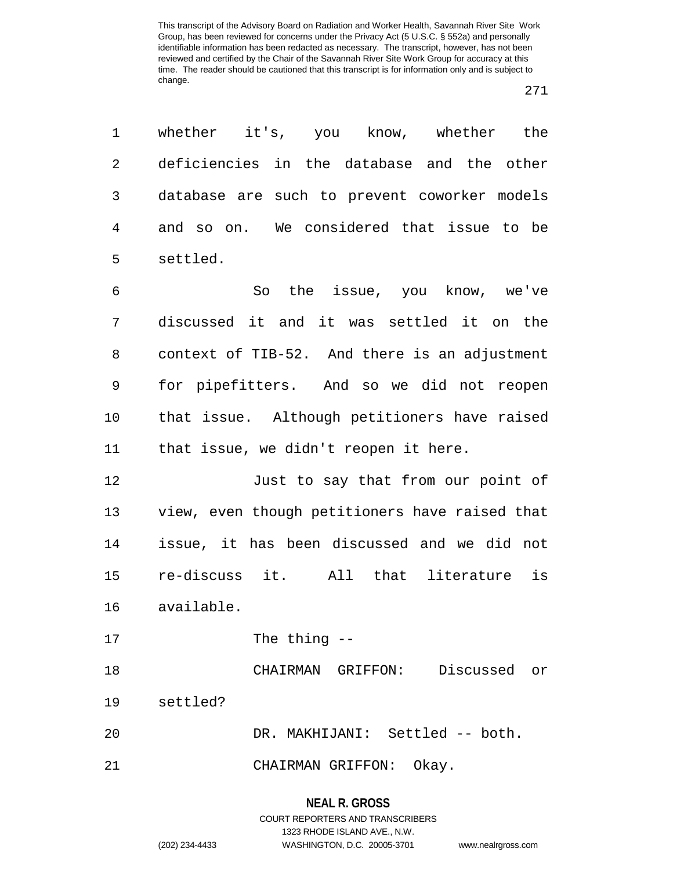271

| $\mathbf 1$    | whether it's, you know, whether the            |
|----------------|------------------------------------------------|
| $\overline{2}$ | deficiencies in the database and the other     |
| 3              | database are such to prevent coworker models   |
| 4              | and so on. We considered that issue to be      |
| 5              | settled.                                       |
| 6              | So the issue, you know, we've                  |
| 7              | discussed it and it was settled it on the      |
| 8              | context of TIB-52. And there is an adjustment  |
| 9              | for pipefitters. And so we did not reopen      |
| 10             | that issue. Although petitioners have raised   |
| 11             | that issue, we didn't reopen it here.          |
| 12             | Just to say that from our point of             |
| 13             | view, even though petitioners have raised that |
| 14             | issue, it has been discussed and we did not    |
| 15             | re-discuss it. All that literature is          |
| 16             | available.                                     |
| 17             | The thing --                                   |
| 18             | CHAIRMAN GRIFFON: Discussed or                 |
| 19             | settled?                                       |
| 20             | DR. MAKHIJANI: Settled -- both.                |
| 21             | CHAIRMAN GRIFFON: Okay.                        |
|                |                                                |

# **NEAL R. GROSS**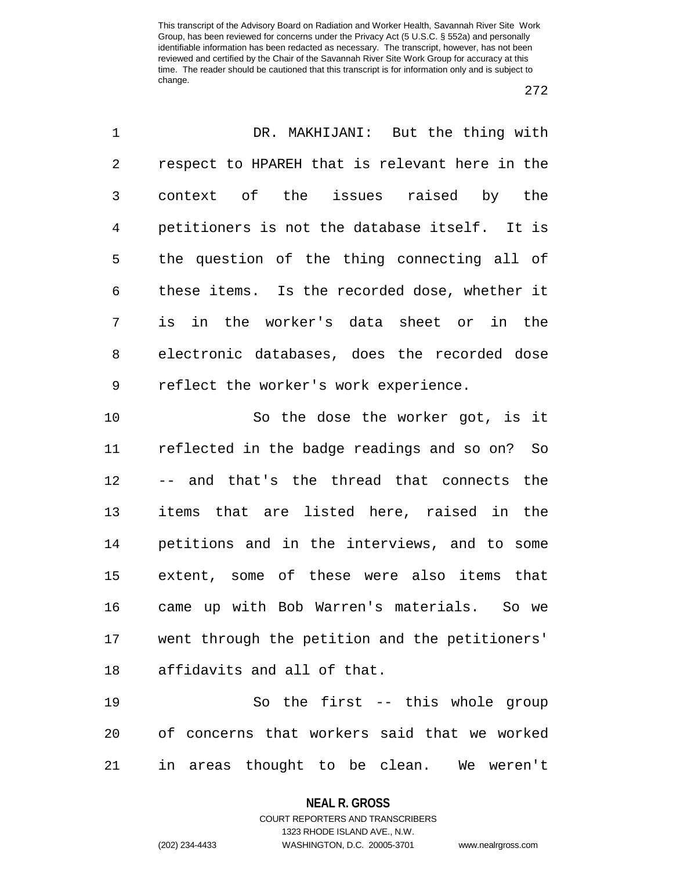272

1 DR. MAKHIJANI: But the thing with 2 respect to HPAREH that is relevant here in the 3 context of the issues raised by the 4 petitioners is not the database itself. It is 5 the question of the thing connecting all of 6 these items. Is the recorded dose, whether it 7 is in the worker's data sheet or in the 8 electronic databases, does the recorded dose 9 reflect the worker's work experience. 10 So the dose the worker got, is it

11 reflected in the badge readings and so on? So 12 -- and that's the thread that connects the 13 items that are listed here, raised in the 14 petitions and in the interviews, and to some 15 extent, some of these were also items that 16 came up with Bob Warren's materials. So we 17 went through the petition and the petitioners' 18 affidavits and all of that.

19 So the first -- this whole group 20 of concerns that workers said that we worked 21 in areas thought to be clean. We weren't

### **NEAL R. GROSS**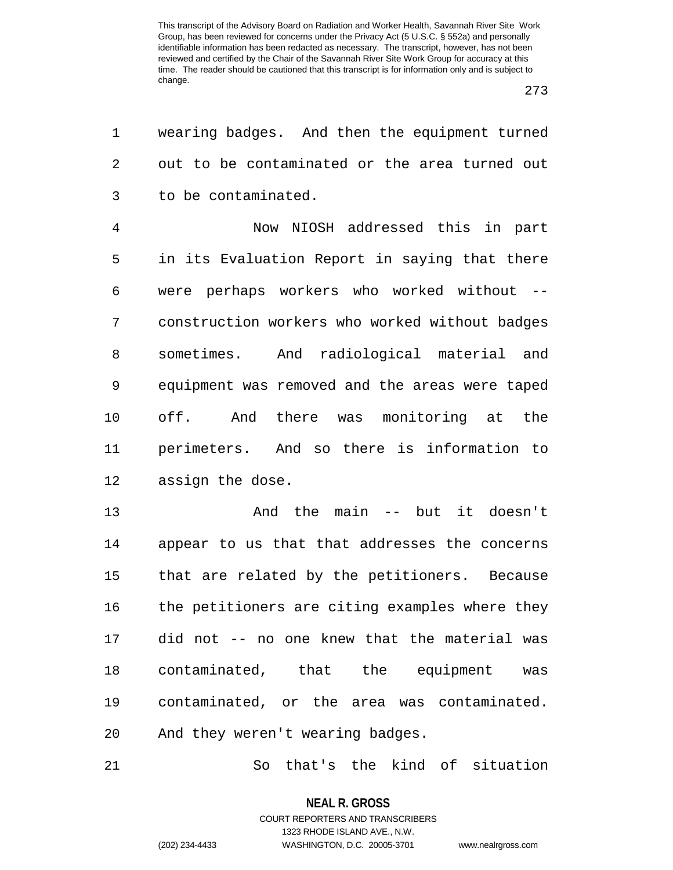273

1 wearing badges. And then the equipment turned 2 out to be contaminated or the area turned out 3 to be contaminated.

4 Now NIOSH addressed this in part 5 in its Evaluation Report in saying that there 6 were perhaps workers who worked without -- 7 construction workers who worked without badges 8 sometimes. And radiological material and 9 equipment was removed and the areas were taped 10 off. And there was monitoring at the 11 perimeters. And so there is information to 12 assign the dose.

13 And the main -- but it doesn't 14 appear to us that that addresses the concerns 15 that are related by the petitioners. Because 16 the petitioners are citing examples where they 17 did not -- no one knew that the material was 18 contaminated, that the equipment was 19 contaminated, or the area was contaminated. 20 And they weren't wearing badges.

21 So that's the kind of situation

**NEAL R. GROSS**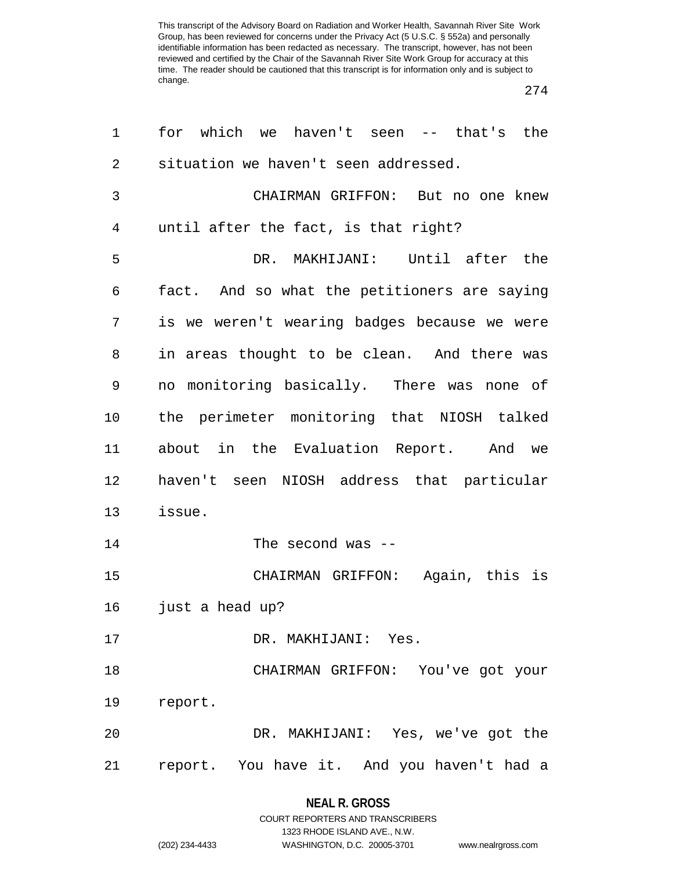274

| $\mathbf 1$    | for which we haven't seen -- that's the      |
|----------------|----------------------------------------------|
| $\overline{2}$ | situation we haven't seen addressed.         |
| 3              | CHAIRMAN GRIFFON: But no one knew            |
| 4              | until after the fact, is that right?         |
| 5              | DR. MAKHIJANI: Until after the               |
| 6              | fact. And so what the petitioners are saying |
| 7              | is we weren't wearing badges because we were |
| 8              | in areas thought to be clean. And there was  |
| 9              | no monitoring basically. There was none of   |
| 10             | the perimeter monitoring that NIOSH talked   |
| 11             | about in the Evaluation Report. And we       |
| 12             | haven't seen NIOSH address that particular   |
| 13             | issue.                                       |
| 14             | The second was $-$                           |
| 15             | CHAIRMAN GRIFFON: Again, this is             |
| 16             | just a head up?                              |
| 17             | DR. MAKHIJANI: Yes.                          |
| 18             | CHAIRMAN GRIFFON: You've got your            |
| 19             | report.                                      |
| 20             | DR. MAKHIJANI: Yes, we've got the            |
| 21             | report. You have it. And you haven't had a   |
|                |                                              |

## **NEAL R. GROSS**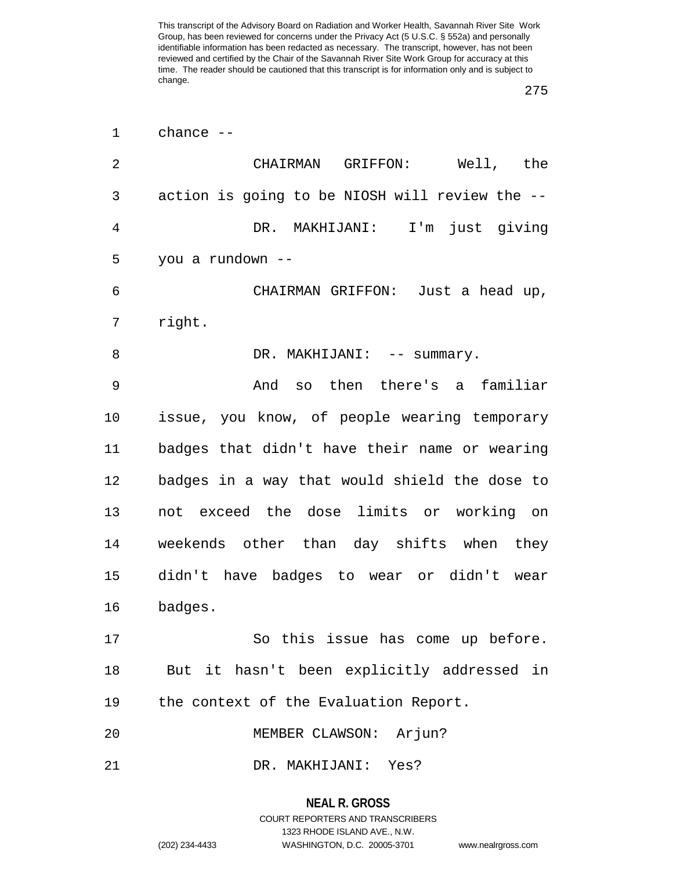275

| 1       | chance --                                      |
|---------|------------------------------------------------|
| 2       | CHAIRMAN GRIFFON: Well, the                    |
| 3       | action is going to be NIOSH will review the -- |
| 4       | DR. MAKHIJANI: I'm just giving                 |
| 5       | you a rundown --                               |
| 6       | CHAIRMAN GRIFFON: Just a head up,              |
| 7       | right.                                         |
| 8       | DR. MAKHIJANI: -- summary.                     |
| 9       | And so then there's a familiar                 |
| $10 \,$ | issue, you know, of people wearing temporary   |
| 11      | badges that didn't have their name or wearing  |
| 12      | badges in a way that would shield the dose to  |
| 13      | not exceed the dose limits or working on       |
| 14      | weekends other than day shifts when they       |
| 15      | didn't have badges to wear or didn't wear      |
| 16      | badges.                                        |
| 17      | So this issue has come up before.              |
| 18      | But it hasn't been explicitly addressed in     |
| 19      | the context of the Evaluation Report.          |
| 20      | MEMBER CLAWSON: Arjun?                         |
| 21      | DR. MAKHIJANI: Yes?                            |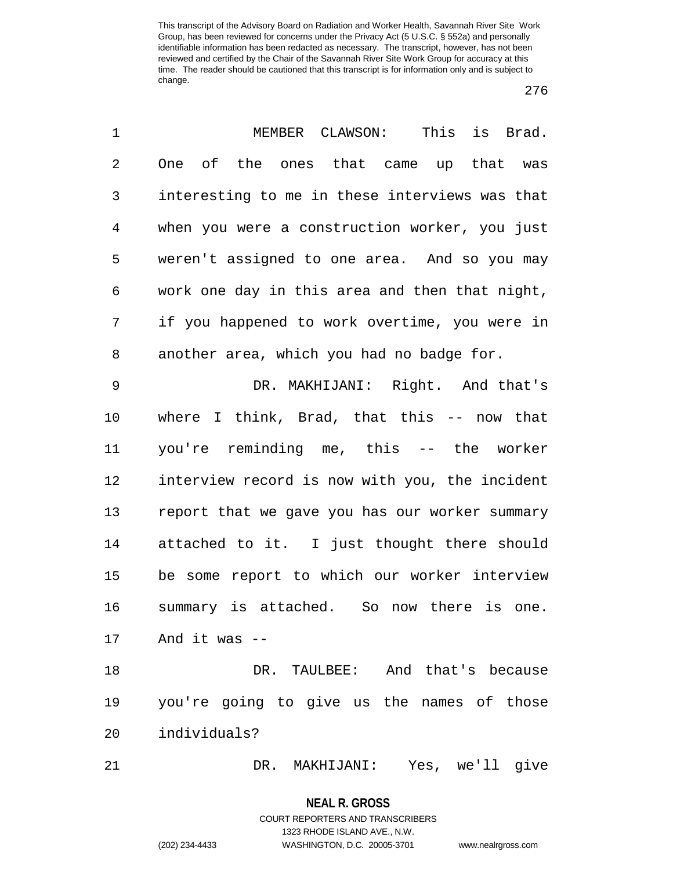276

1 MEMBER CLAWSON: This is Brad. 2 One of the ones that came up that was 3 interesting to me in these interviews was that 4 when you were a construction worker, you just 5 weren't assigned to one area. And so you may 6 work one day in this area and then that night, 7 if you happened to work overtime, you were in 8 another area, which you had no badge for. 9 DR. MAKHIJANI: Right. And that's 10 where I think, Brad, that this -- now that 11 you're reminding me, this -- the worker 12 interview record is now with you, the incident 13 report that we gave you has our worker summary 14 attached to it. I just thought there should 15 be some report to which our worker interview 16 summary is attached. So now there is one. 17 And it was -- 18 DR. TAULBEE: And that's because 19 you're going to give us the names of those 20 individuals? 21 DR. MAKHIJANI: Yes, we'll give

> **NEAL R. GROSS** COURT REPORTERS AND TRANSCRIBERS

1323 RHODE ISLAND AVE., N.W. (202) 234-4433 WASHINGTON, D.C. 20005-3701 www.nealrgross.com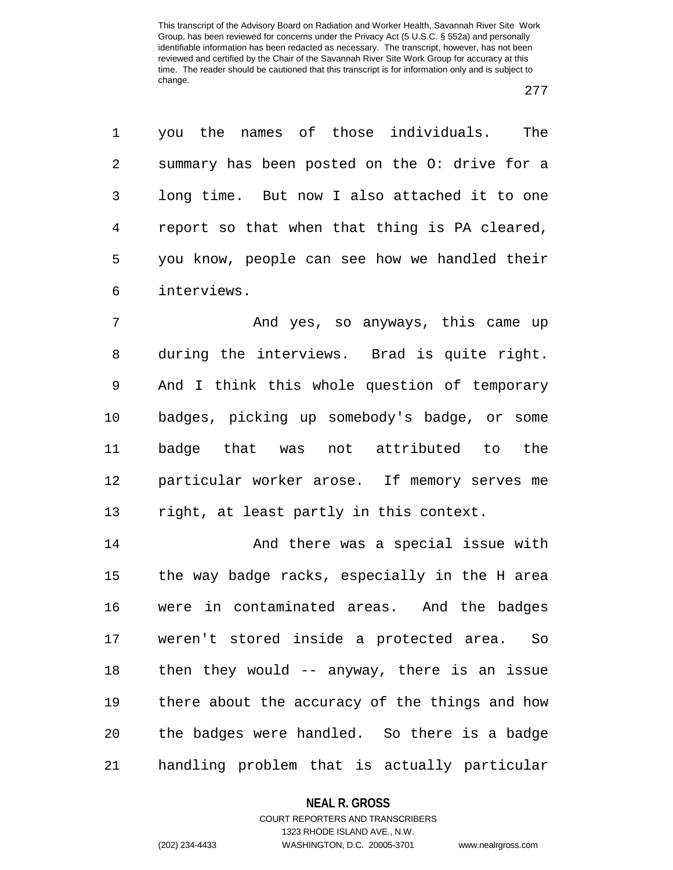1 you the names of those individuals. The 2 summary has been posted on the O: drive for a 3 long time. But now I also attached it to one 4 report so that when that thing is PA cleared, 5 you know, people can see how we handled their 6 interviews.

7 And yes, so anyways, this came up 8 during the interviews. Brad is quite right. 9 And I think this whole question of temporary 10 badges, picking up somebody's badge, or some 11 badge that was not attributed to the 12 particular worker arose. If memory serves me 13 right, at least partly in this context.

14 And there was a special issue with 15 the way badge racks, especially in the H area 16 were in contaminated areas. And the badges 17 weren't stored inside a protected area. So 18 then they would -- anyway, there is an issue 19 there about the accuracy of the things and how 20 the badges were handled. So there is a badge 21 handling problem that is actually particular

#### **NEAL R. GROSS**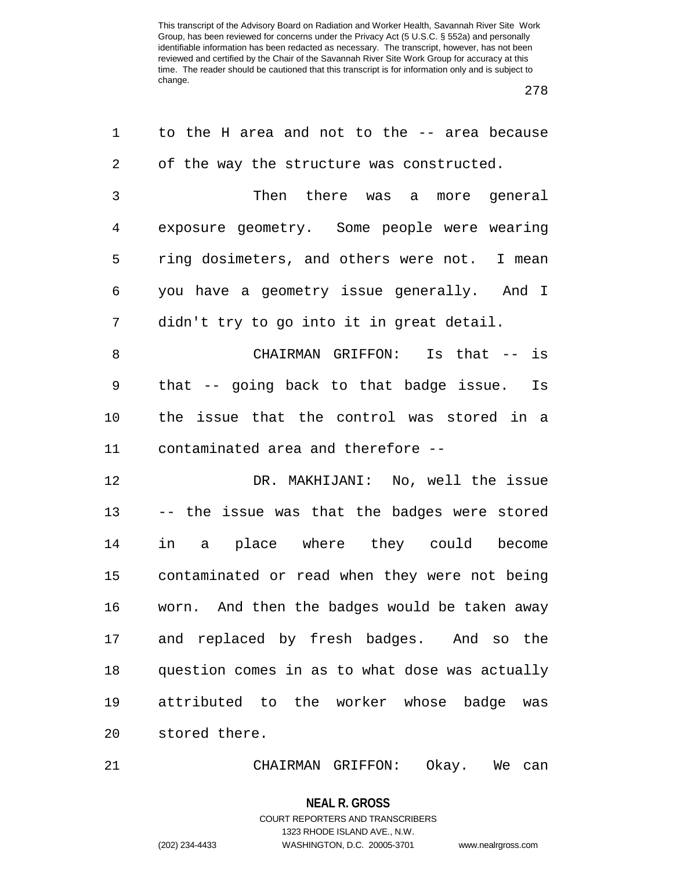278

| 1              | to the H area and not to the -- area because   |
|----------------|------------------------------------------------|
| $\overline{2}$ | of the way the structure was constructed.      |
| 3              | Then there was a more general                  |
| 4              | exposure geometry. Some people were wearing    |
| 5              | ring dosimeters, and others were not. I mean   |
| 6              | you have a geometry issue generally. And I     |
| 7              | didn't try to go into it in great detail.      |
| 8              | CHAIRMAN GRIFFON: Is that -- is                |
| 9              | that -- going back to that badge issue. Is     |
| 10             | the issue that the control was stored in a     |
| 11             | contaminated area and therefore --             |
| 12             | DR. MAKHIJANI: No, well the issue              |
| 13             | -- the issue was that the badges were stored   |
| 14             | a place where they could become<br>in          |
| 15             | contaminated or read when they were not being  |
| 16             | worn. And then the badges would be taken away  |
| 17             | and replaced by fresh badges. And so the       |
| 18             | question comes in as to what dose was actually |
| 19             | attributed to the worker whose badge was       |
| 20             | stored there.                                  |
|                |                                                |

21 CHAIRMAN GRIFFON: Okay. We can

**NEAL R. GROSS**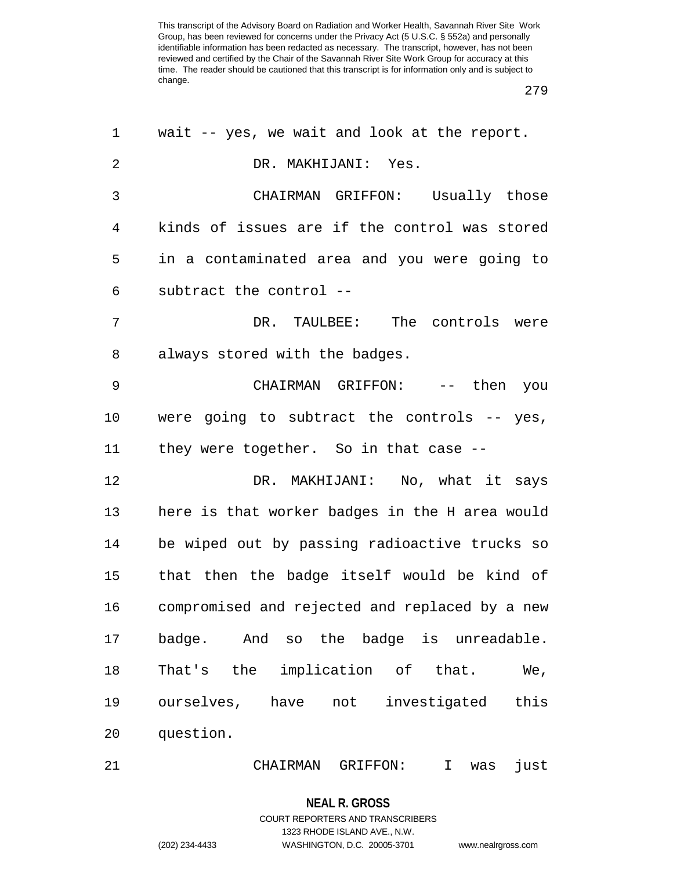279

| 1              | wait -- yes, we wait and look at the report.        |
|----------------|-----------------------------------------------------|
| $\overline{2}$ | DR. MAKHIJANI: Yes.                                 |
| 3              | CHAIRMAN GRIFFON: Usually those                     |
| 4              | kinds of issues are if the control was stored       |
| 5              | in a contaminated area and you were going to        |
| 6              | subtract the control --                             |
| 7              | DR. TAULBEE: The controls were                      |
| 8              | always stored with the badges.                      |
| 9              | CHAIRMAN GRIFFON: -- then you                       |
| 10             | were going to subtract the controls -- yes,         |
| 11             | they were together. So in that case --              |
| 12             | DR. MAKHIJANI: No, what it says                     |
| 13             | here is that worker badges in the H area would      |
| 14             | be wiped out by passing radioactive trucks so       |
| 15             | that then the badge itself would be kind of         |
| 16             | compromised and rejected and replaced by a new      |
| 17             | badge. And so the badge is unreadable.              |
| 18             | That's the<br>implication of that.<br>We,           |
| 19             | not investigated<br>ourselves,<br>have<br>this      |
| 20             | question.                                           |
| 21             | CHAIRMAN<br>GRIFFON:<br>just<br>$\mathbb{I}$<br>was |

### **NEAL R. GROSS**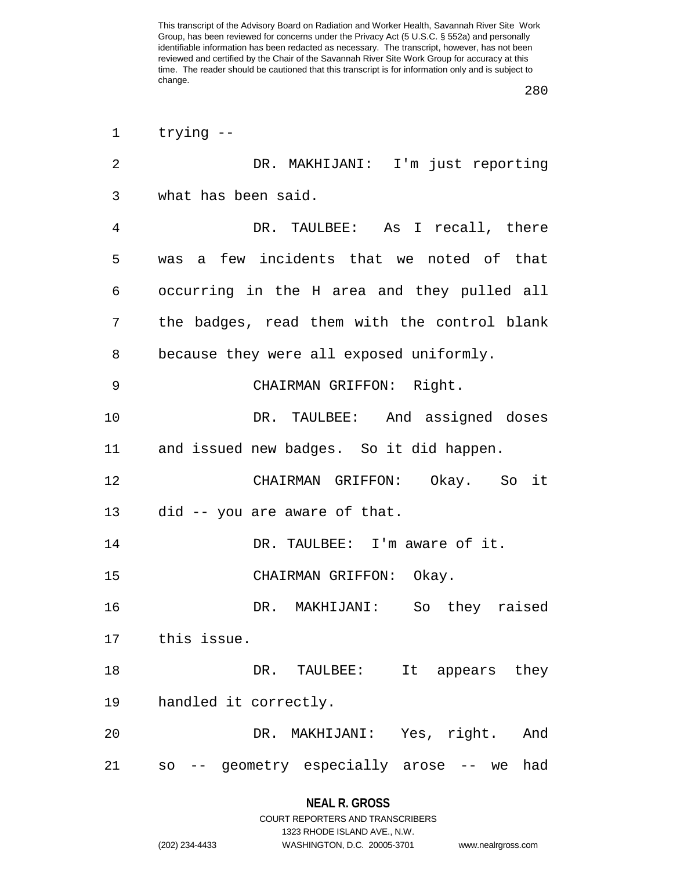1 trying -- 2 DR. MAKHIJANI: I'm just reporting 3 what has been said. 4 DR. TAULBEE: As I recall, there 5 was a few incidents that we noted of that 6 occurring in the H area and they pulled all 7 the badges, read them with the control blank 8 because they were all exposed uniformly. 9 CHAIRMAN GRIFFON: Right. 10 DR. TAULBEE: And assigned doses 11 and issued new badges. So it did happen. 12 CHAIRMAN GRIFFON: Okay. So it 13 did -- you are aware of that. 14 DR. TAULBEE: I'm aware of it. 15 CHAIRMAN GRIFFON: Okay. 16 DR. MAKHIJANI: So they raised 17 this issue. 18 DR. TAULBEE: It appears they 19 handled it correctly. 20 DR. MAKHIJANI: Yes, right. And 21 so -- geometry especially arose -- we had

### **NEAL R. GROSS**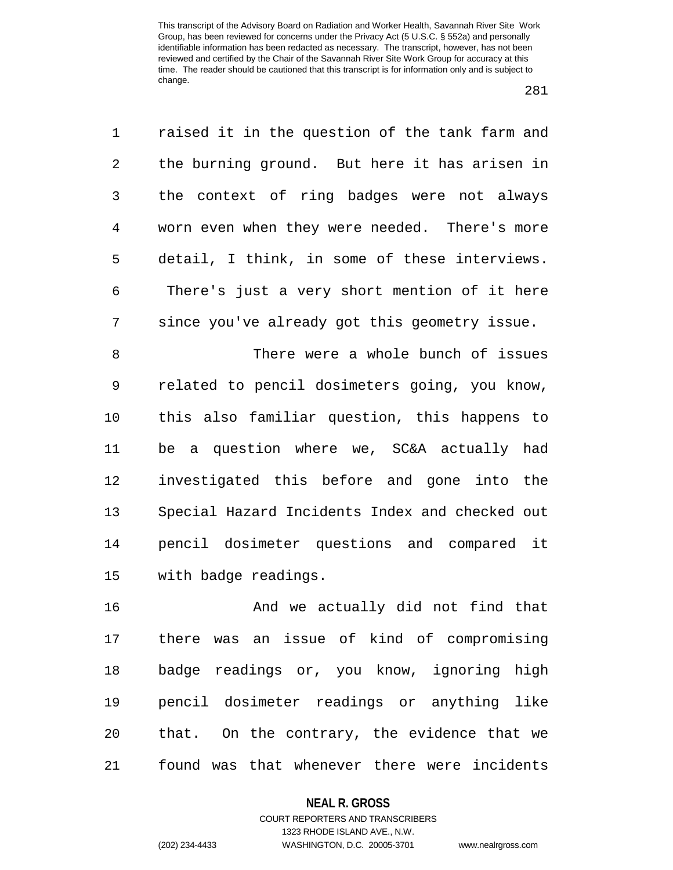281

1 raised it in the question of the tank farm and 2 the burning ground. But here it has arisen in 3 the context of ring badges were not always 4 worn even when they were needed. There's more 5 detail, I think, in some of these interviews. 6 There's just a very short mention of it here 7 since you've already got this geometry issue.

8 There were a whole bunch of issues 9 related to pencil dosimeters going, you know, 10 this also familiar question, this happens to 11 be a question where we, SC&A actually had 12 investigated this before and gone into the 13 Special Hazard Incidents Index and checked out 14 pencil dosimeter questions and compared it 15 with badge readings.

16 And we actually did not find that 17 there was an issue of kind of compromising 18 badge readings or, you know, ignoring high 19 pencil dosimeter readings or anything like 20 that. On the contrary, the evidence that we 21 found was that whenever there were incidents

### **NEAL R. GROSS**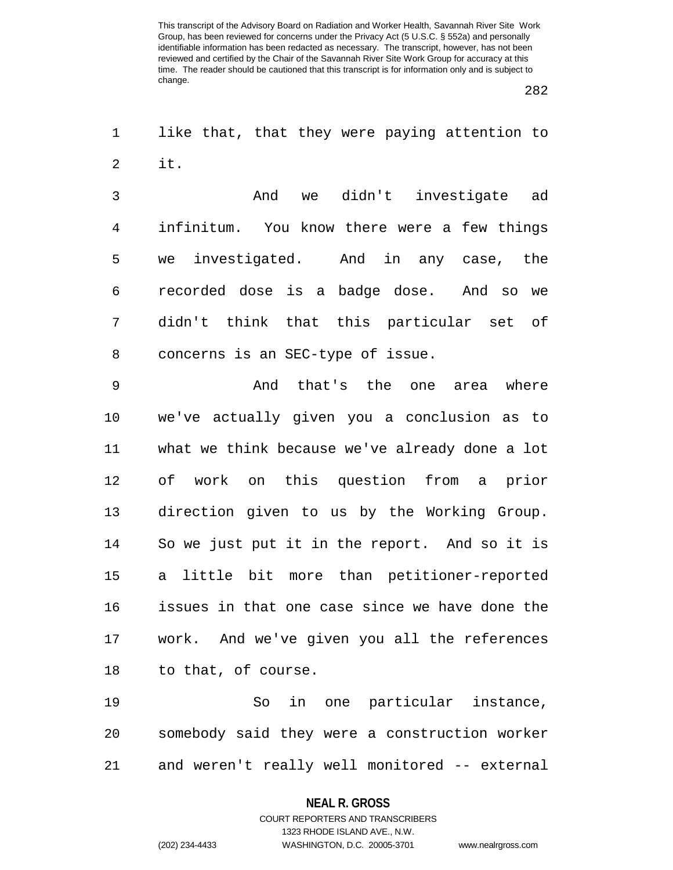282

1 like that, that they were paying attention to 2 it.

3 And we didn't investigate ad 4 infinitum. You know there were a few things 5 we investigated. And in any case, the 6 recorded dose is a badge dose. And so we 7 didn't think that this particular set of 8 concerns is an SEC-type of issue.

9 And that's the one area where 10 we've actually given you a conclusion as to 11 what we think because we've already done a lot 12 of work on this question from a prior 13 direction given to us by the Working Group. 14 So we just put it in the report. And so it is 15 a little bit more than petitioner-reported 16 issues in that one case since we have done the 17 work. And we've given you all the references 18 to that, of course.

19 So in one particular instance, 20 somebody said they were a construction worker 21 and weren't really well monitored -- external

### **NEAL R. GROSS**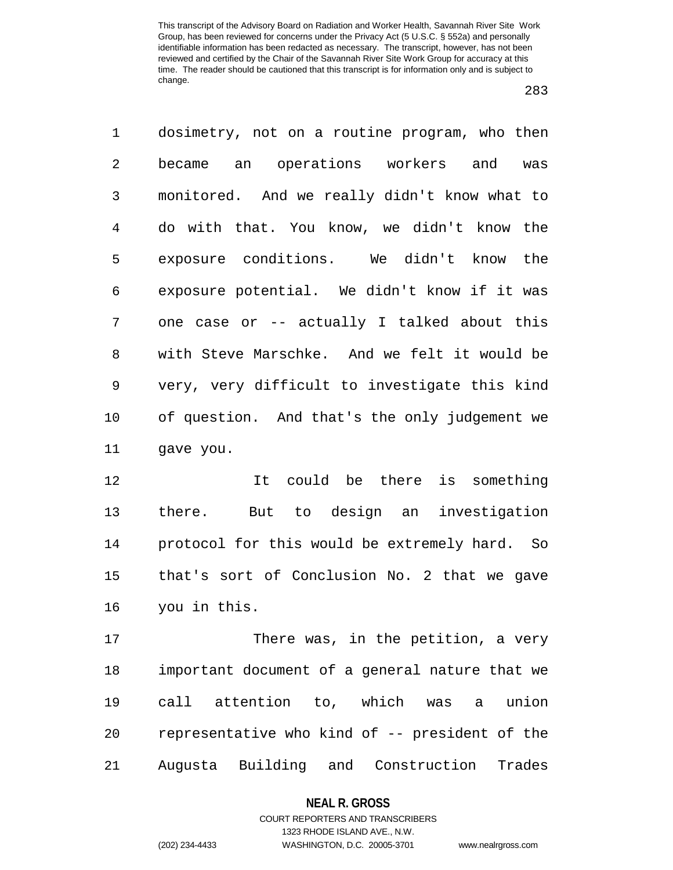283

1 dosimetry, not on a routine program, who then 2 became an operations workers and was 3 monitored. And we really didn't know what to 4 do with that. You know, we didn't know the 5 exposure conditions. We didn't know the 6 exposure potential. We didn't know if it was 7 one case or -- actually I talked about this 8 with Steve Marschke. And we felt it would be 9 very, very difficult to investigate this kind 10 of question. And that's the only judgement we 11 gave you.

12 It could be there is something 13 there. But to design an investigation 14 protocol for this would be extremely hard. So 15 that's sort of Conclusion No. 2 that we gave 16 you in this.

17 There was, in the petition, a very 18 important document of a general nature that we 19 call attention to, which was a union 20 representative who kind of -- president of the 21 Augusta Building and Construction Trades

#### **NEAL R. GROSS**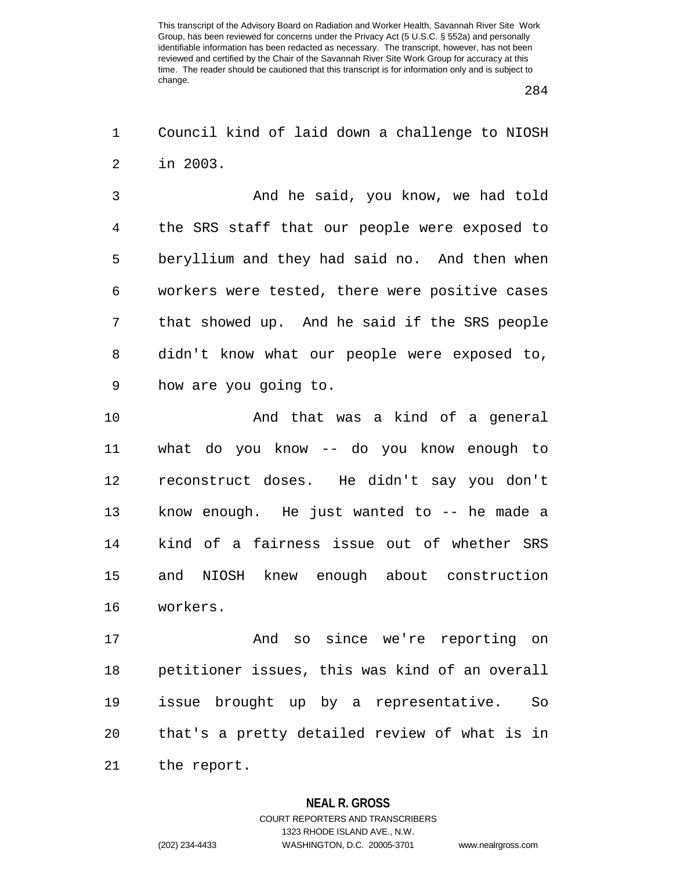284

1 Council kind of laid down a challenge to NIOSH 2 in 2003.

3 And he said, you know, we had told 4 the SRS staff that our people were exposed to 5 beryllium and they had said no. And then when 6 workers were tested, there were positive cases 7 that showed up. And he said if the SRS people 8 didn't know what our people were exposed to, 9 how are you going to.

10 And that was a kind of a general 11 what do you know -- do you know enough to 12 reconstruct doses. He didn't say you don't 13 know enough. He just wanted to -- he made a 14 kind of a fairness issue out of whether SRS 15 and NIOSH knew enough about construction 16 workers.

17 And so since we're reporting on 18 petitioner issues, this was kind of an overall 19 issue brought up by a representative. So 20 that's a pretty detailed review of what is in 21 the report.

## **NEAL R. GROSS**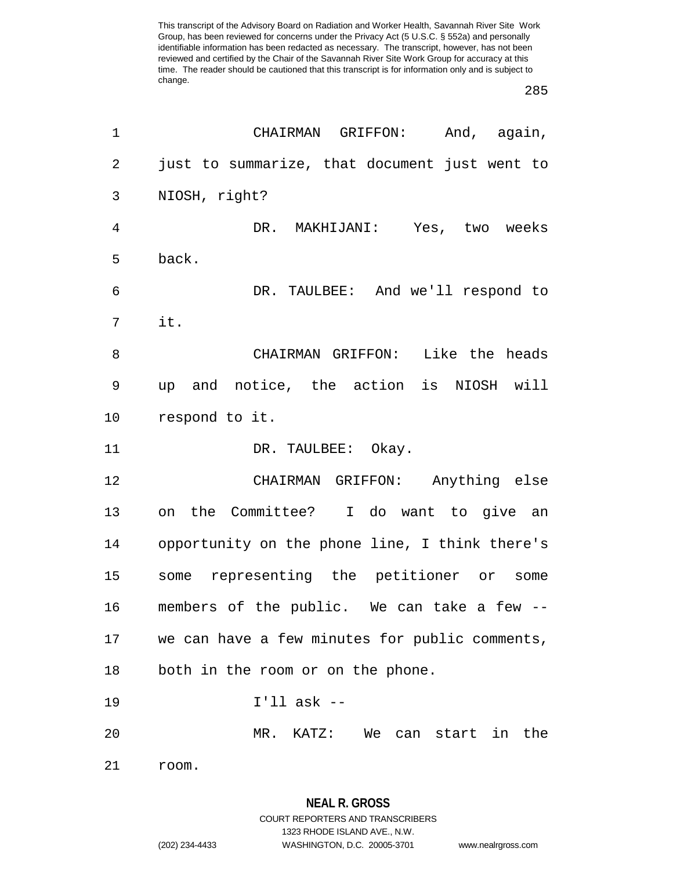285

| 1              | CHAIRMAN GRIFFON:<br>And, again,               |
|----------------|------------------------------------------------|
| $\overline{2}$ | just to summarize, that document just went to  |
| 3              | NIOSH, right?                                  |
| 4              | DR. MAKHIJANI: Yes, two weeks                  |
| 5              | back.                                          |
| 6              | DR. TAULBEE: And we'll respond to              |
| 7              | it.                                            |
| 8              | CHAIRMAN GRIFFON: Like the heads               |
| 9              | up and notice, the action is NIOSH will        |
| 10             | respond to it.                                 |
| 11             | DR. TAULBEE: Okay.                             |
| 12             | CHAIRMAN GRIFFON: Anything else                |
| 13             | the Committee? I do want to give an<br>on      |
| 14             | opportunity on the phone line, I think there's |
| 15             | some representing the petitioner or some       |
| 16             | members of the public. We can take a few --    |
| 17             | we can have a few minutes for public comments, |
| 18             | both in the room or on the phone.              |
| 19             | $I'11$ ask $-$                                 |
| 20             | MR. KATZ: We can start in the                  |
| 21             | room.                                          |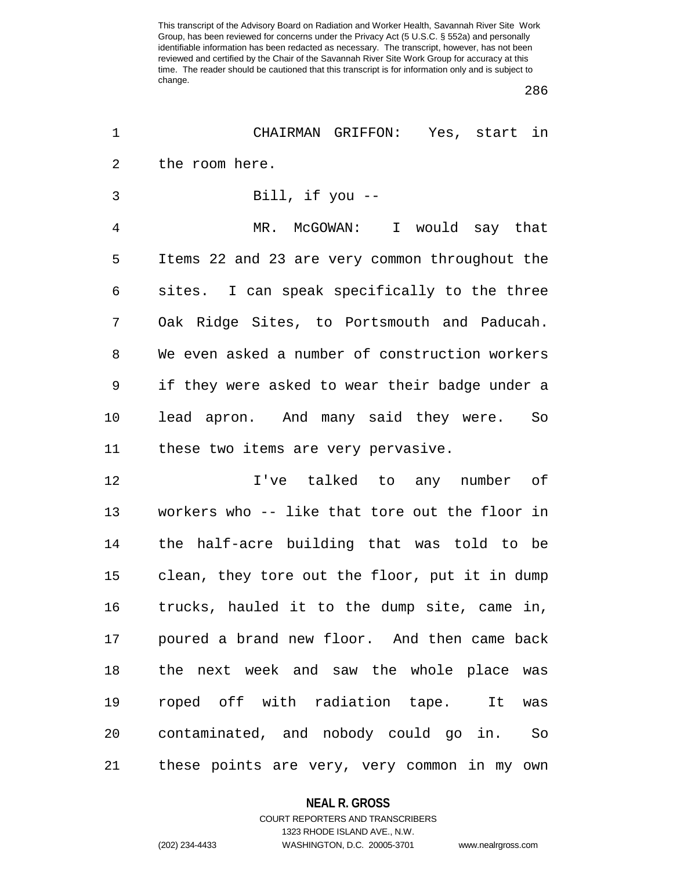286

| 1              | CHAIRMAN GRIFFON: Yes, start in                |
|----------------|------------------------------------------------|
| $\overline{2}$ | the room here.                                 |
| 3              | Bill, if you $-$                               |
| 4              | MR. McGOWAN: I would say that                  |
| 5              | Items 22 and 23 are very common throughout the |
| 6              | sites. I can speak specifically to the three   |
| 7              | Oak Ridge Sites, to Portsmouth and Paducah.    |
| 8              | We even asked a number of construction workers |
| 9              | if they were asked to wear their badge under a |
| $10 \,$        | lead apron. And many said they were. So        |
| 11             | these two items are very pervasive.            |
| 12             | I've talked to any number of                   |
| 13             | workers who -- like that tore out the floor in |
| 14             | the half-acre building that was told to be     |
| 15             | clean, they tore out the floor, put it in dump |
| 16             | trucks, hauled it to the dump site, came in,   |
| 17             | poured a brand new floor. And then came back   |
| 18             | the next week and saw the whole place was      |
| 19             | roped off with radiation tape. It<br>was       |
| 20             | contaminated, and nobody could go in. So       |
| 21             | these points are very, very common in my own   |

### **NEAL R. GROSS**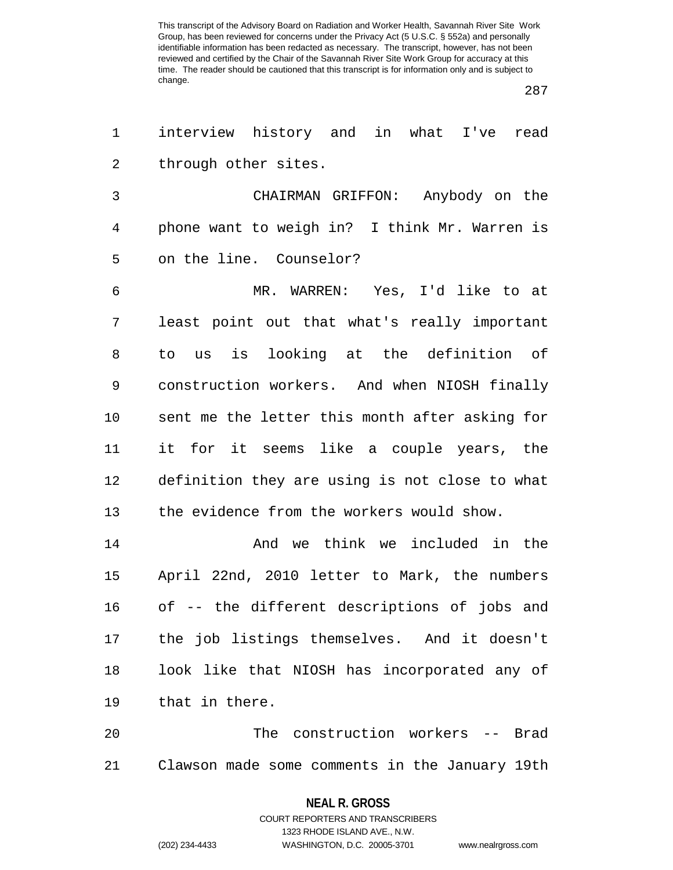287

1 interview history and in what I've read 2 through other sites.

3 CHAIRMAN GRIFFON: Anybody on the 4 phone want to weigh in? I think Mr. Warren is 5 on the line. Counselor?

6 MR. WARREN: Yes, I'd like to at 7 least point out that what's really important 8 to us is looking at the definition of 9 construction workers. And when NIOSH finally 10 sent me the letter this month after asking for 11 it for it seems like a couple years, the 12 definition they are using is not close to what 13 the evidence from the workers would show.

14 And we think we included in the 15 April 22nd, 2010 letter to Mark, the numbers 16 of -- the different descriptions of jobs and 17 the job listings themselves. And it doesn't 18 look like that NIOSH has incorporated any of 19 that in there.

20 The construction workers -- Brad 21 Clawson made some comments in the January 19th

**NEAL R. GROSS**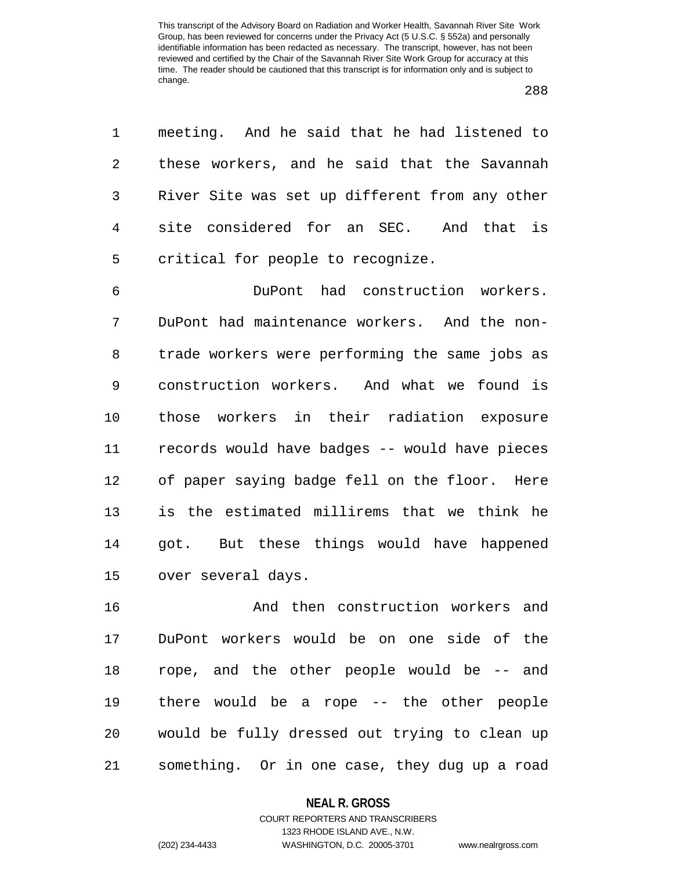288

1 meeting. And he said that he had listened to 2 these workers, and he said that the Savannah 3 River Site was set up different from any other 4 site considered for an SEC. And that is 5 critical for people to recognize.

6 DuPont had construction workers. 7 DuPont had maintenance workers. And the non-8 trade workers were performing the same jobs as 9 construction workers. And what we found is 10 those workers in their radiation exposure 11 records would have badges -- would have pieces 12 of paper saying badge fell on the floor. Here 13 is the estimated millirems that we think he 14 got. But these things would have happened 15 over several days.

16 And then construction workers and 17 DuPont workers would be on one side of the 18 rope, and the other people would be -- and 19 there would be a rope -- the other people 20 would be fully dressed out trying to clean up 21 something. Or in one case, they dug up a road

### **NEAL R. GROSS**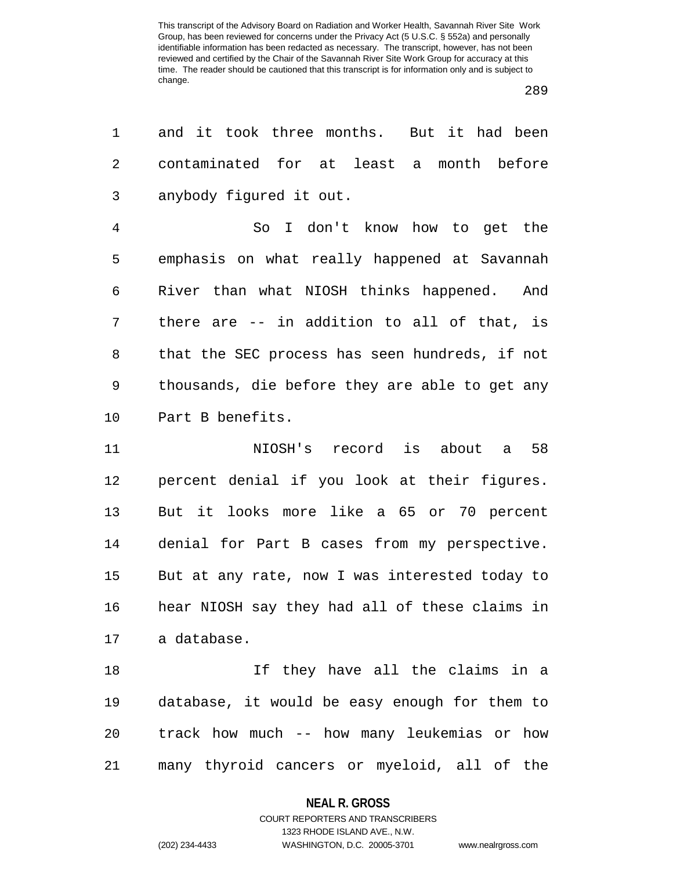289

| 1              | and it took three months. But it had been      |
|----------------|------------------------------------------------|
| $\overline{2}$ | contaminated for at least a month before       |
| $\mathfrak{Z}$ | anybody figured it out.                        |
| 4              | So I don't know how to get the                 |
| 5              | emphasis on what really happened at Savannah   |
| 6              | River than what NIOSH thinks happened. And     |
| 7              | there are -- in addition to all of that, is    |
| 8              | that the SEC process has seen hundreds, if not |
| 9              | thousands, die before they are able to get any |
| 10             | Part B benefits.                               |
| 11             | NIOSH's record is about a 58                   |
| 12             | percent denial if you look at their figures.   |
| 13             | But it looks more like a 65 or 70 percent      |
| 14             | denial for Part B cases from my perspective.   |
| 15             | But at any rate, now I was interested today to |
| 16             | hear NIOSH say they had all of these claims in |
|                | 17 a database.                                 |
| 18             | If they have all the claims in a               |
| 19             | database, it would be easy enough for them to  |
| 20             | track how much -- how many leukemias or how    |
| 21             | many thyroid cancers or myeloid, all of the    |

**NEAL R. GROSS**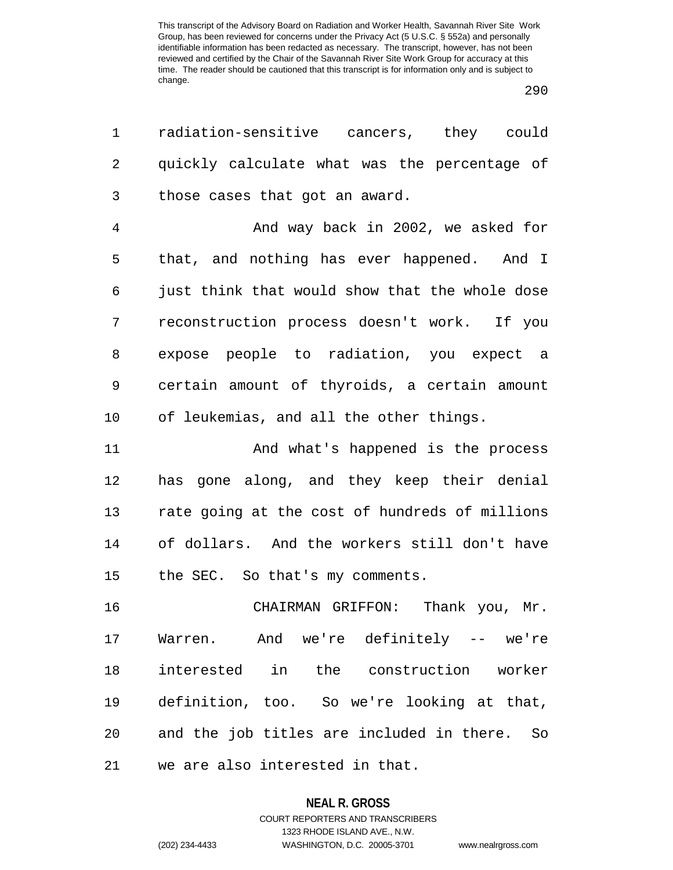290

1 radiation-sensitive cancers, they could 2 quickly calculate what was the percentage of 3 those cases that got an award. 4 And way back in 2002, we asked for 5 that, and nothing has ever happened. And I 6 just think that would show that the whole dose 7 reconstruction process doesn't work. If you 8 expose people to radiation, you expect a 9 certain amount of thyroids, a certain amount 10 of leukemias, and all the other things. 11 And what's happened is the process 12 has gone along, and they keep their denial 13 rate going at the cost of hundreds of millions 14 of dollars. And the workers still don't have 15 the SEC. So that's my comments. 16 CHAIRMAN GRIFFON: Thank you, Mr. 17 Warren. And we're definitely -- we're 18 interested in the construction worker 19 definition, too. So we're looking at that, 20 and the job titles are included in there. So 21 we are also interested in that.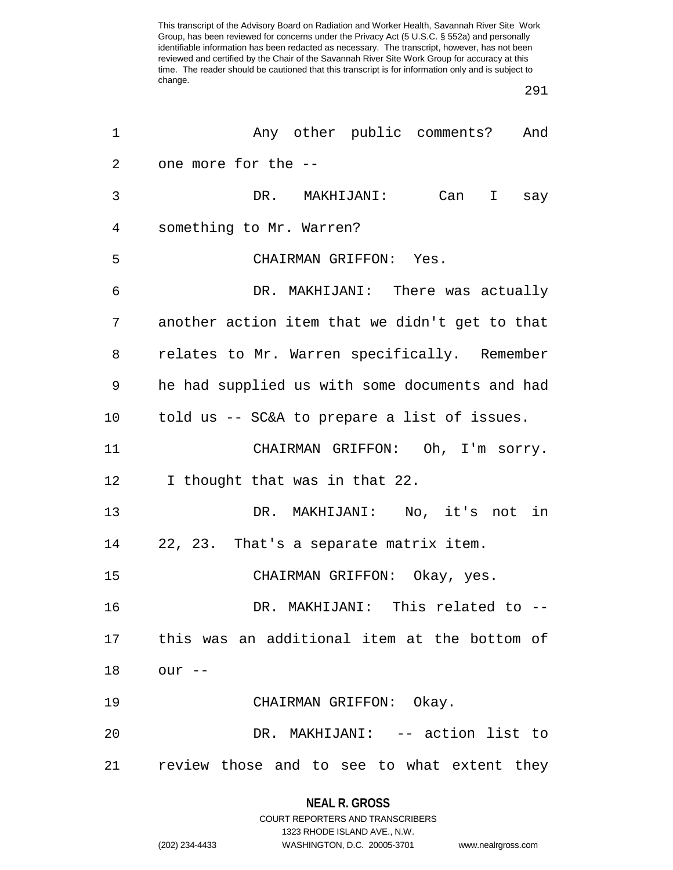291

| $\mathbf 1$    | Any other public comments? And                  |
|----------------|-------------------------------------------------|
| $\overline{2}$ | one more for the --                             |
| 3              | DR. MAKHIJANI: Can I<br>say                     |
| 4              | something to Mr. Warren?                        |
| 5              | CHAIRMAN GRIFFON: Yes.                          |
| 6              | DR. MAKHIJANI: There was actually               |
| 7              | another action item that we didn't get to that  |
| 8              | relates to Mr. Warren specifically. Remember    |
| 9              | he had supplied us with some documents and had  |
| 10             | told us -- SC&A to prepare a list of issues.    |
| 11             | CHAIRMAN GRIFFON: Oh, I'm sorry.                |
| 12             | I thought that was in that 22.                  |
| 13             | DR. MAKHIJANI: No, it's not in                  |
| 14             | 22, 23. That's a separate matrix item.          |
| 15             | CHAIRMAN GRIFFON: Okay, yes.                    |
| 16             | DR. MAKHIJANI: This related to --               |
|                | 17 this was an additional item at the bottom of |
| 18             | our --                                          |
| 19             | CHAIRMAN GRIFFON: Okay.                         |
| 20             | DR. MAKHIJANI: -- action list to                |
| 21             | review those and to see to what extent they     |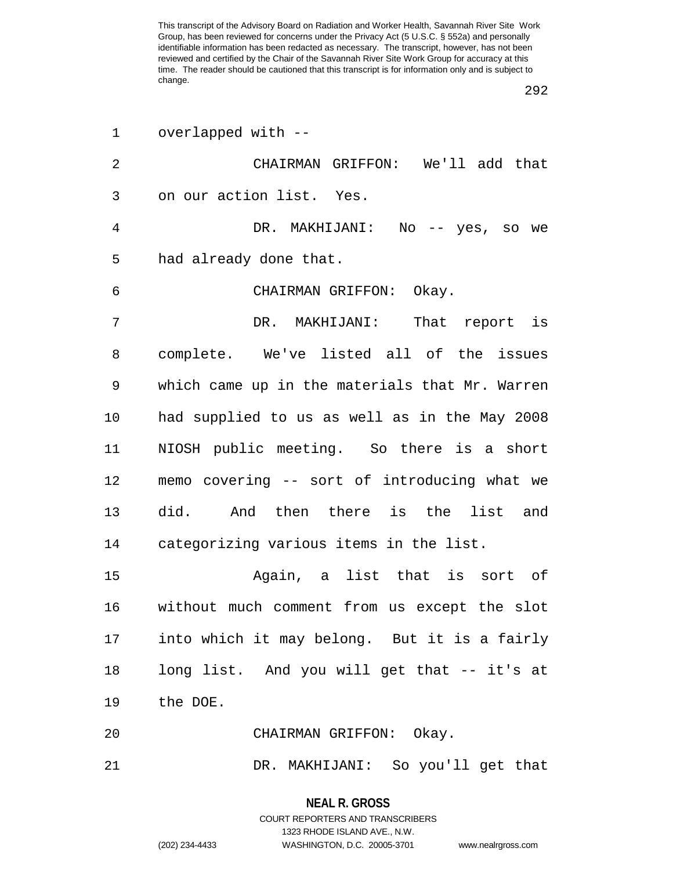292

| 1  | overlapped with --                             |
|----|------------------------------------------------|
| 2  | CHAIRMAN GRIFFON: We'll add that               |
| 3  | on our action list. Yes.                       |
| 4  | DR. MAKHIJANI:<br>No -- yes, so we             |
| 5  | had already done that.                         |
| 6  | CHAIRMAN GRIFFON: Okay.                        |
| 7  | DR. MAKHIJANI: That report is                  |
| 8  | complete. We've listed all of the issues       |
| 9  | which came up in the materials that Mr. Warren |
| 10 | had supplied to us as well as in the May 2008  |
| 11 | NIOSH public meeting. So there is a short      |
| 12 | memo covering -- sort of introducing what we   |
| 13 | did. And then there is the list and            |
| 14 | categorizing various items in the list.        |
| 15 | Again, a list that is sort of                  |
| 16 | without much comment from us except the slot   |
| 17 | into which it may belong. But it is a fairly   |
| 18 | long list. And you will get that -- it's at    |
| 19 | the DOE.                                       |
| 20 | CHAIRMAN GRIFFON: Okay.                        |
| 21 | DR. MAKHIJANI: So you'll get that              |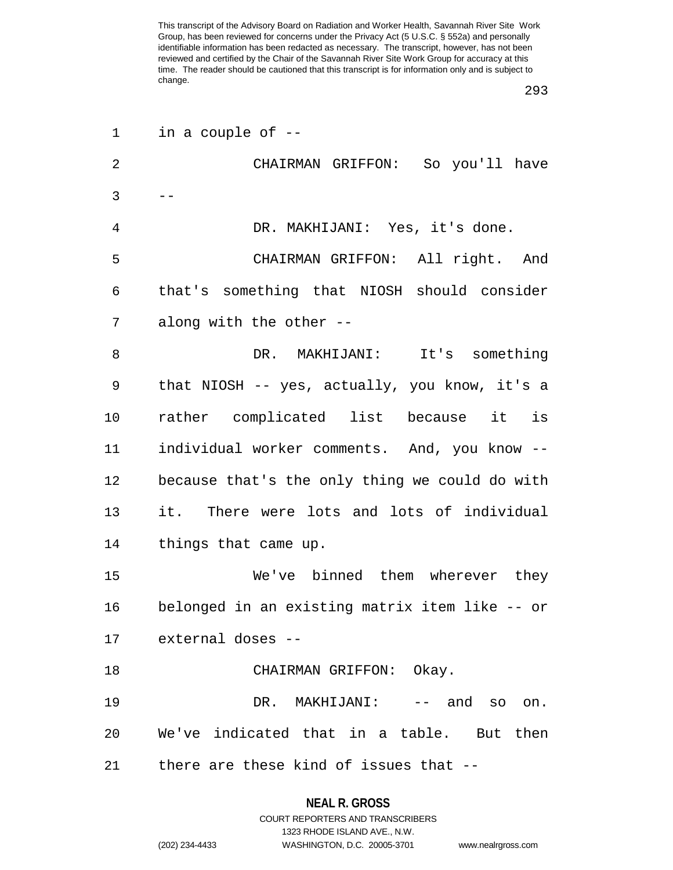293

| 1  | in a couple of $-$                             |
|----|------------------------------------------------|
| 2  | CHAIRMAN GRIFFON: So you'll have               |
| 3  |                                                |
| 4  | DR. MAKHIJANI: Yes, it's done.                 |
| 5  | CHAIRMAN GRIFFON: All right. And               |
| 6  | that's something that NIOSH should consider    |
| 7  | along with the other --                        |
| 8  | DR. MAKHIJANI: It's something                  |
| 9  | that NIOSH -- yes, actually, you know, it's a  |
| 10 | rather complicated list because it is          |
| 11 | individual worker comments. And, you know --   |
| 12 | because that's the only thing we could do with |
| 13 | it. There were lots and lots of individual     |
| 14 | things that came up.                           |
| 15 | We've binned them wherever they                |
| 16 | belonged in an existing matrix item like -- or |
|    | 17 external doses --                           |
| 18 | CHAIRMAN GRIFFON: Okay.                        |
| 19 | DR. MAKHIJANI: -- and so on.                   |
| 20 | We've indicated that in a table. But then      |
| 21 | there are these kind of issues that --         |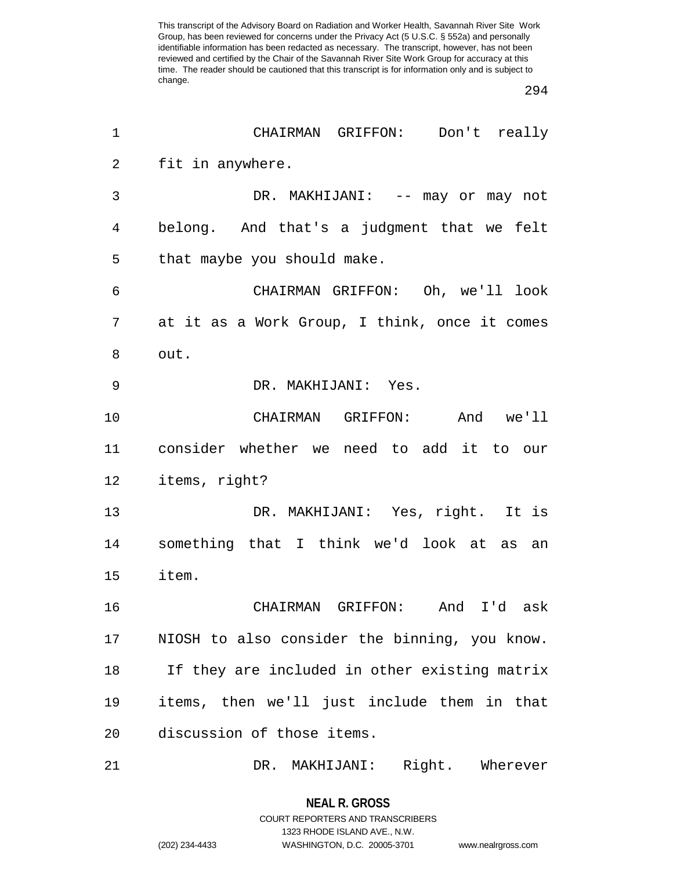294

| 1  | CHAIRMAN GRIFFON: Don't really                |
|----|-----------------------------------------------|
| 2  | fit in anywhere.                              |
| 3  | DR. MAKHIJANI: -- may or may not              |
| 4  | belong. And that's a judgment that we felt    |
| 5  | that maybe you should make.                   |
| 6  | CHAIRMAN GRIFFON: Oh, we'll look              |
| 7  | at it as a Work Group, I think, once it comes |
| 8  | out.                                          |
| 9  | DR. MAKHIJANI: Yes.                           |
| 10 | CHAIRMAN GRIFFON:<br>And we'll                |
| 11 | consider whether we need to add it to our     |
| 12 | items, right?                                 |
| 13 | DR. MAKHIJANI: Yes, right. It is              |
| 14 | something that I think we'd look at as an     |
| 15 | item.                                         |
| 16 | CHAIRMAN GRIFFON: And I'd ask                 |
| 17 | NIOSH to also consider the binning, you know. |
| 18 | If they are included in other existing matrix |
| 19 | items, then we'll just include them in that   |
| 20 | discussion of those items.                    |
| 21 | Right. Wherever<br>DR. MAKHIJANI:             |

**NEAL R. GROSS** COURT REPORTERS AND TRANSCRIBERS

1323 RHODE ISLAND AVE., N.W.

(202) 234-4433 WASHINGTON, D.C. 20005-3701 www.nealrgross.com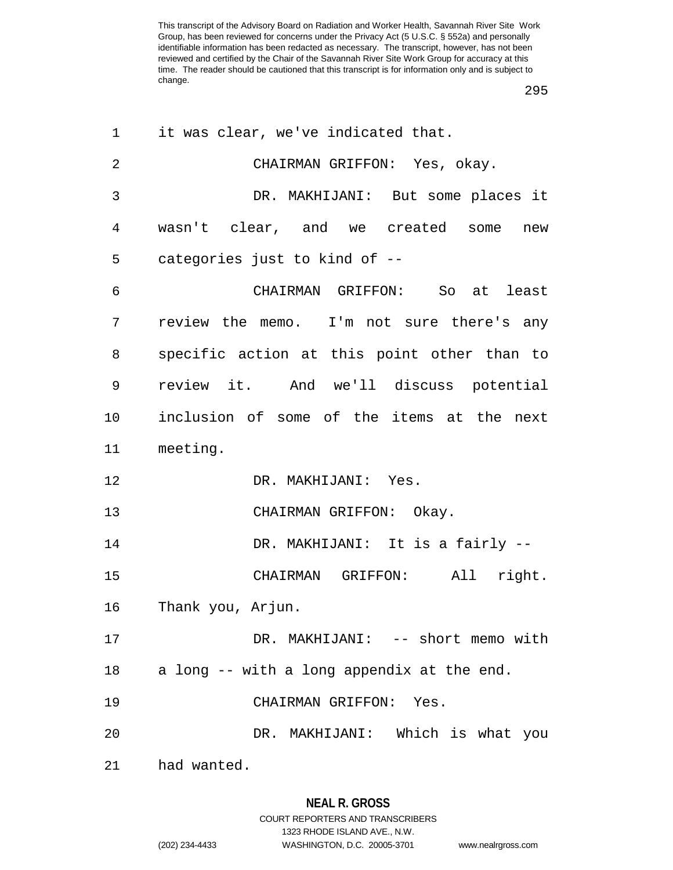295

| $\mathbf 1$    | it was clear, we've indicated that.         |
|----------------|---------------------------------------------|
| $\overline{2}$ | CHAIRMAN GRIFFON: Yes, okay.                |
| 3              | DR. MAKHIJANI: But some places it           |
| 4              | wasn't clear, and we created some<br>new    |
| 5              | categories just to kind of --               |
| 6              | CHAIRMAN GRIFFON: So at least               |
| 7              | review the memo. I'm not sure there's any   |
| 8              | specific action at this point other than to |
| 9              | review it. And we'll discuss potential      |
| $10 \,$        | inclusion of some of the items at the next  |
| 11             | meeting.                                    |
| 12             | DR. MAKHIJANI: Yes.                         |
| 13             | CHAIRMAN GRIFFON: Okay.                     |
| 14             | DR. MAKHIJANI: It is a fairly --            |
| 15             | CHAIRMAN GRIFFON: All right.                |
| 16             | Thank you, Arjun.                           |
| 17             | DR. MAKHIJANI: -- short memo with           |
| 18             | a long -- with a long appendix at the end.  |
| 19             | CHAIRMAN GRIFFON: Yes.                      |
| 20             | DR. MAKHIJANI: Which is what you            |
| 21             | had wanted.                                 |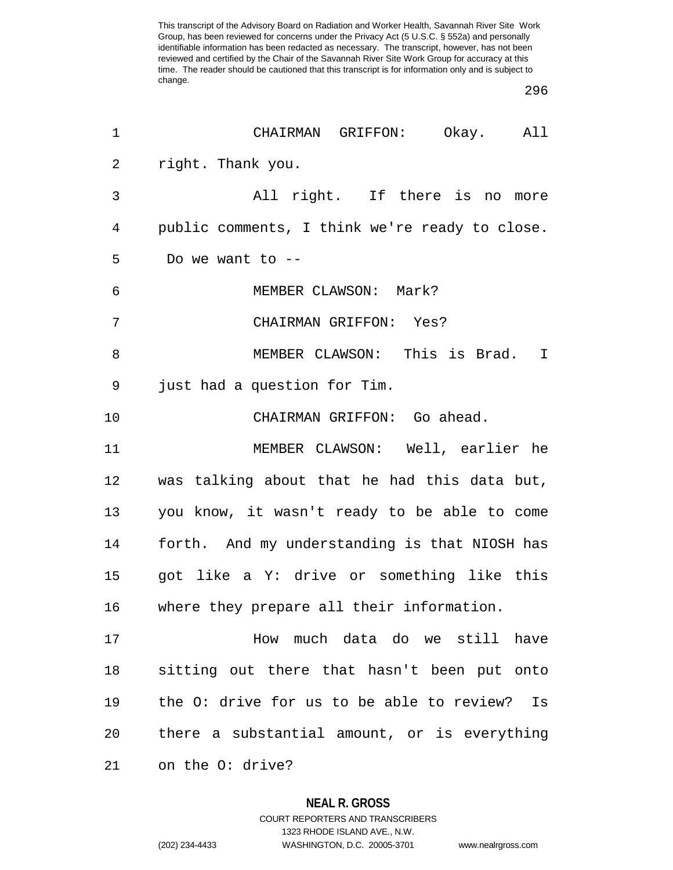296

| $\mathbf 1$ | CHAIRMAN GRIFFON:<br>Okay.<br>All              |
|-------------|------------------------------------------------|
| 2           | right. Thank you.                              |
| 3           | All right. If there is no more                 |
| 4           | public comments, I think we're ready to close. |
| 5           | Do we want to $-$                              |
| 6           | MEMBER CLAWSON: Mark?                          |
| 7           | CHAIRMAN GRIFFON: Yes?                         |
| 8           | MEMBER CLAWSON: This is Brad.<br>$\mathbf I$   |
| 9           | just had a question for Tim.                   |
| 10          | CHAIRMAN GRIFFON: Go ahead.                    |
| 11          | MEMBER CLAWSON: Well, earlier he               |
| 12          | was talking about that he had this data but,   |
| 13          | you know, it wasn't ready to be able to come   |
| 14          | forth. And my understanding is that NIOSH has  |
| 15          | got like a Y: drive or something like this     |
| 16          | where they prepare all their information.      |
| 17          | How much data do we still have                 |
| 18          | sitting out there that hasn't been put onto    |
| 19          | the O: drive for us to be able to review? Is   |
| 20          | there a substantial amount, or is everything   |
| 21          | on the O: drive?                               |

#### **NEAL R. GROSS**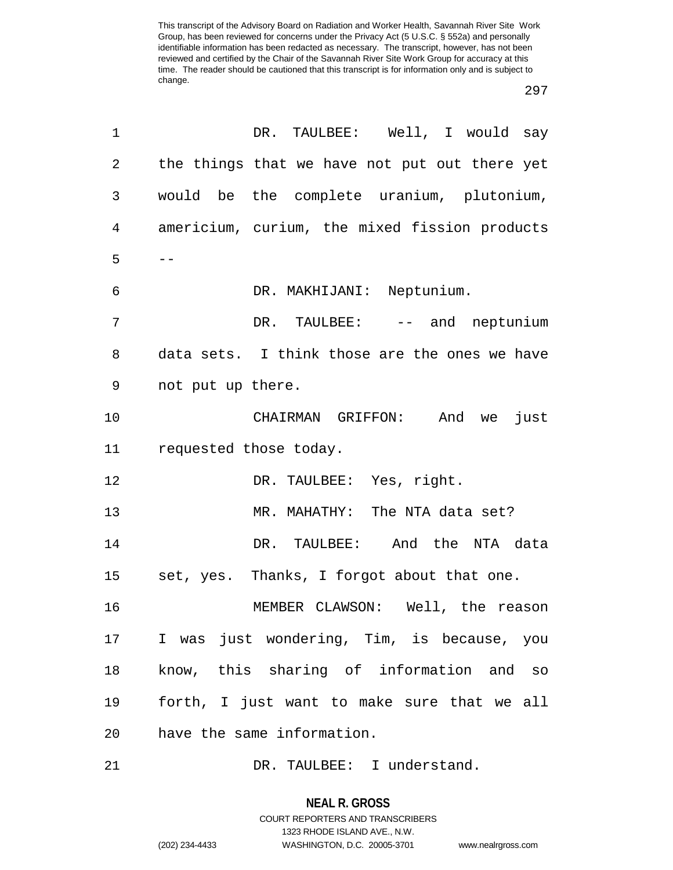| 1              | DR. TAULBEE: Well, I would say                |
|----------------|-----------------------------------------------|
| $\overline{2}$ | the things that we have not put out there yet |
| 3              | would be the complete uranium, plutonium,     |
| 4              | americium, curium, the mixed fission products |
| 5              | $- -$                                         |
| 6              | DR. MAKHIJANI: Neptunium.                     |
| 7              | DR. TAULBEE: -- and neptunium                 |
| 8              | data sets. I think those are the ones we have |
| 9              | not put up there.                             |
| 10             | CHAIRMAN GRIFFON: And we<br>just              |
| 11             | requested those today.                        |
| 12             | DR. TAULBEE: Yes, right.                      |
| 13             | MR. MAHATHY: The NTA data set?                |
| 14             | DR. TAULBEE: And the NTA data                 |
| 15             | set, yes. Thanks, I forgot about that one.    |
| 16             | MEMBER CLAWSON: Well, the reason              |
| 17             | I was just wondering, Tim, is because, you    |
| 18             | know, this sharing of information and so      |
| 19             | forth, I just want to make sure that we all   |
| 20             | have the same information.                    |
| 21             | DR. TAULBEE: I understand.                    |

**NEAL R. GROSS** COURT REPORTERS AND TRANSCRIBERS

1323 RHODE ISLAND AVE., N.W.

(202) 234-4433 WASHINGTON, D.C. 20005-3701 www.nealrgross.com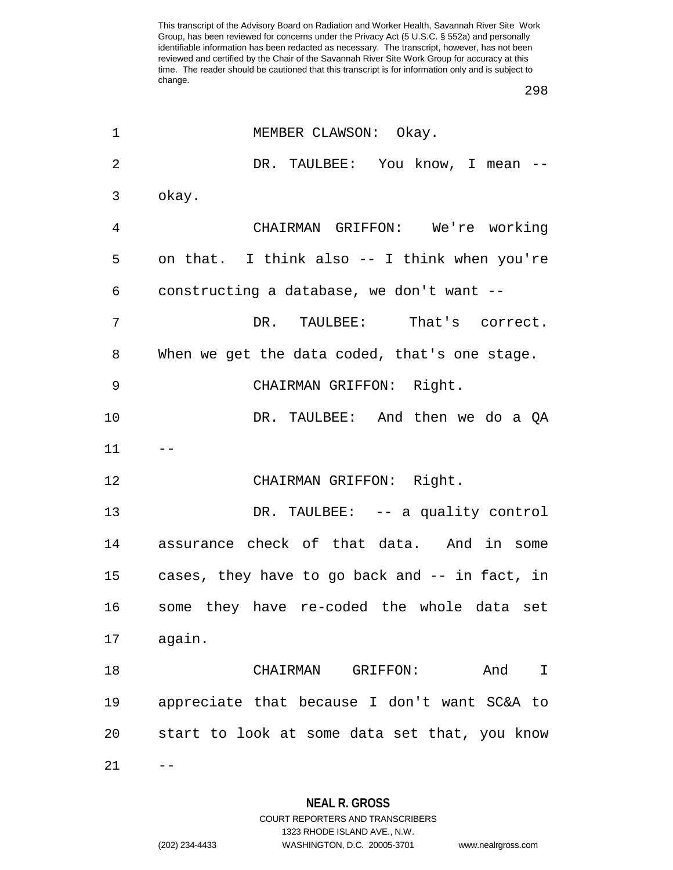298

| $\mathbf 1$ | MEMBER CLAWSON: Okay.                          |
|-------------|------------------------------------------------|
| 2           | DR. TAULBEE: You know, I mean --               |
| 3           | okay.                                          |
| 4           | CHAIRMAN GRIFFON: We're working                |
| 5           | on that. I think also -- I think when you're   |
| 6           | constructing a database, we don't want --      |
| 7           | DR. TAULBEE: That's correct.                   |
| 8           | When we get the data coded, that's one stage.  |
| 9           | CHAIRMAN GRIFFON: Right.                       |
| 10          | DR. TAULBEE: And then we do a QA               |
| 11          |                                                |
| 12          | CHAIRMAN GRIFFON: Right.                       |
| 13          | DR. TAULBEE: -- a quality control              |
| 14          | assurance check of that data. And in some      |
| 15          | cases, they have to go back and -- in fact, in |
| 16          | some they have re-coded the whole data set     |
| 17          | again.                                         |
| 18          | CHAIRMAN GRIFFON:<br>And<br>I                  |
| 19          | appreciate that because I don't want SC&A to   |
| 20          | start to look at some data set that, you know  |
| 21          | - -                                            |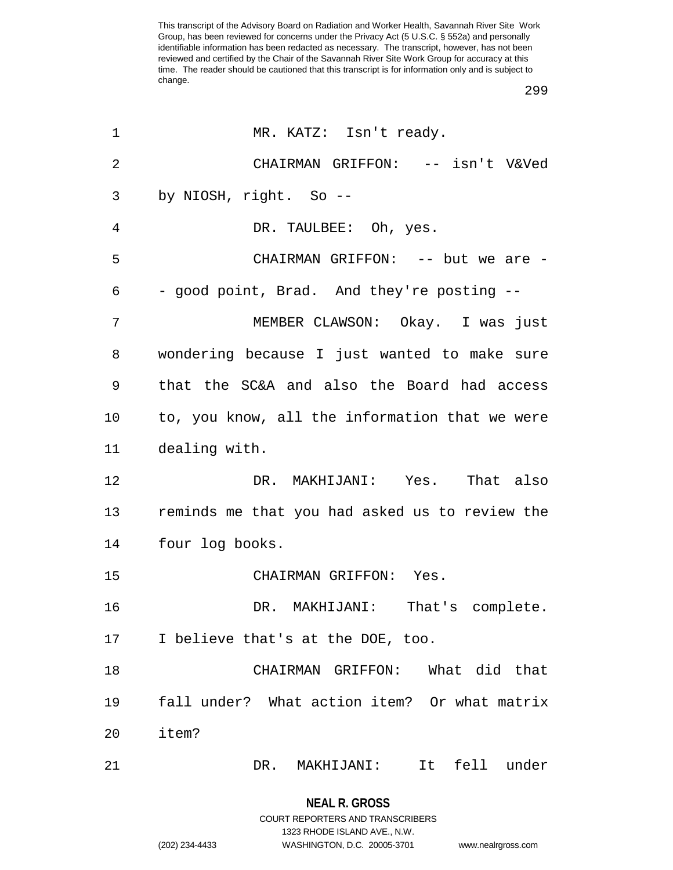299

| 1  | MR. KATZ: Isn't ready.                         |
|----|------------------------------------------------|
| 2  | CHAIRMAN GRIFFON: -- isn't V&Ved               |
| 3  | by NIOSH, right. So --                         |
| 4  | DR. TAULBEE: Oh, yes.                          |
| 5  | CHAIRMAN GRIFFON: -- but we are -              |
| 6  | - good point, Brad. And they're posting --     |
| 7  | MEMBER CLAWSON: Okay. I was just               |
| 8  | wondering because I just wanted to make sure   |
| 9  | that the SC&A and also the Board had access    |
| 10 | to, you know, all the information that we were |
| 11 | dealing with.                                  |
| 12 | DR. MAKHIJANI: Yes. That also                  |
| 13 | reminds me that you had asked us to review the |
| 14 | four log books.                                |
| 15 | CHAIRMAN GRIFFON: Yes.                         |
| 16 | DR. MAKHIJANI: That's complete.                |
| 17 | I believe that's at the DOE, too.              |
| 18 | CHAIRMAN GRIFFON: What did that                |
| 19 | fall under? What action item? Or what matrix   |
| 20 | item?                                          |
| 21 | fell under<br>DR. MAKHIJANI:<br>It             |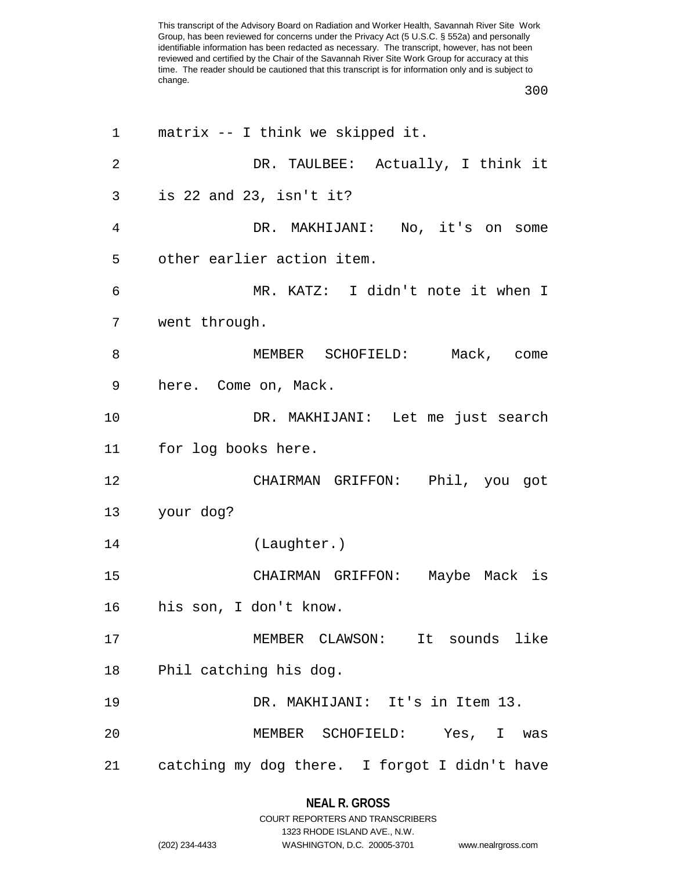300

| 1              | matrix $-$ I think we skipped it.             |
|----------------|-----------------------------------------------|
| 2              | DR. TAULBEE: Actually, I think it             |
| 3              | is 22 and 23, isn't it?                       |
| $\overline{4}$ | DR. MAKHIJANI: No, it's on some               |
| 5              | other earlier action item.                    |
| 6              | MR. KATZ: I didn't note it when I             |
| 7              | went through.                                 |
| 8              | MEMBER SCHOFIELD: Mack, come                  |
| 9              | here. Come on, Mack.                          |
| 10             | DR. MAKHIJANI: Let me just search             |
| 11             | for log books here.                           |
| 12             | CHAIRMAN GRIFFON: Phil, you got               |
| 13             | your dog?                                     |
| 14             | (Laughter.)                                   |
| 15             | CHAIRMAN GRIFFON: Maybe Mack is               |
| 16             | his son, I don't know.                        |
| 17             | MEMBER CLAWSON: It sounds like                |
| 18             | Phil catching his dog.                        |
| 19             | DR. MAKHIJANI: It's in Item 13.               |
| 20             | MEMBER SCHOFIELD: Yes, I was                  |
| 21             | catching my dog there. I forgot I didn't have |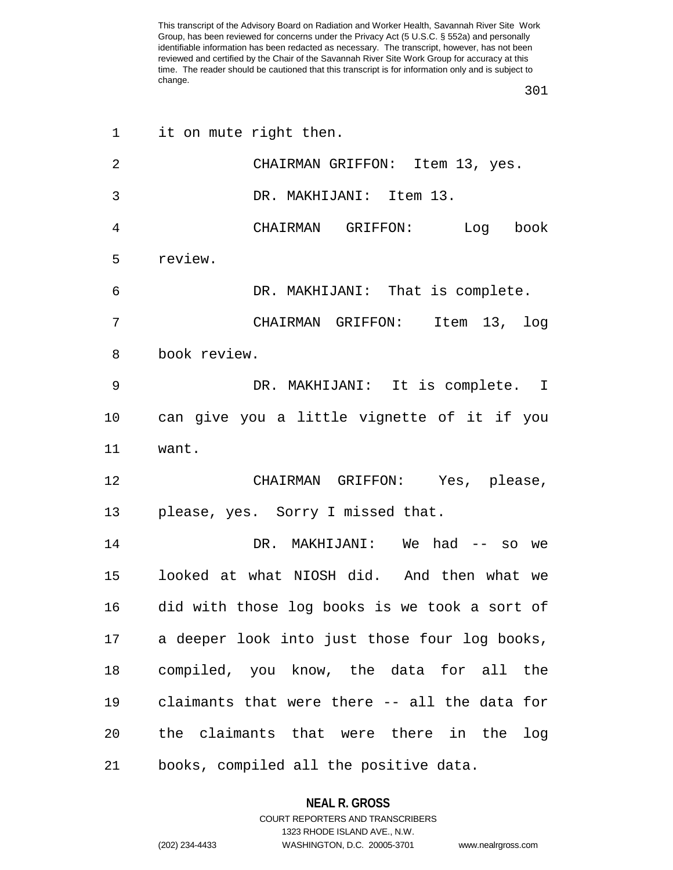301

| 1              | it on mute right then.                        |
|----------------|-----------------------------------------------|
| $\overline{2}$ | CHAIRMAN GRIFFON: Item 13, yes.               |
| 3              | DR. MAKHIJANI: Item 13.                       |
| 4              | CHAIRMAN GRIFFON:<br>Log book                 |
| 5              | review.                                       |
| 6              | DR. MAKHIJANI: That is complete.              |
| 7              | CHAIRMAN GRIFFON: Item 13, log                |
| 8              | book review.                                  |
| 9              | DR. MAKHIJANI: It is complete. I              |
| 10             | can give you a little vignette of it if you   |
| 11             | want.                                         |
| 12             | CHAIRMAN GRIFFON: Yes, please,                |
| 13             | please, yes. Sorry I missed that.             |
| 14             | DR. MAKHIJANI: We had -- so we                |
| 15             | looked at what NIOSH did. And then what we    |
| 16             | did with those log books is we took a sort of |
| 17             | a deeper look into just those four log books, |
| 18             | compiled, you know, the data for all<br>the   |
| 19             | claimants that were there -- all the data for |
| 20             | the claimants that were there in the<br>log   |
| 21             | books, compiled all the positive data.        |

# **NEAL R. GROSS** COURT REPORTERS AND TRANSCRIBERS

1323 RHODE ISLAND AVE., N.W. (202) 234-4433 WASHINGTON, D.C. 20005-3701 www.nealrgross.com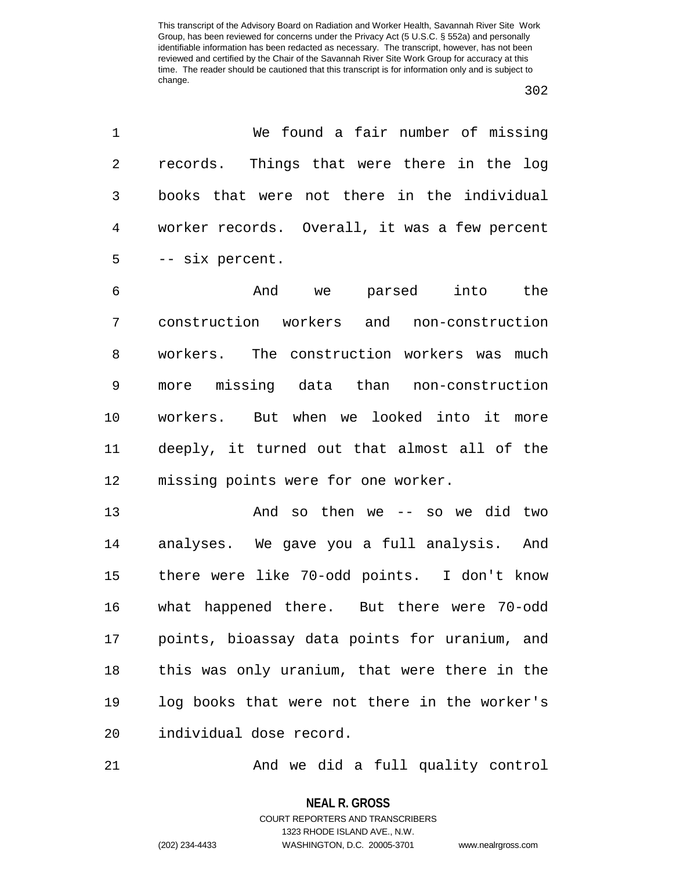302

1 We found a fair number of missing 2 records. Things that were there in the log 3 books that were not there in the individual 4 worker records. Overall, it was a few percent 5 -- six percent.

6 And we parsed into the 7 construction workers and non-construction 8 workers. The construction workers was much 9 more missing data than non-construction 10 workers. But when we looked into it more 11 deeply, it turned out that almost all of the 12 missing points were for one worker.

13 And so then we -- so we did two 14 analyses. We gave you a full analysis. And 15 there were like 70-odd points. I don't know 16 what happened there. But there were 70-odd 17 points, bioassay data points for uranium, and 18 this was only uranium, that were there in the 19 log books that were not there in the worker's 20 individual dose record.

21 And we did a full quality control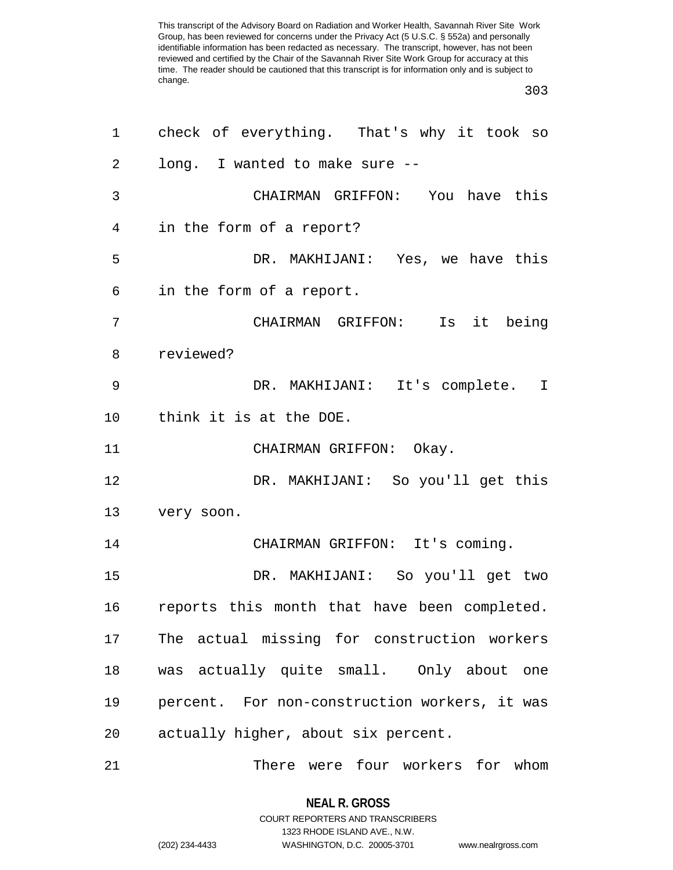303

| 1              | check of everything. That's why it took so    |
|----------------|-----------------------------------------------|
| $\overline{2}$ | long. I wanted to make sure --                |
| 3              | CHAIRMAN GRIFFON: You have this               |
| $\overline{4}$ | in the form of a report?                      |
| 5              | DR. MAKHIJANI: Yes, we have this              |
| 6              | in the form of a report.                      |
| 7              | CHAIRMAN GRIFFON: Is it being                 |
| 8              | reviewed?                                     |
| 9              | DR. MAKHIJANI: It's complete. I               |
|                | 10 think it is at the DOE.                    |
| 11             | CHAIRMAN GRIFFON: Okay.                       |
| 12             | DR. MAKHIJANI: So you'll get this             |
| 13             | very soon.                                    |
| 14             | CHAIRMAN GRIFFON: It's coming.                |
| 15             | DR. MAKHIJANI: So you'll get two              |
| 16             | reports this month that have been completed.  |
| 17             | The actual missing for construction workers   |
| 18             | was actually quite small. Only about one      |
| 19             | percent. For non-construction workers, it was |
| 20             | actually higher, about six percent.           |
| 21             | There were four workers for whom              |

**NEAL R. GROSS** COURT REPORTERS AND TRANSCRIBERS

1323 RHODE ISLAND AVE., N.W.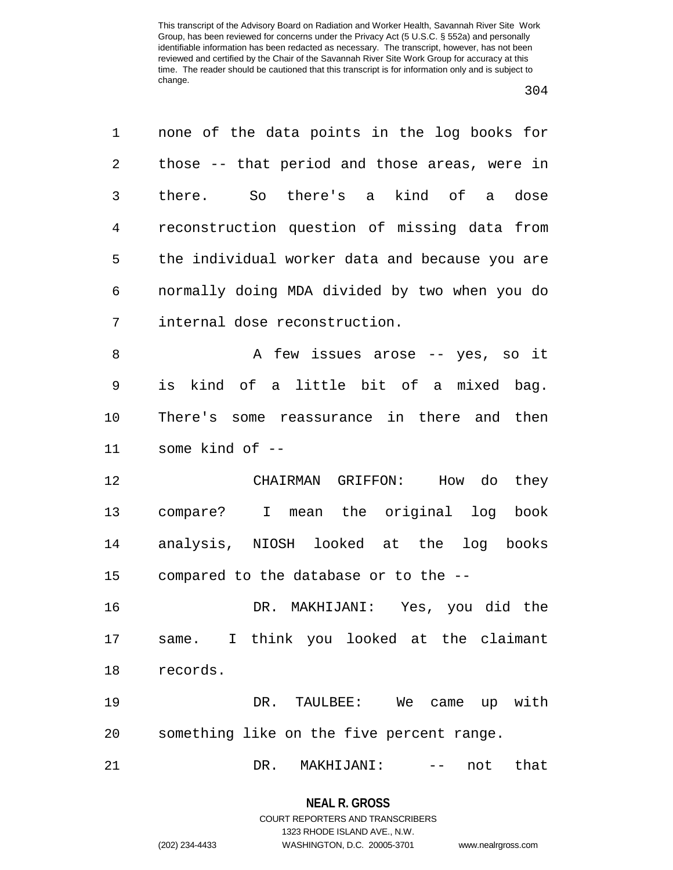| 1  | none of the data points in the log books for   |
|----|------------------------------------------------|
| 2  | those -- that period and those areas, were in  |
| 3  | So there's a kind of a dose<br>there.          |
| 4  | reconstruction question of missing data from   |
| 5  | the individual worker data and because you are |
| 6  | normally doing MDA divided by two when you do  |
| 7  | internal dose reconstruction.                  |
| 8  | A few issues arose -- yes, so it               |
| 9  | kind of a little bit of a mixed bag.<br>is     |
| 10 | There's some reassurance in there and then     |
| 11 | some kind of $-$                               |
| 12 | CHAIRMAN GRIFFON: How do they                  |
| 13 | I mean the original log book<br>compare?       |
| 14 | analysis, NIOSH looked at the log books        |
| 15 | compared to the database or to the --          |
| 16 | DR. MAKHIJANI: Yes, you did the                |
| 17 | same. I think you looked at the claimant       |
| 18 | records.                                       |
| 19 | DR. TAULBEE: We came up with                   |
| 20 | something like on the five percent range.      |
| 21 | DR. MAKHIJANI: --<br>not that                  |
|    |                                                |

#### **NEAL R. GROSS**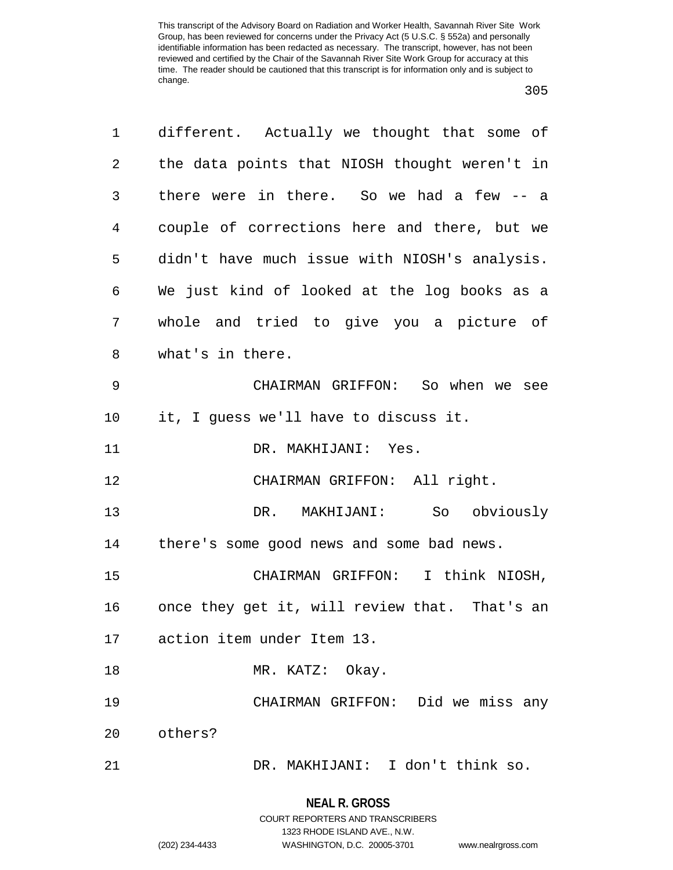| 1  | different. Actually we thought that some of   |
|----|-----------------------------------------------|
| 2  | the data points that NIOSH thought weren't in |
| 3  | there were in there. So we had a few -- a     |
| 4  | couple of corrections here and there, but we  |
| 5  | didn't have much issue with NIOSH's analysis. |
| 6  | We just kind of looked at the log books as a  |
| 7  | whole and tried to give you a picture of      |
| 8  | what's in there.                              |
| 9  | CHAIRMAN GRIFFON: So when we see              |
| 10 | it, I guess we'll have to discuss it.         |
| 11 | DR. MAKHIJANI: Yes.                           |
| 12 | CHAIRMAN GRIFFON: All right.                  |
| 13 | DR. MAKHIJANI: So obviously                   |
| 14 | there's some good news and some bad news.     |
| 15 | CHAIRMAN GRIFFON: I think NIOSH,              |
| 16 | once they get it, will review that. That's an |
| 17 | action item under Item 13.                    |
| 18 | MR. KATZ: Okay.                               |
| 19 | CHAIRMAN GRIFFON: Did we miss any             |
| 20 | others?                                       |
| 21 | DR. MAKHIJANI: I don't think so.              |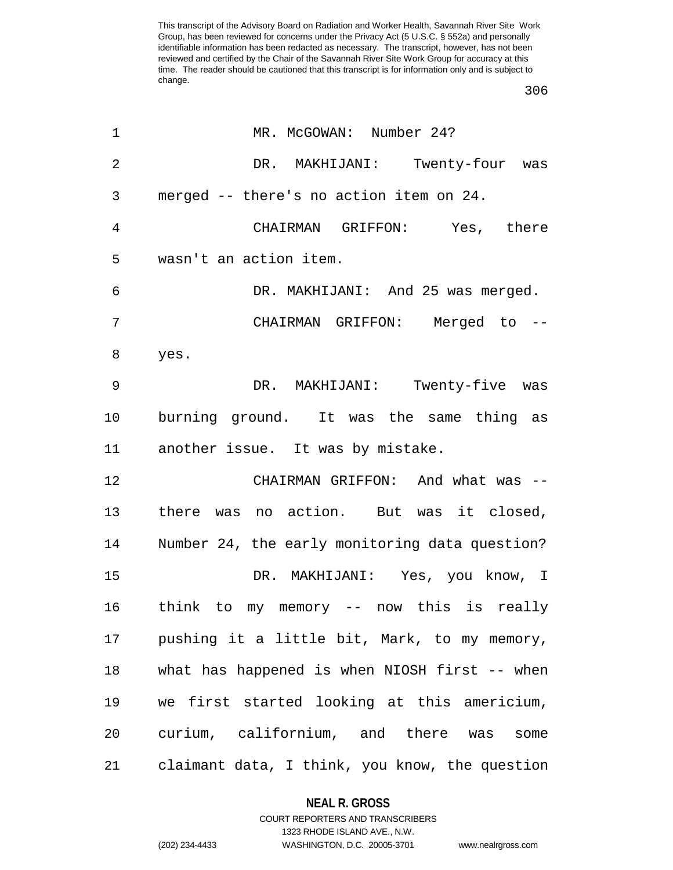306

| 1              | MR. McGOWAN: Number 24?                        |
|----------------|------------------------------------------------|
| $\overline{2}$ | DR. MAKHIJANI: Twenty-four was                 |
| 3              | merged -- there's no action item on 24.        |
| 4              | CHAIRMAN GRIFFON: Yes, there                   |
| 5              | wasn't an action item.                         |
| 6              | DR. MAKHIJANI: And 25 was merged.              |
| 7              | CHAIRMAN GRIFFON: Merged to --                 |
| 8              | yes.                                           |
| 9              | DR. MAKHIJANI: Twenty-five was                 |
| 10             | burning ground. It was the same thing as       |
| 11             | another issue. It was by mistake.              |
| 12             | CHAIRMAN GRIFFON: And what was --              |
| 13             | there was no action. But was it closed,        |
| 14             | Number 24, the early monitoring data question? |
| 15             | DR. MAKHIJANI: Yes, you know, I                |
| 16             | think to my memory -- now this is really       |
| 17             | pushing it a little bit, Mark, to my memory,   |
| 18             | what has happened is when NIOSH first -- when  |
| 19             | we first started looking at this americium,    |
| 20             | curium, californium, and there was<br>some     |
| 21             | claimant data, I think, you know, the question |

**NEAL R. GROSS** COURT REPORTERS AND TRANSCRIBERS

1323 RHODE ISLAND AVE., N.W.

(202) 234-4433 WASHINGTON, D.C. 20005-3701 www.nealrgross.com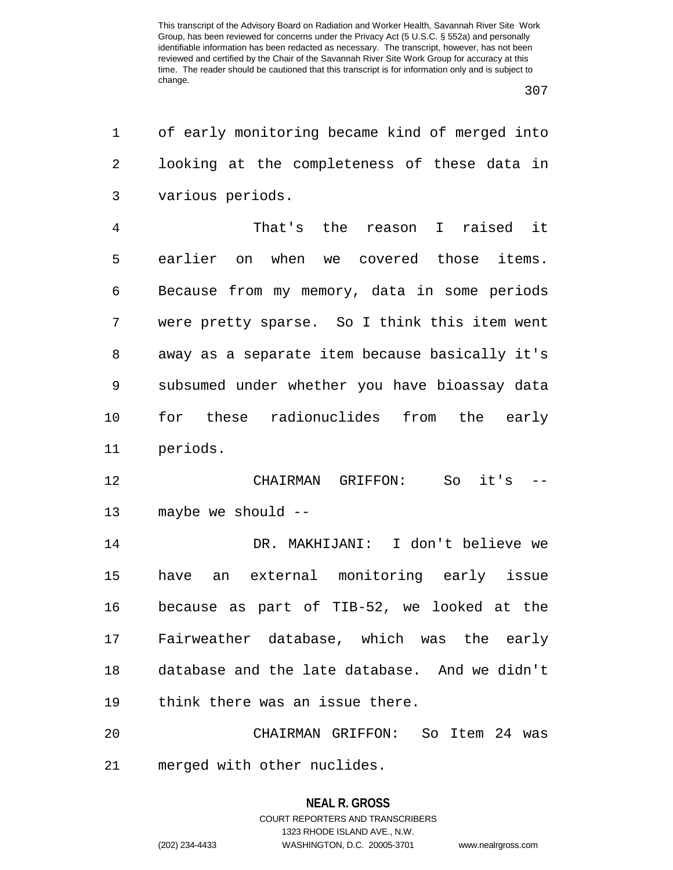307

| 1  | of early monitoring became kind of merged into |
|----|------------------------------------------------|
| 2  | looking at the completeness of these data in   |
| 3  | various periods.                               |
| 4  | That's the reason I raised it                  |
| 5  | earlier on when we covered those items.        |
| 6  | Because from my memory, data in some periods   |
| 7  | were pretty sparse. So I think this item went  |
| 8  | away as a separate item because basically it's |
| 9  | subsumed under whether you have bioassay data  |
| 10 | for these radionuclides from the early         |
| 11 | periods.                                       |
| 12 | CHAIRMAN GRIFFON:<br>it's<br>So                |
| 13 | maybe we should --                             |
| 14 | DR. MAKHIJANI: I don't believe we              |
| 15 | external monitoring early issue<br>have<br>an  |
| 16 | because as part of TIB-52, we looked at the    |
| 17 | Fairweather database, which was the early      |
| 18 | database and the late database. And we didn't  |
| 19 | think there was an issue there.                |
| 20 | CHAIRMAN GRIFFON: So Item 24 was               |
| 21 | merged with other nuclides.                    |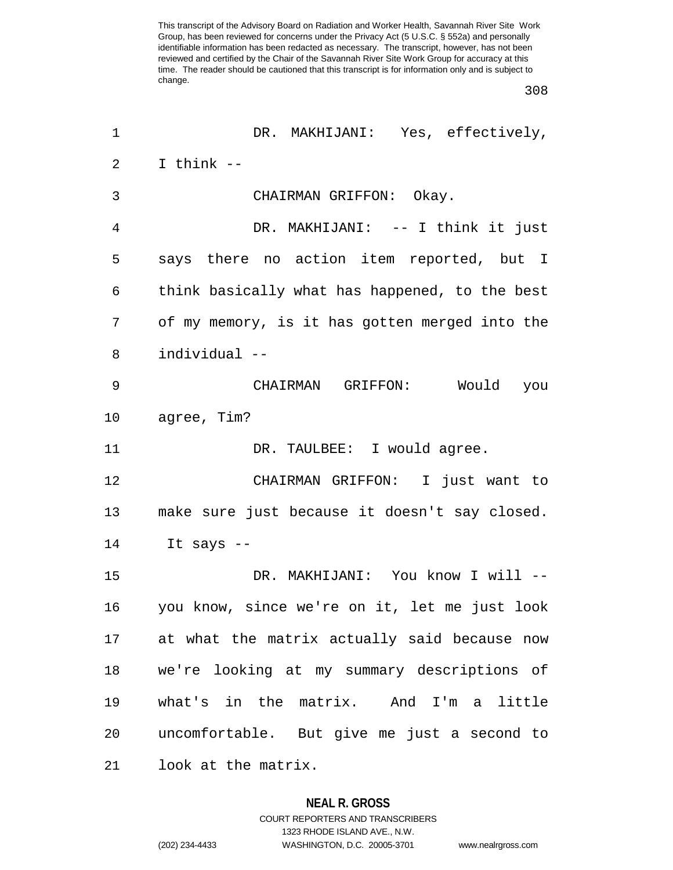308

| 1  | DR. MAKHIJANI: Yes, effectively,                |
|----|-------------------------------------------------|
| 2  | I think --                                      |
| 3  | CHAIRMAN GRIFFON: Okay.                         |
| 4  | DR. MAKHIJANI: -- I think it just               |
| 5  | says there no action item reported, but I       |
| 6  | think basically what has happened, to the best  |
| 7  | of my memory, is it has gotten merged into the  |
| 8  | individual --                                   |
| 9  | CHAIRMAN GRIFFON: Would you                     |
| 10 | agree, Tim?                                     |
| 11 | DR. TAULBEE: I would agree.                     |
| 12 | CHAIRMAN GRIFFON: I just want to                |
| 13 | make sure just because it doesn't say closed.   |
| 14 | It says --                                      |
| 15 | DR. MAKHIJANI: You know I will --               |
| 16 | you know, since we're on it, let me just look   |
|    | 17 at what the matrix actually said because now |
| 18 | we're looking at my summary descriptions of     |
| 19 | what's in the matrix. And I'm a little          |
| 20 | uncomfortable. But give me just a second to     |
| 21 | look at the matrix.                             |

#### **NEAL R. GROSS**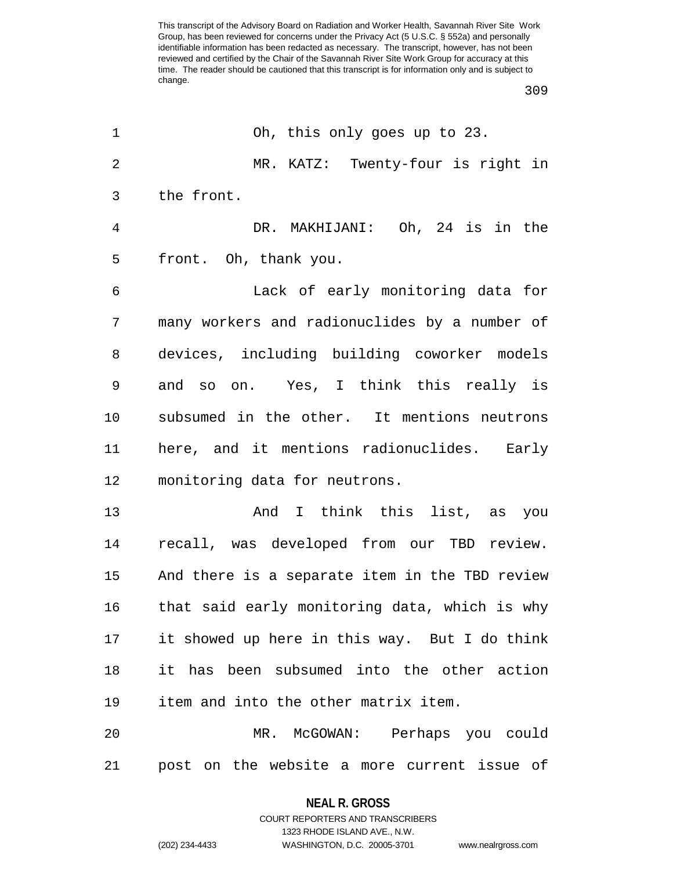309

| 1       | Oh, this only goes up to 23.                   |
|---------|------------------------------------------------|
| 2       | MR. KATZ: Twenty-four is right in              |
| 3       | the front.                                     |
| 4       | DR. MAKHIJANI: Oh, 24 is in the                |
| 5       | front. Oh, thank you.                          |
| 6       | Lack of early monitoring data for              |
| 7       | many workers and radionuclides by a number of  |
| 8       | devices, including building coworker models    |
| 9       | and so on. Yes, I think this really is         |
| $10 \,$ | subsumed in the other. It mentions neutrons    |
| 11      | here, and it mentions radionuclides. Early     |
| 12      | monitoring data for neutrons.                  |
| 13      | And I think this list, as you                  |
| 14      | recall, was developed from our TBD review.     |
| 15      | And there is a separate item in the TBD review |
| 16      | that said early monitoring data, which is why  |
| 17 —    | it showed up here in this way. But I do think  |
| 18      | it has been subsumed into the other action     |
| 19      | item and into the other matrix item.           |
| 20      | MR. McGOWAN: Perhaps you could                 |
| 21      | post on the website a more current issue of    |

#### **NEAL R. GROSS**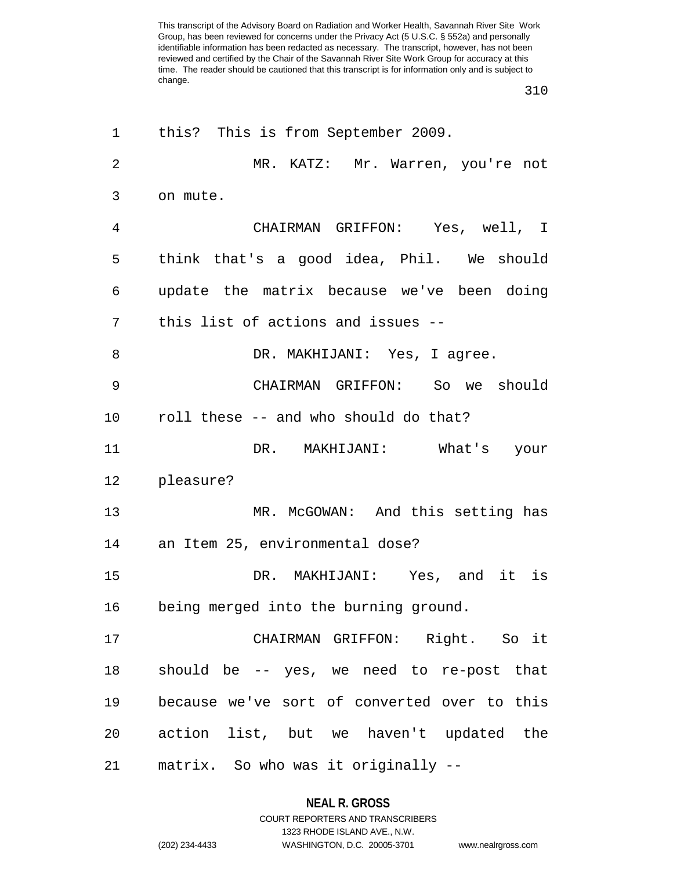310

| 1  | this? This is from September 2009.           |
|----|----------------------------------------------|
| 2  | MR. KATZ: Mr. Warren, you're not             |
| 3  | on mute.                                     |
| 4  | CHAIRMAN GRIFFON: Yes, well, I               |
| 5  | think that's a good idea, Phil. We should    |
| 6  | update the matrix because we've been doing   |
| 7  | this list of actions and issues --           |
| 8  | DR. MAKHIJANI: Yes, I agree.                 |
| 9  | CHAIRMAN GRIFFON: So we should               |
| 10 | roll these -- and who should do that?        |
| 11 | DR. MAKHIJANI: What's your                   |
| 12 | pleasure?                                    |
| 13 | MR. McGOWAN: And this setting has            |
| 14 | an Item 25, environmental dose?              |
| 15 | DR. MAKHIJANI: Yes, and it is                |
| 16 | being merged into the burning ground.        |
| 17 | CHAIRMAN GRIFFON: Right. So it               |
| 18 | should be -- yes, we need to re-post that    |
| 19 | because we've sort of converted over to this |
| 20 | action list, but we haven't updated the      |
| 21 | matrix. So who was it originally --          |

**NEAL R. GROSS**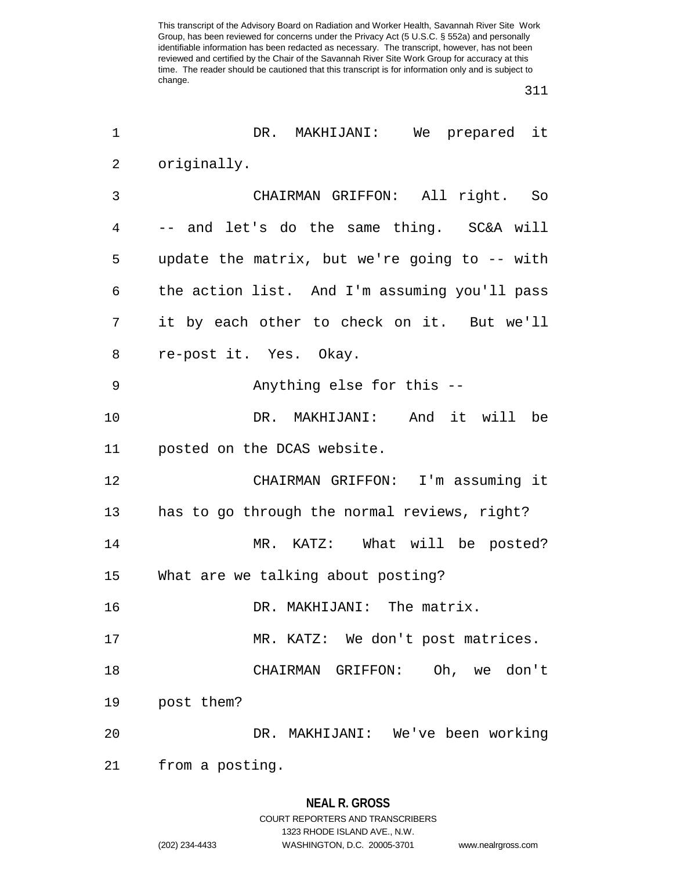311

| $\mathbf 1$ | DR. MAKHIJANI: We prepared it                 |
|-------------|-----------------------------------------------|
| 2           | originally.                                   |
| 3           | CHAIRMAN GRIFFON: All right. So               |
| 4           | -- and let's do the same thing. SC&A will     |
| 5           | update the matrix, but we're going to -- with |
| 6           | the action list. And I'm assuming you'll pass |
| 7           | it by each other to check on it. But we'll    |
| 8           | re-post it. Yes. Okay.                        |
| 9           | Anything else for this --                     |
| 10          | DR. MAKHIJANI: And it will<br>be              |
| 11          | posted on the DCAS website.                   |
| 12          | CHAIRMAN GRIFFON: I'm assuming it             |
| 13          | has to go through the normal reviews, right?  |
| 14          | MR. KATZ: What will be posted?                |
| 15          | What are we talking about posting?            |
| 16          | DR. MAKHIJANI: The matrix.                    |
| 17          | MR. KATZ: We don't post matrices.             |
| 18          | CHAIRMAN GRIFFON: Oh, we don't                |
| 19          | post them?                                    |
| 20          | DR. MAKHIJANI: We've been working             |
| 21          | from a posting.                               |
|             |                                               |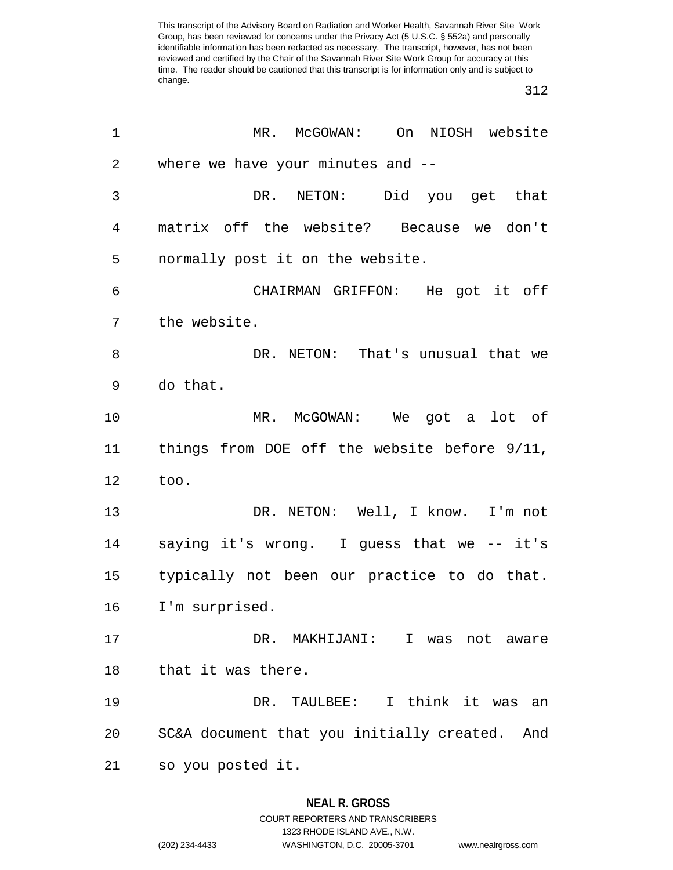312

| 1              | MR. McGOWAN:<br>On NIOSH website              |
|----------------|-----------------------------------------------|
| $\overline{2}$ | where we have your minutes and --             |
| 3              | DR. NETON: Did you get that                   |
| 4              | matrix off the website? Because we don't      |
| 5              | normally post it on the website.              |
| 6              | CHAIRMAN GRIFFON: He got it off               |
| 7              | the website.                                  |
| 8              | DR. NETON: That's unusual that we             |
| 9              | do that.                                      |
| 10             | MR. McGOWAN: We got a lot of                  |
| 11             | things from DOE off the website before 9/11,  |
| 12             | too.                                          |
| 13             | DR. NETON: Well, I know. I'm not              |
| 14             | saying it's wrong. I guess that we -- it's    |
| 15             | typically not been our practice to do that.   |
| 16             | I'm surprised.                                |
| 17             | DR. MAKHIJANI: I was not aware                |
| 18             | that it was there.                            |
| 19             | DR. TAULBEE: I think it was an                |
| 20             | SC&A document that you initially created. And |
| 21             | so you posted it.                             |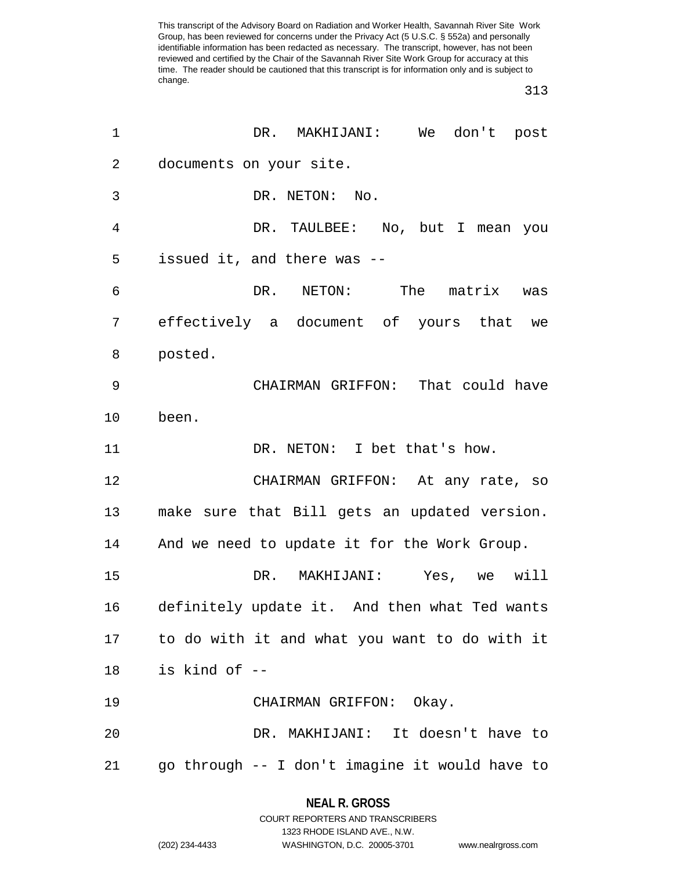313

| 1  | DR. MAKHIJANI: We don't post                   |
|----|------------------------------------------------|
| 2  | documents on your site.                        |
| 3  | DR. NETON: No.                                 |
| 4  | DR. TAULBEE: No, but I mean you                |
| 5  | issued it, and there was --                    |
| 6  | DR. NETON: The matrix was                      |
| 7  | effectively a document of yours that we        |
| 8  | posted.                                        |
| 9  | CHAIRMAN GRIFFON: That could have              |
| 10 | been.                                          |
| 11 | DR. NETON: I bet that's how.                   |
| 12 | CHAIRMAN GRIFFON: At any rate, so              |
| 13 | make sure that Bill gets an updated version.   |
| 14 | And we need to update it for the Work Group.   |
| 15 | DR. MAKHIJANI: Yes, we will                    |
| 16 | definitely update it. And then what Ted wants  |
| 17 | to do with it and what you want to do with it  |
| 18 | is kind of --                                  |
| 19 | CHAIRMAN GRIFFON: Okay.                        |
| 20 | DR. MAKHIJANI: It doesn't have to              |
| 21 | go through -- I don't imagine it would have to |
|    |                                                |

**NEAL R. GROSS** COURT REPORTERS AND TRANSCRIBERS

1323 RHODE ISLAND AVE., N.W.

(202) 234-4433 WASHINGTON, D.C. 20005-3701 www.nealrgross.com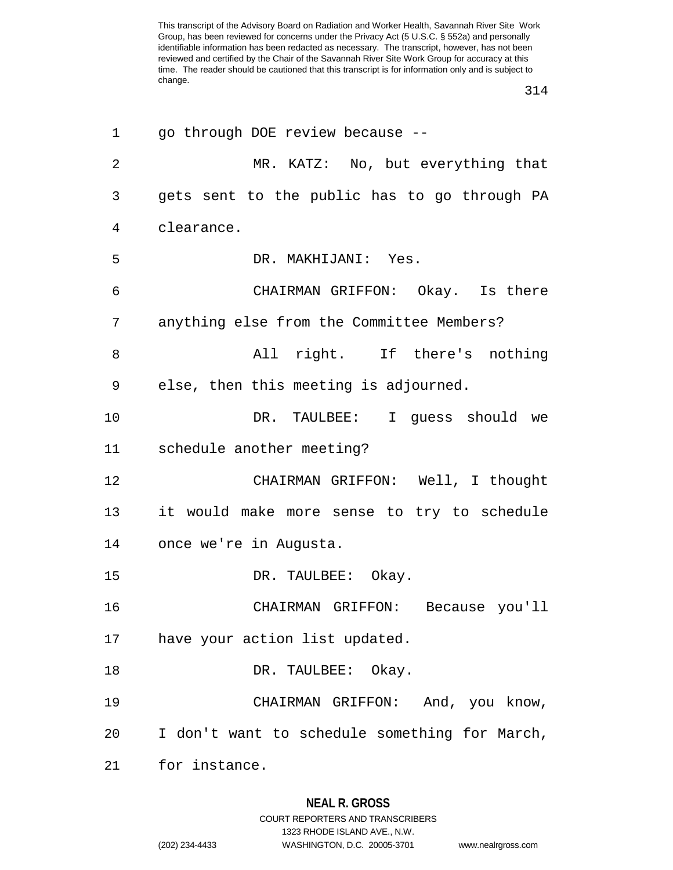| 1  | go through DOE review because --              |
|----|-----------------------------------------------|
| 2  | MR. KATZ: No, but everything that             |
| 3  | gets sent to the public has to go through PA  |
| 4  | clearance.                                    |
| 5  | DR. MAKHIJANI: Yes.                           |
| 6  | CHAIRMAN GRIFFON: Okay. Is there              |
| 7  | anything else from the Committee Members?     |
| 8  | All right. If there's nothing                 |
| 9  | else, then this meeting is adjourned.         |
| 10 | DR. TAULBEE: I guess should we                |
| 11 | schedule another meeting?                     |
| 12 | CHAIRMAN GRIFFON: Well, I thought             |
| 13 | it would make more sense to try to schedule   |
| 14 | once we're in Augusta.                        |
| 15 | DR. TAULBEE: Okay.                            |
| 16 | CHAIRMAN GRIFFON: Because you'll              |
| 17 | have your action list updated.                |
| 18 | DR. TAULBEE: Okay.                            |
| 19 | CHAIRMAN GRIFFON: And, you know,              |
| 20 | I don't want to schedule something for March, |
| 21 | for instance.                                 |